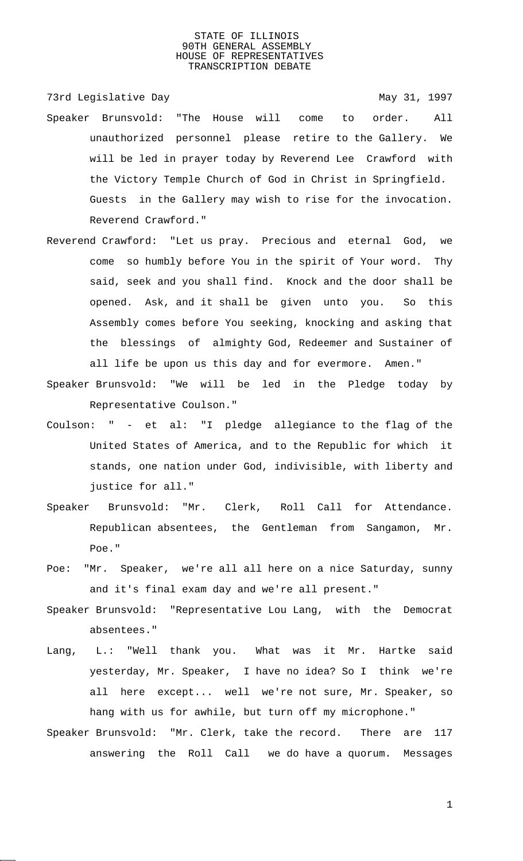73rd Legislative Day **May 31, 1997** 

- Speaker Brunsvold: "The House will come to order. All unauthorized personnel please retire to the Gallery. We will be led in prayer today by Reverend Lee Crawford with the Victory Temple Church of God in Christ in Springfield. Guests in the Gallery may wish to rise for the invocation. Reverend Crawford."
- Reverend Crawford: "Let us pray. Precious and eternal God, we come so humbly before You in the spirit of Your word. Thy said, seek and you shall find. Knock and the door shall be opened. Ask, and it shall be given unto you. So this Assembly comes before You seeking, knocking and asking that the blessings of almighty God, Redeemer and Sustainer of all life be upon us this day and for evermore. Amen."
- Speaker Brunsvold: "We will be led in the Pledge today by Representative Coulson."
- Coulson: " et al: "I pledge allegiance to the flag of the United States of America, and to the Republic for which it stands, one nation under God, indivisible, with liberty and justice for all."
- Speaker Brunsvold: "Mr. Clerk, Roll Call for Attendance. Republican absentees, the Gentleman from Sangamon, Mr. Poe."
- Poe: "Mr. Speaker, we're all all here on a nice Saturday, sunny and it's final exam day and we're all present."
- Speaker Brunsvold: "Representative Lou Lang, with the Democrat absentees."
- Lang, L.: "Well thank you. What was it Mr. Hartke said yesterday, Mr. Speaker, I have no idea? So I think we're all here except... well we're not sure, Mr. Speaker, so hang with us for awhile, but turn off my microphone."
- Speaker Brunsvold: "Mr. Clerk, take the record. There are 117 answering the Roll Call we do have a quorum. Messages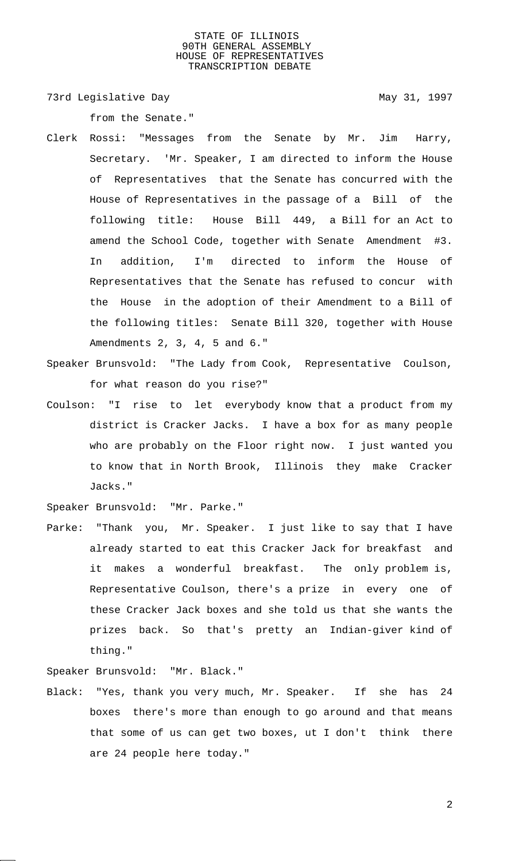73rd Legislative Day 1997

from the Senate."

- Clerk Rossi: "Messages from the Senate by Mr. Jim Harry, Secretary. 'Mr. Speaker, I am directed to inform the House of Representatives that the Senate has concurred with the House of Representatives in the passage of a Bill of the following title: House Bill 449, a Bill for an Act to amend the School Code, together with Senate Amendment #3. In addition, I'm directed to inform the House of Representatives that the Senate has refused to concur with the House in the adoption of their Amendment to a Bill of the following titles: Senate Bill 320, together with House Amendments 2, 3, 4, 5 and 6."
- Speaker Brunsvold: "The Lady from Cook, Representative Coulson, for what reason do you rise?"
- Coulson: "I rise to let everybody know that a product from my district is Cracker Jacks. I have a box for as many people who are probably on the Floor right now. I just wanted you to know that in North Brook, Illinois they make Cracker Jacks."
- Speaker Brunsvold: "Mr. Parke."
- Parke: "Thank you, Mr. Speaker. I just like to say that I have already started to eat this Cracker Jack for breakfast and it makes a wonderful breakfast. The only problem is, Representative Coulson, there's a prize in every one of these Cracker Jack boxes and she told us that she wants the prizes back. So that's pretty an Indian-giver kind of thing."
- Speaker Brunsvold: "Mr. Black."
- Black: "Yes, thank you very much, Mr. Speaker. If she has 24 boxes there's more than enough to go around and that means that some of us can get two boxes, ut I don't think there are 24 people here today."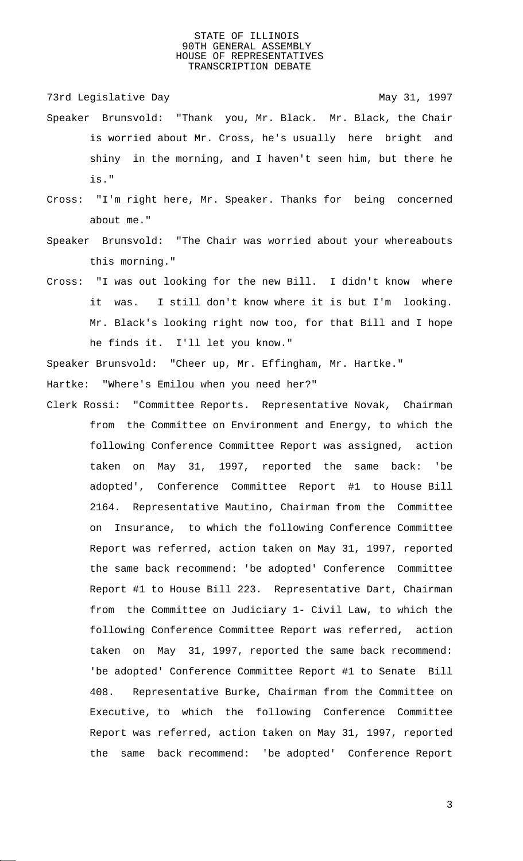73rd Legislative Day 1997

- Speaker Brunsvold: "Thank you, Mr. Black. Mr. Black, the Chair is worried about Mr. Cross, he's usually here bright and shiny in the morning, and I haven't seen him, but there he is."
- Cross: "I'm right here, Mr. Speaker. Thanks for being concerned about me."
- Speaker Brunsvold: "The Chair was worried about your whereabouts this morning."
- Cross: "I was out looking for the new Bill. I didn't know where it was. I still don't know where it is but I'm looking. Mr. Black's looking right now too, for that Bill and I hope he finds it. I'll let you know."

Speaker Brunsvold: "Cheer up, Mr. Effingham, Mr. Hartke."

Hartke: "Where's Emilou when you need her?"

Clerk Rossi: "Committee Reports. Representative Novak, Chairman from the Committee on Environment and Energy, to which the following Conference Committee Report was assigned, action taken on May 31, 1997, reported the same back: 'be adopted', Conference Committee Report #1 to House Bill 2164. Representative Mautino, Chairman from the Committee on Insurance, to which the following Conference Committee Report was referred, action taken on May 31, 1997, reported the same back recommend: 'be adopted' Conference Committee Report #1 to House Bill 223. Representative Dart, Chairman from the Committee on Judiciary 1- Civil Law, to which the following Conference Committee Report was referred, action taken on May 31, 1997, reported the same back recommend: 'be adopted' Conference Committee Report #1 to Senate Bill 408. Representative Burke, Chairman from the Committee on Executive, to which the following Conference Committee Report was referred, action taken on May 31, 1997, reported the same back recommend: 'be adopted' Conference Report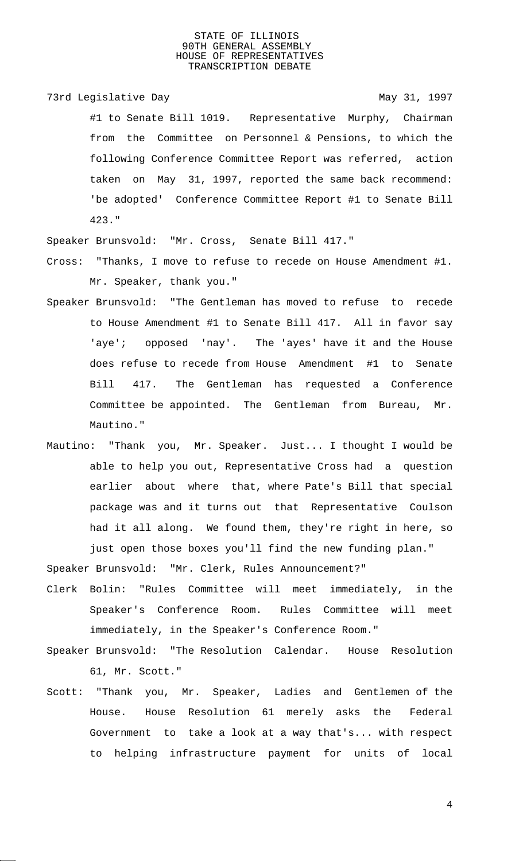73rd Legislative Day 1997 #1 to Senate Bill 1019. Representative Murphy, Chairman from the Committee on Personnel & Pensions, to which the following Conference Committee Report was referred, action taken on May 31, 1997, reported the same back recommend: 'be adopted' Conference Committee Report #1 to Senate Bill 423."

Speaker Brunsvold: "Mr. Cross, Senate Bill 417."

- Cross: "Thanks, I move to refuse to recede on House Amendment #1. Mr. Speaker, thank you."
- Speaker Brunsvold: "The Gentleman has moved to refuse to recede to House Amendment #1 to Senate Bill 417. All in favor say 'aye'; opposed 'nay'. The 'ayes' have it and the House does refuse to recede from House Amendment #1 to Senate Bill 417. The Gentleman has requested a Conference Committee be appointed. The Gentleman from Bureau, Mr. Mautino."
- Mautino: "Thank you, Mr. Speaker. Just... I thought I would be able to help you out, Representative Cross had a question earlier about where that, where Pate's Bill that special package was and it turns out that Representative Coulson had it all along. We found them, they're right in here, so just open those boxes you'll find the new funding plan."

Speaker Brunsvold: "Mr. Clerk, Rules Announcement?"

- Clerk Bolin: "Rules Committee will meet immediately, in the Speaker's Conference Room. Rules Committee will meet immediately, in the Speaker's Conference Room."
- Speaker Brunsvold: "The Resolution Calendar. House Resolution 61, Mr. Scott."
- Scott: "Thank you, Mr. Speaker, Ladies and Gentlemen of the House. House Resolution 61 merely asks the Federal Government to take a look at a way that's... with respect to helping infrastructure payment for units of local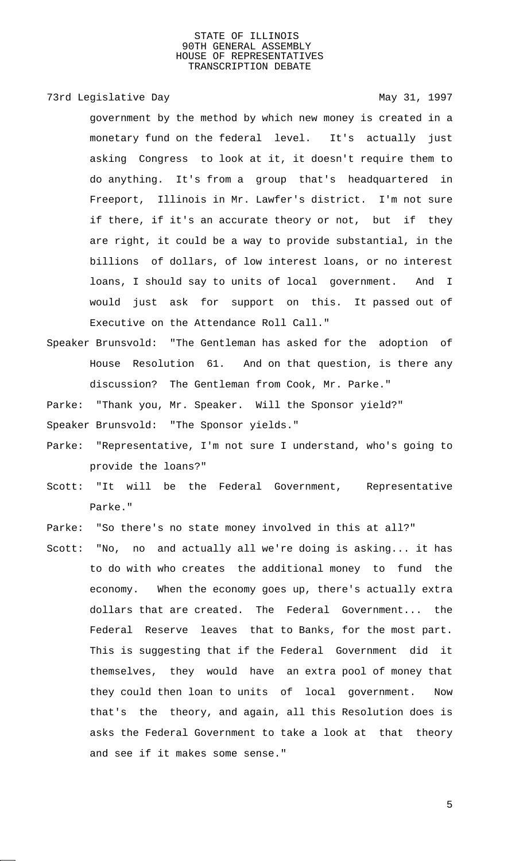# 73rd Legislative Day 1997

government by the method by which new money is created in a monetary fund on the federal level. It's actually just asking Congress to look at it, it doesn't require them to do anything. It's from a group that's headquartered in Freeport, Illinois in Mr. Lawfer's district. I'm not sure if there, if it's an accurate theory or not, but if they are right, it could be a way to provide substantial, in the billions of dollars, of low interest loans, or no interest loans, I should say to units of local government. And I would just ask for support on this. It passed out of Executive on the Attendance Roll Call."

- Speaker Brunsvold: "The Gentleman has asked for the adoption of House Resolution 61. And on that question, is there any discussion? The Gentleman from Cook, Mr. Parke."
- Parke: "Thank you, Mr. Speaker. Will the Sponsor yield?"
- Speaker Brunsvold: "The Sponsor yields."
- Parke: "Representative, I'm not sure I understand, who's going to provide the loans?"
- Scott: "It will be the Federal Government, Representative Parke."
- Parke: "So there's no state money involved in this at all?"
- Scott: "No, no and actually all we're doing is asking... it has to do with who creates the additional money to fund the economy. When the economy goes up, there's actually extra dollars that are created. The Federal Government... the Federal Reserve leaves that to Banks, for the most part. This is suggesting that if the Federal Government did it themselves, they would have an extra pool of money that they could then loan to units of local government. Now that's the theory, and again, all this Resolution does is asks the Federal Government to take a look at that theory and see if it makes some sense."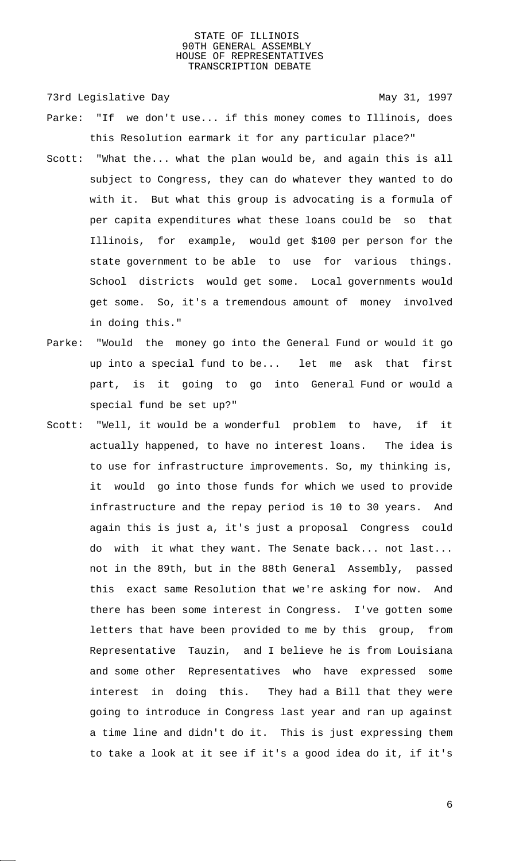73rd Legislative Day 1997

- Parke: "If we don't use... if this money comes to Illinois, does this Resolution earmark it for any particular place?"
- Scott: "What the... what the plan would be, and again this is all subject to Congress, they can do whatever they wanted to do with it. But what this group is advocating is a formula of per capita expenditures what these loans could be so that Illinois, for example, would get \$100 per person for the state government to be able to use for various things. School districts would get some. Local governments would get some. So, it's a tremendous amount of money involved in doing this."
- Parke: "Would the money go into the General Fund or would it go up into a special fund to be... let me ask that first part, is it going to go into General Fund or would a special fund be set up?"
- Scott: "Well, it would be a wonderful problem to have, if it actually happened, to have no interest loans. The idea is to use for infrastructure improvements. So, my thinking is, it would go into those funds for which we used to provide infrastructure and the repay period is 10 to 30 years. And again this is just a, it's just a proposal Congress could do with it what they want. The Senate back... not last... not in the 89th, but in the 88th General Assembly, passed this exact same Resolution that we're asking for now. And there has been some interest in Congress. I've gotten some letters that have been provided to me by this group, from Representative Tauzin, and I believe he is from Louisiana and some other Representatives who have expressed some interest in doing this. They had a Bill that they were going to introduce in Congress last year and ran up against a time line and didn't do it. This is just expressing them to take a look at it see if it's a good idea do it, if it's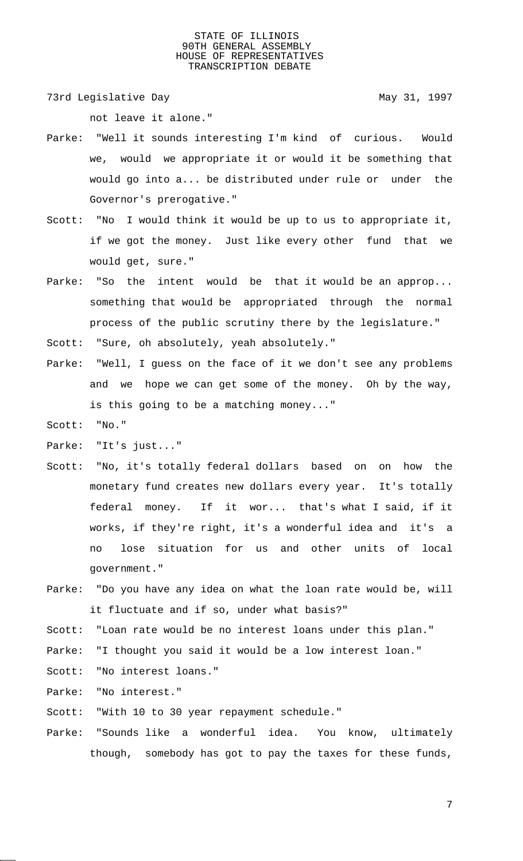73rd Legislative Day 1997

not leave it alone."

- Parke: "Well it sounds interesting I'm kind of curious. Would we, would we appropriate it or would it be something that would go into a... be distributed under rule or under the Governor's prerogative."
- Scott: "No I would think it would be up to us to appropriate it, if we got the money. Just like every other fund that we would get, sure."
- Parke: "So the intent would be that it would be an approp... something that would be appropriated through the normal process of the public scrutiny there by the legislature."

Scott: "Sure, oh absolutely, yeah absolutely."

Parke: "Well, I guess on the face of it we don't see any problems and we hope we can get some of the money. Oh by the way, is this going to be a matching money..."

Scott: "No."

- Parke: "It's just..."
- Scott: "No, it's totally federal dollars based on on how the monetary fund creates new dollars every year. It's totally federal money. If it wor... that's what I said, if it works, if they're right, it's a wonderful idea and it's a no lose situation for us and other units of local government."
- Parke: "Do you have any idea on what the loan rate would be, will it fluctuate and if so, under what basis?"

Scott: "Loan rate would be no interest loans under this plan."

- Parke: "I thought you said it would be a low interest loan."
- Scott: "No interest loans."

Parke: "No interest."

Scott: "With 10 to 30 year repayment schedule."

Parke: "Sounds like a wonderful idea. You know, ultimately though, somebody has got to pay the taxes for these funds,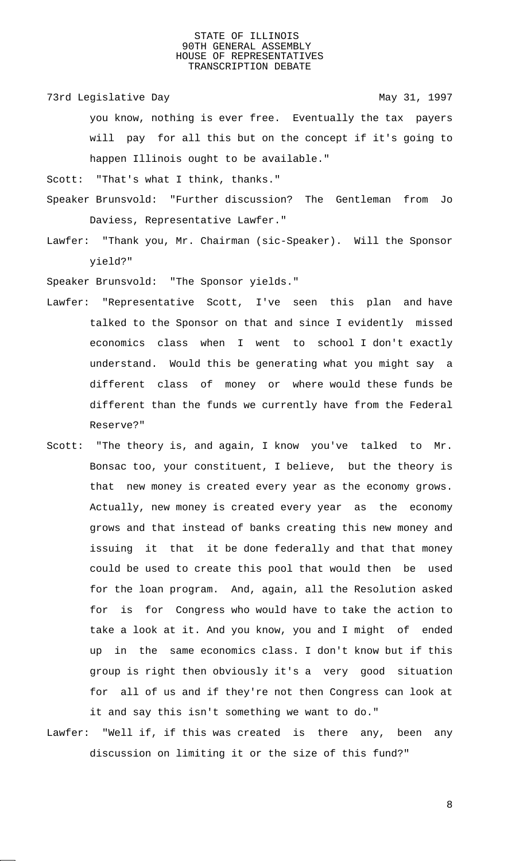73rd Legislative Day 1997

you know, nothing is ever free. Eventually the tax payers will pay for all this but on the concept if it's going to happen Illinois ought to be available."

Scott: "That's what I think, thanks."

- Speaker Brunsvold: "Further discussion? The Gentleman from Jo Daviess, Representative Lawfer."
- Lawfer: "Thank you, Mr. Chairman (sic-Speaker). Will the Sponsor yield?"

Speaker Brunsvold: "The Sponsor yields."

- Lawfer: "Representative Scott, I've seen this plan and have talked to the Sponsor on that and since I evidently missed economics class when I went to school I don't exactly understand. Would this be generating what you might say a different class of money or where would these funds be different than the funds we currently have from the Federal Reserve?"
- Scott: "The theory is, and again, I know you've talked to Mr. Bonsac too, your constituent, I believe, but the theory is that new money is created every year as the economy grows. Actually, new money is created every year as the economy grows and that instead of banks creating this new money and issuing it that it be done federally and that that money could be used to create this pool that would then be used for the loan program. And, again, all the Resolution asked for is for Congress who would have to take the action to take a look at it. And you know, you and I might of ended up in the same economics class. I don't know but if this group is right then obviously it's a very good situation for all of us and if they're not then Congress can look at it and say this isn't something we want to do."
- Lawfer: "Well if, if this was created is there any, been any discussion on limiting it or the size of this fund?"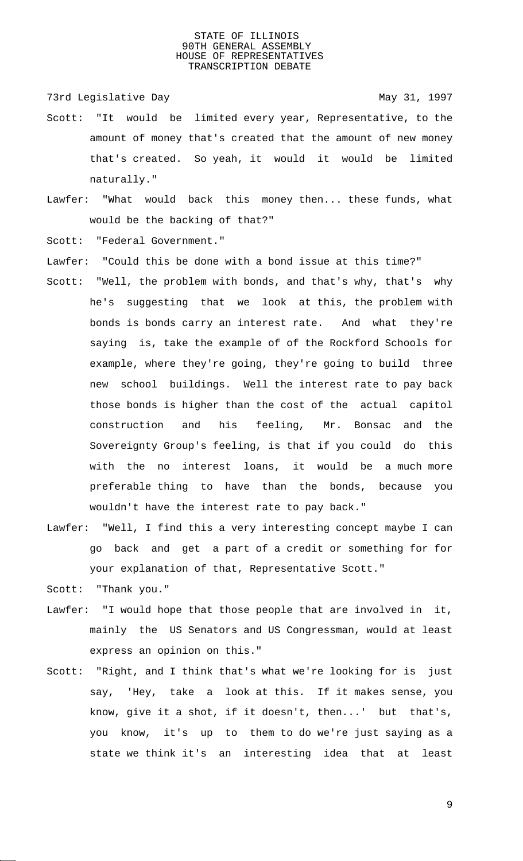73rd Legislative Day 1997

- Scott: "It would be limited every year, Representative, to the amount of money that's created that the amount of new money that's created. So yeah, it would it would be limited naturally."
- Lawfer: "What would back this money then... these funds, what would be the backing of that?"
- Scott: "Federal Government."
- Lawfer: "Could this be done with a bond issue at this time?"
- Scott: "Well, the problem with bonds, and that's why, that's why he's suggesting that we look at this, the problem with bonds is bonds carry an interest rate. And what they're saying is, take the example of of the Rockford Schools for example, where they're going, they're going to build three new school buildings. Well the interest rate to pay back those bonds is higher than the cost of the actual capitol construction and his feeling, Mr. Bonsac and the Sovereignty Group's feeling, is that if you could do this with the no interest loans, it would be a much more preferable thing to have than the bonds, because you wouldn't have the interest rate to pay back."
- Lawfer: "Well, I find this a very interesting concept maybe I can go back and get a part of a credit or something for for your explanation of that, Representative Scott."
- Scott: "Thank you."
- Lawfer: "I would hope that those people that are involved in it, mainly the US Senators and US Congressman, would at least express an opinion on this."
- Scott: "Right, and I think that's what we're looking for is just say, 'Hey, take a look at this. If it makes sense, you know, give it a shot, if it doesn't, then...' but that's, you know, it's up to them to do we're just saying as a state we think it's an interesting idea that at least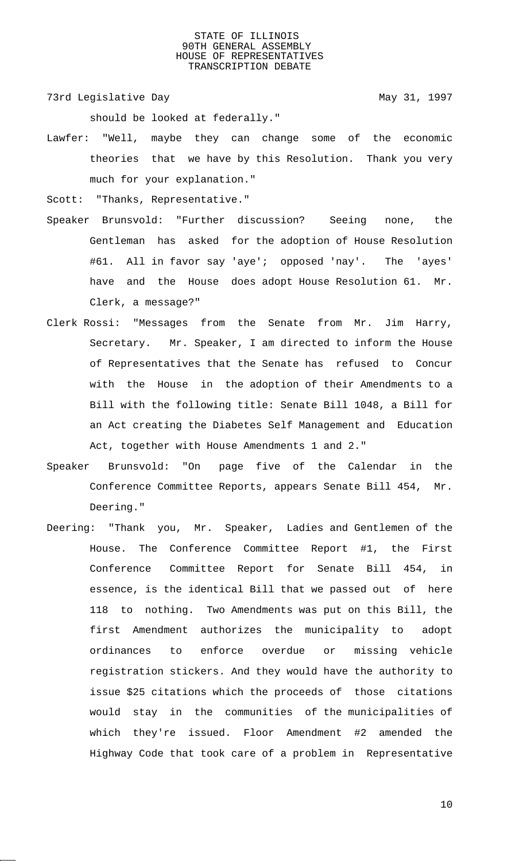73rd Legislative Day 1997

should be looked at federally."

Lawfer: "Well, maybe they can change some of the economic theories that we have by this Resolution. Thank you very much for your explanation."

Scott: "Thanks, Representative."

- Speaker Brunsvold: "Further discussion? Seeing none, the Gentleman has asked for the adoption of House Resolution #61. All in favor say 'aye'; opposed 'nay'. The 'ayes' have and the House does adopt House Resolution 61. Mr. Clerk, a message?"
- Clerk Rossi: "Messages from the Senate from Mr. Jim Harry, Secretary. Mr. Speaker, I am directed to inform the House of Representatives that the Senate has refused to Concur with the House in the adoption of their Amendments to a Bill with the following title: Senate Bill 1048, a Bill for an Act creating the Diabetes Self Management and Education Act, together with House Amendments 1 and 2."
- Speaker Brunsvold: "On page five of the Calendar in the Conference Committee Reports, appears Senate Bill 454, Mr. Deering."
- Deering: "Thank you, Mr. Speaker, Ladies and Gentlemen of the House. The Conference Committee Report #1, the First Conference Committee Report for Senate Bill 454, in essence, is the identical Bill that we passed out of here 118 to nothing. Two Amendments was put on this Bill, the first Amendment authorizes the municipality to adopt ordinances to enforce overdue or missing vehicle registration stickers. And they would have the authority to issue \$25 citations which the proceeds of those citations would stay in the communities of the municipalities of which they're issued. Floor Amendment #2 amended the Highway Code that took care of a problem in Representative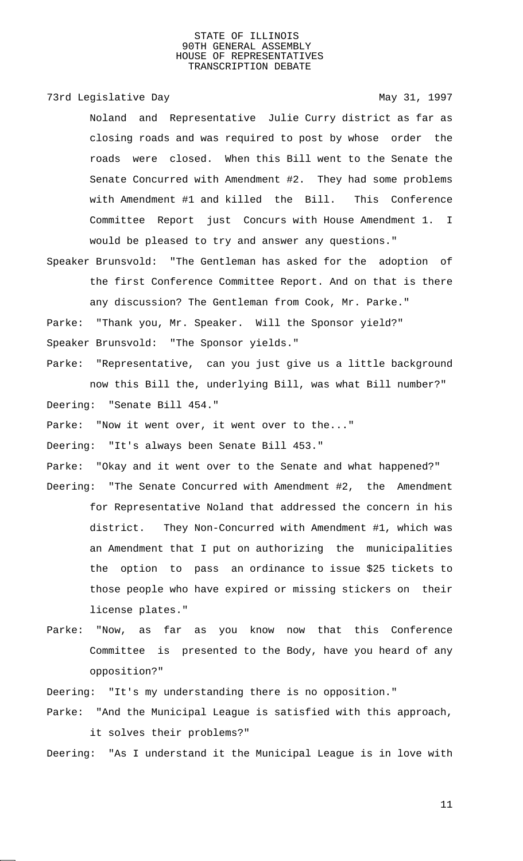73rd Legislative Day 1997

Noland and Representative Julie Curry district as far as closing roads and was required to post by whose order the roads were closed. When this Bill went to the Senate the Senate Concurred with Amendment #2. They had some problems with Amendment #1 and killed the Bill. This Conference Committee Report just Concurs with House Amendment 1. I would be pleased to try and answer any questions."

Speaker Brunsvold: "The Gentleman has asked for the adoption of the first Conference Committee Report. And on that is there any discussion? The Gentleman from Cook, Mr. Parke." Parke: "Thank you, Mr. Speaker. Will the Sponsor yield?"

Speaker Brunsvold: "The Sponsor yields."

Parke: "Representative, can you just give us a little background now this Bill the, underlying Bill, was what Bill number?" Deering: "Senate Bill 454."

Parke: "Now it went over, it went over to the..."

Deering: "It's always been Senate Bill 453."

Parke: "Okay and it went over to the Senate and what happened?" Deering: "The Senate Concurred with Amendment #2, the Amendment for Representative Noland that addressed the concern in his district. They Non-Concurred with Amendment #1, which was an Amendment that I put on authorizing the municipalities the option to pass an ordinance to issue \$25 tickets to those people who have expired or missing stickers on their license plates."

Parke: "Now, as far as you know now that this Conference Committee is presented to the Body, have you heard of any opposition?"

Deering: "It's my understanding there is no opposition."

Parke: "And the Municipal League is satisfied with this approach, it solves their problems?"

Deering: "As I understand it the Municipal League is in love with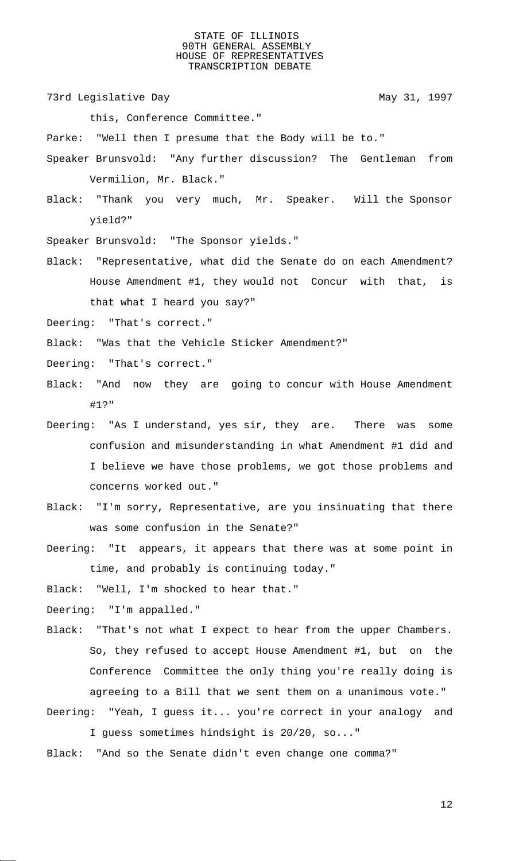73rd Legislative Day 1997

this, Conference Committee."

Parke: "Well then I presume that the Body will be to."

- Speaker Brunsvold: "Any further discussion? The Gentleman from Vermilion, Mr. Black."
- Black: "Thank you very much, Mr. Speaker. Will the Sponsor yield?"
- Speaker Brunsvold: "The Sponsor yields."
- Black: "Representative, what did the Senate do on each Amendment? House Amendment #1, they would not Concur with that, is that what I heard you say?"

Deering: "That's correct."

Black: "Was that the Vehicle Sticker Amendment?"

Deering: "That's correct."

Black: "And now they are going to concur with House Amendment #1?"

- Deering: "As I understand, yes sir, they are. There was some confusion and misunderstanding in what Amendment #1 did and I believe we have those problems, we got those problems and concerns worked out."
- Black: "I'm sorry, Representative, are you insinuating that there was some confusion in the Senate?"
- Deering: "It appears, it appears that there was at some point in time, and probably is continuing today."

Black: "Well, I'm shocked to hear that."

Deering: "I'm appalled."

- Black: "That's not what I expect to hear from the upper Chambers. So, they refused to accept House Amendment #1, but on the Conference Committee the only thing you're really doing is agreeing to a Bill that we sent them on a unanimous vote."
- Deering: "Yeah, I guess it... you're correct in your analogy and I guess sometimes hindsight is 20/20, so..."
- Black: "And so the Senate didn't even change one comma?"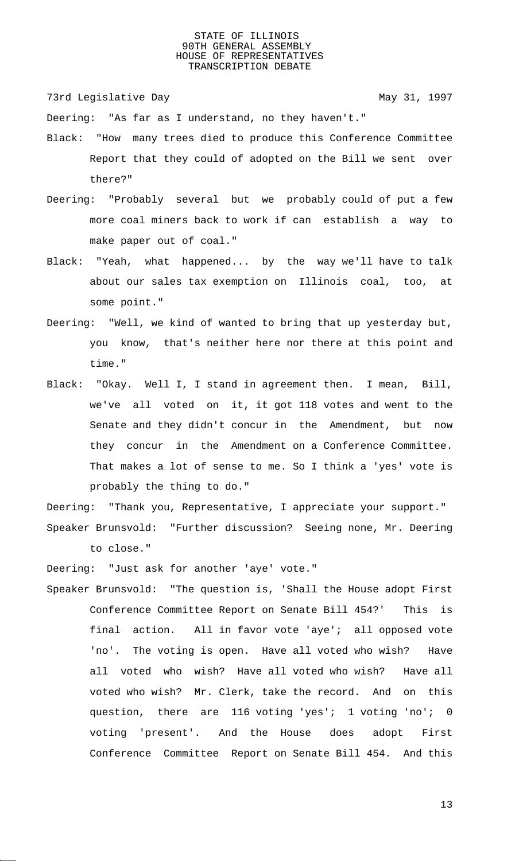73rd Legislative Day 1997

Deering: "As far as I understand, no they haven't."

- Black: "How many trees died to produce this Conference Committee Report that they could of adopted on the Bill we sent over there?"
- Deering: "Probably several but we probably could of put a few more coal miners back to work if can establish a way to make paper out of coal."
- Black: "Yeah, what happened... by the way we'll have to talk about our sales tax exemption on Illinois coal, too, at some point."
- Deering: "Well, we kind of wanted to bring that up yesterday but, you know, that's neither here nor there at this point and time."
- Black: "Okay. Well I, I stand in agreement then. I mean, Bill, we've all voted on it, it got 118 votes and went to the Senate and they didn't concur in the Amendment, but now they concur in the Amendment on a Conference Committee. That makes a lot of sense to me. So I think a 'yes' vote is probably the thing to do."

Deering: "Thank you, Representative, I appreciate your support." Speaker Brunsvold: "Further discussion? Seeing none, Mr. Deering to close."

Deering: "Just ask for another 'aye' vote."

Speaker Brunsvold: "The question is, 'Shall the House adopt First Conference Committee Report on Senate Bill 454?' This is final action. All in favor vote 'aye'; all opposed vote 'no'. The voting is open. Have all voted who wish? Have all voted who wish? Have all voted who wish? Have all voted who wish? Mr. Clerk, take the record. And on this question, there are 116 voting 'yes'; 1 voting 'no'; 0 voting 'present'. And the House does adopt First Conference Committee Report on Senate Bill 454. And this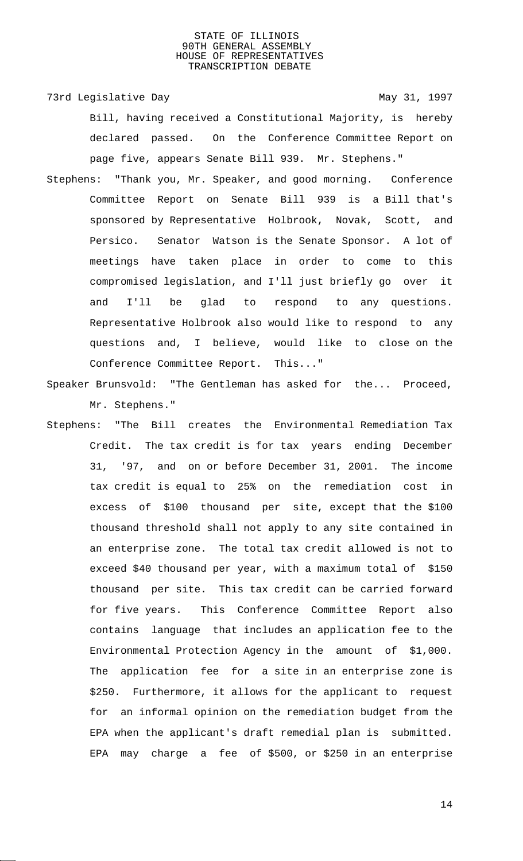73rd Legislative Day 1997 Bill, having received a Constitutional Majority, is hereby declared passed. On the Conference Committee Report on page five, appears Senate Bill 939. Mr. Stephens."

- Stephens: "Thank you, Mr. Speaker, and good morning. Conference Committee Report on Senate Bill 939 is a Bill that's sponsored by Representative Holbrook, Novak, Scott, and Persico. Senator Watson is the Senate Sponsor. A lot of meetings have taken place in order to come to this compromised legislation, and I'll just briefly go over it and I'll be glad to respond to any questions. Representative Holbrook also would like to respond to any questions and, I believe, would like to close on the Conference Committee Report. This..."
- Speaker Brunsvold: "The Gentleman has asked for the... Proceed, Mr. Stephens."
- Stephens: "The Bill creates the Environmental Remediation Tax Credit. The tax credit is for tax years ending December 31, '97, and on or before December 31, 2001. The income tax credit is equal to 25% on the remediation cost in excess of \$100 thousand per site, except that the \$100 thousand threshold shall not apply to any site contained in an enterprise zone. The total tax credit allowed is not to exceed \$40 thousand per year, with a maximum total of \$150 thousand per site. This tax credit can be carried forward for five years. This Conference Committee Report also contains language that includes an application fee to the Environmental Protection Agency in the amount of \$1,000. The application fee for a site in an enterprise zone is \$250. Furthermore, it allows for the applicant to request for an informal opinion on the remediation budget from the EPA when the applicant's draft remedial plan is submitted. EPA may charge a fee of \$500, or \$250 in an enterprise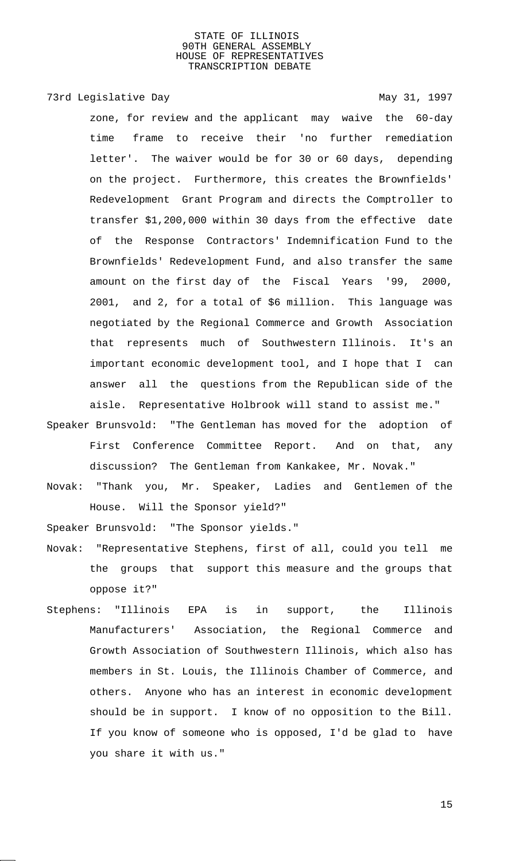# 73rd Legislative Day 1997

zone, for review and the applicant may waive the 60-day time frame to receive their 'no further remediation letter'. The waiver would be for 30 or 60 days, depending on the project. Furthermore, this creates the Brownfields' Redevelopment Grant Program and directs the Comptroller to transfer \$1,200,000 within 30 days from the effective date of the Response Contractors' Indemnification Fund to the Brownfields' Redevelopment Fund, and also transfer the same amount on the first day of the Fiscal Years '99, 2000, 2001, and 2, for a total of \$6 million. This language was negotiated by the Regional Commerce and Growth Association that represents much of Southwestern Illinois. It's an important economic development tool, and I hope that I can answer all the questions from the Republican side of the aisle. Representative Holbrook will stand to assist me."

- Speaker Brunsvold: "The Gentleman has moved for the adoption of First Conference Committee Report. And on that, any discussion? The Gentleman from Kankakee, Mr. Novak."
- Novak: "Thank you, Mr. Speaker, Ladies and Gentlemen of the House. Will the Sponsor yield?"

Speaker Brunsvold: "The Sponsor yields."

- Novak: "Representative Stephens, first of all, could you tell me the groups that support this measure and the groups that oppose it?"
- Stephens: "Illinois EPA is in support, the Illinois Manufacturers' Association, the Regional Commerce and Growth Association of Southwestern Illinois, which also has members in St. Louis, the Illinois Chamber of Commerce, and others. Anyone who has an interest in economic development should be in support. I know of no opposition to the Bill. If you know of someone who is opposed, I'd be glad to have you share it with us."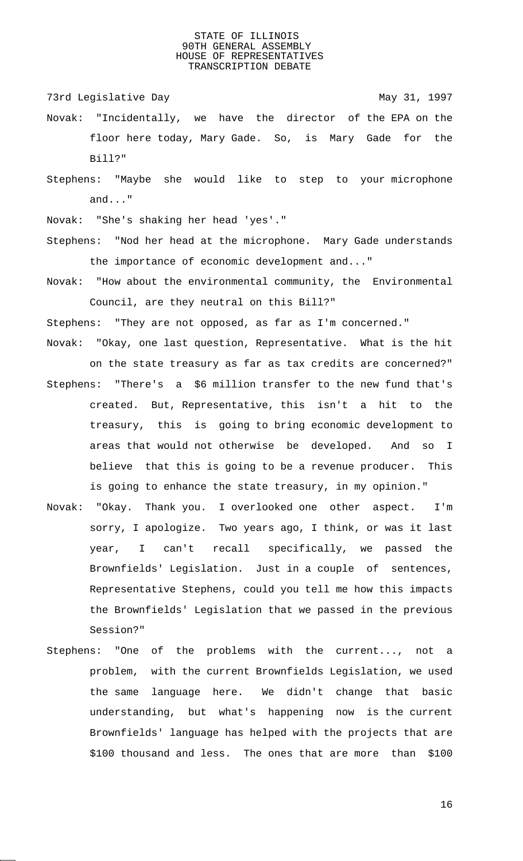73rd Legislative Day 1997

- Novak: "Incidentally, we have the director of the EPA on the floor here today, Mary Gade. So, is Mary Gade for the Bill?"
- Stephens: "Maybe she would like to step to your microphone and..."

Novak: "She's shaking her head 'yes'."

- Stephens: "Nod her head at the microphone. Mary Gade understands the importance of economic development and..."
- Novak: "How about the environmental community, the Environmental Council, are they neutral on this Bill?"

Stephens: "They are not opposed, as far as I'm concerned."

Novak: "Okay, one last question, Representative. What is the hit

on the state treasury as far as tax credits are concerned?"

- Stephens: "There's a \$6 million transfer to the new fund that's created. But, Representative, this isn't a hit to the treasury, this is going to bring economic development to areas that would not otherwise be developed. And so I believe that this is going to be a revenue producer. This is going to enhance the state treasury, in my opinion."
- Novak: "Okay. Thank you. I overlooked one other aspect. I'm sorry, I apologize. Two years ago, I think, or was it last year, I can't recall specifically, we passed the Brownfields' Legislation. Just in a couple of sentences, Representative Stephens, could you tell me how this impacts the Brownfields' Legislation that we passed in the previous Session?"
- Stephens: "One of the problems with the current..., not a problem, with the current Brownfields Legislation, we used the same language here. We didn't change that basic understanding, but what's happening now is the current Brownfields' language has helped with the projects that are \$100 thousand and less. The ones that are more than \$100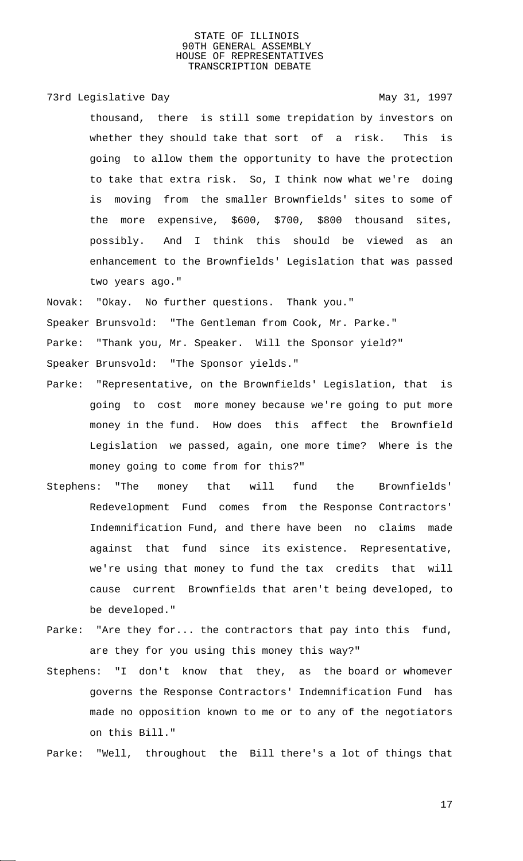73rd Legislative Day 1997

thousand, there is still some trepidation by investors on whether they should take that sort of a risk. This is going to allow them the opportunity to have the protection to take that extra risk. So, I think now what we're doing is moving from the smaller Brownfields' sites to some of the more expensive, \$600, \$700, \$800 thousand sites, possibly. And I think this should be viewed as an enhancement to the Brownfields' Legislation that was passed two years ago."

Novak: "Okay. No further questions. Thank you."

Speaker Brunsvold: "The Gentleman from Cook, Mr. Parke."

Parke: "Thank you, Mr. Speaker. Will the Sponsor yield?"

Speaker Brunsvold: "The Sponsor yields."

- Parke: "Representative, on the Brownfields' Legislation, that is going to cost more money because we're going to put more money in the fund. How does this affect the Brownfield Legislation we passed, again, one more time? Where is the money going to come from for this?"
- Stephens: "The money that will fund the Brownfields' Redevelopment Fund comes from the Response Contractors' Indemnification Fund, and there have been no claims made against that fund since its existence. Representative, we're using that money to fund the tax credits that will cause current Brownfields that aren't being developed, to be developed."
- Parke: "Are they for... the contractors that pay into this fund, are they for you using this money this way?"
- Stephens: "I don't know that they, as the board or whomever governs the Response Contractors' Indemnification Fund has made no opposition known to me or to any of the negotiators on this Bill."

Parke: "Well, throughout the Bill there's a lot of things that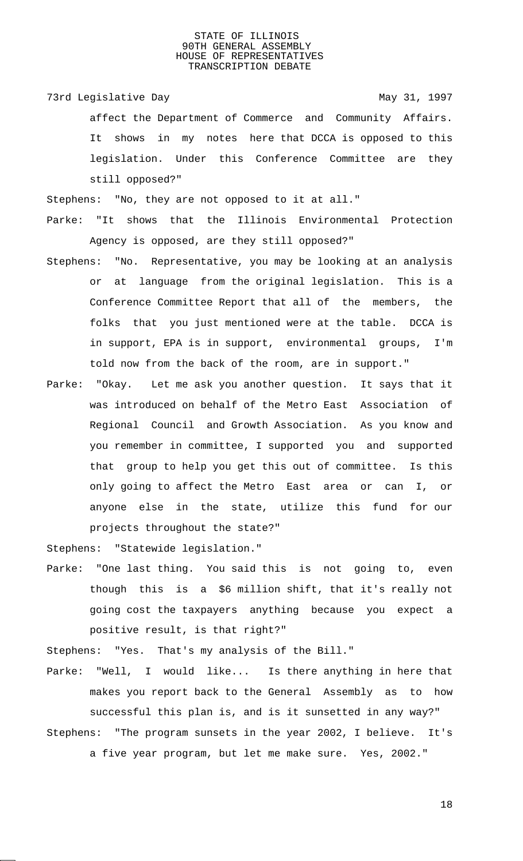73rd Legislative Day 1997 affect the Department of Commerce and Community Affairs. It shows in my notes here that DCCA is opposed to this legislation. Under this Conference Committee are they still opposed?"

Stephens: "No, they are not opposed to it at all."

Parke: "It shows that the Illinois Environmental Protection Agency is opposed, are they still opposed?"

- Stephens: "No. Representative, you may be looking at an analysis or at language from the original legislation. This is a Conference Committee Report that all of the members, the folks that you just mentioned were at the table. DCCA is in support, EPA is in support, environmental groups, I'm told now from the back of the room, are in support."
- Parke: "Okay. Let me ask you another question. It says that it was introduced on behalf of the Metro East Association of Regional Council and Growth Association. As you know and you remember in committee, I supported you and supported that group to help you get this out of committee. Is this only going to affect the Metro East area or can I, or anyone else in the state, utilize this fund for our projects throughout the state?"

Stephens: "Statewide legislation."

Parke: "One last thing. You said this is not going to, even though this is a \$6 million shift, that it's really not going cost the taxpayers anything because you expect a positive result, is that right?"

Stephens: "Yes. That's my analysis of the Bill."

Parke: "Well, I would like... Is there anything in here that makes you report back to the General Assembly as to how successful this plan is, and is it sunsetted in any way?" Stephens: "The program sunsets in the year 2002, I believe. It's

a five year program, but let me make sure. Yes, 2002."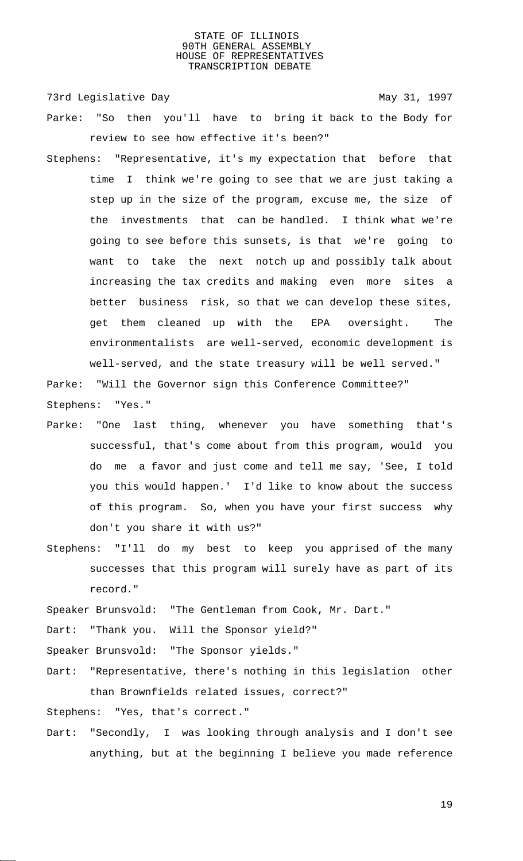73rd Legislative Day 1997

- Parke: "So then you'll have to bring it back to the Body for review to see how effective it's been?"
- Stephens: "Representative, it's my expectation that before that time I think we're going to see that we are just taking a step up in the size of the program, excuse me, the size of the investments that can be handled. I think what we're going to see before this sunsets, is that we're going to want to take the next notch up and possibly talk about increasing the tax credits and making even more sites a better business risk, so that we can develop these sites, get them cleaned up with the EPA oversight. The environmentalists are well-served, economic development is well-served, and the state treasury will be well served."

Parke: "Will the Governor sign this Conference Committee?" Stephens: "Yes."

- Parke: "One last thing, whenever you have something that's successful, that's come about from this program, would you do me a favor and just come and tell me say, 'See, I told you this would happen.' I'd like to know about the success of this program. So, when you have your first success why don't you share it with us?"
- Stephens: "I'll do my best to keep you apprised of the many successes that this program will surely have as part of its record."

Speaker Brunsvold: "The Gentleman from Cook, Mr. Dart."

Dart: "Thank you. Will the Sponsor yield?"

Speaker Brunsvold: "The Sponsor yields."

Dart: "Representative, there's nothing in this legislation other than Brownfields related issues, correct?"

Stephens: "Yes, that's correct."

Dart: "Secondly, I was looking through analysis and I don't see anything, but at the beginning I believe you made reference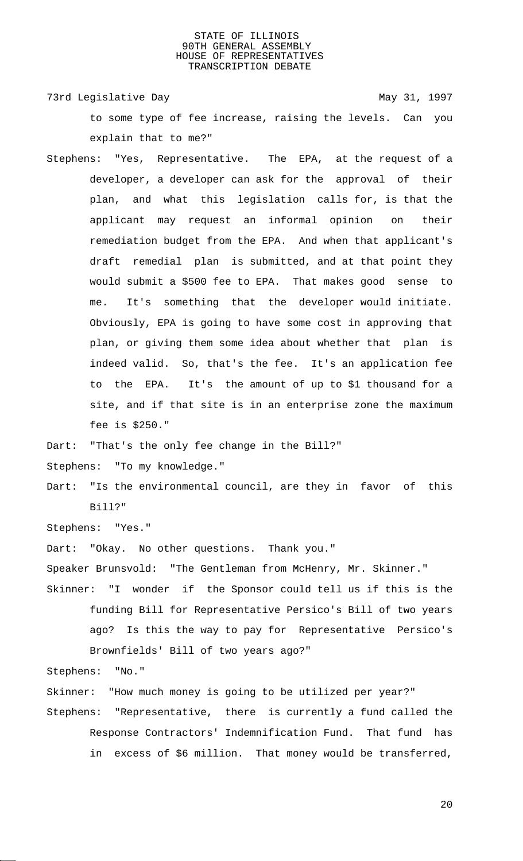73rd Legislative Day 1997 to some type of fee increase, raising the levels. Can you explain that to me?"

Stephens: "Yes, Representative. The EPA, at the request of a developer, a developer can ask for the approval of their plan, and what this legislation calls for, is that the applicant may request an informal opinion on their remediation budget from the EPA. And when that applicant's draft remedial plan is submitted, and at that point they would submit a \$500 fee to EPA. That makes good sense to me. It's something that the developer would initiate. Obviously, EPA is going to have some cost in approving that plan, or giving them some idea about whether that plan is indeed valid. So, that's the fee. It's an application fee to the EPA. It's the amount of up to \$1 thousand for a site, and if that site is in an enterprise zone the maximum fee is \$250."

Dart: "That's the only fee change in the Bill?"

Stephens: "To my knowledge."

Dart: "Is the environmental council, are they in favor of this Bill?"

Stephens: "Yes."

Dart: "Okay. No other questions. Thank you."

Speaker Brunsvold: "The Gentleman from McHenry, Mr. Skinner."

Skinner: "I wonder if the Sponsor could tell us if this is the funding Bill for Representative Persico's Bill of two years ago? Is this the way to pay for Representative Persico's Brownfields' Bill of two years ago?"

Stephens: "No."

Skinner: "How much money is going to be utilized per year?"

Stephens: "Representative, there is currently a fund called the Response Contractors' Indemnification Fund. That fund has in excess of \$6 million. That money would be transferred,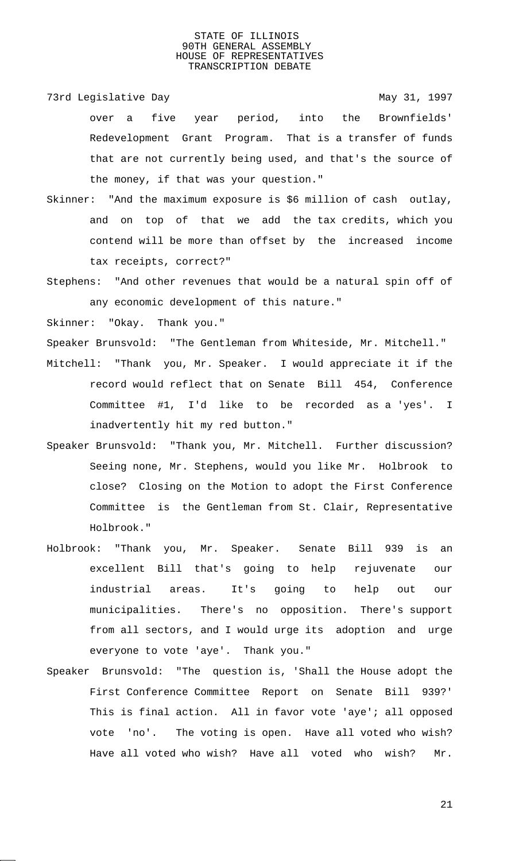73rd Legislative Day 1997

over a five year period, into the Brownfields' Redevelopment Grant Program. That is a transfer of funds that are not currently being used, and that's the source of the money, if that was your question."

- Skinner: "And the maximum exposure is \$6 million of cash outlay, and on top of that we add the tax credits, which you contend will be more than offset by the increased income tax receipts, correct?"
- Stephens: "And other revenues that would be a natural spin off of any economic development of this nature."

Skinner: "Okay. Thank you."

Speaker Brunsvold: "The Gentleman from Whiteside, Mr. Mitchell."

- Mitchell: "Thank you, Mr. Speaker. I would appreciate it if the record would reflect that on Senate Bill 454, Conference Committee #1, I'd like to be recorded as a 'yes'. I inadvertently hit my red button."
- Speaker Brunsvold: "Thank you, Mr. Mitchell. Further discussion? Seeing none, Mr. Stephens, would you like Mr. Holbrook to close? Closing on the Motion to adopt the First Conference Committee is the Gentleman from St. Clair, Representative Holbrook."
- Holbrook: "Thank you, Mr. Speaker. Senate Bill 939 is an excellent Bill that's going to help rejuvenate our industrial areas. It's going to help out our municipalities. There's no opposition. There's support from all sectors, and I would urge its adoption and urge everyone to vote 'aye'. Thank you."
- Speaker Brunsvold: "The question is, 'Shall the House adopt the First Conference Committee Report on Senate Bill 939?' This is final action. All in favor vote 'aye'; all opposed vote 'no'. The voting is open. Have all voted who wish? Have all voted who wish? Have all voted who wish? Mr.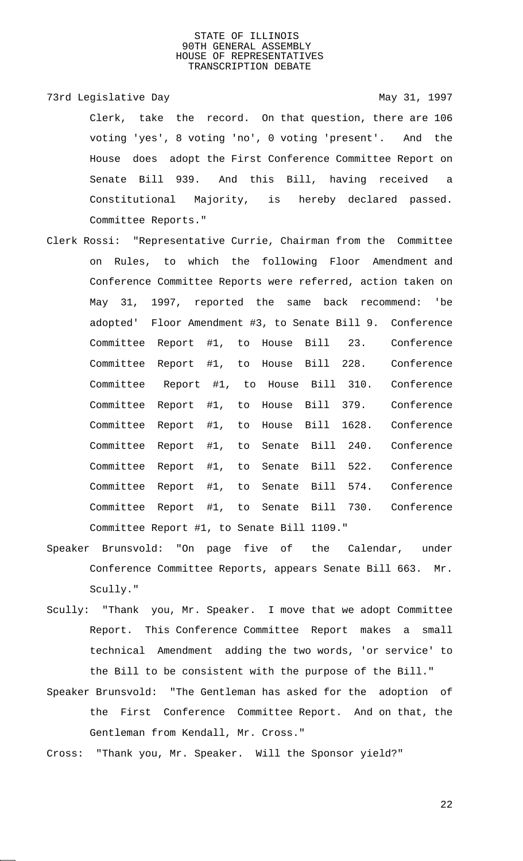- 73rd Legislative Day 1997 Clerk, take the record. On that question, there are 106 voting 'yes', 8 voting 'no', 0 voting 'present'. And the House does adopt the First Conference Committee Report on Senate Bill 939. And this Bill, having received a Constitutional Majority, is hereby declared passed. Committee Reports."
- Clerk Rossi: "Representative Currie, Chairman from the Committee on Rules, to which the following Floor Amendment and Conference Committee Reports were referred, action taken on May 31, 1997, reported the same back recommend: 'be adopted' Floor Amendment #3, to Senate Bill 9. Conference Committee Report #1, to House Bill 23. Conference Committee Report #1, to House Bill 228. Conference Committee Report #1, to House Bill 310. Conference Committee Report #1, to House Bill 379. Conference Committee Report #1, to House Bill 1628. Conference Committee Report #1, to Senate Bill 240. Conference Committee Report #1, to Senate Bill 522. Conference Committee Report #1, to Senate Bill 574. Conference Committee Report #1, to Senate Bill 730. Conference Committee Report #1, to Senate Bill 1109."
- Speaker Brunsvold: "On page five of the Calendar, under Conference Committee Reports, appears Senate Bill 663. Mr. Scully."
- Scully: "Thank you, Mr. Speaker. I move that we adopt Committee Report. This Conference Committee Report makes a small technical Amendment adding the two words, 'or service' to the Bill to be consistent with the purpose of the Bill."
- Speaker Brunsvold: "The Gentleman has asked for the adoption of the First Conference Committee Report. And on that, the Gentleman from Kendall, Mr. Cross."
- Cross: "Thank you, Mr. Speaker. Will the Sponsor yield?"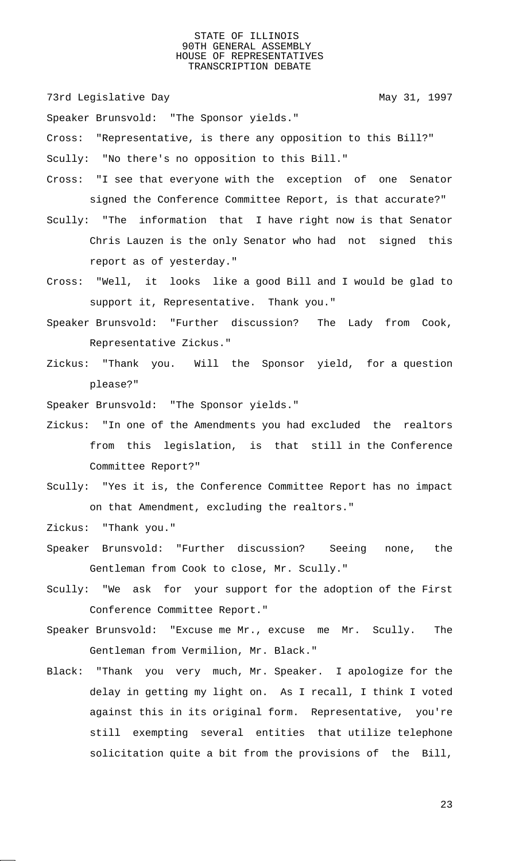73rd Legislative Day 1997

Speaker Brunsvold: "The Sponsor yields."

Cross: "Representative, is there any opposition to this Bill?"

Scully: "No there's no opposition to this Bill."

- Cross: "I see that everyone with the exception of one Senator signed the Conference Committee Report, is that accurate?"
- Scully: "The information that I have right now is that Senator Chris Lauzen is the only Senator who had not signed this report as of yesterday."
- Cross: "Well, it looks like a good Bill and I would be glad to support it, Representative. Thank you."
- Speaker Brunsvold: "Further discussion? The Lady from Cook, Representative Zickus."
- Zickus: "Thank you. Will the Sponsor yield, for a question please?"

Speaker Brunsvold: "The Sponsor yields."

- Zickus: "In one of the Amendments you had excluded the realtors from this legislation, is that still in the Conference Committee Report?"
- Scully: "Yes it is, the Conference Committee Report has no impact on that Amendment, excluding the realtors."

Zickus: "Thank you."

- Speaker Brunsvold: "Further discussion? Seeing none, the Gentleman from Cook to close, Mr. Scully."
- Scully: "We ask for your support for the adoption of the First Conference Committee Report."
- Speaker Brunsvold: "Excuse me Mr., excuse me Mr. Scully. The Gentleman from Vermilion, Mr. Black."
- Black: "Thank you very much, Mr. Speaker. I apologize for the delay in getting my light on. As I recall, I think I voted against this in its original form. Representative, you're still exempting several entities that utilize telephone solicitation quite a bit from the provisions of the Bill,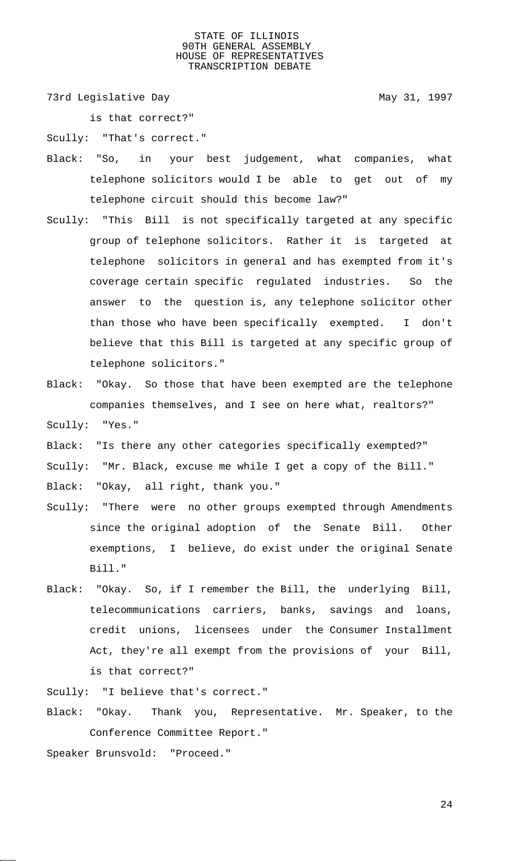73rd Legislative Day 1997

is that correct?"

Scully: "That's correct."

- Black: "So, in your best judgement, what companies, what telephone solicitors would I be able to get out of my telephone circuit should this become law?"
- Scully: "This Bill is not specifically targeted at any specific group of telephone solicitors. Rather it is targeted at telephone solicitors in general and has exempted from it's coverage certain specific regulated industries. So the answer to the question is, any telephone solicitor other than those who have been specifically exempted. I don't believe that this Bill is targeted at any specific group of telephone solicitors."
- Black: "Okay. So those that have been exempted are the telephone companies themselves, and I see on here what, realtors?" Scully: "Yes."
- Black: "Is there any other categories specifically exempted?"
- Scully: "Mr. Black, excuse me while I get a copy of the Bill."

Black: "Okay, all right, thank you."

- Scully: "There were no other groups exempted through Amendments since the original adoption of the Senate Bill. Other exemptions, I believe, do exist under the original Senate Bill."
- Black: "Okay. So, if I remember the Bill, the underlying Bill, telecommunications carriers, banks, savings and loans, credit unions, licensees under the Consumer Installment Act, they're all exempt from the provisions of your Bill, is that correct?"

Scully: "I believe that's correct."

- Black: "Okay. Thank you, Representative. Mr. Speaker, to the Conference Committee Report."
- Speaker Brunsvold: "Proceed."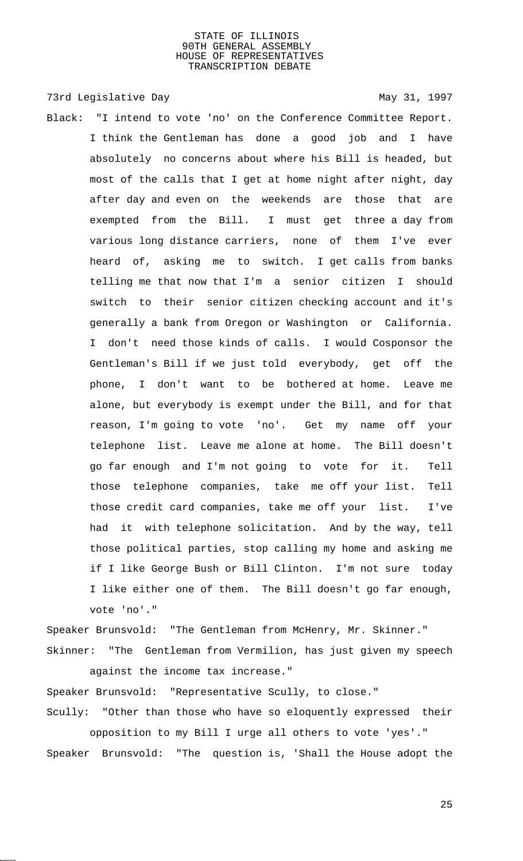73rd Legislative Day 1997

Black: "I intend to vote 'no' on the Conference Committee Report. I think the Gentleman has done a good job and I have absolutely no concerns about where his Bill is headed, but most of the calls that I get at home night after night, day after day and even on the weekends are those that are exempted from the Bill. I must get three a day from various long distance carriers, none of them I've ever heard of, asking me to switch. I get calls from banks telling me that now that I'm a senior citizen I should switch to their senior citizen checking account and it's generally a bank from Oregon or Washington or California. I don't need those kinds of calls. I would Cosponsor the Gentleman's Bill if we just told everybody, get off the phone, I don't want to be bothered at home. Leave me alone, but everybody is exempt under the Bill, and for that reason, I'm going to vote 'no'. Get my name off your telephone list. Leave me alone at home. The Bill doesn't go far enough and I'm not going to vote for it. Tell those telephone companies, take me off your list. Tell those credit card companies, take me off your list. I've had it with telephone solicitation. And by the way, tell those political parties, stop calling my home and asking me if I like George Bush or Bill Clinton. I'm not sure today I like either one of them. The Bill doesn't go far enough, vote 'no'."

Speaker Brunsvold: "The Gentleman from McHenry, Mr. Skinner." Skinner: "The Gentleman from Vermilion, has just given my speech

against the income tax increase."

Speaker Brunsvold: "Representative Scully, to close."

Scully: "Other than those who have so eloquently expressed their opposition to my Bill I urge all others to vote 'yes'."

Speaker Brunsvold: "The question is, 'Shall the House adopt the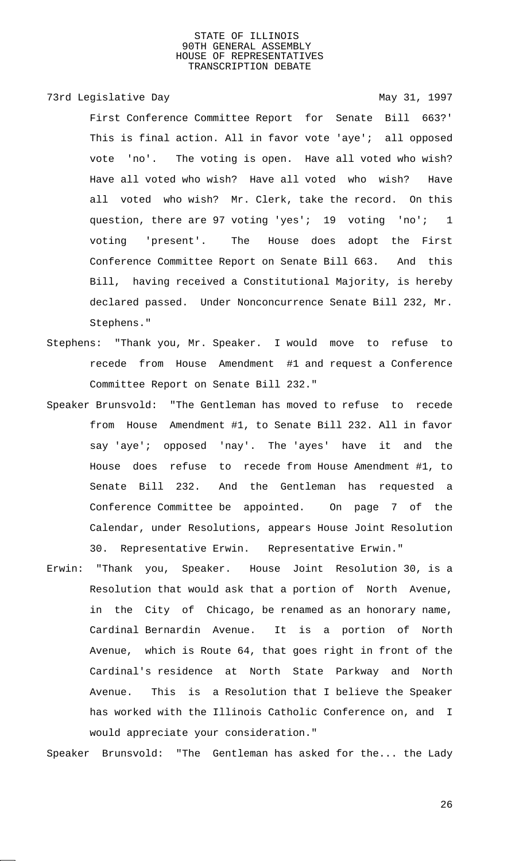# 73rd Legislative Day 1997

First Conference Committee Report for Senate Bill 663?' This is final action. All in favor vote 'aye'; all opposed vote 'no'. The voting is open. Have all voted who wish? Have all voted who wish? Have all voted who wish? Have all voted who wish? Mr. Clerk, take the record. On this question, there are 97 voting 'yes'; 19 voting 'no'; 1 voting 'present'. The House does adopt the First Conference Committee Report on Senate Bill 663. And this Bill, having received a Constitutional Majority, is hereby declared passed. Under Nonconcurrence Senate Bill 232, Mr. Stephens."

- Stephens: "Thank you, Mr. Speaker. I would move to refuse to recede from House Amendment #1 and request a Conference Committee Report on Senate Bill 232."
- Speaker Brunsvold: "The Gentleman has moved to refuse to recede from House Amendment #1, to Senate Bill 232. All in favor say 'aye'; opposed 'nay'. The 'ayes' have it and the House does refuse to recede from House Amendment #1, to Senate Bill 232. And the Gentleman has requested a Conference Committee be appointed. On page 7 of the Calendar, under Resolutions, appears House Joint Resolution 30. Representative Erwin. Representative Erwin."
- Erwin: "Thank you, Speaker. House Joint Resolution 30, is a Resolution that would ask that a portion of North Avenue, in the City of Chicago, be renamed as an honorary name, Cardinal Bernardin Avenue. It is a portion of North Avenue, which is Route 64, that goes right in front of the Cardinal's residence at North State Parkway and North Avenue. This is a Resolution that I believe the Speaker has worked with the Illinois Catholic Conference on, and I would appreciate your consideration."

Speaker Brunsvold: "The Gentleman has asked for the... the Lady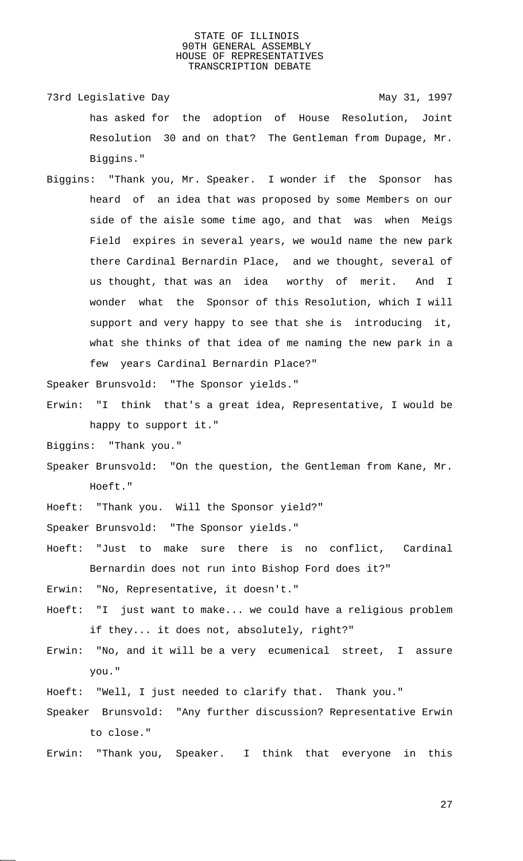- 73rd Legislative Day **May 31, 1997** has asked for the adoption of House Resolution, Joint Resolution 30 and on that? The Gentleman from Dupage, Mr. Biggins."
- Biggins: "Thank you, Mr. Speaker. I wonder if the Sponsor has heard of an idea that was proposed by some Members on our side of the aisle some time ago, and that was when Meigs Field expires in several years, we would name the new park there Cardinal Bernardin Place, and we thought, several of us thought, that was an idea worthy of merit. And I wonder what the Sponsor of this Resolution, which I will support and very happy to see that she is introducing it, what she thinks of that idea of me naming the new park in a few years Cardinal Bernardin Place?"

Speaker Brunsvold: "The Sponsor yields."

- Erwin: "I think that's a great idea, Representative, I would be happy to support it."
- Biggins: "Thank you."
- Speaker Brunsvold: "On the question, the Gentleman from Kane, Mr. Hoeft."
- Hoeft: "Thank you. Will the Sponsor yield?"
- Speaker Brunsvold: "The Sponsor yields."
- Hoeft: "Just to make sure there is no conflict, Cardinal Bernardin does not run into Bishop Ford does it?"
- Erwin: "No, Representative, it doesn't."
- Hoeft: "I just want to make... we could have a religious problem if they... it does not, absolutely, right?"
- Erwin: "No, and it will be a very ecumenical street, I assure you."
- Hoeft: "Well, I just needed to clarify that. Thank you."
- Speaker Brunsvold: "Any further discussion? Representative Erwin to close."
- Erwin: "Thank you, Speaker. I think that everyone in this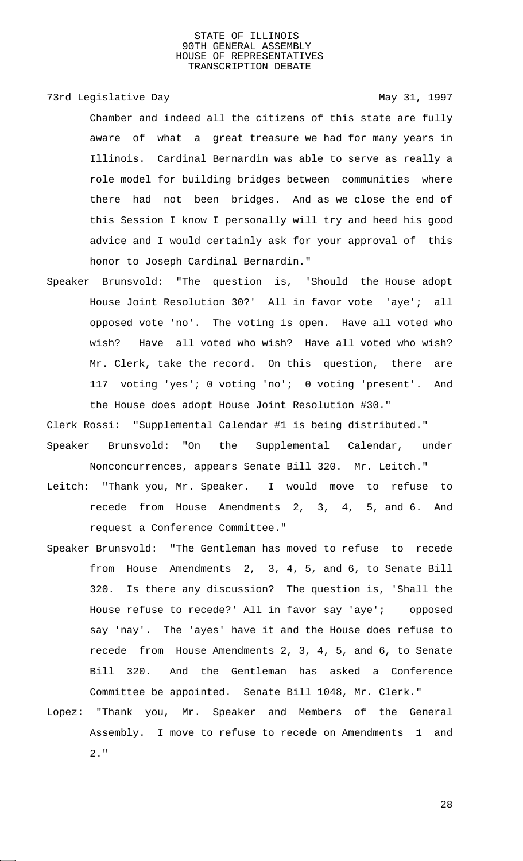# 73rd Legislative Day 1997

Chamber and indeed all the citizens of this state are fully aware of what a great treasure we had for many years in Illinois. Cardinal Bernardin was able to serve as really a role model for building bridges between communities where there had not been bridges. And as we close the end of this Session I know I personally will try and heed his good advice and I would certainly ask for your approval of this honor to Joseph Cardinal Bernardin."

Speaker Brunsvold: "The question is, 'Should the House adopt House Joint Resolution 30?' All in favor vote 'aye'; all opposed vote 'no'. The voting is open. Have all voted who wish? Have all voted who wish? Have all voted who wish? Mr. Clerk, take the record. On this question, there are 117 voting 'yes'; 0 voting 'no'; 0 voting 'present'. And the House does adopt House Joint Resolution #30."

Clerk Rossi: "Supplemental Calendar #1 is being distributed."

- Speaker Brunsvold: "On the Supplemental Calendar, under Nonconcurrences, appears Senate Bill 320. Mr. Leitch."
- Leitch: "Thank you, Mr. Speaker. I would move to refuse to recede from House Amendments 2, 3, 4, 5, and 6. And request a Conference Committee."
- Speaker Brunsvold: "The Gentleman has moved to refuse to recede from House Amendments 2, 3, 4, 5, and 6, to Senate Bill 320. Is there any discussion? The question is, 'Shall the House refuse to recede?' All in favor say 'aye'; opposed say 'nay'. The 'ayes' have it and the House does refuse to recede from House Amendments 2, 3, 4, 5, and 6, to Senate Bill 320. And the Gentleman has asked a Conference Committee be appointed. Senate Bill 1048, Mr. Clerk."
- Lopez: "Thank you, Mr. Speaker and Members of the General Assembly. I move to refuse to recede on Amendments 1 and 2."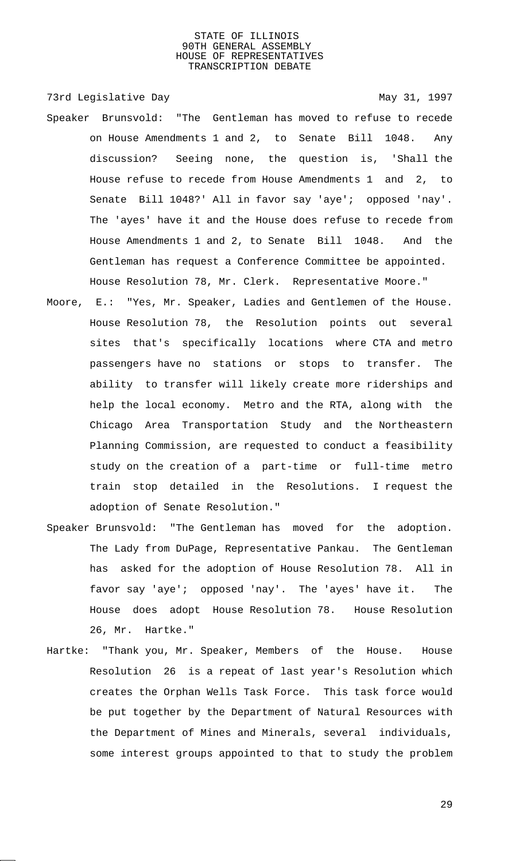73rd Legislative Day 1997

- Speaker Brunsvold: "The Gentleman has moved to refuse to recede on House Amendments 1 and 2, to Senate Bill 1048. Any discussion? Seeing none, the question is, 'Shall the House refuse to recede from House Amendments 1 and 2, to Senate Bill 1048?' All in favor say 'aye'; opposed 'nay'. The 'ayes' have it and the House does refuse to recede from House Amendments 1 and 2, to Senate Bill 1048. And the Gentleman has request a Conference Committee be appointed. House Resolution 78, Mr. Clerk. Representative Moore."
- Moore, E.: "Yes, Mr. Speaker, Ladies and Gentlemen of the House. House Resolution 78, the Resolution points out several sites that's specifically locations where CTA and metro passengers have no stations or stops to transfer. The ability to transfer will likely create more riderships and help the local economy. Metro and the RTA, along with the Chicago Area Transportation Study and the Northeastern Planning Commission, are requested to conduct a feasibility study on the creation of a part-time or full-time metro train stop detailed in the Resolutions. I request the adoption of Senate Resolution."
- Speaker Brunsvold: "The Gentleman has moved for the adoption. The Lady from DuPage, Representative Pankau. The Gentleman has asked for the adoption of House Resolution 78. All in favor say 'aye'; opposed 'nay'. The 'ayes' have it. The House does adopt House Resolution 78. House Resolution 26, Mr. Hartke."
- Hartke: "Thank you, Mr. Speaker, Members of the House. House Resolution 26 is a repeat of last year's Resolution which creates the Orphan Wells Task Force. This task force would be put together by the Department of Natural Resources with the Department of Mines and Minerals, several individuals, some interest groups appointed to that to study the problem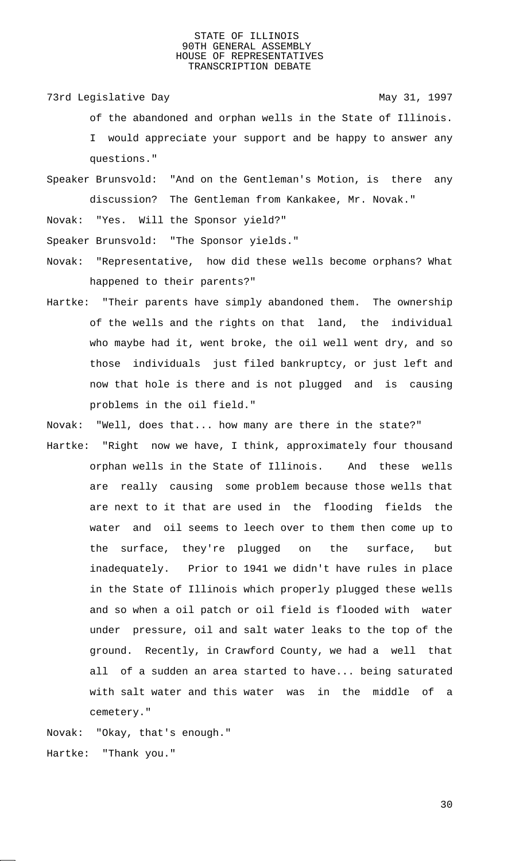73rd Legislative Day 1997

- of the abandoned and orphan wells in the State of Illinois. I would appreciate your support and be happy to answer any questions."
- Speaker Brunsvold: "And on the Gentleman's Motion, is there any discussion? The Gentleman from Kankakee, Mr. Novak."

Novak: "Yes. Will the Sponsor yield?"

Speaker Brunsvold: "The Sponsor yields."

- Novak: "Representative, how did these wells become orphans? What happened to their parents?"
- Hartke: "Their parents have simply abandoned them. The ownership of the wells and the rights on that land, the individual who maybe had it, went broke, the oil well went dry, and so those individuals just filed bankruptcy, or just left and now that hole is there and is not plugged and is causing problems in the oil field."

Novak: "Well, does that... how many are there in the state?"

Hartke: "Right now we have, I think, approximately four thousand orphan wells in the State of Illinois. And these wells are really causing some problem because those wells that are next to it that are used in the flooding fields the water and oil seems to leech over to them then come up to the surface, they're plugged on the surface, but inadequately. Prior to 1941 we didn't have rules in place in the State of Illinois which properly plugged these wells and so when a oil patch or oil field is flooded with water under pressure, oil and salt water leaks to the top of the ground. Recently, in Crawford County, we had a well that all of a sudden an area started to have... being saturated with salt water and this water was in the middle of a cemetery."

Novak: "Okay, that's enough." Hartke: "Thank you."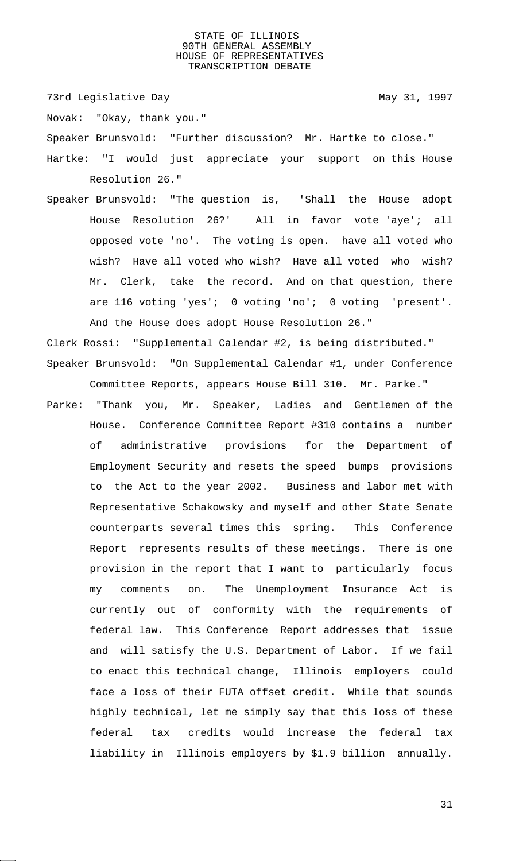73rd Legislative Day 1997

Novak: "Okay, thank you."

Speaker Brunsvold: "Further discussion? Mr. Hartke to close."

- Hartke: "I would just appreciate your support on this House Resolution 26."
- Speaker Brunsvold: "The question is, 'Shall the House adopt House Resolution 26?' All in favor vote 'aye'; all opposed vote 'no'. The voting is open. have all voted who wish? Have all voted who wish? Have all voted who wish? Mr. Clerk, take the record. And on that question, there are 116 voting 'yes'; 0 voting 'no'; 0 voting 'present'. And the House does adopt House Resolution 26."

Clerk Rossi: "Supplemental Calendar #2, is being distributed." Speaker Brunsvold: "On Supplemental Calendar #1, under Conference Committee Reports, appears House Bill 310. Mr. Parke."

Parke: "Thank you, Mr. Speaker, Ladies and Gentlemen of the House. Conference Committee Report #310 contains a number of administrative provisions for the Department of Employment Security and resets the speed bumps provisions to the Act to the year 2002. Business and labor met with Representative Schakowsky and myself and other State Senate counterparts several times this spring. This Conference Report represents results of these meetings. There is one provision in the report that I want to particularly focus my comments on. The Unemployment Insurance Act is currently out of conformity with the requirements of federal law. This Conference Report addresses that issue and will satisfy the U.S. Department of Labor. If we fail to enact this technical change, Illinois employers could face a loss of their FUTA offset credit. While that sounds highly technical, let me simply say that this loss of these federal tax credits would increase the federal tax liability in Illinois employers by \$1.9 billion annually.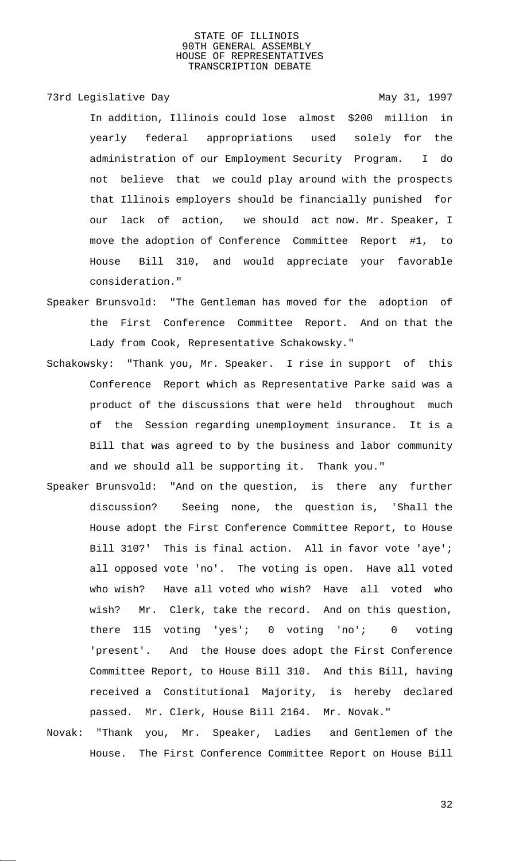73rd Legislative Day 1997

In addition, Illinois could lose almost \$200 million in yearly federal appropriations used solely for the administration of our Employment Security Program. I do not believe that we could play around with the prospects that Illinois employers should be financially punished for our lack of action, we should act now. Mr. Speaker, I move the adoption of Conference Committee Report #1, to House Bill 310, and would appreciate your favorable consideration."

- Speaker Brunsvold: "The Gentleman has moved for the adoption of the First Conference Committee Report. And on that the Lady from Cook, Representative Schakowsky."
- Schakowsky: "Thank you, Mr. Speaker. I rise in support of this Conference Report which as Representative Parke said was a product of the discussions that were held throughout much of the Session regarding unemployment insurance. It is a Bill that was agreed to by the business and labor community and we should all be supporting it. Thank you."
- Speaker Brunsvold: "And on the question, is there any further discussion? Seeing none, the question is, 'Shall the House adopt the First Conference Committee Report, to House Bill 310?' This is final action. All in favor vote 'aye'; all opposed vote 'no'. The voting is open. Have all voted who wish? Have all voted who wish? Have all voted who wish? Mr. Clerk, take the record. And on this question, there 115 voting 'yes'; 0 voting 'no'; 0 voting 'present'. And the House does adopt the First Conference Committee Report, to House Bill 310. And this Bill, having received a Constitutional Majority, is hereby declared passed. Mr. Clerk, House Bill 2164. Mr. Novak."
- Novak: "Thank you, Mr. Speaker, Ladies and Gentlemen of the House. The First Conference Committee Report on House Bill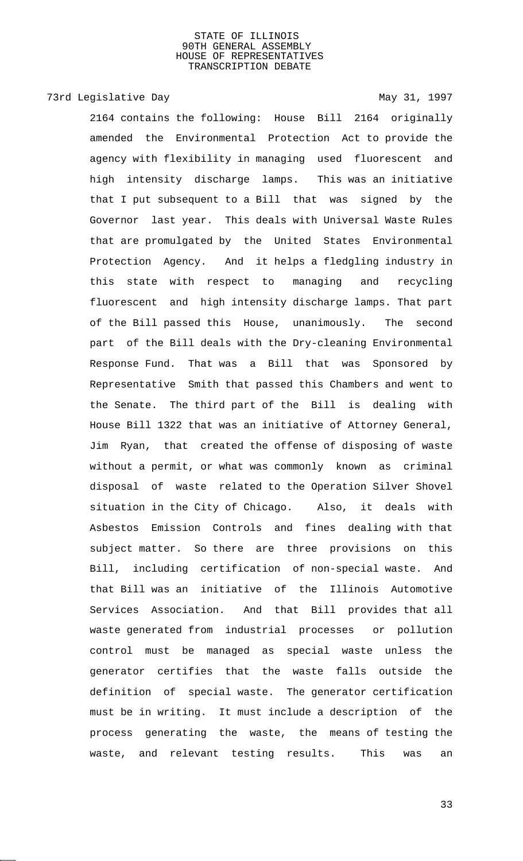# 73rd Legislative Day 1997

2164 contains the following: House Bill 2164 originally amended the Environmental Protection Act to provide the agency with flexibility in managing used fluorescent and high intensity discharge lamps. This was an initiative that I put subsequent to a Bill that was signed by the Governor last year. This deals with Universal Waste Rules that are promulgated by the United States Environmental Protection Agency. And it helps a fledgling industry in this state with respect to managing and recycling fluorescent and high intensity discharge lamps. That part of the Bill passed this House, unanimously. The second part of the Bill deals with the Dry-cleaning Environmental Response Fund. That was a Bill that was Sponsored by Representative Smith that passed this Chambers and went to the Senate. The third part of the Bill is dealing with House Bill 1322 that was an initiative of Attorney General, Jim Ryan, that created the offense of disposing of waste without a permit, or what was commonly known as criminal disposal of waste related to the Operation Silver Shovel situation in the City of Chicago. Also, it deals with Asbestos Emission Controls and fines dealing with that subject matter. So there are three provisions on this Bill, including certification of non-special waste. And that Bill was an initiative of the Illinois Automotive Services Association. And that Bill provides that all waste generated from industrial processes or pollution control must be managed as special waste unless the generator certifies that the waste falls outside the definition of special waste. The generator certification must be in writing. It must include a description of the process generating the waste, the means of testing the waste, and relevant testing results. This was an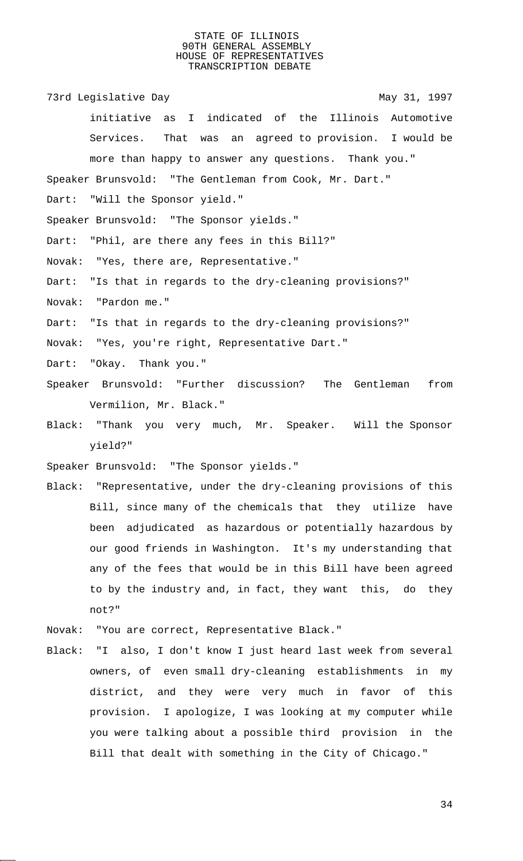73rd Legislative Day 1997 initiative as I indicated of the Illinois Automotive Services. That was an agreed to provision. I would be more than happy to answer any questions. Thank you." Speaker Brunsvold: "The Gentleman from Cook, Mr. Dart." Dart: "Will the Sponsor yield." Speaker Brunsvold: "The Sponsor yields." Dart: "Phil, are there any fees in this Bill?" Novak: "Yes, there are, Representative." Dart: "Is that in regards to the dry-cleaning provisions?" Novak: "Pardon me." Dart: "Is that in regards to the dry-cleaning provisions?" Novak: "Yes, you're right, Representative Dart." Dart: "Okay. Thank you." Speaker Brunsvold: "Further discussion? The Gentleman from Vermilion, Mr. Black." Black: "Thank you very much, Mr. Speaker. Will the Sponsor yield?" Speaker Brunsvold: "The Sponsor yields." Black: "Representative, under the dry-cleaning provisions of this Bill, since many of the chemicals that they utilize have been adjudicated as hazardous or potentially hazardous by our good friends in Washington. It's my understanding that any of the fees that would be in this Bill have been agreed to by the industry and, in fact, they want this, do they not?"

Novak: "You are correct, Representative Black."

Black: "I also, I don't know I just heard last week from several owners, of even small dry-cleaning establishments in my district, and they were very much in favor of this provision. I apologize, I was looking at my computer while you were talking about a possible third provision in the Bill that dealt with something in the City of Chicago."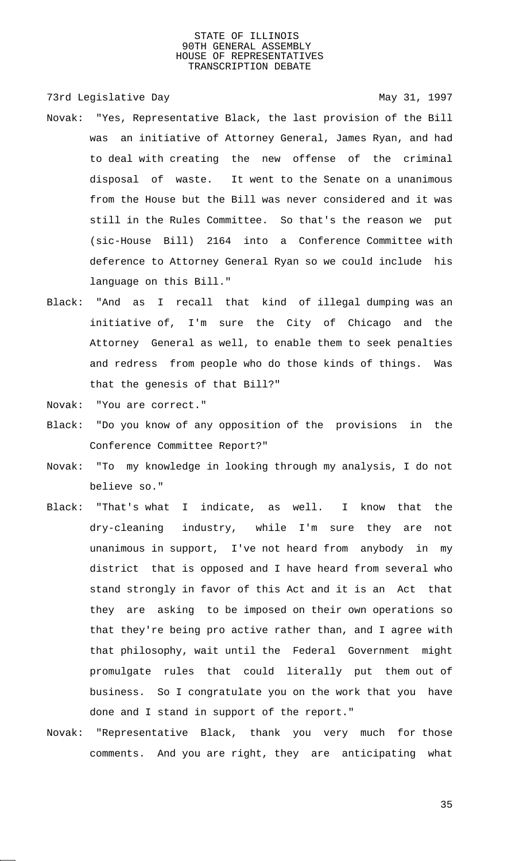73rd Legislative Day 1997

- Novak: "Yes, Representative Black, the last provision of the Bill was an initiative of Attorney General, James Ryan, and had to deal with creating the new offense of the criminal disposal of waste. It went to the Senate on a unanimous from the House but the Bill was never considered and it was still in the Rules Committee. So that's the reason we put (sic-House Bill) 2164 into a Conference Committee with deference to Attorney General Ryan so we could include his language on this Bill."
- Black: "And as I recall that kind of illegal dumping was an initiative of, I'm sure the City of Chicago and the Attorney General as well, to enable them to seek penalties and redress from people who do those kinds of things. Was that the genesis of that Bill?"

Novak: "You are correct."

- Black: "Do you know of any opposition of the provisions in the Conference Committee Report?"
- Novak: "To my knowledge in looking through my analysis, I do not believe so."
- Black: "That's what I indicate, as well. I know that the dry-cleaning industry, while I'm sure they are not unanimous in support, I've not heard from anybody in my district that is opposed and I have heard from several who stand strongly in favor of this Act and it is an Act that they are asking to be imposed on their own operations so that they're being pro active rather than, and I agree with that philosophy, wait until the Federal Government might promulgate rules that could literally put them out of business. So I congratulate you on the work that you have done and I stand in support of the report."
- Novak: "Representative Black, thank you very much for those comments. And you are right, they are anticipating what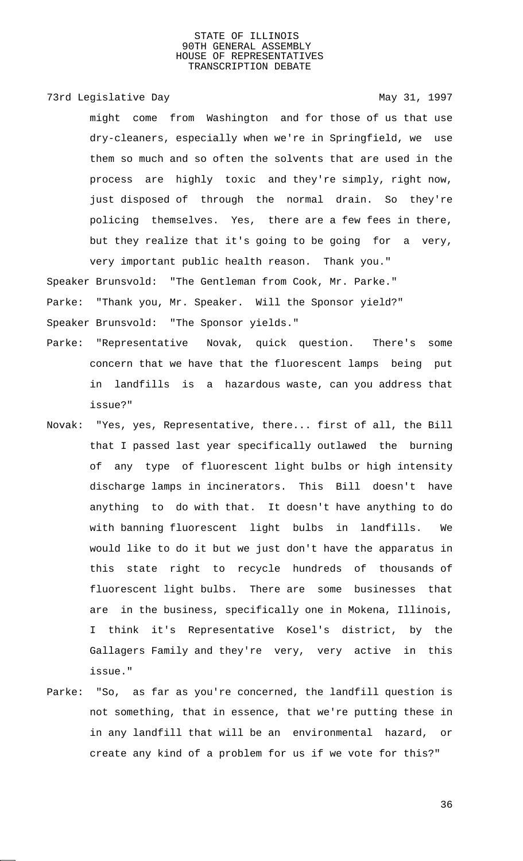73rd Legislative Day 1997

might come from Washington and for those of us that use dry-cleaners, especially when we're in Springfield, we use them so much and so often the solvents that are used in the process are highly toxic and they're simply, right now, just disposed of through the normal drain. So they're policing themselves. Yes, there are a few fees in there, but they realize that it's going to be going for a very, very important public health reason. Thank you."

Speaker Brunsvold: "The Gentleman from Cook, Mr. Parke."

Parke: "Thank you, Mr. Speaker. Will the Sponsor yield?"

Speaker Brunsvold: "The Sponsor yields."

- Parke: "Representative Novak, quick question. There's some concern that we have that the fluorescent lamps being put in landfills is a hazardous waste, can you address that issue?"
- Novak: "Yes, yes, Representative, there... first of all, the Bill that I passed last year specifically outlawed the burning of any type of fluorescent light bulbs or high intensity discharge lamps in incinerators. This Bill doesn't have anything to do with that. It doesn't have anything to do with banning fluorescent light bulbs in landfills. We would like to do it but we just don't have the apparatus in this state right to recycle hundreds of thousands of fluorescent light bulbs. There are some businesses that are in the business, specifically one in Mokena, Illinois, I think it's Representative Kosel's district, by the Gallagers Family and they're very, very active in this issue."
- Parke: "So, as far as you're concerned, the landfill question is not something, that in essence, that we're putting these in in any landfill that will be an environmental hazard, or create any kind of a problem for us if we vote for this?"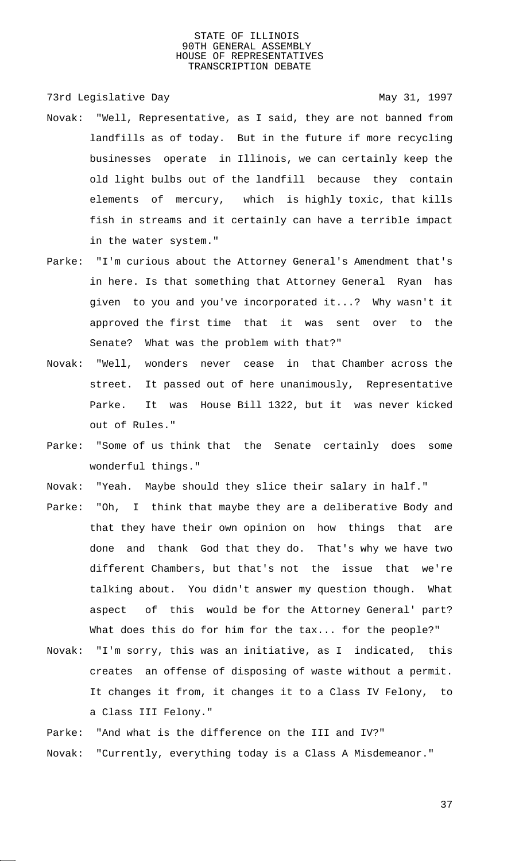73rd Legislative Day 1997

- Novak: "Well, Representative, as I said, they are not banned from landfills as of today. But in the future if more recycling businesses operate in Illinois, we can certainly keep the old light bulbs out of the landfill because they contain elements of mercury, which is highly toxic, that kills fish in streams and it certainly can have a terrible impact in the water system."
- Parke: "I'm curious about the Attorney General's Amendment that's in here. Is that something that Attorney General Ryan has given to you and you've incorporated it...? Why wasn't it approved the first time that it was sent over to the Senate? What was the problem with that?"
- Novak: "Well, wonders never cease in that Chamber across the street. It passed out of here unanimously, Representative Parke. It was House Bill 1322, but it was never kicked out of Rules."
- Parke: "Some of us think that the Senate certainly does some wonderful things."
- Novak: "Yeah. Maybe should they slice their salary in half."
- Parke: "Oh, I think that maybe they are a deliberative Body and that they have their own opinion on how things that are done and thank God that they do. That's why we have two different Chambers, but that's not the issue that we're talking about. You didn't answer my question though. What aspect of this would be for the Attorney General' part? What does this do for him for the tax... for the people?"
- Novak: "I'm sorry, this was an initiative, as I indicated, this creates an offense of disposing of waste without a permit. It changes it from, it changes it to a Class IV Felony, to a Class III Felony."
- Parke: "And what is the difference on the III and IV?"
- Novak: "Currently, everything today is a Class A Misdemeanor."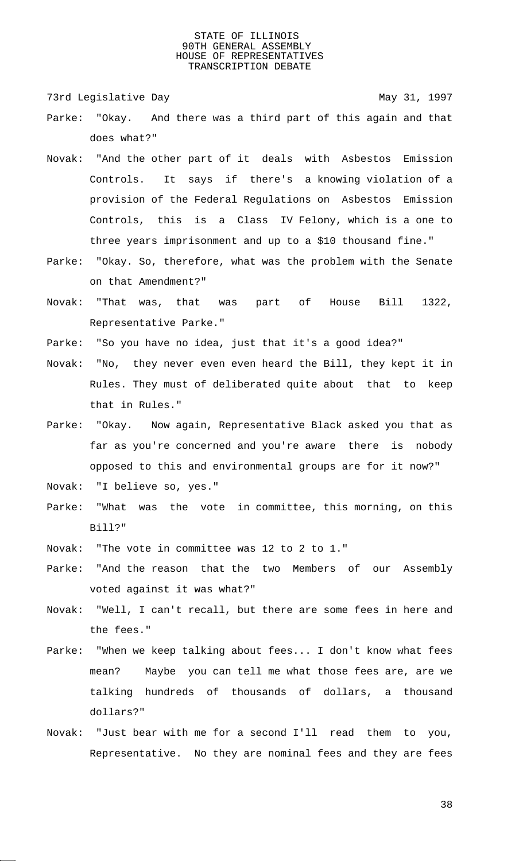73rd Legislative Day 1997

- Parke: "Okay. And there was a third part of this again and that does what?"
- Novak: "And the other part of it deals with Asbestos Emission Controls. It says if there's a knowing violation of a provision of the Federal Regulations on Asbestos Emission Controls, this is a Class IV Felony, which is a one to three years imprisonment and up to a \$10 thousand fine."
- Parke: "Okay. So, therefore, what was the problem with the Senate on that Amendment?"
- Novak: "That was, that was part of House Bill 1322, Representative Parke."
- Parke: "So you have no idea, just that it's a good idea?"
- Novak: "No, they never even even heard the Bill, they kept it in Rules. They must of deliberated quite about that to keep that in Rules."
- Parke: "Okay. Now again, Representative Black asked you that as far as you're concerned and you're aware there is nobody opposed to this and environmental groups are for it now?"
- Novak: "I believe so, yes."
- Parke: "What was the vote in committee, this morning, on this Bill?"
- Novak: "The vote in committee was 12 to 2 to 1."
- Parke: "And the reason that the two Members of our Assembly voted against it was what?"
- Novak: "Well, I can't recall, but there are some fees in here and the fees."
- Parke: "When we keep talking about fees... I don't know what fees mean? Maybe you can tell me what those fees are, are we talking hundreds of thousands of dollars, a thousand dollars?"
- Novak: "Just bear with me for a second I'll read them to you, Representative. No they are nominal fees and they are fees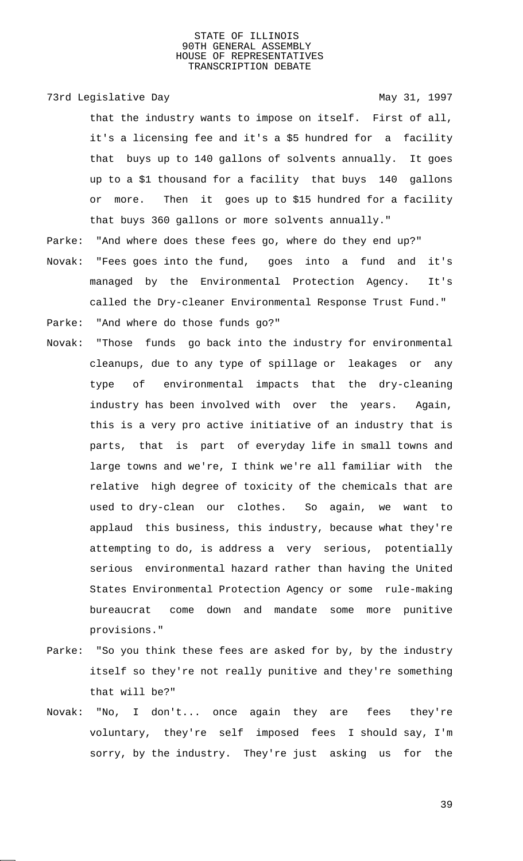#### 73rd Legislative Day 1997

that the industry wants to impose on itself. First of all, it's a licensing fee and it's a \$5 hundred for a facility that buys up to 140 gallons of solvents annually. It goes up to a \$1 thousand for a facility that buys 140 gallons or more. Then it goes up to \$15 hundred for a facility that buys 360 gallons or more solvents annually."

- Parke: "And where does these fees go, where do they end up?"
- Novak: "Fees goes into the fund, goes into a fund and it's managed by the Environmental Protection Agency. It's called the Dry-cleaner Environmental Response Trust Fund."
- Parke: "And where do those funds go?"
- Novak: "Those funds go back into the industry for environmental cleanups, due to any type of spillage or leakages or any type of environmental impacts that the dry-cleaning industry has been involved with over the years. Again, this is a very pro active initiative of an industry that is parts, that is part of everyday life in small towns and large towns and we're, I think we're all familiar with the relative high degree of toxicity of the chemicals that are used to dry-clean our clothes. So again, we want to applaud this business, this industry, because what they're attempting to do, is address a very serious, potentially serious environmental hazard rather than having the United States Environmental Protection Agency or some rule-making bureaucrat come down and mandate some more punitive provisions."
- Parke: "So you think these fees are asked for by, by the industry itself so they're not really punitive and they're something that will be?"
- Novak: "No, I don't... once again they are fees they're voluntary, they're self imposed fees I should say, I'm sorry, by the industry. They're just asking us for the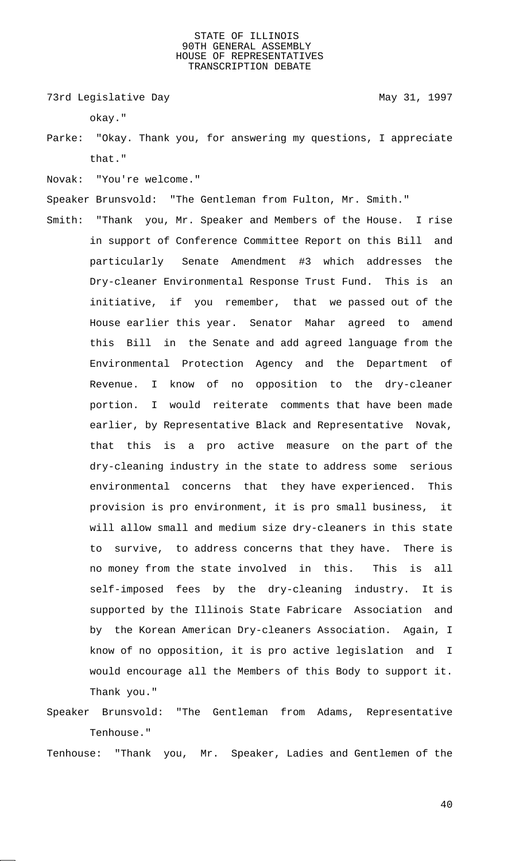73rd Legislative Day 1997

okay."

- Parke: "Okay. Thank you, for answering my questions, I appreciate that."
- Novak: "You're welcome."
- Speaker Brunsvold: "The Gentleman from Fulton, Mr. Smith."
- Smith: "Thank you, Mr. Speaker and Members of the House. I rise in support of Conference Committee Report on this Bill and particularly Senate Amendment #3 which addresses the Dry-cleaner Environmental Response Trust Fund. This is an initiative, if you remember, that we passed out of the House earlier this year. Senator Mahar agreed to amend this Bill in the Senate and add agreed language from the Environmental Protection Agency and the Department of Revenue. I know of no opposition to the dry-cleaner portion. I would reiterate comments that have been made earlier, by Representative Black and Representative Novak, that this is a pro active measure on the part of the dry-cleaning industry in the state to address some serious environmental concerns that they have experienced. This provision is pro environment, it is pro small business, it will allow small and medium size dry-cleaners in this state to survive, to address concerns that they have. There is no money from the state involved in this. This is all self-imposed fees by the dry-cleaning industry. It is supported by the Illinois State Fabricare Association and by the Korean American Dry-cleaners Association. Again, I know of no opposition, it is pro active legislation and I would encourage all the Members of this Body to support it. Thank you."
- Speaker Brunsvold: "The Gentleman from Adams, Representative Tenhouse."

Tenhouse: "Thank you, Mr. Speaker, Ladies and Gentlemen of the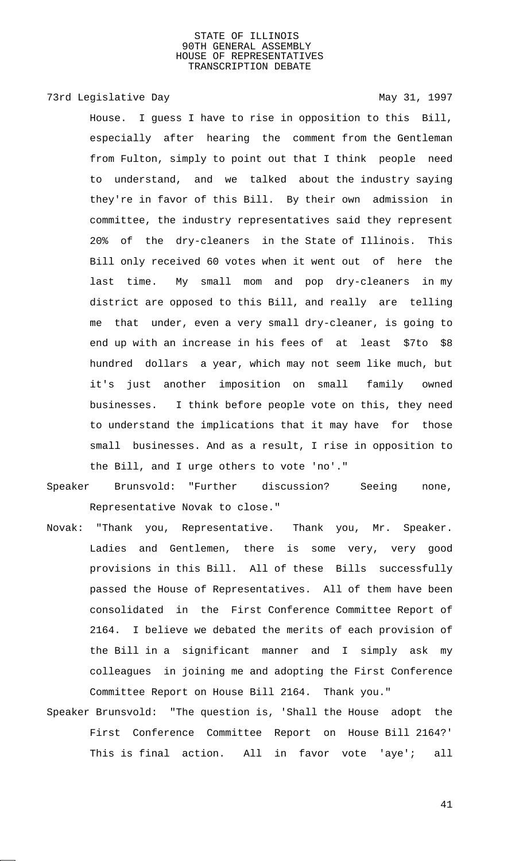# 73rd Legislative Day 1997

House. I guess I have to rise in opposition to this Bill, especially after hearing the comment from the Gentleman from Fulton, simply to point out that I think people need to understand, and we talked about the industry saying they're in favor of this Bill. By their own admission in committee, the industry representatives said they represent 20% of the dry-cleaners in the State of Illinois. This Bill only received 60 votes when it went out of here the last time. My small mom and pop dry-cleaners in my district are opposed to this Bill, and really are telling me that under, even a very small dry-cleaner, is going to end up with an increase in his fees of at least \$7to \$8 hundred dollars a year, which may not seem like much, but it's just another imposition on small family owned businesses. I think before people vote on this, they need to understand the implications that it may have for those small businesses. And as a result, I rise in opposition to the Bill, and I urge others to vote 'no'."

- Speaker Brunsvold: "Further discussion? Seeing none, Representative Novak to close."
- Novak: "Thank you, Representative. Thank you, Mr. Speaker. Ladies and Gentlemen, there is some very, very good provisions in this Bill. All of these Bills successfully passed the House of Representatives. All of them have been consolidated in the First Conference Committee Report of 2164. I believe we debated the merits of each provision of the Bill in a significant manner and I simply ask my colleagues in joining me and adopting the First Conference Committee Report on House Bill 2164. Thank you."
- Speaker Brunsvold: "The question is, 'Shall the House adopt the First Conference Committee Report on House Bill 2164?' This is final action. All in favor vote 'aye'; all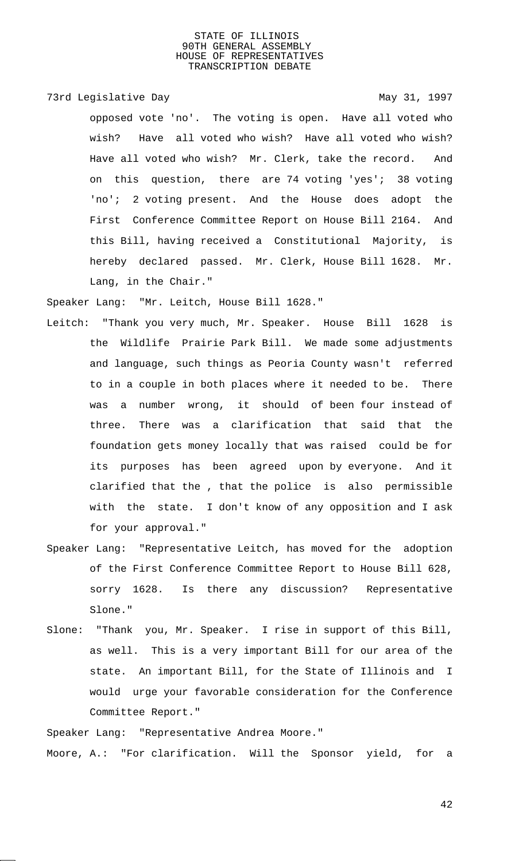# 73rd Legislative Day 1997

opposed vote 'no'. The voting is open. Have all voted who wish? Have all voted who wish? Have all voted who wish? Have all voted who wish? Mr. Clerk, take the record. And on this question, there are 74 voting 'yes'; 38 voting 'no'; 2 voting present. And the House does adopt the First Conference Committee Report on House Bill 2164. And this Bill, having received a Constitutional Majority, is hereby declared passed. Mr. Clerk, House Bill 1628. Mr. Lang, in the Chair."

Speaker Lang: "Mr. Leitch, House Bill 1628."

- Leitch: "Thank you very much, Mr. Speaker. House Bill 1628 is the Wildlife Prairie Park Bill. We made some adjustments and language, such things as Peoria County wasn't referred to in a couple in both places where it needed to be. There was a number wrong, it should of been four instead of three. There was a clarification that said that the foundation gets money locally that was raised could be for its purposes has been agreed upon by everyone. And it clarified that the , that the police is also permissible with the state. I don't know of any opposition and I ask for your approval."
- Speaker Lang: "Representative Leitch, has moved for the adoption of the First Conference Committee Report to House Bill 628, sorry 1628. Is there any discussion? Representative Slone."
- Slone: "Thank you, Mr. Speaker. I rise in support of this Bill, as well. This is a very important Bill for our area of the state. An important Bill, for the State of Illinois and I would urge your favorable consideration for the Conference Committee Report."

Speaker Lang: "Representative Andrea Moore."

Moore, A.: "For clarification. Will the Sponsor yield, for a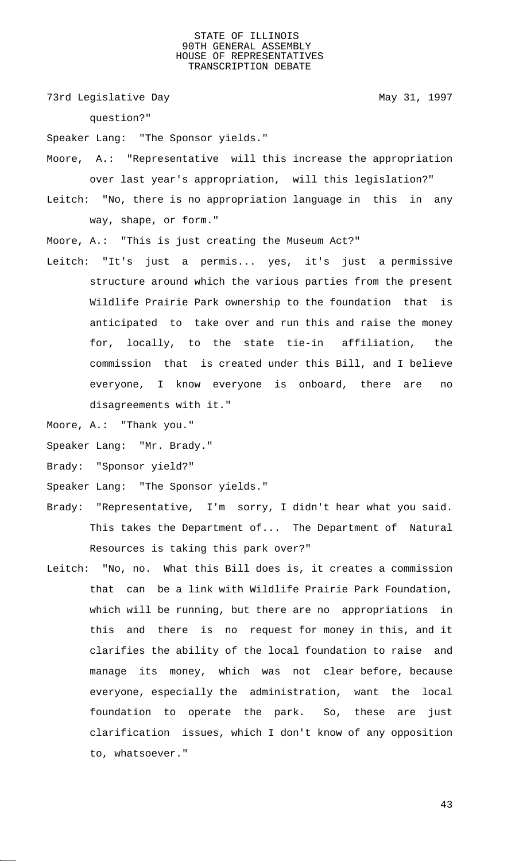73rd Legislative Day 1997

question?"

Speaker Lang: "The Sponsor yields."

Moore, A.: "Representative will this increase the appropriation over last year's appropriation, will this legislation?"

Leitch: "No, there is no appropriation language in this in any way, shape, or form."

Moore, A.: "This is just creating the Museum Act?"

Leitch: "It's just a permis... yes, it's just a permissive structure around which the various parties from the present Wildlife Prairie Park ownership to the foundation that is anticipated to take over and run this and raise the money for, locally, to the state tie-in affiliation, the commission that is created under this Bill, and I believe everyone, I know everyone is onboard, there are no disagreements with it."

Moore, A.: "Thank you."

- Speaker Lang: "Mr. Brady."
- Brady: "Sponsor yield?"
- Speaker Lang: "The Sponsor yields."
- Brady: "Representative, I'm sorry, I didn't hear what you said. This takes the Department of... The Department of Natural Resources is taking this park over?"
- Leitch: "No, no. What this Bill does is, it creates a commission that can be a link with Wildlife Prairie Park Foundation, which will be running, but there are no appropriations in this and there is no request for money in this, and it clarifies the ability of the local foundation to raise and manage its money, which was not clear before, because everyone, especially the administration, want the local foundation to operate the park. So, these are just clarification issues, which I don't know of any opposition to, whatsoever."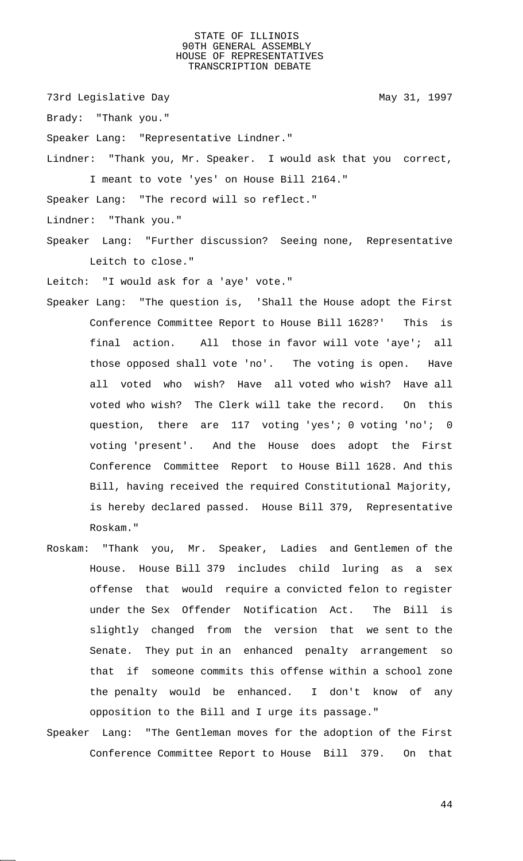73rd Legislative Day 1997

Brady: "Thank you."

Speaker Lang: "Representative Lindner."

Lindner: "Thank you, Mr. Speaker. I would ask that you correct, I meant to vote 'yes' on House Bill 2164."

Speaker Lang: "The record will so reflect."

- Lindner: "Thank you."
- Speaker Lang: "Further discussion? Seeing none, Representative Leitch to close."

Leitch: "I would ask for a 'aye' vote."

- Speaker Lang: "The question is, 'Shall the House adopt the First Conference Committee Report to House Bill 1628?' This is final action. All those in favor will vote 'aye'; all those opposed shall vote 'no'. The voting is open. Have all voted who wish? Have all voted who wish? Have all voted who wish? The Clerk will take the record. On this question, there are 117 voting 'yes'; 0 voting 'no'; 0 voting 'present'. And the House does adopt the First Conference Committee Report to House Bill 1628. And this Bill, having received the required Constitutional Majority, is hereby declared passed. House Bill 379, Representative Roskam."
- Roskam: "Thank you, Mr. Speaker, Ladies and Gentlemen of the House. House Bill 379 includes child luring as a sex offense that would require a convicted felon to register under the Sex Offender Notification Act. The Bill is slightly changed from the version that we sent to the Senate. They put in an enhanced penalty arrangement so that if someone commits this offense within a school zone the penalty would be enhanced. I don't know of any opposition to the Bill and I urge its passage."
- Speaker Lang: "The Gentleman moves for the adoption of the First Conference Committee Report to House Bill 379. On that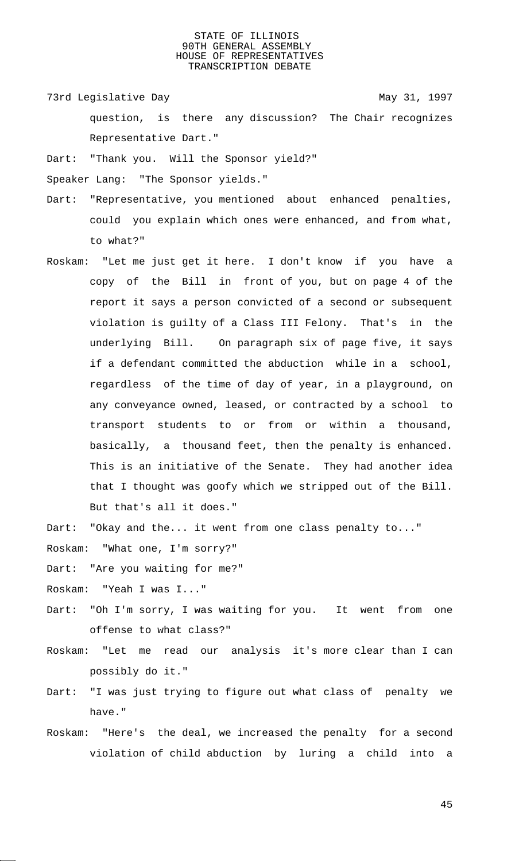73rd Legislative Day 1997

question, is there any discussion? The Chair recognizes Representative Dart."

Dart: "Thank you. Will the Sponsor yield?"

Speaker Lang: "The Sponsor yields."

- Dart: "Representative, you mentioned about enhanced penalties, could you explain which ones were enhanced, and from what, to what?"
- Roskam: "Let me just get it here. I don't know if you have a copy of the Bill in front of you, but on page 4 of the report it says a person convicted of a second or subsequent violation is guilty of a Class III Felony. That's in the underlying Bill. On paragraph six of page five, it says if a defendant committed the abduction while in a school, regardless of the time of day of year, in a playground, on any conveyance owned, leased, or contracted by a school to transport students to or from or within a thousand, basically, a thousand feet, then the penalty is enhanced. This is an initiative of the Senate. They had another idea that I thought was goofy which we stripped out of the Bill. But that's all it does."
- Dart: "Okay and the... it went from one class penalty to..." Roskam: "What one, I'm sorry?"

Dart: "Are you waiting for me?"

Roskam: "Yeah I was I..."

- Dart: "Oh I'm sorry, I was waiting for you. It went from one offense to what class?"
- Roskam: "Let me read our analysis it's more clear than I can possibly do it."
- Dart: "I was just trying to figure out what class of penalty we have."
- Roskam: "Here's the deal, we increased the penalty for a second violation of child abduction by luring a child into a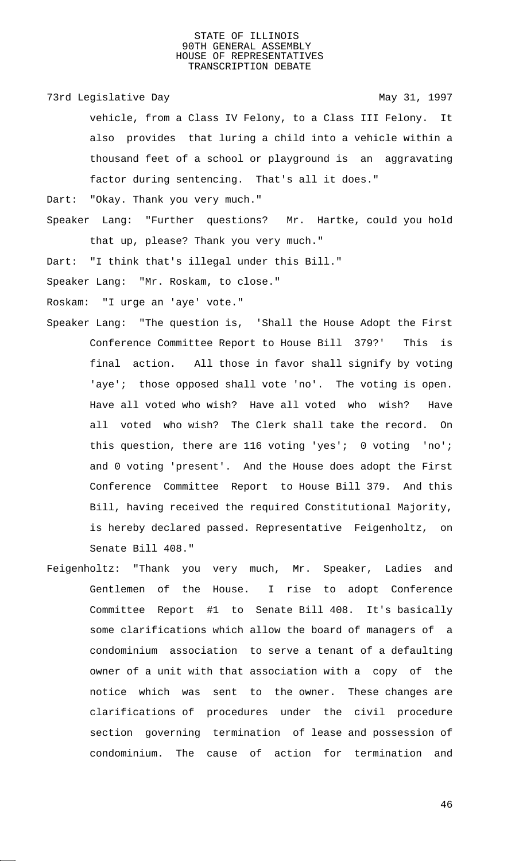73rd Legislative Day 1997

vehicle, from a Class IV Felony, to a Class III Felony. It also provides that luring a child into a vehicle within a thousand feet of a school or playground is an aggravating factor during sentencing. That's all it does."

Dart: "Okay. Thank you very much."

Speaker Lang: "Further questions? Mr. Hartke, could you hold that up, please? Thank you very much."

Dart: "I think that's illegal under this Bill."

Speaker Lang: "Mr. Roskam, to close."

Roskam: "I urge an 'aye' vote."

- Speaker Lang: "The question is, 'Shall the House Adopt the First Conference Committee Report to House Bill 379?' This is final action. All those in favor shall signify by voting 'aye'; those opposed shall vote 'no'. The voting is open. Have all voted who wish? Have all voted who wish? Have all voted who wish? The Clerk shall take the record. On this question, there are 116 voting 'yes'; 0 voting 'no'; and 0 voting 'present'. And the House does adopt the First Conference Committee Report to House Bill 379. And this Bill, having received the required Constitutional Majority, is hereby declared passed. Representative Feigenholtz, on Senate Bill 408."
- Feigenholtz: "Thank you very much, Mr. Speaker, Ladies and Gentlemen of the House. I rise to adopt Conference Committee Report #1 to Senate Bill 408. It's basically some clarifications which allow the board of managers of a condominium association to serve a tenant of a defaulting owner of a unit with that association with a copy of the notice which was sent to the owner. These changes are clarifications of procedures under the civil procedure section governing termination of lease and possession of condominium. The cause of action for termination and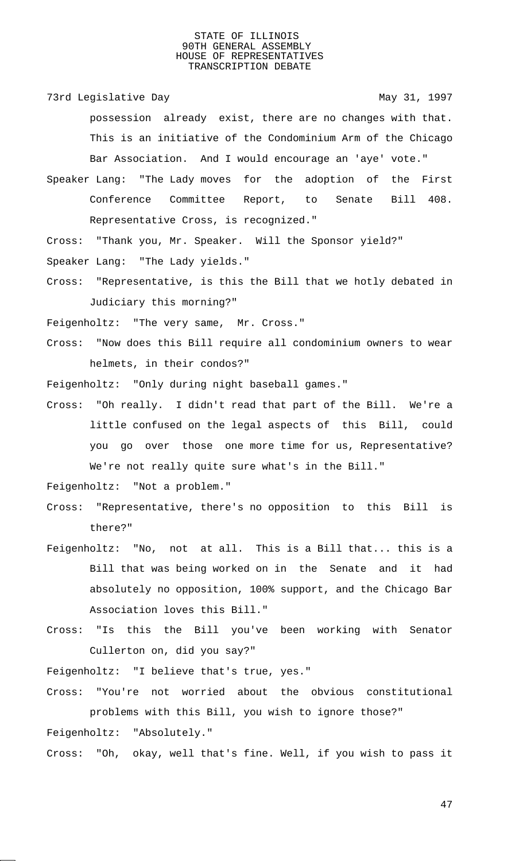73rd Legislative Day 1997

possession already exist, there are no changes with that. This is an initiative of the Condominium Arm of the Chicago Bar Association. And I would encourage an 'aye' vote."

Speaker Lang: "The Lady moves for the adoption of the First Conference Committee Report, to Senate Bill 408. Representative Cross, is recognized."

Cross: "Thank you, Mr. Speaker. Will the Sponsor yield?" Speaker Lang: "The Lady yields."

Cross: "Representative, is this the Bill that we hotly debated in Judiciary this morning?"

Feigenholtz: "The very same, Mr. Cross."

Cross: "Now does this Bill require all condominium owners to wear helmets, in their condos?"

Feigenholtz: "Only during night baseball games."

Cross: "Oh really. I didn't read that part of the Bill. We're a little confused on the legal aspects of this Bill, could you go over those one more time for us, Representative? We're not really quite sure what's in the Bill."

Feigenholtz: "Not a problem."

- Cross: "Representative, there's no opposition to this Bill is there?"
- Feigenholtz: "No, not at all. This is a Bill that... this is a Bill that was being worked on in the Senate and it had absolutely no opposition, 100% support, and the Chicago Bar Association loves this Bill."
- Cross: "Is this the Bill you've been working with Senator Cullerton on, did you say?"

Feigenholtz: "I believe that's true, yes."

Cross: "You're not worried about the obvious constitutional problems with this Bill, you wish to ignore those?"

Feigenholtz: "Absolutely."

Cross: "Oh, okay, well that's fine. Well, if you wish to pass it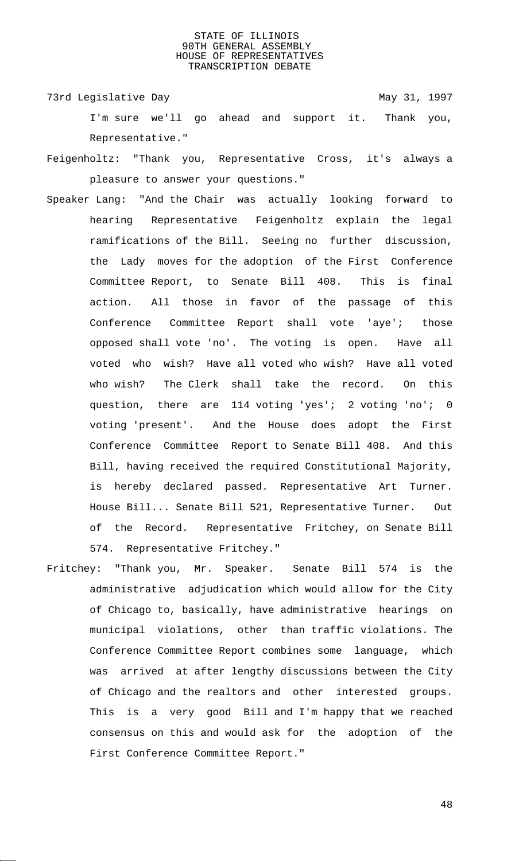73rd Legislative Day 1997 I'm sure we'll go ahead and support it. Thank you, Representative."

- Feigenholtz: "Thank you, Representative Cross, it's always a pleasure to answer your questions."
- Speaker Lang: "And the Chair was actually looking forward to hearing Representative Feigenholtz explain the legal ramifications of the Bill. Seeing no further discussion, the Lady moves for the adoption of the First Conference Committee Report, to Senate Bill 408. This is final action. All those in favor of the passage of this Conference Committee Report shall vote 'aye'; those opposed shall vote 'no'. The voting is open. Have all voted who wish? Have all voted who wish? Have all voted who wish? The Clerk shall take the record. On this question, there are 114 voting 'yes'; 2 voting 'no'; voting 'present'. And the House does adopt the First Conference Committee Report to Senate Bill 408. And this Bill, having received the required Constitutional Majority, is hereby declared passed. Representative Art Turner. House Bill... Senate Bill 521, Representative Turner. Out of the Record. Representative Fritchey, on Senate Bill 574. Representative Fritchey."
- Fritchey: "Thank you, Mr. Speaker. Senate Bill 574 is the administrative adjudication which would allow for the City of Chicago to, basically, have administrative hearings on municipal violations, other than traffic violations. The Conference Committee Report combines some language, which was arrived at after lengthy discussions between the City of Chicago and the realtors and other interested groups. This is a very good Bill and I'm happy that we reached consensus on this and would ask for the adoption of the First Conference Committee Report."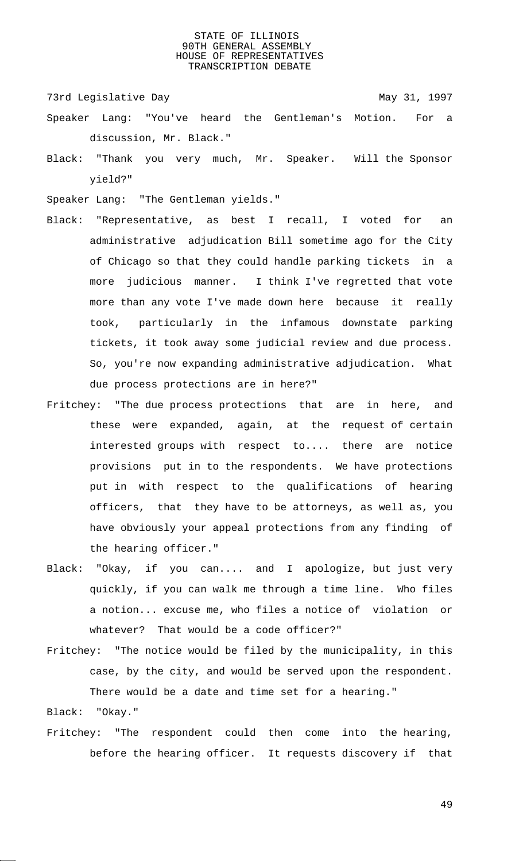73rd Legislative Day 1997

- Speaker Lang: "You've heard the Gentleman's Motion. For a discussion, Mr. Black."
- Black: "Thank you very much, Mr. Speaker. Will the Sponsor yield?"
- Speaker Lang: "The Gentleman yields."
- Black: "Representative, as best I recall, I voted for an administrative adjudication Bill sometime ago for the City of Chicago so that they could handle parking tickets in a more judicious manner. I think I've regretted that vote more than any vote I've made down here because it really took, particularly in the infamous downstate parking tickets, it took away some judicial review and due process. So, you're now expanding administrative adjudication. What due process protections are in here?"
- Fritchey: "The due process protections that are in here, and these were expanded, again, at the request of certain interested groups with respect to.... there are notice provisions put in to the respondents. We have protections put in with respect to the qualifications of hearing officers, that they have to be attorneys, as well as, you have obviously your appeal protections from any finding of the hearing officer."
- Black: "Okay, if you can.... and I apologize, but just very quickly, if you can walk me through a time line. Who files a notion... excuse me, who files a notice of violation or whatever? That would be a code officer?"
- Fritchey: "The notice would be filed by the municipality, in this case, by the city, and would be served upon the respondent. There would be a date and time set for a hearing."

Black: "Okay."

Fritchey: "The respondent could then come into the hearing, before the hearing officer. It requests discovery if that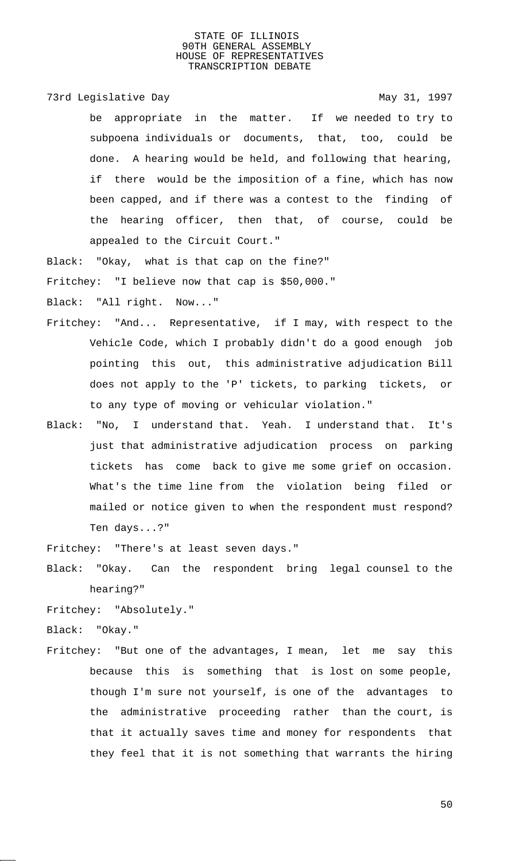73rd Legislative Day 1997

be appropriate in the matter. If we needed to try to subpoena individuals or documents, that, too, could be done. A hearing would be held, and following that hearing, if there would be the imposition of a fine, which has now been capped, and if there was a contest to the finding of the hearing officer, then that, of course, could be appealed to the Circuit Court."

Black: "Okay, what is that cap on the fine?"

Fritchey: "I believe now that cap is \$50,000."

Black: "All right. Now..."

- Fritchey: "And... Representative, if I may, with respect to the Vehicle Code, which I probably didn't do a good enough job pointing this out, this administrative adjudication Bill does not apply to the 'P' tickets, to parking tickets, or to any type of moving or vehicular violation."
- Black: "No, I understand that. Yeah. I understand that. It's just that administrative adjudication process on parking tickets has come back to give me some grief on occasion. What's the time line from the violation being filed or mailed or notice given to when the respondent must respond? Ten days...?"

Fritchey: "There's at least seven days."

Black: "Okay. Can the respondent bring legal counsel to the hearing?"

Fritchey: "Absolutely."

Black: "Okay."

Fritchey: "But one of the advantages, I mean, let me say this because this is something that is lost on some people, though I'm sure not yourself, is one of the advantages to the administrative proceeding rather than the court, is that it actually saves time and money for respondents that they feel that it is not something that warrants the hiring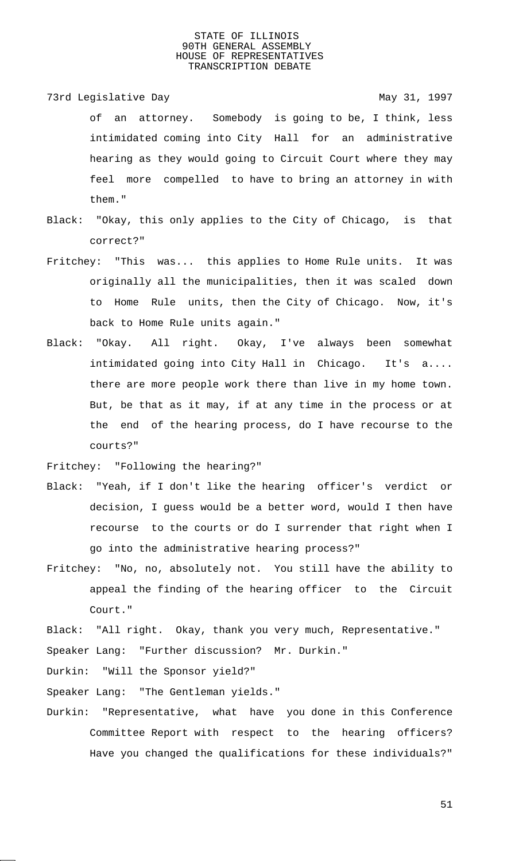73rd Legislative Day 1997 of an attorney. Somebody is going to be, I think, less intimidated coming into City Hall for an administrative hearing as they would going to Circuit Court where they may feel more compelled to have to bring an attorney in with them."

- Black: "Okay, this only applies to the City of Chicago, is that correct?"
- Fritchey: "This was... this applies to Home Rule units. It was originally all the municipalities, then it was scaled down to Home Rule units, then the City of Chicago. Now, it's back to Home Rule units again."
- Black: "Okay. All right. Okay, I've always been somewhat intimidated going into City Hall in Chicago. It's a.... there are more people work there than live in my home town. But, be that as it may, if at any time in the process or at the end of the hearing process, do I have recourse to the courts?"

Fritchey: "Following the hearing?"

- Black: "Yeah, if I don't like the hearing officer's verdict or decision, I guess would be a better word, would I then have recourse to the courts or do I surrender that right when I go into the administrative hearing process?"
- Fritchey: "No, no, absolutely not. You still have the ability to appeal the finding of the hearing officer to the Circuit Court."

Black: "All right. Okay, thank you very much, Representative."

Speaker Lang: "Further discussion? Mr. Durkin."

Durkin: "Will the Sponsor yield?"

Speaker Lang: "The Gentleman yields."

Durkin: "Representative, what have you done in this Conference Committee Report with respect to the hearing officers? Have you changed the qualifications for these individuals?"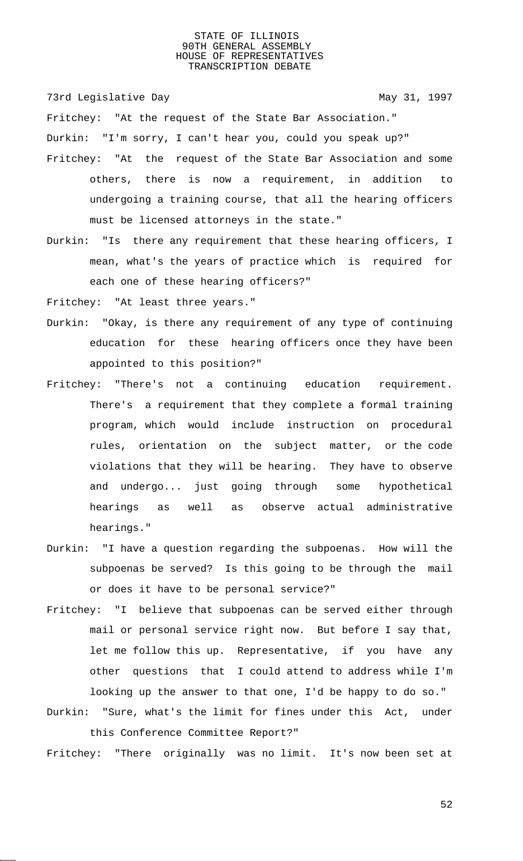73rd Legislative Day 1997

Fritchey: "At the request of the State Bar Association."

Durkin: "I'm sorry, I can't hear you, could you speak up?"

- Fritchey: "At the request of the State Bar Association and some others, there is now a requirement, in addition to undergoing a training course, that all the hearing officers must be licensed attorneys in the state."
- Durkin: "Is there any requirement that these hearing officers, I mean, what's the years of practice which is required for each one of these hearing officers?"

Fritchey: "At least three years."

- Durkin: "Okay, is there any requirement of any type of continuing education for these hearing officers once they have been appointed to this position?"
- Fritchey: "There's not a continuing education requirement. There's a requirement that they complete a formal training program, which would include instruction on procedural rules, orientation on the subject matter, or the code violations that they will be hearing. They have to observe and undergo... just going through some hypothetical hearings as well as observe actual administrative hearings."
- Durkin: "I have a question regarding the subpoenas. How will the subpoenas be served? Is this going to be through the mail or does it have to be personal service?"
- Fritchey: "I believe that subpoenas can be served either through mail or personal service right now. But before I say that, let me follow this up. Representative, if you have any other questions that I could attend to address while I'm looking up the answer to that one, I'd be happy to do so."
- Durkin: "Sure, what's the limit for fines under this Act, under this Conference Committee Report?"

Fritchey: "There originally was no limit. It's now been set at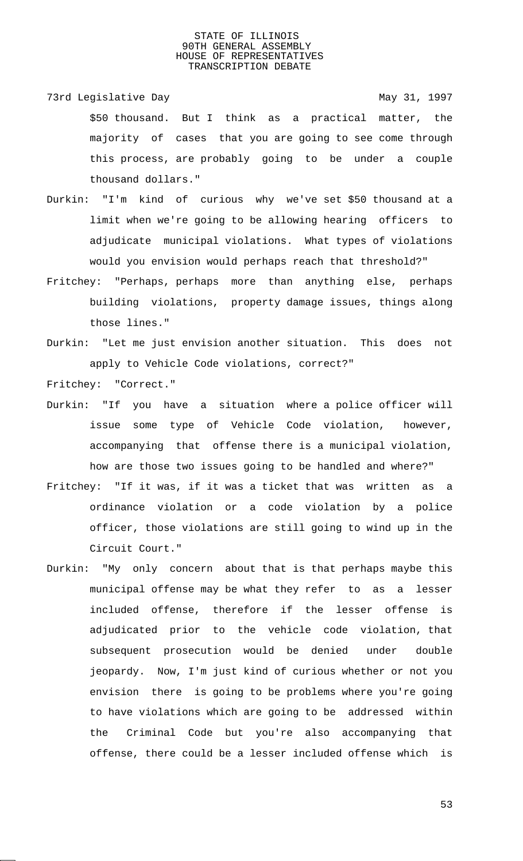- 73rd Legislative Day 1997 \$50 thousand. But I think as a practical matter, the majority of cases that you are going to see come through this process, are probably going to be under a couple thousand dollars."
- Durkin: "I'm kind of curious why we've set \$50 thousand at a limit when we're going to be allowing hearing officers to adjudicate municipal violations. What types of violations would you envision would perhaps reach that threshold?"
- Fritchey: "Perhaps, perhaps more than anything else, perhaps building violations, property damage issues, things along those lines."
- Durkin: "Let me just envision another situation. This does not apply to Vehicle Code violations, correct?"

Fritchey: "Correct."

- Durkin: "If you have a situation where a police officer will issue some type of Vehicle Code violation, however, accompanying that offense there is a municipal violation, how are those two issues going to be handled and where?"
- Fritchey: "If it was, if it was a ticket that was written as a ordinance violation or a code violation by a police officer, those violations are still going to wind up in the Circuit Court."
- Durkin: "My only concern about that is that perhaps maybe this municipal offense may be what they refer to as a lesser included offense, therefore if the lesser offense is adjudicated prior to the vehicle code violation, that subsequent prosecution would be denied under double jeopardy. Now, I'm just kind of curious whether or not you envision there is going to be problems where you're going to have violations which are going to be addressed within the Criminal Code but you're also accompanying that offense, there could be a lesser included offense which is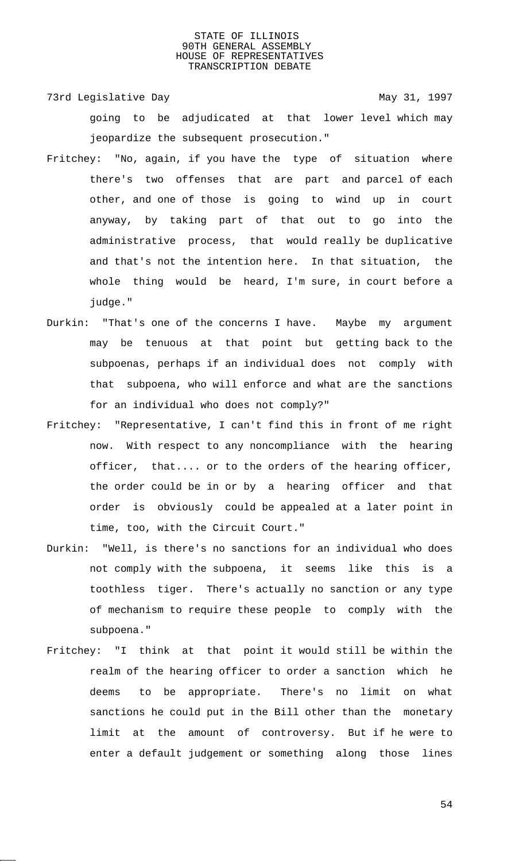73rd Legislative Day 1997 going to be adjudicated at that lower level which may jeopardize the subsequent prosecution."

- Fritchey: "No, again, if you have the type of situation where there's two offenses that are part and parcel of each other, and one of those is going to wind up in court anyway, by taking part of that out to go into the administrative process, that would really be duplicative and that's not the intention here. In that situation, the whole thing would be heard, I'm sure, in court before a judge."
- Durkin: "That's one of the concerns I have. Maybe my argument may be tenuous at that point but getting back to the subpoenas, perhaps if an individual does not comply with that subpoena, who will enforce and what are the sanctions for an individual who does not comply?"
- Fritchey: "Representative, I can't find this in front of me right now. With respect to any noncompliance with the hearing officer, that.... or to the orders of the hearing officer, the order could be in or by a hearing officer and that order is obviously could be appealed at a later point in time, too, with the Circuit Court."
- Durkin: "Well, is there's no sanctions for an individual who does not comply with the subpoena, it seems like this is a toothless tiger. There's actually no sanction or any type of mechanism to require these people to comply with the subpoena."
- Fritchey: "I think at that point it would still be within the realm of the hearing officer to order a sanction which he deems to be appropriate. There's no limit on what sanctions he could put in the Bill other than the monetary limit at the amount of controversy. But if he were to enter a default judgement or something along those lines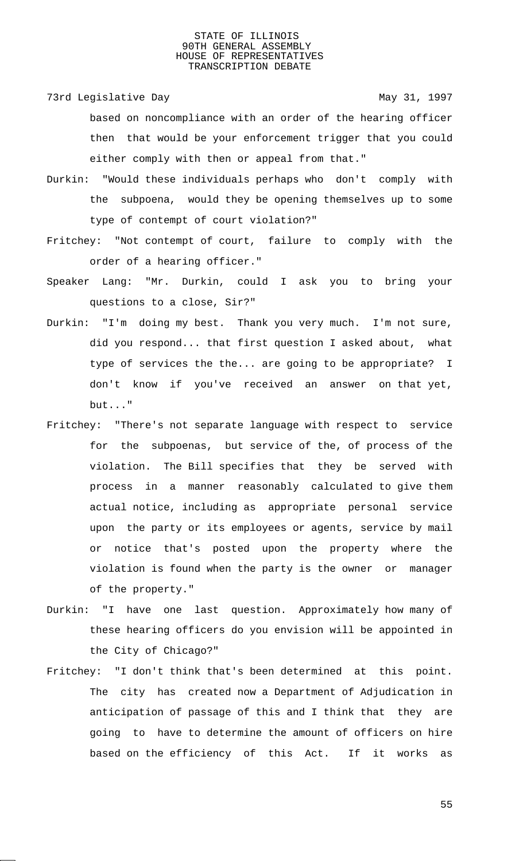73rd Legislative Day 1997

based on noncompliance with an order of the hearing officer then that would be your enforcement trigger that you could either comply with then or appeal from that."

- Durkin: "Would these individuals perhaps who don't comply with the subpoena, would they be opening themselves up to some type of contempt of court violation?"
- Fritchey: "Not contempt of court, failure to comply with the order of a hearing officer."
- Speaker Lang: "Mr. Durkin, could I ask you to bring your questions to a close, Sir?"
- Durkin: "I'm doing my best. Thank you very much. I'm not sure, did you respond... that first question I asked about, what type of services the the... are going to be appropriate? I don't know if you've received an answer on that yet, but..."
- Fritchey: "There's not separate language with respect to service for the subpoenas, but service of the, of process of the violation. The Bill specifies that they be served with process in a manner reasonably calculated to give them actual notice, including as appropriate personal service upon the party or its employees or agents, service by mail or notice that's posted upon the property where the violation is found when the party is the owner or manager of the property."
- Durkin: "I have one last question. Approximately how many of these hearing officers do you envision will be appointed in the City of Chicago?"
- Fritchey: "I don't think that's been determined at this point. The city has created now a Department of Adjudication in anticipation of passage of this and I think that they are going to have to determine the amount of officers on hire based on the efficiency of this Act. If it works as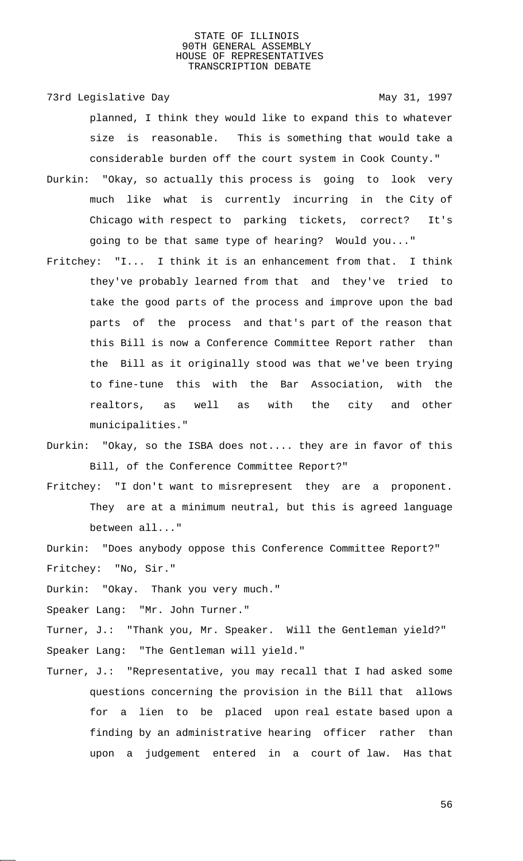73rd Legislative Day 1997 planned, I think they would like to expand this to whatever size is reasonable. This is something that would take a considerable burden off the court system in Cook County."

- Durkin: "Okay, so actually this process is going to look very much like what is currently incurring in the City of Chicago with respect to parking tickets, correct? It's going to be that same type of hearing? Would you..."
- Fritchey: "I... I think it is an enhancement from that. I think they've probably learned from that and they've tried to take the good parts of the process and improve upon the bad parts of the process and that's part of the reason that this Bill is now a Conference Committee Report rather than the Bill as it originally stood was that we've been trying to fine-tune this with the Bar Association, with the realtors, as well as with the city and other municipalities."
- Durkin: "Okay, so the ISBA does not.... they are in favor of this Bill, of the Conference Committee Report?"
- Fritchey: "I don't want to misrepresent they are a proponent. They are at a minimum neutral, but this is agreed language between all..."
- Durkin: "Does anybody oppose this Conference Committee Report?" Fritchey: "No, Sir."
- Durkin: "Okay. Thank you very much."

Speaker Lang: "Mr. John Turner."

- Turner, J.: "Thank you, Mr. Speaker. Will the Gentleman yield?" Speaker Lang: "The Gentleman will yield."
- Turner, J.: "Representative, you may recall that I had asked some questions concerning the provision in the Bill that allows for a lien to be placed upon real estate based upon a finding by an administrative hearing officer rather than upon a judgement entered in a court of law. Has that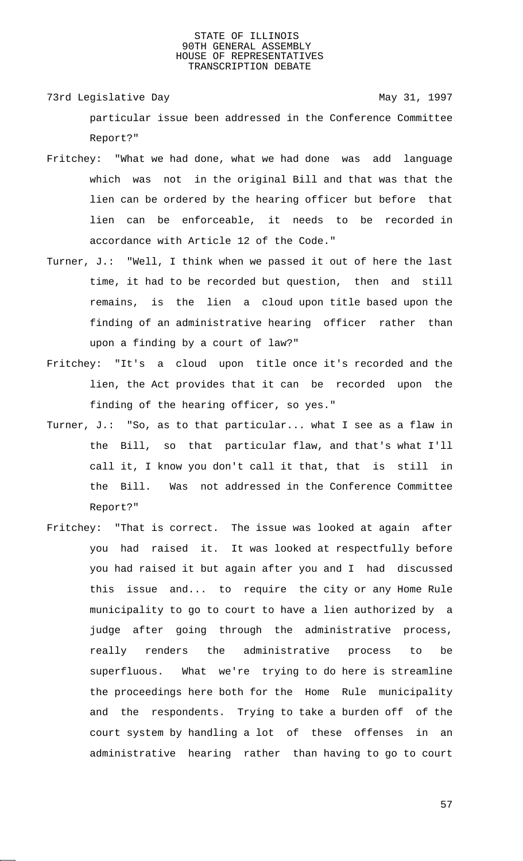- 73rd Legislative Day 1997 particular issue been addressed in the Conference Committee Report?"
- Fritchey: "What we had done, what we had done was add language which was not in the original Bill and that was that the lien can be ordered by the hearing officer but before that lien can be enforceable, it needs to be recorded in accordance with Article 12 of the Code."
- Turner, J.: "Well, I think when we passed it out of here the last time, it had to be recorded but question, then and still remains, is the lien a cloud upon title based upon the finding of an administrative hearing officer rather than upon a finding by a court of law?"
- Fritchey: "It's a cloud upon title once it's recorded and the lien, the Act provides that it can be recorded upon the finding of the hearing officer, so yes."
- Turner, J.: "So, as to that particular... what I see as a flaw in the Bill, so that particular flaw, and that's what I'll call it, I know you don't call it that, that is still in the Bill. Was not addressed in the Conference Committee Report?"
- Fritchey: "That is correct. The issue was looked at again after you had raised it. It was looked at respectfully before you had raised it but again after you and I had discussed this issue and... to require the city or any Home Rule municipality to go to court to have a lien authorized by a judge after going through the administrative process, really renders the administrative process to be superfluous. What we're trying to do here is streamline the proceedings here both for the Home Rule municipality and the respondents. Trying to take a burden off of the court system by handling a lot of these offenses in an administrative hearing rather than having to go to court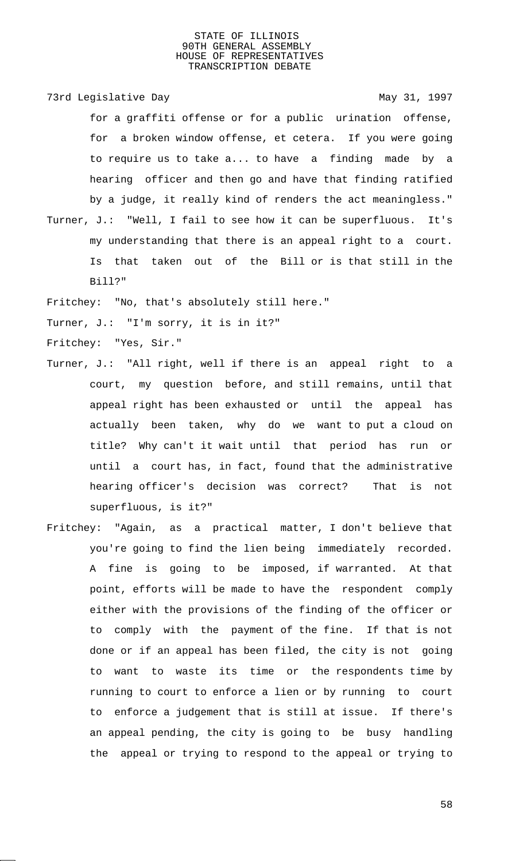73rd Legislative Day 1997

for a graffiti offense or for a public urination offense, for a broken window offense, et cetera. If you were going to require us to take a... to have a finding made by a hearing officer and then go and have that finding ratified by a judge, it really kind of renders the act meaningless." Turner, J.: "Well, I fail to see how it can be superfluous. It's my understanding that there is an appeal right to a court. Is that taken out of the Bill or is that still in the Bill?"

Fritchey: "No, that's absolutely still here."

Turner, J.: "I'm sorry, it is in it?"

Fritchey: "Yes, Sir."

- Turner, J.: "All right, well if there is an appeal right to a court, my question before, and still remains, until that appeal right has been exhausted or until the appeal has actually been taken, why do we want to put a cloud on title? Why can't it wait until that period has run or until a court has, in fact, found that the administrative hearing officer's decision was correct? That is not superfluous, is it?"
- Fritchey: "Again, as a practical matter, I don't believe that you're going to find the lien being immediately recorded. A fine is going to be imposed, if warranted. At that point, efforts will be made to have the respondent comply either with the provisions of the finding of the officer or to comply with the payment of the fine. If that is not done or if an appeal has been filed, the city is not going to want to waste its time or the respondents time by running to court to enforce a lien or by running to court to enforce a judgement that is still at issue. If there's an appeal pending, the city is going to be busy handling the appeal or trying to respond to the appeal or trying to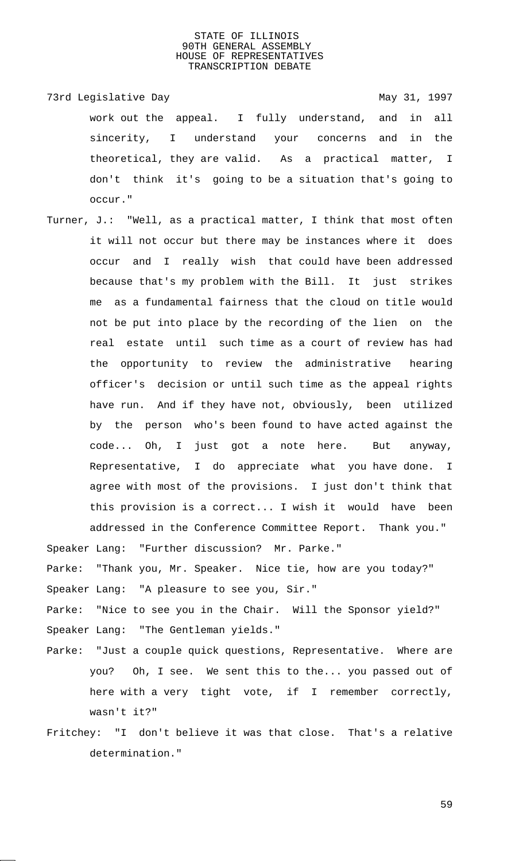73rd Legislative Day 1997 work out the appeal. I fully understand, and in all sincerity, I understand your concerns and in the theoretical, they are valid. As a practical matter, I don't think it's going to be a situation that's going to occur."

Turner, J.: "Well, as a practical matter, I think that most often it will not occur but there may be instances where it does occur and I really wish that could have been addressed because that's my problem with the Bill. It just strikes me as a fundamental fairness that the cloud on title would not be put into place by the recording of the lien on the real estate until such time as a court of review has had the opportunity to review the administrative hearing officer's decision or until such time as the appeal rights have run. And if they have not, obviously, been utilized by the person who's been found to have acted against the code... Oh, I just got a note here. But anyway, Representative, I do appreciate what you have done. I agree with most of the provisions. I just don't think that this provision is a correct... I wish it would have been addressed in the Conference Committee Report. Thank you." Speaker Lang: "Further discussion? Mr. Parke."

Parke: "Thank you, Mr. Speaker. Nice tie, how are you today?" Speaker Lang: "A pleasure to see you, Sir."

Parke: "Nice to see you in the Chair. Will the Sponsor yield?" Speaker Lang: "The Gentleman yields."

- Parke: "Just a couple quick questions, Representative. Where are you? Oh, I see. We sent this to the... you passed out of here with a very tight vote, if I remember correctly, wasn't it?"
- Fritchey: "I don't believe it was that close. That's a relative determination."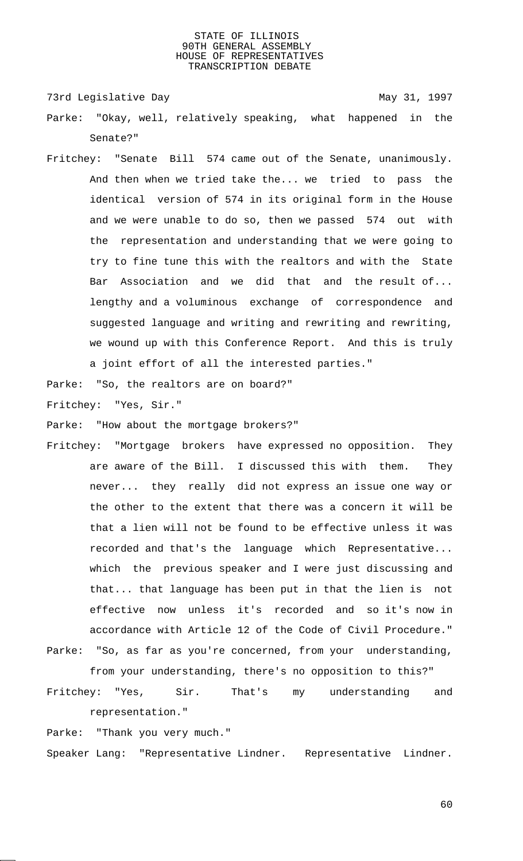73rd Legislative Day 1997

- Parke: "Okay, well, relatively speaking, what happened in the Senate?"
- Fritchey: "Senate Bill 574 came out of the Senate, unanimously. And then when we tried take the... we tried to pass the identical version of 574 in its original form in the House and we were unable to do so, then we passed 574 out with the representation and understanding that we were going to try to fine tune this with the realtors and with the State Bar Association and we did that and the result of... lengthy and a voluminous exchange of correspondence and suggested language and writing and rewriting and rewriting, we wound up with this Conference Report. And this is truly a joint effort of all the interested parties."

Parke: "So, the realtors are on board?"

Fritchey: "Yes, Sir."

Parke: "How about the mortgage brokers?"

- Fritchey: "Mortgage brokers have expressed no opposition. They are aware of the Bill. I discussed this with them. They never... they really did not express an issue one way or the other to the extent that there was a concern it will be that a lien will not be found to be effective unless it was recorded and that's the language which Representative... which the previous speaker and I were just discussing and that... that language has been put in that the lien is not effective now unless it's recorded and so it's now in accordance with Article 12 of the Code of Civil Procedure."
- Parke: "So, as far as you're concerned, from your understanding, from your understanding, there's no opposition to this?"
- Fritchey: "Yes, Sir. That's my understanding and representation."

Parke: "Thank you very much."

Speaker Lang: "Representative Lindner. Representative Lindner.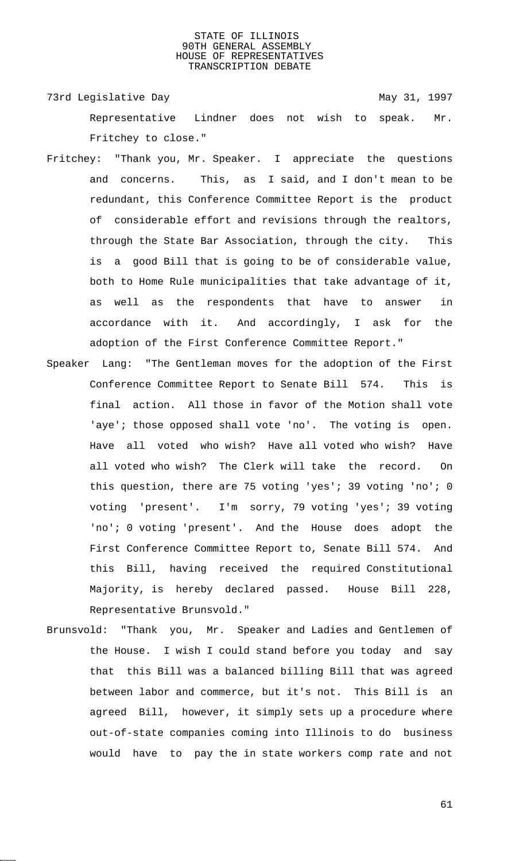73rd Legislative Day 1997 Representative Lindner does not wish to speak. Mr. Fritchey to close."

- Fritchey: "Thank you, Mr. Speaker. I appreciate the questions and concerns. This, as I said, and I don't mean to be redundant, this Conference Committee Report is the product of considerable effort and revisions through the realtors, through the State Bar Association, through the city. This is a good Bill that is going to be of considerable value, both to Home Rule municipalities that take advantage of it, as well as the respondents that have to answer in accordance with it. And accordingly, I ask for the adoption of the First Conference Committee Report."
- Speaker Lang: "The Gentleman moves for the adoption of the First Conference Committee Report to Senate Bill 574. This is final action. All those in favor of the Motion shall vote 'aye'; those opposed shall vote 'no'. The voting is open. Have all voted who wish? Have all voted who wish? Have all voted who wish? The Clerk will take the record. On this question, there are 75 voting 'yes'; 39 voting 'no'; 0 voting 'present'. I'm sorry, 79 voting 'yes'; 39 voting 'no'; 0 voting 'present'. And the House does adopt the First Conference Committee Report to, Senate Bill 574. And this Bill, having received the required Constitutional Majority, is hereby declared passed. House Bill 228, Representative Brunsvold."
- Brunsvold: "Thank you, Mr. Speaker and Ladies and Gentlemen of the House. I wish I could stand before you today and say that this Bill was a balanced billing Bill that was agreed between labor and commerce, but it's not. This Bill is an agreed Bill, however, it simply sets up a procedure where out-of-state companies coming into Illinois to do business would have to pay the in state workers comp rate and not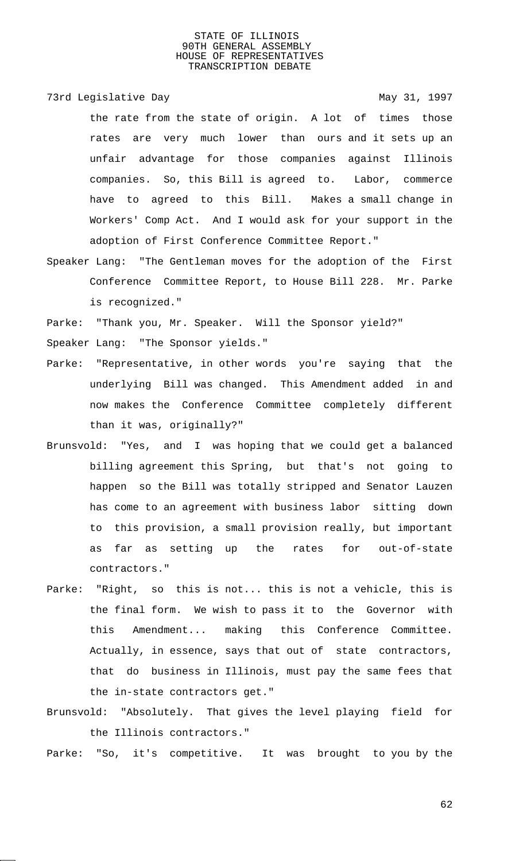73rd Legislative Day 1997

the rate from the state of origin. A lot of times those rates are very much lower than ours and it sets up an unfair advantage for those companies against Illinois companies. So, this Bill is agreed to. Labor, commerce have to agreed to this Bill. Makes a small change in Workers' Comp Act. And I would ask for your support in the adoption of First Conference Committee Report."

Speaker Lang: "The Gentleman moves for the adoption of the First Conference Committee Report, to House Bill 228. Mr. Parke is recognized."

Parke: "Thank you, Mr. Speaker. Will the Sponsor yield?" Speaker Lang: "The Sponsor yields."

- Parke: "Representative, in other words you're saying that the underlying Bill was changed. This Amendment added in and now makes the Conference Committee completely different than it was, originally?"
- Brunsvold: "Yes, and I was hoping that we could get a balanced billing agreement this Spring, but that's not going to happen so the Bill was totally stripped and Senator Lauzen has come to an agreement with business labor sitting down to this provision, a small provision really, but important as far as setting up the rates for out-of-state contractors."
- Parke: "Right, so this is not... this is not a vehicle, this is the final form. We wish to pass it to the Governor with this Amendment... making this Conference Committee. Actually, in essence, says that out of state contractors, that do business in Illinois, must pay the same fees that the in-state contractors get."
- Brunsvold: "Absolutely. That gives the level playing field for the Illinois contractors."

Parke: "So, it's competitive. It was brought to you by the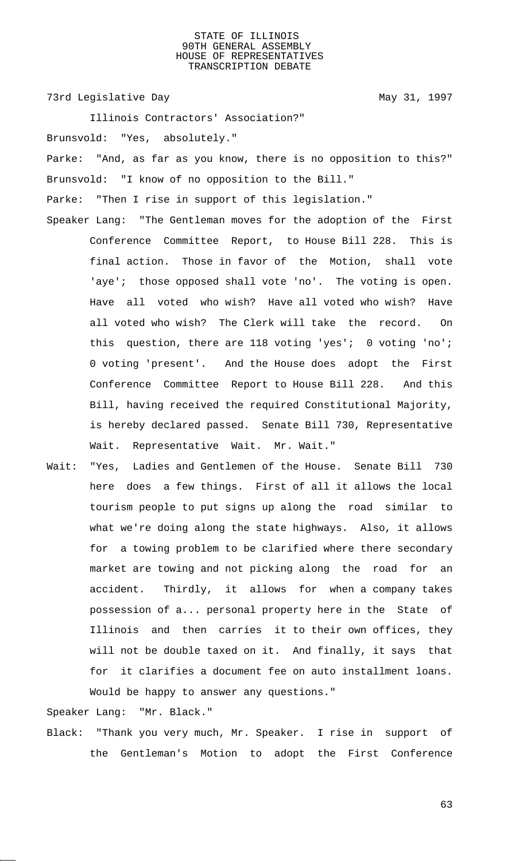73rd Legislative Day 1997

Illinois Contractors' Association?" Brunsvold: "Yes, absolutely." Parke: "And, as far as you know, there is no opposition to this?" Brunsvold: "I know of no opposition to the Bill." Parke: "Then I rise in support of this legislation."

Speaker Lang: "The Gentleman moves for the adoption of the First Conference Committee Report, to House Bill 228. This is final action. Those in favor of the Motion, shall vote 'aye'; those opposed shall vote 'no'. The voting is open. Have all voted who wish? Have all voted who wish? Have all voted who wish? The Clerk will take the record. On this question, there are 118 voting 'yes'; 0 voting 'no'; 0 voting 'present'. And the House does adopt the First Conference Committee Report to House Bill 228. And this Bill, having received the required Constitutional Majority, is hereby declared passed. Senate Bill 730, Representative Wait. Representative Wait. Mr. Wait."

Wait: "Yes, Ladies and Gentlemen of the House. Senate Bill 730 here does a few things. First of all it allows the local tourism people to put signs up along the road similar to what we're doing along the state highways. Also, it allows for a towing problem to be clarified where there secondary market are towing and not picking along the road for an accident. Thirdly, it allows for when a company takes possession of a... personal property here in the State of Illinois and then carries it to their own offices, they will not be double taxed on it. And finally, it says that for it clarifies a document fee on auto installment loans. Would be happy to answer any questions."

Speaker Lang: "Mr. Black."

Black: "Thank you very much, Mr. Speaker. I rise in support of the Gentleman's Motion to adopt the First Conference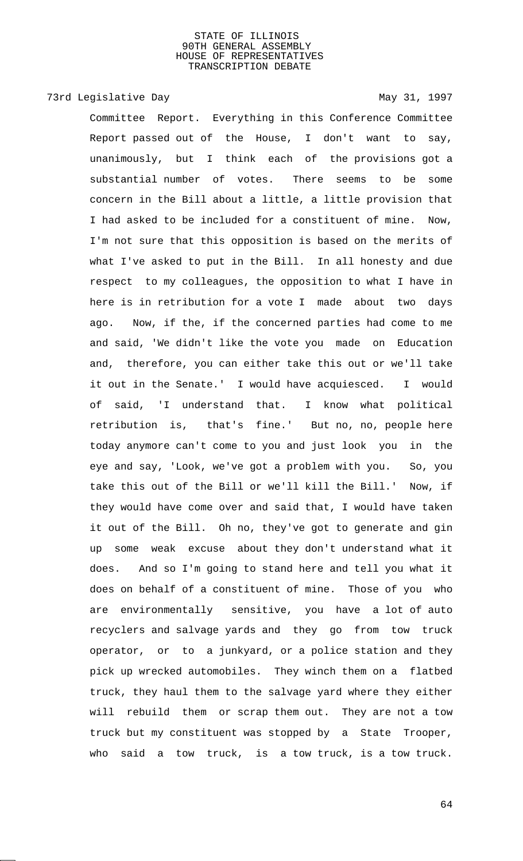# 73rd Legislative Day 1997

Committee Report. Everything in this Conference Committee Report passed out of the House, I don't want to say, unanimously, but I think each of the provisions got a substantial number of votes. There seems to be some concern in the Bill about a little, a little provision that I had asked to be included for a constituent of mine. Now, I'm not sure that this opposition is based on the merits of what I've asked to put in the Bill. In all honesty and due respect to my colleagues, the opposition to what I have in here is in retribution for a vote I made about two days ago. Now, if the, if the concerned parties had come to me and said, 'We didn't like the vote you made on Education and, therefore, you can either take this out or we'll take it out in the Senate.' I would have acquiesced. I would of said, 'I understand that. I know what political retribution is, that's fine.' But no, no, people here today anymore can't come to you and just look you in the eye and say, 'Look, we've got a problem with you. So, you take this out of the Bill or we'll kill the Bill.' Now, if they would have come over and said that, I would have taken it out of the Bill. Oh no, they've got to generate and gin up some weak excuse about they don't understand what it does. And so I'm going to stand here and tell you what it does on behalf of a constituent of mine. Those of you who are environmentally sensitive, you have a lot of auto recyclers and salvage yards and they go from tow truck operator, or to a junkyard, or a police station and they pick up wrecked automobiles. They winch them on a flatbed truck, they haul them to the salvage yard where they either will rebuild them or scrap them out. They are not a tow truck but my constituent was stopped by a State Trooper, who said a tow truck, is a tow truck, is a tow truck.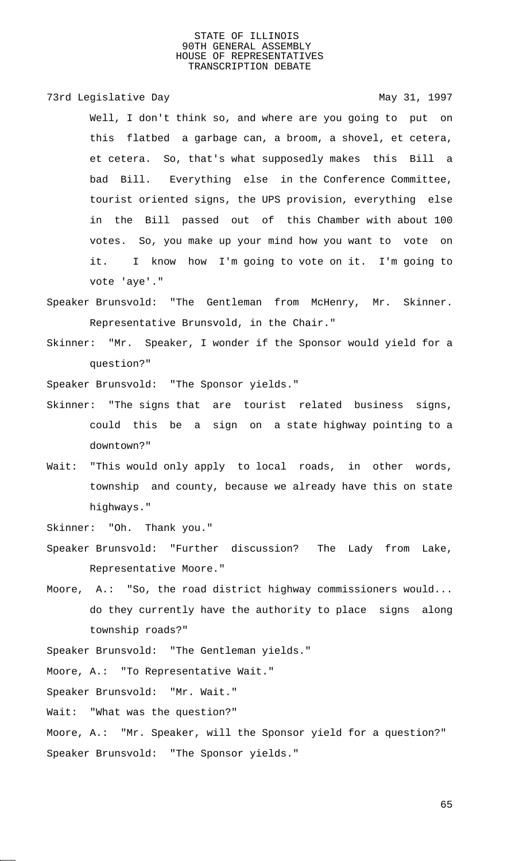73rd Legislative Day 1997

Well, I don't think so, and where are you going to put on this flatbed a garbage can, a broom, a shovel, et cetera, et cetera. So, that's what supposedly makes this Bill a bad Bill. Everything else in the Conference Committee, tourist oriented signs, the UPS provision, everything else in the Bill passed out of this Chamber with about 100 votes. So, you make up your mind how you want to vote on it. I know how I'm going to vote on it. I'm going to vote 'aye'."

- Speaker Brunsvold: "The Gentleman from McHenry, Mr. Skinner. Representative Brunsvold, in the Chair."
- Skinner: "Mr. Speaker, I wonder if the Sponsor would yield for a question?"

Speaker Brunsvold: "The Sponsor yields."

- Skinner: "The signs that are tourist related business signs, could this be a sign on a state highway pointing to a downtown?"
- Wait: "This would only apply to local roads, in other words, township and county, because we already have this on state highways."
- Skinner: "Oh. Thank you."
- Speaker Brunsvold: "Further discussion? The Lady from Lake, Representative Moore."
- Moore, A.: "So, the road district highway commissioners would... do they currently have the authority to place signs along township roads?"

Speaker Brunsvold: "The Gentleman yields."

Moore, A.: "To Representative Wait."

Speaker Brunsvold: "Mr. Wait."

Wait: "What was the question?"

Moore, A.: "Mr. Speaker, will the Sponsor yield for a question?" Speaker Brunsvold: "The Sponsor yields."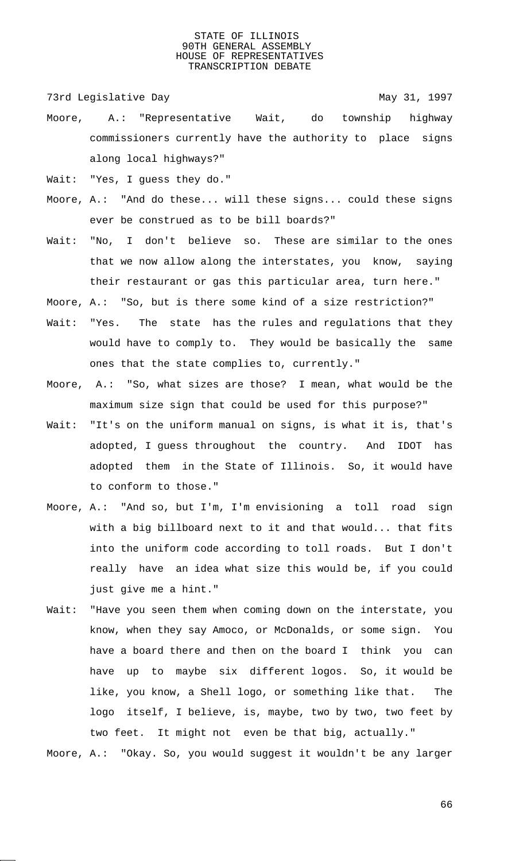73rd Legislative Day 1997

- Moore, A.: "Representative Wait, do township highway commissioners currently have the authority to place signs along local highways?"
- Wait: "Yes, I guess they do."
- Moore, A.: "And do these... will these signs... could these signs ever be construed as to be bill boards?"
- Wait: "No, I don't believe so. These are similar to the ones that we now allow along the interstates, you know, saying their restaurant or gas this particular area, turn here."
- Moore, A.: "So, but is there some kind of a size restriction?"
- Wait: "Yes. The state has the rules and regulations that they would have to comply to. They would be basically the same ones that the state complies to, currently."
- Moore, A.: "So, what sizes are those? I mean, what would be the maximum size sign that could be used for this purpose?"
- Wait: "It's on the uniform manual on signs, is what it is, that's adopted, I guess throughout the country. And IDOT has adopted them in the State of Illinois. So, it would have to conform to those."
- Moore, A.: "And so, but I'm, I'm envisioning a toll road sign with a big billboard next to it and that would... that fits into the uniform code according to toll roads. But I don't really have an idea what size this would be, if you could just give me a hint."
- Wait: "Have you seen them when coming down on the interstate, you know, when they say Amoco, or McDonalds, or some sign. You have a board there and then on the board I think you can have up to maybe six different logos. So, it would be like, you know, a Shell logo, or something like that. The logo itself, I believe, is, maybe, two by two, two feet by two feet. It might not even be that big, actually."
- Moore, A.: "Okay. So, you would suggest it wouldn't be any larger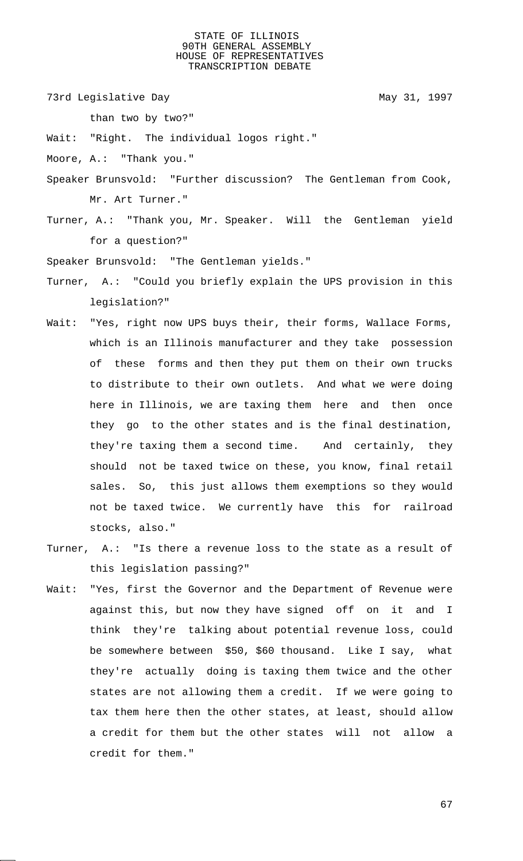73rd Legislative Day 1997

than two by two?"

Wait: "Right. The individual logos right."

Moore, A.: "Thank you."

- Speaker Brunsvold: "Further discussion? The Gentleman from Cook, Mr. Art Turner."
- Turner, A.: "Thank you, Mr. Speaker. Will the Gentleman yield for a question?"

Speaker Brunsvold: "The Gentleman yields."

- Turner, A.: "Could you briefly explain the UPS provision in this legislation?"
- Wait: "Yes, right now UPS buys their, their forms, Wallace Forms, which is an Illinois manufacturer and they take possession of these forms and then they put them on their own trucks to distribute to their own outlets. And what we were doing here in Illinois, we are taxing them here and then once they go to the other states and is the final destination, they're taxing them a second time. And certainly, they should not be taxed twice on these, you know, final retail sales. So, this just allows them exemptions so they would not be taxed twice. We currently have this for railroad stocks, also."
- Turner, A.: "Is there a revenue loss to the state as a result of this legislation passing?"
- Wait: "Yes, first the Governor and the Department of Revenue were against this, but now they have signed off on it and I think they're talking about potential revenue loss, could be somewhere between \$50, \$60 thousand. Like I say, what they're actually doing is taxing them twice and the other states are not allowing them a credit. If we were going to tax them here then the other states, at least, should allow a credit for them but the other states will not allow a credit for them."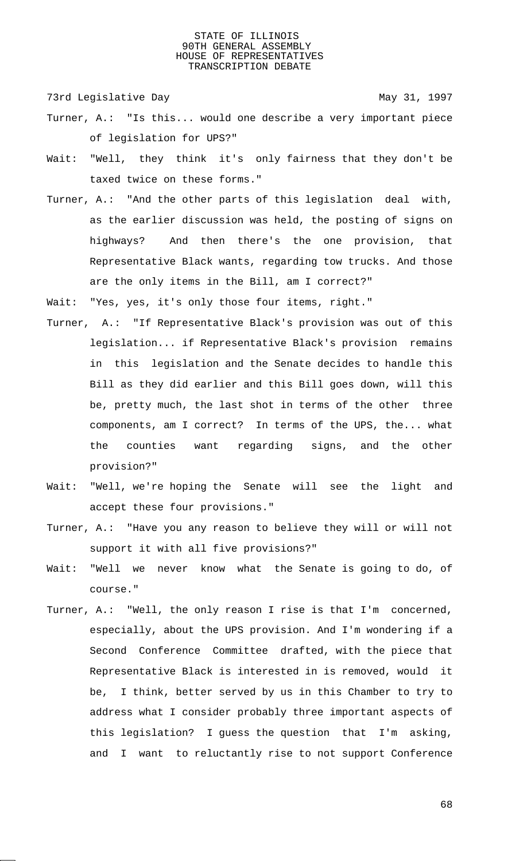73rd Legislative Day 1997

- Turner, A.: "Is this... would one describe a very important piece of legislation for UPS?"
- Wait: "Well, they think it's only fairness that they don't be taxed twice on these forms."
- Turner, A.: "And the other parts of this legislation deal with, as the earlier discussion was held, the posting of signs on highways? And then there's the one provision, that Representative Black wants, regarding tow trucks. And those are the only items in the Bill, am I correct?"
- Wait: "Yes, yes, it's only those four items, right."
- Turner, A.: "If Representative Black's provision was out of this legislation... if Representative Black's provision remains in this legislation and the Senate decides to handle this Bill as they did earlier and this Bill goes down, will this be, pretty much, the last shot in terms of the other three components, am I correct? In terms of the UPS, the... what the counties want regarding signs, and the other provision?"
- Wait: "Well, we're hoping the Senate will see the light and accept these four provisions."
- Turner, A.: "Have you any reason to believe they will or will not support it with all five provisions?"
- Wait: "Well we never know what the Senate is going to do, of course."
- Turner, A.: "Well, the only reason I rise is that I'm concerned, especially, about the UPS provision. And I'm wondering if a Second Conference Committee drafted, with the piece that Representative Black is interested in is removed, would it be, I think, better served by us in this Chamber to try to address what I consider probably three important aspects of this legislation? I guess the question that I'm asking, and I want to reluctantly rise to not support Conference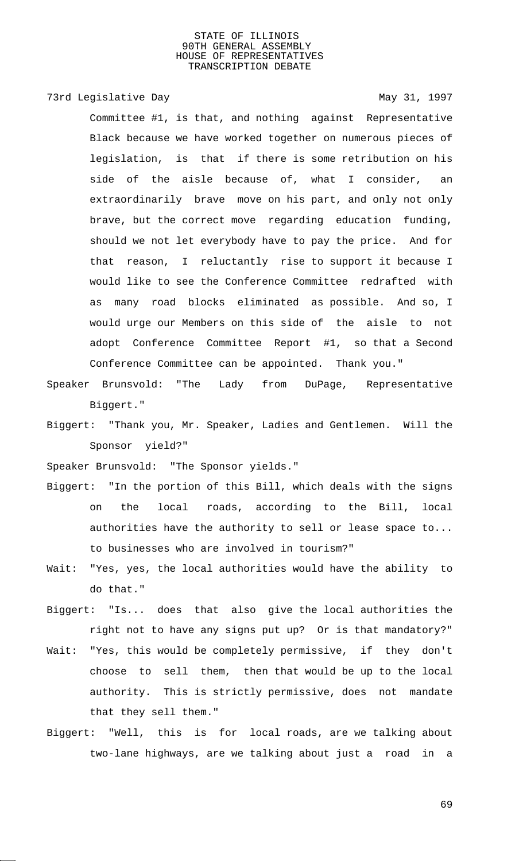73rd Legislative Day 1997 Committee #1, is that, and nothing against Representative Black because we have worked together on numerous pieces of legislation, is that if there is some retribution on his side of the aisle because of, what I consider, an extraordinarily brave move on his part, and only not only brave, but the correct move regarding education funding, should we not let everybody have to pay the price. And for that reason, I reluctantly rise to support it because I would like to see the Conference Committee redrafted with as many road blocks eliminated as possible. And so, I would urge our Members on this side of the aisle to not adopt Conference Committee Report #1, so that a Second Conference Committee can be appointed. Thank you."

- Speaker Brunsvold: "The Lady from DuPage, Representative Biggert."
- Biggert: "Thank you, Mr. Speaker, Ladies and Gentlemen. Will the Sponsor yield?"

Speaker Brunsvold: "The Sponsor yields."

- Biggert: "In the portion of this Bill, which deals with the signs on the local roads, according to the Bill, local authorities have the authority to sell or lease space to... to businesses who are involved in tourism?"
- Wait: "Yes, yes, the local authorities would have the ability to do that."
- Biggert: "Is... does that also give the local authorities the right not to have any signs put up? Or is that mandatory?"
- Wait: "Yes, this would be completely permissive, if they don't choose to sell them, then that would be up to the local authority. This is strictly permissive, does not mandate that they sell them."
- Biggert: "Well, this is for local roads, are we talking about two-lane highways, are we talking about just a road in a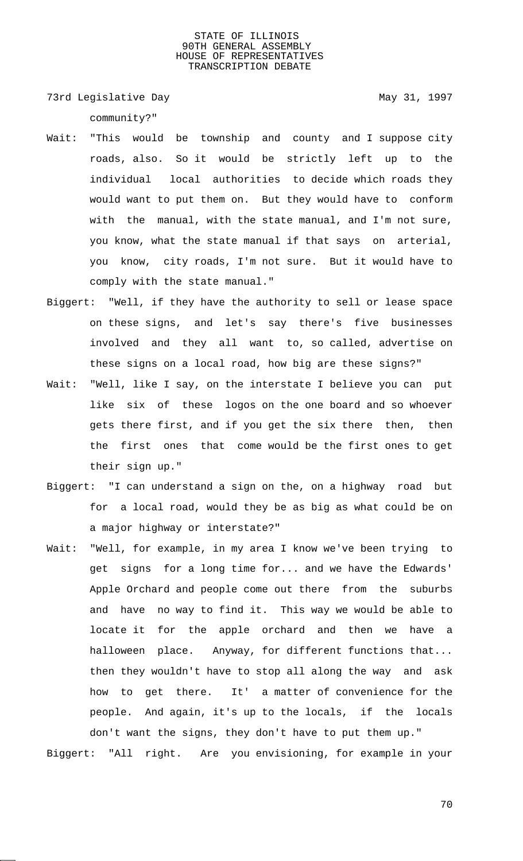73rd Legislative Day 1997

community?"

- Wait: "This would be township and county and I suppose city roads, also. So it would be strictly left up to the individual local authorities to decide which roads they would want to put them on. But they would have to conform with the manual, with the state manual, and I'm not sure, you know, what the state manual if that says on arterial, you know, city roads, I'm not sure. But it would have to comply with the state manual."
- Biggert: "Well, if they have the authority to sell or lease space on these signs, and let's say there's five businesses involved and they all want to, so called, advertise on these signs on a local road, how big are these signs?"
- Wait: "Well, like I say, on the interstate I believe you can put like six of these logos on the one board and so whoever gets there first, and if you get the six there then, then the first ones that come would be the first ones to get their sign up."
- Biggert: "I can understand a sign on the, on a highway road but for a local road, would they be as big as what could be on a major highway or interstate?"
- Wait: "Well, for example, in my area I know we've been trying to get signs for a long time for... and we have the Edwards' Apple Orchard and people come out there from the suburbs and have no way to find it. This way we would be able to locate it for the apple orchard and then we have a halloween place. Anyway, for different functions that... then they wouldn't have to stop all along the way and ask how to get there. It' a matter of convenience for the people. And again, it's up to the locals, if the locals don't want the signs, they don't have to put them up."

Biggert: "All right. Are you envisioning, for example in your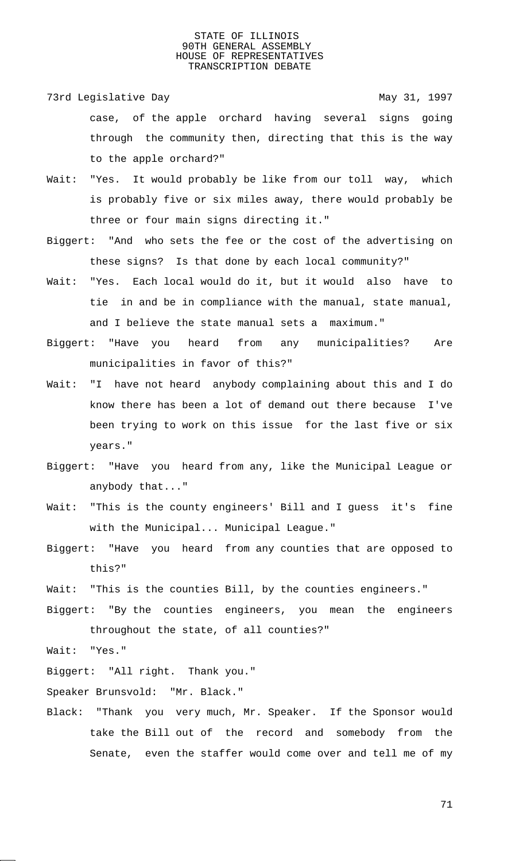73rd Legislative Day 1997 case, of the apple orchard having several signs going through the community then, directing that this is the way to the apple orchard?"

- Wait: "Yes. It would probably be like from our toll way, which is probably five or six miles away, there would probably be three or four main signs directing it."
- Biggert: "And who sets the fee or the cost of the advertising on these signs? Is that done by each local community?"
- Wait: "Yes. Each local would do it, but it would also have to tie in and be in compliance with the manual, state manual, and I believe the state manual sets a maximum."
- Biggert: "Have you heard from any municipalities? Are municipalities in favor of this?"
- Wait: "I have not heard anybody complaining about this and I do know there has been a lot of demand out there because I've been trying to work on this issue for the last five or six years."
- Biggert: "Have you heard from any, like the Municipal League or anybody that..."
- Wait: "This is the county engineers' Bill and I guess it's fine with the Municipal... Municipal League."
- Biggert: "Have you heard from any counties that are opposed to this?"
- Wait: "This is the counties Bill, by the counties engineers."
- Biggert: "By the counties engineers, you mean the engineers throughout the state, of all counties?"

Wait: "Yes."

Biggert: "All right. Thank you."

Speaker Brunsvold: "Mr. Black."

Black: "Thank you very much, Mr. Speaker. If the Sponsor would take the Bill out of the record and somebody from the Senate, even the staffer would come over and tell me of my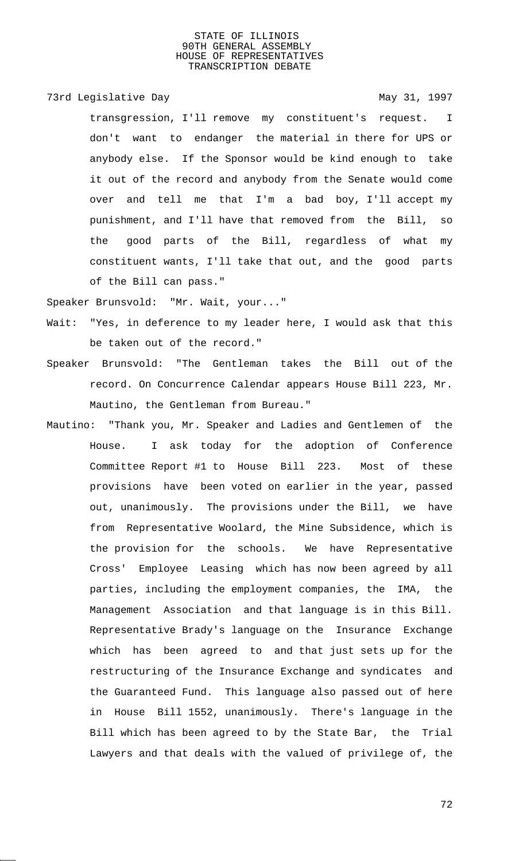73rd Legislative Day 1997

transgression, I'll remove my constituent's request. I don't want to endanger the material in there for UPS or anybody else. If the Sponsor would be kind enough to take it out of the record and anybody from the Senate would come over and tell me that I'm a bad boy, I'll accept my punishment, and I'll have that removed from the Bill, so the good parts of the Bill, regardless of what my constituent wants, I'll take that out, and the good parts of the Bill can pass."

Speaker Brunsvold: "Mr. Wait, your..."

- Wait: "Yes, in deference to my leader here, I would ask that this be taken out of the record."
- Speaker Brunsvold: "The Gentleman takes the Bill out of the record. On Concurrence Calendar appears House Bill 223, Mr. Mautino, the Gentleman from Bureau."
- Mautino: "Thank you, Mr. Speaker and Ladies and Gentlemen of the House. I ask today for the adoption of Conference Committee Report #1 to House Bill 223. Most of these provisions have been voted on earlier in the year, passed out, unanimously. The provisions under the Bill, we have from Representative Woolard, the Mine Subsidence, which is the provision for the schools. We have Representative Cross' Employee Leasing which has now been agreed by all parties, including the employment companies, the IMA, the Management Association and that language is in this Bill. Representative Brady's language on the Insurance Exchange which has been agreed to and that just sets up for the restructuring of the Insurance Exchange and syndicates and the Guaranteed Fund. This language also passed out of here in House Bill 1552, unanimously. There's language in the Bill which has been agreed to by the State Bar, the Trial Lawyers and that deals with the valued of privilege of, the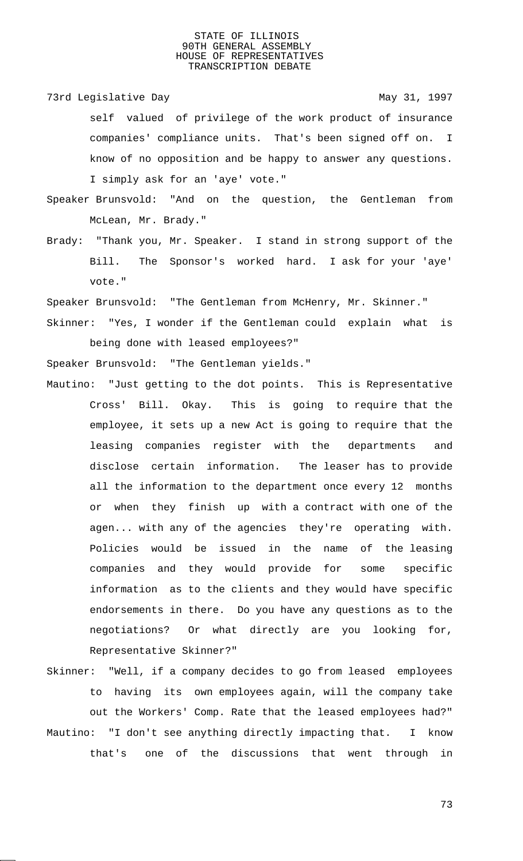73rd Legislative Day 1997 self valued of privilege of the work product of insurance companies' compliance units. That's been signed off on. I know of no opposition and be happy to answer any questions. I simply ask for an 'aye' vote."

- Speaker Brunsvold: "And on the question, the Gentleman from McLean, Mr. Brady."
- Brady: "Thank you, Mr. Speaker. I stand in strong support of the Bill. The Sponsor's worked hard. I ask for your 'aye' vote."

Speaker Brunsvold: "The Gentleman from McHenry, Mr. Skinner."

Skinner: "Yes, I wonder if the Gentleman could explain what is being done with leased employees?"

Speaker Brunsvold: "The Gentleman yields."

- Mautino: "Just getting to the dot points. This is Representative Cross' Bill. Okay. This is going to require that the employee, it sets up a new Act is going to require that the leasing companies register with the departments and disclose certain information. The leaser has to provide all the information to the department once every 12 months or when they finish up with a contract with one of the agen... with any of the agencies they're operating with. Policies would be issued in the name of the leasing companies and they would provide for some specific information as to the clients and they would have specific endorsements in there. Do you have any questions as to the negotiations? Or what directly are you looking for, Representative Skinner?"
- Skinner: "Well, if a company decides to go from leased employees to having its own employees again, will the company take out the Workers' Comp. Rate that the leased employees had?" Mautino: "I don't see anything directly impacting that. I know that's one of the discussions that went through in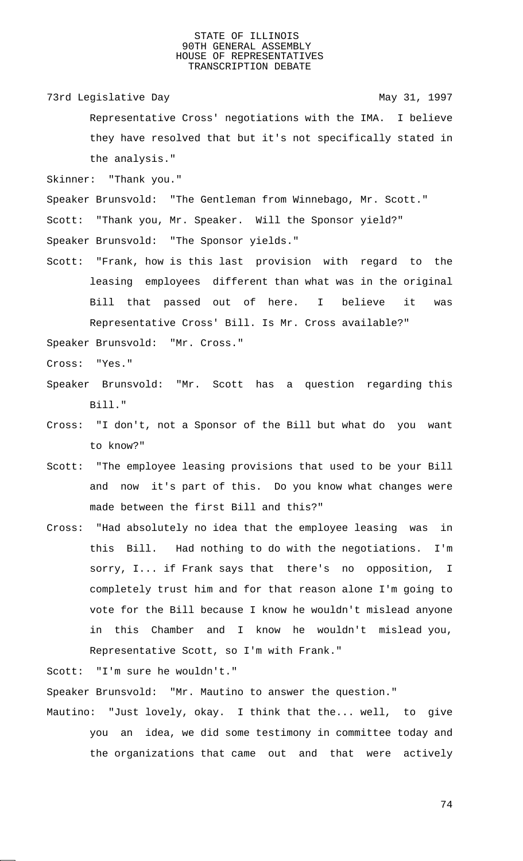73rd Legislative Day 1997

Representative Cross' negotiations with the IMA. I believe they have resolved that but it's not specifically stated in the analysis."

Skinner: "Thank you."

Speaker Brunsvold: "The Gentleman from Winnebago, Mr. Scott." Scott: "Thank you, Mr. Speaker. Will the Sponsor yield?"

Speaker Brunsvold: "The Sponsor yields."

Scott: "Frank, how is this last provision with regard to the leasing employees different than what was in the original Bill that passed out of here. I believe it was Representative Cross' Bill. Is Mr. Cross available?"

Speaker Brunsvold: "Mr. Cross."

Cross: "Yes."

- Speaker Brunsvold: "Mr. Scott has a question regarding this Bill."
- Cross: "I don't, not a Sponsor of the Bill but what do you want to know?"
- Scott: "The employee leasing provisions that used to be your Bill and now it's part of this. Do you know what changes were made between the first Bill and this?"
- Cross: "Had absolutely no idea that the employee leasing was in this Bill. Had nothing to do with the negotiations. I'm sorry, I... if Frank says that there's no opposition, I completely trust him and for that reason alone I'm going to vote for the Bill because I know he wouldn't mislead anyone in this Chamber and I know he wouldn't mislead you, Representative Scott, so I'm with Frank."

Scott: "I'm sure he wouldn't."

Speaker Brunsvold: "Mr. Mautino to answer the question."

Mautino: "Just lovely, okay. I think that the... well, to give you an idea, we did some testimony in committee today and the organizations that came out and that were actively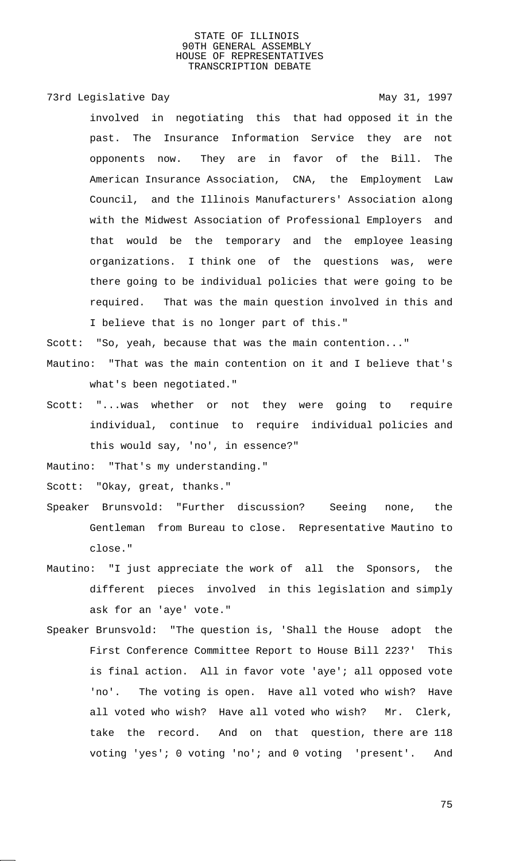## 73rd Legislative Day 1997

involved in negotiating this that had opposed it in the past. The Insurance Information Service they are not opponents now. They are in favor of the Bill. The American Insurance Association, CNA, the Employment Law Council, and the Illinois Manufacturers' Association along with the Midwest Association of Professional Employers and that would be the temporary and the employee leasing organizations. I think one of the questions was, were there going to be individual policies that were going to be required. That was the main question involved in this and I believe that is no longer part of this."

Scott: "So, yeah, because that was the main contention..."

- Mautino: "That was the main contention on it and I believe that's what's been negotiated."
- Scott: "...was whether or not they were going to require individual, continue to require individual policies and this would say, 'no', in essence?"

Mautino: "That's my understanding."

Scott: "Okay, great, thanks."

- Speaker Brunsvold: "Further discussion? Seeing none, the Gentleman from Bureau to close. Representative Mautino to close."
- Mautino: "I just appreciate the work of all the Sponsors, the different pieces involved in this legislation and simply ask for an 'aye' vote."
- Speaker Brunsvold: "The question is, 'Shall the House adopt the First Conference Committee Report to House Bill 223?' This is final action. All in favor vote 'aye'; all opposed vote 'no'. The voting is open. Have all voted who wish? Have all voted who wish? Have all voted who wish? Mr. Clerk, take the record. And on that question, there are 118 voting 'yes'; 0 voting 'no'; and 0 voting 'present'. And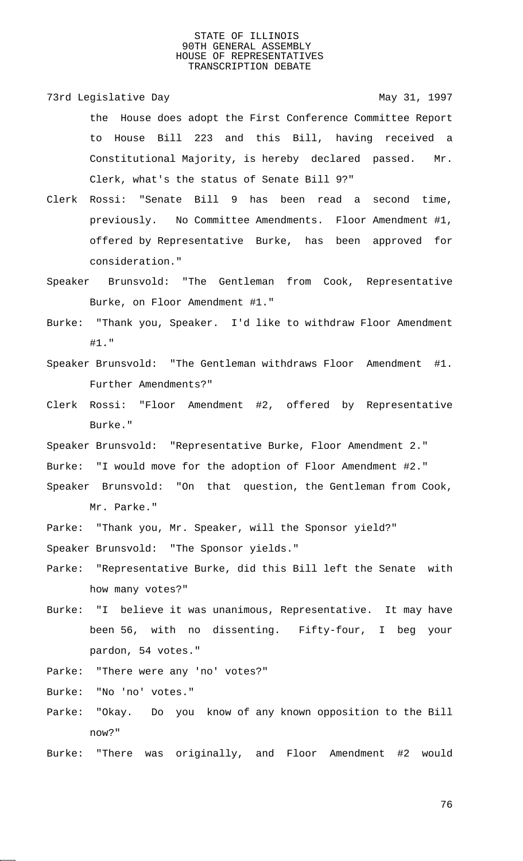73rd Legislative Day 1997 the House does adopt the First Conference Committee Report to House Bill 223 and this Bill, having received a Constitutional Majority, is hereby declared passed. Mr. Clerk, what's the status of Senate Bill 9?"

- Clerk Rossi: "Senate Bill 9 has been read a second time, previously. No Committee Amendments. Floor Amendment #1, offered by Representative Burke, has been approved for consideration."
- Speaker Brunsvold: "The Gentleman from Cook, Representative Burke, on Floor Amendment #1."

Burke: "Thank you, Speaker. I'd like to withdraw Floor Amendment #1."

- Speaker Brunsvold: "The Gentleman withdraws Floor Amendment #1. Further Amendments?"
- Clerk Rossi: "Floor Amendment #2, offered by Representative Burke."
- Speaker Brunsvold: "Representative Burke, Floor Amendment 2."
- Burke: "I would move for the adoption of Floor Amendment #2."
- Speaker Brunsvold: "On that question, the Gentleman from Cook, Mr. Parke."
- Parke: "Thank you, Mr. Speaker, will the Sponsor yield?" Speaker Brunsvold: "The Sponsor yields."
- Parke: "Representative Burke, did this Bill left the Senate with how many votes?"
- Burke: "I believe it was unanimous, Representative. It may have been 56, with no dissenting. Fifty-four, I beg your pardon, 54 votes."
- Parke: "There were any 'no' votes?"

Burke: "No 'no' votes."

- Parke: "Okay. Do you know of any known opposition to the Bill now?"
- Burke: "There was originally, and Floor Amendment #2 would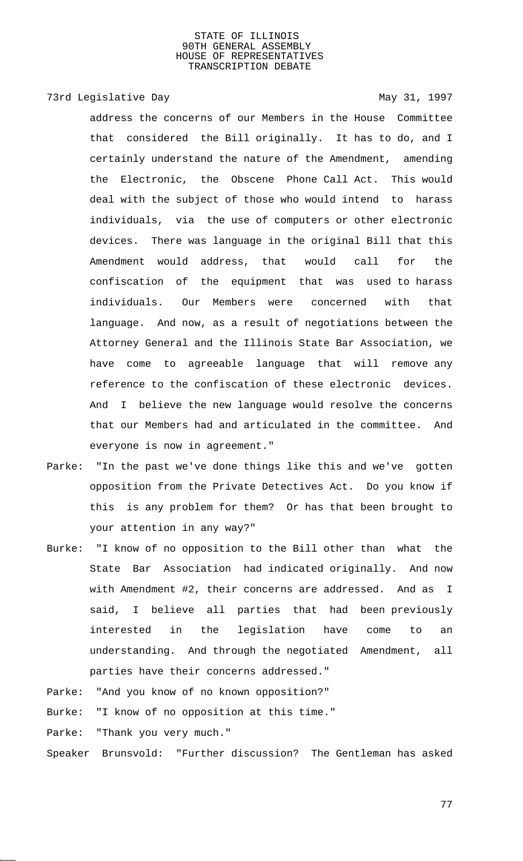# 73rd Legislative Day 1997

address the concerns of our Members in the House Committee that considered the Bill originally. It has to do, and I certainly understand the nature of the Amendment, amending the Electronic, the Obscene Phone Call Act. This would deal with the subject of those who would intend to harass individuals, via the use of computers or other electronic devices. There was language in the original Bill that this Amendment would address, that would call for the confiscation of the equipment that was used to harass individuals. Our Members were concerned with that language. And now, as a result of negotiations between the Attorney General and the Illinois State Bar Association, we have come to agreeable language that will remove any reference to the confiscation of these electronic devices. And I believe the new language would resolve the concerns that our Members had and articulated in the committee. And everyone is now in agreement."

Parke: "In the past we've done things like this and we've gotten opposition from the Private Detectives Act. Do you know if this is any problem for them? Or has that been brought to your attention in any way?"

Burke: "I know of no opposition to the Bill other than what the State Bar Association had indicated originally. And now with Amendment #2, their concerns are addressed. And as I said, I believe all parties that had been previously interested in the legislation have come to an understanding. And through the negotiated Amendment, all parties have their concerns addressed."

# Parke: "And you know of no known opposition?"

Burke: "I know of no opposition at this time."

Parke: "Thank you very much."

Speaker Brunsvold: "Further discussion? The Gentleman has asked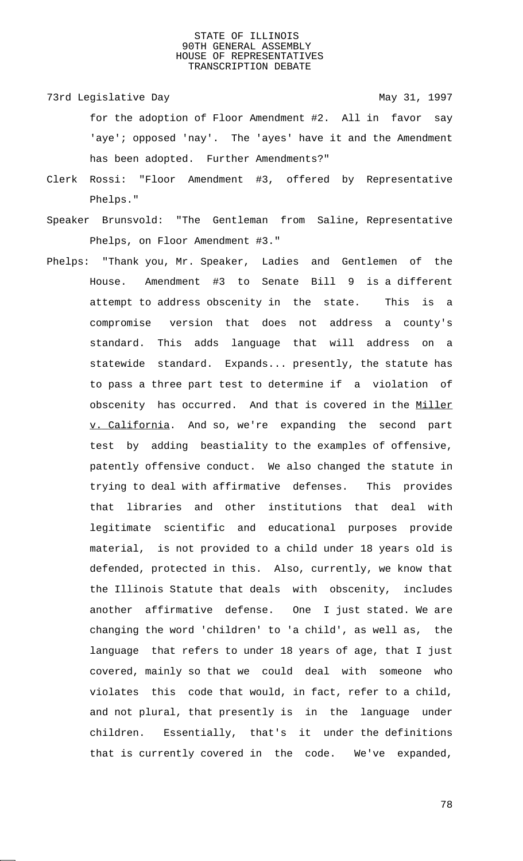- 73rd Legislative Day 1997 for the adoption of Floor Amendment #2. All in favor say 'aye'; opposed 'nay'. The 'ayes' have it and the Amendment has been adopted. Further Amendments?"
- Clerk Rossi: "Floor Amendment #3, offered by Representative Phelps."
- Speaker Brunsvold: "The Gentleman from Saline, Representative Phelps, on Floor Amendment #3."
- Phelps: "Thank you, Mr. Speaker, Ladies and Gentlemen of the House. Amendment #3 to Senate Bill 9 is a different attempt to address obscenity in the state. This is a compromise version that does not address a county's standard. This adds language that will address on a statewide standard. Expands... presently, the statute has to pass a three part test to determine if a violation of obscenity has occurred. And that is covered in the Miller v. California. And so, we're expanding the second part test by adding beastiality to the examples of offensive, patently offensive conduct. We also changed the statute in trying to deal with affirmative defenses. This provides that libraries and other institutions that deal with legitimate scientific and educational purposes provide material, is not provided to a child under 18 years old is defended, protected in this. Also, currently, we know that the Illinois Statute that deals with obscenity, includes another affirmative defense. One I just stated. We are changing the word 'children' to 'a child', as well as, the language that refers to under 18 years of age, that I just covered, mainly so that we could deal with someone who violates this code that would, in fact, refer to a child, and not plural, that presently is in the language under children. Essentially, that's it under the definitions that is currently covered in the code. We've expanded,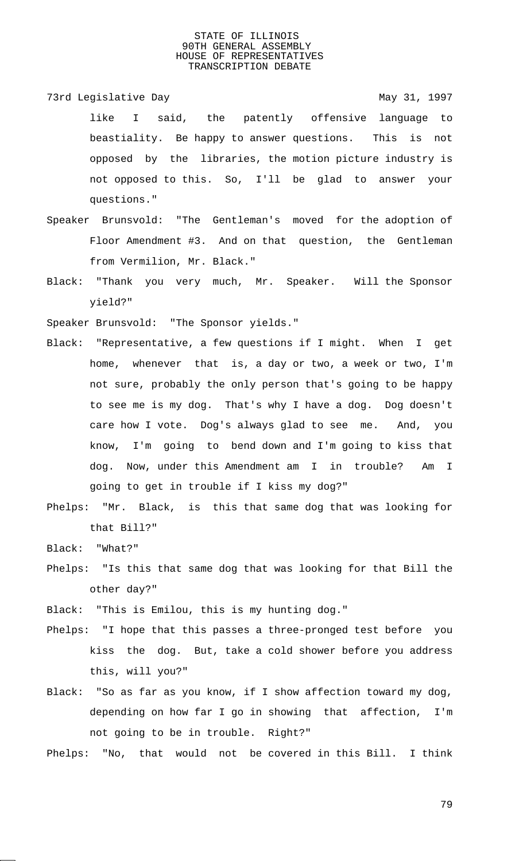73rd Legislative Day 1997 like I said, the patently offensive language to beastiality. Be happy to answer questions. This is not opposed by the libraries, the motion picture industry is not opposed to this. So, I'll be glad to answer your questions."

- Speaker Brunsvold: "The Gentleman's moved for the adoption of Floor Amendment #3. And on that question, the Gentleman from Vermilion, Mr. Black."
- Black: "Thank you very much, Mr. Speaker. Will the Sponsor yield?"

Speaker Brunsvold: "The Sponsor yields."

- Black: "Representative, a few questions if I might. When I get home, whenever that is, a day or two, a week or two, I'm not sure, probably the only person that's going to be happy to see me is my dog. That's why I have a dog. Dog doesn't care how I vote. Dog's always glad to see me. And, you know, I'm going to bend down and I'm going to kiss that dog. Now, under this Amendment am I in trouble? Am I going to get in trouble if I kiss my dog?"
- Phelps: "Mr. Black, is this that same dog that was looking for that Bill?"

Black: "What?"

Phelps: "Is this that same dog that was looking for that Bill the other day?"

Black: "This is Emilou, this is my hunting dog."

- Phelps: "I hope that this passes a three-pronged test before you kiss the dog. But, take a cold shower before you address this, will you?"
- Black: "So as far as you know, if I show affection toward my dog, depending on how far I go in showing that affection, I'm not going to be in trouble. Right?"

Phelps: "No, that would not be covered in this Bill. I think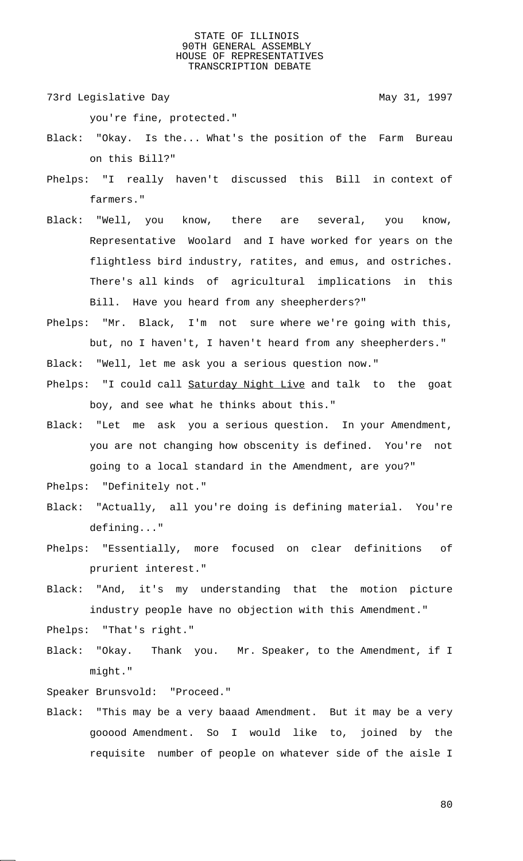73rd Legislative Day 1997

you're fine, protected."

- Black: "Okay. Is the... What's the position of the Farm Bureau on this Bill?"
- Phelps: "I really haven't discussed this Bill in context of farmers."
- Black: "Well, you know, there are several, you know, Representative Woolard and I have worked for years on the flightless bird industry, ratites, and emus, and ostriches. There's all kinds of agricultural implications in this Bill. Have you heard from any sheepherders?"
- Phelps: "Mr. Black, I'm not sure where we're going with this, but, no I haven't, I haven't heard from any sheepherders."
- Black: "Well, let me ask you a serious question now."
- Phelps: "I could call Saturday Night Live and talk to the goat boy, and see what he thinks about this."
- Black: "Let me ask you a serious question. In your Amendment, you are not changing how obscenity is defined. You're not going to a local standard in the Amendment, are you?"
- Phelps: "Definitely not."
- Black: "Actually, all you're doing is defining material. You're defining..."
- Phelps: "Essentially, more focused on clear definitions of prurient interest."
- Black: "And, it's my understanding that the motion picture industry people have no objection with this Amendment."
- Phelps: "That's right."
- Black: "Okay. Thank you. Mr. Speaker, to the Amendment, if I might."

Speaker Brunsvold: "Proceed."

Black: "This may be a very baaad Amendment. But it may be a very gooood Amendment. So I would like to, joined by the requisite number of people on whatever side of the aisle I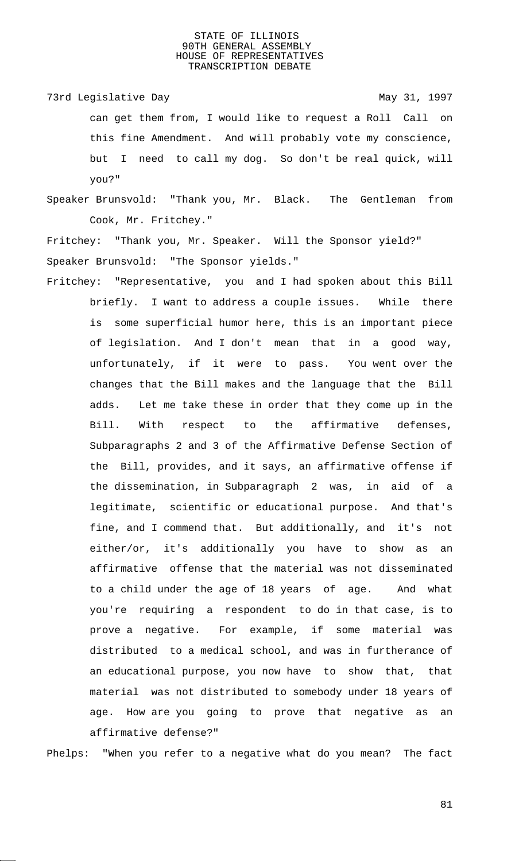73rd Legislative Day 1997 can get them from, I would like to request a Roll Call on this fine Amendment. And will probably vote my conscience, but I need to call my dog. So don't be real quick, will you?"

Speaker Brunsvold: "Thank you, Mr. Black. The Gentleman from Cook, Mr. Fritchey."

Fritchey: "Thank you, Mr. Speaker. Will the Sponsor yield?" Speaker Brunsvold: "The Sponsor yields."

Fritchey: "Representative, you and I had spoken about this Bill briefly. I want to address a couple issues. While there is some superficial humor here, this is an important piece of legislation. And I don't mean that in a good way, unfortunately, if it were to pass. You went over the changes that the Bill makes and the language that the Bill adds. Let me take these in order that they come up in the Bill. With respect to the affirmative defenses, Subparagraphs 2 and 3 of the Affirmative Defense Section of the Bill, provides, and it says, an affirmative offense if the dissemination, in Subparagraph 2 was, in aid of a legitimate, scientific or educational purpose. And that's fine, and I commend that. But additionally, and it's not either/or, it's additionally you have to show as an affirmative offense that the material was not disseminated to a child under the age of 18 years of age. And what you're requiring a respondent to do in that case, is to prove a negative. For example, if some material was distributed to a medical school, and was in furtherance of an educational purpose, you now have to show that, that material was not distributed to somebody under 18 years of age. How are you going to prove that negative as an affirmative defense?"

Phelps: "When you refer to a negative what do you mean? The fact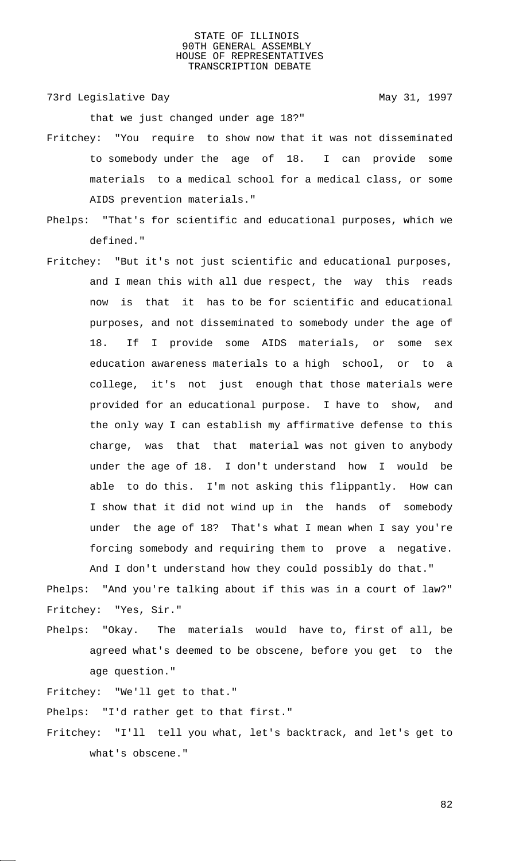73rd Legislative Day 1997

that we just changed under age 18?"

- Fritchey: "You require to show now that it was not disseminated to somebody under the age of 18. I can provide some materials to a medical school for a medical class, or some AIDS prevention materials."
- Phelps: "That's for scientific and educational purposes, which we defined."
- Fritchey: "But it's not just scientific and educational purposes, and I mean this with all due respect, the way this reads now is that it has to be for scientific and educational purposes, and not disseminated to somebody under the age of 18. If I provide some AIDS materials, or some sex education awareness materials to a high school, or to a college, it's not just enough that those materials were provided for an educational purpose. I have to show, and the only way I can establish my affirmative defense to this charge, was that that material was not given to anybody under the age of 18. I don't understand how I would be able to do this. I'm not asking this flippantly. How can I show that it did not wind up in the hands of somebody under the age of 18? That's what I mean when I say you're forcing somebody and requiring them to prove a negative. And I don't understand how they could possibly do that."

Phelps: "And you're talking about if this was in a court of law?" Fritchey: "Yes, Sir."

Phelps: "Okay. The materials would have to, first of all, be agreed what's deemed to be obscene, before you get to the age question."

Fritchey: "We'll get to that."

Phelps: "I'd rather get to that first."

Fritchey: "I'll tell you what, let's backtrack, and let's get to what's obscene."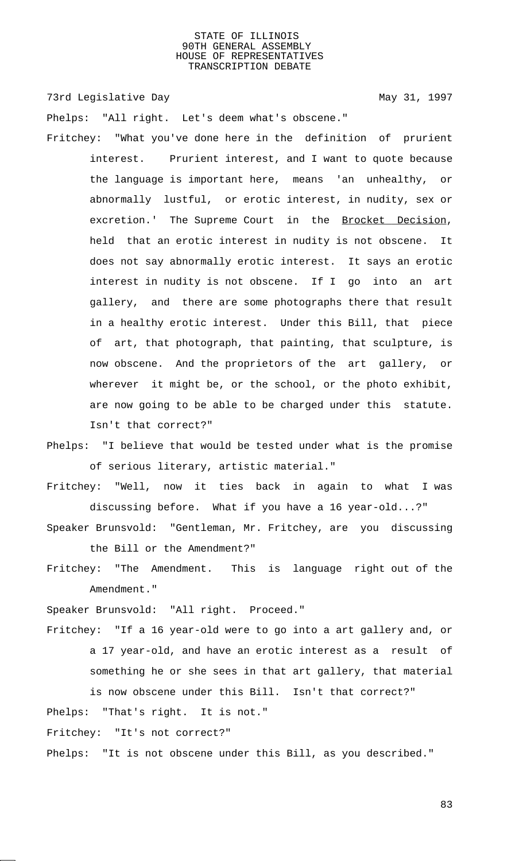73rd Legislative Day 1997

Phelps: "All right. Let's deem what's obscene."

- Fritchey: "What you've done here in the definition of prurient interest. Prurient interest, and I want to quote because the language is important here, means 'an unhealthy, or abnormally lustful, or erotic interest, in nudity, sex or excretion.' The Supreme Court in the Brocket Decision, held that an erotic interest in nudity is not obscene. It does not say abnormally erotic interest. It says an erotic interest in nudity is not obscene. If I go into an art gallery, and there are some photographs there that result in a healthy erotic interest. Under this Bill, that piece of art, that photograph, that painting, that sculpture, is now obscene. And the proprietors of the art gallery, or wherever it might be, or the school, or the photo exhibit, are now going to be able to be charged under this statute. Isn't that correct?"
- Phelps: "I believe that would be tested under what is the promise of serious literary, artistic material."
- Fritchey: "Well, now it ties back in again to what I was discussing before. What if you have a 16 year-old...?"
- Speaker Brunsvold: "Gentleman, Mr. Fritchey, are you discussing the Bill or the Amendment?"
- Fritchey: "The Amendment. This is language right out of the Amendment."

Speaker Brunsvold: "All right. Proceed."

- Fritchey: "If a 16 year-old were to go into a art gallery and, or a 17 year-old, and have an erotic interest as a result of something he or she sees in that art gallery, that material is now obscene under this Bill. Isn't that correct?"
- Phelps: "That's right. It is not."

Fritchey: "It's not correct?"

Phelps: "It is not obscene under this Bill, as you described."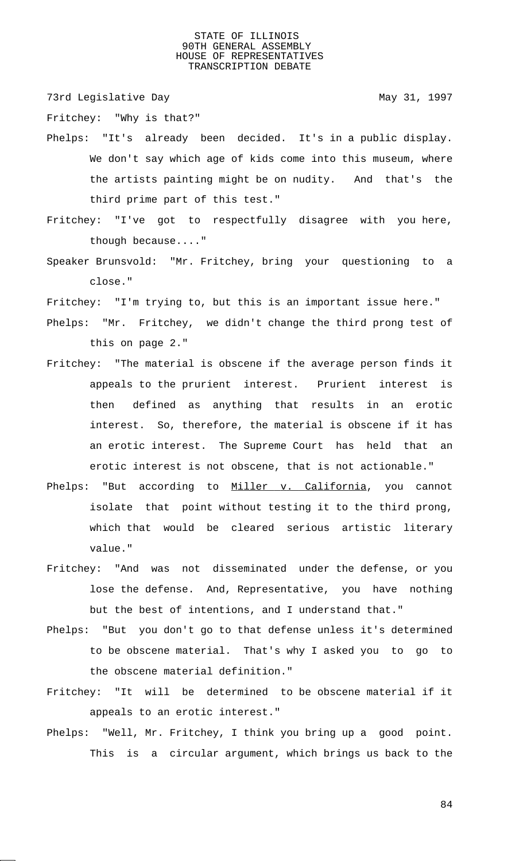73rd Legislative Day 1997

Fritchey: "Why is that?"

- Phelps: "It's already been decided. It's in a public display. We don't say which age of kids come into this museum, where the artists painting might be on nudity. And that's the third prime part of this test."
- Fritchey: "I've got to respectfully disagree with you here, though because...."
- Speaker Brunsvold: "Mr. Fritchey, bring your questioning to a close."
- Fritchey: "I'm trying to, but this is an important issue here."
- Phelps: "Mr. Fritchey, we didn't change the third prong test of this on page 2."
- Fritchey: "The material is obscene if the average person finds it appeals to the prurient interest. Prurient interest is then defined as anything that results in an erotic interest. So, therefore, the material is obscene if it has an erotic interest. The Supreme Court has held that an erotic interest is not obscene, that is not actionable."
- Phelps: "But according to Miller v. California, you cannot isolate that point without testing it to the third prong, which that would be cleared serious artistic literary value."
- Fritchey: "And was not disseminated under the defense, or you lose the defense. And, Representative, you have nothing but the best of intentions, and I understand that."
- Phelps: "But you don't go to that defense unless it's determined to be obscene material. That's why I asked you to go to the obscene material definition."
- Fritchey: "It will be determined to be obscene material if it appeals to an erotic interest."
- Phelps: "Well, Mr. Fritchey, I think you bring up a good point. This is a circular argument, which brings us back to the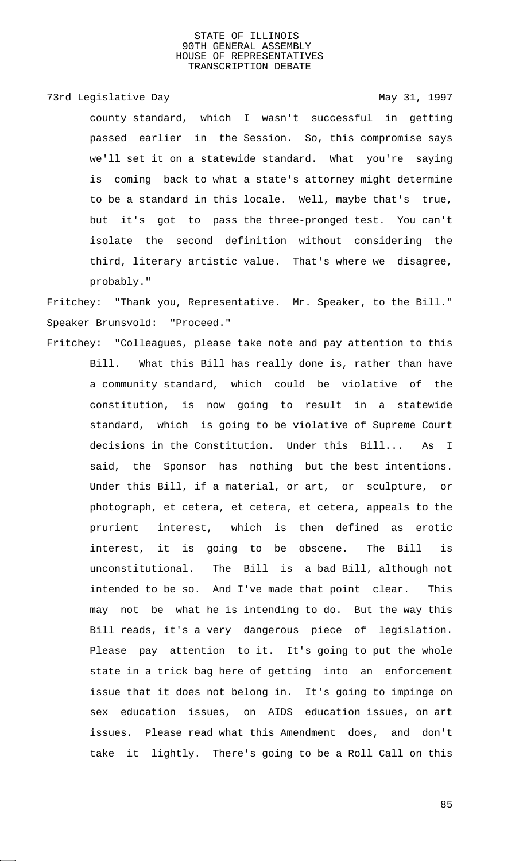73rd Legislative Day 1997

county standard, which I wasn't successful in getting passed earlier in the Session. So, this compromise says we'll set it on a statewide standard. What you're saying is coming back to what a state's attorney might determine to be a standard in this locale. Well, maybe that's true, but it's got to pass the three-pronged test. You can't isolate the second definition without considering the third, literary artistic value. That's where we disagree, probably."

Fritchey: "Thank you, Representative. Mr. Speaker, to the Bill." Speaker Brunsvold: "Proceed."

Fritchey: "Colleagues, please take note and pay attention to this Bill. What this Bill has really done is, rather than have a community standard, which could be violative of the constitution, is now going to result in a statewide standard, which is going to be violative of Supreme Court decisions in the Constitution. Under this Bill... As I said, the Sponsor has nothing but the best intentions. Under this Bill, if a material, or art, or sculpture, or photograph, et cetera, et cetera, et cetera, appeals to the prurient interest, which is then defined as erotic interest, it is going to be obscene. The Bill is unconstitutional. The Bill is a bad Bill, although not intended to be so. And I've made that point clear. This may not be what he is intending to do. But the way this Bill reads, it's a very dangerous piece of legislation. Please pay attention to it. It's going to put the whole state in a trick bag here of getting into an enforcement issue that it does not belong in. It's going to impinge on sex education issues, on AIDS education issues, on art issues. Please read what this Amendment does, and don't take it lightly. There's going to be a Roll Call on this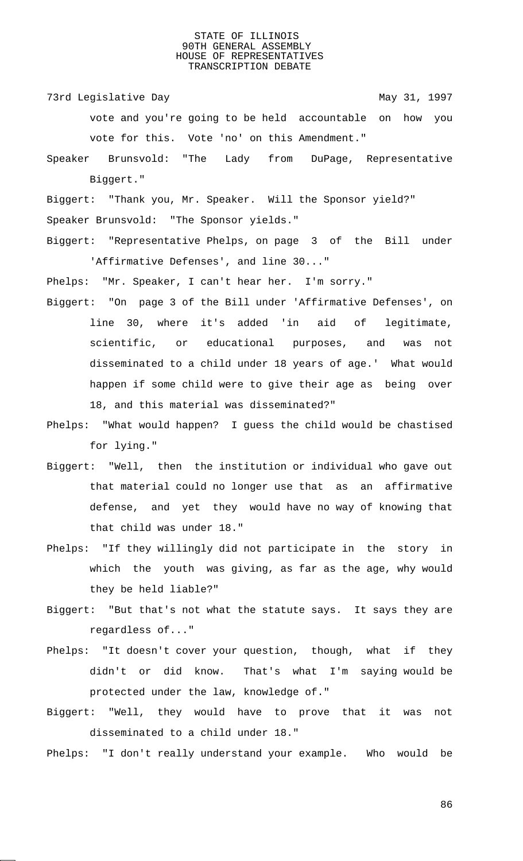73rd Legislative Day 1997

- vote and you're going to be held accountable on how you vote for this. Vote 'no' on this Amendment."
- Speaker Brunsvold: "The Lady from DuPage, Representative Biggert."
- Biggert: "Thank you, Mr. Speaker. Will the Sponsor yield?" Speaker Brunsvold: "The Sponsor yields."
- Biggert: "Representative Phelps, on page 3 of the Bill under 'Affirmative Defenses', and line 30..."

Phelps: "Mr. Speaker, I can't hear her. I'm sorry."

- Biggert: "On page 3 of the Bill under 'Affirmative Defenses', on line 30, where it's added 'in aid of legitimate, scientific, or educational purposes, and was not disseminated to a child under 18 years of age.' What would happen if some child were to give their age as being over 18, and this material was disseminated?"
- Phelps: "What would happen? I guess the child would be chastised for lying."
- Biggert: "Well, then the institution or individual who gave out that material could no longer use that as an affirmative defense, and yet they would have no way of knowing that that child was under 18."
- Phelps: "If they willingly did not participate in the story in which the youth was giving, as far as the age, why would they be held liable?"
- Biggert: "But that's not what the statute says. It says they are regardless of..."
- Phelps: "It doesn't cover your question, though, what if they didn't or did know. That's what I'm saying would be protected under the law, knowledge of."
- Biggert: "Well, they would have to prove that it was not disseminated to a child under 18."
- Phelps: "I don't really understand your example. Who would be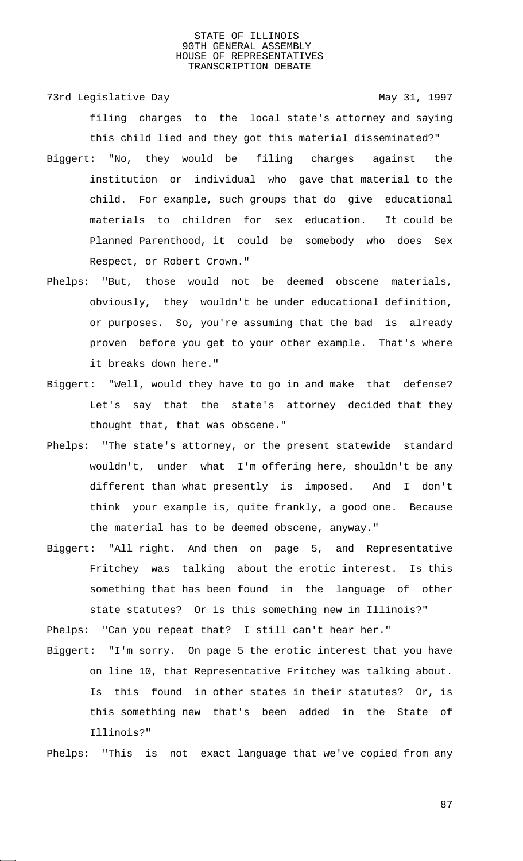73rd Legislative Day 1997 filing charges to the local state's attorney and saying this child lied and they got this material disseminated?"

- Biggert: "No, they would be filing charges against the institution or individual who gave that material to the child. For example, such groups that do give educational materials to children for sex education. It could be Planned Parenthood, it could be somebody who does Sex Respect, or Robert Crown."
- Phelps: "But, those would not be deemed obscene materials, obviously, they wouldn't be under educational definition, or purposes. So, you're assuming that the bad is already proven before you get to your other example. That's where it breaks down here."
- Biggert: "Well, would they have to go in and make that defense? Let's say that the state's attorney decided that they thought that, that was obscene."
- Phelps: "The state's attorney, or the present statewide standard wouldn't, under what I'm offering here, shouldn't be any different than what presently is imposed. And I don't think your example is, quite frankly, a good one. Because the material has to be deemed obscene, anyway."
- Biggert: "All right. And then on page 5, and Representative Fritchey was talking about the erotic interest. Is this something that has been found in the language of other state statutes? Or is this something new in Illinois?"

Phelps: "Can you repeat that? I still can't hear her."

Biggert: "I'm sorry. On page 5 the erotic interest that you have on line 10, that Representative Fritchey was talking about. Is this found in other states in their statutes? Or, is this something new that's been added in the State of Illinois?"

Phelps: "This is not exact language that we've copied from any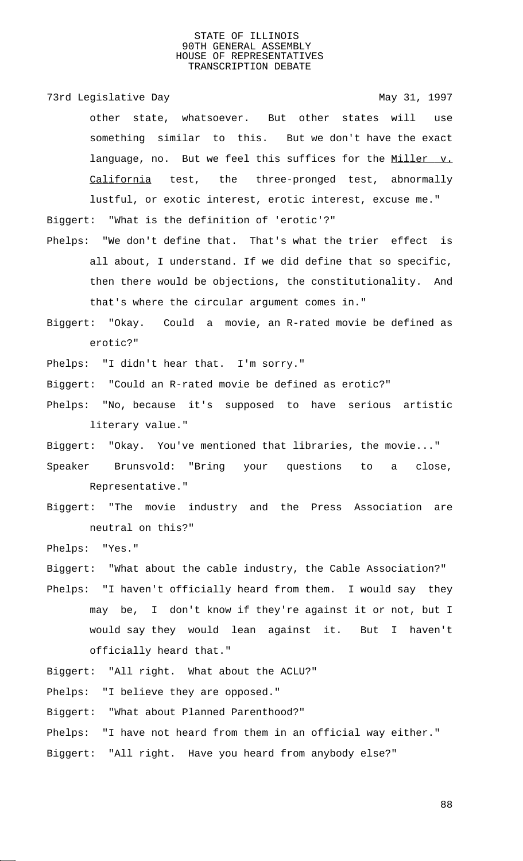73rd Legislative Day **May 31, 1997** other state, whatsoever. But other states will use something similar to this. But we don't have the exact language, no. But we feel this suffices for the Miller v. California test, the three-pronged test, abnormally lustful, or exotic interest, erotic interest, excuse me."

Biggert: "What is the definition of 'erotic'?"

- Phelps: "We don't define that. That's what the trier effect is all about, I understand. If we did define that so specific, then there would be objections, the constitutionality. And that's where the circular argument comes in."
- Biggert: "Okay. Could a movie, an R-rated movie be defined as erotic?"

Phelps: "I didn't hear that. I'm sorry."

Biggert: "Could an R-rated movie be defined as erotic?"

Phelps: "No, because it's supposed to have serious artistic literary value."

Biggert: "Okay. You've mentioned that libraries, the movie..."

- Speaker Brunsvold: "Bring your questions to a close, Representative."
- Biggert: "The movie industry and the Press Association are neutral on this?"

Phelps: "Yes."

Biggert: "What about the cable industry, the Cable Association?"

Phelps: "I haven't officially heard from them. I would say they may be, I don't know if they're against it or not, but I would say they would lean against it. But I haven't officially heard that."

Biggert: "All right. What about the ACLU?"

Phelps: "I believe they are opposed."

Biggert: "What about Planned Parenthood?"

- Phelps: "I have not heard from them in an official way either."
- Biggert: "All right. Have you heard from anybody else?"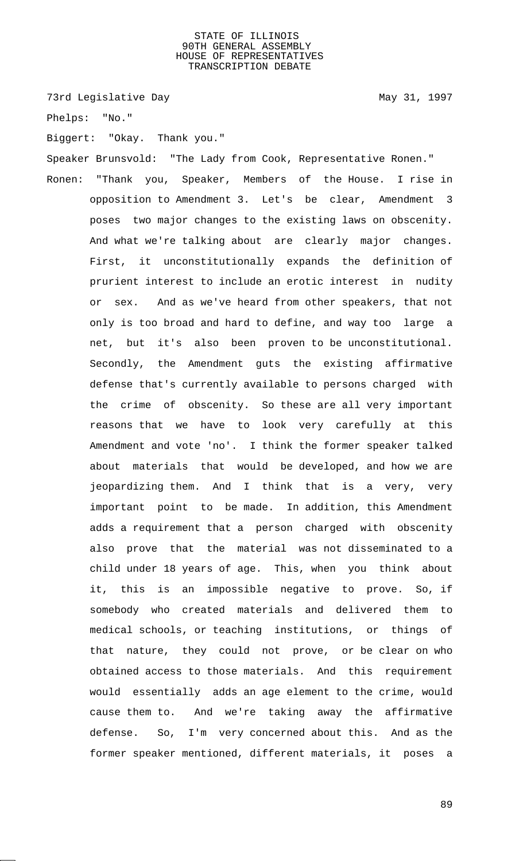73rd Legislative Day 1997

Phelps: "No."

Biggert: "Okay. Thank you."

Speaker Brunsvold: "The Lady from Cook, Representative Ronen."

Ronen: "Thank you, Speaker, Members of the House. I rise in opposition to Amendment 3. Let's be clear, Amendment 3 poses two major changes to the existing laws on obscenity. And what we're talking about are clearly major changes. First, it unconstitutionally expands the definition of prurient interest to include an erotic interest in nudity or sex. And as we've heard from other speakers, that not only is too broad and hard to define, and way too large a net, but it's also been proven to be unconstitutional. Secondly, the Amendment guts the existing affirmative defense that's currently available to persons charged with the crime of obscenity. So these are all very important reasons that we have to look very carefully at this Amendment and vote 'no'. I think the former speaker talked about materials that would be developed, and how we are jeopardizing them. And I think that is a very, very important point to be made. In addition, this Amendment adds a requirement that a person charged with obscenity also prove that the material was not disseminated to a child under 18 years of age. This, when you think about it, this is an impossible negative to prove. So, if somebody who created materials and delivered them to medical schools, or teaching institutions, or things of that nature, they could not prove, or be clear on who obtained access to those materials. And this requirement would essentially adds an age element to the crime, would cause them to. And we're taking away the affirmative defense. So, I'm very concerned about this. And as the former speaker mentioned, different materials, it poses a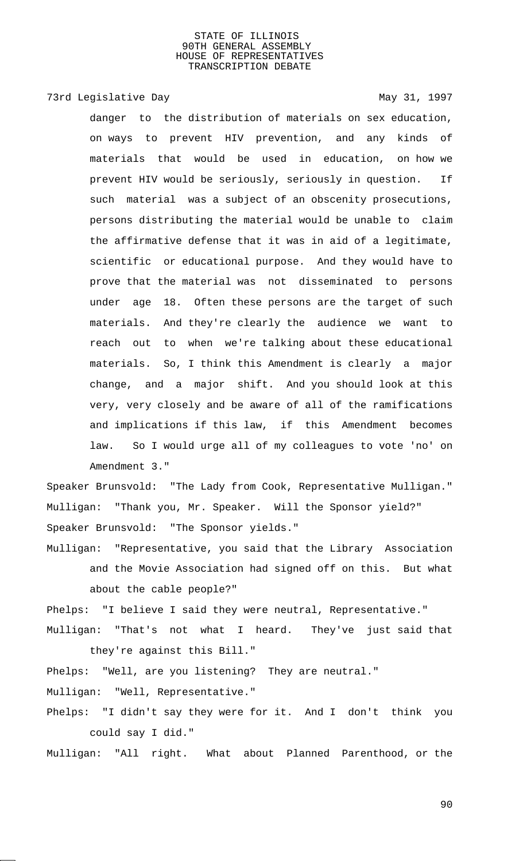73rd Legislative Day 1997

danger to the distribution of materials on sex education, on ways to prevent HIV prevention, and any kinds of materials that would be used in education, on how we prevent HIV would be seriously, seriously in question. If such material was a subject of an obscenity prosecutions, persons distributing the material would be unable to claim the affirmative defense that it was in aid of a legitimate, scientific or educational purpose. And they would have to prove that the material was not disseminated to persons under age 18. Often these persons are the target of such materials. And they're clearly the audience we want to reach out to when we're talking about these educational materials. So, I think this Amendment is clearly a major change, and a major shift. And you should look at this very, very closely and be aware of all of the ramifications and implications if this law, if this Amendment becomes law. So I would urge all of my colleagues to vote 'no' on Amendment 3."

Speaker Brunsvold: "The Lady from Cook, Representative Mulligan." Mulligan: "Thank you, Mr. Speaker. Will the Sponsor yield?" Speaker Brunsvold: "The Sponsor yields."

Mulligan: "Representative, you said that the Library Association and the Movie Association had signed off on this. But what about the cable people?"

Phelps: "I believe I said they were neutral, Representative." Mulligan: "That's not what I heard. They've just said that

they're against this Bill."

- Phelps: "Well, are you listening? They are neutral." Mulligan: "Well, Representative."
- Phelps: "I didn't say they were for it. And I don't think you could say I did."

Mulligan: "All right. What about Planned Parenthood, or the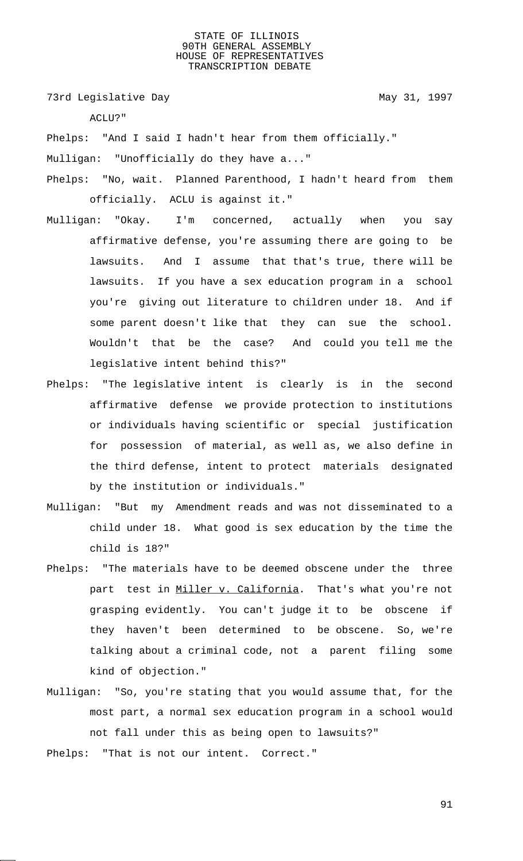73rd Legislative Day 1997

ACLU?"

Phelps: "And I said I hadn't hear from them officially."

Mulligan: "Unofficially do they have a..."

- Phelps: "No, wait. Planned Parenthood, I hadn't heard from them officially. ACLU is against it."
- Mulligan: "Okay. I'm concerned, actually when you say affirmative defense, you're assuming there are going to be lawsuits. And I assume that that's true, there will be lawsuits. If you have a sex education program in a school you're giving out literature to children under 18. And if some parent doesn't like that they can sue the school. Wouldn't that be the case? And could you tell me the legislative intent behind this?"
- Phelps: "The legislative intent is clearly is in the second affirmative defense we provide protection to institutions or individuals having scientific or special justification for possession of material, as well as, we also define in the third defense, intent to protect materials designated by the institution or individuals."
- Mulligan: "But my Amendment reads and was not disseminated to a child under 18. What good is sex education by the time the child is 18?"
- Phelps: "The materials have to be deemed obscene under the three part test in Miller v. California. That's what you're not grasping evidently. You can't judge it to be obscene if they haven't been determined to be obscene. So, we're talking about a criminal code, not a parent filing some kind of objection."
- Mulligan: "So, you're stating that you would assume that, for the most part, a normal sex education program in a school would not fall under this as being open to lawsuits?"

Phelps: "That is not our intent. Correct."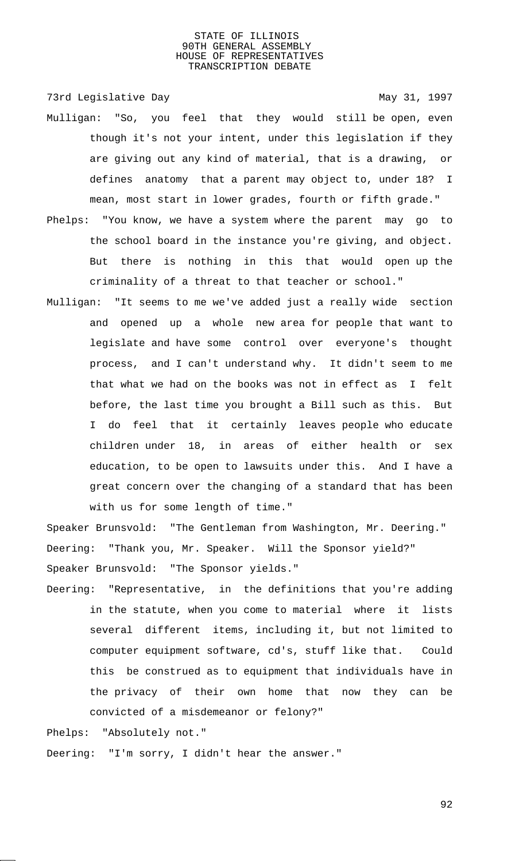73rd Legislative Day 1997

- Mulligan: "So, you feel that they would still be open, even though it's not your intent, under this legislation if they are giving out any kind of material, that is a drawing, or defines anatomy that a parent may object to, under 18? I mean, most start in lower grades, fourth or fifth grade."
- Phelps: "You know, we have a system where the parent may go to the school board in the instance you're giving, and object. But there is nothing in this that would open up the criminality of a threat to that teacher or school."
- Mulligan: "It seems to me we've added just a really wide section and opened up a whole new area for people that want to legislate and have some control over everyone's thought process, and I can't understand why. It didn't seem to me that what we had on the books was not in effect as I felt before, the last time you brought a Bill such as this. But I do feel that it certainly leaves people who educate children under 18, in areas of either health or sex education, to be open to lawsuits under this. And I have a great concern over the changing of a standard that has been with us for some length of time."

Speaker Brunsvold: "The Gentleman from Washington, Mr. Deering." Deering: "Thank you, Mr. Speaker. Will the Sponsor yield?" Speaker Brunsvold: "The Sponsor yields."

Deering: "Representative, in the definitions that you're adding in the statute, when you come to material where it lists several different items, including it, but not limited to computer equipment software, cd's, stuff like that. Could this be construed as to equipment that individuals have in the privacy of their own home that now they can be convicted of a misdemeanor or felony?"

Phelps: "Absolutely not."

Deering: "I'm sorry, I didn't hear the answer."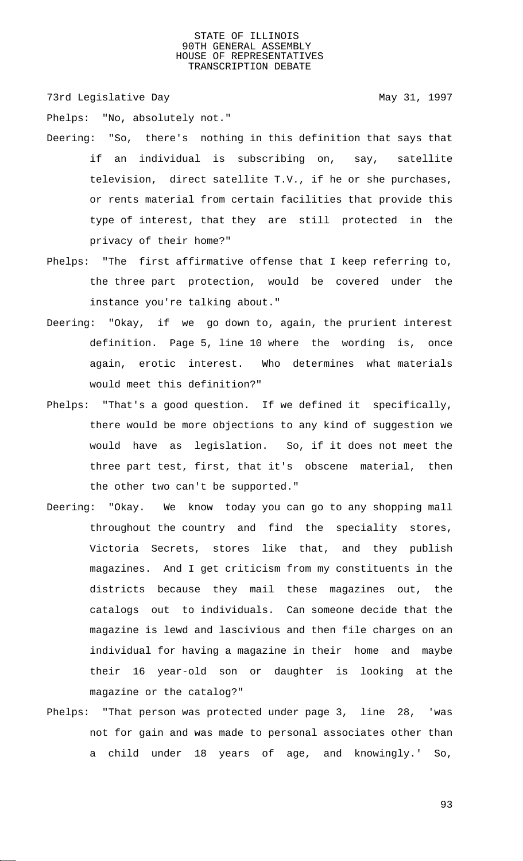73rd Legislative Day 1997

Phelps: "No, absolutely not."

- Deering: "So, there's nothing in this definition that says that if an individual is subscribing on, say, satellite television, direct satellite T.V., if he or she purchases, or rents material from certain facilities that provide this type of interest, that they are still protected in the privacy of their home?"
- Phelps: "The first affirmative offense that I keep referring to, the three part protection, would be covered under the instance you're talking about."
- Deering: "Okay, if we go down to, again, the prurient interest definition. Page 5, line 10 where the wording is, once again, erotic interest. Who determines what materials would meet this definition?"
- Phelps: "That's a good question. If we defined it specifically, there would be more objections to any kind of suggestion we would have as legislation. So, if it does not meet the three part test, first, that it's obscene material, then the other two can't be supported."
- Deering: "Okay. We know today you can go to any shopping mall throughout the country and find the speciality stores, Victoria Secrets, stores like that, and they publish magazines. And I get criticism from my constituents in the districts because they mail these magazines out, the catalogs out to individuals. Can someone decide that the magazine is lewd and lascivious and then file charges on an individual for having a magazine in their home and maybe their 16 year-old son or daughter is looking at the magazine or the catalog?"
- Phelps: "That person was protected under page 3, line 28, 'was not for gain and was made to personal associates other than a child under 18 years of age, and knowingly.' So,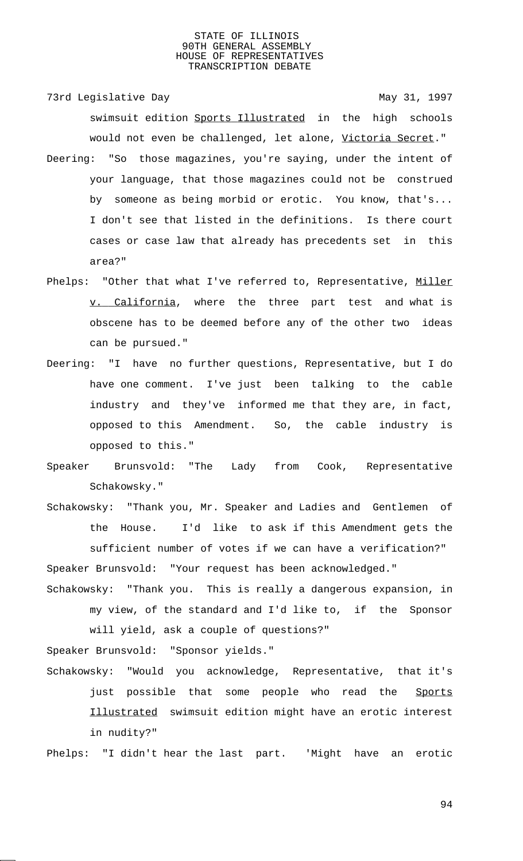73rd Legislative Day 1997

swimsuit edition Sports Illustrated in the high schools would not even be challenged, let alone, Victoria Secret."

- Deering: "So those magazines, you're saying, under the intent of your language, that those magazines could not be construed by someone as being morbid or erotic. You know, that's... I don't see that listed in the definitions. Is there court cases or case law that already has precedents set in this area?"
- Phelps: "Other that what I've referred to, Representative, Miller v. California, where the three part test and what is obscene has to be deemed before any of the other two ideas can be pursued."
- Deering: "I have no further questions, Representative, but I do have one comment. I've just been talking to the cable industry and they've informed me that they are, in fact, opposed to this Amendment. So, the cable industry is opposed to this."
- Speaker Brunsvold: "The Lady from Cook, Representative Schakowsky."
- Schakowsky: "Thank you, Mr. Speaker and Ladies and Gentlemen of the House. I'd like to ask if this Amendment gets the sufficient number of votes if we can have a verification?" Speaker Brunsvold: "Your request has been acknowledged."
- Schakowsky: "Thank you. This is really a dangerous expansion, in my view, of the standard and I'd like to, if the Sponsor will yield, ask a couple of questions?"

Speaker Brunsvold: "Sponsor yields."

- Schakowsky: "Would you acknowledge, Representative, that it's just possible that some people who read the Sports Illustrated swimsuit edition might have an erotic interest in nudity?"
- Phelps: "I didn't hear the last part. 'Might have an erotic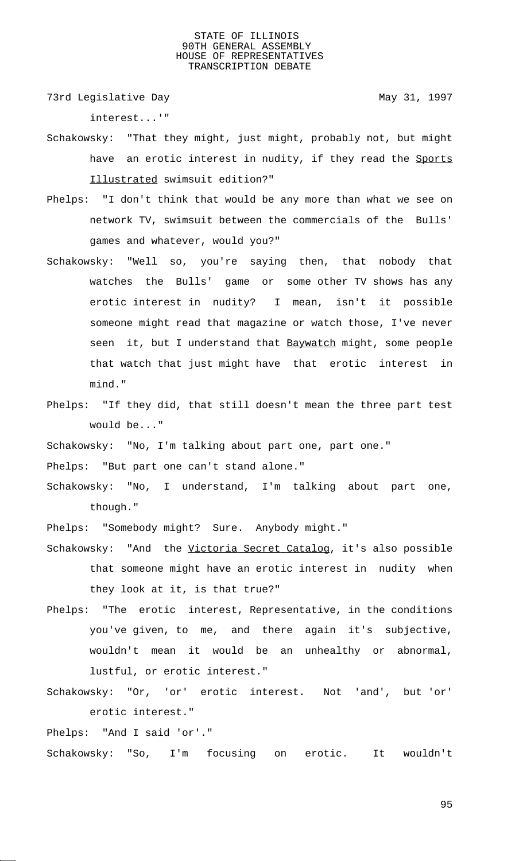73rd Legislative Day 1997

interest...'"

- Schakowsky: "That they might, just might, probably not, but might have an erotic interest in nudity, if they read the Sports Illustrated swimsuit edition?"
- Phelps: "I don't think that would be any more than what we see on network TV, swimsuit between the commercials of the Bulls' games and whatever, would you?"
- Schakowsky: "Well so, you're saying then, that nobody that watches the Bulls' game or some other TV shows has any erotic interest in nudity? I mean, isn't it possible someone might read that magazine or watch those, I've never seen it, but I understand that Baywatch might, some people that watch that just might have that erotic interest in mind."
- Phelps: "If they did, that still doesn't mean the three part test would be..."

Schakowsky: "No, I'm talking about part one, part one."

Phelps: "But part one can't stand alone."

Schakowsky: "No, I understand, I'm talking about part one, though."

Phelps: "Somebody might? Sure. Anybody might."

- Schakowsky: "And the Victoria Secret Catalog, it's also possible that someone might have an erotic interest in nudity when they look at it, is that true?"
- Phelps: "The erotic interest, Representative, in the conditions you've given, to me, and there again it's subjective, wouldn't mean it would be an unhealthy or abnormal, lustful, or erotic interest."
- Schakowsky: "Or, 'or' erotic interest. Not 'and', but 'or' erotic interest."

Phelps: "And I said 'or'."

Schakowsky: "So, I'm focusing on erotic. It wouldn't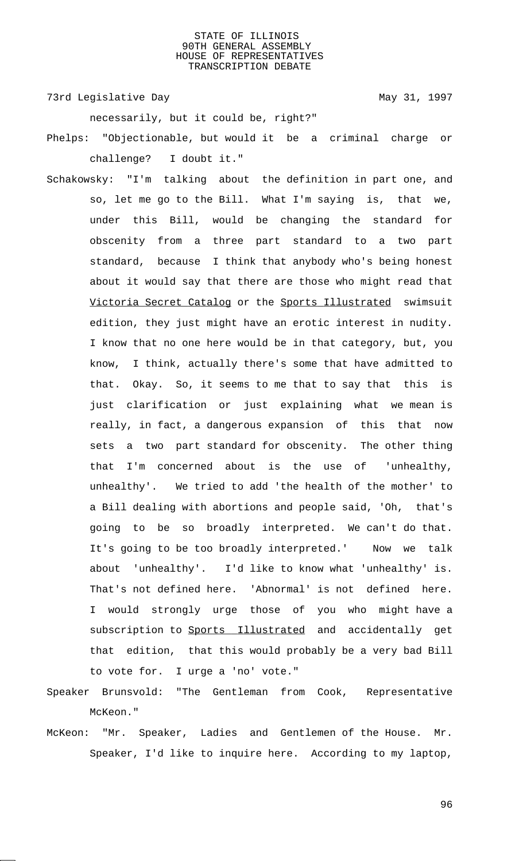73rd Legislative Day 1997

necessarily, but it could be, right?"

Phelps: "Objectionable, but would it be a criminal charge or challenge? I doubt it."

- Schakowsky: "I'm talking about the definition in part one, and so, let me go to the Bill. What I'm saying is, that we, under this Bill, would be changing the standard for obscenity from a three part standard to a two part standard, because I think that anybody who's being honest about it would say that there are those who might read that Victoria Secret Catalog or the Sports Illustrated swimsuit edition, they just might have an erotic interest in nudity. I know that no one here would be in that category, but, you know, I think, actually there's some that have admitted to that. Okay. So, it seems to me that to say that this is just clarification or just explaining what we mean is really, in fact, a dangerous expansion of this that now sets a two part standard for obscenity. The other thing that I'm concerned about is the use of 'unhealthy, unhealthy'. We tried to add 'the health of the mother' to a Bill dealing with abortions and people said, 'Oh, that's going to be so broadly interpreted. We can't do that. It's going to be too broadly interpreted.' Now we talk about 'unhealthy'. I'd like to know what 'unhealthy' is. That's not defined here. 'Abnormal' is not defined here. I would strongly urge those of you who might have a subscription to Sports Illustrated and accidentally get that edition, that this would probably be a very bad Bill to vote for. I urge a 'no' vote."
- Speaker Brunsvold: "The Gentleman from Cook, Representative McKeon."
- McKeon: "Mr. Speaker, Ladies and Gentlemen of the House. Mr. Speaker, I'd like to inquire here. According to my laptop,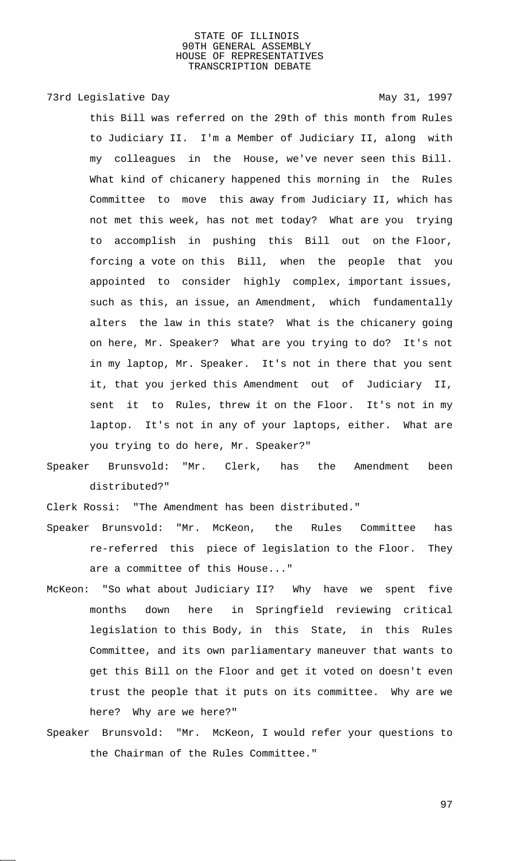# 73rd Legislative Day 1997

this Bill was referred on the 29th of this month from Rules to Judiciary II. I'm a Member of Judiciary II, along with my colleagues in the House, we've never seen this Bill. What kind of chicanery happened this morning in the Rules Committee to move this away from Judiciary II, which has not met this week, has not met today? What are you trying to accomplish in pushing this Bill out on the Floor, forcing a vote on this Bill, when the people that you appointed to consider highly complex, important issues, such as this, an issue, an Amendment, which fundamentally alters the law in this state? What is the chicanery going on here, Mr. Speaker? What are you trying to do? It's not in my laptop, Mr. Speaker. It's not in there that you sent it, that you jerked this Amendment out of Judiciary II, sent it to Rules, threw it on the Floor. It's not in my laptop. It's not in any of your laptops, either. What are you trying to do here, Mr. Speaker?"

Speaker Brunsvold: "Mr. Clerk, has the Amendment been distributed?"

Clerk Rossi: "The Amendment has been distributed."

- Speaker Brunsvold: "Mr. McKeon, the Rules Committee has re-referred this piece of legislation to the Floor. They are a committee of this House..."
- McKeon: "So what about Judiciary II? Why have we spent five months down here in Springfield reviewing critical legislation to this Body, in this State, in this Rules Committee, and its own parliamentary maneuver that wants to get this Bill on the Floor and get it voted on doesn't even trust the people that it puts on its committee. Why are we here? Why are we here?"
- Speaker Brunsvold: "Mr. McKeon, I would refer your questions to the Chairman of the Rules Committee."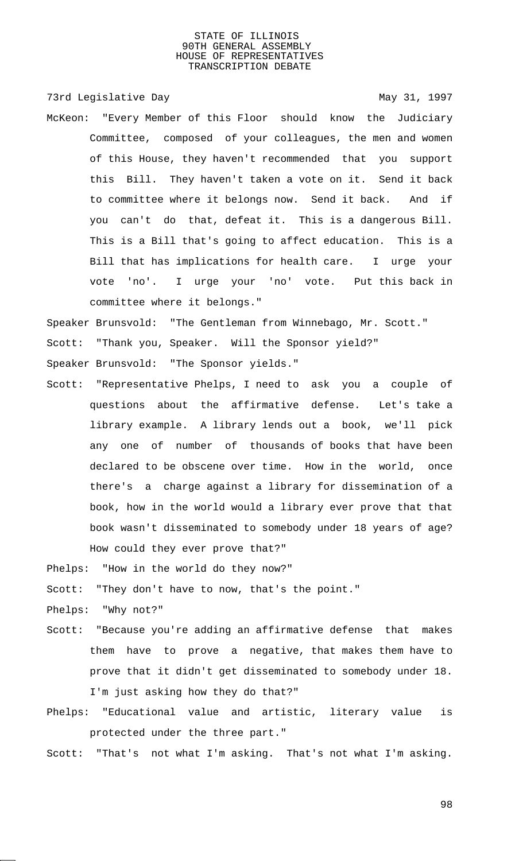73rd Legislative Day 1997

McKeon: "Every Member of this Floor should know the Judiciary Committee, composed of your colleagues, the men and women of this House, they haven't recommended that you support this Bill. They haven't taken a vote on it. Send it back to committee where it belongs now. Send it back. And if you can't do that, defeat it. This is a dangerous Bill. This is a Bill that's going to affect education. This is a Bill that has implications for health care. I urge your vote 'no'. I urge your 'no' vote. Put this back in committee where it belongs."

Speaker Brunsvold: "The Gentleman from Winnebago, Mr. Scott." Scott: "Thank you, Speaker. Will the Sponsor yield?"

Speaker Brunsvold: "The Sponsor yields."

Scott: "Representative Phelps, I need to ask you a couple of questions about the affirmative defense. Let's take a library example. A library lends out a book, we'll pick any one of number of thousands of books that have been declared to be obscene over time. How in the world, once there's a charge against a library for dissemination of a book, how in the world would a library ever prove that that book wasn't disseminated to somebody under 18 years of age? How could they ever prove that?"

Phelps: "How in the world do they now?"

Scott: "They don't have to now, that's the point."

Phelps: "Why not?"

- Scott: "Because you're adding an affirmative defense that makes them have to prove a negative, that makes them have to prove that it didn't get disseminated to somebody under 18. I'm just asking how they do that?"
- Phelps: "Educational value and artistic, literary value is protected under the three part."

Scott: "That's not what I'm asking. That's not what I'm asking.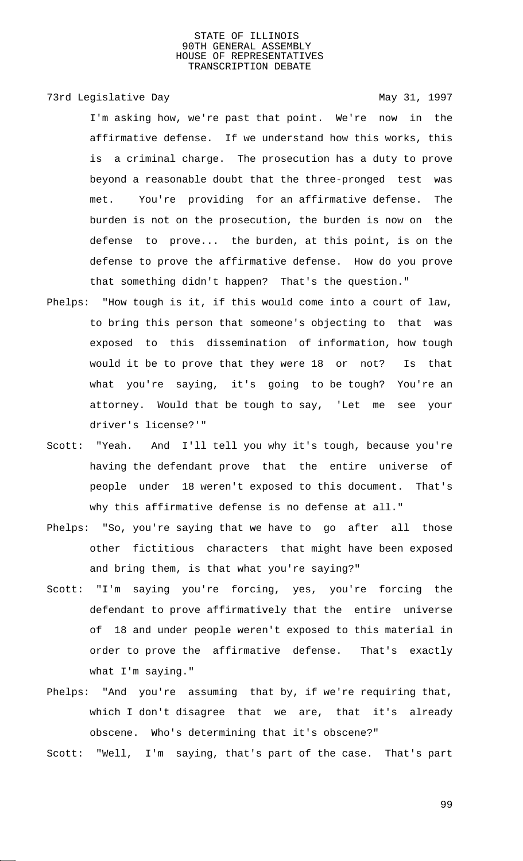73rd Legislative Day 1997

I'm asking how, we're past that point. We're now in the affirmative defense. If we understand how this works, this is a criminal charge. The prosecution has a duty to prove beyond a reasonable doubt that the three-pronged test was met. You're providing for an affirmative defense. The burden is not on the prosecution, the burden is now on the defense to prove... the burden, at this point, is on the defense to prove the affirmative defense. How do you prove that something didn't happen? That's the question."

- Phelps: "How tough is it, if this would come into a court of law, to bring this person that someone's objecting to that was exposed to this dissemination of information, how tough would it be to prove that they were 18 or not? Is that what you're saying, it's going to be tough? You're an attorney. Would that be tough to say, 'Let me see your driver's license?'"
- Scott: "Yeah. And I'll tell you why it's tough, because you're having the defendant prove that the entire universe of people under 18 weren't exposed to this document. That's why this affirmative defense is no defense at all."
- Phelps: "So, you're saying that we have to go after all those other fictitious characters that might have been exposed and bring them, is that what you're saying?"
- Scott: "I'm saying you're forcing, yes, you're forcing the defendant to prove affirmatively that the entire universe of 18 and under people weren't exposed to this material in order to prove the affirmative defense. That's exactly what I'm saying."
- Phelps: "And you're assuming that by, if we're requiring that, which I don't disagree that we are, that it's already obscene. Who's determining that it's obscene?"

Scott: "Well, I'm saying, that's part of the case. That's part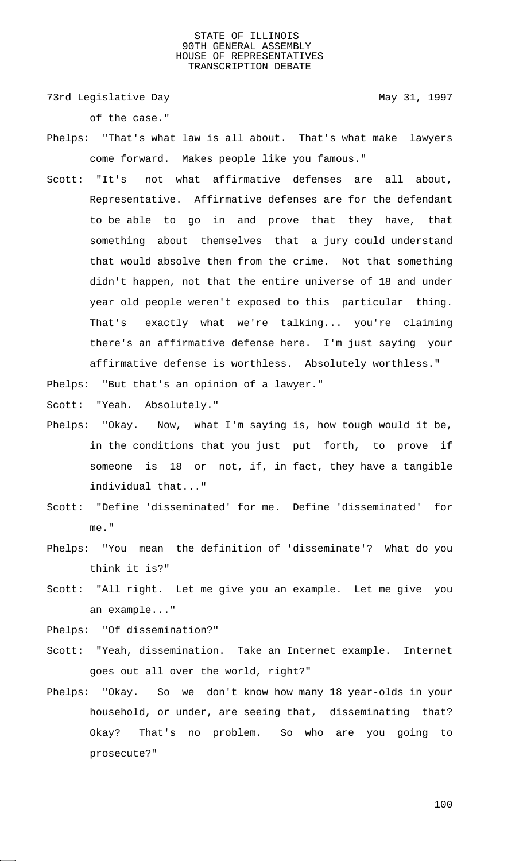73rd Legislative Day 1997

of the case."

- Phelps: "That's what law is all about. That's what make lawyers come forward. Makes people like you famous."
- Scott: "It's not what affirmative defenses are all about, Representative. Affirmative defenses are for the defendant to be able to go in and prove that they have, that something about themselves that a jury could understand that would absolve them from the crime. Not that something didn't happen, not that the entire universe of 18 and under year old people weren't exposed to this particular thing. That's exactly what we're talking... you're claiming there's an affirmative defense here. I'm just saying your affirmative defense is worthless. Absolutely worthless."

Phelps: "But that's an opinion of a lawyer."

Scott: "Yeah. Absolutely."

- Phelps: "Okay. Now, what I'm saying is, how tough would it be, in the conditions that you just put forth, to prove if someone is 18 or not, if, in fact, they have a tangible individual that..."
- Scott: "Define 'disseminated' for me. Define 'disseminated' for me."
- Phelps: "You mean the definition of 'disseminate'? What do you think it is?"
- Scott: "All right. Let me give you an example. Let me give you an example..."

Phelps: "Of dissemination?"

- Scott: "Yeah, dissemination. Take an Internet example. Internet goes out all over the world, right?"
- Phelps: "Okay. So we don't know how many 18 year-olds in your household, or under, are seeing that, disseminating that? Okay? That's no problem. So who are you going to prosecute?"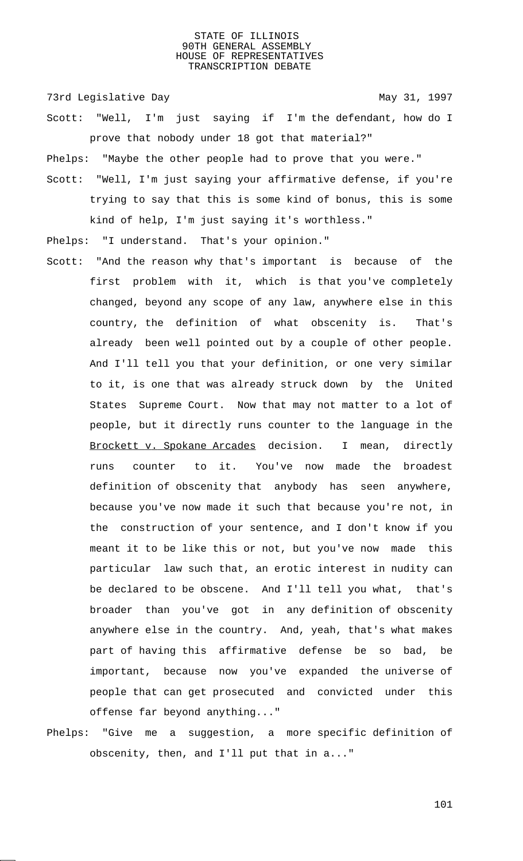73rd Legislative Day 1997

- Scott: "Well, I'm just saying if I'm the defendant, how do I prove that nobody under 18 got that material?"
- Phelps: "Maybe the other people had to prove that you were."
- Scott: "Well, I'm just saying your affirmative defense, if you're trying to say that this is some kind of bonus, this is some kind of help, I'm just saying it's worthless."
- Phelps: "I understand. That's your opinion."
- Scott: "And the reason why that's important is because of the first problem with it, which is that you've completely changed, beyond any scope of any law, anywhere else in this country, the definition of what obscenity is. That's already been well pointed out by a couple of other people. And I'll tell you that your definition, or one very similar to it, is one that was already struck down by the United States Supreme Court. Now that may not matter to a lot of people, but it directly runs counter to the language in the Brockett v. Spokane Arcades decision. I mean, directly runs counter to it. You've now made the broadest definition of obscenity that anybody has seen anywhere, because you've now made it such that because you're not, in the construction of your sentence, and I don't know if you meant it to be like this or not, but you've now made this particular law such that, an erotic interest in nudity can be declared to be obscene. And I'll tell you what, that's broader than you've got in any definition of obscenity anywhere else in the country. And, yeah, that's what makes part of having this affirmative defense be so bad, be important, because now you've expanded the universe of people that can get prosecuted and convicted under this offense far beyond anything..."
- Phelps: "Give me a suggestion, a more specific definition of obscenity, then, and I'll put that in a..."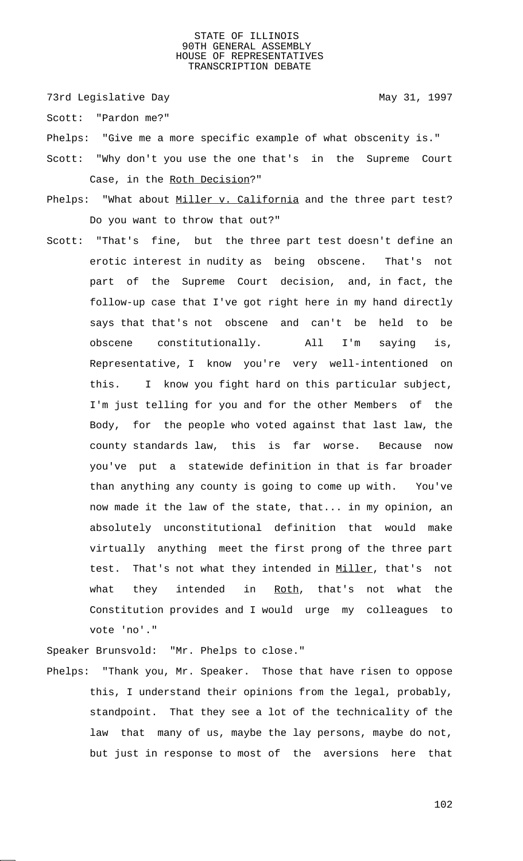73rd Legislative Day 1997

Scott: "Pardon me?"

Phelps: "Give me a more specific example of what obscenity is."

- Scott: "Why don't you use the one that's in the Supreme Court Case, in the Roth Decision?"
- Phelps: "What about Miller v. California and the three part test? Do you want to throw that out?"
- Scott: "That's fine, but the three part test doesn't define an erotic interest in nudity as being obscene. That's not part of the Supreme Court decision, and, in fact, the follow-up case that I've got right here in my hand directly says that that's not obscene and can't be held to be obscene constitutionally. All I'm saying is, Representative, I know you're very well-intentioned on this. I know you fight hard on this particular subject, I'm just telling for you and for the other Members of the Body, for the people who voted against that last law, the county standards law, this is far worse. Because now you've put a statewide definition in that is far broader than anything any county is going to come up with. You've now made it the law of the state, that... in my opinion, an absolutely unconstitutional definition that would make virtually anything meet the first prong of the three part test. That's not what they intended in Miller, that's not what they intended in Roth, that's not what the Constitution provides and I would urge my colleagues to vote 'no'."

Speaker Brunsvold: "Mr. Phelps to close."

Phelps: "Thank you, Mr. Speaker. Those that have risen to oppose this, I understand their opinions from the legal, probably, standpoint. That they see a lot of the technicality of the law that many of us, maybe the lay persons, maybe do not, but just in response to most of the aversions here that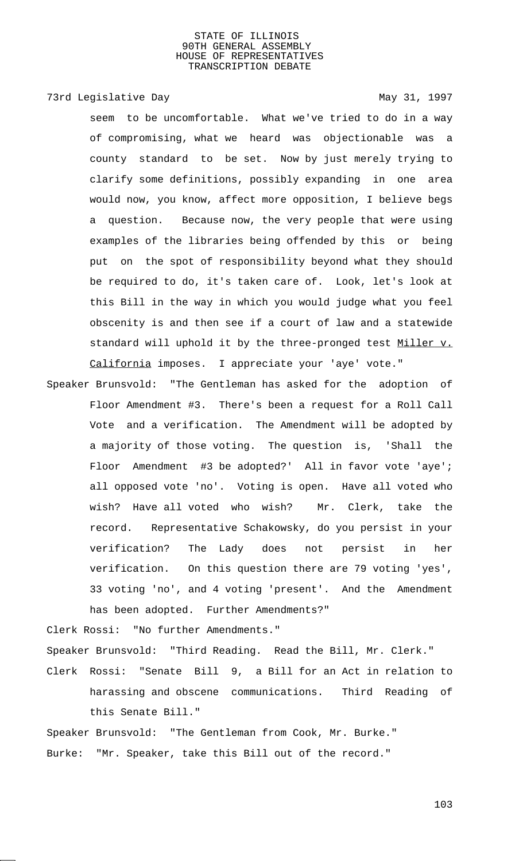# 73rd Legislative Day 1997

seem to be uncomfortable. What we've tried to do in a way of compromising, what we heard was objectionable was a county standard to be set. Now by just merely trying to clarify some definitions, possibly expanding in one area would now, you know, affect more opposition, I believe begs a question. Because now, the very people that were using examples of the libraries being offended by this or being put on the spot of responsibility beyond what they should be required to do, it's taken care of. Look, let's look at this Bill in the way in which you would judge what you feel obscenity is and then see if a court of law and a statewide standard will uphold it by the three-pronged test Miller v. California imposes. I appreciate your 'aye' vote."

Speaker Brunsvold: "The Gentleman has asked for the adoption of Floor Amendment #3. There's been a request for a Roll Call Vote and a verification. The Amendment will be adopted by a majority of those voting. The question is, 'Shall the Floor Amendment #3 be adopted?' All in favor vote 'aye'; all opposed vote 'no'. Voting is open. Have all voted who wish? Have all voted who wish? Mr. Clerk, take the record. Representative Schakowsky, do you persist in your verification? The Lady does not persist in her verification. On this question there are 79 voting 'yes', 33 voting 'no', and 4 voting 'present'. And the Amendment has been adopted. Further Amendments?"

Clerk Rossi: "No further Amendments." Speaker Brunsvold: "Third Reading. Read the Bill, Mr. Clerk." Clerk Rossi: "Senate Bill 9, a Bill for an Act in relation to harassing and obscene communications. Third Reading of this Senate Bill."

Speaker Brunsvold: "The Gentleman from Cook, Mr. Burke." Burke: "Mr. Speaker, take this Bill out of the record."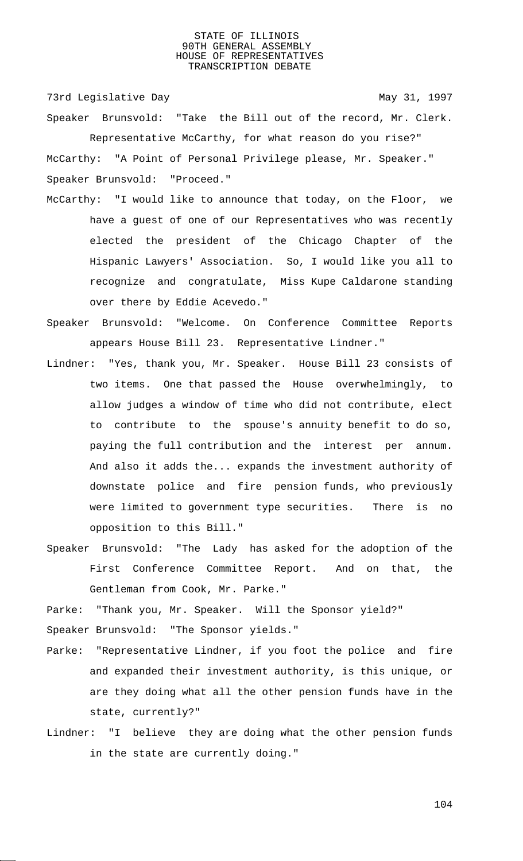73rd Legislative Day 1997

Speaker Brunsvold: "Take the Bill out of the record, Mr. Clerk. Representative McCarthy, for what reason do you rise?" McCarthy: "A Point of Personal Privilege please, Mr. Speaker." Speaker Brunsvold: "Proceed."

- McCarthy: "I would like to announce that today, on the Floor, we have a guest of one of our Representatives who was recently elected the president of the Chicago Chapter of the Hispanic Lawyers' Association. So, I would like you all to recognize and congratulate, Miss Kupe Caldarone standing over there by Eddie Acevedo."
- Speaker Brunsvold: "Welcome. On Conference Committee Reports appears House Bill 23. Representative Lindner."
- Lindner: "Yes, thank you, Mr. Speaker. House Bill 23 consists of two items. One that passed the House overwhelmingly, to allow judges a window of time who did not contribute, elect to contribute to the spouse's annuity benefit to do so, paying the full contribution and the interest per annum. And also it adds the... expands the investment authority of downstate police and fire pension funds, who previously were limited to government type securities. There is no opposition to this Bill."
- Speaker Brunsvold: "The Lady has asked for the adoption of the First Conference Committee Report. And on that, the Gentleman from Cook, Mr. Parke."

Parke: "Thank you, Mr. Speaker. Will the Sponsor yield?" Speaker Brunsvold: "The Sponsor yields."

- Parke: "Representative Lindner, if you foot the police and fire and expanded their investment authority, is this unique, or are they doing what all the other pension funds have in the state, currently?"
- Lindner: "I believe they are doing what the other pension funds in the state are currently doing."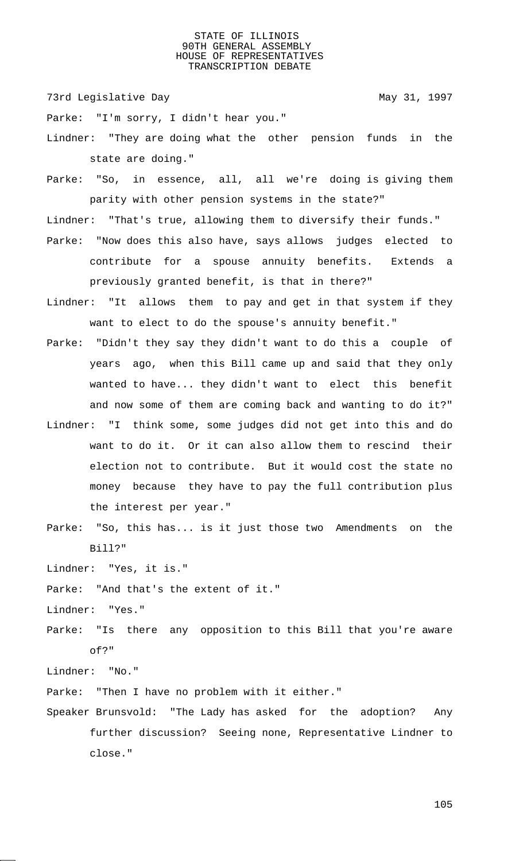73rd Legislative Day 1997

Parke: "I'm sorry, I didn't hear you."

Lindner: "They are doing what the other pension funds in the state are doing."

Parke: "So, in essence, all, all we're doing is giving them parity with other pension systems in the state?"

Lindner: "That's true, allowing them to diversify their funds."

- Parke: "Now does this also have, says allows judges elected to contribute for a spouse annuity benefits. Extends a previously granted benefit, is that in there?"
- Lindner: "It allows them to pay and get in that system if they want to elect to do the spouse's annuity benefit."
- Parke: "Didn't they say they didn't want to do this a couple of years ago, when this Bill came up and said that they only wanted to have... they didn't want to elect this benefit and now some of them are coming back and wanting to do it?"
- Lindner: "I think some, some judges did not get into this and do want to do it. Or it can also allow them to rescind their election not to contribute. But it would cost the state no money because they have to pay the full contribution plus the interest per year."
- Parke: "So, this has... is it just those two Amendments on the Bill?"

Lindner: "Yes, it is."

Parke: "And that's the extent of it."

Lindner: "Yes."

Parke: "Is there any opposition to this Bill that you're aware of?"

Lindner: "No."

Parke: "Then I have no problem with it either."

Speaker Brunsvold: "The Lady has asked for the adoption? Any further discussion? Seeing none, Representative Lindner to close."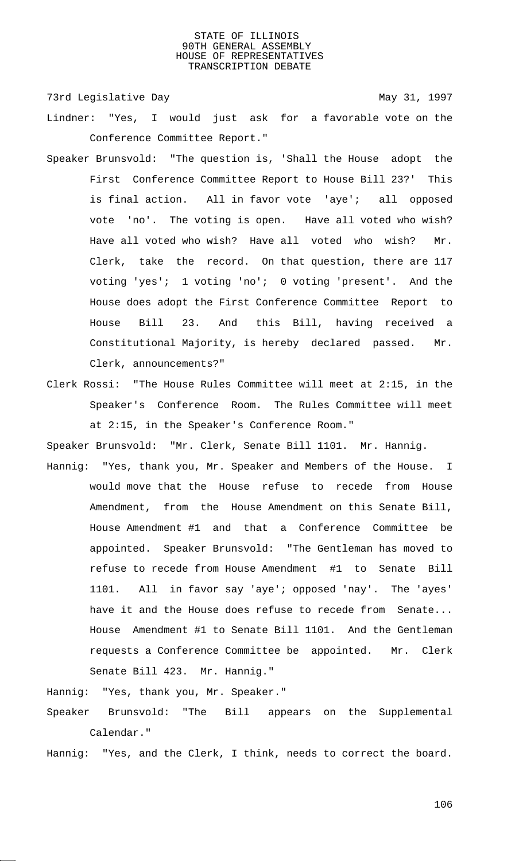73rd Legislative Day 1997

- Lindner: "Yes, I would just ask for a favorable vote on the Conference Committee Report."
- Speaker Brunsvold: "The question is, 'Shall the House adopt the First Conference Committee Report to House Bill 23?' This is final action. All in favor vote 'aye'; all opposed vote 'no'. The voting is open. Have all voted who wish? Have all voted who wish? Have all voted who wish? Mr. Clerk, take the record. On that question, there are 117 voting 'yes'; 1 voting 'no'; 0 voting 'present'. And the House does adopt the First Conference Committee Report to House Bill 23. And this Bill, having received a Constitutional Majority, is hereby declared passed. Mr. Clerk, announcements?"
- Clerk Rossi: "The House Rules Committee will meet at 2:15, in the Speaker's Conference Room. The Rules Committee will meet at 2:15, in the Speaker's Conference Room."

Speaker Brunsvold: "Mr. Clerk, Senate Bill 1101. Mr. Hannig.

Hannig: "Yes, thank you, Mr. Speaker and Members of the House. I would move that the House refuse to recede from House Amendment, from the House Amendment on this Senate Bill, House Amendment #1 and that a Conference Committee be appointed. Speaker Brunsvold: "The Gentleman has moved to refuse to recede from House Amendment #1 to Senate Bill 1101. All in favor say 'aye'; opposed 'nay'. The 'ayes' have it and the House does refuse to recede from Senate... House Amendment #1 to Senate Bill 1101. And the Gentleman requests a Conference Committee be appointed. Mr. Clerk Senate Bill 423. Mr. Hannig."

Hannig: "Yes, thank you, Mr. Speaker."

Speaker Brunsvold: "The Bill appears on the Supplemental Calendar."

Hannig: "Yes, and the Clerk, I think, needs to correct the board.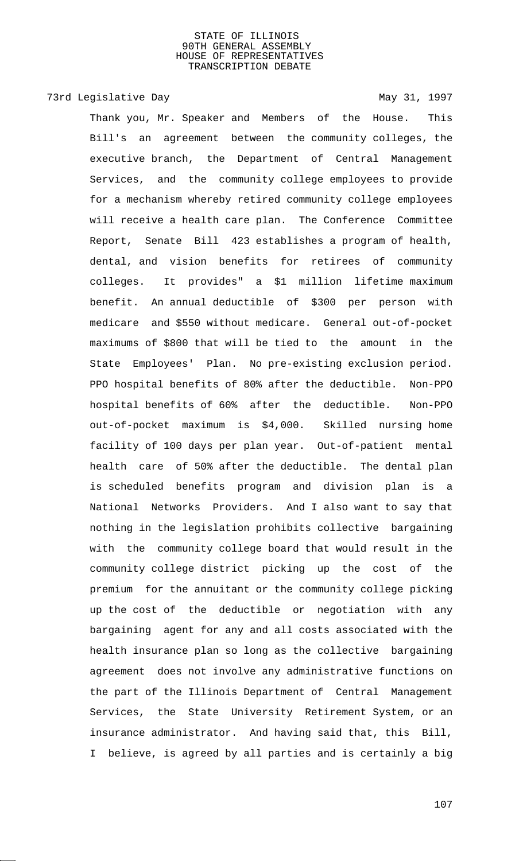# 73rd Legislative Day 1997

Thank you, Mr. Speaker and Members of the House. This Bill's an agreement between the community colleges, the executive branch, the Department of Central Management Services, and the community college employees to provide for a mechanism whereby retired community college employees will receive a health care plan. The Conference Committee Report, Senate Bill 423 establishes a program of health, dental, and vision benefits for retirees of community colleges. It provides" a \$1 million lifetime maximum benefit. An annual deductible of \$300 per person with medicare and \$550 without medicare. General out-of-pocket maximums of \$800 that will be tied to the amount in the State Employees' Plan. No pre-existing exclusion period. PPO hospital benefits of 80% after the deductible. Non-PPO hospital benefits of 60% after the deductible. Non-PPO out-of-pocket maximum is \$4,000. Skilled nursing home facility of 100 days per plan year. Out-of-patient mental health care of 50% after the deductible. The dental plan is scheduled benefits program and division plan is a National Networks Providers. And I also want to say that nothing in the legislation prohibits collective bargaining with the community college board that would result in the community college district picking up the cost of the premium for the annuitant or the community college picking up the cost of the deductible or negotiation with any bargaining agent for any and all costs associated with the health insurance plan so long as the collective bargaining agreement does not involve any administrative functions on the part of the Illinois Department of Central Management Services, the State University Retirement System, or an insurance administrator. And having said that, this Bill, I believe, is agreed by all parties and is certainly a big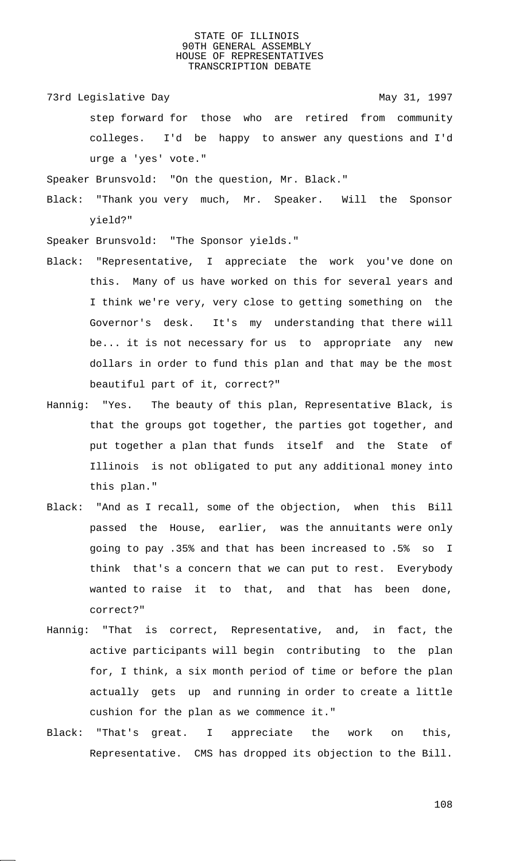73rd Legislative Day 1997

step forward for those who are retired from community colleges. I'd be happy to answer any questions and I'd urge a 'yes' vote."

Speaker Brunsvold: "On the question, Mr. Black."

Black: "Thank you very much, Mr. Speaker. Will the Sponsor yield?"

Speaker Brunsvold: "The Sponsor yields."

- Black: "Representative, I appreciate the work you've done on this. Many of us have worked on this for several years and I think we're very, very close to getting something on the Governor's desk. It's my understanding that there will be... it is not necessary for us to appropriate any new dollars in order to fund this plan and that may be the most beautiful part of it, correct?"
- Hannig: "Yes. The beauty of this plan, Representative Black, is that the groups got together, the parties got together, and put together a plan that funds itself and the State of Illinois is not obligated to put any additional money into this plan."
- Black: "And as I recall, some of the objection, when this Bill passed the House, earlier, was the annuitants were only going to pay .35% and that has been increased to .5% so I think that's a concern that we can put to rest. Everybody wanted to raise it to that, and that has been done, correct?"
- Hannig: "That is correct, Representative, and, in fact, the active participants will begin contributing to the plan for, I think, a six month period of time or before the plan actually gets up and running in order to create a little cushion for the plan as we commence it."
- Black: "That's great. I appreciate the work on this, Representative. CMS has dropped its objection to the Bill.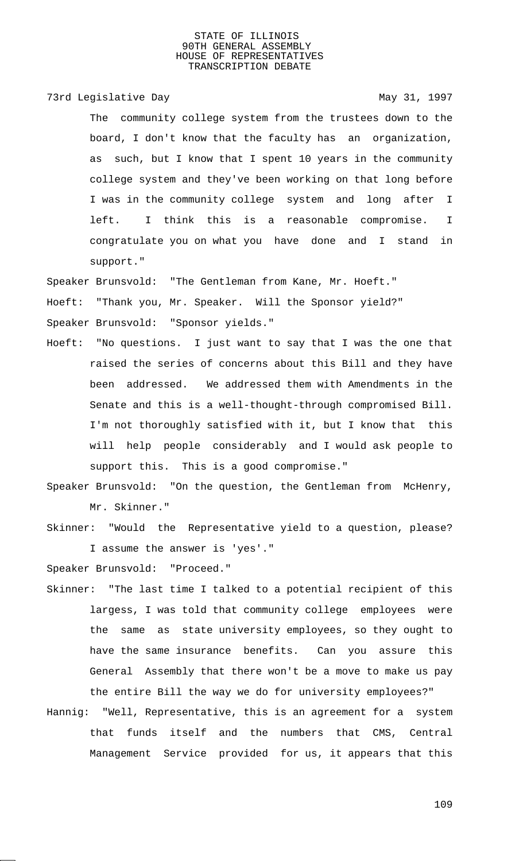73rd Legislative Day 1997

The community college system from the trustees down to the board, I don't know that the faculty has an organization, as such, but I know that I spent 10 years in the community college system and they've been working on that long before I was in the community college system and long after I left. I think this is a reasonable compromise. I congratulate you on what you have done and I stand in support."

Speaker Brunsvold: "The Gentleman from Kane, Mr. Hoeft."

Hoeft: "Thank you, Mr. Speaker. Will the Sponsor yield?"

Speaker Brunsvold: "Sponsor yields."

- Hoeft: "No questions. I just want to say that I was the one that raised the series of concerns about this Bill and they have been addressed. We addressed them with Amendments in the Senate and this is a well-thought-through compromised Bill. I'm not thoroughly satisfied with it, but I know that this will help people considerably and I would ask people to support this. This is a good compromise."
- Speaker Brunsvold: "On the question, the Gentleman from McHenry, Mr. Skinner."
- Skinner: "Would the Representative yield to a question, please? I assume the answer is 'yes'."

Speaker Brunsvold: "Proceed."

- Skinner: "The last time I talked to a potential recipient of this largess, I was told that community college employees were the same as state university employees, so they ought to have the same insurance benefits. Can you assure this General Assembly that there won't be a move to make us pay the entire Bill the way we do for university employees?"
- Hannig: "Well, Representative, this is an agreement for a system that funds itself and the numbers that CMS, Central Management Service provided for us, it appears that this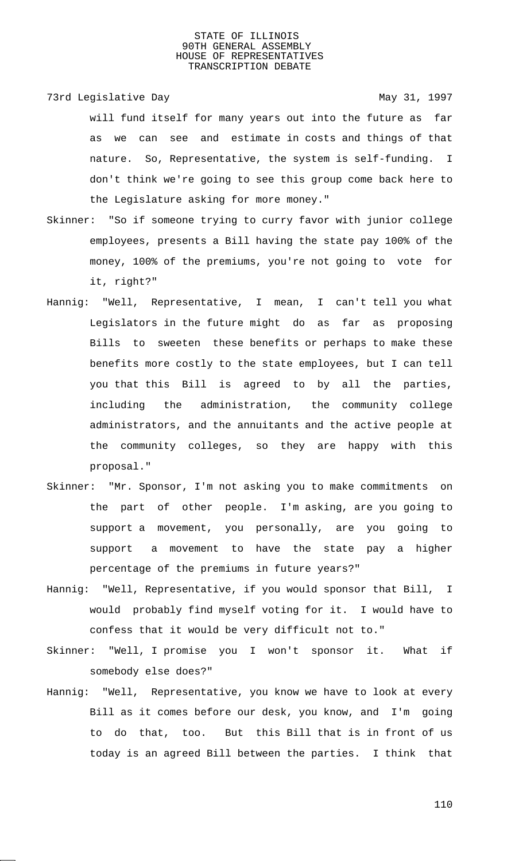73rd Legislative Day 1997

will fund itself for many years out into the future as far as we can see and estimate in costs and things of that nature. So, Representative, the system is self-funding. I don't think we're going to see this group come back here to the Legislature asking for more money."

- Skinner: "So if someone trying to curry favor with junior college employees, presents a Bill having the state pay 100% of the money, 100% of the premiums, you're not going to vote for it, right?"
- Hannig: "Well, Representative, I mean, I can't tell you what Legislators in the future might do as far as proposing Bills to sweeten these benefits or perhaps to make these benefits more costly to the state employees, but I can tell you that this Bill is agreed to by all the parties, including the administration, the community college administrators, and the annuitants and the active people at the community colleges, so they are happy with this proposal."
- Skinner: "Mr. Sponsor, I'm not asking you to make commitments on the part of other people. I'm asking, are you going to support a movement, you personally, are you going to support a movement to have the state pay a higher percentage of the premiums in future years?"
- Hannig: "Well, Representative, if you would sponsor that Bill, I would probably find myself voting for it. I would have to confess that it would be very difficult not to."
- Skinner: "Well, I promise you I won't sponsor it. What if somebody else does?"
- Hannig: "Well, Representative, you know we have to look at every Bill as it comes before our desk, you know, and I'm going to do that, too. But this Bill that is in front of us today is an agreed Bill between the parties. I think that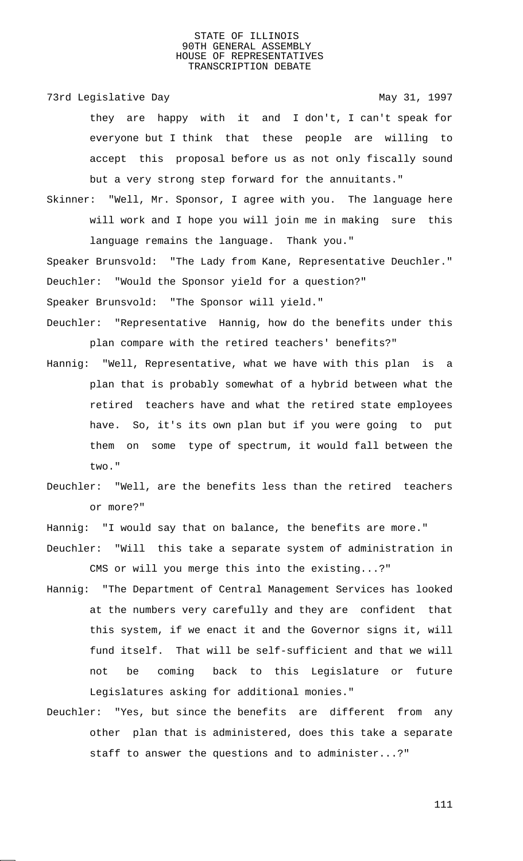73rd Legislative Day 1997

they are happy with it and I don't, I can't speak for everyone but I think that these people are willing to accept this proposal before us as not only fiscally sound but a very strong step forward for the annuitants."

Skinner: "Well, Mr. Sponsor, I agree with you. The language here will work and I hope you will join me in making sure this language remains the language. Thank you."

Speaker Brunsvold: "The Lady from Kane, Representative Deuchler." Deuchler: "Would the Sponsor yield for a question?"

Speaker Brunsvold: "The Sponsor will yield."

- Deuchler: "Representative Hannig, how do the benefits under this plan compare with the retired teachers' benefits?"
- Hannig: "Well, Representative, what we have with this plan is a plan that is probably somewhat of a hybrid between what the retired teachers have and what the retired state employees have. So, it's its own plan but if you were going to put them on some type of spectrum, it would fall between the two."
- Deuchler: "Well, are the benefits less than the retired teachers or more?"
- Hannig: "I would say that on balance, the benefits are more."
- Deuchler: "Will this take a separate system of administration in CMS or will you merge this into the existing...?"
- Hannig: "The Department of Central Management Services has looked at the numbers very carefully and they are confident that this system, if we enact it and the Governor signs it, will fund itself. That will be self-sufficient and that we will not be coming back to this Legislature or future Legislatures asking for additional monies."
- Deuchler: "Yes, but since the benefits are different from any other plan that is administered, does this take a separate staff to answer the questions and to administer...?"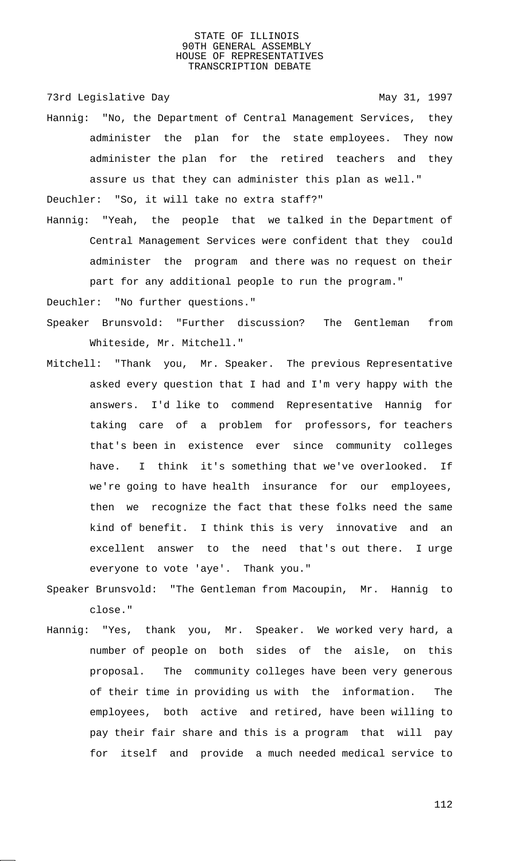73rd Legislative Day 1997

Hannig: "No, the Department of Central Management Services, they administer the plan for the state employees. They now administer the plan for the retired teachers and they assure us that they can administer this plan as well."

Deuchler: "So, it will take no extra staff?"

Hannig: "Yeah, the people that we talked in the Department of Central Management Services were confident that they could administer the program and there was no request on their part for any additional people to run the program."

Deuchler: "No further questions."

- Speaker Brunsvold: "Further discussion? The Gentleman from Whiteside, Mr. Mitchell."
- Mitchell: "Thank you, Mr. Speaker. The previous Representative asked every question that I had and I'm very happy with the answers. I'd like to commend Representative Hannig for taking care of a problem for professors, for teachers that's been in existence ever since community colleges have. I think it's something that we've overlooked. If we're going to have health insurance for our employees, then we recognize the fact that these folks need the same kind of benefit. I think this is very innovative and an excellent answer to the need that's out there. I urge everyone to vote 'aye'. Thank you."
- Speaker Brunsvold: "The Gentleman from Macoupin, Mr. Hannig to close."
- Hannig: "Yes, thank you, Mr. Speaker. We worked very hard, a number of people on both sides of the aisle, on this proposal. The community colleges have been very generous of their time in providing us with the information. The employees, both active and retired, have been willing to pay their fair share and this is a program that will pay for itself and provide a much needed medical service to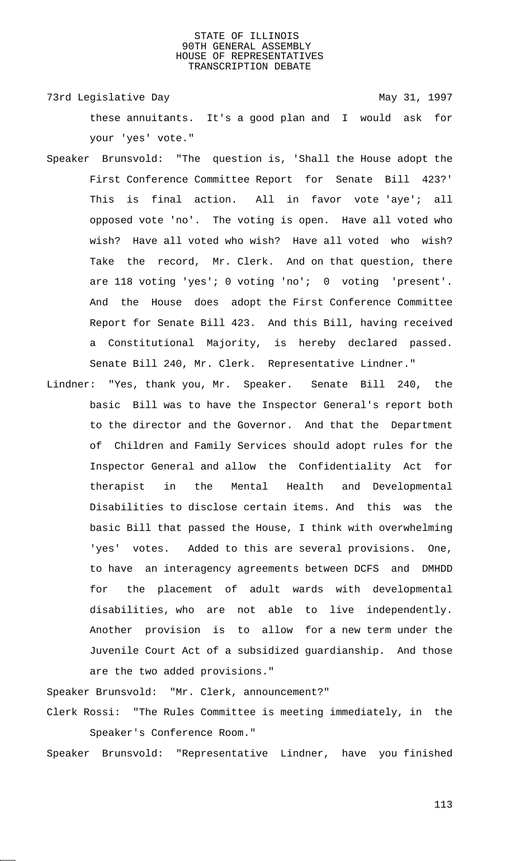73rd Legislative Day 1997 these annuitants. It's a good plan and I would ask for your 'yes' vote."

- Speaker Brunsvold: "The question is, 'Shall the House adopt the First Conference Committee Report for Senate Bill 423?' This is final action. All in favor vote 'aye'; all opposed vote 'no'. The voting is open. Have all voted who wish? Have all voted who wish? Have all voted who wish? Take the record, Mr. Clerk. And on that question, there are 118 voting 'yes'; 0 voting 'no'; 0 voting 'present'. And the House does adopt the First Conference Committee Report for Senate Bill 423. And this Bill, having received a Constitutional Majority, is hereby declared passed. Senate Bill 240, Mr. Clerk. Representative Lindner."
- Lindner: "Yes, thank you, Mr. Speaker. Senate Bill 240, the basic Bill was to have the Inspector General's report both to the director and the Governor. And that the Department of Children and Family Services should adopt rules for the Inspector General and allow the Confidentiality Act for therapist in the Mental Health and Developmental Disabilities to disclose certain items. And this was the basic Bill that passed the House, I think with overwhelming 'yes' votes. Added to this are several provisions. One, to have an interagency agreements between DCFS and DMHDD for the placement of adult wards with developmental disabilities, who are not able to live independently. Another provision is to allow for a new term under the Juvenile Court Act of a subsidized guardianship. And those are the two added provisions."

Speaker Brunsvold: "Mr. Clerk, announcement?" Clerk Rossi: "The Rules Committee is meeting immediately, in the Speaker's Conference Room."

Speaker Brunsvold: "Representative Lindner, have you finished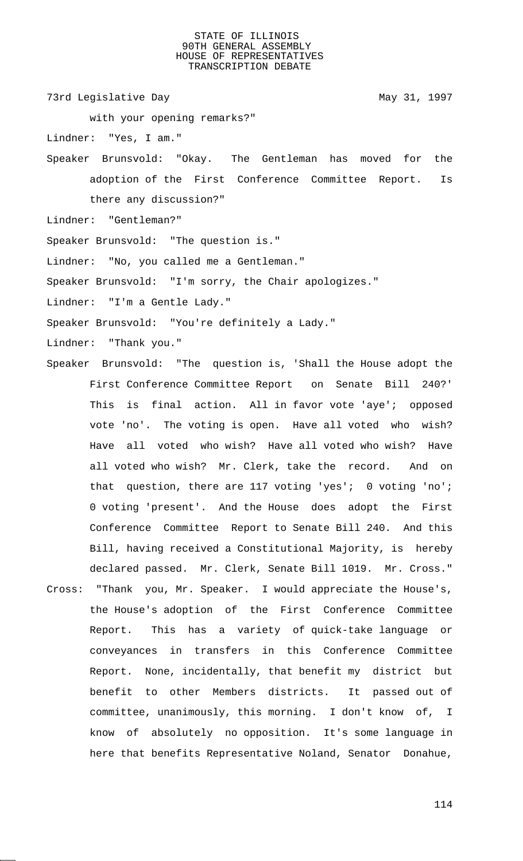73rd Legislative Day 1997

with your opening remarks?"

Lindner: "Yes, I am."

Speaker Brunsvold: "Okay. The Gentleman has moved for the adoption of the First Conference Committee Report. Is there any discussion?"

Lindner: "Gentleman?"

Speaker Brunsvold: "The question is."

Lindner: "No, you called me a Gentleman."

Speaker Brunsvold: "I'm sorry, the Chair apologizes."

Lindner: "I'm a Gentle Lady."

Speaker Brunsvold: "You're definitely a Lady."

Lindner: "Thank you."

- Speaker Brunsvold: "The question is, 'Shall the House adopt the First Conference Committee Report on Senate Bill 240?' This is final action. All in favor vote 'aye'; opposed vote 'no'. The voting is open. Have all voted who wish? Have all voted who wish? Have all voted who wish? Have all voted who wish? Mr. Clerk, take the record. And on that question, there are 117 voting 'yes'; 0 voting 'no'; 0 voting 'present'. And the House does adopt the First Conference Committee Report to Senate Bill 240. And this Bill, having received a Constitutional Majority, is hereby declared passed. Mr. Clerk, Senate Bill 1019. Mr. Cross." Cross: "Thank you, Mr. Speaker. I would appreciate the House's, the House's adoption of the First Conference Committee Report. This has a variety of quick-take language or conveyances in transfers in this Conference Committee Report. None, incidentally, that benefit my district but benefit to other Members districts. It passed out of
	- committee, unanimously, this morning. I don't know of, I know of absolutely no opposition. It's some language in here that benefits Representative Noland, Senator Donahue,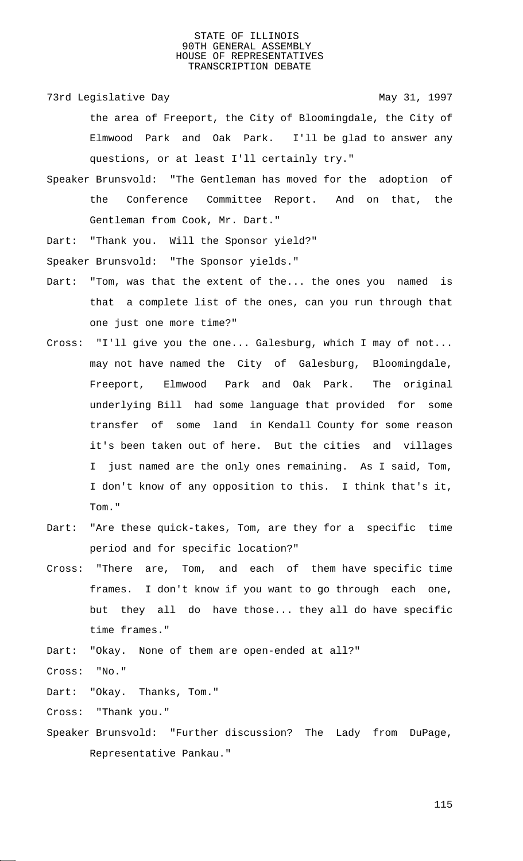73rd Legislative Day 1997

the area of Freeport, the City of Bloomingdale, the City of Elmwood Park and Oak Park. I'll be glad to answer any questions, or at least I'll certainly try."

- Speaker Brunsvold: "The Gentleman has moved for the adoption of the Conference Committee Report. And on that, the Gentleman from Cook, Mr. Dart."
- Dart: "Thank you. Will the Sponsor yield?"

Speaker Brunsvold: "The Sponsor yields."

- Dart: "Tom, was that the extent of the... the ones you named is that a complete list of the ones, can you run through that one just one more time?"
- Cross: "I'll give you the one... Galesburg, which I may of not... may not have named the City of Galesburg, Bloomingdale, Freeport, Elmwood Park and Oak Park. The original underlying Bill had some language that provided for some transfer of some land in Kendall County for some reason it's been taken out of here. But the cities and villages I just named are the only ones remaining. As I said, Tom, I don't know of any opposition to this. I think that's it, Tom."
- Dart: "Are these quick-takes, Tom, are they for a specific time period and for specific location?"
- Cross: "There are, Tom, and each of them have specific time frames. I don't know if you want to go through each one, but they all do have those... they all do have specific time frames."

Dart: "Okay. None of them are open-ended at all?"

Cross: "No."

Dart: "Okay. Thanks, Tom."

Cross: "Thank you."

Speaker Brunsvold: "Further discussion? The Lady from DuPage, Representative Pankau."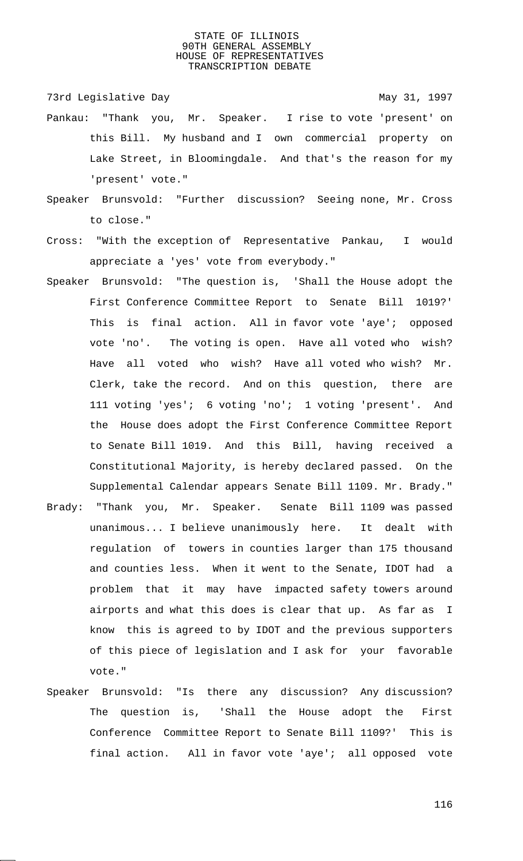73rd Legislative Day 1997

- Pankau: "Thank you, Mr. Speaker. I rise to vote 'present' on this Bill. My husband and I own commercial property on Lake Street, in Bloomingdale. And that's the reason for my 'present' vote."
- Speaker Brunsvold: "Further discussion? Seeing none, Mr. Cross to close."
- Cross: "With the exception of Representative Pankau, I would appreciate a 'yes' vote from everybody."
- Speaker Brunsvold: "The question is, 'Shall the House adopt the First Conference Committee Report to Senate Bill 1019?' This is final action. All in favor vote 'aye'; opposed vote 'no'. The voting is open. Have all voted who wish? Have all voted who wish? Have all voted who wish? Mr. Clerk, take the record. And on this question, there are 111 voting 'yes'; 6 voting 'no'; 1 voting 'present'. And the House does adopt the First Conference Committee Report to Senate Bill 1019. And this Bill, having received a Constitutional Majority, is hereby declared passed. On the Supplemental Calendar appears Senate Bill 1109. Mr. Brady."
- Brady: "Thank you, Mr. Speaker. Senate Bill 1109 was passed unanimous... I believe unanimously here. It dealt with regulation of towers in counties larger than 175 thousand and counties less. When it went to the Senate, IDOT had a problem that it may have impacted safety towers around airports and what this does is clear that up. As far as I know this is agreed to by IDOT and the previous supporters of this piece of legislation and I ask for your favorable vote."
- Speaker Brunsvold: "Is there any discussion? Any discussion? The question is, 'Shall the House adopt the First Conference Committee Report to Senate Bill 1109?' This is final action. All in favor vote 'aye'; all opposed vote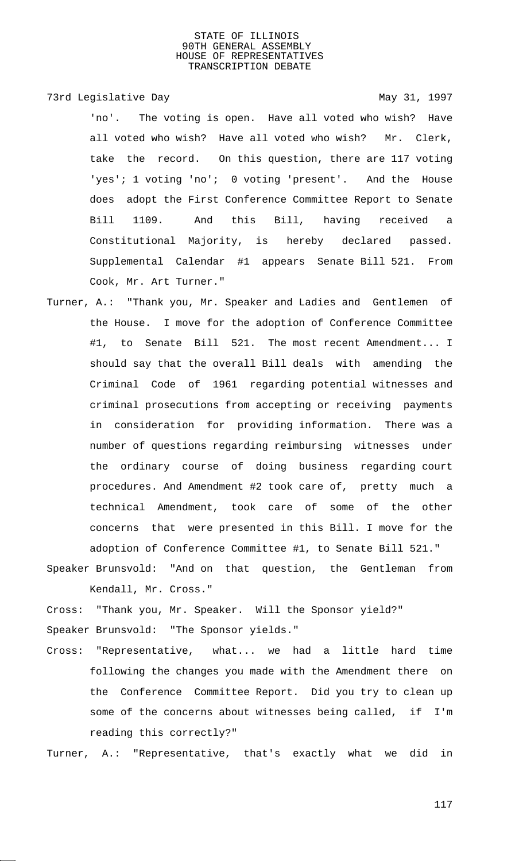#### 73rd Legislative Day 1997

'no'. The voting is open. Have all voted who wish? Have all voted who wish? Have all voted who wish? Mr. Clerk, take the record. On this question, there are 117 voting 'yes'; 1 voting 'no'; 0 voting 'present'. And the House does adopt the First Conference Committee Report to Senate Bill 1109. And this Bill, having received a Constitutional Majority, is hereby declared passed. Supplemental Calendar #1 appears Senate Bill 521. From Cook, Mr. Art Turner."

Turner, A.: "Thank you, Mr. Speaker and Ladies and Gentlemen of the House. I move for the adoption of Conference Committee #1, to Senate Bill 521. The most recent Amendment... I should say that the overall Bill deals with amending the Criminal Code of 1961 regarding potential witnesses and criminal prosecutions from accepting or receiving payments in consideration for providing information. There was a number of questions regarding reimbursing witnesses under the ordinary course of doing business regarding court procedures. And Amendment #2 took care of, pretty much a technical Amendment, took care of some of the other concerns that were presented in this Bill. I move for the adoption of Conference Committee #1, to Senate Bill 521."

Speaker Brunsvold: "And on that question, the Gentleman from Kendall, Mr. Cross."

Cross: "Thank you, Mr. Speaker. Will the Sponsor yield?" Speaker Brunsvold: "The Sponsor yields."

Cross: "Representative, what... we had a little hard time following the changes you made with the Amendment there on the Conference Committee Report. Did you try to clean up some of the concerns about witnesses being called, if I'm reading this correctly?"

Turner, A.: "Representative, that's exactly what we did in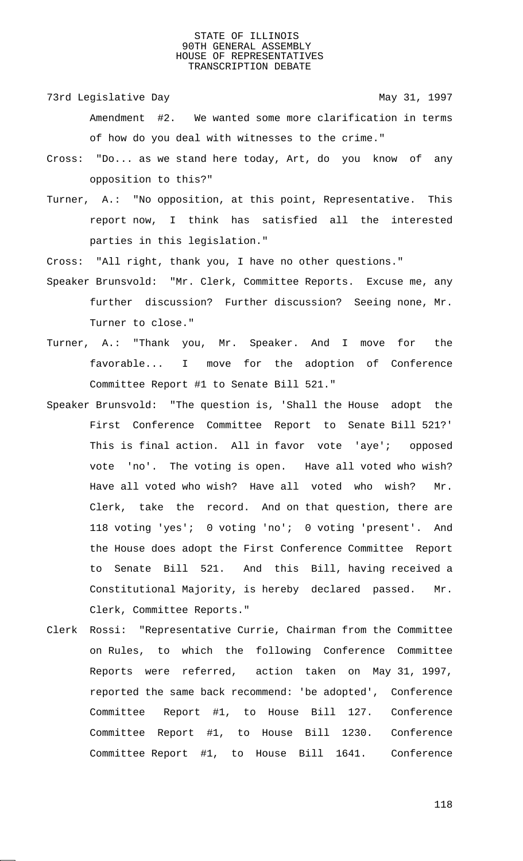73rd Legislative Day 1997

- Amendment #2. We wanted some more clarification in terms of how do you deal with witnesses to the crime."
- Cross: "Do... as we stand here today, Art, do you know of any opposition to this?"
- Turner, A.: "No opposition, at this point, Representative. This report now, I think has satisfied all the interested parties in this legislation."

Cross: "All right, thank you, I have no other questions."

- Speaker Brunsvold: "Mr. Clerk, Committee Reports. Excuse me, any further discussion? Further discussion? Seeing none, Mr. Turner to close."
- Turner, A.: "Thank you, Mr. Speaker. And I move for the favorable... I move for the adoption of Conference Committee Report #1 to Senate Bill 521."
- Speaker Brunsvold: "The question is, 'Shall the House adopt the First Conference Committee Report to Senate Bill 521?' This is final action. All in favor vote 'aye'; opposed vote 'no'. The voting is open. Have all voted who wish? Have all voted who wish? Have all voted who wish? Mr. Clerk, take the record. And on that question, there are 118 voting 'yes'; 0 voting 'no'; 0 voting 'present'. And the House does adopt the First Conference Committee Report to Senate Bill 521. And this Bill, having received a Constitutional Majority, is hereby declared passed. Mr. Clerk, Committee Reports."
- Clerk Rossi: "Representative Currie, Chairman from the Committee on Rules, to which the following Conference Committee Reports were referred, action taken on May 31, 1997, reported the same back recommend: 'be adopted', Conference Committee Report #1, to House Bill 127. Conference Committee Report #1, to House Bill 1230. Conference Committee Report #1, to House Bill 1641. Conference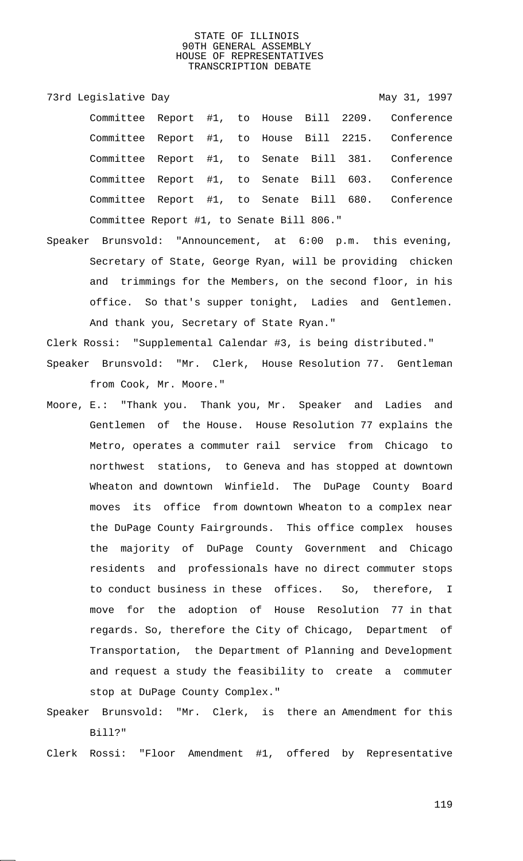73rd Legislative Day 1997 Committee Report #1, to House Bill 2209. Conference Committee Report #1, to House Bill 2215. Conference Committee Report #1, to Senate Bill 381. Conference Committee Report #1, to Senate Bill 603. Conference Committee Report #1, to Senate Bill 680. Conference Committee Report #1, to Senate Bill 806."

Speaker Brunsvold: "Announcement, at 6:00 p.m. this evening, Secretary of State, George Ryan, will be providing chicken and trimmings for the Members, on the second floor, in his office. So that's supper tonight, Ladies and Gentlemen. And thank you, Secretary of State Ryan."

Clerk Rossi: "Supplemental Calendar #3, is being distributed."

- Speaker Brunsvold: "Mr. Clerk, House Resolution 77. Gentleman from Cook, Mr. Moore."
- Moore, E.: "Thank you. Thank you, Mr. Speaker and Ladies and Gentlemen of the House. House Resolution 77 explains the Metro, operates a commuter rail service from Chicago to northwest stations, to Geneva and has stopped at downtown Wheaton and downtown Winfield. The DuPage County Board moves its office from downtown Wheaton to a complex near the DuPage County Fairgrounds. This office complex houses the majority of DuPage County Government and Chicago residents and professionals have no direct commuter stops to conduct business in these offices. So, therefore, I move for the adoption of House Resolution 77 in that regards. So, therefore the City of Chicago, Department of Transportation, the Department of Planning and Development and request a study the feasibility to create a commuter stop at DuPage County Complex."
- Speaker Brunsvold: "Mr. Clerk, is there an Amendment for this Bill?"

Clerk Rossi: "Floor Amendment #1, offered by Representative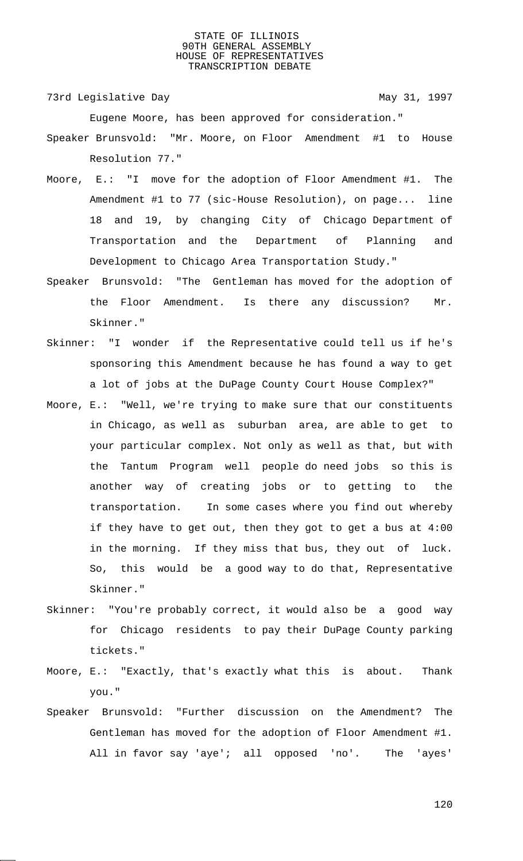73rd Legislative Day 1997

Eugene Moore, has been approved for consideration."

- Speaker Brunsvold: "Mr. Moore, on Floor Amendment #1 to House Resolution 77."
- Moore, E.: "I move for the adoption of Floor Amendment #1. The Amendment #1 to 77 (sic-House Resolution), on page... line 18 and 19, by changing City of Chicago Department of Transportation and the Department of Planning and Development to Chicago Area Transportation Study."
- Speaker Brunsvold: "The Gentleman has moved for the adoption of the Floor Amendment. Is there any discussion? Mr. Skinner."
- Skinner: "I wonder if the Representative could tell us if he's sponsoring this Amendment because he has found a way to get a lot of jobs at the DuPage County Court House Complex?"
- Moore, E.: "Well, we're trying to make sure that our constituents in Chicago, as well as suburban area, are able to get to your particular complex. Not only as well as that, but with the Tantum Program well people do need jobs so this is another way of creating jobs or to getting to the transportation. In some cases where you find out whereby if they have to get out, then they got to get a bus at 4:00 in the morning. If they miss that bus, they out of luck. So, this would be a good way to do that, Representative Skinner."
- Skinner: "You're probably correct, it would also be a good way for Chicago residents to pay their DuPage County parking tickets."
- Moore, E.: "Exactly, that's exactly what this is about. Thank you."
- Speaker Brunsvold: "Further discussion on the Amendment? The Gentleman has moved for the adoption of Floor Amendment #1. All in favor say 'aye'; all opposed 'no'. The 'ayes'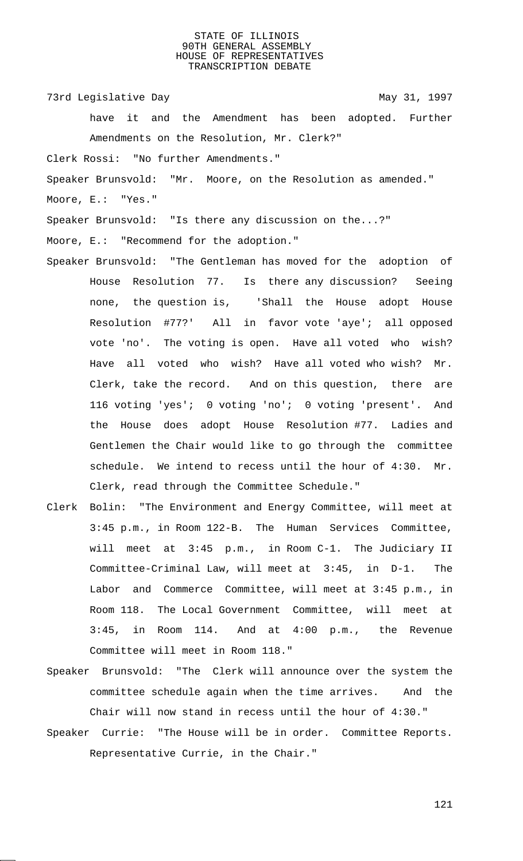73rd Legislative Day 1997

have it and the Amendment has been adopted. Further Amendments on the Resolution, Mr. Clerk?"

Clerk Rossi: "No further Amendments."

Speaker Brunsvold: "Mr. Moore, on the Resolution as amended." Moore, E.: "Yes."

Speaker Brunsvold: "Is there any discussion on the...?"

Moore, E.: "Recommend for the adoption."

- Speaker Brunsvold: "The Gentleman has moved for the adoption of House Resolution 77. Is there any discussion? Seeing none, the question is, 'Shall the House adopt House Resolution #77?' All in favor vote 'aye'; all opposed vote 'no'. The voting is open. Have all voted who wish? Have all voted who wish? Have all voted who wish? Mr. Clerk, take the record. And on this question, there are 116 voting 'yes'; 0 voting 'no'; 0 voting 'present'. And the House does adopt House Resolution #77. Ladies and Gentlemen the Chair would like to go through the committee schedule. We intend to recess until the hour of 4:30. Mr. Clerk, read through the Committee Schedule."
- Clerk Bolin: "The Environment and Energy Committee, will meet at 3:45 p.m., in Room 122-B. The Human Services Committee, will meet at 3:45 p.m., in Room C-1. The Judiciary II Committee-Criminal Law, will meet at 3:45, in D-1. The Labor and Commerce Committee, will meet at 3:45 p.m., in Room 118. The Local Government Committee, will meet at 3:45, in Room 114. And at 4:00 p.m., the Revenue Committee will meet in Room 118."
- Speaker Brunsvold: "The Clerk will announce over the system the committee schedule again when the time arrives. And the Chair will now stand in recess until the hour of 4:30."
- Speaker Currie: "The House will be in order. Committee Reports. Representative Currie, in the Chair."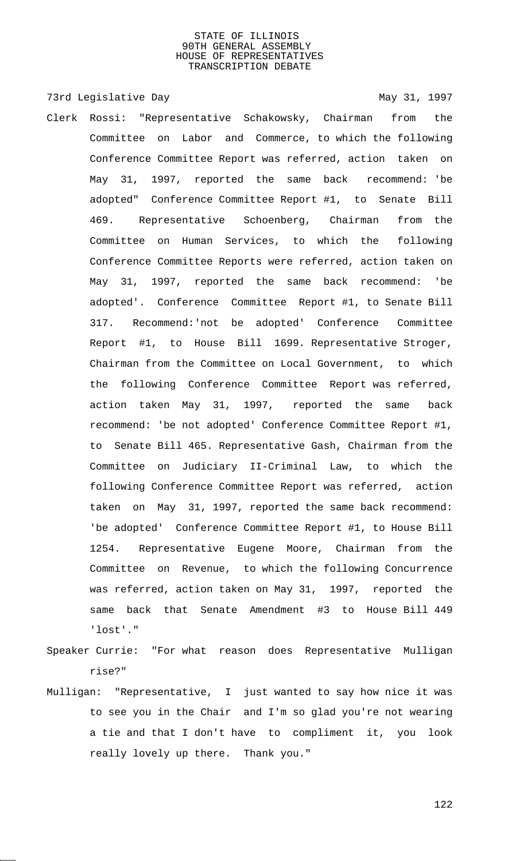73rd Legislative Day 1997

- Clerk Rossi: "Representative Schakowsky, Chairman from the Committee on Labor and Commerce, to which the following Conference Committee Report was referred, action taken on May 31, 1997, reported the same back recommend: 'be adopted" Conference Committee Report #1, to Senate Bill 469. Representative Schoenberg, Chairman from the Committee on Human Services, to which the following Conference Committee Reports were referred, action taken on May 31, 1997, reported the same back recommend: 'be adopted'. Conference Committee Report #1, to Senate Bill 317. Recommend:'not be adopted' Conference Committee Report #1, to House Bill 1699. Representative Stroger, Chairman from the Committee on Local Government, to which the following Conference Committee Report was referred, action taken May 31, 1997, reported the same back recommend: 'be not adopted' Conference Committee Report #1, to Senate Bill 465. Representative Gash, Chairman from the Committee on Judiciary II-Criminal Law, to which the following Conference Committee Report was referred, action taken on May 31, 1997, reported the same back recommend: 'be adopted' Conference Committee Report #1, to House Bill 1254. Representative Eugene Moore, Chairman from the Committee on Revenue, to which the following Concurrence was referred, action taken on May 31, 1997, reported the same back that Senate Amendment #3 to House Bill 449 'lost'."
- Speaker Currie: "For what reason does Representative Mulligan rise?"
- Mulligan: "Representative, I just wanted to say how nice it was to see you in the Chair and I'm so glad you're not wearing a tie and that I don't have to compliment it, you look really lovely up there. Thank you."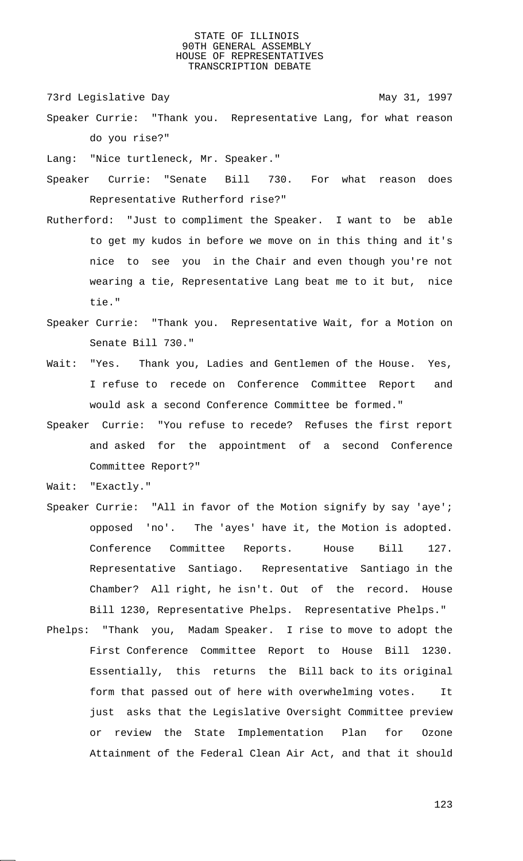73rd Legislative Day 1997

Speaker Currie: "Thank you. Representative Lang, for what reason do you rise?"

Lang: "Nice turtleneck, Mr. Speaker."

- Speaker Currie: "Senate Bill 730. For what reason does Representative Rutherford rise?"
- Rutherford: "Just to compliment the Speaker. I want to be able to get my kudos in before we move on in this thing and it's nice to see you in the Chair and even though you're not wearing a tie, Representative Lang beat me to it but, nice tie."
- Speaker Currie: "Thank you. Representative Wait, for a Motion on Senate Bill 730."
- Wait: "Yes. Thank you, Ladies and Gentlemen of the House. Yes, I refuse to recede on Conference Committee Report and would ask a second Conference Committee be formed."
- Speaker Currie: "You refuse to recede? Refuses the first report and asked for the appointment of a second Conference Committee Report?"

Wait: "Exactly."

- Speaker Currie: "All in favor of the Motion signify by say 'aye'; opposed 'no'. The 'ayes' have it, the Motion is adopted. Conference Committee Reports. House Bill 127. Representative Santiago. Representative Santiago in the Chamber? All right, he isn't. Out of the record. House Bill 1230, Representative Phelps. Representative Phelps."
- Phelps: "Thank you, Madam Speaker. I rise to move to adopt the First Conference Committee Report to House Bill 1230. Essentially, this returns the Bill back to its original form that passed out of here with overwhelming votes. It just asks that the Legislative Oversight Committee preview or review the State Implementation Plan for Ozone Attainment of the Federal Clean Air Act, and that it should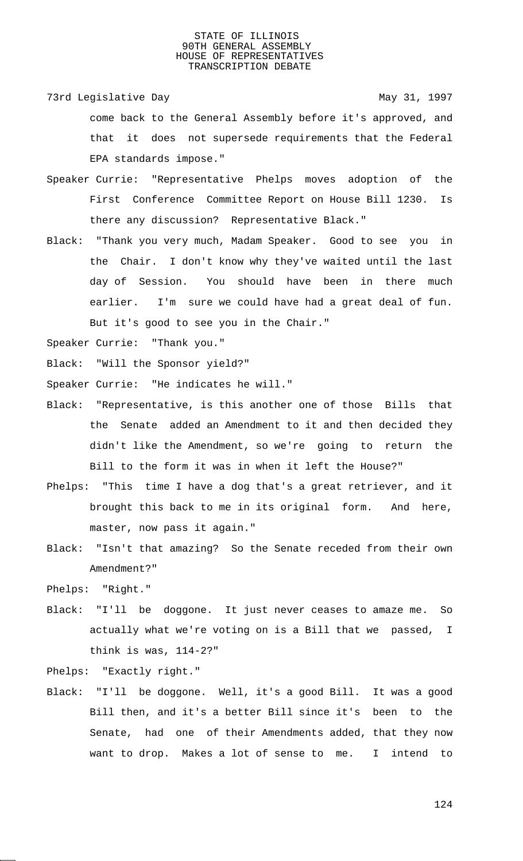73rd Legislative Day 1997

come back to the General Assembly before it's approved, and that it does not supersede requirements that the Federal EPA standards impose."

- Speaker Currie: "Representative Phelps moves adoption of the First Conference Committee Report on House Bill 1230. Is there any discussion? Representative Black."
- Black: "Thank you very much, Madam Speaker. Good to see you in the Chair. I don't know why they've waited until the last day of Session. You should have been in there much earlier. I'm sure we could have had a great deal of fun. But it's good to see you in the Chair."

Speaker Currie: "Thank you."

Black: "Will the Sponsor yield?"

Speaker Currie: "He indicates he will."

- Black: "Representative, is this another one of those Bills that the Senate added an Amendment to it and then decided they didn't like the Amendment, so we're going to return the Bill to the form it was in when it left the House?"
- Phelps: "This time I have a dog that's a great retriever, and it brought this back to me in its original form. And here, master, now pass it again."
- Black: "Isn't that amazing? So the Senate receded from their own Amendment?"

Phelps: "Right."

Black: "I'll be doggone. It just never ceases to amaze me. So actually what we're voting on is a Bill that we passed, I think is was, 114-2?"

Phelps: "Exactly right."

Black: "I'll be doggone. Well, it's a good Bill. It was a good Bill then, and it's a better Bill since it's been to the Senate, had one of their Amendments added, that they now want to drop. Makes a lot of sense to me. I intend to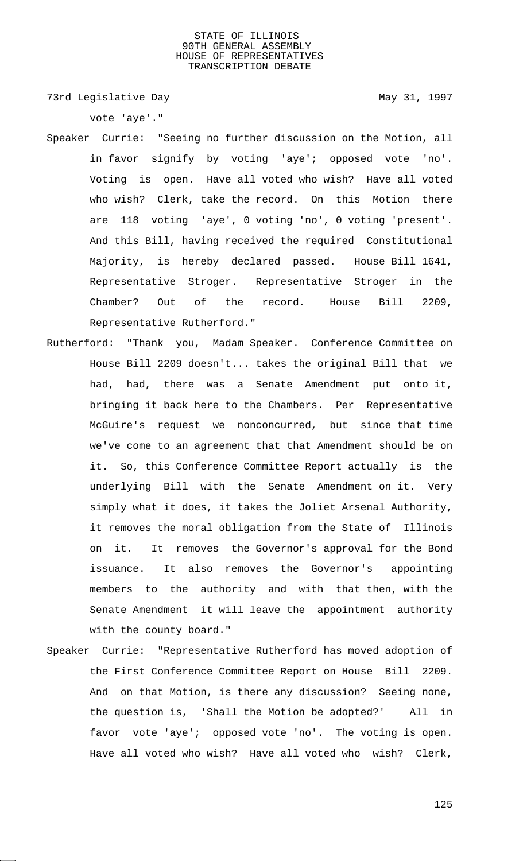73rd Legislative Day 1997

vote 'aye'."

- Speaker Currie: "Seeing no further discussion on the Motion, all in favor signify by voting 'aye'; opposed vote 'no'. Voting is open. Have all voted who wish? Have all voted who wish? Clerk, take the record. On this Motion there are 118 voting 'aye', 0 voting 'no', 0 voting 'present'. And this Bill, having received the required Constitutional Majority, is hereby declared passed. House Bill 1641, Representative Stroger. Representative Stroger in the Chamber? Out of the record. House Bill 2209, Representative Rutherford."
- Rutherford: "Thank you, Madam Speaker. Conference Committee on House Bill 2209 doesn't... takes the original Bill that we had, had, there was a Senate Amendment put onto it, bringing it back here to the Chambers. Per Representative McGuire's request we nonconcurred, but since that time we've come to an agreement that that Amendment should be on it. So, this Conference Committee Report actually is the underlying Bill with the Senate Amendment on it. Very simply what it does, it takes the Joliet Arsenal Authority, it removes the moral obligation from the State of Illinois on it. It removes the Governor's approval for the Bond issuance. It also removes the Governor's appointing members to the authority and with that then, with the Senate Amendment it will leave the appointment authority with the county board."
- Speaker Currie: "Representative Rutherford has moved adoption of the First Conference Committee Report on House Bill 2209. And on that Motion, is there any discussion? Seeing none, the question is, 'Shall the Motion be adopted?' All in favor vote 'aye'; opposed vote 'no'. The voting is open. Have all voted who wish? Have all voted who wish? Clerk,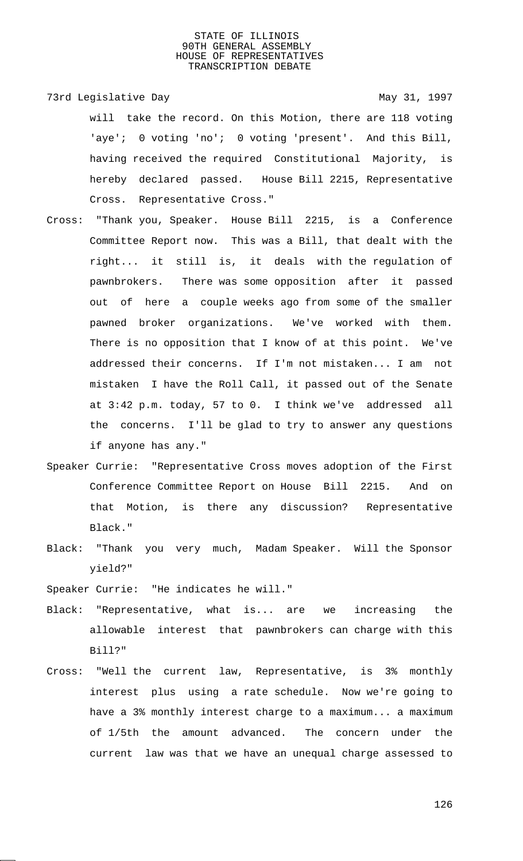- 73rd Legislative Day 1997 will take the record. On this Motion, there are 118 voting 'aye'; 0 voting 'no'; 0 voting 'present'. And this Bill, having received the required Constitutional Majority, is hereby declared passed. House Bill 2215, Representative Cross. Representative Cross."
- Cross: "Thank you, Speaker. House Bill 2215, is a Conference Committee Report now. This was a Bill, that dealt with the right... it still is, it deals with the regulation of pawnbrokers. There was some opposition after it passed out of here a couple weeks ago from some of the smaller pawned broker organizations. We've worked with them. There is no opposition that I know of at this point. We've addressed their concerns. If I'm not mistaken... I am not mistaken I have the Roll Call, it passed out of the Senate at 3:42 p.m. today, 57 to 0. I think we've addressed all the concerns. I'll be glad to try to answer any questions if anyone has any."
- Speaker Currie: "Representative Cross moves adoption of the First Conference Committee Report on House Bill 2215. And on that Motion, is there any discussion? Representative Black."
- Black: "Thank you very much, Madam Speaker. Will the Sponsor yield?"

Speaker Currie: "He indicates he will."

- Black: "Representative, what is... are we increasing the allowable interest that pawnbrokers can charge with this Bill?"
- Cross: "Well the current law, Representative, is 3% monthly interest plus using a rate schedule. Now we're going to have a 3% monthly interest charge to a maximum... a maximum of 1/5th the amount advanced. The concern under the current law was that we have an unequal charge assessed to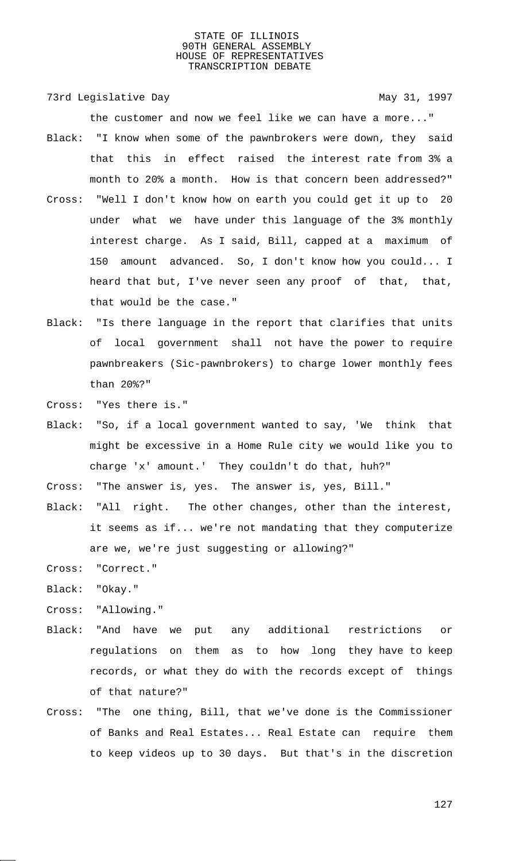73rd Legislative Day 1997

the customer and now we feel like we can have a more..." Black: "I know when some of the pawnbrokers were down, they said

- that this in effect raised the interest rate from 3% a month to 20% a month. How is that concern been addressed?" Cross: "Well I don't know how on earth you could get it up to 20 under what we have under this language of the 3% monthly
	- interest charge. As I said, Bill, capped at a maximum of 150 amount advanced. So, I don't know how you could... I heard that but, I've never seen any proof of that, that, that would be the case."
- Black: "Is there language in the report that clarifies that units of local government shall not have the power to require pawnbreakers (Sic-pawnbrokers) to charge lower monthly fees than 20%?"
- Cross: "Yes there is."
- Black: "So, if a local government wanted to say, 'We think that might be excessive in a Home Rule city we would like you to charge 'x' amount.' They couldn't do that, huh?"
- Cross: "The answer is, yes. The answer is, yes, Bill."
- Black: "All right. The other changes, other than the interest, it seems as if... we're not mandating that they computerize are we, we're just suggesting or allowing?"
- Cross: "Correct."
- Black: "Okay."
- Cross: "Allowing."
- Black: "And have we put any additional restrictions or regulations on them as to how long they have to keep records, or what they do with the records except of things of that nature?"
- Cross: "The one thing, Bill, that we've done is the Commissioner of Banks and Real Estates... Real Estate can require them to keep videos up to 30 days. But that's in the discretion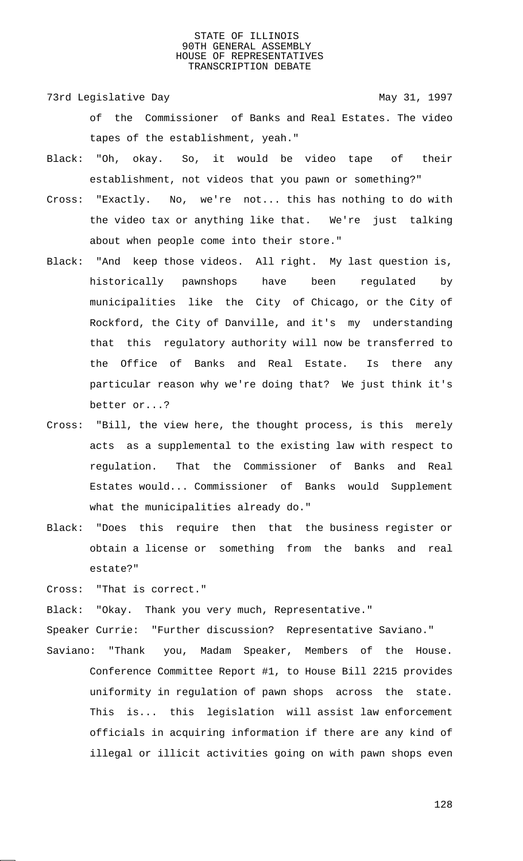- 73rd Legislative Day 1997 of the Commissioner of Banks and Real Estates. The video tapes of the establishment, yeah."
- Black: "Oh, okay. So, it would be video tape of their establishment, not videos that you pawn or something?"
- Cross: "Exactly. No, we're not... this has nothing to do with the video tax or anything like that. We're just talking about when people come into their store."
- Black: "And keep those videos. All right. My last question is, historically pawnshops have been regulated by municipalities like the City of Chicago, or the City of Rockford, the City of Danville, and it's my understanding that this regulatory authority will now be transferred to the Office of Banks and Real Estate. Is there any particular reason why we're doing that? We just think it's better or...?
- Cross: "Bill, the view here, the thought process, is this merely acts as a supplemental to the existing law with respect to regulation. That the Commissioner of Banks and Real Estates would... Commissioner of Banks would Supplement what the municipalities already do."
- Black: "Does this require then that the business register or obtain a license or something from the banks and real estate?"

Cross: "That is correct."

Black: "Okay. Thank you very much, Representative."

Speaker Currie: "Further discussion? Representative Saviano."

Saviano: "Thank you, Madam Speaker, Members of the House. Conference Committee Report #1, to House Bill 2215 provides uniformity in regulation of pawn shops across the state. This is... this legislation will assist law enforcement officials in acquiring information if there are any kind of illegal or illicit activities going on with pawn shops even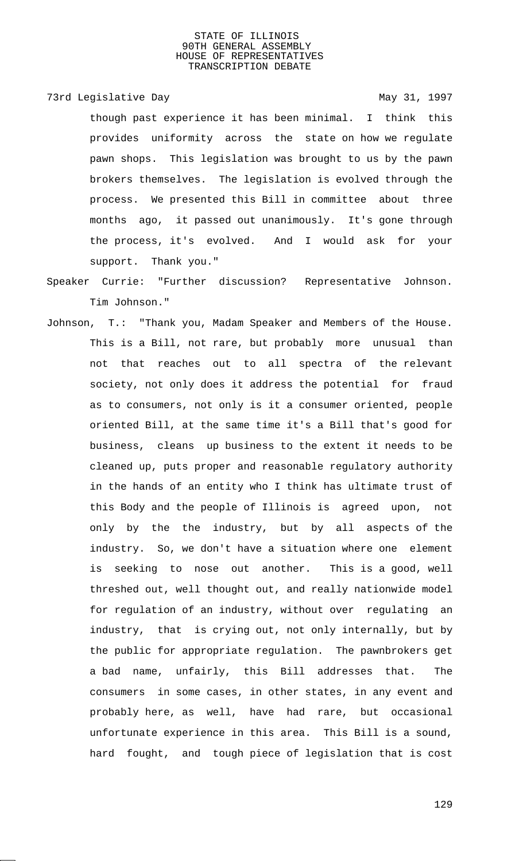73rd Legislative Day 1997

though past experience it has been minimal. I think this provides uniformity across the state on how we regulate pawn shops. This legislation was brought to us by the pawn brokers themselves. The legislation is evolved through the process. We presented this Bill in committee about three months ago, it passed out unanimously. It's gone through the process, it's evolved. And I would ask for your support. Thank you."

- Speaker Currie: "Further discussion? Representative Johnson. Tim Johnson."
- Johnson, T.: "Thank you, Madam Speaker and Members of the House. This is a Bill, not rare, but probably more unusual than not that reaches out to all spectra of the relevant society, not only does it address the potential for fraud as to consumers, not only is it a consumer oriented, people oriented Bill, at the same time it's a Bill that's good for business, cleans up business to the extent it needs to be cleaned up, puts proper and reasonable regulatory authority in the hands of an entity who I think has ultimate trust of this Body and the people of Illinois is agreed upon, not only by the the industry, but by all aspects of the industry. So, we don't have a situation where one element is seeking to nose out another. This is a good, well threshed out, well thought out, and really nationwide model for regulation of an industry, without over regulating an industry, that is crying out, not only internally, but by the public for appropriate regulation. The pawnbrokers get a bad name, unfairly, this Bill addresses that. The consumers in some cases, in other states, in any event and probably here, as well, have had rare, but occasional unfortunate experience in this area. This Bill is a sound, hard fought, and tough piece of legislation that is cost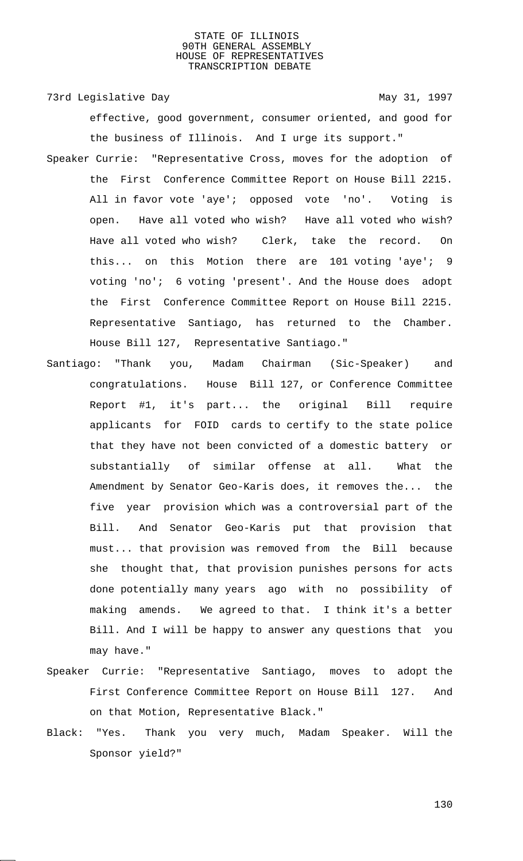73rd Legislative Day 1997

effective, good government, consumer oriented, and good for the business of Illinois. And I urge its support."

- Speaker Currie: "Representative Cross, moves for the adoption of the First Conference Committee Report on House Bill 2215. All in favor vote 'aye'; opposed vote 'no'. Voting is open. Have all voted who wish? Have all voted who wish? Have all voted who wish? Clerk, take the record. On this... on this Motion there are 101 voting 'aye'; 9 voting 'no'; 6 voting 'present'. And the House does adopt the First Conference Committee Report on House Bill 2215. Representative Santiago, has returned to the Chamber. House Bill 127, Representative Santiago."
- Santiago: "Thank you, Madam Chairman (Sic-Speaker) and congratulations. House Bill 127, or Conference Committee Report #1, it's part... the original Bill require applicants for FOID cards to certify to the state police that they have not been convicted of a domestic battery or substantially of similar offense at all. What the Amendment by Senator Geo-Karis does, it removes the... the five year provision which was a controversial part of the Bill. And Senator Geo-Karis put that provision that must... that provision was removed from the Bill because she thought that, that provision punishes persons for acts done potentially many years ago with no possibility of making amends. We agreed to that. I think it's a better Bill. And I will be happy to answer any questions that you may have."
- Speaker Currie: "Representative Santiago, moves to adopt the First Conference Committee Report on House Bill 127. And on that Motion, Representative Black."
- Black: "Yes. Thank you very much, Madam Speaker. Will the Sponsor yield?"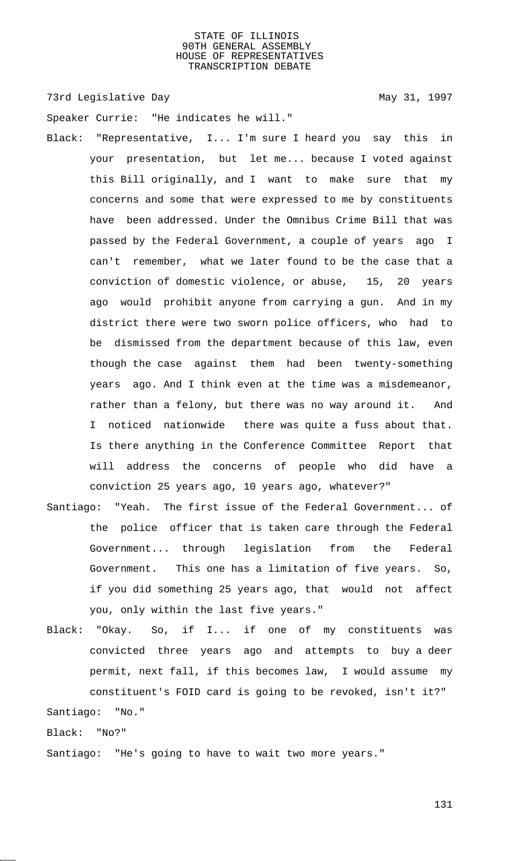73rd Legislative Day 1997

Speaker Currie: "He indicates he will."

- Black: "Representative, I... I'm sure I heard you say this in your presentation, but let me... because I voted against this Bill originally, and I want to make sure that my concerns and some that were expressed to me by constituents have been addressed. Under the Omnibus Crime Bill that was passed by the Federal Government, a couple of years ago I can't remember, what we later found to be the case that a conviction of domestic violence, or abuse, 15, 20 years ago would prohibit anyone from carrying a gun. And in my district there were two sworn police officers, who had to be dismissed from the department because of this law, even though the case against them had been twenty-something years ago. And I think even at the time was a misdemeanor, rather than a felony, but there was no way around it. And I noticed nationwide there was quite a fuss about that. Is there anything in the Conference Committee Report that will address the concerns of people who did have a conviction 25 years ago, 10 years ago, whatever?"
- Santiago: "Yeah. The first issue of the Federal Government... of the police officer that is taken care through the Federal Government... through legislation from the Federal Government. This one has a limitation of five years. So, if you did something 25 years ago, that would not affect you, only within the last five years."
- Black: "Okay. So, if I... if one of my constituents was convicted three years ago and attempts to buy a deer permit, next fall, if this becomes law, I would assume my constituent's FOID card is going to be revoked, isn't it?" Santiago: "No."

Black: "No?"

Santiago: "He's going to have to wait two more years."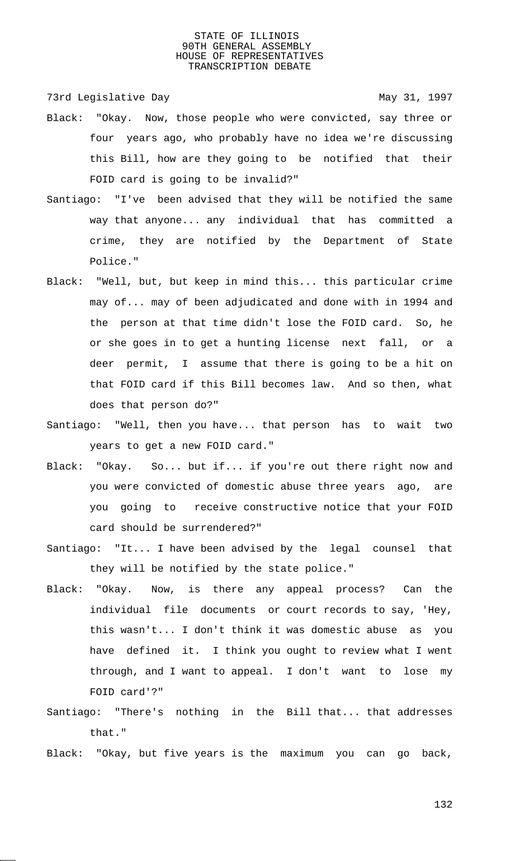73rd Legislative Day 1997

- Black: "Okay. Now, those people who were convicted, say three or four years ago, who probably have no idea we're discussing this Bill, how are they going to be notified that their FOID card is going to be invalid?"
- Santiago: "I've been advised that they will be notified the same way that anyone... any individual that has committed a crime, they are notified by the Department of State Police."
- Black: "Well, but, but keep in mind this... this particular crime may of... may of been adjudicated and done with in 1994 and the person at that time didn't lose the FOID card. So, he or she goes in to get a hunting license next fall, or a deer permit, I assume that there is going to be a hit on that FOID card if this Bill becomes law. And so then, what does that person do?"
- Santiago: "Well, then you have... that person has to wait two years to get a new FOID card."
- Black: "Okay. So... but if... if you're out there right now and you were convicted of domestic abuse three years ago, are you going to receive constructive notice that your FOID card should be surrendered?"
- Santiago: "It... I have been advised by the legal counsel that they will be notified by the state police."
- Black: "Okay. Now, is there any appeal process? Can the individual file documents or court records to say, 'Hey, this wasn't... I don't think it was domestic abuse as you have defined it. I think you ought to review what I went through, and I want to appeal. I don't want to lose my FOID card'?"
- Santiago: "There's nothing in the Bill that... that addresses that."
- Black: "Okay, but five years is the maximum you can go back,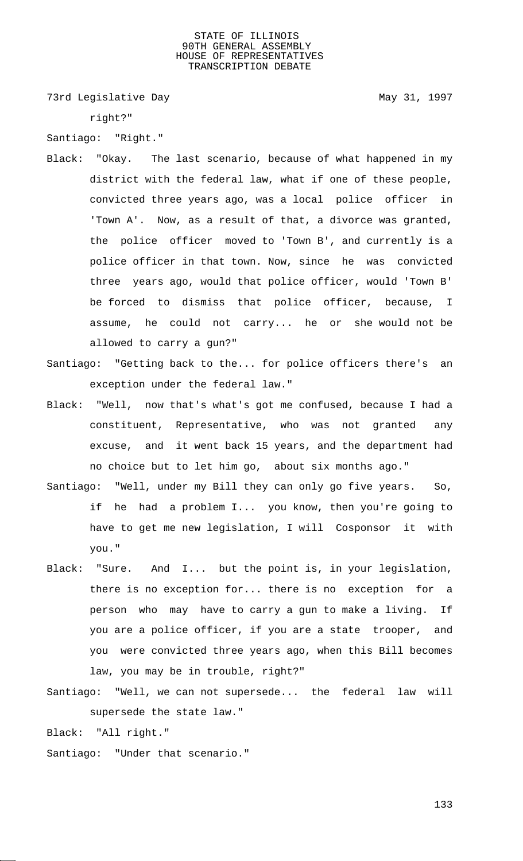73rd Legislative Day 1997

right?"

Santiago: "Right."

- Black: "Okay. The last scenario, because of what happened in my district with the federal law, what if one of these people, convicted three years ago, was a local police officer in 'Town A'. Now, as a result of that, a divorce was granted, the police officer moved to 'Town B', and currently is a police officer in that town. Now, since he was convicted three years ago, would that police officer, would 'Town B' be forced to dismiss that police officer, because, I assume, he could not carry... he or she would not be allowed to carry a gun?"
- Santiago: "Getting back to the... for police officers there's an exception under the federal law."
- Black: "Well, now that's what's got me confused, because I had a constituent, Representative, who was not granted any excuse, and it went back 15 years, and the department had no choice but to let him go, about six months ago."
- Santiago: "Well, under my Bill they can only go five years. So, if he had a problem I... you know, then you're going to have to get me new legislation, I will Cosponsor it with you."
- Black: "Sure. And I... but the point is, in your legislation, there is no exception for... there is no exception for a person who may have to carry a gun to make a living. If you are a police officer, if you are a state trooper, and you were convicted three years ago, when this Bill becomes law, you may be in trouble, right?"
- Santiago: "Well, we can not supersede... the federal law will supersede the state law."

Black: "All right."

Santiago: "Under that scenario."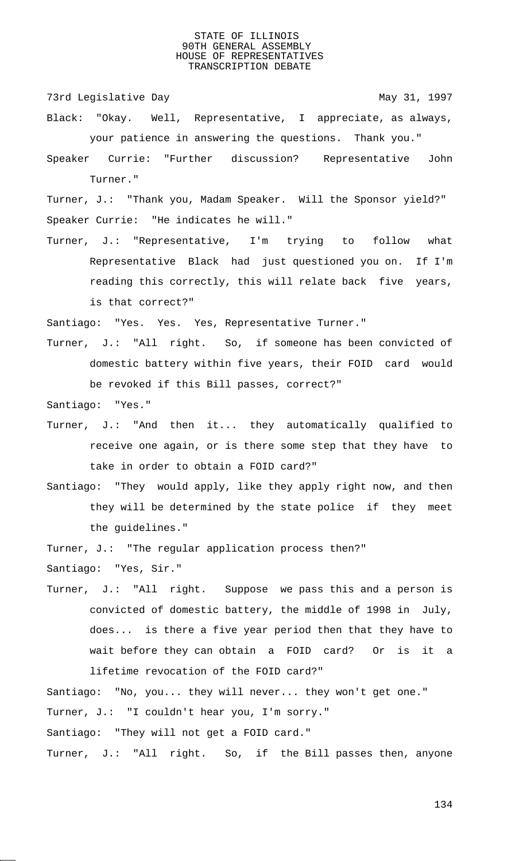73rd Legislative Day 1997

- Black: "Okay. Well, Representative, I appreciate, as always, your patience in answering the questions. Thank you."
- Speaker Currie: "Further discussion? Representative John Turner."

Turner, J.: "Thank you, Madam Speaker. Will the Sponsor yield?" Speaker Currie: "He indicates he will."

Turner, J.: "Representative, I'm trying to follow what Representative Black had just questioned you on. If I'm reading this correctly, this will relate back five years, is that correct?"

Santiago: "Yes. Yes. Yes, Representative Turner."

Turner, J.: "All right. So, if someone has been convicted of domestic battery within five years, their FOID card would be revoked if this Bill passes, correct?"

Santiago: "Yes."

- Turner, J.: "And then it... they automatically qualified to receive one again, or is there some step that they have to take in order to obtain a FOID card?"
- Santiago: "They would apply, like they apply right now, and then they will be determined by the state police if they meet the guidelines."

Turner, J.: "The regular application process then?"

Santiago: "Yes, Sir."

Turner, J.: "All right. Suppose we pass this and a person is convicted of domestic battery, the middle of 1998 in July, does... is there a five year period then that they have to wait before they can obtain a FOID card? Or is it a lifetime revocation of the FOID card?"

Santiago: "No, you... they will never... they won't get one." Turner, J.: "I couldn't hear you, I'm sorry." Santiago: "They will not get a FOID card." Turner, J.: "All right. So, if the Bill passes then, anyone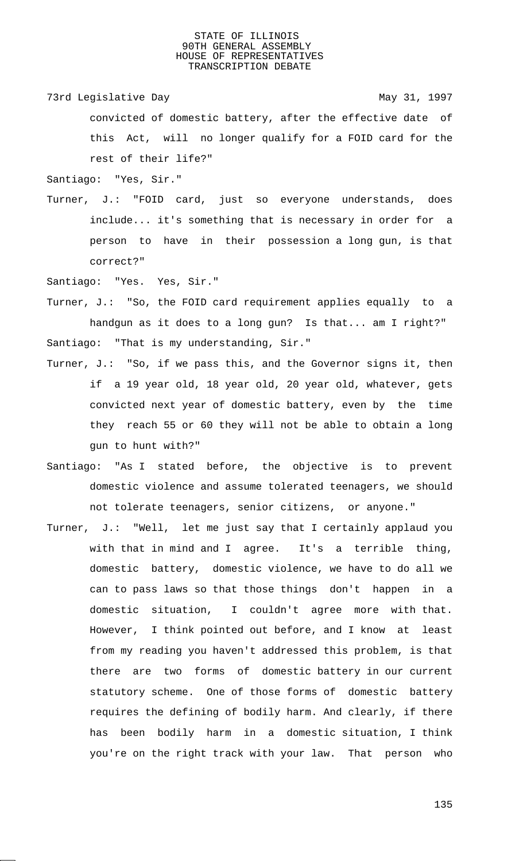73rd Legislative Day 1997

convicted of domestic battery, after the effective date of this Act, will no longer qualify for a FOID card for the rest of their life?"

Santiago: "Yes, Sir."

Turner, J.: "FOID card, just so everyone understands, does include... it's something that is necessary in order for a person to have in their possession a long gun, is that correct?"

Santiago: "Yes. Yes, Sir."

Turner, J.: "So, the FOID card requirement applies equally to a handgun as it does to a long gun? Is that... am I right?" Santiago: "That is my understanding, Sir."

- Turner, J.: "So, if we pass this, and the Governor signs it, then if a 19 year old, 18 year old, 20 year old, whatever, gets convicted next year of domestic battery, even by the time they reach 55 or 60 they will not be able to obtain a long gun to hunt with?"
- Santiago: "As I stated before, the objective is to prevent domestic violence and assume tolerated teenagers, we should not tolerate teenagers, senior citizens, or anyone."
- Turner, J.: "Well, let me just say that I certainly applaud you with that in mind and I agree. It's a terrible thing, domestic battery, domestic violence, we have to do all we can to pass laws so that those things don't happen in a domestic situation, I couldn't agree more with that. However, I think pointed out before, and I know at least from my reading you haven't addressed this problem, is that there are two forms of domestic battery in our current statutory scheme. One of those forms of domestic battery requires the defining of bodily harm. And clearly, if there has been bodily harm in a domestic situation, I think you're on the right track with your law. That person who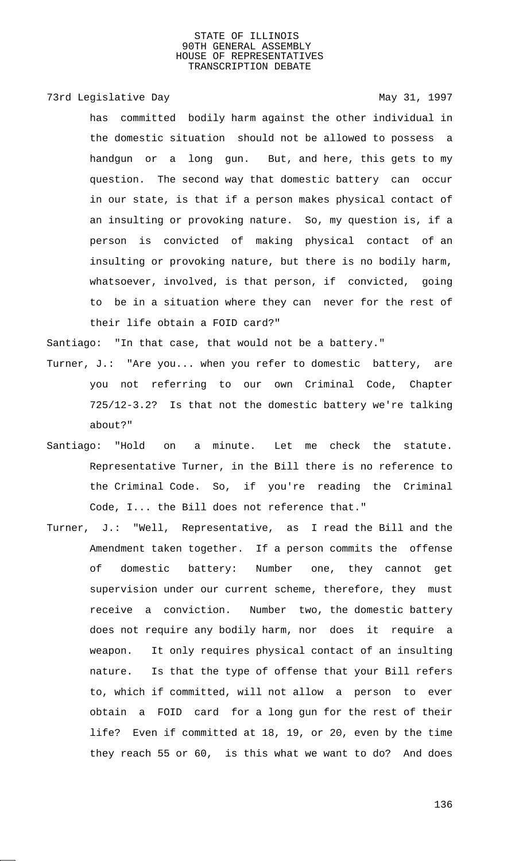# 73rd Legislative Day 1997

has committed bodily harm against the other individual in the domestic situation should not be allowed to possess a handgun or a long gun. But, and here, this gets to my question. The second way that domestic battery can occur in our state, is that if a person makes physical contact of an insulting or provoking nature. So, my question is, if a person is convicted of making physical contact of an insulting or provoking nature, but there is no bodily harm, whatsoever, involved, is that person, if convicted, going to be in a situation where they can never for the rest of their life obtain a FOID card?"

Santiago: "In that case, that would not be a battery."

- Turner, J.: "Are you... when you refer to domestic battery, are you not referring to our own Criminal Code, Chapter 725/12-3.2? Is that not the domestic battery we're talking about?"
- Santiago: "Hold on a minute. Let me check the statute. Representative Turner, in the Bill there is no reference to the Criminal Code. So, if you're reading the Criminal Code, I... the Bill does not reference that."
- Turner, J.: "Well, Representative, as I read the Bill and the Amendment taken together. If a person commits the offense of domestic battery: Number one, they cannot get supervision under our current scheme, therefore, they must receive a conviction. Number two, the domestic battery does not require any bodily harm, nor does it require a weapon. It only requires physical contact of an insulting nature. Is that the type of offense that your Bill refers to, which if committed, will not allow a person to ever obtain a FOID card for a long gun for the rest of their life? Even if committed at 18, 19, or 20, even by the time they reach 55 or 60, is this what we want to do? And does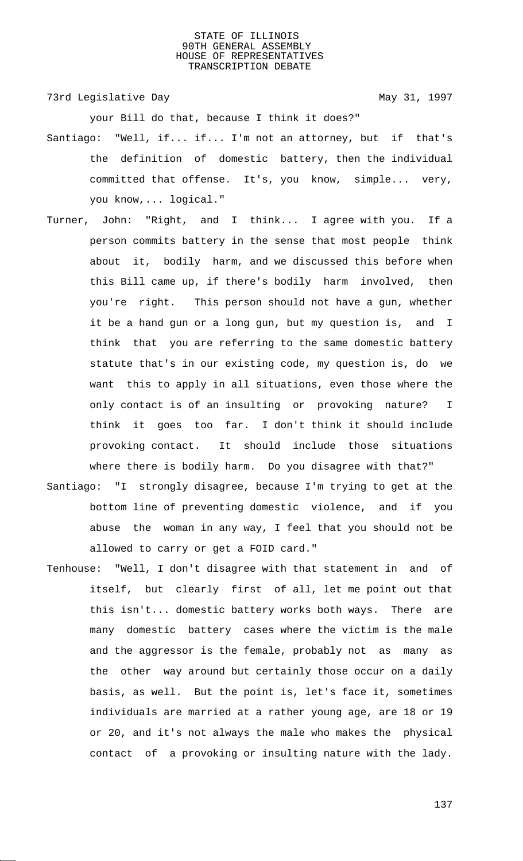73rd Legislative Day 1997

your Bill do that, because I think it does?"

- Santiago: "Well, if... if... I'm not an attorney, but if that's the definition of domestic battery, then the individual committed that offense. It's, you know, simple... very, you know,... logical."
- Turner, John: "Right, and I think... I agree with you. If a person commits battery in the sense that most people think about it, bodily harm, and we discussed this before when this Bill came up, if there's bodily harm involved, then you're right. This person should not have a gun, whether it be a hand gun or a long gun, but my question is, and I think that you are referring to the same domestic battery statute that's in our existing code, my question is, do we want this to apply in all situations, even those where the only contact is of an insulting or provoking nature? I think it goes too far. I don't think it should include provoking contact. It should include those situations where there is bodily harm. Do you disagree with that?"
- Santiago: "I strongly disagree, because I'm trying to get at the bottom line of preventing domestic violence, and if you abuse the woman in any way, I feel that you should not be allowed to carry or get a FOID card."
- Tenhouse: "Well, I don't disagree with that statement in and of itself, but clearly first of all, let me point out that this isn't... domestic battery works both ways. There are many domestic battery cases where the victim is the male and the aggressor is the female, probably not as many as the other way around but certainly those occur on a daily basis, as well. But the point is, let's face it, sometimes individuals are married at a rather young age, are 18 or 19 or 20, and it's not always the male who makes the physical contact of a provoking or insulting nature with the lady.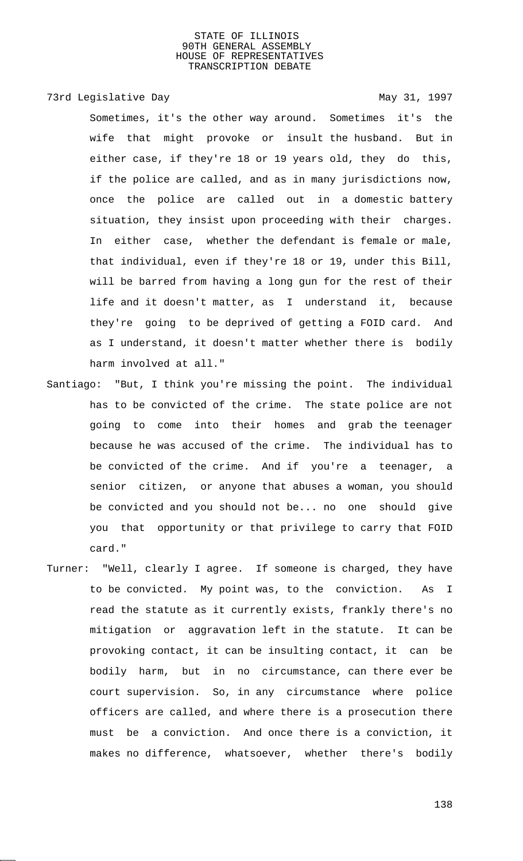# 73rd Legislative Day 1997

Sometimes, it's the other way around. Sometimes it's the wife that might provoke or insult the husband. But in either case, if they're 18 or 19 years old, they do this, if the police are called, and as in many jurisdictions now, once the police are called out in a domestic battery situation, they insist upon proceeding with their charges. In either case, whether the defendant is female or male, that individual, even if they're 18 or 19, under this Bill, will be barred from having a long gun for the rest of their life and it doesn't matter, as I understand it, because they're going to be deprived of getting a FOID card. And as I understand, it doesn't matter whether there is bodily harm involved at all."

- Santiago: "But, I think you're missing the point. The individual has to be convicted of the crime. The state police are not going to come into their homes and grab the teenager because he was accused of the crime. The individual has to be convicted of the crime. And if you're a teenager, a senior citizen, or anyone that abuses a woman, you should be convicted and you should not be... no one should give you that opportunity or that privilege to carry that FOID card."
- Turner: "Well, clearly I agree. If someone is charged, they have to be convicted. My point was, to the conviction. As I read the statute as it currently exists, frankly there's no mitigation or aggravation left in the statute. It can be provoking contact, it can be insulting contact, it can be bodily harm, but in no circumstance, can there ever be court supervision. So, in any circumstance where police officers are called, and where there is a prosecution there must be a conviction. And once there is a conviction, it makes no difference, whatsoever, whether there's bodily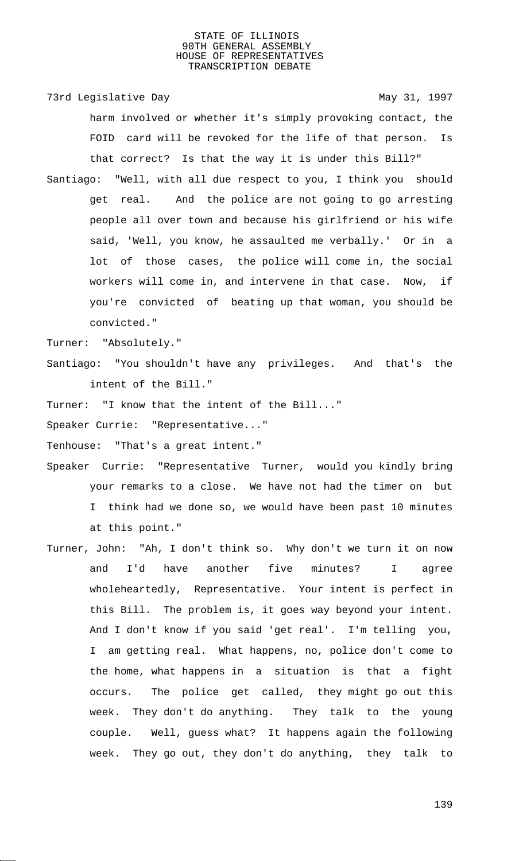73rd Legislative Day 1997

harm involved or whether it's simply provoking contact, the FOID card will be revoked for the life of that person. Is that correct? Is that the way it is under this Bill?"

Santiago: "Well, with all due respect to you, I think you should get real. And the police are not going to go arresting people all over town and because his girlfriend or his wife said, 'Well, you know, he assaulted me verbally.' Or in a lot of those cases, the police will come in, the social workers will come in, and intervene in that case. Now, if you're convicted of beating up that woman, you should be convicted."

Turner: "Absolutely."

Santiago: "You shouldn't have any privileges. And that's the intent of the Bill."

Turner: "I know that the intent of the Bill..."

Speaker Currie: "Representative..."

Tenhouse: "That's a great intent."

- Speaker Currie: "Representative Turner, would you kindly bring your remarks to a close. We have not had the timer on but I think had we done so, we would have been past 10 minutes at this point."
- Turner, John: "Ah, I don't think so. Why don't we turn it on now and I'd have another five minutes? I agree wholeheartedly, Representative. Your intent is perfect in this Bill. The problem is, it goes way beyond your intent. And I don't know if you said 'get real'. I'm telling you, I am getting real. What happens, no, police don't come to the home, what happens in a situation is that a fight occurs. The police get called, they might go out this week. They don't do anything. They talk to the young couple. Well, guess what? It happens again the following week. They go out, they don't do anything, they talk to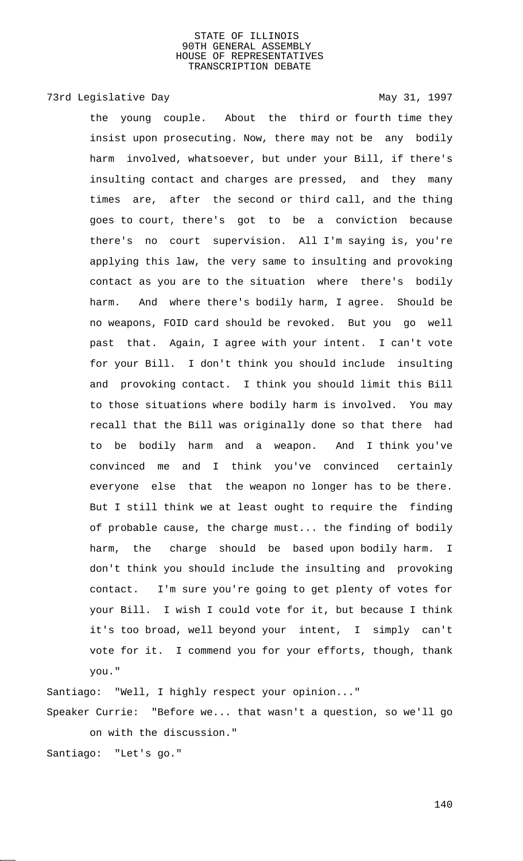# 73rd Legislative Day 1997

the young couple. About the third or fourth time they insist upon prosecuting. Now, there may not be any bodily harm involved, whatsoever, but under your Bill, if there's insulting contact and charges are pressed, and they many times are, after the second or third call, and the thing goes to court, there's got to be a conviction because there's no court supervision. All I'm saying is, you're applying this law, the very same to insulting and provoking contact as you are to the situation where there's bodily harm. And where there's bodily harm, I agree. Should be no weapons, FOID card should be revoked. But you go well past that. Again, I agree with your intent. I can't vote for your Bill. I don't think you should include insulting and provoking contact. I think you should limit this Bill to those situations where bodily harm is involved. You may recall that the Bill was originally done so that there had to be bodily harm and a weapon. And I think you've convinced me and I think you've convinced certainly everyone else that the weapon no longer has to be there. But I still think we at least ought to require the finding of probable cause, the charge must... the finding of bodily harm, the charge should be based upon bodily harm. I don't think you should include the insulting and provoking contact. I'm sure you're going to get plenty of votes for your Bill. I wish I could vote for it, but because I think it's too broad, well beyond your intent, I simply can't vote for it. I commend you for your efforts, though, thank you."

Santiago: "Well, I highly respect your opinion..." Speaker Currie: "Before we... that wasn't a question, so we'll go on with the discussion." Santiago: "Let's go."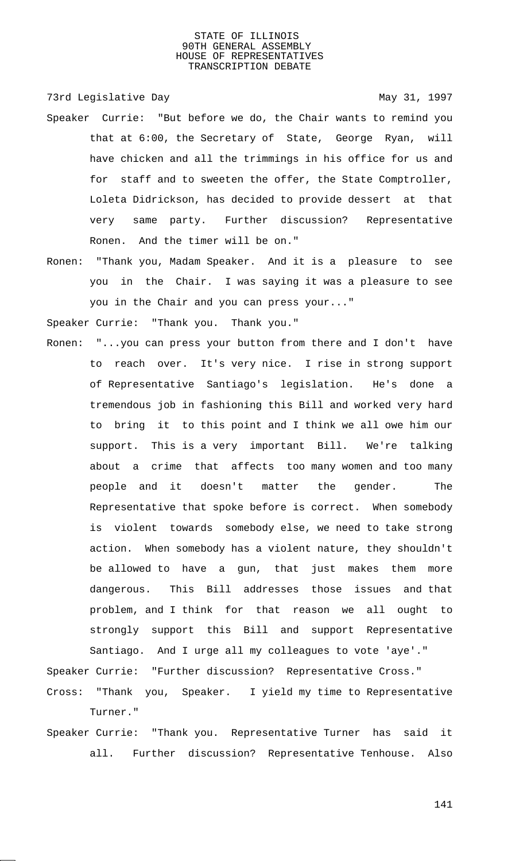73rd Legislative Day 1997

- Speaker Currie: "But before we do, the Chair wants to remind you that at 6:00, the Secretary of State, George Ryan, will have chicken and all the trimmings in his office for us and for staff and to sweeten the offer, the State Comptroller, Loleta Didrickson, has decided to provide dessert at that very same party. Further discussion? Representative Ronen. And the timer will be on."
- Ronen: "Thank you, Madam Speaker. And it is a pleasure to see you in the Chair. I was saying it was a pleasure to see you in the Chair and you can press your..."

Speaker Currie: "Thank you. Thank you."

Ronen: "...you can press your button from there and I don't have to reach over. It's very nice. I rise in strong support of Representative Santiago's legislation. He's done a tremendous job in fashioning this Bill and worked very hard to bring it to this point and I think we all owe him our support. This is a very important Bill. We're talking about a crime that affects too many women and too many people and it doesn't matter the gender. The Representative that spoke before is correct. When somebody is violent towards somebody else, we need to take strong action. When somebody has a violent nature, they shouldn't be allowed to have a gun, that just makes them more dangerous. This Bill addresses those issues and that problem, and I think for that reason we all ought to strongly support this Bill and support Representative Santiago. And I urge all my colleagues to vote 'aye'."

Speaker Currie: "Further discussion? Representative Cross." Cross: "Thank you, Speaker. I yield my time to Representative Turner."

Speaker Currie: "Thank you. Representative Turner has said it all. Further discussion? Representative Tenhouse. Also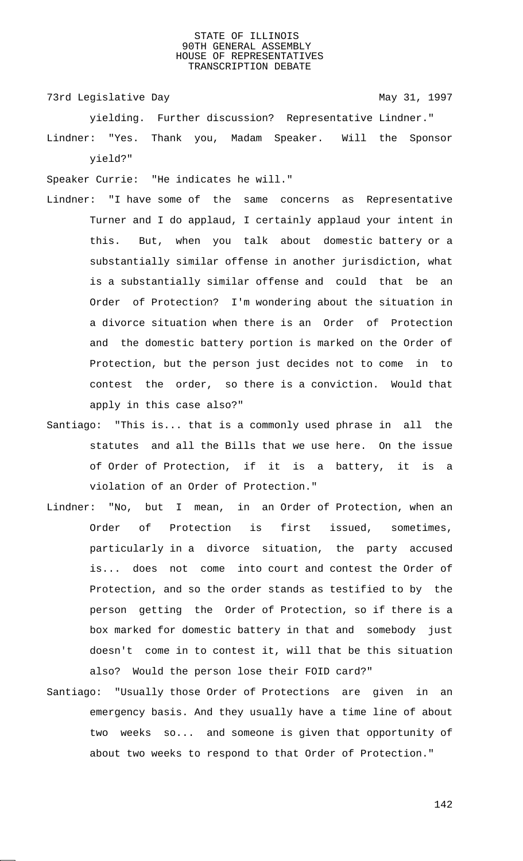73rd Legislative Day 1997

yielding. Further discussion? Representative Lindner." Lindner: "Yes. Thank you, Madam Speaker. Will the Sponsor yield?"

Speaker Currie: "He indicates he will."

- Lindner: "I have some of the same concerns as Representative Turner and I do applaud, I certainly applaud your intent in this. But, when you talk about domestic battery or a substantially similar offense in another jurisdiction, what is a substantially similar offense and could that be an Order of Protection? I'm wondering about the situation in a divorce situation when there is an Order of Protection and the domestic battery portion is marked on the Order of Protection, but the person just decides not to come in to contest the order, so there is a conviction. Would that apply in this case also?"
- Santiago: "This is... that is a commonly used phrase in all the statutes and all the Bills that we use here. On the issue of Order of Protection, if it is a battery, it is a violation of an Order of Protection."
- Lindner: "No, but I mean, in an Order of Protection, when an Order of Protection is first issued, sometimes, particularly in a divorce situation, the party accused is... does not come into court and contest the Order of Protection, and so the order stands as testified to by the person getting the Order of Protection, so if there is a box marked for domestic battery in that and somebody just doesn't come in to contest it, will that be this situation also? Would the person lose their FOID card?"
- Santiago: "Usually those Order of Protections are given in an emergency basis. And they usually have a time line of about two weeks so... and someone is given that opportunity of about two weeks to respond to that Order of Protection."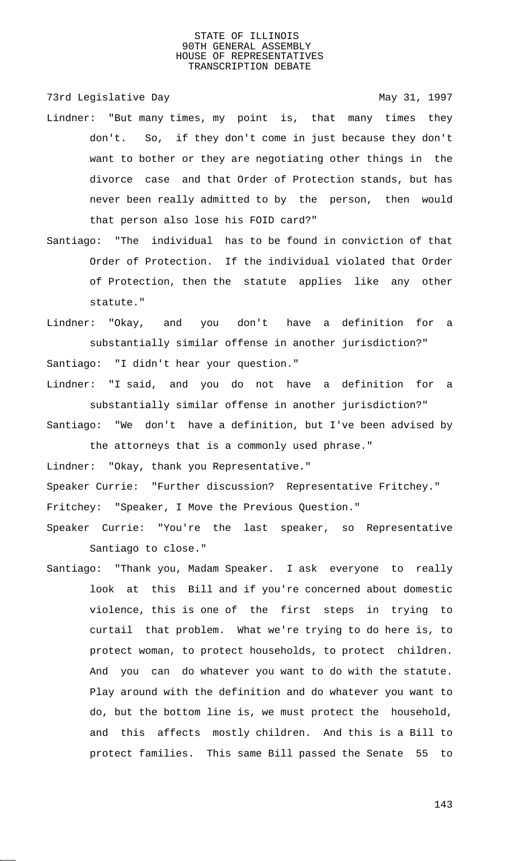73rd Legislative Day 1997

- Lindner: "But many times, my point is, that many times they don't. So, if they don't come in just because they don't want to bother or they are negotiating other things in the divorce case and that Order of Protection stands, but has never been really admitted to by the person, then would that person also lose his FOID card?"
- Santiago: "The individual has to be found in conviction of that Order of Protection. If the individual violated that Order of Protection, then the statute applies like any other statute."
- Lindner: "Okay, and you don't have a definition for a substantially similar offense in another jurisdiction?" Santiago: "I didn't hear your question."
- Lindner: "I said, and you do not have a definition for a substantially similar offense in another jurisdiction?"
- Santiago: "We don't have a definition, but I've been advised by the attorneys that is a commonly used phrase."

Lindner: "Okay, thank you Representative."

Speaker Currie: "Further discussion? Representative Fritchey."

Fritchey: "Speaker, I Move the Previous Question."

- Speaker Currie: "You're the last speaker, so Representative Santiago to close."
- Santiago: "Thank you, Madam Speaker. I ask everyone to really look at this Bill and if you're concerned about domestic violence, this is one of the first steps in trying to curtail that problem. What we're trying to do here is, to protect woman, to protect households, to protect children. And you can do whatever you want to do with the statute. Play around with the definition and do whatever you want to do, but the bottom line is, we must protect the household, and this affects mostly children. And this is a Bill to protect families. This same Bill passed the Senate 55 to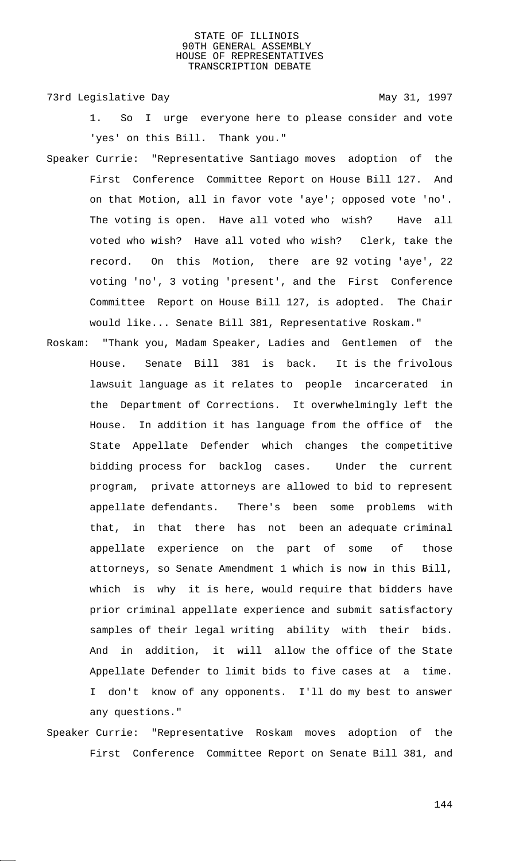73rd Legislative Day 1997

- 1. So I urge everyone here to please consider and vote 'yes' on this Bill. Thank you."
- Speaker Currie: "Representative Santiago moves adoption of the First Conference Committee Report on House Bill 127. And on that Motion, all in favor vote 'aye'; opposed vote 'no'. The voting is open. Have all voted who wish? Have all voted who wish? Have all voted who wish? Clerk, take the record. On this Motion, there are 92 voting 'aye', 22 voting 'no', 3 voting 'present', and the First Conference Committee Report on House Bill 127, is adopted. The Chair would like... Senate Bill 381, Representative Roskam."
- Roskam: "Thank you, Madam Speaker, Ladies and Gentlemen of the House. Senate Bill 381 is back. It is the frivolous lawsuit language as it relates to people incarcerated in the Department of Corrections. It overwhelmingly left the House. In addition it has language from the office of the State Appellate Defender which changes the competitive bidding process for backlog cases. Under the current program, private attorneys are allowed to bid to represent appellate defendants. There's been some problems with that, in that there has not been an adequate criminal appellate experience on the part of some of those attorneys, so Senate Amendment 1 which is now in this Bill, which is why it is here, would require that bidders have prior criminal appellate experience and submit satisfactory samples of their legal writing ability with their bids. And in addition, it will allow the office of the State Appellate Defender to limit bids to five cases at a time. I don't know of any opponents. I'll do my best to answer any questions."
- Speaker Currie: "Representative Roskam moves adoption of the First Conference Committee Report on Senate Bill 381, and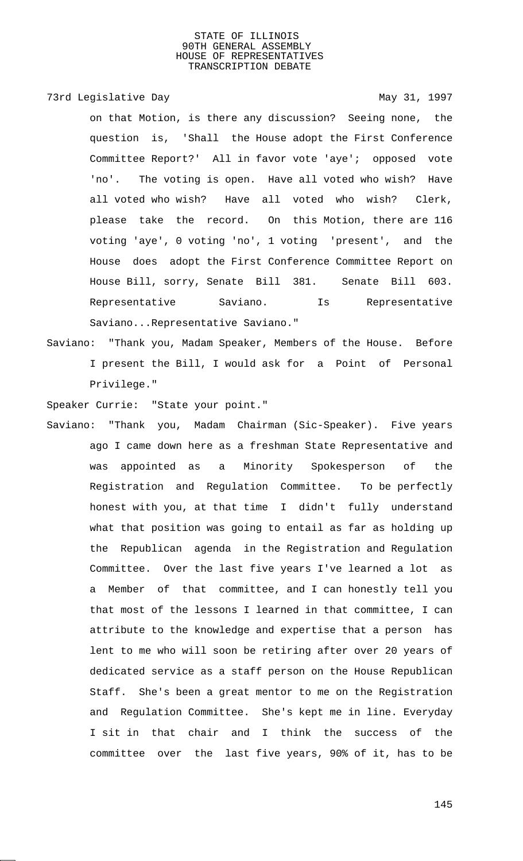# 73rd Legislative Day 1997

on that Motion, is there any discussion? Seeing none, the question is, 'Shall the House adopt the First Conference Committee Report?' All in favor vote 'aye'; opposed vote 'no'. The voting is open. Have all voted who wish? Have all voted who wish? Have all voted who wish? Clerk, please take the record. On this Motion, there are 116 voting 'aye', 0 voting 'no', 1 voting 'present', and the House does adopt the First Conference Committee Report on House Bill, sorry, Senate Bill 381. Senate Bill 603. Representative Saviano. Is Representative Saviano...Representative Saviano."

Saviano: "Thank you, Madam Speaker, Members of the House. Before I present the Bill, I would ask for a Point of Personal Privilege."

Speaker Currie: "State your point."

Saviano: "Thank you, Madam Chairman (Sic-Speaker). Five years ago I came down here as a freshman State Representative and was appointed as a Minority Spokesperson of the Registration and Regulation Committee. To be perfectly honest with you, at that time I didn't fully understand what that position was going to entail as far as holding up the Republican agenda in the Registration and Regulation Committee. Over the last five years I've learned a lot as a Member of that committee, and I can honestly tell you that most of the lessons I learned in that committee, I can attribute to the knowledge and expertise that a person has lent to me who will soon be retiring after over 20 years of dedicated service as a staff person on the House Republican Staff. She's been a great mentor to me on the Registration and Regulation Committee. She's kept me in line. Everyday I sit in that chair and I think the success of the committee over the last five years, 90% of it, has to be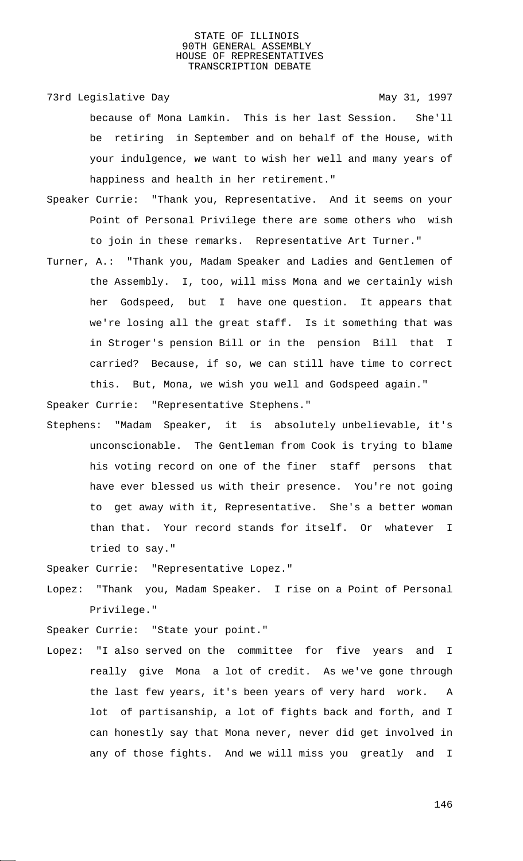73rd Legislative Day 1997 because of Mona Lamkin. This is her last Session. She'll be retiring in September and on behalf of the House, with your indulgence, we want to wish her well and many years of happiness and health in her retirement."

- Speaker Currie: "Thank you, Representative. And it seems on your Point of Personal Privilege there are some others who wish to join in these remarks. Representative Art Turner."
- Turner, A.: "Thank you, Madam Speaker and Ladies and Gentlemen of the Assembly. I, too, will miss Mona and we certainly wish her Godspeed, but I have one question. It appears that we're losing all the great staff. Is it something that was in Stroger's pension Bill or in the pension Bill that I carried? Because, if so, we can still have time to correct this. But, Mona, we wish you well and Godspeed again."

Speaker Currie: "Representative Stephens."

Stephens: "Madam Speaker, it is absolutely unbelievable, it's unconscionable. The Gentleman from Cook is trying to blame his voting record on one of the finer staff persons that have ever blessed us with their presence. You're not going to get away with it, Representative. She's a better woman than that. Your record stands for itself. Or whatever I tried to say."

Speaker Currie: "Representative Lopez."

Lopez: "Thank you, Madam Speaker. I rise on a Point of Personal Privilege."

Speaker Currie: "State your point."

Lopez: "I also served on the committee for five years and I really give Mona a lot of credit. As we've gone through the last few years, it's been years of very hard work. A lot of partisanship, a lot of fights back and forth, and I can honestly say that Mona never, never did get involved in any of those fights. And we will miss you greatly and I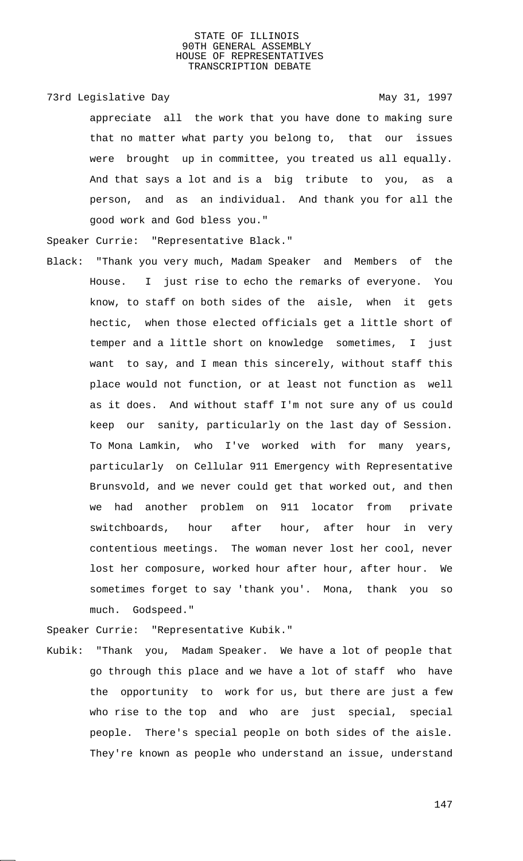73rd Legislative Day 1997

appreciate all the work that you have done to making sure that no matter what party you belong to, that our issues were brought up in committee, you treated us all equally. And that says a lot and is a big tribute to you, as a person, and as an individual. And thank you for all the good work and God bless you."

Speaker Currie: "Representative Black."

Black: "Thank you very much, Madam Speaker and Members of the House. I just rise to echo the remarks of everyone. You know, to staff on both sides of the aisle, when it gets hectic, when those elected officials get a little short of temper and a little short on knowledge sometimes, I just want to say, and I mean this sincerely, without staff this place would not function, or at least not function as well as it does. And without staff I'm not sure any of us could keep our sanity, particularly on the last day of Session. To Mona Lamkin, who I've worked with for many years, particularly on Cellular 911 Emergency with Representative Brunsvold, and we never could get that worked out, and then we had another problem on 911 locator from private switchboards, hour after hour, after hour in very contentious meetings. The woman never lost her cool, never lost her composure, worked hour after hour, after hour. We sometimes forget to say 'thank you'. Mona, thank you so much. Godspeed."

Speaker Currie: "Representative Kubik."

Kubik: "Thank you, Madam Speaker. We have a lot of people that go through this place and we have a lot of staff who have the opportunity to work for us, but there are just a few who rise to the top and who are just special, special people. There's special people on both sides of the aisle. They're known as people who understand an issue, understand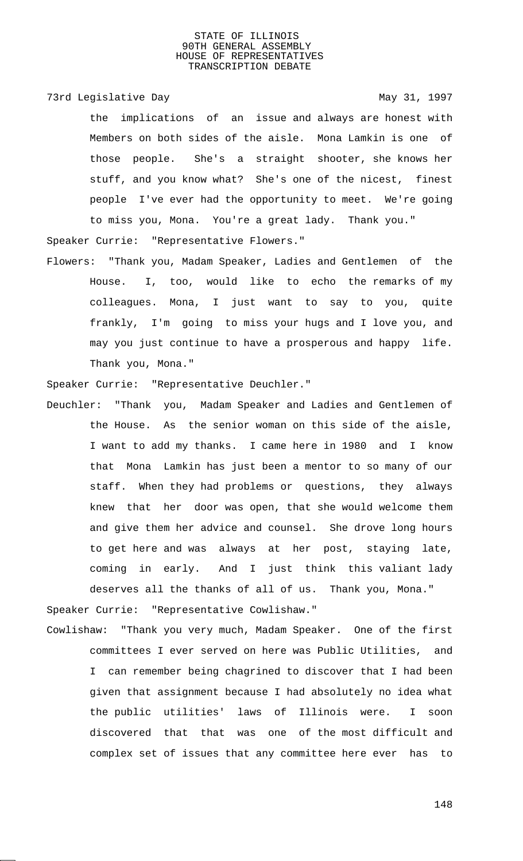## 73rd Legislative Day 1997

the implications of an issue and always are honest with Members on both sides of the aisle. Mona Lamkin is one of those people. She's a straight shooter, she knows her stuff, and you know what? She's one of the nicest, finest people I've ever had the opportunity to meet. We're going to miss you, Mona. You're a great lady. Thank you."

Speaker Currie: "Representative Flowers."

Flowers: "Thank you, Madam Speaker, Ladies and Gentlemen of the House. I, too, would like to echo the remarks of my colleagues. Mona, I just want to say to you, quite frankly, I'm going to miss your hugs and I love you, and may you just continue to have a prosperous and happy life. Thank you, Mona."

Speaker Currie: "Representative Deuchler."

Deuchler: "Thank you, Madam Speaker and Ladies and Gentlemen of the House. As the senior woman on this side of the aisle, I want to add my thanks. I came here in 1980 and I know that Mona Lamkin has just been a mentor to so many of our staff. When they had problems or questions, they always knew that her door was open, that she would welcome them and give them her advice and counsel. She drove long hours to get here and was always at her post, staying late, coming in early. And I just think this valiant lady deserves all the thanks of all of us. Thank you, Mona." Speaker Currie: "Representative Cowlishaw."

Cowlishaw: "Thank you very much, Madam Speaker. One of the first committees I ever served on here was Public Utilities, and I can remember being chagrined to discover that I had been given that assignment because I had absolutely no idea what the public utilities' laws of Illinois were. I soon discovered that that was one of the most difficult and complex set of issues that any committee here ever has to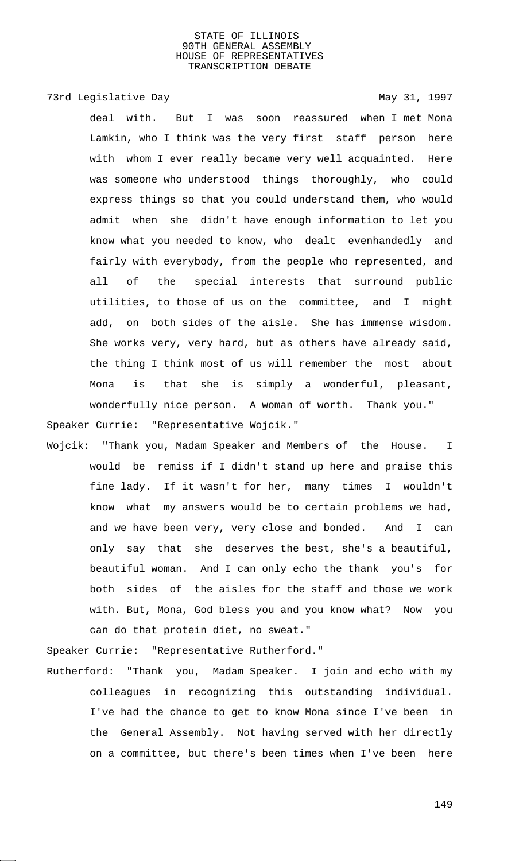73rd Legislative Day 1997

deal with. But I was soon reassured when I met Mona Lamkin, who I think was the very first staff person here with whom I ever really became very well acquainted. Here was someone who understood things thoroughly, who could express things so that you could understand them, who would admit when she didn't have enough information to let you know what you needed to know, who dealt evenhandedly and fairly with everybody, from the people who represented, and all of the special interests that surround public utilities, to those of us on the committee, and I might add, on both sides of the aisle. She has immense wisdom. She works very, very hard, but as others have already said, the thing I think most of us will remember the most about Mona is that she is simply a wonderful, pleasant, wonderfully nice person. A woman of worth. Thank you." Speaker Currie: "Representative Wojcik."

Wojcik: "Thank you, Madam Speaker and Members of the House. I would be remiss if I didn't stand up here and praise this fine lady. If it wasn't for her, many times I wouldn't know what my answers would be to certain problems we had, and we have been very, very close and bonded. And I can only say that she deserves the best, she's a beautiful, beautiful woman. And I can only echo the thank you's for both sides of the aisles for the staff and those we work with. But, Mona, God bless you and you know what? Now you can do that protein diet, no sweat."

Speaker Currie: "Representative Rutherford."

Rutherford: "Thank you, Madam Speaker. I join and echo with my colleagues in recognizing this outstanding individual. I've had the chance to get to know Mona since I've been in the General Assembly. Not having served with her directly on a committee, but there's been times when I've been here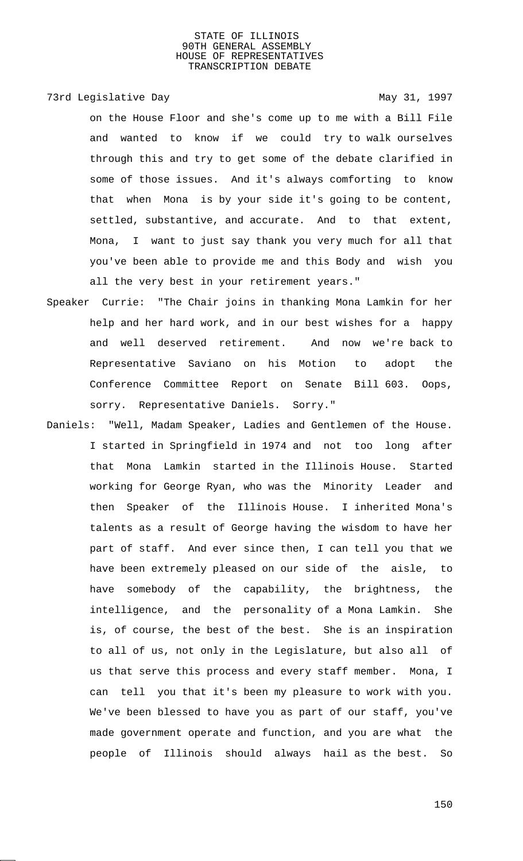# 73rd Legislative Day 1997

on the House Floor and she's come up to me with a Bill File and wanted to know if we could try to walk ourselves through this and try to get some of the debate clarified in some of those issues. And it's always comforting to know that when Mona is by your side it's going to be content, settled, substantive, and accurate. And to that extent, Mona, I want to just say thank you very much for all that you've been able to provide me and this Body and wish you all the very best in your retirement years."

- Speaker Currie: "The Chair joins in thanking Mona Lamkin for her help and her hard work, and in our best wishes for a happy and well deserved retirement. And now we're back to Representative Saviano on his Motion to adopt the Conference Committee Report on Senate Bill 603. Oops, sorry. Representative Daniels. Sorry."
- Daniels: "Well, Madam Speaker, Ladies and Gentlemen of the House. I started in Springfield in 1974 and not too long after that Mona Lamkin started in the Illinois House. Started working for George Ryan, who was the Minority Leader and then Speaker of the Illinois House. I inherited Mona's talents as a result of George having the wisdom to have her part of staff. And ever since then, I can tell you that we have been extremely pleased on our side of the aisle, to have somebody of the capability, the brightness, the intelligence, and the personality of a Mona Lamkin. She is, of course, the best of the best. She is an inspiration to all of us, not only in the Legislature, but also all of us that serve this process and every staff member. Mona, I can tell you that it's been my pleasure to work with you. We've been blessed to have you as part of our staff, you've made government operate and function, and you are what the people of Illinois should always hail as the best. So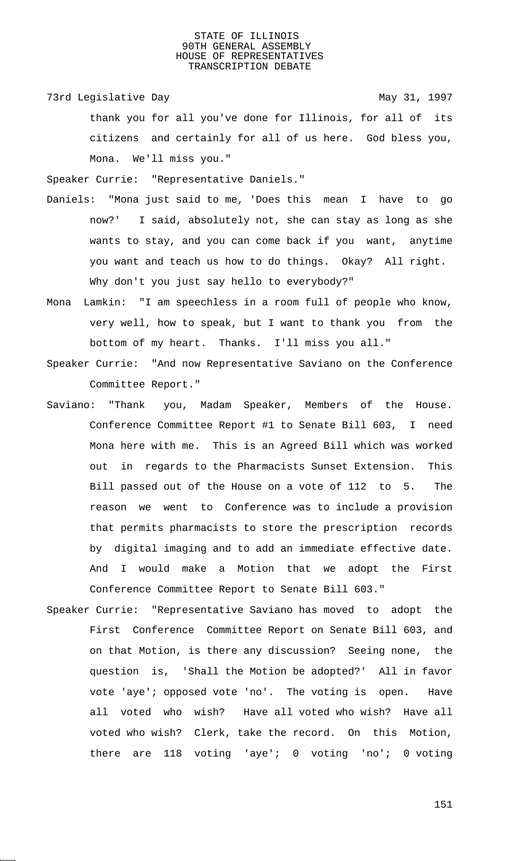73rd Legislative Day 1997

thank you for all you've done for Illinois, for all of its citizens and certainly for all of us here. God bless you, Mona. We'll miss you."

Speaker Currie: "Representative Daniels."

- Daniels: "Mona just said to me, 'Does this mean I have to go now?' I said, absolutely not, she can stay as long as she wants to stay, and you can come back if you want, anytime you want and teach us how to do things. Okay? All right. Why don't you just say hello to everybody?"
- Mona Lamkin: "I am speechless in a room full of people who know, very well, how to speak, but I want to thank you from the bottom of my heart. Thanks. I'll miss you all."
- Speaker Currie: "And now Representative Saviano on the Conference Committee Report."
- Saviano: "Thank you, Madam Speaker, Members of the House. Conference Committee Report #1 to Senate Bill 603, I need Mona here with me. This is an Agreed Bill which was worked out in regards to the Pharmacists Sunset Extension. This Bill passed out of the House on a vote of 112 to 5. The reason we went to Conference was to include a provision that permits pharmacists to store the prescription records by digital imaging and to add an immediate effective date. And I would make a Motion that we adopt the First Conference Committee Report to Senate Bill 603."
- Speaker Currie: "Representative Saviano has moved to adopt the First Conference Committee Report on Senate Bill 603, and on that Motion, is there any discussion? Seeing none, the question is, 'Shall the Motion be adopted?' All in favor vote 'aye'; opposed vote 'no'. The voting is open. Have all voted who wish? Have all voted who wish? Have all voted who wish? Clerk, take the record. On this Motion, there are 118 voting 'aye'; 0 voting 'no'; 0 voting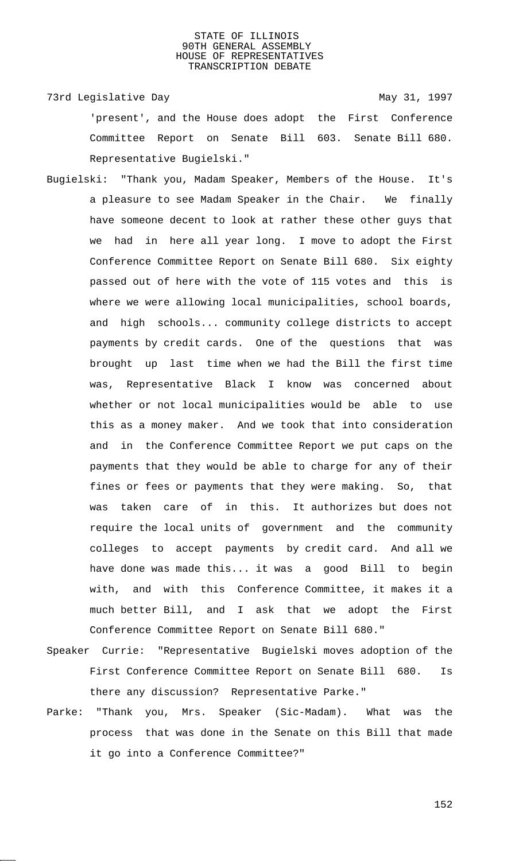73rd Legislative Day 1997

'present', and the House does adopt the First Conference Committee Report on Senate Bill 603. Senate Bill 680. Representative Bugielski."

- Bugielski: "Thank you, Madam Speaker, Members of the House. It's a pleasure to see Madam Speaker in the Chair. We finally have someone decent to look at rather these other guys that we had in here all year long. I move to adopt the First Conference Committee Report on Senate Bill 680. Six eighty passed out of here with the vote of 115 votes and this is where we were allowing local municipalities, school boards, and high schools... community college districts to accept payments by credit cards. One of the questions that was brought up last time when we had the Bill the first time was, Representative Black I know was concerned about whether or not local municipalities would be able to use this as a money maker. And we took that into consideration and in the Conference Committee Report we put caps on the payments that they would be able to charge for any of their fines or fees or payments that they were making. So, that was taken care of in this. It authorizes but does not require the local units of government and the community colleges to accept payments by credit card. And all we have done was made this... it was a good Bill to begin with, and with this Conference Committee, it makes it a much better Bill, and I ask that we adopt the First Conference Committee Report on Senate Bill 680."
- Speaker Currie: "Representative Bugielski moves adoption of the First Conference Committee Report on Senate Bill 680. Is there any discussion? Representative Parke."
- Parke: "Thank you, Mrs. Speaker (Sic-Madam). What was the process that was done in the Senate on this Bill that made it go into a Conference Committee?"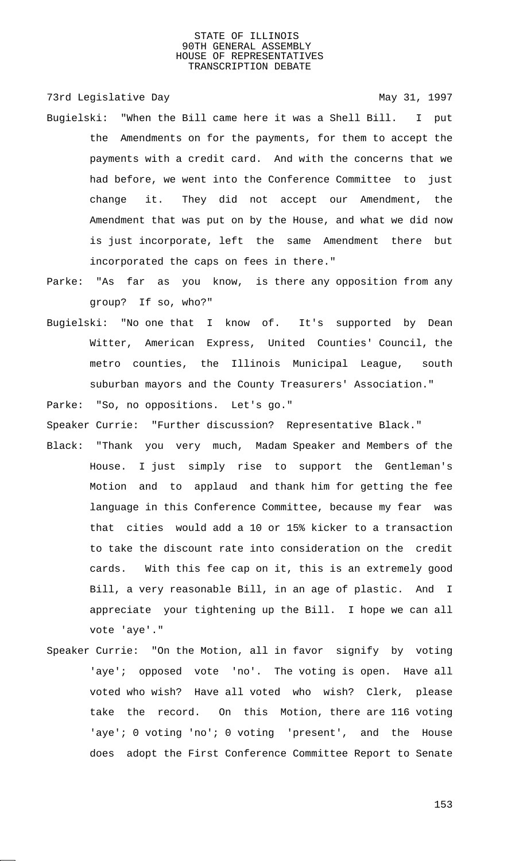73rd Legislative Day 1997

- Bugielski: "When the Bill came here it was a Shell Bill. I put the Amendments on for the payments, for them to accept the payments with a credit card. And with the concerns that we had before, we went into the Conference Committee to just change it. They did not accept our Amendment, the Amendment that was put on by the House, and what we did now is just incorporate, left the same Amendment there but incorporated the caps on fees in there."
- Parke: "As far as you know, is there any opposition from any group? If so, who?"
- Bugielski: "No one that I know of. It's supported by Dean Witter, American Express, United Counties' Council, the metro counties, the Illinois Municipal League, south suburban mayors and the County Treasurers' Association."

Parke: "So, no oppositions. Let's go."

Speaker Currie: "Further discussion? Representative Black."

- Black: "Thank you very much, Madam Speaker and Members of the House. I just simply rise to support the Gentleman's Motion and to applaud and thank him for getting the fee language in this Conference Committee, because my fear was that cities would add a 10 or 15% kicker to a transaction to take the discount rate into consideration on the credit cards. With this fee cap on it, this is an extremely good Bill, a very reasonable Bill, in an age of plastic. And I appreciate your tightening up the Bill. I hope we can all vote 'aye'."
- Speaker Currie: "On the Motion, all in favor signify by voting 'aye'; opposed vote 'no'. The voting is open. Have all voted who wish? Have all voted who wish? Clerk, please take the record. On this Motion, there are 116 voting 'aye'; 0 voting 'no'; 0 voting 'present', and the House does adopt the First Conference Committee Report to Senate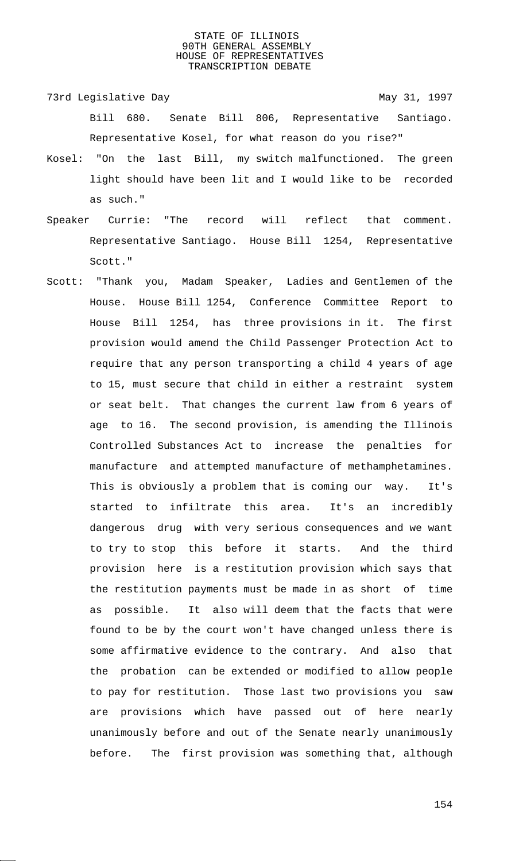- 73rd Legislative Day 1997 Bill 680. Senate Bill 806, Representative Santiago. Representative Kosel, for what reason do you rise?"
- Kosel: "On the last Bill, my switch malfunctioned. The green light should have been lit and I would like to be recorded as such."
- Speaker Currie: "The record will reflect that comment. Representative Santiago. House Bill 1254, Representative Scott."
- Scott: "Thank you, Madam Speaker, Ladies and Gentlemen of the House. House Bill 1254, Conference Committee Report to House Bill 1254, has three provisions in it. The first provision would amend the Child Passenger Protection Act to require that any person transporting a child 4 years of age to 15, must secure that child in either a restraint system or seat belt. That changes the current law from 6 years of age to 16. The second provision, is amending the Illinois Controlled Substances Act to increase the penalties for manufacture and attempted manufacture of methamphetamines. This is obviously a problem that is coming our way. It's started to infiltrate this area. It's an incredibly dangerous drug with very serious consequences and we want to try to stop this before it starts. And the third provision here is a restitution provision which says that the restitution payments must be made in as short of time as possible. It also will deem that the facts that were found to be by the court won't have changed unless there is some affirmative evidence to the contrary. And also that the probation can be extended or modified to allow people to pay for restitution. Those last two provisions you saw are provisions which have passed out of here nearly unanimously before and out of the Senate nearly unanimously before. The first provision was something that, although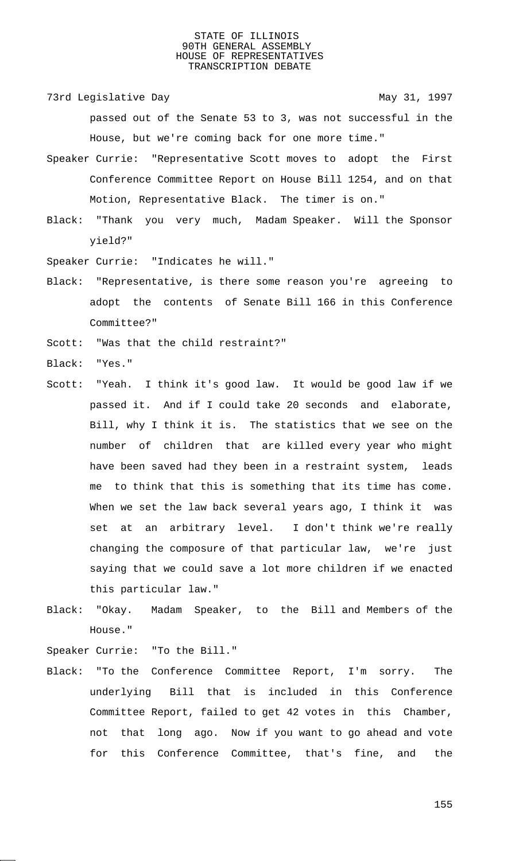73rd Legislative Day 1997

passed out of the Senate 53 to 3, was not successful in the House, but we're coming back for one more time."

- Speaker Currie: "Representative Scott moves to adopt the First Conference Committee Report on House Bill 1254, and on that Motion, Representative Black. The timer is on."
- Black: "Thank you very much, Madam Speaker. Will the Sponsor yield?"

Speaker Currie: "Indicates he will."

- Black: "Representative, is there some reason you're agreeing to adopt the contents of Senate Bill 166 in this Conference Committee?"
- Scott: "Was that the child restraint?"
- Black: "Yes."
- Scott: "Yeah. I think it's good law. It would be good law if we passed it. And if I could take 20 seconds and elaborate, Bill, why I think it is. The statistics that we see on the number of children that are killed every year who might have been saved had they been in a restraint system, leads me to think that this is something that its time has come. When we set the law back several years ago, I think it was set at an arbitrary level. I don't think we're really changing the composure of that particular law, we're just saying that we could save a lot more children if we enacted this particular law."
- Black: "Okay. Madam Speaker, to the Bill and Members of the House."

Speaker Currie: "To the Bill."

Black: "To the Conference Committee Report, I'm sorry. The underlying Bill that is included in this Conference Committee Report, failed to get 42 votes in this Chamber, not that long ago. Now if you want to go ahead and vote for this Conference Committee, that's fine, and the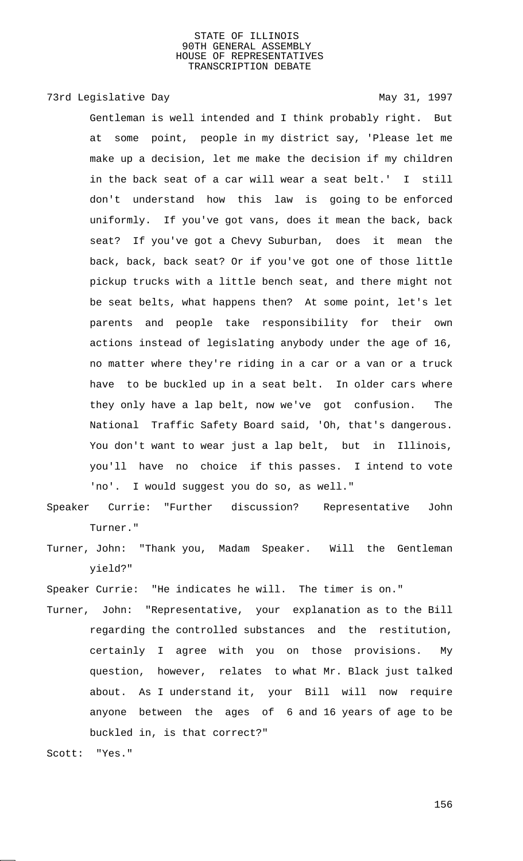73rd Legislative Day 1997

Gentleman is well intended and I think probably right. But at some point, people in my district say, 'Please let me make up a decision, let me make the decision if my children in the back seat of a car will wear a seat belt.' I still don't understand how this law is going to be enforced uniformly. If you've got vans, does it mean the back, back seat? If you've got a Chevy Suburban, does it mean the back, back, back seat? Or if you've got one of those little pickup trucks with a little bench seat, and there might not be seat belts, what happens then? At some point, let's let parents and people take responsibility for their own actions instead of legislating anybody under the age of 16, no matter where they're riding in a car or a van or a truck have to be buckled up in a seat belt. In older cars where they only have a lap belt, now we've got confusion. The National Traffic Safety Board said, 'Oh, that's dangerous. You don't want to wear just a lap belt, but in Illinois, you'll have no choice if this passes. I intend to vote 'no'. I would suggest you do so, as well."

- Speaker Currie: "Further discussion? Representative John Turner."
- Turner, John: "Thank you, Madam Speaker. Will the Gentleman yield?"

Speaker Currie: "He indicates he will. The timer is on."

Turner, John: "Representative, your explanation as to the Bill regarding the controlled substances and the restitution, certainly I agree with you on those provisions. My question, however, relates to what Mr. Black just talked about. As I understand it, your Bill will now require anyone between the ages of 6 and 16 years of age to be buckled in, is that correct?"

Scott: "Yes."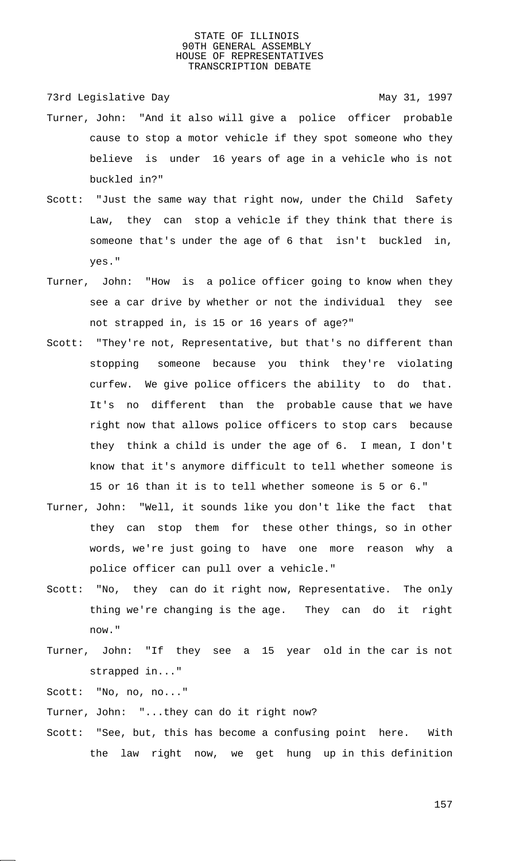73rd Legislative Day 1997

- Turner, John: "And it also will give a police officer probable cause to stop a motor vehicle if they spot someone who they believe is under 16 years of age in a vehicle who is not buckled in?"
- Scott: "Just the same way that right now, under the Child Safety Law, they can stop a vehicle if they think that there is someone that's under the age of 6 that isn't buckled in, yes."
- Turner, John: "How is a police officer going to know when they see a car drive by whether or not the individual they see not strapped in, is 15 or 16 years of age?"
- Scott: "They're not, Representative, but that's no different than stopping someone because you think they're violating curfew. We give police officers the ability to do that. It's no different than the probable cause that we have right now that allows police officers to stop cars because they think a child is under the age of 6. I mean, I don't know that it's anymore difficult to tell whether someone is 15 or 16 than it is to tell whether someone is 5 or 6."
- Turner, John: "Well, it sounds like you don't like the fact that they can stop them for these other things, so in other words, we're just going to have one more reason why a police officer can pull over a vehicle."
- Scott: "No, they can do it right now, Representative. The only thing we're changing is the age. They can do it right now."
- Turner, John: "If they see a 15 year old in the car is not strapped in..."

Scott: "No, no, no..."

- Turner, John: "...they can do it right now?
- Scott: "See, but, this has become a confusing point here. With the law right now, we get hung up in this definition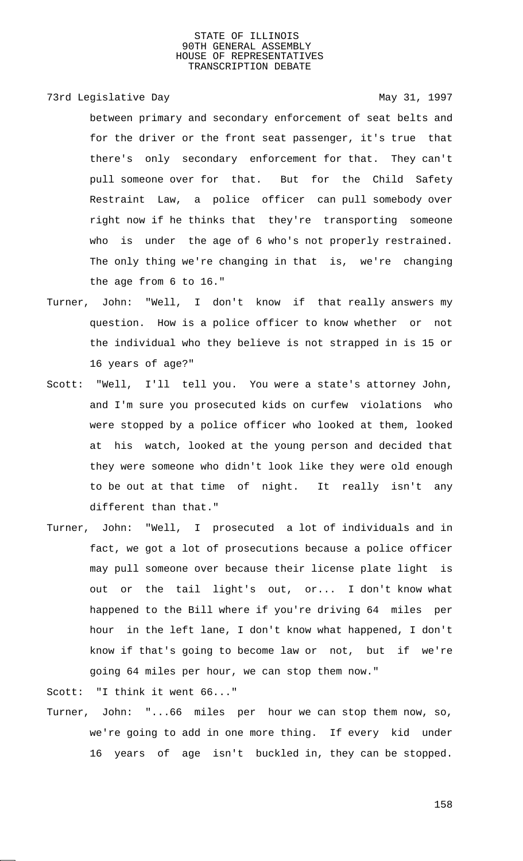# 73rd Legislative Day 1997

between primary and secondary enforcement of seat belts and for the driver or the front seat passenger, it's true that there's only secondary enforcement for that. They can't pull someone over for that. But for the Child Safety Restraint Law, a police officer can pull somebody over right now if he thinks that they're transporting someone who is under the age of 6 who's not properly restrained. The only thing we're changing in that is, we're changing the age from 6 to 16."

- Turner, John: "Well, I don't know if that really answers my question. How is a police officer to know whether or not the individual who they believe is not strapped in is 15 or 16 years of age?"
- Scott: "Well, I'll tell you. You were a state's attorney John, and I'm sure you prosecuted kids on curfew violations who were stopped by a police officer who looked at them, looked at his watch, looked at the young person and decided that they were someone who didn't look like they were old enough to be out at that time of night. It really isn't any different than that."
- Turner, John: "Well, I prosecuted a lot of individuals and in fact, we got a lot of prosecutions because a police officer may pull someone over because their license plate light is out or the tail light's out, or... I don't know what happened to the Bill where if you're driving 64 miles per hour in the left lane, I don't know what happened, I don't know if that's going to become law or not, but if we're going 64 miles per hour, we can stop them now."

Scott: "I think it went 66..."

Turner, John: "...66 miles per hour we can stop them now, so, we're going to add in one more thing. If every kid under 16 years of age isn't buckled in, they can be stopped.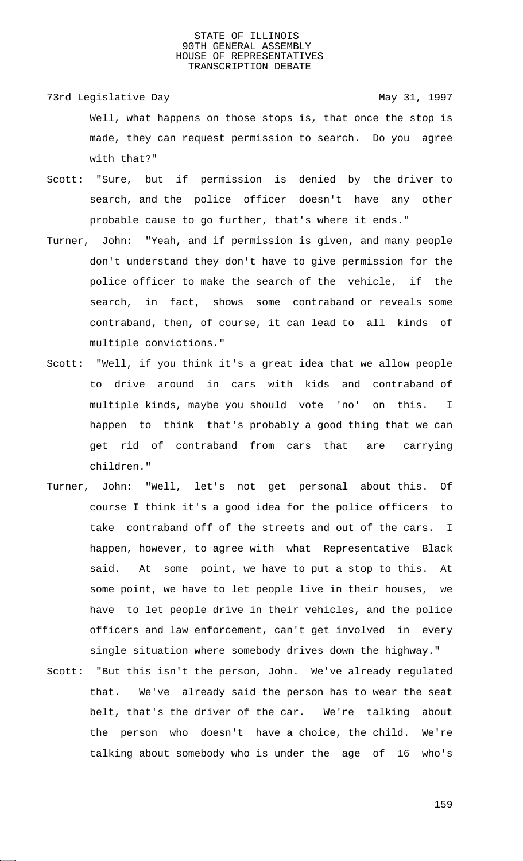- 73rd Legislative Day 1997 Well, what happens on those stops is, that once the stop is made, they can request permission to search. Do you agree with that?"
- Scott: "Sure, but if permission is denied by the driver to search, and the police officer doesn't have any other probable cause to go further, that's where it ends."
- Turner, John: "Yeah, and if permission is given, and many people don't understand they don't have to give permission for the police officer to make the search of the vehicle, if the search, in fact, shows some contraband or reveals some contraband, then, of course, it can lead to all kinds of multiple convictions."
- Scott: "Well, if you think it's a great idea that we allow people to drive around in cars with kids and contraband of multiple kinds, maybe you should vote 'no' on this. I happen to think that's probably a good thing that we can get rid of contraband from cars that are carrying children."
- Turner, John: "Well, let's not get personal about this. Of course I think it's a good idea for the police officers to take contraband off of the streets and out of the cars. I happen, however, to agree with what Representative Black said. At some point, we have to put a stop to this. At some point, we have to let people live in their houses, we have to let people drive in their vehicles, and the police officers and law enforcement, can't get involved in every single situation where somebody drives down the highway."
- Scott: "But this isn't the person, John. We've already regulated that. We've already said the person has to wear the seat belt, that's the driver of the car. We're talking about the person who doesn't have a choice, the child. We're talking about somebody who is under the age of 16 who's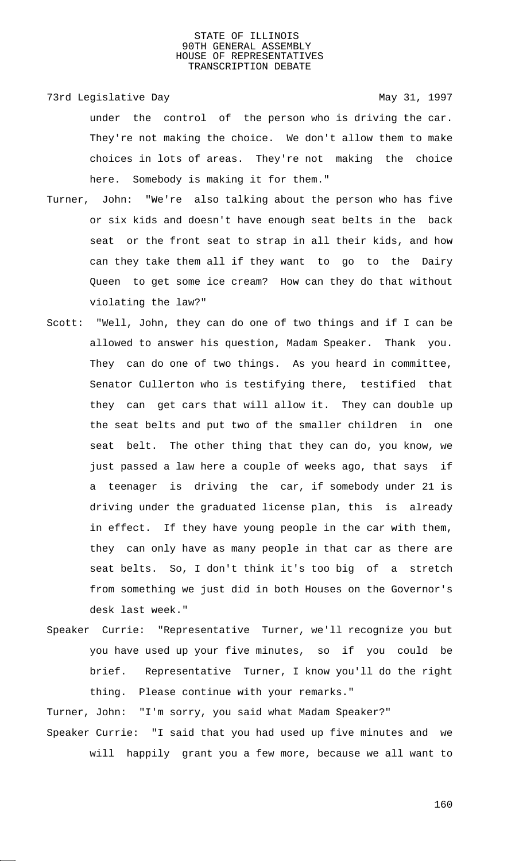73rd Legislative Day 1997 under the control of the person who is driving the car. They're not making the choice. We don't allow them to make choices in lots of areas. They're not making the choice here. Somebody is making it for them."

- Turner, John: "We're also talking about the person who has five or six kids and doesn't have enough seat belts in the back seat or the front seat to strap in all their kids, and how can they take them all if they want to go to the Dairy Queen to get some ice cream? How can they do that without violating the law?"
- Scott: "Well, John, they can do one of two things and if I can be allowed to answer his question, Madam Speaker. Thank you. They can do one of two things. As you heard in committee, Senator Cullerton who is testifying there, testified that they can get cars that will allow it. They can double up the seat belts and put two of the smaller children in one seat belt. The other thing that they can do, you know, we just passed a law here a couple of weeks ago, that says if a teenager is driving the car, if somebody under 21 is driving under the graduated license plan, this is already in effect. If they have young people in the car with them, they can only have as many people in that car as there are seat belts. So, I don't think it's too big of a stretch from something we just did in both Houses on the Governor's desk last week."
- Speaker Currie: "Representative Turner, we'll recognize you but you have used up your five minutes, so if you could be brief. Representative Turner, I know you'll do the right thing. Please continue with your remarks."

Turner, John: "I'm sorry, you said what Madam Speaker?"

Speaker Currie: "I said that you had used up five minutes and we will happily grant you a few more, because we all want to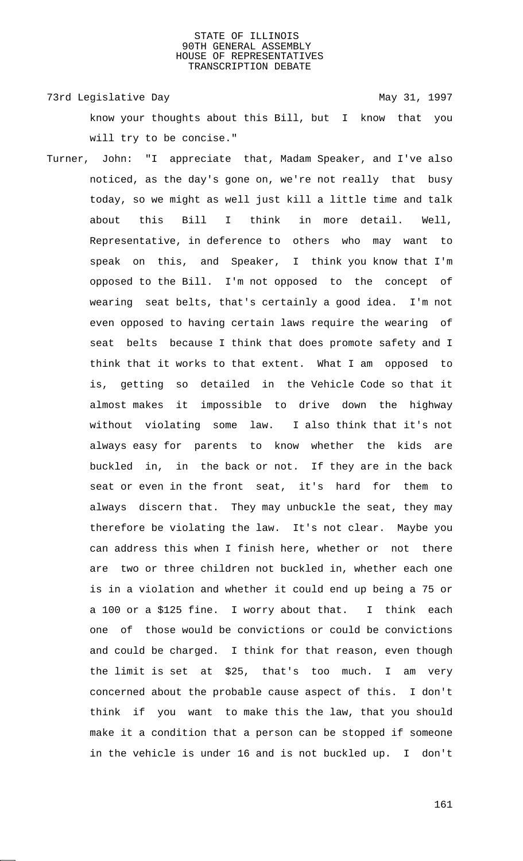73rd Legislative Day 1997

know your thoughts about this Bill, but I know that you will try to be concise."

Turner, John: "I appreciate that, Madam Speaker, and I've also noticed, as the day's gone on, we're not really that busy today, so we might as well just kill a little time and talk about this Bill I think in more detail. Well, Representative, in deference to others who may want to speak on this, and Speaker, I think you know that I'm opposed to the Bill. I'm not opposed to the concept of wearing seat belts, that's certainly a good idea. I'm not even opposed to having certain laws require the wearing of seat belts because I think that does promote safety and I think that it works to that extent. What I am opposed to is, getting so detailed in the Vehicle Code so that it almost makes it impossible to drive down the highway without violating some law. I also think that it's not always easy for parents to know whether the kids are buckled in, in the back or not. If they are in the back seat or even in the front seat, it's hard for them to always discern that. They may unbuckle the seat, they may therefore be violating the law. It's not clear. Maybe you can address this when I finish here, whether or not there are two or three children not buckled in, whether each one is in a violation and whether it could end up being a 75 or a 100 or a \$125 fine. I worry about that. I think each one of those would be convictions or could be convictions and could be charged. I think for that reason, even though the limit is set at \$25, that's too much. I am very concerned about the probable cause aspect of this. I don't think if you want to make this the law, that you should make it a condition that a person can be stopped if someone in the vehicle is under 16 and is not buckled up. I don't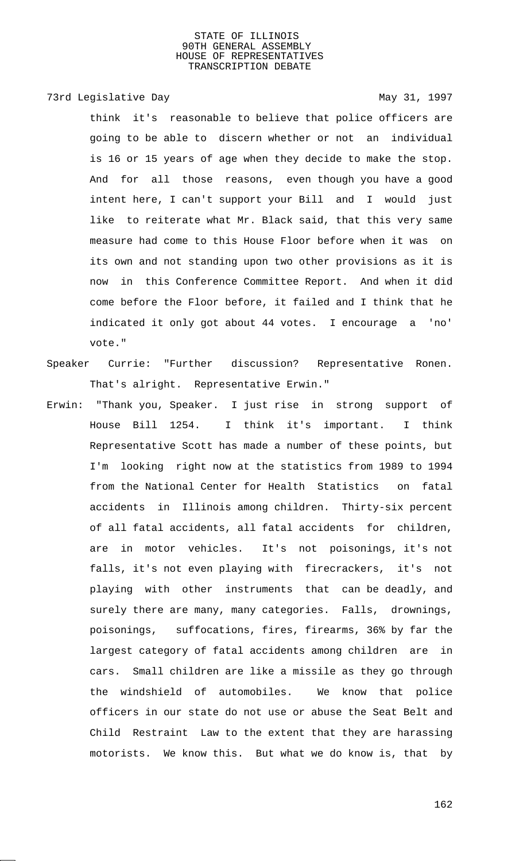# 73rd Legislative Day 1997

think it's reasonable to believe that police officers are going to be able to discern whether or not an individual is 16 or 15 years of age when they decide to make the stop. And for all those reasons, even though you have a good intent here, I can't support your Bill and I would just like to reiterate what Mr. Black said, that this very same measure had come to this House Floor before when it was on its own and not standing upon two other provisions as it is now in this Conference Committee Report. And when it did come before the Floor before, it failed and I think that he indicated it only got about 44 votes. I encourage a 'no' vote."

- Speaker Currie: "Further discussion? Representative Ronen. That's alright. Representative Erwin."
- Erwin: "Thank you, Speaker. I just rise in strong support of House Bill 1254. I think it's important. I think Representative Scott has made a number of these points, but I'm looking right now at the statistics from 1989 to 1994 from the National Center for Health Statistics on fatal accidents in Illinois among children. Thirty-six percent of all fatal accidents, all fatal accidents for children, are in motor vehicles. It's not poisonings, it's not falls, it's not even playing with firecrackers, it's not playing with other instruments that can be deadly, and surely there are many, many categories. Falls, drownings, poisonings, suffocations, fires, firearms, 36% by far the largest category of fatal accidents among children are in cars. Small children are like a missile as they go through the windshield of automobiles. We know that police officers in our state do not use or abuse the Seat Belt and Child Restraint Law to the extent that they are harassing motorists. We know this. But what we do know is, that by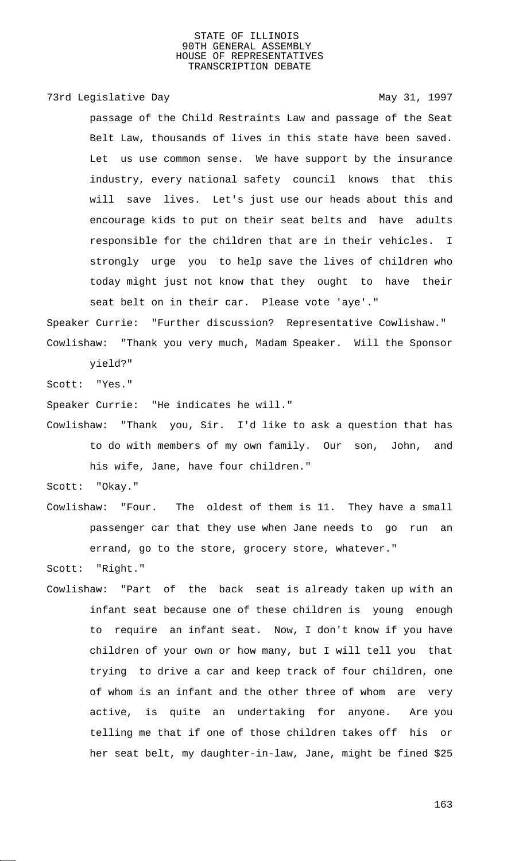73rd Legislative Day 1997

passage of the Child Restraints Law and passage of the Seat Belt Law, thousands of lives in this state have been saved. Let us use common sense. We have support by the insurance industry, every national safety council knows that this will save lives. Let's just use our heads about this and encourage kids to put on their seat belts and have adults responsible for the children that are in their vehicles. I strongly urge you to help save the lives of children who today might just not know that they ought to have their seat belt on in their car. Please vote 'aye'."

Speaker Currie: "Further discussion? Representative Cowlishaw." Cowlishaw: "Thank you very much, Madam Speaker. Will the Sponsor

yield?"

Scott: "Yes."

Speaker Currie: "He indicates he will."

Cowlishaw: "Thank you, Sir. I'd like to ask a question that has to do with members of my own family. Our son, John, and his wife, Jane, have four children."

Scott: "Okay."

Cowlishaw: "Four. The oldest of them is 11. They have a small passenger car that they use when Jane needs to go run an errand, go to the store, grocery store, whatever."

Scott: "Right."

Cowlishaw: "Part of the back seat is already taken up with an infant seat because one of these children is young enough to require an infant seat. Now, I don't know if you have children of your own or how many, but I will tell you that trying to drive a car and keep track of four children, one of whom is an infant and the other three of whom are very active, is quite an undertaking for anyone. Are you telling me that if one of those children takes off his or her seat belt, my daughter-in-law, Jane, might be fined \$25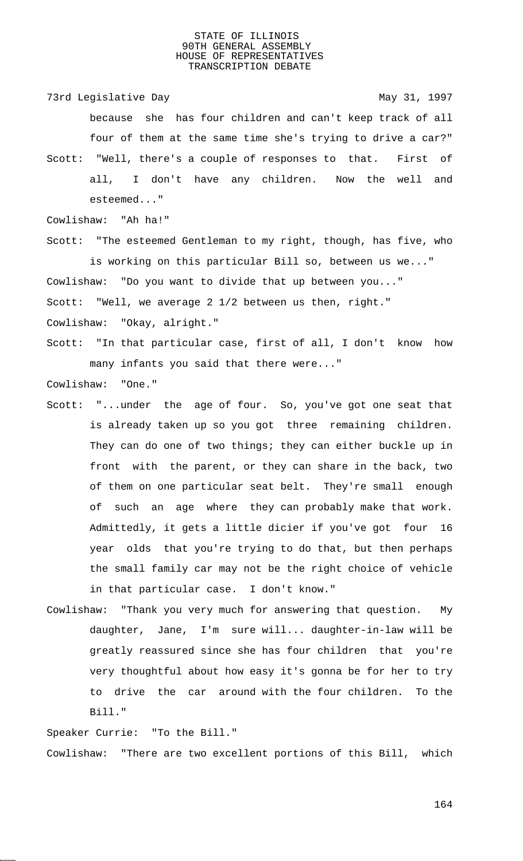73rd Legislative Day 1997

because she has four children and can't keep track of all four of them at the same time she's trying to drive a car?" Scott: "Well, there's a couple of responses to that. First of all, I don't have any children. Now the well and

esteemed..."

Cowlishaw: "Ah ha!"

Scott: "The esteemed Gentleman to my right, though, has five, who is working on this particular Bill so, between us we..." Cowlishaw: "Do you want to divide that up between you..."

Scott: "Well, we average 2 1/2 between us then, right."

Cowlishaw: "Okay, alright."

Scott: "In that particular case, first of all, I don't know how many infants you said that there were..."

Cowlishaw: "One."

- Scott: "...under the age of four. So, you've got one seat that is already taken up so you got three remaining children. They can do one of two things; they can either buckle up in front with the parent, or they can share in the back, two of them on one particular seat belt. They're small enough of such an age where they can probably make that work. Admittedly, it gets a little dicier if you've got four 16 year olds that you're trying to do that, but then perhaps the small family car may not be the right choice of vehicle in that particular case. I don't know."
- Cowlishaw: "Thank you very much for answering that question. My daughter, Jane, I'm sure will... daughter-in-law will be greatly reassured since she has four children that you're very thoughtful about how easy it's gonna be for her to try to drive the car around with the four children. To the Bill."

Speaker Currie: "To the Bill." Cowlishaw: "There are two excellent portions of this Bill, which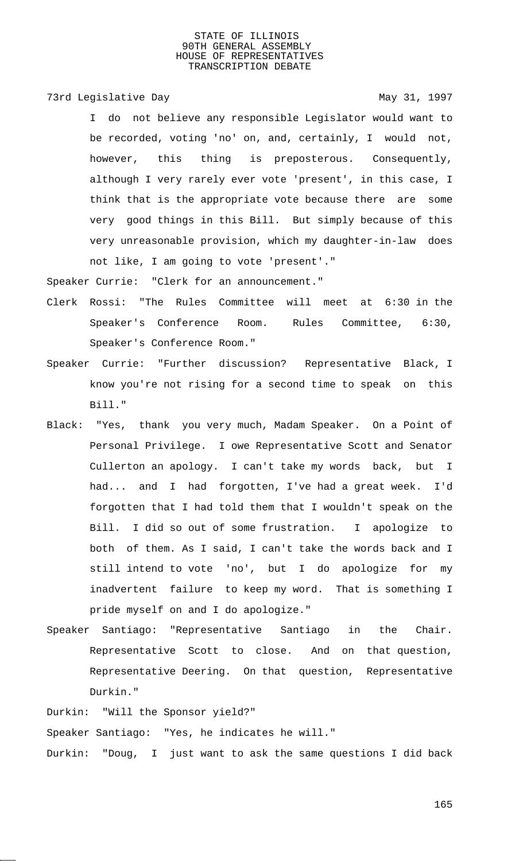73rd Legislative Day 1997

I do not believe any responsible Legislator would want to be recorded, voting 'no' on, and, certainly, I would not, however, this thing is preposterous. Consequently, although I very rarely ever vote 'present', in this case, I think that is the appropriate vote because there are some very good things in this Bill. But simply because of this very unreasonable provision, which my daughter-in-law does not like, I am going to vote 'present'."

Speaker Currie: "Clerk for an announcement."

- Clerk Rossi: "The Rules Committee will meet at 6:30 in the Speaker's Conference Room. Rules Committee, 6:30, Speaker's Conference Room."
- Speaker Currie: "Further discussion? Representative Black, I know you're not rising for a second time to speak on this Bill."
- Black: "Yes, thank you very much, Madam Speaker. On a Point of Personal Privilege. I owe Representative Scott and Senator Cullerton an apology. I can't take my words back, but I had... and I had forgotten, I've had a great week. I'd forgotten that I had told them that I wouldn't speak on the Bill. I did so out of some frustration. I apologize to both of them. As I said, I can't take the words back and I still intend to vote 'no', but I do apologize for my inadvertent failure to keep my word. That is something I pride myself on and I do apologize."
- Speaker Santiago: "Representative Santiago in the Chair. Representative Scott to close. And on that question, Representative Deering. On that question, Representative Durkin."

Durkin: "Will the Sponsor yield?" Speaker Santiago: "Yes, he indicates he will." Durkin: "Doug, I just want to ask the same questions I did back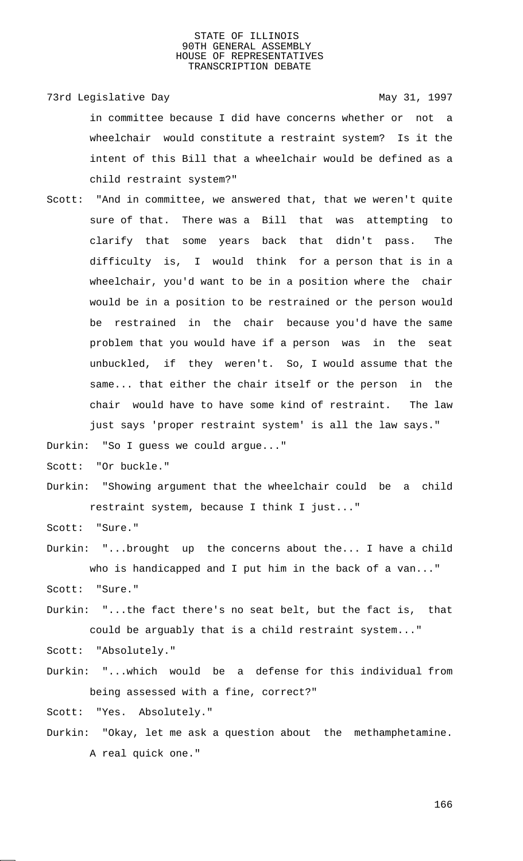73rd Legislative Day 1997

in committee because I did have concerns whether or not a wheelchair would constitute a restraint system? Is it the intent of this Bill that a wheelchair would be defined as a child restraint system?"

Scott: "And in committee, we answered that, that we weren't quite sure of that. There was a Bill that was attempting to clarify that some years back that didn't pass. The difficulty is, I would think for a person that is in a wheelchair, you'd want to be in a position where the chair would be in a position to be restrained or the person would be restrained in the chair because you'd have the same problem that you would have if a person was in the seat unbuckled, if they weren't. So, I would assume that the same... that either the chair itself or the person in the chair would have to have some kind of restraint. The law just says 'proper restraint system' is all the law says."

Durkin: "So I guess we could argue..."

Scott: "Or buckle."

Durkin: "Showing argument that the wheelchair could be a child restraint system, because I think I just..."

Scott: "Sure."

Durkin: "...brought up the concerns about the... I have a child who is handicapped and I put him in the back of a van..."

Scott: "Sure."

Durkin: "...the fact there's no seat belt, but the fact is, that could be arguably that is a child restraint system..."

Scott: "Absolutely."

Durkin: "...which would be a defense for this individual from being assessed with a fine, correct?"

Scott: "Yes. Absolutely."

Durkin: "Okay, let me ask a question about the methamphetamine. A real quick one."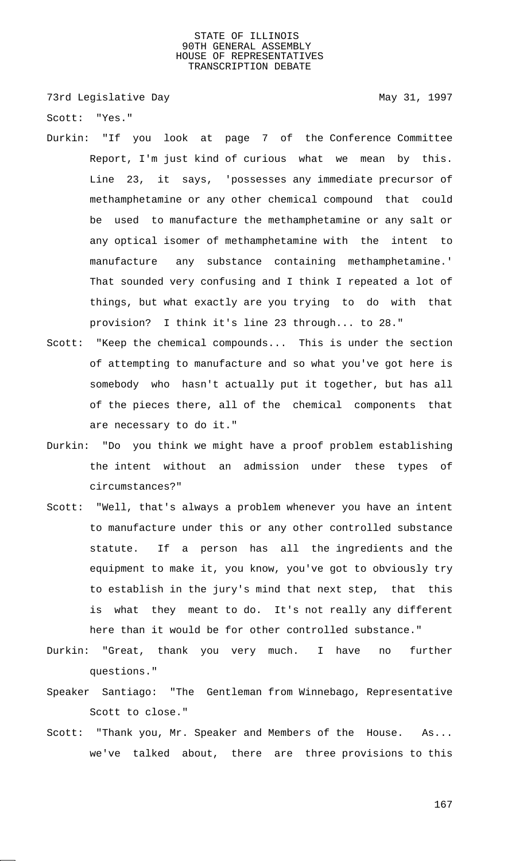73rd Legislative Day 1997

Scott: "Yes."

- Durkin: "If you look at page 7 of the Conference Committee Report, I'm just kind of curious what we mean by this. Line 23, it says, 'possesses any immediate precursor of methamphetamine or any other chemical compound that could be used to manufacture the methamphetamine or any salt or any optical isomer of methamphetamine with the intent to manufacture any substance containing methamphetamine.' That sounded very confusing and I think I repeated a lot of things, but what exactly are you trying to do with that provision? I think it's line 23 through... to 28."
- Scott: "Keep the chemical compounds... This is under the section of attempting to manufacture and so what you've got here is somebody who hasn't actually put it together, but has all of the pieces there, all of the chemical components that are necessary to do it."
- Durkin: "Do you think we might have a proof problem establishing the intent without an admission under these types of circumstances?"
- Scott: "Well, that's always a problem whenever you have an intent to manufacture under this or any other controlled substance statute. If a person has all the ingredients and the equipment to make it, you know, you've got to obviously try to establish in the jury's mind that next step, that this is what they meant to do. It's not really any different here than it would be for other controlled substance."
- Durkin: "Great, thank you very much. I have no further questions."
- Speaker Santiago: "The Gentleman from Winnebago, Representative Scott to close."
- Scott: "Thank you, Mr. Speaker and Members of the House. As... we've talked about, there are three provisions to this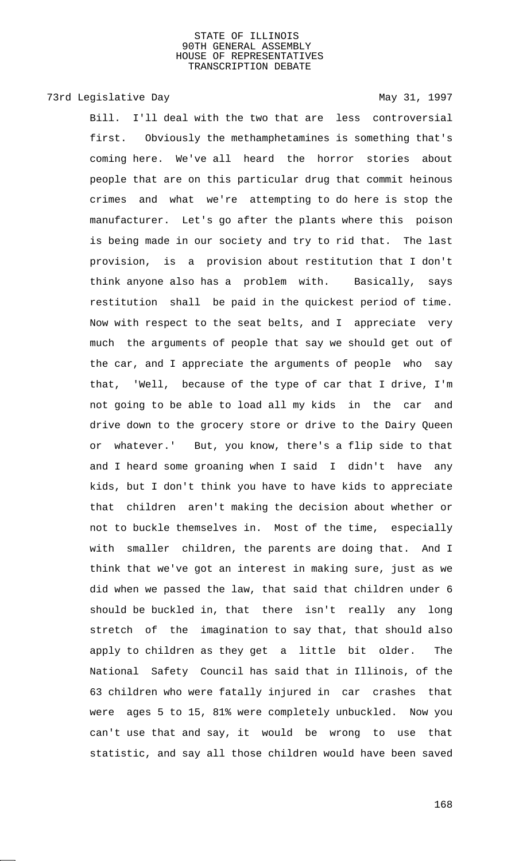# 73rd Legislative Day 1997

Bill. I'll deal with the two that are less controversial first. Obviously the methamphetamines is something that's coming here. We've all heard the horror stories about people that are on this particular drug that commit heinous crimes and what we're attempting to do here is stop the manufacturer. Let's go after the plants where this poison is being made in our society and try to rid that. The last provision, is a provision about restitution that I don't think anyone also has a problem with. Basically, says restitution shall be paid in the quickest period of time. Now with respect to the seat belts, and I appreciate very much the arguments of people that say we should get out of the car, and I appreciate the arguments of people who say that, 'Well, because of the type of car that I drive, I'm not going to be able to load all my kids in the car and drive down to the grocery store or drive to the Dairy Queen or whatever.' But, you know, there's a flip side to that and I heard some groaning when I said I didn't have any kids, but I don't think you have to have kids to appreciate that children aren't making the decision about whether or not to buckle themselves in. Most of the time, especially with smaller children, the parents are doing that. And I think that we've got an interest in making sure, just as we did when we passed the law, that said that children under 6 should be buckled in, that there isn't really any long stretch of the imagination to say that, that should also apply to children as they get a little bit older. The National Safety Council has said that in Illinois, of the 63 children who were fatally injured in car crashes that were ages 5 to 15, 81% were completely unbuckled. Now you can't use that and say, it would be wrong to use that statistic, and say all those children would have been saved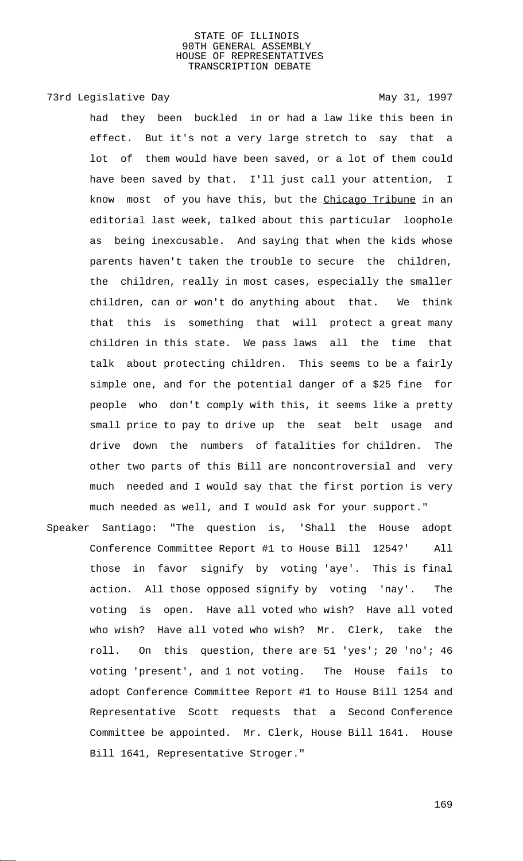# 73rd Legislative Day 1997

had they been buckled in or had a law like this been in effect. But it's not a very large stretch to say that a lot of them would have been saved, or a lot of them could have been saved by that. I'll just call your attention, I know most of you have this, but the Chicago Tribune in an editorial last week, talked about this particular loophole as being inexcusable. And saying that when the kids whose parents haven't taken the trouble to secure the children, the children, really in most cases, especially the smaller children, can or won't do anything about that. We think that this is something that will protect a great many children in this state. We pass laws all the time that talk about protecting children. This seems to be a fairly simple one, and for the potential danger of a \$25 fine for people who don't comply with this, it seems like a pretty small price to pay to drive up the seat belt usage and drive down the numbers of fatalities for children. The other two parts of this Bill are noncontroversial and very much needed and I would say that the first portion is very much needed as well, and I would ask for your support."

Speaker Santiago: "The question is, 'Shall the House adopt Conference Committee Report #1 to House Bill 1254?' All those in favor signify by voting 'aye'. This is final action. All those opposed signify by voting 'nay'. The voting is open. Have all voted who wish? Have all voted who wish? Have all voted who wish? Mr. Clerk, take the roll. On this question, there are 51 'yes'; 20 'no'; 46 voting 'present', and 1 not voting. The House fails to adopt Conference Committee Report #1 to House Bill 1254 and Representative Scott requests that a Second Conference Committee be appointed. Mr. Clerk, House Bill 1641. House Bill 1641, Representative Stroger."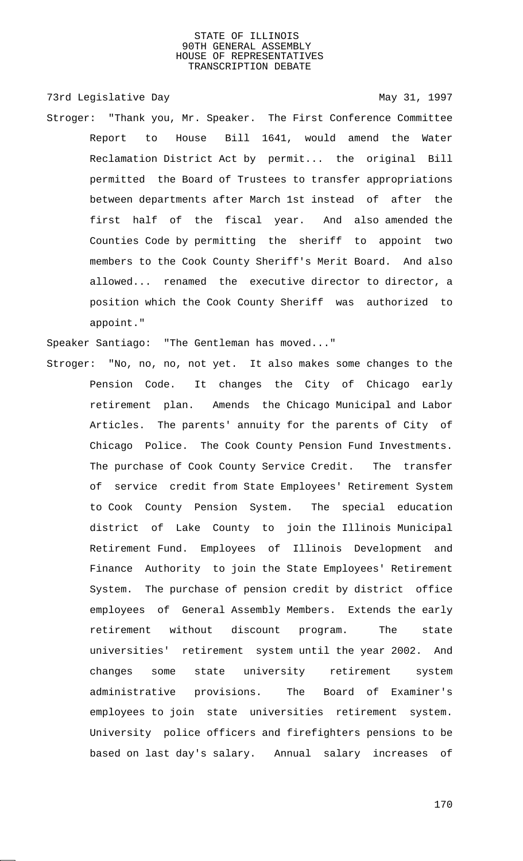73rd Legislative Day 1997

Stroger: "Thank you, Mr. Speaker. The First Conference Committee Report to House Bill 1641, would amend the Water Reclamation District Act by permit... the original Bill permitted the Board of Trustees to transfer appropriations between departments after March 1st instead of after the first half of the fiscal year. And also amended the Counties Code by permitting the sheriff to appoint two members to the Cook County Sheriff's Merit Board. And also allowed... renamed the executive director to director, a position which the Cook County Sheriff was authorized to appoint."

Speaker Santiago: "The Gentleman has moved..."

Stroger: "No, no, no, not yet. It also makes some changes to the Pension Code. It changes the City of Chicago early retirement plan. Amends the Chicago Municipal and Labor Articles. The parents' annuity for the parents of City of Chicago Police. The Cook County Pension Fund Investments. The purchase of Cook County Service Credit. The transfer of service credit from State Employees' Retirement System to Cook County Pension System. The special education district of Lake County to join the Illinois Municipal Retirement Fund. Employees of Illinois Development and Finance Authority to join the State Employees' Retirement System. The purchase of pension credit by district office employees of General Assembly Members. Extends the early retirement without discount program. The state universities' retirement system until the year 2002. And changes some state university retirement system administrative provisions. The Board of Examiner's employees to join state universities retirement system. University police officers and firefighters pensions to be based on last day's salary. Annual salary increases of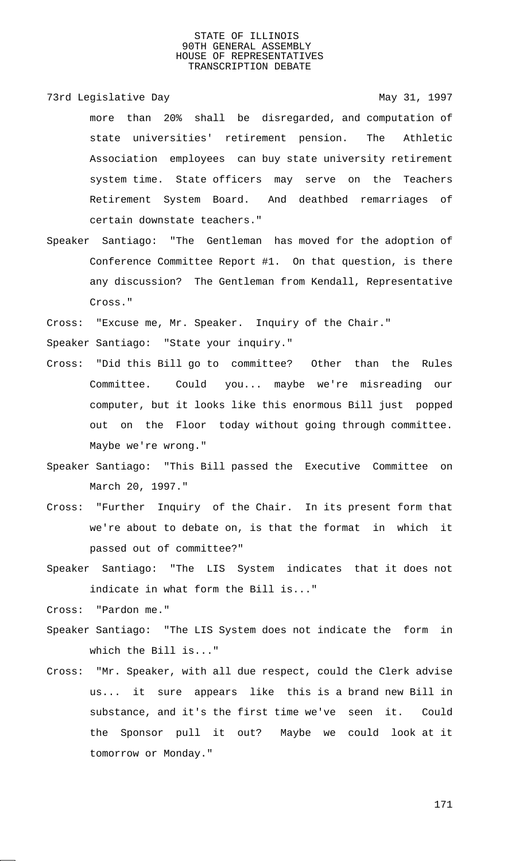73rd Legislative Day 1997

- more than 20% shall be disregarded, and computation of state universities' retirement pension. The Athletic Association employees can buy state university retirement system time. State officers may serve on the Teachers Retirement System Board. And deathbed remarriages of certain downstate teachers."
- Speaker Santiago: "The Gentleman has moved for the adoption of Conference Committee Report #1. On that question, is there any discussion? The Gentleman from Kendall, Representative Cross."

Cross: "Excuse me, Mr. Speaker. Inquiry of the Chair."

Speaker Santiago: "State your inquiry."

- Cross: "Did this Bill go to committee? Other than the Rules Committee. Could you... maybe we're misreading our computer, but it looks like this enormous Bill just popped out on the Floor today without going through committee. Maybe we're wrong."
- Speaker Santiago: "This Bill passed the Executive Committee on March 20, 1997."
- Cross: "Further Inquiry of the Chair. In its present form that we're about to debate on, is that the format in which it passed out of committee?"
- Speaker Santiago: "The LIS System indicates that it does not indicate in what form the Bill is..."
- Cross: "Pardon me."
- Speaker Santiago: "The LIS System does not indicate the form in which the Bill is..."
- Cross: "Mr. Speaker, with all due respect, could the Clerk advise us... it sure appears like this is a brand new Bill in substance, and it's the first time we've seen it. Could the Sponsor pull it out? Maybe we could look at it tomorrow or Monday."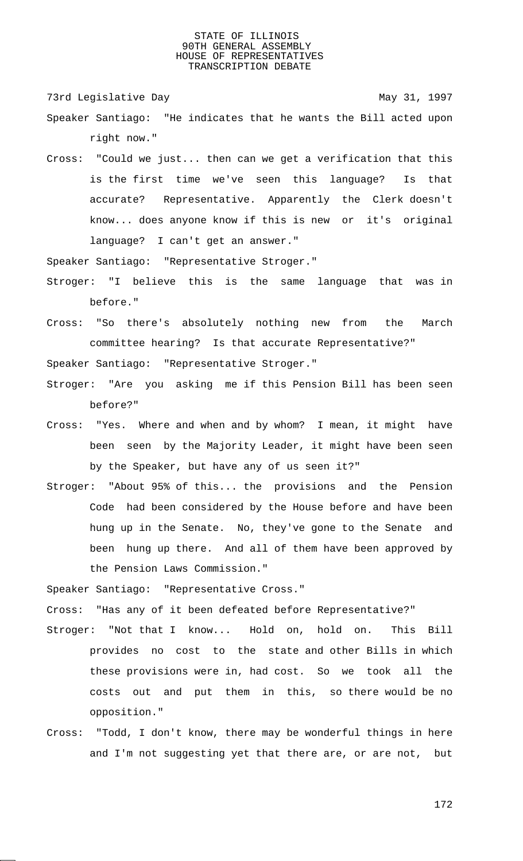73rd Legislative Day 1997

- Speaker Santiago: "He indicates that he wants the Bill acted upon right now."
- Cross: "Could we just... then can we get a verification that this is the first time we've seen this language? Is that accurate? Representative. Apparently the Clerk doesn't know... does anyone know if this is new or it's original language? I can't get an answer."

Speaker Santiago: "Representative Stroger."

- Stroger: "I believe this is the same language that was in before."
- Cross: "So there's absolutely nothing new from the March committee hearing? Is that accurate Representative?"

Speaker Santiago: "Representative Stroger."

- Stroger: "Are you asking me if this Pension Bill has been seen before?"
- Cross: "Yes. Where and when and by whom? I mean, it might have been seen by the Majority Leader, it might have been seen by the Speaker, but have any of us seen it?"
- Stroger: "About 95% of this... the provisions and the Pension Code had been considered by the House before and have been hung up in the Senate. No, they've gone to the Senate and been hung up there. And all of them have been approved by the Pension Laws Commission."

Speaker Santiago: "Representative Cross."

Cross: "Has any of it been defeated before Representative?"

- Stroger: "Not that I know... Hold on, hold on. This Bill provides no cost to the state and other Bills in which these provisions were in, had cost. So we took all the costs out and put them in this, so there would be no opposition."
- Cross: "Todd, I don't know, there may be wonderful things in here and I'm not suggesting yet that there are, or are not, but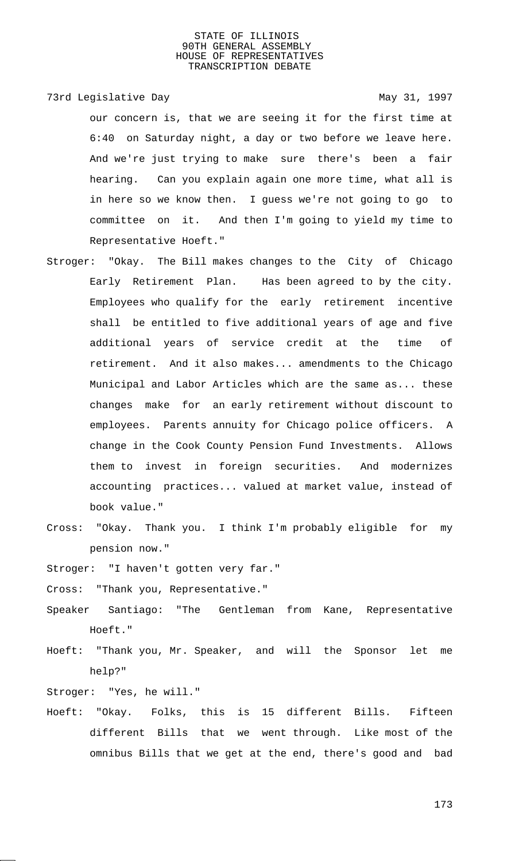73rd Legislative Day 1997

our concern is, that we are seeing it for the first time at 6:40 on Saturday night, a day or two before we leave here. And we're just trying to make sure there's been a fair hearing. Can you explain again one more time, what all is in here so we know then. I guess we're not going to go to committee on it. And then I'm going to yield my time to Representative Hoeft."

- Stroger: "Okay. The Bill makes changes to the City of Chicago Early Retirement Plan. Has been agreed to by the city. Employees who qualify for the early retirement incentive shall be entitled to five additional years of age and five additional years of service credit at the time of retirement. And it also makes... amendments to the Chicago Municipal and Labor Articles which are the same as... these changes make for an early retirement without discount to employees. Parents annuity for Chicago police officers. A change in the Cook County Pension Fund Investments. Allows them to invest in foreign securities. And modernizes accounting practices... valued at market value, instead of book value."
- Cross: "Okay. Thank you. I think I'm probably eligible for my pension now."

Stroger: "I haven't gotten very far."

Cross: "Thank you, Representative."

Speaker Santiago: "The Gentleman from Kane, Representative Hoeft."

Hoeft: "Thank you, Mr. Speaker, and will the Sponsor let me help?"

Stroger: "Yes, he will."

Hoeft: "Okay. Folks, this is 15 different Bills. Fifteen different Bills that we went through. Like most of the omnibus Bills that we get at the end, there's good and bad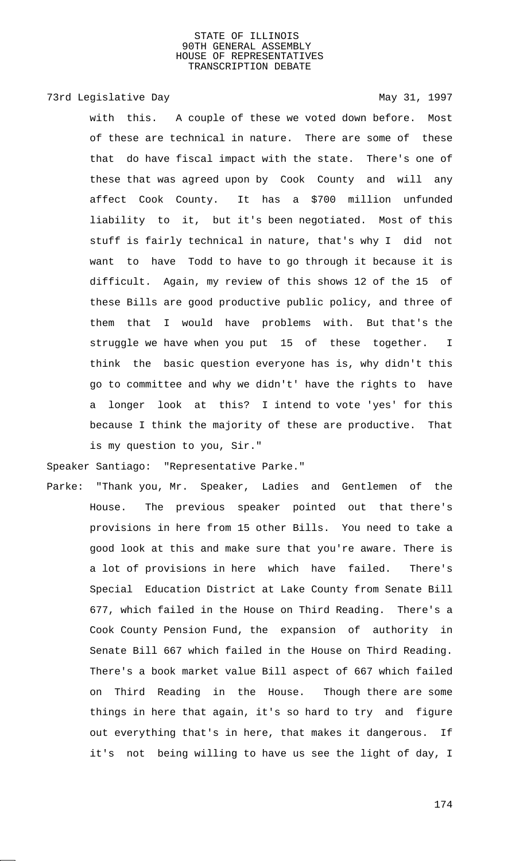# 73rd Legislative Day 1997

with this. A couple of these we voted down before. Most of these are technical in nature. There are some of these that do have fiscal impact with the state. There's one of these that was agreed upon by Cook County and will any affect Cook County. It has a \$700 million unfunded liability to it, but it's been negotiated. Most of this stuff is fairly technical in nature, that's why I did not want to have Todd to have to go through it because it is difficult. Again, my review of this shows 12 of the 15 of these Bills are good productive public policy, and three of them that I would have problems with. But that's the struggle we have when you put 15 of these together. I think the basic question everyone has is, why didn't this go to committee and why we didn't' have the rights to have a longer look at this? I intend to vote 'yes' for this because I think the majority of these are productive. That is my question to you, Sir."

Speaker Santiago: "Representative Parke."

Parke: "Thank you, Mr. Speaker, Ladies and Gentlemen of the House. The previous speaker pointed out that there's provisions in here from 15 other Bills. You need to take a good look at this and make sure that you're aware. There is a lot of provisions in here which have failed. There's Special Education District at Lake County from Senate Bill 677, which failed in the House on Third Reading. There's a Cook County Pension Fund, the expansion of authority in Senate Bill 667 which failed in the House on Third Reading. There's a book market value Bill aspect of 667 which failed on Third Reading in the House. Though there are some things in here that again, it's so hard to try and figure out everything that's in here, that makes it dangerous. If it's not being willing to have us see the light of day, I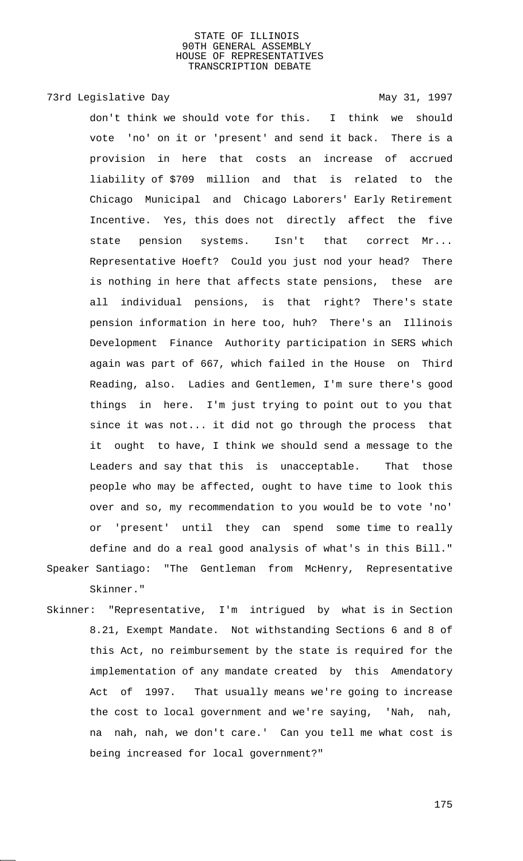# 73rd Legislative Day 1997

don't think we should vote for this. I think we should vote 'no' on it or 'present' and send it back. There is a provision in here that costs an increase of accrued liability of \$709 million and that is related to the Chicago Municipal and Chicago Laborers' Early Retirement Incentive. Yes, this does not directly affect the five state pension systems. Isn't that correct Mr... Representative Hoeft? Could you just nod your head? There is nothing in here that affects state pensions, these are all individual pensions, is that right? There's state pension information in here too, huh? There's an Illinois Development Finance Authority participation in SERS which again was part of 667, which failed in the House on Third Reading, also. Ladies and Gentlemen, I'm sure there's good things in here. I'm just trying to point out to you that since it was not... it did not go through the process that it ought to have, I think we should send a message to the Leaders and say that this is unacceptable. That those people who may be affected, ought to have time to look this over and so, my recommendation to you would be to vote 'no' or 'present' until they can spend some time to really define and do a real good analysis of what's in this Bill." Speaker Santiago: "The Gentleman from McHenry, Representative Skinner."

Skinner: "Representative, I'm intrigued by what is in Section 8.21, Exempt Mandate. Not withstanding Sections 6 and 8 of this Act, no reimbursement by the state is required for the implementation of any mandate created by this Amendatory Act of 1997. That usually means we're going to increase the cost to local government and we're saying, 'Nah, nah, na nah, nah, we don't care.' Can you tell me what cost is being increased for local government?"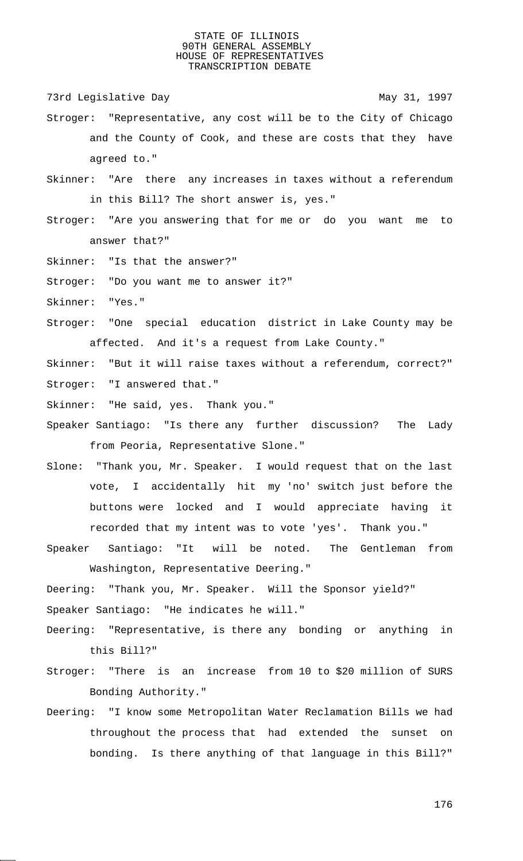73rd Legislative Day 1997

- Stroger: "Representative, any cost will be to the City of Chicago and the County of Cook, and these are costs that they have agreed to."
- Skinner: "Are there any increases in taxes without a referendum in this Bill? The short answer is, yes."
- Stroger: "Are you answering that for me or do you want me to answer that?"
- Skinner: "Is that the answer?"
- Stroger: "Do you want me to answer it?"
- Skinner: "Yes."
- Stroger: "One special education district in Lake County may be affected. And it's a request from Lake County."

Skinner: "But it will raise taxes without a referendum, correct?" Stroger: "I answered that."

- Skinner: "He said, yes. Thank you."
- Speaker Santiago: "Is there any further discussion? The Lady from Peoria, Representative Slone."
- Slone: "Thank you, Mr. Speaker. I would request that on the last vote, I accidentally hit my 'no' switch just before the buttons were locked and I would appreciate having it recorded that my intent was to vote 'yes'. Thank you."
- Speaker Santiago: "It will be noted. The Gentleman from Washington, Representative Deering."
- Deering: "Thank you, Mr. Speaker. Will the Sponsor yield?" Speaker Santiago: "He indicates he will."
- Deering: "Representative, is there any bonding or anything in this Bill?"
- Stroger: "There is an increase from 10 to \$20 million of SURS Bonding Authority."
- Deering: "I know some Metropolitan Water Reclamation Bills we had throughout the process that had extended the sunset on bonding. Is there anything of that language in this Bill?"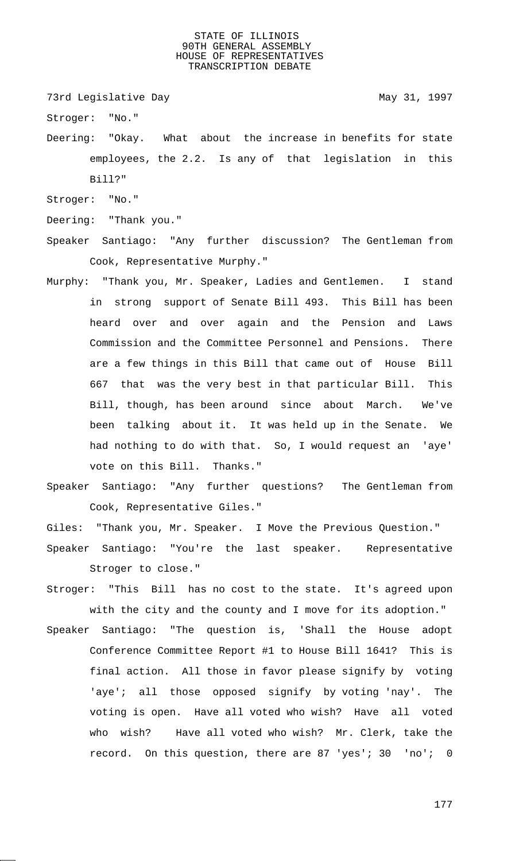73rd Legislative Day 1997

Stroger: "No."

Deering: "Okay. What about the increase in benefits for state employees, the 2.2. Is any of that legislation in this Bill?"

Stroger: "No."

Deering: "Thank you."

- Speaker Santiago: "Any further discussion? The Gentleman from Cook, Representative Murphy."
- Murphy: "Thank you, Mr. Speaker, Ladies and Gentlemen. I stand in strong support of Senate Bill 493. This Bill has been heard over and over again and the Pension and Laws Commission and the Committee Personnel and Pensions. There are a few things in this Bill that came out of House Bill 667 that was the very best in that particular Bill. This Bill, though, has been around since about March. We've been talking about it. It was held up in the Senate. We had nothing to do with that. So, I would request an 'aye' vote on this Bill. Thanks."
- Speaker Santiago: "Any further questions? The Gentleman from Cook, Representative Giles."

Giles: "Thank you, Mr. Speaker. I Move the Previous Question."

- Speaker Santiago: "You're the last speaker. Representative Stroger to close."
- Stroger: "This Bill has no cost to the state. It's agreed upon with the city and the county and I move for its adoption."
- Speaker Santiago: "The question is, 'Shall the House adopt Conference Committee Report #1 to House Bill 1641? This is final action. All those in favor please signify by voting 'aye'; all those opposed signify by voting 'nay'. The voting is open. Have all voted who wish? Have all voted who wish? Have all voted who wish? Mr. Clerk, take the record. On this question, there are 87 'yes'; 30 'no'; 0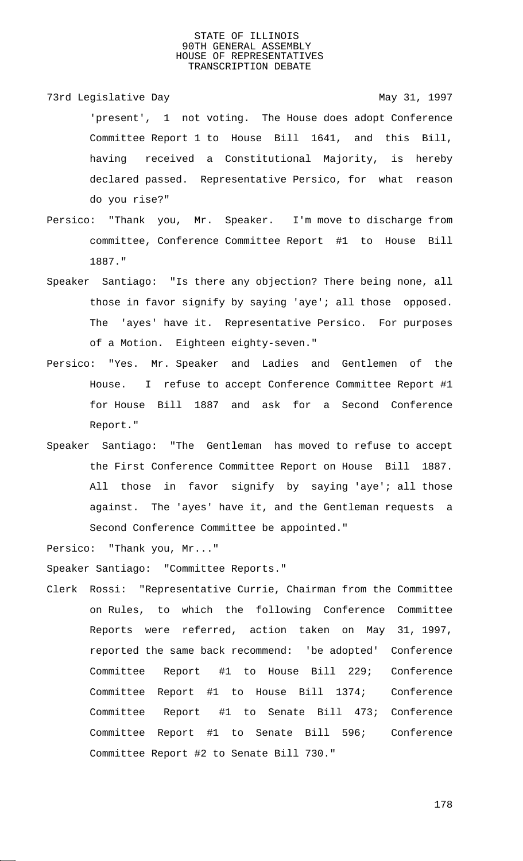- 73rd Legislative Day 1997 'present', 1 not voting. The House does adopt Conference Committee Report 1 to House Bill 1641, and this Bill, having received a Constitutional Majority, is hereby declared passed. Representative Persico, for what reason do you rise?"
- Persico: "Thank you, Mr. Speaker. I'm move to discharge from committee, Conference Committee Report #1 to House Bill 1887."
- Speaker Santiago: "Is there any objection? There being none, all those in favor signify by saying 'aye'; all those opposed. The 'ayes' have it. Representative Persico. For purposes of a Motion. Eighteen eighty-seven."
- Persico: "Yes. Mr. Speaker and Ladies and Gentlemen of the House. I refuse to accept Conference Committee Report #1 for House Bill 1887 and ask for a Second Conference Report."
- Speaker Santiago: "The Gentleman has moved to refuse to accept the First Conference Committee Report on House Bill 1887. All those in favor signify by saying 'aye'; all those against. The 'ayes' have it, and the Gentleman requests a Second Conference Committee be appointed."

Persico: "Thank you, Mr..."

Speaker Santiago: "Committee Reports."

Clerk Rossi: "Representative Currie, Chairman from the Committee on Rules, to which the following Conference Committee Reports were referred, action taken on May 31, 1997, reported the same back recommend: 'be adopted' Conference Committee Report #1 to House Bill 229; Conference Committee Report #1 to House Bill 1374; Conference Committee Report #1 to Senate Bill 473; Conference Committee Report #1 to Senate Bill 596; Conference Committee Report #2 to Senate Bill 730."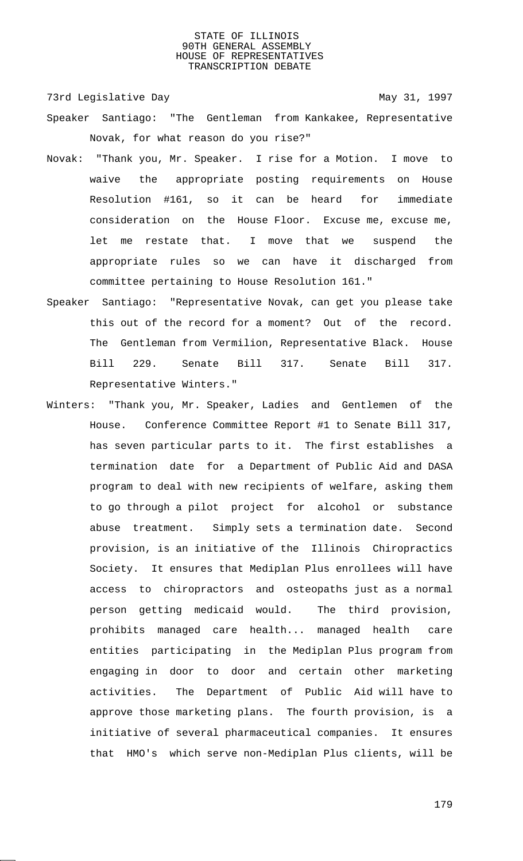73rd Legislative Day 1997

- Speaker Santiago: "The Gentleman from Kankakee, Representative Novak, for what reason do you rise?"
- Novak: "Thank you, Mr. Speaker. I rise for a Motion. I move to waive the appropriate posting requirements on House Resolution #161, so it can be heard for immediate consideration on the House Floor. Excuse me, excuse me, let me restate that. I move that we suspend the appropriate rules so we can have it discharged from committee pertaining to House Resolution 161."
- Speaker Santiago: "Representative Novak, can get you please take this out of the record for a moment? Out of the record. The Gentleman from Vermilion, Representative Black. House Bill 229. Senate Bill 317. Senate Bill 317. Representative Winters."
- Winters: "Thank you, Mr. Speaker, Ladies and Gentlemen of the House. Conference Committee Report #1 to Senate Bill 317, has seven particular parts to it. The first establishes a termination date for a Department of Public Aid and DASA program to deal with new recipients of welfare, asking them to go through a pilot project for alcohol or substance abuse treatment. Simply sets a termination date. Second provision, is an initiative of the Illinois Chiropractics Society. It ensures that Mediplan Plus enrollees will have access to chiropractors and osteopaths just as a normal person getting medicaid would. The third provision, prohibits managed care health... managed health care entities participating in the Mediplan Plus program from engaging in door to door and certain other marketing activities. The Department of Public Aid will have to approve those marketing plans. The fourth provision, is a initiative of several pharmaceutical companies. It ensures that HMO's which serve non-Mediplan Plus clients, will be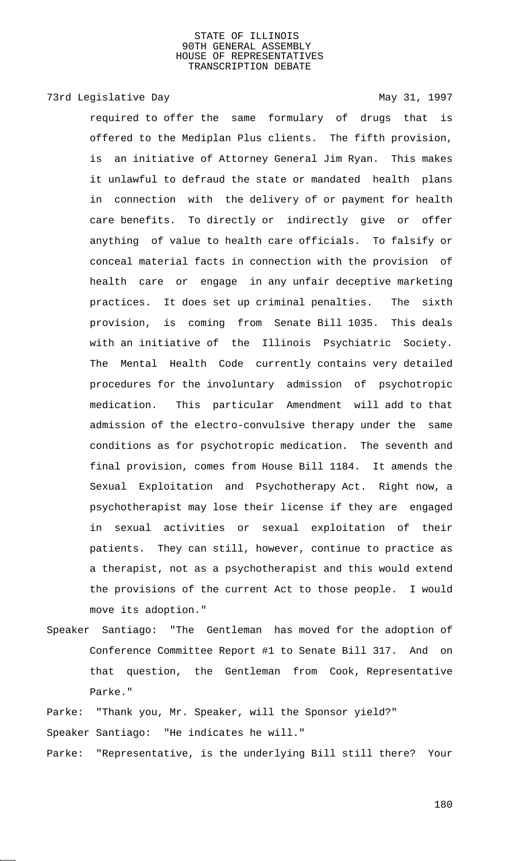# 73rd Legislative Day 1997

required to offer the same formulary of drugs that is offered to the Mediplan Plus clients. The fifth provision, is an initiative of Attorney General Jim Ryan. This makes it unlawful to defraud the state or mandated health plans in connection with the delivery of or payment for health care benefits. To directly or indirectly give or offer anything of value to health care officials. To falsify or conceal material facts in connection with the provision of health care or engage in any unfair deceptive marketing practices. It does set up criminal penalties. The sixth provision, is coming from Senate Bill 1035. This deals with an initiative of the Illinois Psychiatric Society. The Mental Health Code currently contains very detailed procedures for the involuntary admission of psychotropic medication. This particular Amendment will add to that admission of the electro-convulsive therapy under the same conditions as for psychotropic medication. The seventh and final provision, comes from House Bill 1184. It amends the Sexual Exploitation and Psychotherapy Act. Right now, a psychotherapist may lose their license if they are engaged in sexual activities or sexual exploitation of their patients. They can still, however, continue to practice as a therapist, not as a psychotherapist and this would extend the provisions of the current Act to those people. I would move its adoption."

Speaker Santiago: "The Gentleman has moved for the adoption of Conference Committee Report #1 to Senate Bill 317. And on that question, the Gentleman from Cook, Representative Parke."

Parke: "Thank you, Mr. Speaker, will the Sponsor yield?" Speaker Santiago: "He indicates he will."

Parke: "Representative, is the underlying Bill still there? Your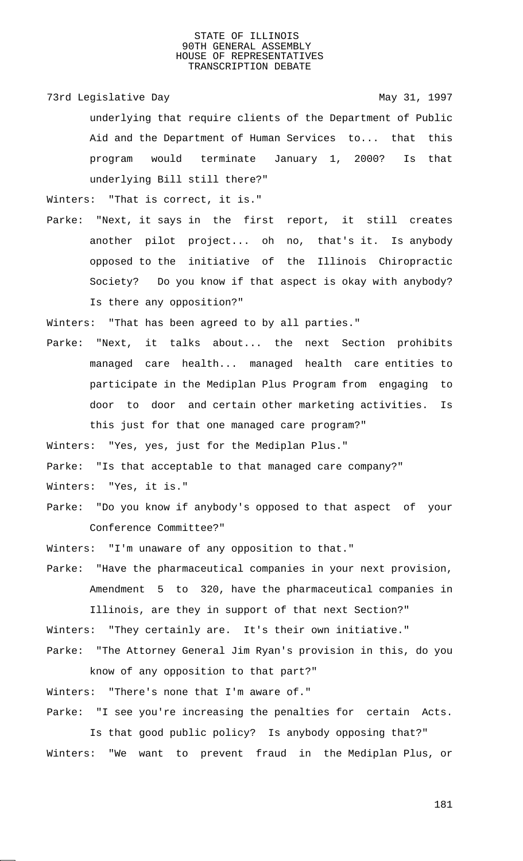73rd Legislative Day 1997 underlying that require clients of the Department of Public Aid and the Department of Human Services to... that this program would terminate January 1, 2000? Is that underlying Bill still there?"

Winters: "That is correct, it is."

Parke: "Next, it says in the first report, it still creates another pilot project... oh no, that's it. Is anybody opposed to the initiative of the Illinois Chiropractic Society? Do you know if that aspect is okay with anybody? Is there any opposition?"

Winters: "That has been agreed to by all parties."

Parke: "Next, it talks about... the next Section prohibits managed care health... managed health care entities to participate in the Mediplan Plus Program from engaging to door to door and certain other marketing activities. Is this just for that one managed care program?"

Winters: "Yes, yes, just for the Mediplan Plus."

Parke: "Is that acceptable to that managed care company?"

Winters: "Yes, it is."

Parke: "Do you know if anybody's opposed to that aspect of your Conference Committee?"

Winters: "I'm unaware of any opposition to that."

Parke: "Have the pharmaceutical companies in your next provision, Amendment 5 to 320, have the pharmaceutical companies in

Illinois, are they in support of that next Section?" Winters: "They certainly are. It's their own initiative." Parke: "The Attorney General Jim Ryan's provision in this, do you

know of any opposition to that part?" Winters: "There's none that I'm aware of." Parke: "I see you're increasing the penalties for certain Acts.

Is that good public policy? Is anybody opposing that?" Winters: "We want to prevent fraud in the Mediplan Plus, or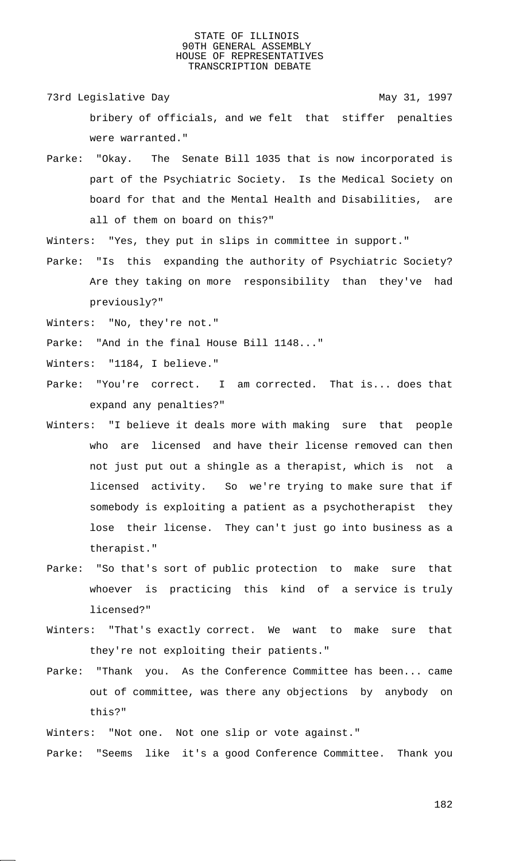- 73rd Legislative Day 1997 bribery of officials, and we felt that stiffer penalties were warranted."
- Parke: "Okay. The Senate Bill 1035 that is now incorporated is part of the Psychiatric Society. Is the Medical Society on board for that and the Mental Health and Disabilities, are all of them on board on this?"
- Winters: "Yes, they put in slips in committee in support."
- Parke: "Is this expanding the authority of Psychiatric Society? Are they taking on more responsibility than they've had previously?"
- Winters: "No, they're not."
- Parke: "And in the final House Bill 1148..."
- Winters: "1184, I believe."
- Parke: "You're correct. I am corrected. That is... does that expand any penalties?"
- Winters: "I believe it deals more with making sure that people who are licensed and have their license removed can then not just put out a shingle as a therapist, which is not a licensed activity. So we're trying to make sure that if somebody is exploiting a patient as a psychotherapist they lose their license. They can't just go into business as a therapist."
- Parke: "So that's sort of public protection to make sure that whoever is practicing this kind of a service is truly licensed?"
- Winters: "That's exactly correct. We want to make sure that they're not exploiting their patients."
- Parke: "Thank you. As the Conference Committee has been... came out of committee, was there any objections by anybody on this?"
- Winters: "Not one. Not one slip or vote against."
- Parke: "Seems like it's a good Conference Committee. Thank you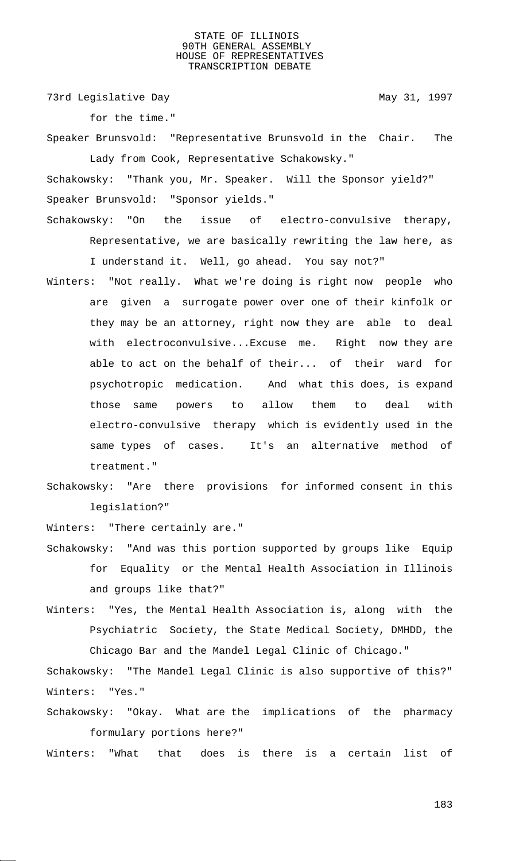73rd Legislative Day 1997

for the time."

Speaker Brunsvold: "Representative Brunsvold in the Chair. The Lady from Cook, Representative Schakowsky."

Schakowsky: "Thank you, Mr. Speaker. Will the Sponsor yield?" Speaker Brunsvold: "Sponsor yields."

Schakowsky: "On the issue of electro-convulsive therapy, Representative, we are basically rewriting the law here, as I understand it. Well, go ahead. You say not?"

- Winters: "Not really. What we're doing is right now people who are given a surrogate power over one of their kinfolk or they may be an attorney, right now they are able to deal with electroconvulsive...Excuse me. Right now they are able to act on the behalf of their... of their ward for psychotropic medication. And what this does, is expand those same powers to allow them to deal with electro-convulsive therapy which is evidently used in the same types of cases. It's an alternative method of treatment."
- Schakowsky: "Are there provisions for informed consent in this legislation?"

Winters: "There certainly are."

- Schakowsky: "And was this portion supported by groups like Equip for Equality or the Mental Health Association in Illinois and groups like that?"
- Winters: "Yes, the Mental Health Association is, along with the Psychiatric Society, the State Medical Society, DMHDD, the Chicago Bar and the Mandel Legal Clinic of Chicago."

Schakowsky: "The Mandel Legal Clinic is also supportive of this?" Winters: "Yes."

Schakowsky: "Okay. What are the implications of the pharmacy formulary portions here?"

Winters: "What that does is there is a certain list of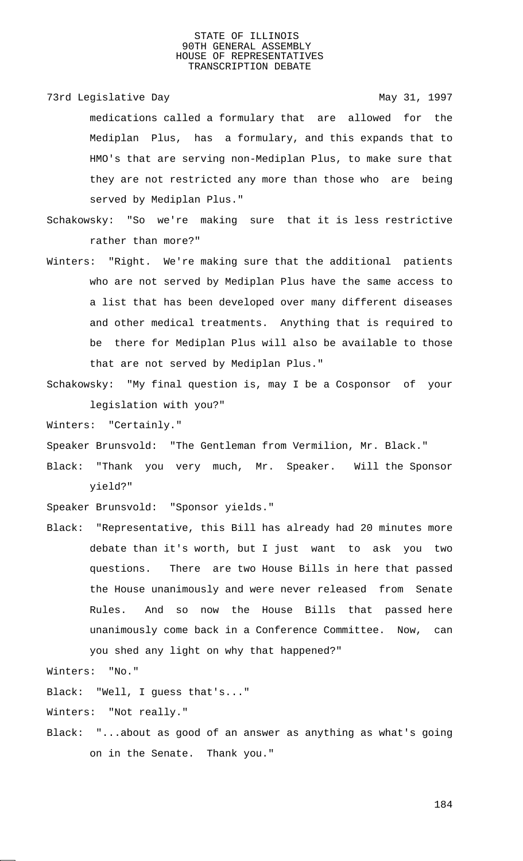73rd Legislative Day 1997

medications called a formulary that are allowed for the Mediplan Plus, has a formulary, and this expands that to HMO's that are serving non-Mediplan Plus, to make sure that they are not restricted any more than those who are being

Schakowsky: "So we're making sure that it is less restrictive rather than more?"

- Winters: "Right. We're making sure that the additional patients who are not served by Mediplan Plus have the same access to a list that has been developed over many different diseases and other medical treatments. Anything that is required to be there for Mediplan Plus will also be available to those that are not served by Mediplan Plus."
- Schakowsky: "My final question is, may I be a Cosponsor of your legislation with you?"

Winters: "Certainly."

Speaker Brunsvold: "The Gentleman from Vermilion, Mr. Black."

Black: "Thank you very much, Mr. Speaker. Will the Sponsor yield?"

Speaker Brunsvold: "Sponsor yields."

served by Mediplan Plus."

Black: "Representative, this Bill has already had 20 minutes more debate than it's worth, but I just want to ask you two questions. There are two House Bills in here that passed the House unanimously and were never released from Senate Rules. And so now the House Bills that passed here unanimously come back in a Conference Committee. Now, can you shed any light on why that happened?"

Winters: "No."

Black: "Well, I guess that's..."

Winters: "Not really."

Black: "...about as good of an answer as anything as what's going on in the Senate. Thank you."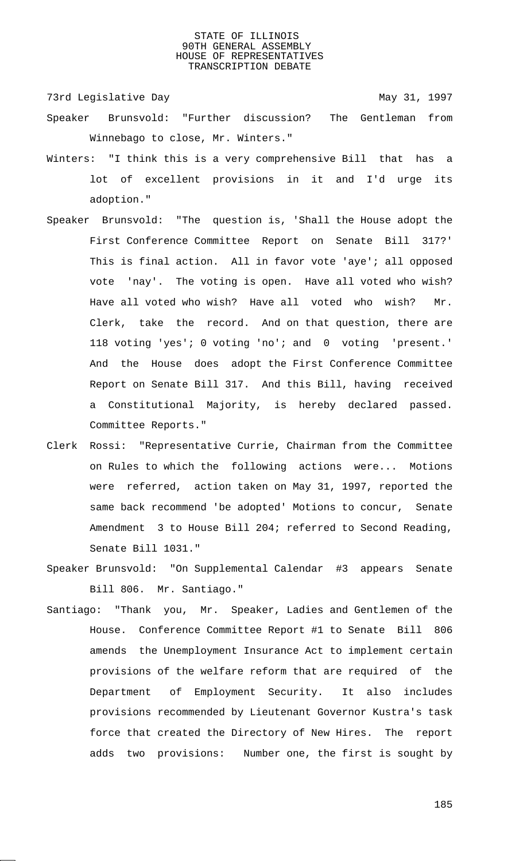73rd Legislative Day 1997

- Speaker Brunsvold: "Further discussion? The Gentleman from Winnebago to close, Mr. Winters."
- Winters: "I think this is a very comprehensive Bill that has a lot of excellent provisions in it and I'd urge its adoption."
- Speaker Brunsvold: "The question is, 'Shall the House adopt the First Conference Committee Report on Senate Bill 317?' This is final action. All in favor vote 'aye'; all opposed vote 'nay'. The voting is open. Have all voted who wish? Have all voted who wish? Have all voted who wish? Mr. Clerk, take the record. And on that question, there are 118 voting 'yes'; 0 voting 'no'; and 0 voting 'present.' And the House does adopt the First Conference Committee Report on Senate Bill 317. And this Bill, having received a Constitutional Majority, is hereby declared passed. Committee Reports."
- Clerk Rossi: "Representative Currie, Chairman from the Committee on Rules to which the following actions were... Motions were referred, action taken on May 31, 1997, reported the same back recommend 'be adopted' Motions to concur, Senate Amendment 3 to House Bill 204; referred to Second Reading, Senate Bill 1031."
- Speaker Brunsvold: "On Supplemental Calendar #3 appears Senate Bill 806. Mr. Santiago."
- Santiago: "Thank you, Mr. Speaker, Ladies and Gentlemen of the House. Conference Committee Report #1 to Senate Bill 806 amends the Unemployment Insurance Act to implement certain provisions of the welfare reform that are required of the Department of Employment Security. It also includes provisions recommended by Lieutenant Governor Kustra's task force that created the Directory of New Hires. The report adds two provisions: Number one, the first is sought by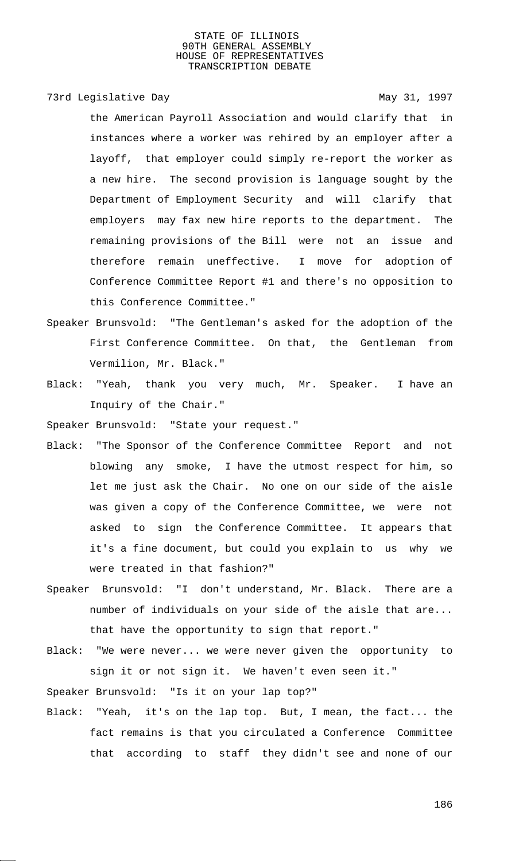## 73rd Legislative Day 1997

the American Payroll Association and would clarify that in instances where a worker was rehired by an employer after a layoff, that employer could simply re-report the worker as a new hire. The second provision is language sought by the Department of Employment Security and will clarify that employers may fax new hire reports to the department. The remaining provisions of the Bill were not an issue and therefore remain uneffective. I move for adoption of Conference Committee Report #1 and there's no opposition to this Conference Committee."

- Speaker Brunsvold: "The Gentleman's asked for the adoption of the First Conference Committee. On that, the Gentleman from Vermilion, Mr. Black."
- Black: "Yeah, thank you very much, Mr. Speaker. I have an Inquiry of the Chair."

Speaker Brunsvold: "State your request."

- Black: "The Sponsor of the Conference Committee Report and not blowing any smoke, I have the utmost respect for him, so let me just ask the Chair. No one on our side of the aisle was given a copy of the Conference Committee, we were not asked to sign the Conference Committee. It appears that it's a fine document, but could you explain to us why we were treated in that fashion?"
- Speaker Brunsvold: "I don't understand, Mr. Black. There are a number of individuals on your side of the aisle that are... that have the opportunity to sign that report."
- Black: "We were never... we were never given the opportunity to sign it or not sign it. We haven't even seen it."

Speaker Brunsvold: "Is it on your lap top?"

Black: "Yeah, it's on the lap top. But, I mean, the fact... the fact remains is that you circulated a Conference Committee that according to staff they didn't see and none of our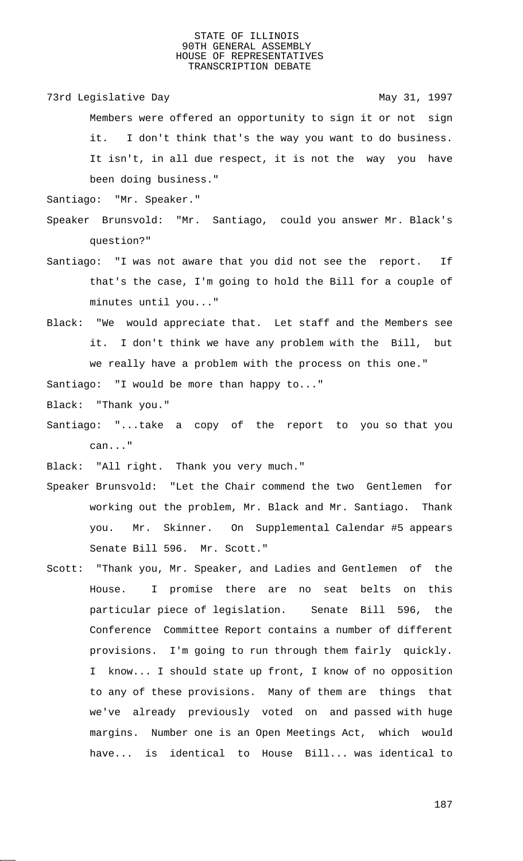73rd Legislative Day 1997 Members were offered an opportunity to sign it or not sign it. I don't think that's the way you want to do business. It isn't, in all due respect, it is not the way you have been doing business."

Santiago: "Mr. Speaker."

- Speaker Brunsvold: "Mr. Santiago, could you answer Mr. Black's question?"
- Santiago: "I was not aware that you did not see the report. If that's the case, I'm going to hold the Bill for a couple of minutes until you..."
- Black: "We would appreciate that. Let staff and the Members see it. I don't think we have any problem with the Bill, but we really have a problem with the process on this one."

Santiago: "I would be more than happy to..."

Black: "Thank you."

Santiago: "...take a copy of the report to you so that you can..."

Black: "All right. Thank you very much."

- Speaker Brunsvold: "Let the Chair commend the two Gentlemen for working out the problem, Mr. Black and Mr. Santiago. Thank you. Mr. Skinner. On Supplemental Calendar #5 appears Senate Bill 596. Mr. Scott."
- Scott: "Thank you, Mr. Speaker, and Ladies and Gentlemen of the House. I promise there are no seat belts on this particular piece of legislation. Senate Bill 596, the Conference Committee Report contains a number of different provisions. I'm going to run through them fairly quickly. I know... I should state up front, I know of no opposition to any of these provisions. Many of them are things that we've already previously voted on and passed with huge margins. Number one is an Open Meetings Act, which would have... is identical to House Bill... was identical to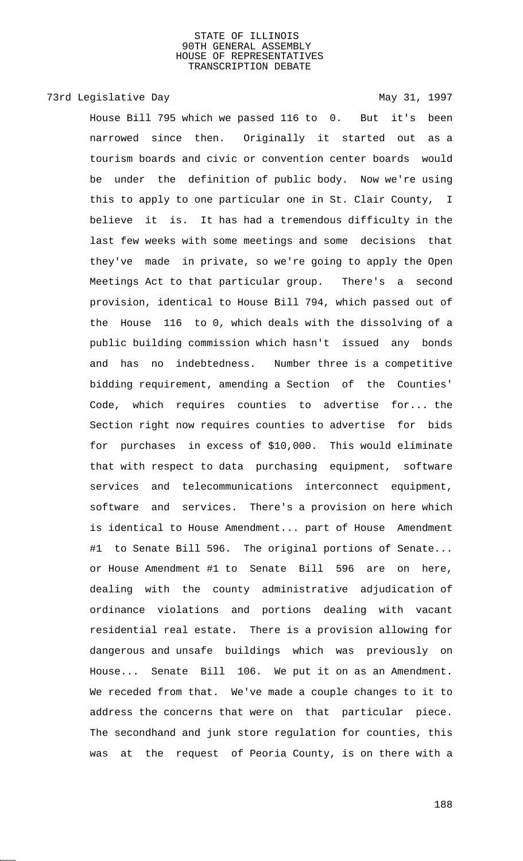73rd Legislative Day 1997

House Bill 795 which we passed 116 to 0. But it's been narrowed since then. Originally it started out as a tourism boards and civic or convention center boards would be under the definition of public body. Now we're using this to apply to one particular one in St. Clair County, I believe it is. It has had a tremendous difficulty in the last few weeks with some meetings and some decisions that they've made in private, so we're going to apply the Open Meetings Act to that particular group. There's a second provision, identical to House Bill 794, which passed out of the House 116 to 0, which deals with the dissolving of a public building commission which hasn't issued any bonds and has no indebtedness. Number three is a competitive bidding requirement, amending a Section of the Counties' Code, which requires counties to advertise for... the Section right now requires counties to advertise for bids for purchases in excess of \$10,000. This would eliminate that with respect to data purchasing equipment, software services and telecommunications interconnect equipment, software and services. There's a provision on here which is identical to House Amendment... part of House Amendment #1 to Senate Bill 596. The original portions of Senate... or House Amendment #1 to Senate Bill 596 are on here, dealing with the county administrative adjudication of ordinance violations and portions dealing with vacant residential real estate. There is a provision allowing for dangerous and unsafe buildings which was previously on House... Senate Bill 106. We put it on as an Amendment. We receded from that. We've made a couple changes to it to address the concerns that were on that particular piece. The secondhand and junk store regulation for counties, this was at the request of Peoria County, is on there with a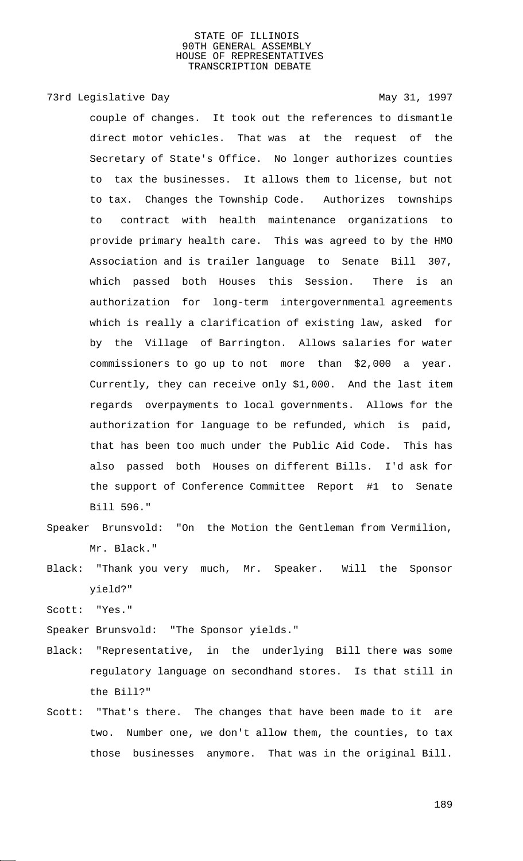# 73rd Legislative Day 1997

couple of changes. It took out the references to dismantle direct motor vehicles. That was at the request of the Secretary of State's Office. No longer authorizes counties to tax the businesses. It allows them to license, but not to tax. Changes the Township Code. Authorizes townships to contract with health maintenance organizations to provide primary health care. This was agreed to by the HMO Association and is trailer language to Senate Bill 307, which passed both Houses this Session. There is an authorization for long-term intergovernmental agreements which is really a clarification of existing law, asked for by the Village of Barrington. Allows salaries for water commissioners to go up to not more than \$2,000 a year. Currently, they can receive only \$1,000. And the last item regards overpayments to local governments. Allows for the authorization for language to be refunded, which is paid, that has been too much under the Public Aid Code. This has also passed both Houses on different Bills. I'd ask for the support of Conference Committee Report #1 to Senate Bill 596."

- Speaker Brunsvold: "On the Motion the Gentleman from Vermilion, Mr. Black."
- Black: "Thank you very much, Mr. Speaker. Will the Sponsor yield?"
- Scott: "Yes."
- Speaker Brunsvold: "The Sponsor yields."
- Black: "Representative, in the underlying Bill there was some regulatory language on secondhand stores. Is that still in the Bill?"
- Scott: "That's there. The changes that have been made to it are two. Number one, we don't allow them, the counties, to tax those businesses anymore. That was in the original Bill.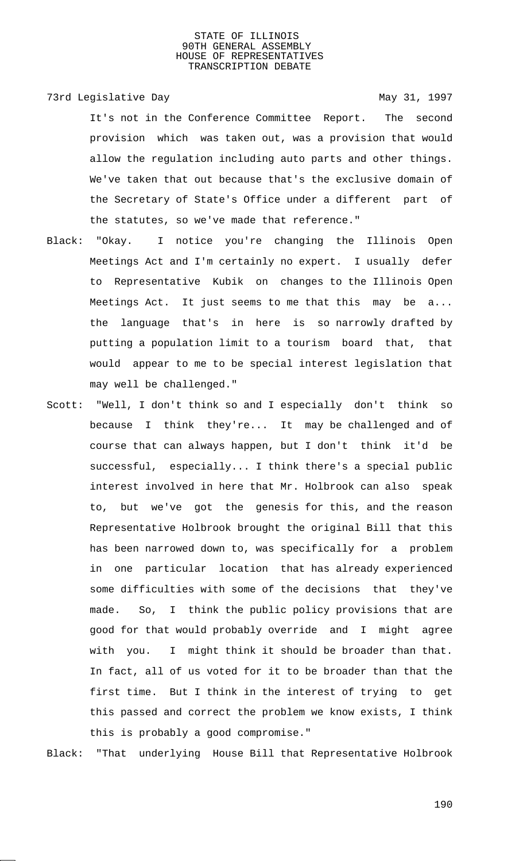73rd Legislative Day 1997

It's not in the Conference Committee Report. The second provision which was taken out, was a provision that would allow the regulation including auto parts and other things. We've taken that out because that's the exclusive domain of the Secretary of State's Office under a different part of the statutes, so we've made that reference."

- Black: "Okay. I notice you're changing the Illinois Open Meetings Act and I'm certainly no expert. I usually defer to Representative Kubik on changes to the Illinois Open Meetings Act. It just seems to me that this may be a... the language that's in here is so narrowly drafted by putting a population limit to a tourism board that, that would appear to me to be special interest legislation that may well be challenged."
- Scott: "Well, I don't think so and I especially don't think so because I think they're... It may be challenged and of course that can always happen, but I don't think it'd be successful, especially... I think there's a special public interest involved in here that Mr. Holbrook can also speak to, but we've got the genesis for this, and the reason Representative Holbrook brought the original Bill that this has been narrowed down to, was specifically for a problem in one particular location that has already experienced some difficulties with some of the decisions that they've made. So, I think the public policy provisions that are good for that would probably override and I might agree with you. I might think it should be broader than that. In fact, all of us voted for it to be broader than that the first time. But I think in the interest of trying to get this passed and correct the problem we know exists, I think this is probably a good compromise."

Black: "That underlying House Bill that Representative Holbrook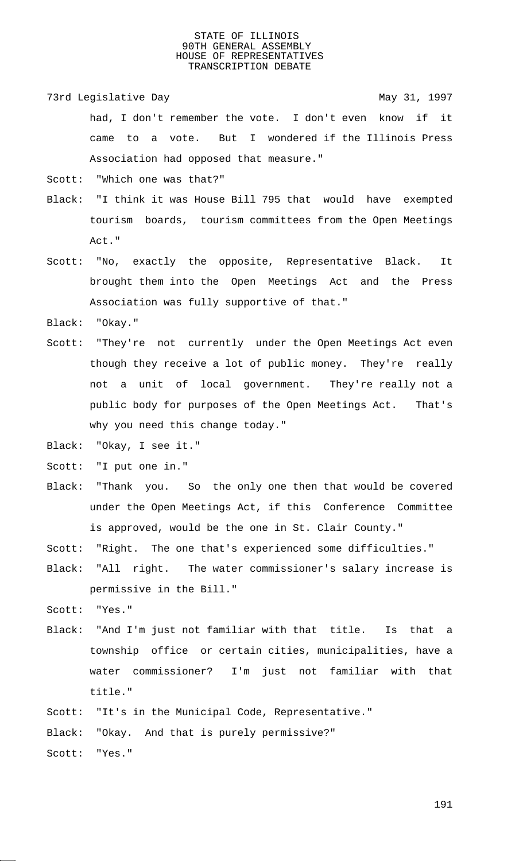73rd Legislative Day 1997 had, I don't remember the vote. I don't even know if it came to a vote. But I wondered if the Illinois Press Association had opposed that measure."

Scott: "Which one was that?"

- Black: "I think it was House Bill 795 that would have exempted tourism boards, tourism committees from the Open Meetings Act."
- Scott: "No, exactly the opposite, Representative Black. It brought them into the Open Meetings Act and the Press Association was fully supportive of that."

Black: "Okay."

- Scott: "They're not currently under the Open Meetings Act even though they receive a lot of public money. They're really not a unit of local government. They're really not a public body for purposes of the Open Meetings Act. That's why you need this change today."
- Black: "Okay, I see it."
- Scott: "I put one in."
- Black: "Thank you. So the only one then that would be covered under the Open Meetings Act, if this Conference Committee is approved, would be the one in St. Clair County."

Scott: "Right. The one that's experienced some difficulties."

Black: "All right. The water commissioner's salary increase is permissive in the Bill."

Scott: "Yes."

Black: "And I'm just not familiar with that title. Is that a township office or certain cities, municipalities, have a water commissioner? I'm just not familiar with that title."

Scott: "It's in the Municipal Code, Representative."

Black: "Okay. And that is purely permissive?"

Scott: "Yes."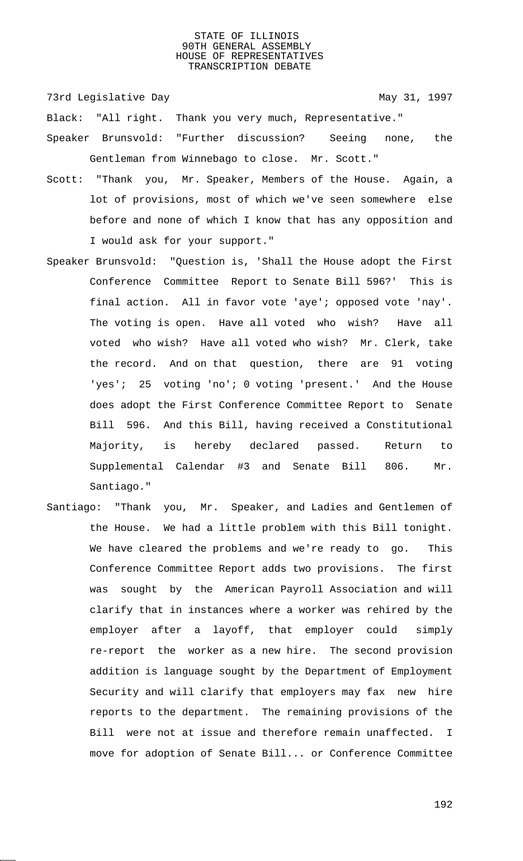73rd Legislative Day 1997

Black: "All right. Thank you very much, Representative."

- Speaker Brunsvold: "Further discussion? Seeing none, the Gentleman from Winnebago to close. Mr. Scott."
- Scott: "Thank you, Mr. Speaker, Members of the House. Again, a lot of provisions, most of which we've seen somewhere else before and none of which I know that has any opposition and I would ask for your support."
- Speaker Brunsvold: "Question is, 'Shall the House adopt the First Conference Committee Report to Senate Bill 596?' This is final action. All in favor vote 'aye'; opposed vote 'nay'. The voting is open. Have all voted who wish? Have all voted who wish? Have all voted who wish? Mr. Clerk, take the record. And on that question, there are 91 voting 'yes'; 25 voting 'no'; 0 voting 'present.' And the House does adopt the First Conference Committee Report to Senate Bill 596. And this Bill, having received a Constitutional Majority, is hereby declared passed. Return to Supplemental Calendar #3 and Senate Bill 806. Mr. Santiago."
- Santiago: "Thank you, Mr. Speaker, and Ladies and Gentlemen of the House. We had a little problem with this Bill tonight. We have cleared the problems and we're ready to go. This Conference Committee Report adds two provisions. The first was sought by the American Payroll Association and will clarify that in instances where a worker was rehired by the employer after a layoff, that employer could simply re-report the worker as a new hire. The second provision addition is language sought by the Department of Employment Security and will clarify that employers may fax new hire reports to the department. The remaining provisions of the Bill were not at issue and therefore remain unaffected. I move for adoption of Senate Bill... or Conference Committee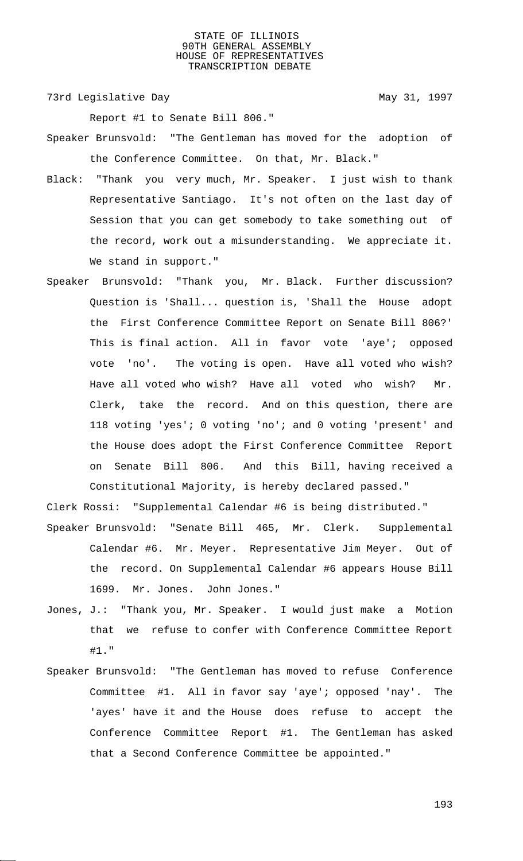73rd Legislative Day 1997

Report #1 to Senate Bill 806."

- Speaker Brunsvold: "The Gentleman has moved for the adoption of the Conference Committee. On that, Mr. Black."
- Black: "Thank you very much, Mr. Speaker. I just wish to thank Representative Santiago. It's not often on the last day of Session that you can get somebody to take something out of the record, work out a misunderstanding. We appreciate it. We stand in support."
- Speaker Brunsvold: "Thank you, Mr. Black. Further discussion? Question is 'Shall... question is, 'Shall the House adopt the First Conference Committee Report on Senate Bill 806?' This is final action. All in favor vote 'aye'; opposed vote 'no'. The voting is open. Have all voted who wish? Have all voted who wish? Have all voted who wish? Mr. Clerk, take the record. And on this question, there are 118 voting 'yes'; 0 voting 'no'; and 0 voting 'present' and the House does adopt the First Conference Committee Report on Senate Bill 806. And this Bill, having received a Constitutional Majority, is hereby declared passed."

Clerk Rossi: "Supplemental Calendar #6 is being distributed."

- Speaker Brunsvold: "Senate Bill 465, Mr. Clerk. Supplemental Calendar #6. Mr. Meyer. Representative Jim Meyer. Out of the record. On Supplemental Calendar #6 appears House Bill 1699. Mr. Jones. John Jones."
- Jones, J.: "Thank you, Mr. Speaker. I would just make a Motion that we refuse to confer with Conference Committee Report #1."
- Speaker Brunsvold: "The Gentleman has moved to refuse Conference Committee #1. All in favor say 'aye'; opposed 'nay'. The 'ayes' have it and the House does refuse to accept the Conference Committee Report #1. The Gentleman has asked that a Second Conference Committee be appointed."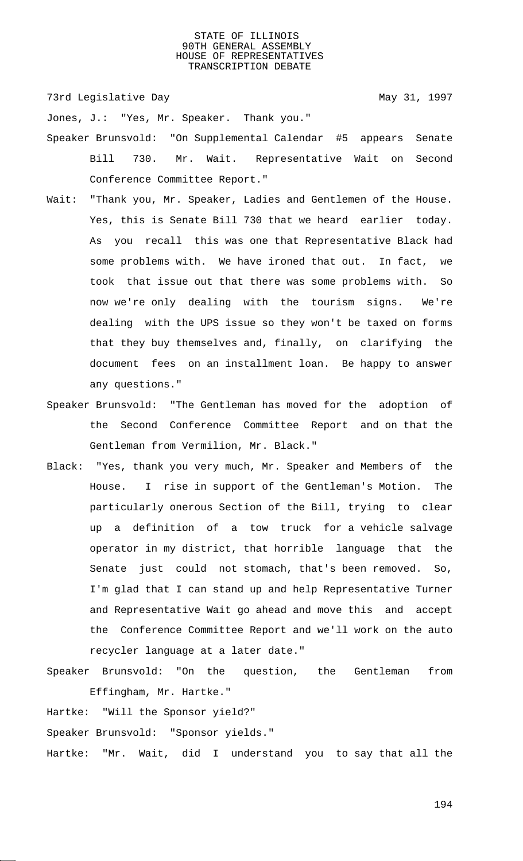73rd Legislative Day 1997

Jones, J.: "Yes, Mr. Speaker. Thank you."

- Speaker Brunsvold: "On Supplemental Calendar #5 appears Senate Bill 730. Mr. Wait. Representative Wait on Second Conference Committee Report."
- Wait: "Thank you, Mr. Speaker, Ladies and Gentlemen of the House. Yes, this is Senate Bill 730 that we heard earlier today. As you recall this was one that Representative Black had some problems with. We have ironed that out. In fact, we took that issue out that there was some problems with. So now we're only dealing with the tourism signs. We're dealing with the UPS issue so they won't be taxed on forms that they buy themselves and, finally, on clarifying the document fees on an installment loan. Be happy to answer any questions."
- Speaker Brunsvold: "The Gentleman has moved for the adoption of the Second Conference Committee Report and on that the Gentleman from Vermilion, Mr. Black."
- Black: "Yes, thank you very much, Mr. Speaker and Members of the House. I rise in support of the Gentleman's Motion. The particularly onerous Section of the Bill, trying to clear up a definition of a tow truck for a vehicle salvage operator in my district, that horrible language that the Senate just could not stomach, that's been removed. So, I'm glad that I can stand up and help Representative Turner and Representative Wait go ahead and move this and accept the Conference Committee Report and we'll work on the auto recycler language at a later date."
- Speaker Brunsvold: "On the question, the Gentleman from Effingham, Mr. Hartke."

Hartke: "Will the Sponsor yield?"

Speaker Brunsvold: "Sponsor yields."

Hartke: "Mr. Wait, did I understand you to say that all the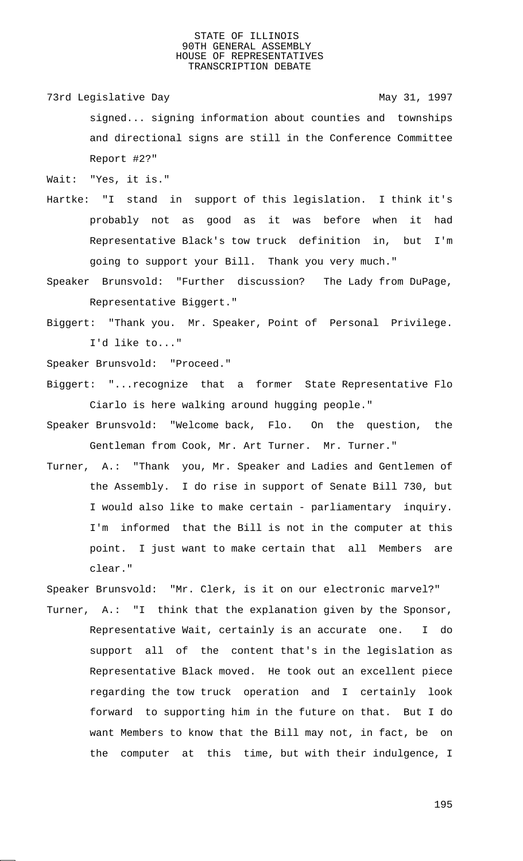73rd Legislative Day 1997

signed... signing information about counties and townships and directional signs are still in the Conference Committee Report #2?"

Wait: "Yes, it is."

- Hartke: "I stand in support of this legislation. I think it's probably not as good as it was before when it had Representative Black's tow truck definition in, but I'm going to support your Bill. Thank you very much."
- Speaker Brunsvold: "Further discussion? The Lady from DuPage, Representative Biggert."
- Biggert: "Thank you. Mr. Speaker, Point of Personal Privilege. I'd like to..."

Speaker Brunsvold: "Proceed."

- Biggert: "...recognize that a former State Representative Flo Ciarlo is here walking around hugging people."
- Speaker Brunsvold: "Welcome back, Flo. On the question, the Gentleman from Cook, Mr. Art Turner. Mr. Turner."
- Turner, A.: "Thank you, Mr. Speaker and Ladies and Gentlemen of the Assembly. I do rise in support of Senate Bill 730, but I would also like to make certain - parliamentary inquiry. I'm informed that the Bill is not in the computer at this point. I just want to make certain that all Members are clear."

Speaker Brunsvold: "Mr. Clerk, is it on our electronic marvel?"

Turner, A.: "I think that the explanation given by the Sponsor, Representative Wait, certainly is an accurate one. I do support all of the content that's in the legislation as Representative Black moved. He took out an excellent piece regarding the tow truck operation and I certainly look forward to supporting him in the future on that. But I do want Members to know that the Bill may not, in fact, be on the computer at this time, but with their indulgence, I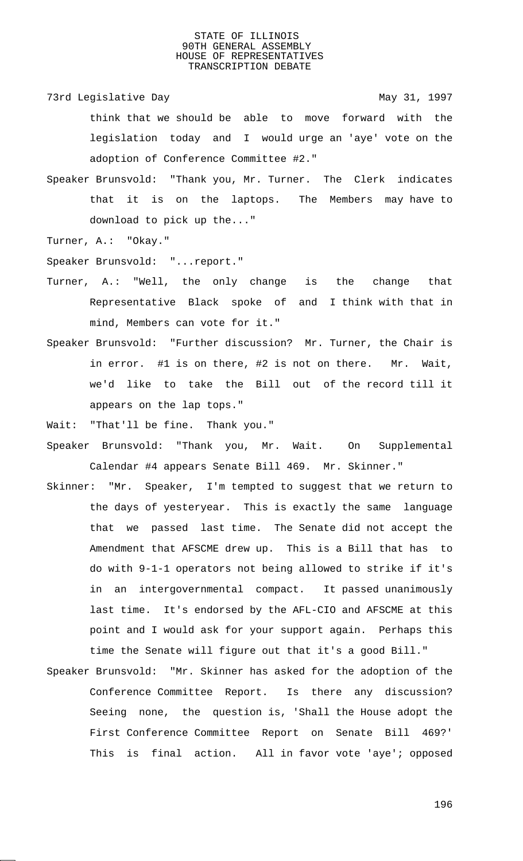- 73rd Legislative Day 1997 think that we should be able to move forward with the legislation today and I would urge an 'aye' vote on the adoption of Conference Committee #2."
- Speaker Brunsvold: "Thank you, Mr. Turner. The Clerk indicates that it is on the laptops. The Members may have to download to pick up the..."
- Turner, A.: "Okay."
- Speaker Brunsvold: "...report."
- Turner, A.: "Well, the only change is the change that Representative Black spoke of and I think with that in mind, Members can vote for it."
- Speaker Brunsvold: "Further discussion? Mr. Turner, the Chair is in error. #1 is on there, #2 is not on there. Mr. Wait, we'd like to take the Bill out of the record till it appears on the lap tops."
- Wait: "That'll be fine. Thank you."
- Speaker Brunsvold: "Thank you, Mr. Wait. On Supplemental Calendar #4 appears Senate Bill 469. Mr. Skinner."
- Skinner: "Mr. Speaker, I'm tempted to suggest that we return to the days of yesteryear. This is exactly the same language that we passed last time. The Senate did not accept the Amendment that AFSCME drew up. This is a Bill that has to do with 9-1-1 operators not being allowed to strike if it's in an intergovernmental compact. It passed unanimously last time. It's endorsed by the AFL-CIO and AFSCME at this point and I would ask for your support again. Perhaps this time the Senate will figure out that it's a good Bill."
- Speaker Brunsvold: "Mr. Skinner has asked for the adoption of the Conference Committee Report. Is there any discussion? Seeing none, the question is, 'Shall the House adopt the First Conference Committee Report on Senate Bill 469?' This is final action. All in favor vote 'aye'; opposed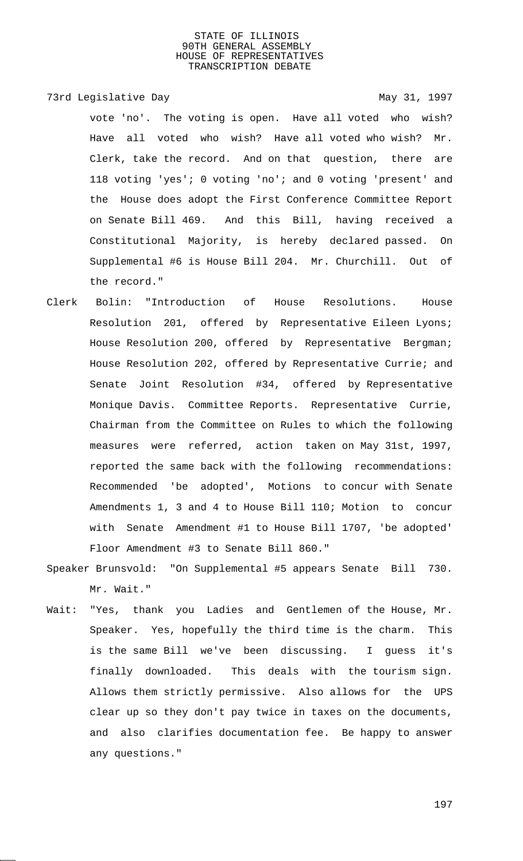## 73rd Legislative Day 1997

vote 'no'. The voting is open. Have all voted who wish? Have all voted who wish? Have all voted who wish? Mr. Clerk, take the record. And on that question, there are 118 voting 'yes'; 0 voting 'no'; and 0 voting 'present' and the House does adopt the First Conference Committee Report on Senate Bill 469. And this Bill, having received a Constitutional Majority, is hereby declared passed. On Supplemental #6 is House Bill 204. Mr. Churchill. Out of the record."

- Clerk Bolin: "Introduction of House Resolutions. House Resolution 201, offered by Representative Eileen Lyons; House Resolution 200, offered by Representative Bergman; House Resolution 202, offered by Representative Currie; and Senate Joint Resolution #34, offered by Representative Monique Davis. Committee Reports. Representative Currie, Chairman from the Committee on Rules to which the following measures were referred, action taken on May 31st, 1997, reported the same back with the following recommendations: Recommended 'be adopted', Motions to concur with Senate Amendments 1, 3 and 4 to House Bill 110; Motion to concur with Senate Amendment #1 to House Bill 1707, 'be adopted' Floor Amendment #3 to Senate Bill 860."
- Speaker Brunsvold: "On Supplemental #5 appears Senate Bill 730. Mr. Wait."
- Wait: "Yes, thank you Ladies and Gentlemen of the House, Mr. Speaker. Yes, hopefully the third time is the charm. This is the same Bill we've been discussing. I guess it's finally downloaded. This deals with the tourism sign. Allows them strictly permissive. Also allows for the UPS clear up so they don't pay twice in taxes on the documents, and also clarifies documentation fee. Be happy to answer any questions."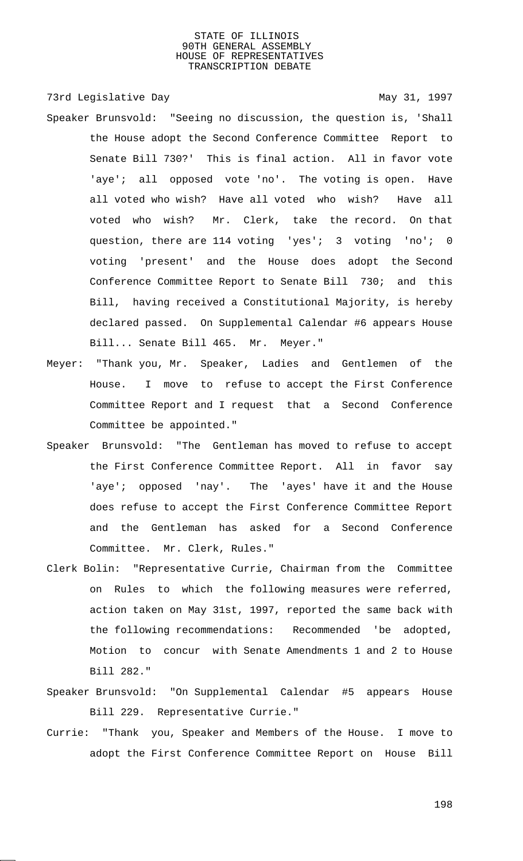73rd Legislative Day 1997 Speaker Brunsvold: "Seeing no discussion, the question is, 'Shall the House adopt the Second Conference Committee Report to Senate Bill 730?' This is final action. All in favor vote 'aye'; all opposed vote 'no'. The voting is open. Have all voted who wish? Have all voted who wish? Have all voted who wish? Mr. Clerk, take the record. On that question, there are 114 voting 'yes'; 3 voting 'no'; 0 voting 'present' and the House does adopt the Second Conference Committee Report to Senate Bill 730; and this Bill, having received a Constitutional Majority, is hereby declared passed. On Supplemental Calendar #6 appears House Bill... Senate Bill 465. Mr. Meyer."

- Meyer: "Thank you, Mr. Speaker, Ladies and Gentlemen of the House. I move to refuse to accept the First Conference Committee Report and I request that a Second Conference Committee be appointed."
- Speaker Brunsvold: "The Gentleman has moved to refuse to accept the First Conference Committee Report. All in favor say 'aye'; opposed 'nay'. The 'ayes' have it and the House does refuse to accept the First Conference Committee Report and the Gentleman has asked for a Second Conference Committee. Mr. Clerk, Rules."
- Clerk Bolin: "Representative Currie, Chairman from the Committee on Rules to which the following measures were referred, action taken on May 31st, 1997, reported the same back with the following recommendations: Recommended 'be adopted, Motion to concur with Senate Amendments 1 and 2 to House Bill 282."
- Speaker Brunsvold: "On Supplemental Calendar #5 appears House Bill 229. Representative Currie."
- Currie: "Thank you, Speaker and Members of the House. I move to adopt the First Conference Committee Report on House Bill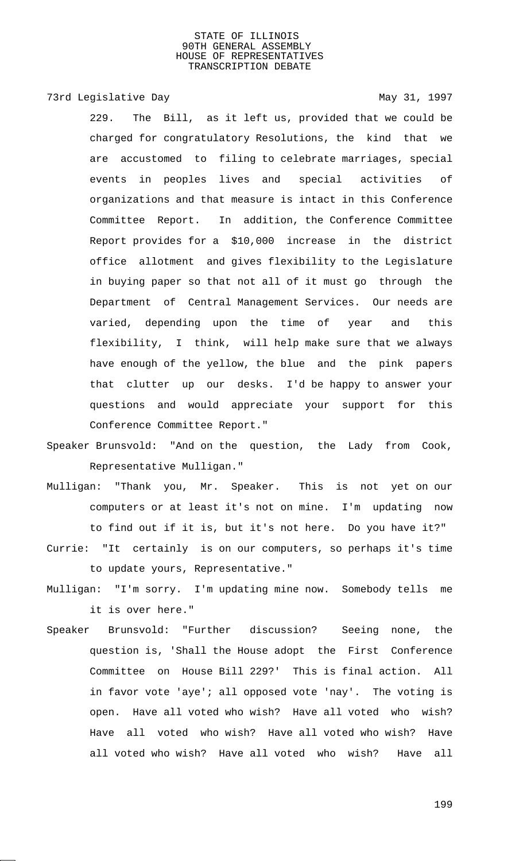## 73rd Legislative Day 1997

- 229. The Bill, as it left us, provided that we could be charged for congratulatory Resolutions, the kind that we are accustomed to filing to celebrate marriages, special events in peoples lives and special activities of organizations and that measure is intact in this Conference Committee Report. In addition, the Conference Committee Report provides for a \$10,000 increase in the district office allotment and gives flexibility to the Legislature in buying paper so that not all of it must go through the Department of Central Management Services. Our needs are varied, depending upon the time of year and this flexibility, I think, will help make sure that we always have enough of the yellow, the blue and the pink papers that clutter up our desks. I'd be happy to answer your questions and would appreciate your support for this Conference Committee Report."
- Speaker Brunsvold: "And on the question, the Lady from Cook, Representative Mulligan."
- Mulligan: "Thank you, Mr. Speaker. This is not yet on our computers or at least it's not on mine. I'm updating now to find out if it is, but it's not here. Do you have it?"
- Currie: "It certainly is on our computers, so perhaps it's time to update yours, Representative."
- Mulligan: "I'm sorry. I'm updating mine now. Somebody tells me it is over here."
- Speaker Brunsvold: "Further discussion? Seeing none, the question is, 'Shall the House adopt the First Conference Committee on House Bill 229?' This is final action. All in favor vote 'aye'; all opposed vote 'nay'. The voting is open. Have all voted who wish? Have all voted who wish? Have all voted who wish? Have all voted who wish? Have all voted who wish? Have all voted who wish? Have all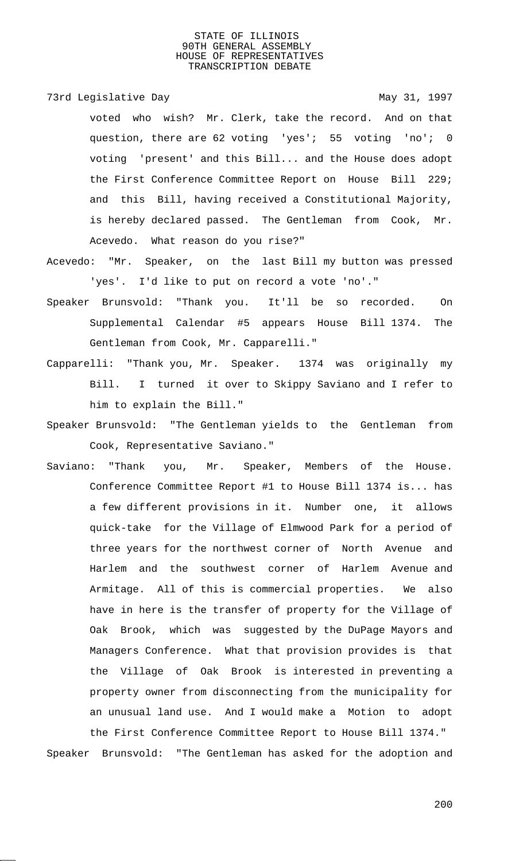73rd Legislative Day 1997

voted who wish? Mr. Clerk, take the record. And on that question, there are 62 voting 'yes'; 55 voting 'no'; 0 voting 'present' and this Bill... and the House does adopt the First Conference Committee Report on House Bill 229; and this Bill, having received a Constitutional Majority, is hereby declared passed. The Gentleman from Cook, Mr. Acevedo. What reason do you rise?"

- Acevedo: "Mr. Speaker, on the last Bill my button was pressed 'yes'. I'd like to put on record a vote 'no'."
- Speaker Brunsvold: "Thank you. It'll be so recorded. On Supplemental Calendar #5 appears House Bill 1374. The Gentleman from Cook, Mr. Capparelli."
- Capparelli: "Thank you, Mr. Speaker. 1374 was originally my Bill. I turned it over to Skippy Saviano and I refer to him to explain the Bill."
- Speaker Brunsvold: "The Gentleman yields to the Gentleman from Cook, Representative Saviano."
- Saviano: "Thank you, Mr. Speaker, Members of the House. Conference Committee Report #1 to House Bill 1374 is... has a few different provisions in it. Number one, it allows quick-take for the Village of Elmwood Park for a period of three years for the northwest corner of North Avenue and Harlem and the southwest corner of Harlem Avenue and Armitage. All of this is commercial properties. We also have in here is the transfer of property for the Village of Oak Brook, which was suggested by the DuPage Mayors and Managers Conference. What that provision provides is that the Village of Oak Brook is interested in preventing a property owner from disconnecting from the municipality for an unusual land use. And I would make a Motion to adopt the First Conference Committee Report to House Bill 1374." Speaker Brunsvold: "The Gentleman has asked for the adoption and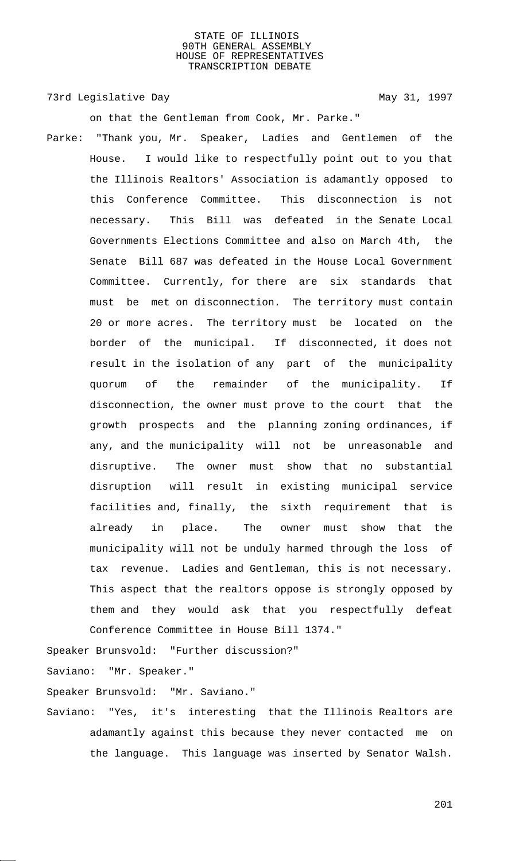73rd Legislative Day 1997

on that the Gentleman from Cook, Mr. Parke."

Parke: "Thank you, Mr. Speaker, Ladies and Gentlemen of the House. I would like to respectfully point out to you that the Illinois Realtors' Association is adamantly opposed to this Conference Committee. This disconnection is not necessary. This Bill was defeated in the Senate Local Governments Elections Committee and also on March 4th, the Senate Bill 687 was defeated in the House Local Government Committee. Currently, for there are six standards that must be met on disconnection. The territory must contain 20 or more acres. The territory must be located on the border of the municipal. If disconnected, it does not result in the isolation of any part of the municipality quorum of the remainder of the municipality. If disconnection, the owner must prove to the court that the growth prospects and the planning zoning ordinances, if any, and the municipality will not be unreasonable and disruptive. The owner must show that no substantial disruption will result in existing municipal service facilities and, finally, the sixth requirement that is already in place. The owner must show that the municipality will not be unduly harmed through the loss of tax revenue. Ladies and Gentleman, this is not necessary. This aspect that the realtors oppose is strongly opposed by them and they would ask that you respectfully defeat Conference Committee in House Bill 1374."

Speaker Brunsvold: "Further discussion?"

Saviano: "Mr. Speaker."

Speaker Brunsvold: "Mr. Saviano."

Saviano: "Yes, it's interesting that the Illinois Realtors are adamantly against this because they never contacted me on the language. This language was inserted by Senator Walsh.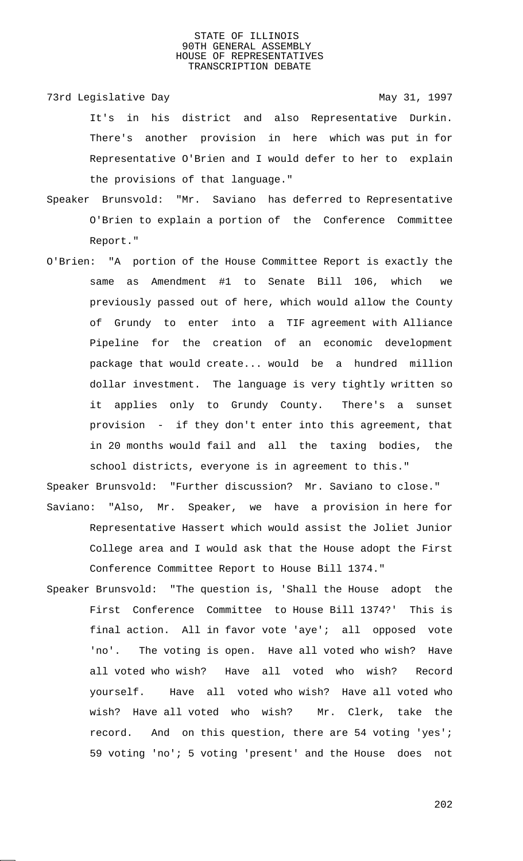73rd Legislative Day 1997

It's in his district and also Representative Durkin. There's another provision in here which was put in for Representative O'Brien and I would defer to her to explain the provisions of that language."

- Speaker Brunsvold: "Mr. Saviano has deferred to Representative O'Brien to explain a portion of the Conference Committee Report."
- O'Brien: "A portion of the House Committee Report is exactly the same as Amendment #1 to Senate Bill 106, which we previously passed out of here, which would allow the County of Grundy to enter into a TIF agreement with Alliance Pipeline for the creation of an economic development package that would create... would be a hundred million dollar investment. The language is very tightly written so it applies only to Grundy County. There's a sunset provision - if they don't enter into this agreement, that in 20 months would fail and all the taxing bodies, the school districts, everyone is in agreement to this."

Speaker Brunsvold: "Further discussion? Mr. Saviano to close." Saviano: "Also, Mr. Speaker, we have a provision in here for Representative Hassert which would assist the Joliet Junior College area and I would ask that the House adopt the First Conference Committee Report to House Bill 1374."

Speaker Brunsvold: "The question is, 'Shall the House adopt the First Conference Committee to House Bill 1374?' This is final action. All in favor vote 'aye'; all opposed vote 'no'. The voting is open. Have all voted who wish? Have all voted who wish? Have all voted who wish? Record yourself. Have all voted who wish? Have all voted who wish? Have all voted who wish? Mr. Clerk, take the record. And on this question, there are 54 voting 'yes'; 59 voting 'no'; 5 voting 'present' and the House does not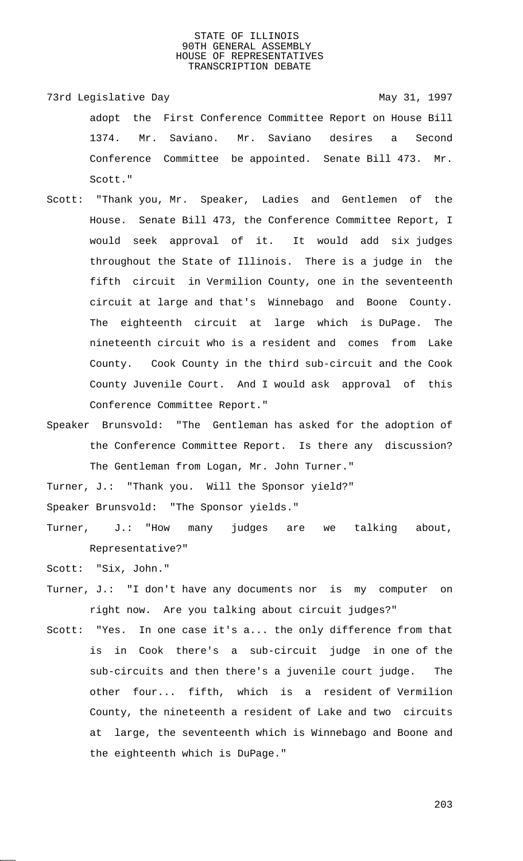- 73rd Legislative Day 1997 adopt the First Conference Committee Report on House Bill 1374. Mr. Saviano. Mr. Saviano desires a Second Conference Committee be appointed. Senate Bill 473. Mr. Scott."
- Scott: "Thank you, Mr. Speaker, Ladies and Gentlemen of the House. Senate Bill 473, the Conference Committee Report, I would seek approval of it. It would add six judges throughout the State of Illinois. There is a judge in the fifth circuit in Vermilion County, one in the seventeenth circuit at large and that's Winnebago and Boone County. The eighteenth circuit at large which is DuPage. The nineteenth circuit who is a resident and comes from Lake County. Cook County in the third sub-circuit and the Cook County Juvenile Court. And I would ask approval of this Conference Committee Report."
- Speaker Brunsvold: "The Gentleman has asked for the adoption of the Conference Committee Report. Is there any discussion? The Gentleman from Logan, Mr. John Turner."

Turner, J.: "Thank you. Will the Sponsor yield?"

Speaker Brunsvold: "The Sponsor yields."

Turner, J.: "How many judges are we talking about, Representative?"

Scott: "Six, John."

- Turner, J.: "I don't have any documents nor is my computer on right now. Are you talking about circuit judges?"
- Scott: "Yes. In one case it's a... the only difference from that is in Cook there's a sub-circuit judge in one of the sub-circuits and then there's a juvenile court judge. The other four... fifth, which is a resident of Vermilion County, the nineteenth a resident of Lake and two circuits at large, the seventeenth which is Winnebago and Boone and the eighteenth which is DuPage."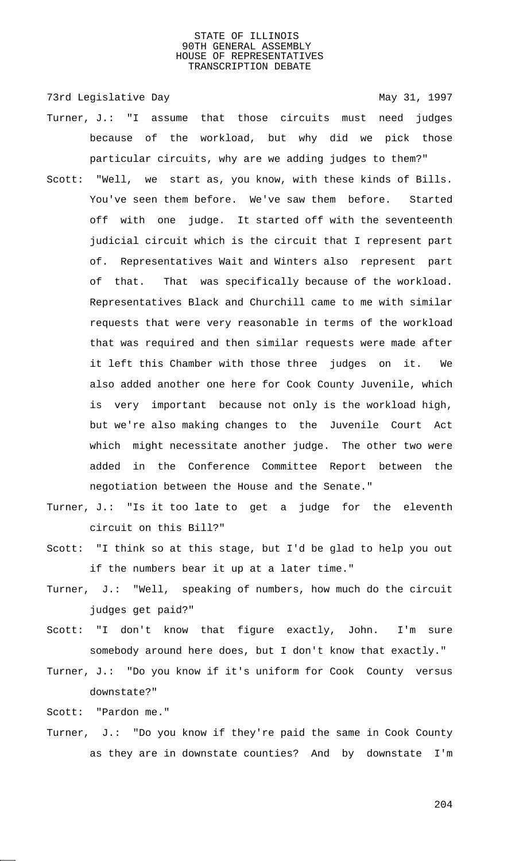73rd Legislative Day 1997

- Turner, J.: "I assume that those circuits must need judges because of the workload, but why did we pick those particular circuits, why are we adding judges to them?"
- Scott: "Well, we start as, you know, with these kinds of Bills. You've seen them before. We've saw them before. Started off with one judge. It started off with the seventeenth judicial circuit which is the circuit that I represent part of. Representatives Wait and Winters also represent part of that. That was specifically because of the workload. Representatives Black and Churchill came to me with similar requests that were very reasonable in terms of the workload that was required and then similar requests were made after it left this Chamber with those three judges on it. We also added another one here for Cook County Juvenile, which is very important because not only is the workload high, but we're also making changes to the Juvenile Court Act which might necessitate another judge. The other two were added in the Conference Committee Report between the negotiation between the House and the Senate."
- Turner, J.: "Is it too late to get a judge for the eleventh circuit on this Bill?"
- Scott: "I think so at this stage, but I'd be glad to help you out if the numbers bear it up at a later time."
- Turner, J.: "Well, speaking of numbers, how much do the circuit judges get paid?"
- Scott: "I don't know that figure exactly, John. I'm sure somebody around here does, but I don't know that exactly."
- Turner, J.: "Do you know if it's uniform for Cook County versus downstate?"

Scott: "Pardon me."

Turner, J.: "Do you know if they're paid the same in Cook County as they are in downstate counties? And by downstate I'm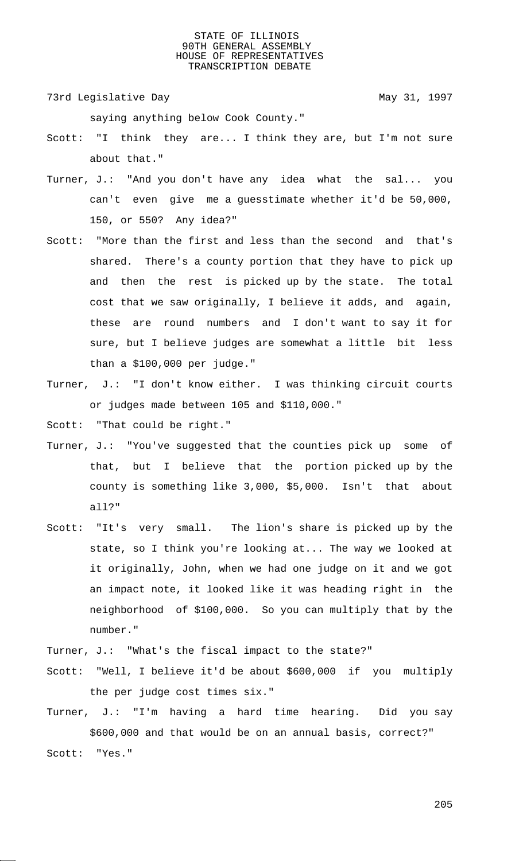73rd Legislative Day 1997

saying anything below Cook County."

- Scott: "I think they are... I think they are, but I'm not sure about that."
- Turner, J.: "And you don't have any idea what the sal... you can't even give me a guesstimate whether it'd be 50,000, 150, or 550? Any idea?"
- Scott: "More than the first and less than the second and that's shared. There's a county portion that they have to pick up and then the rest is picked up by the state. The total cost that we saw originally, I believe it adds, and again, these are round numbers and I don't want to say it for sure, but I believe judges are somewhat a little bit less than a \$100,000 per judge."
- Turner, J.: "I don't know either. I was thinking circuit courts or judges made between 105 and \$110,000."

Scott: "That could be right."

- Turner, J.: "You've suggested that the counties pick up some of that, but I believe that the portion picked up by the county is something like 3,000, \$5,000. Isn't that about all?"
- Scott: "It's very small. The lion's share is picked up by the state, so I think you're looking at... The way we looked at it originally, John, when we had one judge on it and we got an impact note, it looked like it was heading right in the neighborhood of \$100,000. So you can multiply that by the number."
- Turner, J.: "What's the fiscal impact to the state?"
- Scott: "Well, I believe it'd be about \$600,000 if you multiply the per judge cost times six."
- Turner, J.: "I'm having a hard time hearing. Did you say \$600,000 and that would be on an annual basis, correct?" Scott: "Yes."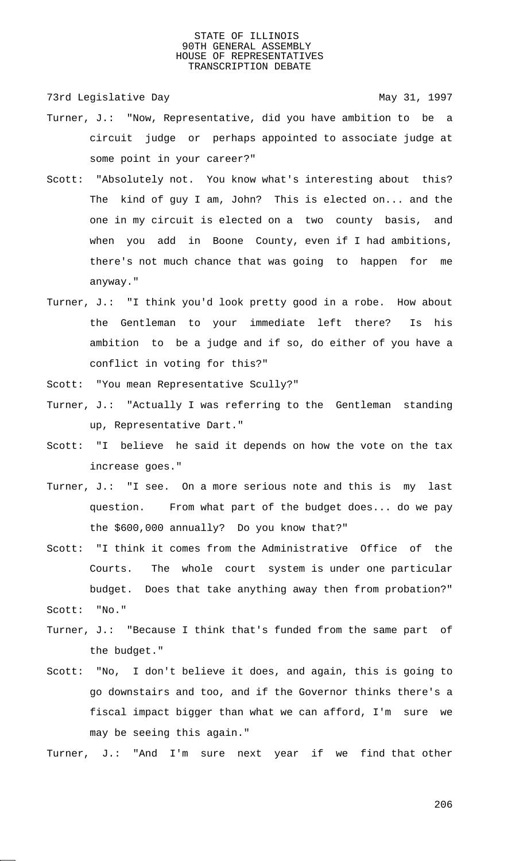73rd Legislative Day 1997

- Turner, J.: "Now, Representative, did you have ambition to be a circuit judge or perhaps appointed to associate judge at some point in your career?"
- Scott: "Absolutely not. You know what's interesting about this? The kind of guy I am, John? This is elected on... and the one in my circuit is elected on a two county basis, and when you add in Boone County, even if I had ambitions, there's not much chance that was going to happen for me anyway."
- Turner, J.: "I think you'd look pretty good in a robe. How about the Gentleman to your immediate left there? Is his ambition to be a judge and if so, do either of you have a conflict in voting for this?"
- Scott: "You mean Representative Scully?"
- Turner, J.: "Actually I was referring to the Gentleman standing up, Representative Dart."
- Scott: "I believe he said it depends on how the vote on the tax increase goes."
- Turner, J.: "I see. On a more serious note and this is my last question. From what part of the budget does... do we pay the \$600,000 annually? Do you know that?"
- Scott: "I think it comes from the Administrative Office of the Courts. The whole court system is under one particular budget. Does that take anything away then from probation?" Scott: "No."
- Turner, J.: "Because I think that's funded from the same part of the budget."
- Scott: "No, I don't believe it does, and again, this is going to go downstairs and too, and if the Governor thinks there's a fiscal impact bigger than what we can afford, I'm sure we may be seeing this again."

Turner, J.: "And I'm sure next year if we find that other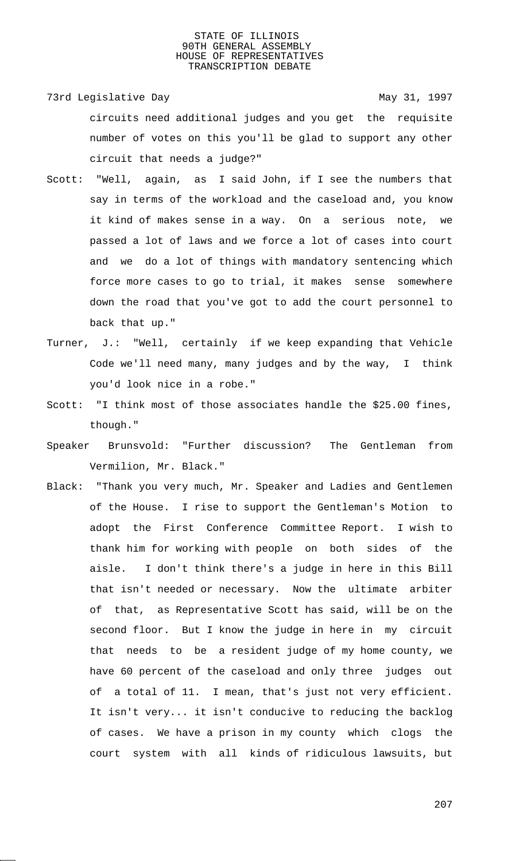73rd Legislative Day 1997 circuits need additional judges and you get the requisite number of votes on this you'll be glad to support any other circuit that needs a judge?"

- Scott: "Well, again, as I said John, if I see the numbers that say in terms of the workload and the caseload and, you know it kind of makes sense in a way. On a serious note, we passed a lot of laws and we force a lot of cases into court and we do a lot of things with mandatory sentencing which force more cases to go to trial, it makes sense somewhere down the road that you've got to add the court personnel to back that up."
- Turner, J.: "Well, certainly if we keep expanding that Vehicle Code we'll need many, many judges and by the way, I think you'd look nice in a robe."
- Scott: "I think most of those associates handle the \$25.00 fines, though."
- Speaker Brunsvold: "Further discussion? The Gentleman from Vermilion, Mr. Black."
- Black: "Thank you very much, Mr. Speaker and Ladies and Gentlemen of the House. I rise to support the Gentleman's Motion to adopt the First Conference Committee Report. I wish to thank him for working with people on both sides of the aisle. I don't think there's a judge in here in this Bill that isn't needed or necessary. Now the ultimate arbiter of that, as Representative Scott has said, will be on the second floor. But I know the judge in here in my circuit that needs to be a resident judge of my home county, we have 60 percent of the caseload and only three judges out of a total of 11. I mean, that's just not very efficient. It isn't very... it isn't conducive to reducing the backlog of cases. We have a prison in my county which clogs the court system with all kinds of ridiculous lawsuits, but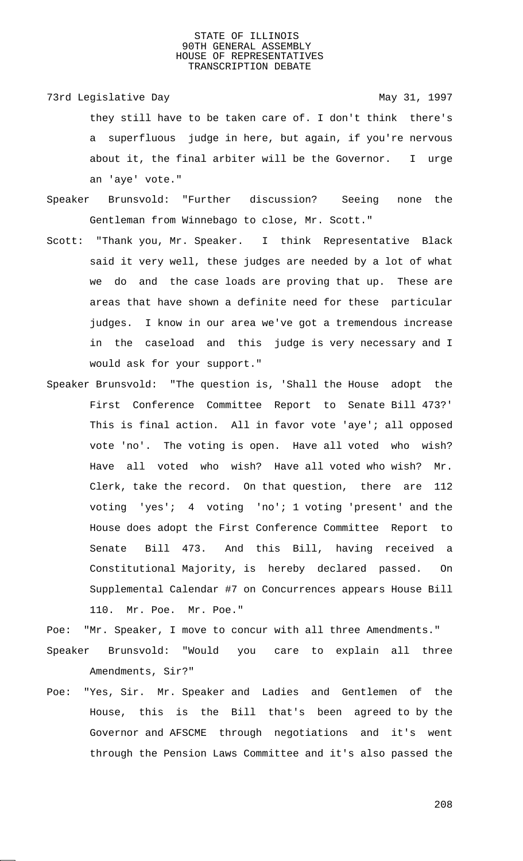- 73rd Legislative Day 1997 they still have to be taken care of. I don't think there's a superfluous judge in here, but again, if you're nervous about it, the final arbiter will be the Governor. I urge an 'aye' vote."
- Speaker Brunsvold: "Further discussion? Seeing none the Gentleman from Winnebago to close, Mr. Scott."
- Scott: "Thank you, Mr. Speaker. I think Representative Black said it very well, these judges are needed by a lot of what we do and the case loads are proving that up. These are areas that have shown a definite need for these particular judges. I know in our area we've got a tremendous increase in the caseload and this judge is very necessary and I would ask for your support."
- Speaker Brunsvold: "The question is, 'Shall the House adopt the First Conference Committee Report to Senate Bill 473?' This is final action. All in favor vote 'aye'; all opposed vote 'no'. The voting is open. Have all voted who wish? Have all voted who wish? Have all voted who wish? Mr. Clerk, take the record. On that question, there are 112 voting 'yes'; 4 voting 'no'; 1 voting 'present' and the House does adopt the First Conference Committee Report to Senate Bill 473. And this Bill, having received a Constitutional Majority, is hereby declared passed. On Supplemental Calendar #7 on Concurrences appears House Bill 110. Mr. Poe. Mr. Poe."

Poe: "Mr. Speaker, I move to concur with all three Amendments."

- Speaker Brunsvold: "Would you care to explain all three Amendments, Sir?"
- Poe: "Yes, Sir. Mr. Speaker and Ladies and Gentlemen of the House, this is the Bill that's been agreed to by the Governor and AFSCME through negotiations and it's went through the Pension Laws Committee and it's also passed the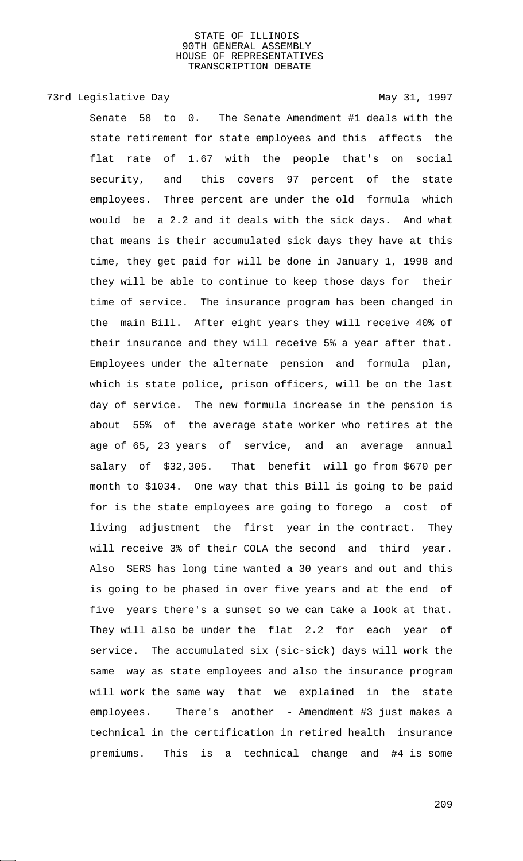# 73rd Legislative Day 1997

Senate 58 to 0. The Senate Amendment #1 deals with the state retirement for state employees and this affects the flat rate of 1.67 with the people that's on social security, and this covers 97 percent of the state employees. Three percent are under the old formula which would be a 2.2 and it deals with the sick days. And what that means is their accumulated sick days they have at this time, they get paid for will be done in January 1, 1998 and they will be able to continue to keep those days for their time of service. The insurance program has been changed in the main Bill. After eight years they will receive 40% of their insurance and they will receive 5% a year after that. Employees under the alternate pension and formula plan, which is state police, prison officers, will be on the last day of service. The new formula increase in the pension is about 55% of the average state worker who retires at the age of 65, 23 years of service, and an average annual salary of \$32,305. That benefit will go from \$670 per month to \$1034. One way that this Bill is going to be paid for is the state employees are going to forego a cost of living adjustment the first year in the contract. They will receive 3% of their COLA the second and third year. Also SERS has long time wanted a 30 years and out and this is going to be phased in over five years and at the end of five years there's a sunset so we can take a look at that. They will also be under the flat 2.2 for each year of service. The accumulated six (sic-sick) days will work the same way as state employees and also the insurance program will work the same way that we explained in the state employees. There's another - Amendment #3 just makes a technical in the certification in retired health insurance premiums. This is a technical change and #4 is some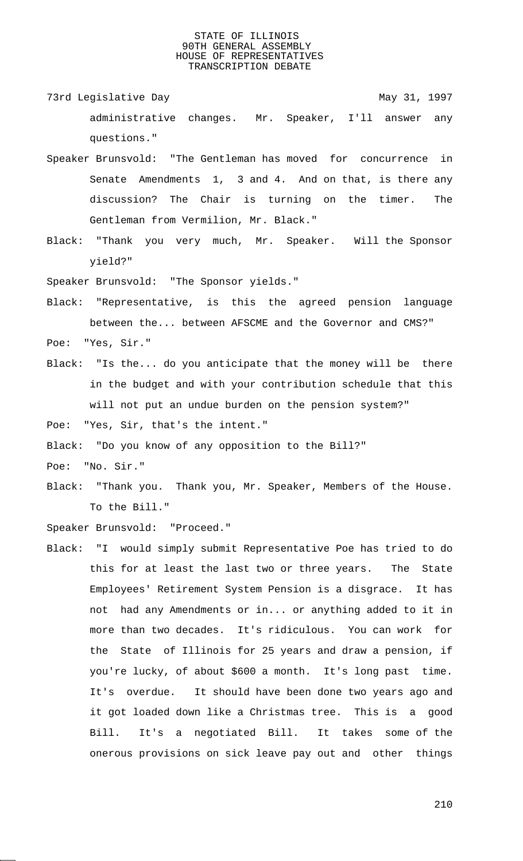- 73rd Legislative Day 1997 administrative changes. Mr. Speaker, I'll answer any questions."
- Speaker Brunsvold: "The Gentleman has moved for concurrence in Senate Amendments 1, 3 and 4. And on that, is there any discussion? The Chair is turning on the timer. The Gentleman from Vermilion, Mr. Black."
- Black: "Thank you very much, Mr. Speaker. Will the Sponsor yield?"

Speaker Brunsvold: "The Sponsor yields."

- Black: "Representative, is this the agreed pension language between the... between AFSCME and the Governor and CMS?" Poe: "Yes, Sir."
- Black: "Is the... do you anticipate that the money will be there in the budget and with your contribution schedule that this will not put an undue burden on the pension system?"

Poe: "Yes, Sir, that's the intent."

Black: "Do you know of any opposition to the Bill?"

Poe: "No. Sir."

Black: "Thank you. Thank you, Mr. Speaker, Members of the House. To the Bill."

Speaker Brunsvold: "Proceed."

Black: "I would simply submit Representative Poe has tried to do this for at least the last two or three years. The State Employees' Retirement System Pension is a disgrace. It has not had any Amendments or in... or anything added to it in more than two decades. It's ridiculous. You can work for the State of Illinois for 25 years and draw a pension, if you're lucky, of about \$600 a month. It's long past time. It's overdue. It should have been done two years ago and it got loaded down like a Christmas tree. This is a good Bill. It's a negotiated Bill. It takes some of the onerous provisions on sick leave pay out and other things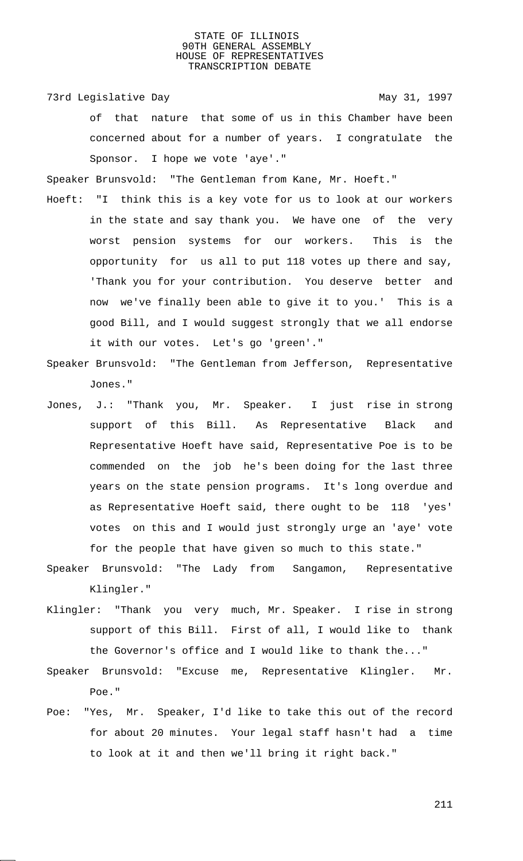73rd Legislative Day 1997

of that nature that some of us in this Chamber have been concerned about for a number of years. I congratulate the Sponsor. I hope we vote 'aye'."

Speaker Brunsvold: "The Gentleman from Kane, Mr. Hoeft."

- Hoeft: "I think this is a key vote for us to look at our workers in the state and say thank you. We have one of the very worst pension systems for our workers. This is the opportunity for us all to put 118 votes up there and say, 'Thank you for your contribution. You deserve better and now we've finally been able to give it to you.' This is a good Bill, and I would suggest strongly that we all endorse it with our votes. Let's go 'green'."
- Speaker Brunsvold: "The Gentleman from Jefferson, Representative Jones."
- Jones, J.: "Thank you, Mr. Speaker. I just rise in strong support of this Bill. As Representative Black and Representative Hoeft have said, Representative Poe is to be commended on the job he's been doing for the last three years on the state pension programs. It's long overdue and as Representative Hoeft said, there ought to be 118 'yes' votes on this and I would just strongly urge an 'aye' vote for the people that have given so much to this state."
- Speaker Brunsvold: "The Lady from Sangamon, Representative Klingler."
- Klingler: "Thank you very much, Mr. Speaker. I rise in strong support of this Bill. First of all, I would like to thank the Governor's office and I would like to thank the..."
- Speaker Brunsvold: "Excuse me, Representative Klingler. Mr. Poe."
- Poe: "Yes, Mr. Speaker, I'd like to take this out of the record for about 20 minutes. Your legal staff hasn't had a time to look at it and then we'll bring it right back."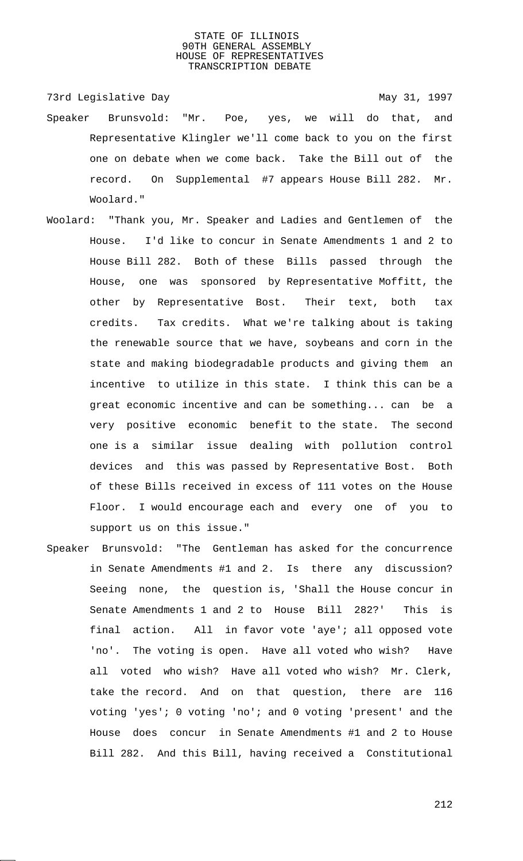73rd Legislative Day 1997 Speaker Brunsvold: "Mr. Poe, yes, we will do that, and Representative Klingler we'll come back to you on the first one on debate when we come back. Take the Bill out of the record. On Supplemental #7 appears House Bill 282. Mr. Woolard."

- Woolard: "Thank you, Mr. Speaker and Ladies and Gentlemen of the House. I'd like to concur in Senate Amendments 1 and 2 to House Bill 282. Both of these Bills passed through the House, one was sponsored by Representative Moffitt, the other by Representative Bost. Their text, both tax credits. Tax credits. What we're talking about is taking the renewable source that we have, soybeans and corn in the state and making biodegradable products and giving them an incentive to utilize in this state. I think this can be a great economic incentive and can be something... can be a very positive economic benefit to the state. The second one is a similar issue dealing with pollution control devices and this was passed by Representative Bost. Both of these Bills received in excess of 111 votes on the House Floor. I would encourage each and every one of you to support us on this issue."
- Speaker Brunsvold: "The Gentleman has asked for the concurrence in Senate Amendments #1 and 2. Is there any discussion? Seeing none, the question is, 'Shall the House concur in Senate Amendments 1 and 2 to House Bill 282?' This is final action. All in favor vote 'aye'; all opposed vote 'no'. The voting is open. Have all voted who wish? Have all voted who wish? Have all voted who wish? Mr. Clerk, take the record. And on that question, there are 116 voting 'yes'; 0 voting 'no'; and 0 voting 'present' and the House does concur in Senate Amendments #1 and 2 to House Bill 282. And this Bill, having received a Constitutional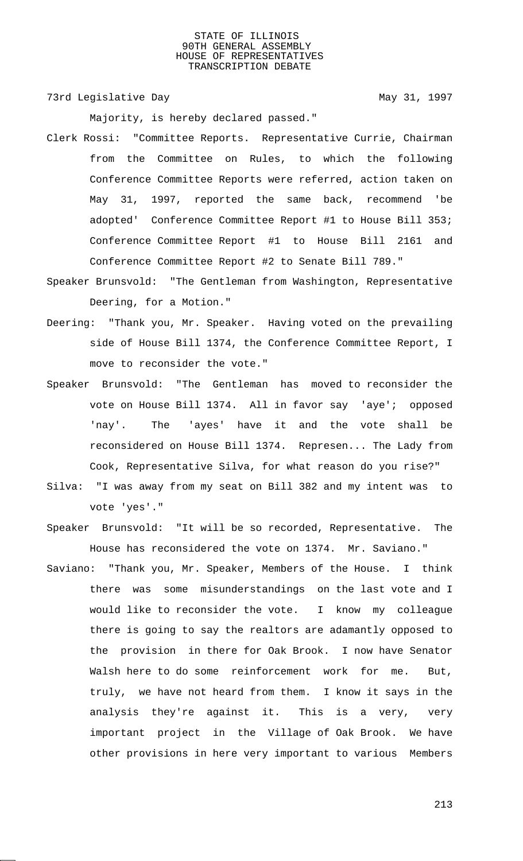73rd Legislative Day 1997

Majority, is hereby declared passed."

- Clerk Rossi: "Committee Reports. Representative Currie, Chairman from the Committee on Rules, to which the following Conference Committee Reports were referred, action taken on May 31, 1997, reported the same back, recommend 'be adopted' Conference Committee Report #1 to House Bill 353; Conference Committee Report #1 to House Bill 2161 and Conference Committee Report #2 to Senate Bill 789."
- Speaker Brunsvold: "The Gentleman from Washington, Representative Deering, for a Motion."
- Deering: "Thank you, Mr. Speaker. Having voted on the prevailing side of House Bill 1374, the Conference Committee Report, I move to reconsider the vote."
- Speaker Brunsvold: "The Gentleman has moved to reconsider the vote on House Bill 1374. All in favor say 'aye'; opposed 'nay'. The 'ayes' have it and the vote shall be reconsidered on House Bill 1374. Represen... The Lady from Cook, Representative Silva, for what reason do you rise?"
- Silva: "I was away from my seat on Bill 382 and my intent was to vote 'yes'."
- Speaker Brunsvold: "It will be so recorded, Representative. The House has reconsidered the vote on 1374. Mr. Saviano."
- Saviano: "Thank you, Mr. Speaker, Members of the House. I think there was some misunderstandings on the last vote and I would like to reconsider the vote. I know my colleague there is going to say the realtors are adamantly opposed to the provision in there for Oak Brook. I now have Senator Walsh here to do some reinforcement work for me. But, truly, we have not heard from them. I know it says in the analysis they're against it. This is a very, very important project in the Village of Oak Brook. We have other provisions in here very important to various Members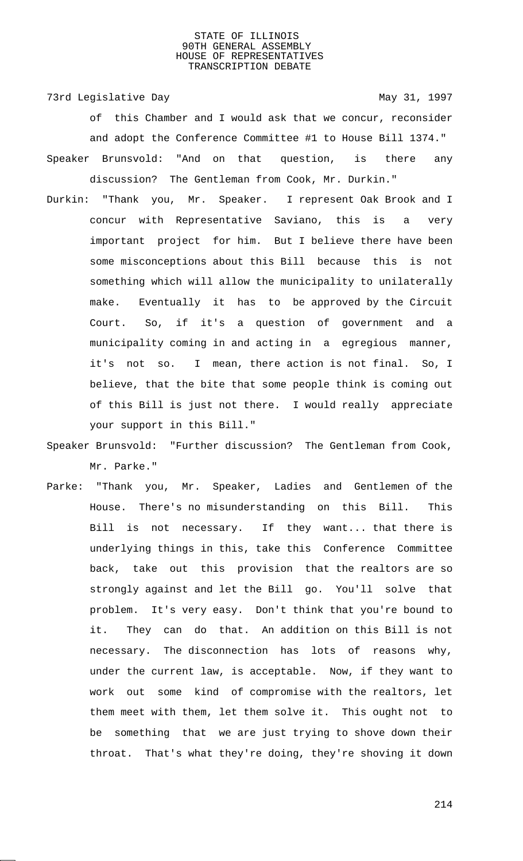73rd Legislative Day 1997 of this Chamber and I would ask that we concur, reconsider and adopt the Conference Committee #1 to House Bill 1374." Speaker Brunsvold: "And on that question, is there any discussion? The Gentleman from Cook, Mr. Durkin."

- Durkin: "Thank you, Mr. Speaker. I represent Oak Brook and I concur with Representative Saviano, this is a very important project for him. But I believe there have been some misconceptions about this Bill because this is not something which will allow the municipality to unilaterally make. Eventually it has to be approved by the Circuit Court. So, if it's a question of government and a municipality coming in and acting in a egregious manner, it's not so. I mean, there action is not final. So, I believe, that the bite that some people think is coming out of this Bill is just not there. I would really appreciate your support in this Bill."
- Speaker Brunsvold: "Further discussion? The Gentleman from Cook, Mr. Parke."
- Parke: "Thank you, Mr. Speaker, Ladies and Gentlemen of the House. There's no misunderstanding on this Bill. This Bill is not necessary. If they want... that there is underlying things in this, take this Conference Committee back, take out this provision that the realtors are so strongly against and let the Bill go. You'll solve that problem. It's very easy. Don't think that you're bound to it. They can do that. An addition on this Bill is not necessary. The disconnection has lots of reasons why, under the current law, is acceptable. Now, if they want to work out some kind of compromise with the realtors, let them meet with them, let them solve it. This ought not to be something that we are just trying to shove down their throat. That's what they're doing, they're shoving it down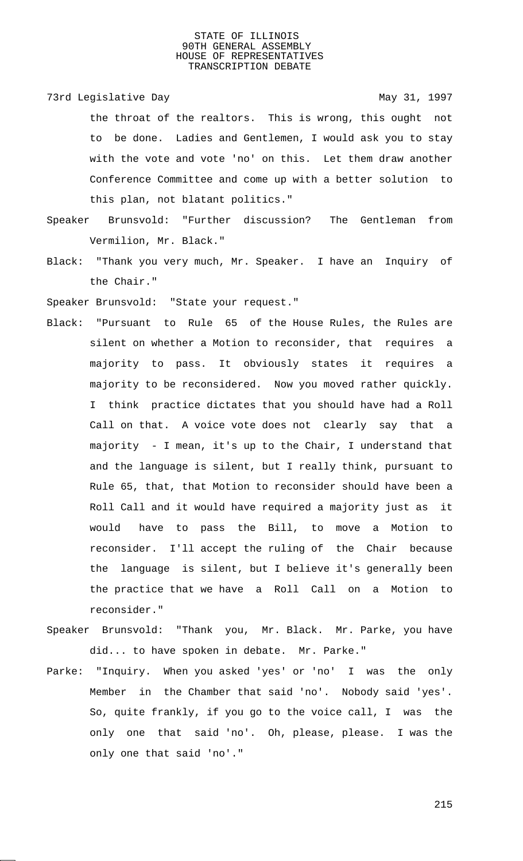73rd Legislative Day 1997 the throat of the realtors. This is wrong, this ought not to be done. Ladies and Gentlemen, I would ask you to stay with the vote and vote 'no' on this. Let them draw another Conference Committee and come up with a better solution to this plan, not blatant politics."

- Speaker Brunsvold: "Further discussion? The Gentleman from Vermilion, Mr. Black."
- Black: "Thank you very much, Mr. Speaker. I have an Inquiry of the Chair."

Speaker Brunsvold: "State your request."

- Black: "Pursuant to Rule 65 of the House Rules, the Rules are silent on whether a Motion to reconsider, that requires a majority to pass. It obviously states it requires a majority to be reconsidered. Now you moved rather quickly. I think practice dictates that you should have had a Roll Call on that. A voice vote does not clearly say that a majority - I mean, it's up to the Chair, I understand that and the language is silent, but I really think, pursuant to Rule 65, that, that Motion to reconsider should have been a Roll Call and it would have required a majority just as it would have to pass the Bill, to move a Motion to reconsider. I'll accept the ruling of the Chair because the language is silent, but I believe it's generally been the practice that we have a Roll Call on a Motion to reconsider."
- Speaker Brunsvold: "Thank you, Mr. Black. Mr. Parke, you have did... to have spoken in debate. Mr. Parke."
- Parke: "Inquiry. When you asked 'yes' or 'no' I was the only Member in the Chamber that said 'no'. Nobody said 'yes'. So, quite frankly, if you go to the voice call, I was the only one that said 'no'. Oh, please, please. I was the only one that said 'no'."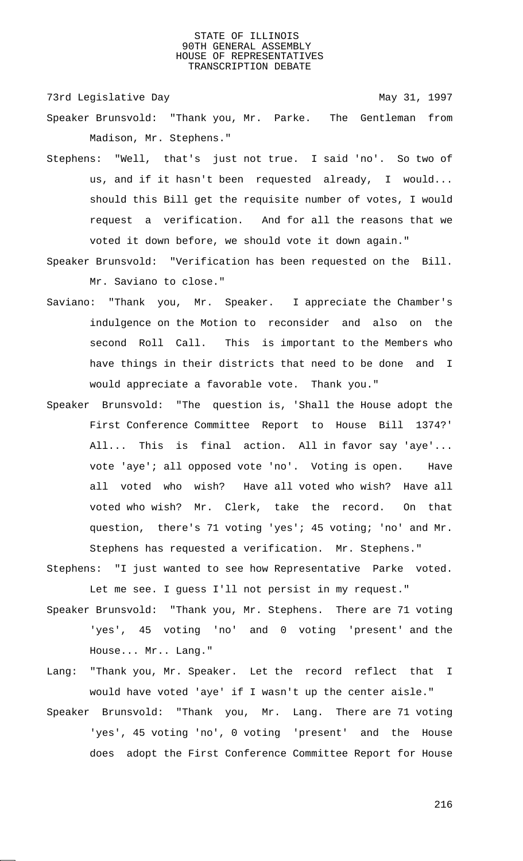73rd Legislative Day 1997

- Speaker Brunsvold: "Thank you, Mr. Parke. The Gentleman from Madison, Mr. Stephens."
- Stephens: "Well, that's just not true. I said 'no'. So two of us, and if it hasn't been requested already, I would... should this Bill get the requisite number of votes, I would request a verification. And for all the reasons that we voted it down before, we should vote it down again."
- Speaker Brunsvold: "Verification has been requested on the Bill. Mr. Saviano to close."
- Saviano: "Thank you, Mr. Speaker. I appreciate the Chamber's indulgence on the Motion to reconsider and also on the second Roll Call. This is important to the Members who have things in their districts that need to be done and I would appreciate a favorable vote. Thank you."
- Speaker Brunsvold: "The question is, 'Shall the House adopt the First Conference Committee Report to House Bill 1374?' All... This is final action. All in favor say 'aye'... vote 'aye'; all opposed vote 'no'. Voting is open. Have all voted who wish? Have all voted who wish? Have all voted who wish? Mr. Clerk, take the record. On that question, there's 71 voting 'yes'; 45 voting; 'no' and Mr. Stephens has requested a verification. Mr. Stephens."
- Stephens: "I just wanted to see how Representative Parke voted. Let me see. I guess I'll not persist in my request."
- Speaker Brunsvold: "Thank you, Mr. Stephens. There are 71 voting 'yes', 45 voting 'no' and 0 voting 'present' and the House... Mr.. Lang."
- Lang: "Thank you, Mr. Speaker. Let the record reflect that I would have voted 'aye' if I wasn't up the center aisle."
- Speaker Brunsvold: "Thank you, Mr. Lang. There are 71 voting 'yes', 45 voting 'no', 0 voting 'present' and the House does adopt the First Conference Committee Report for House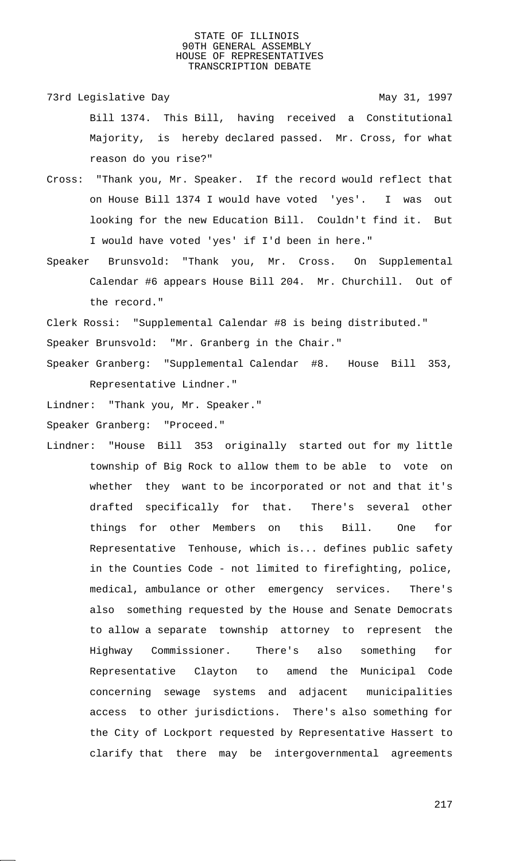- 73rd Legislative Day 1997 Bill 1374. This Bill, having received a Constitutional Majority, is hereby declared passed. Mr. Cross, for what reason do you rise?"
- Cross: "Thank you, Mr. Speaker. If the record would reflect that on House Bill 1374 I would have voted 'yes'. I was out looking for the new Education Bill. Couldn't find it. But I would have voted 'yes' if I'd been in here."
- Speaker Brunsvold: "Thank you, Mr. Cross. On Supplemental Calendar #6 appears House Bill 204. Mr. Churchill. Out of the record."

Clerk Rossi: "Supplemental Calendar #8 is being distributed." Speaker Brunsvold: "Mr. Granberg in the Chair." Speaker Granberg: "Supplemental Calendar #8. House Bill 353,

Representative Lindner."

Lindner: "Thank you, Mr. Speaker."

Speaker Granberg: "Proceed."

Lindner: "House Bill 353 originally started out for my little township of Big Rock to allow them to be able to vote on whether they want to be incorporated or not and that it's drafted specifically for that. There's several other things for other Members on this Bill. One for Representative Tenhouse, which is... defines public safety in the Counties Code - not limited to firefighting, police, medical, ambulance or other emergency services. There's also something requested by the House and Senate Democrats to allow a separate township attorney to represent the Highway Commissioner. There's also something for Representative Clayton to amend the Municipal Code concerning sewage systems and adjacent municipalities access to other jurisdictions. There's also something for the City of Lockport requested by Representative Hassert to clarify that there may be intergovernmental agreements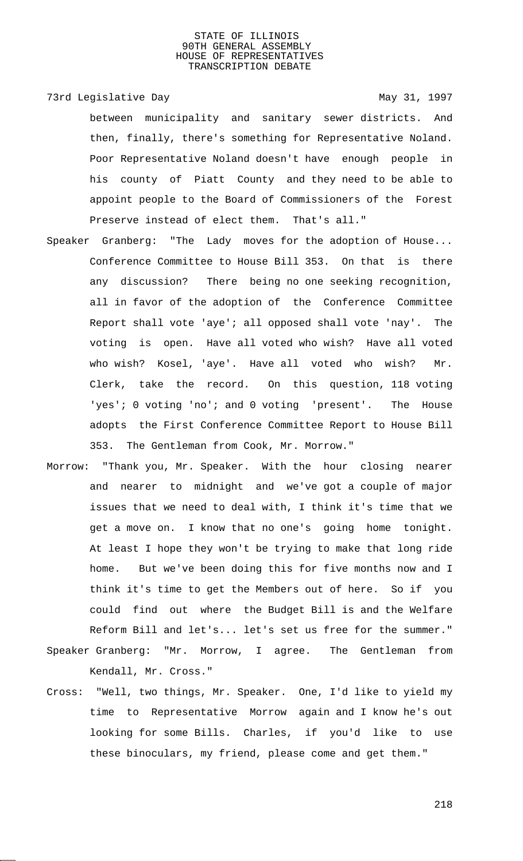73rd Legislative Day 1997

between municipality and sanitary sewer districts. And then, finally, there's something for Representative Noland. Poor Representative Noland doesn't have enough people in his county of Piatt County and they need to be able to appoint people to the Board of Commissioners of the Forest Preserve instead of elect them. That's all."

- Speaker Granberg: "The Lady moves for the adoption of House... Conference Committee to House Bill 353. On that is there any discussion? There being no one seeking recognition, all in favor of the adoption of the Conference Committee Report shall vote 'aye'; all opposed shall vote 'nay'. The voting is open. Have all voted who wish? Have all voted who wish? Kosel, 'aye'. Have all voted who wish? Mr. Clerk, take the record. On this question, 118 voting 'yes'; 0 voting 'no'; and 0 voting 'present'. The House adopts the First Conference Committee Report to House Bill 353. The Gentleman from Cook, Mr. Morrow."
- Morrow: "Thank you, Mr. Speaker. With the hour closing nearer and nearer to midnight and we've got a couple of major issues that we need to deal with, I think it's time that we get a move on. I know that no one's going home tonight. At least I hope they won't be trying to make that long ride home. But we've been doing this for five months now and I think it's time to get the Members out of here. So if you could find out where the Budget Bill is and the Welfare Reform Bill and let's... let's set us free for the summer." Speaker Granberg: "Mr. Morrow, I agree. The Gentleman from

Kendall, Mr. Cross."

Cross: "Well, two things, Mr. Speaker. One, I'd like to yield my time to Representative Morrow again and I know he's out looking for some Bills. Charles, if you'd like to use these binoculars, my friend, please come and get them."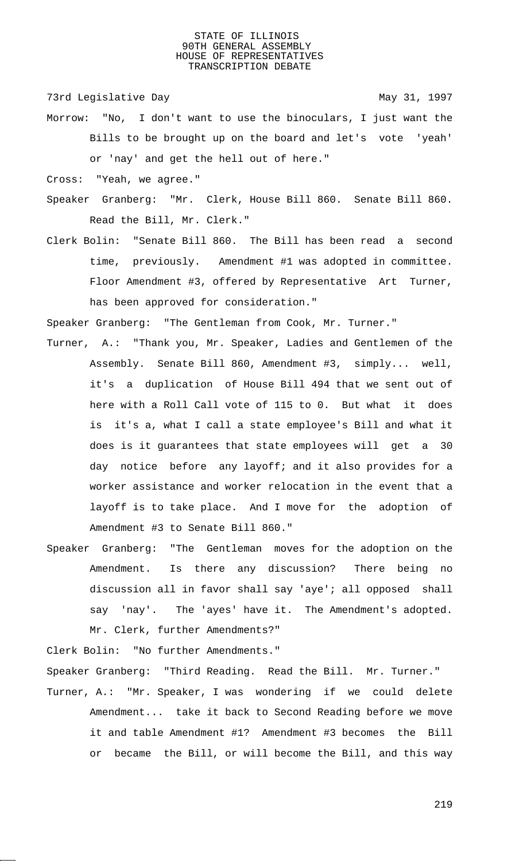73rd Legislative Day 1997

- Morrow: "No, I don't want to use the binoculars, I just want the Bills to be brought up on the board and let's vote 'yeah' or 'nay' and get the hell out of here."
- Cross: "Yeah, we agree."
- Speaker Granberg: "Mr. Clerk, House Bill 860. Senate Bill 860. Read the Bill, Mr. Clerk."
- Clerk Bolin: "Senate Bill 860. The Bill has been read a second time, previously. Amendment #1 was adopted in committee. Floor Amendment #3, offered by Representative Art Turner, has been approved for consideration."

Speaker Granberg: "The Gentleman from Cook, Mr. Turner."

- Turner, A.: "Thank you, Mr. Speaker, Ladies and Gentlemen of the Assembly. Senate Bill 860, Amendment #3, simply... well, it's a duplication of House Bill 494 that we sent out of here with a Roll Call vote of 115 to 0. But what it does is it's a, what I call a state employee's Bill and what it does is it guarantees that state employees will get a 30 day notice before any layoff; and it also provides for a worker assistance and worker relocation in the event that a layoff is to take place. And I move for the adoption of Amendment #3 to Senate Bill 860."
- Speaker Granberg: "The Gentleman moves for the adoption on the Amendment. Is there any discussion? There being no discussion all in favor shall say 'aye'; all opposed shall say 'nay'. The 'ayes' have it. The Amendment's adopted. Mr. Clerk, further Amendments?"

Clerk Bolin: "No further Amendments."

Speaker Granberg: "Third Reading. Read the Bill. Mr. Turner."

Turner, A.: "Mr. Speaker, I was wondering if we could delete Amendment... take it back to Second Reading before we move it and table Amendment #1? Amendment #3 becomes the Bill or became the Bill, or will become the Bill, and this way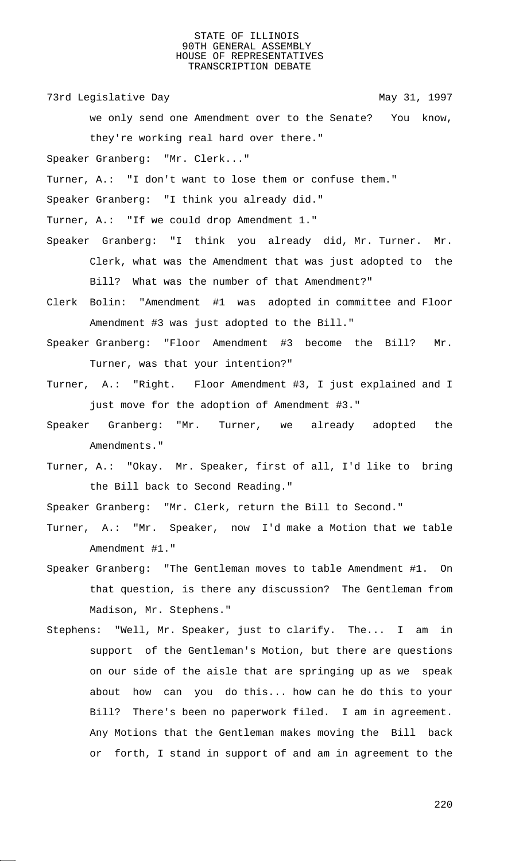73rd Legislative Day 1997

we only send one Amendment over to the Senate? You know, they're working real hard over there."

Speaker Granberg: "Mr. Clerk..."

Turner, A.: "I don't want to lose them or confuse them."

Speaker Granberg: "I think you already did."

Turner, A.: "If we could drop Amendment 1."

- Speaker Granberg: "I think you already did, Mr. Turner. Mr. Clerk, what was the Amendment that was just adopted to the Bill? What was the number of that Amendment?"
- Clerk Bolin: "Amendment #1 was adopted in committee and Floor Amendment #3 was just adopted to the Bill."
- Speaker Granberg: "Floor Amendment #3 become the Bill? Mr. Turner, was that your intention?"
- Turner, A.: "Right. Floor Amendment #3, I just explained and I just move for the adoption of Amendment #3."
- Speaker Granberg: "Mr. Turner, we already adopted the Amendments."
- Turner, A.: "Okay. Mr. Speaker, first of all, I'd like to bring the Bill back to Second Reading."

Speaker Granberg: "Mr. Clerk, return the Bill to Second."

- Turner, A.: "Mr. Speaker, now I'd make a Motion that we table Amendment #1."
- Speaker Granberg: "The Gentleman moves to table Amendment #1. On that question, is there any discussion? The Gentleman from Madison, Mr. Stephens."
- Stephens: "Well, Mr. Speaker, just to clarify. The... I am in support of the Gentleman's Motion, but there are questions on our side of the aisle that are springing up as we speak about how can you do this... how can he do this to your Bill? There's been no paperwork filed. I am in agreement. Any Motions that the Gentleman makes moving the Bill back or forth, I stand in support of and am in agreement to the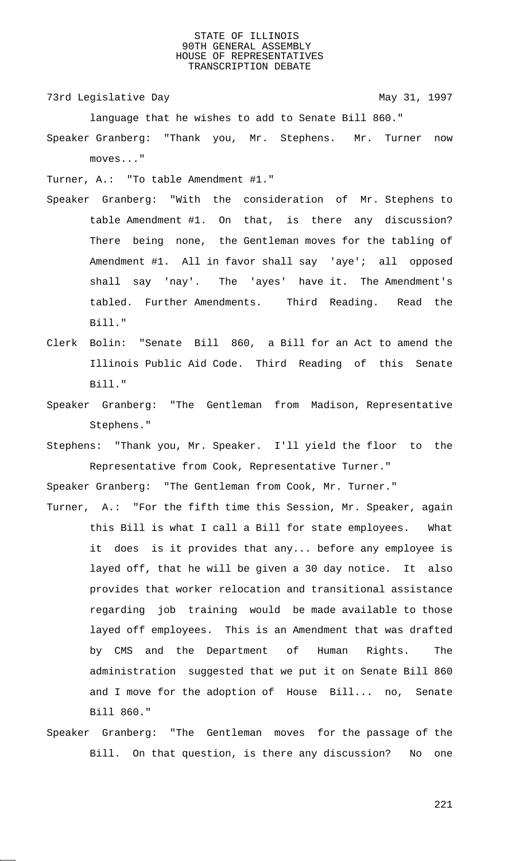73rd Legislative Day 1997

language that he wishes to add to Senate Bill 860."

Speaker Granberg: "Thank you, Mr. Stephens. Mr. Turner now moves..."

Turner, A.: "To table Amendment #1."

- Speaker Granberg: "With the consideration of Mr. Stephens to table Amendment #1. On that, is there any discussion? There being none, the Gentleman moves for the tabling of Amendment #1. All in favor shall say 'aye'; all opposed shall say 'nay'. The 'ayes' have it. The Amendment's tabled. Further Amendments. Third Reading. Read the Bill."
- Clerk Bolin: "Senate Bill 860, a Bill for an Act to amend the Illinois Public Aid Code. Third Reading of this Senate Bill."
- Speaker Granberg: "The Gentleman from Madison, Representative Stephens."
- Stephens: "Thank you, Mr. Speaker. I'll yield the floor to the Representative from Cook, Representative Turner."

Speaker Granberg: "The Gentleman from Cook, Mr. Turner."

- Turner, A.: "For the fifth time this Session, Mr. Speaker, again this Bill is what I call a Bill for state employees. What it does is it provides that any... before any employee is layed off, that he will be given a 30 day notice. It also provides that worker relocation and transitional assistance regarding job training would be made available to those layed off employees. This is an Amendment that was drafted by CMS and the Department of Human Rights. The administration suggested that we put it on Senate Bill 860 and I move for the adoption of House Bill... no, Senate Bill 860."
- Speaker Granberg: "The Gentleman moves for the passage of the Bill. On that question, is there any discussion? No one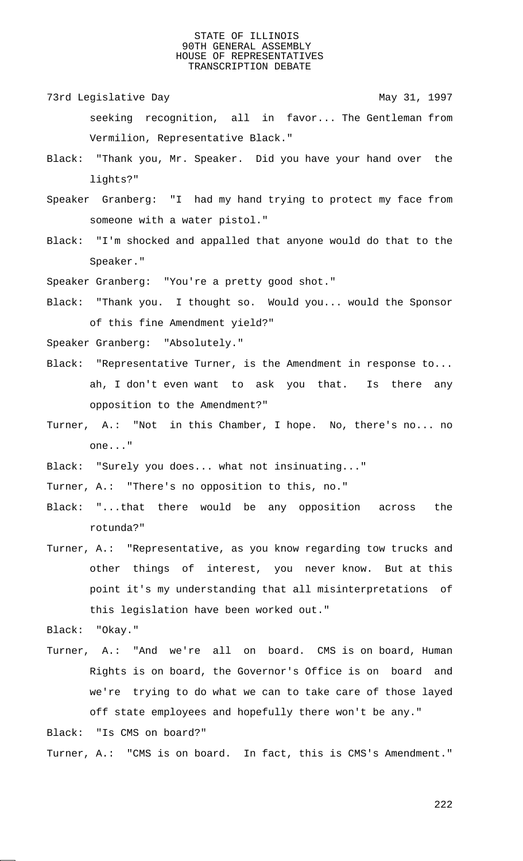- 73rd Legislative Day 1997 seeking recognition, all in favor... The Gentleman from Vermilion, Representative Black."
- Black: "Thank you, Mr. Speaker. Did you have your hand over the lights?"
- Speaker Granberg: "I had my hand trying to protect my face from someone with a water pistol."
- Black: "I'm shocked and appalled that anyone would do that to the Speaker."

Speaker Granberg: "You're a pretty good shot."

Black: "Thank you. I thought so. Would you... would the Sponsor of this fine Amendment yield?"

Speaker Granberg: "Absolutely."

- Black: "Representative Turner, is the Amendment in response to... ah, I don't even want to ask you that. Is there any opposition to the Amendment?"
- Turner, A.: "Not in this Chamber, I hope. No, there's no... no one..."
- Black: "Surely you does... what not insinuating..."
- Turner, A.: "There's no opposition to this, no."
- Black: "...that there would be any opposition across the rotunda?"
- Turner, A.: "Representative, as you know regarding tow trucks and other things of interest, you never know. But at this point it's my understanding that all misinterpretations of this legislation have been worked out."
- Black: "Okay."
- Turner, A.: "And we're all on board. CMS is on board, Human Rights is on board, the Governor's Office is on board and we're trying to do what we can to take care of those layed off state employees and hopefully there won't be any."

Black: "Is CMS on board?"

Turner, A.: "CMS is on board. In fact, this is CMS's Amendment."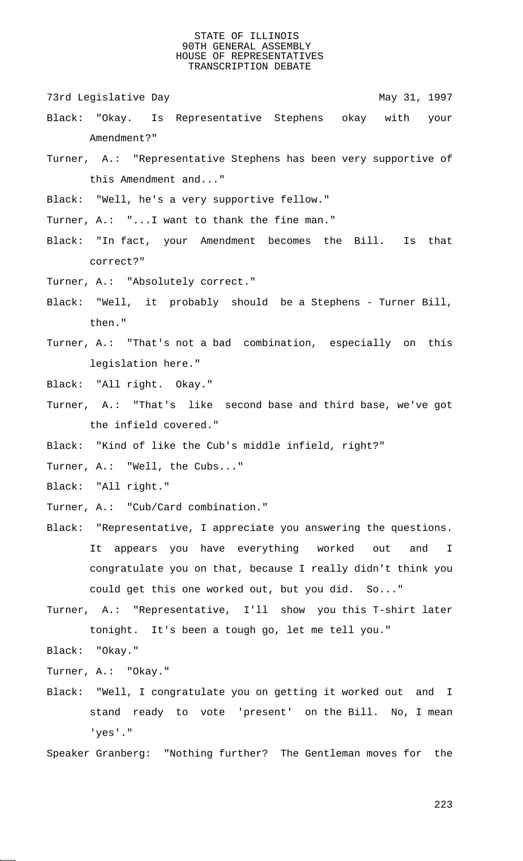73rd Legislative Day 1997

- Black: "Okay. Is Representative Stephens okay with your Amendment?"
- Turner, A.: "Representative Stephens has been very supportive of this Amendment and..."

Black: "Well, he's a very supportive fellow."

Turner, A.: "...I want to thank the fine man."

- Black: "In fact, your Amendment becomes the Bill. Is that correct?"
- Turner, A.: "Absolutely correct."
- Black: "Well, it probably should be a Stephens Turner Bill, then."
- Turner, A.: "That's not a bad combination, especially on this legislation here."
- Black: "All right. Okay."
- Turner, A.: "That's like second base and third base, we've got the infield covered."
- Black: "Kind of like the Cub's middle infield, right?"
- Turner, A.: "Well, the Cubs..."
- Black: "All right."
- Turner, A.: "Cub/Card combination."
- Black: "Representative, I appreciate you answering the questions. It appears you have everything worked out and I congratulate you on that, because I really didn't think you could get this one worked out, but you did. So..."
- Turner, A.: "Representative, I'll show you this T-shirt later tonight. It's been a tough go, let me tell you."

Black: "Okay."

- Turner, A.: "Okay."
- Black: "Well, I congratulate you on getting it worked out and I stand ready to vote 'present' on the Bill. No, I mean 'yes'."

Speaker Granberg: "Nothing further? The Gentleman moves for the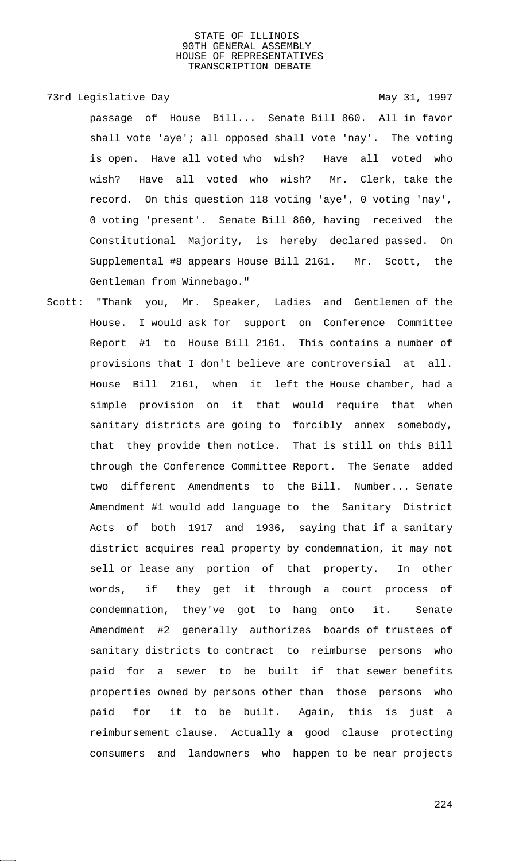# 73rd Legislative Day 1997

passage of House Bill... Senate Bill 860. All in favor shall vote 'aye'; all opposed shall vote 'nay'. The voting is open. Have all voted who wish? Have all voted who wish? Have all voted who wish? Mr. Clerk, take the record. On this question 118 voting 'aye', 0 voting 'nay', 0 voting 'present'. Senate Bill 860, having received the Constitutional Majority, is hereby declared passed. On Supplemental #8 appears House Bill 2161. Mr. Scott, the Gentleman from Winnebago."

Scott: "Thank you, Mr. Speaker, Ladies and Gentlemen of the House. I would ask for support on Conference Committee Report #1 to House Bill 2161. This contains a number of provisions that I don't believe are controversial at all. House Bill 2161, when it left the House chamber, had a simple provision on it that would require that when sanitary districts are going to forcibly annex somebody, that they provide them notice. That is still on this Bill through the Conference Committee Report. The Senate added two different Amendments to the Bill. Number... Senate Amendment #1 would add language to the Sanitary District Acts of both 1917 and 1936, saying that if a sanitary district acquires real property by condemnation, it may not sell or lease any portion of that property. In other words, if they get it through a court process of condemnation, they've got to hang onto it. Senate Amendment #2 generally authorizes boards of trustees of sanitary districts to contract to reimburse persons who paid for a sewer to be built if that sewer benefits properties owned by persons other than those persons who paid for it to be built. Again, this is just a reimbursement clause. Actually a good clause protecting consumers and landowners who happen to be near projects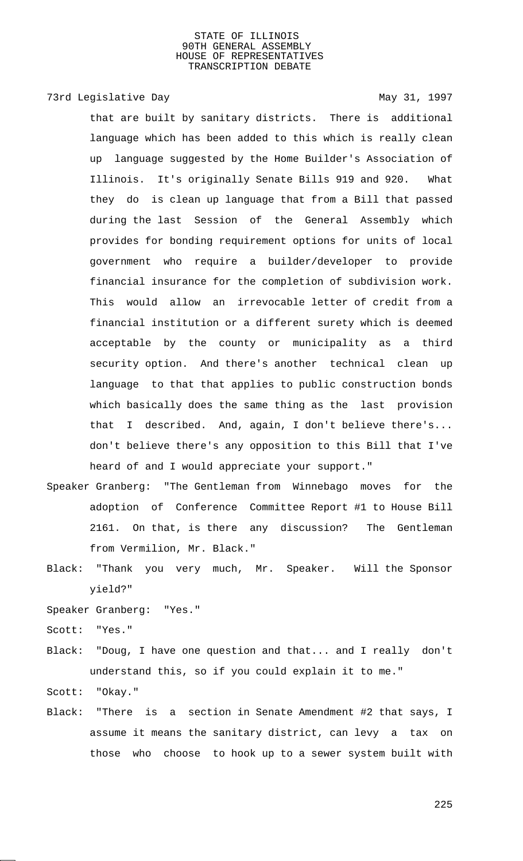# 73rd Legislative Day 1997

that are built by sanitary districts. There is additional language which has been added to this which is really clean up language suggested by the Home Builder's Association of Illinois. It's originally Senate Bills 919 and 920. What they do is clean up language that from a Bill that passed during the last Session of the General Assembly which provides for bonding requirement options for units of local government who require a builder/developer to provide financial insurance for the completion of subdivision work. This would allow an irrevocable letter of credit from a financial institution or a different surety which is deemed acceptable by the county or municipality as a third security option. And there's another technical clean up language to that that applies to public construction bonds which basically does the same thing as the last provision that I described. And, again, I don't believe there's... don't believe there's any opposition to this Bill that I've heard of and I would appreciate your support."

- Speaker Granberg: "The Gentleman from Winnebago moves for the adoption of Conference Committee Report #1 to House Bill 2161. On that, is there any discussion? The Gentleman from Vermilion, Mr. Black."
- Black: "Thank you very much, Mr. Speaker. Will the Sponsor yield?"

Speaker Granberg: "Yes."

- Scott: "Yes."
- Black: "Doug, I have one question and that... and I really don't understand this, so if you could explain it to me."

Scott: "Okay."

Black: "There is a section in Senate Amendment #2 that says, I assume it means the sanitary district, can levy a tax on those who choose to hook up to a sewer system built with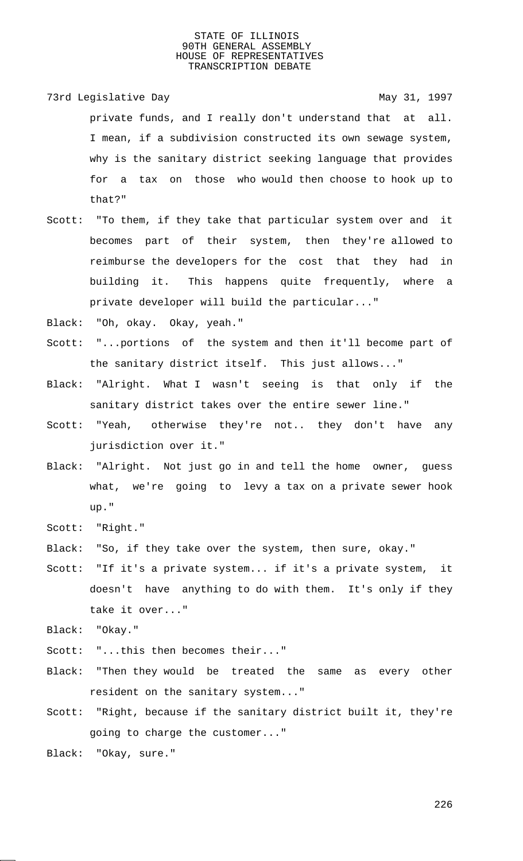- 73rd Legislative Day 1997 private funds, and I really don't understand that at all. I mean, if a subdivision constructed its own sewage system, why is the sanitary district seeking language that provides for a tax on those who would then choose to hook up to that?"
- Scott: "To them, if they take that particular system over and it becomes part of their system, then they're allowed to reimburse the developers for the cost that they had in building it. This happens quite frequently, where a private developer will build the particular..."
- Black: "Oh, okay. Okay, yeah."
- Scott: "...portions of the system and then it'll become part of the sanitary district itself. This just allows..."
- Black: "Alright. What I wasn't seeing is that only if the sanitary district takes over the entire sewer line."
- Scott: "Yeah, otherwise they're not.. they don't have any jurisdiction over it."
- Black: "Alright. Not just go in and tell the home owner, guess what, we're going to levy a tax on a private sewer hook up."
- Scott: "Right."
- Black: "So, if they take over the system, then sure, okay."
- Scott: "If it's a private system... if it's a private system, it doesn't have anything to do with them. It's only if they take it over..."
- Black: "Okay."
- Scott: "...this then becomes their..."
- Black: "Then they would be treated the same as every other resident on the sanitary system..."
- Scott: "Right, because if the sanitary district built it, they're going to charge the customer..."
- Black: "Okay, sure."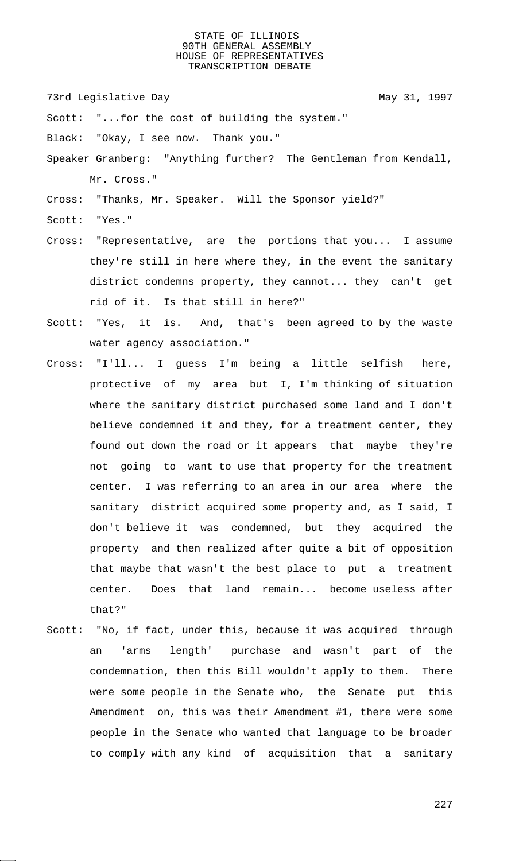73rd Legislative Day 1997

Scott: "...for the cost of building the system."

Black: "Okay, I see now. Thank you."

Speaker Granberg: "Anything further? The Gentleman from Kendall, Mr. Cross."

Cross: "Thanks, Mr. Speaker. Will the Sponsor yield?"

Scott: "Yes."

- Cross: "Representative, are the portions that you... I assume they're still in here where they, in the event the sanitary district condemns property, they cannot... they can't get rid of it. Is that still in here?"
- Scott: "Yes, it is. And, that's been agreed to by the waste water agency association."
- Cross: "I'll... I guess I'm being a little selfish here, protective of my area but I, I'm thinking of situation where the sanitary district purchased some land and I don't believe condemned it and they, for a treatment center, they found out down the road or it appears that maybe they're not going to want to use that property for the treatment center. I was referring to an area in our area where the sanitary district acquired some property and, as I said, I don't believe it was condemned, but they acquired the property and then realized after quite a bit of opposition that maybe that wasn't the best place to put a treatment center. Does that land remain... become useless after that?"
- Scott: "No, if fact, under this, because it was acquired through an 'arms length' purchase and wasn't part of the condemnation, then this Bill wouldn't apply to them. There were some people in the Senate who, the Senate put this Amendment on, this was their Amendment #1, there were some people in the Senate who wanted that language to be broader to comply with any kind of acquisition that a sanitary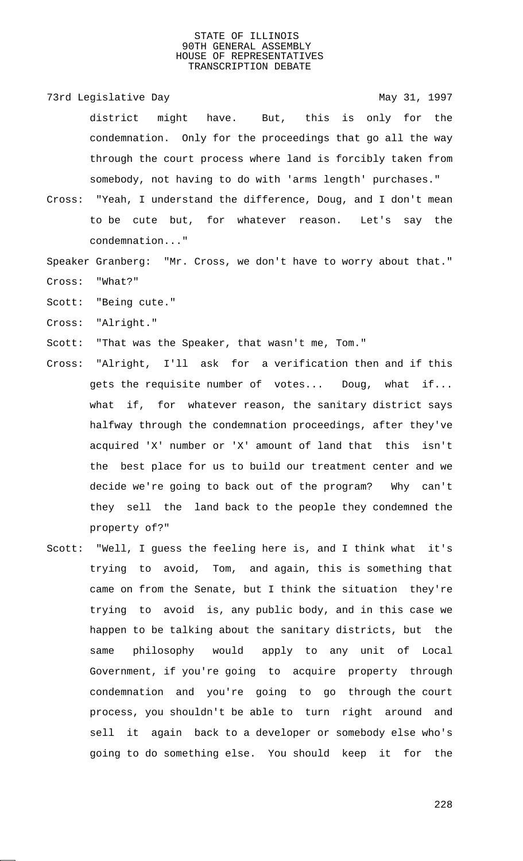- 73rd Legislative Day 1997 district might have. But, this is only for the condemnation. Only for the proceedings that go all the way through the court process where land is forcibly taken from somebody, not having to do with 'arms length' purchases."
- Cross: "Yeah, I understand the difference, Doug, and I don't mean to be cute but, for whatever reason. Let's say the condemnation..."
- Speaker Granberg: "Mr. Cross, we don't have to worry about that." Cross: "What?"
- Scott: "Being cute."
- Cross: "Alright."
- Scott: "That was the Speaker, that wasn't me, Tom."
- Cross: "Alright, I'll ask for a verification then and if this gets the requisite number of votes... Doug, what if... what if, for whatever reason, the sanitary district says halfway through the condemnation proceedings, after they've acquired 'X' number or 'X' amount of land that this isn't the best place for us to build our treatment center and we decide we're going to back out of the program? Why can't they sell the land back to the people they condemned the property of?"
- Scott: "Well, I guess the feeling here is, and I think what it's trying to avoid, Tom, and again, this is something that came on from the Senate, but I think the situation they're trying to avoid is, any public body, and in this case we happen to be talking about the sanitary districts, but the same philosophy would apply to any unit of Local Government, if you're going to acquire property through condemnation and you're going to go through the court process, you shouldn't be able to turn right around and sell it again back to a developer or somebody else who's going to do something else. You should keep it for the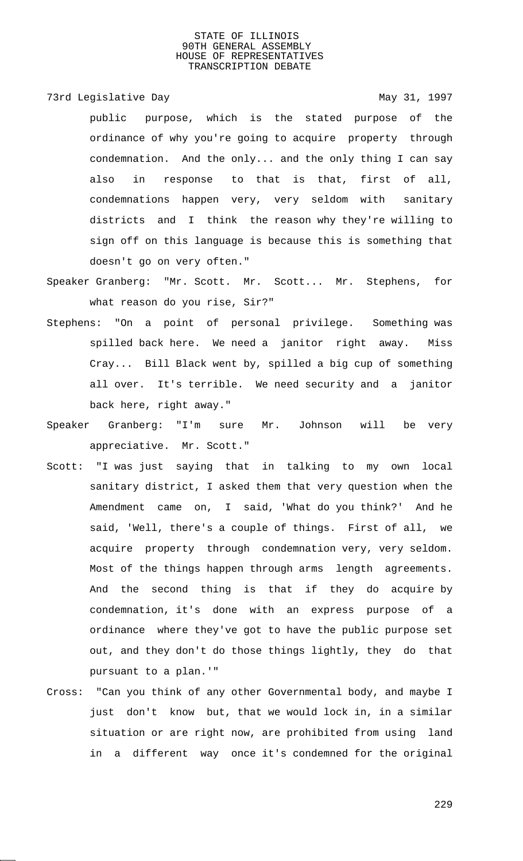73rd Legislative Day 1997

public purpose, which is the stated purpose of the ordinance of why you're going to acquire property through condemnation. And the only... and the only thing I can say also in response to that is that, first of all, condemnations happen very, very seldom with sanitary districts and I think the reason why they're willing to sign off on this language is because this is something that doesn't go on very often."

Speaker Granberg: "Mr. Scott. Mr. Scott... Mr. Stephens, for what reason do you rise, Sir?"

- Stephens: "On a point of personal privilege. Something was spilled back here. We need a janitor right away. Miss Cray... Bill Black went by, spilled a big cup of something all over. It's terrible. We need security and a janitor back here, right away."
- Speaker Granberg: "I'm sure Mr. Johnson will be very appreciative. Mr. Scott."
- Scott: "I was just saying that in talking to my own local sanitary district, I asked them that very question when the Amendment came on, I said, 'What do you think?' And he said, 'Well, there's a couple of things. First of all, we acquire property through condemnation very, very seldom. Most of the things happen through arms length agreements. And the second thing is that if they do acquire by condemnation, it's done with an express purpose of a ordinance where they've got to have the public purpose set out, and they don't do those things lightly, they do that pursuant to a plan.'"
- Cross: "Can you think of any other Governmental body, and maybe I just don't know but, that we would lock in, in a similar situation or are right now, are prohibited from using land in a different way once it's condemned for the original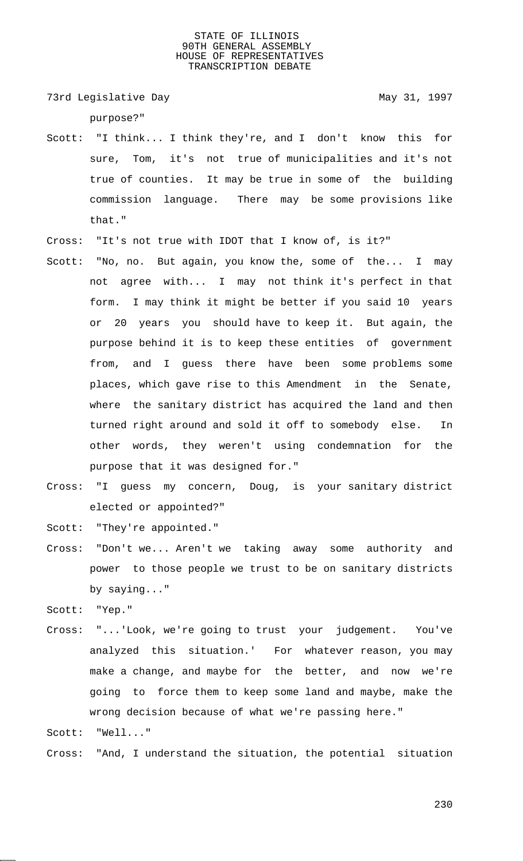73rd Legislative Day 1997

purpose?"

- Scott: "I think... I think they're, and I don't know this for sure, Tom, it's not true of municipalities and it's not true of counties. It may be true in some of the building commission language. There may be some provisions like that."
- Cross: "It's not true with IDOT that I know of, is it?"
- Scott: "No, no. But again, you know the, some of the... I may not agree with... I may not think it's perfect in that form. I may think it might be better if you said 10 years or 20 years you should have to keep it. But again, the purpose behind it is to keep these entities of government from, and I guess there have been some problems some places, which gave rise to this Amendment in the Senate, where the sanitary district has acquired the land and then turned right around and sold it off to somebody else. In other words, they weren't using condemnation for the purpose that it was designed for."
- Cross: "I guess my concern, Doug, is your sanitary district elected or appointed?"

Scott: "They're appointed."

Cross: "Don't we... Aren't we taking away some authority and power to those people we trust to be on sanitary districts by saying..."

Scott: "Yep."

Cross: "...'Look, we're going to trust your judgement. You've analyzed this situation.' For whatever reason, you may make a change, and maybe for the better, and now we're going to force them to keep some land and maybe, make the wrong decision because of what we're passing here."

Scott: "Well..."

Cross: "And, I understand the situation, the potential situation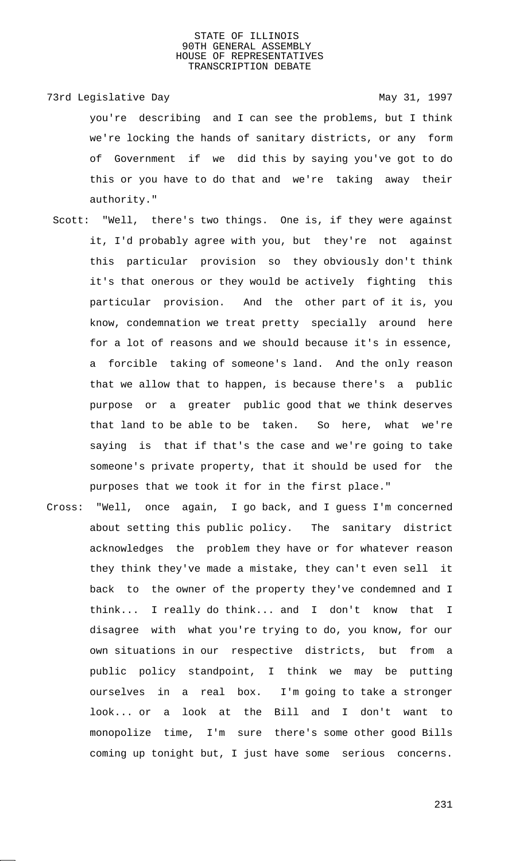73rd Legislative Day 1997 you're describing and I can see the problems, but I think we're locking the hands of sanitary districts, or any form of Government if we did this by saying you've got to do this or you have to do that and we're taking away their authority."

- Scott: "Well, there's two things. One is, if they were against it, I'd probably agree with you, but they're not against this particular provision so they obviously don't think it's that onerous or they would be actively fighting this particular provision. And the other part of it is, you know, condemnation we treat pretty specially around here for a lot of reasons and we should because it's in essence, a forcible taking of someone's land. And the only reason that we allow that to happen, is because there's a public purpose or a greater public good that we think deserves that land to be able to be taken. So here, what we're saying is that if that's the case and we're going to take someone's private property, that it should be used for the purposes that we took it for in the first place."
- Cross: "Well, once again, I go back, and I guess I'm concerned about setting this public policy. The sanitary district acknowledges the problem they have or for whatever reason they think they've made a mistake, they can't even sell it back to the owner of the property they've condemned and I think... I really do think... and I don't know that I disagree with what you're trying to do, you know, for our own situations in our respective districts, but from a public policy standpoint, I think we may be putting ourselves in a real box. I'm going to take a stronger look... or a look at the Bill and I don't want to monopolize time, I'm sure there's some other good Bills coming up tonight but, I just have some serious concerns.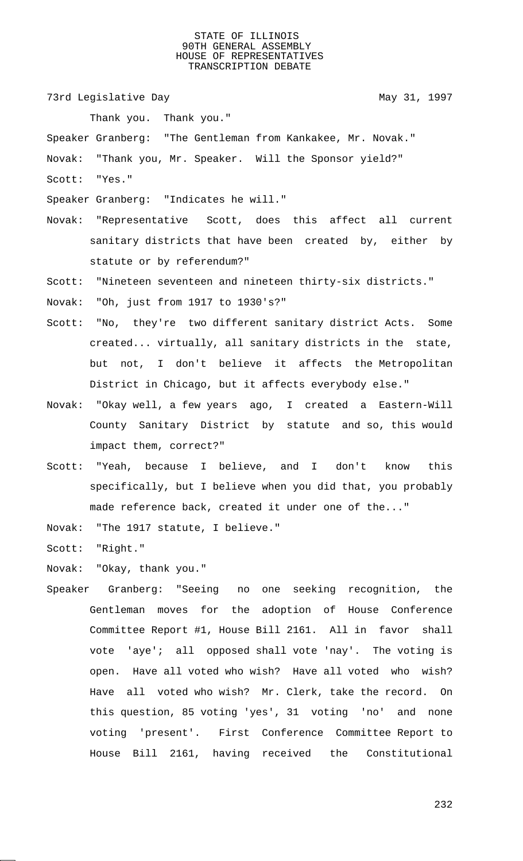73rd Legislative Day 1997

Thank you. Thank you."

Speaker Granberg: "The Gentleman from Kankakee, Mr. Novak."

Novak: "Thank you, Mr. Speaker. Will the Sponsor yield?"

- Scott: "Yes."
- Speaker Granberg: "Indicates he will."
- Novak: "Representative Scott, does this affect all current sanitary districts that have been created by, either by statute or by referendum?"

Scott: "Nineteen seventeen and nineteen thirty-six districts."

Novak: "Oh, just from 1917 to 1930's?"

- Scott: "No, they're two different sanitary district Acts. Some created... virtually, all sanitary districts in the state, but not, I don't believe it affects the Metropolitan District in Chicago, but it affects everybody else."
- Novak: "Okay well, a few years ago, I created a Eastern-Will County Sanitary District by statute and so, this would impact them, correct?"
- Scott: "Yeah, because I believe, and I don't know this specifically, but I believe when you did that, you probably made reference back, created it under one of the..."

Novak: "The 1917 statute, I believe."

Scott: "Right."

Novak: "Okay, thank you."

Speaker Granberg: "Seeing no one seeking recognition, the Gentleman moves for the adoption of House Conference Committee Report #1, House Bill 2161. All in favor shall vote 'aye'; all opposed shall vote 'nay'. The voting is open. Have all voted who wish? Have all voted who wish? Have all voted who wish? Mr. Clerk, take the record. On this question, 85 voting 'yes', 31 voting 'no' and none voting 'present'. First Conference Committee Report to House Bill 2161, having received the Constitutional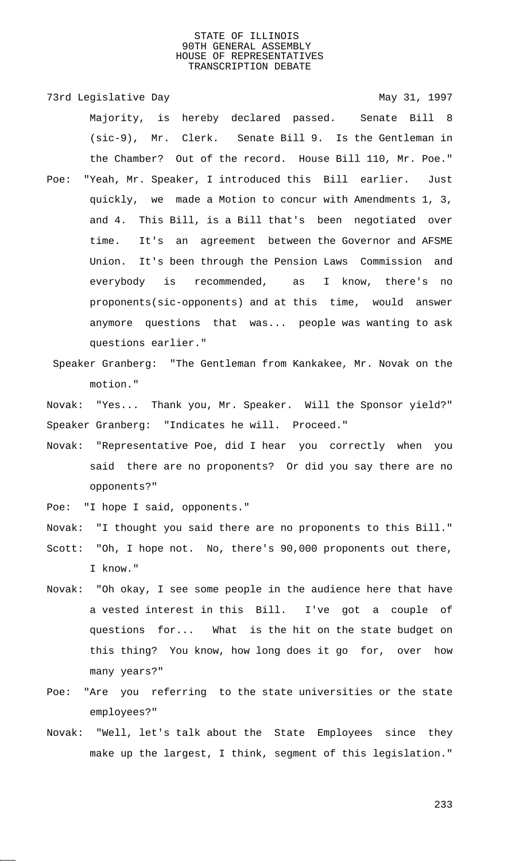73rd Legislative Day 1997 Majority, is hereby declared passed. Senate Bill 8 (sic-9), Mr. Clerk. Senate Bill 9. Is the Gentleman in the Chamber? Out of the record. House Bill 110, Mr. Poe." Poe: "Yeah, Mr. Speaker, I introduced this Bill earlier. Just quickly, we made a Motion to concur with Amendments 1, 3, and 4. This Bill, is a Bill that's been negotiated over time. It's an agreement between the Governor and AFSME Union. It's been through the Pension Laws Commission and everybody is recommended, as I know, there's no

- proponents(sic-opponents) and at this time, would answer anymore questions that was... people was wanting to ask questions earlier."
- Speaker Granberg: "The Gentleman from Kankakee, Mr. Novak on the motion."

Novak: "Yes... Thank you, Mr. Speaker. Will the Sponsor yield?" Speaker Granberg: "Indicates he will. Proceed."

Novak: "Representative Poe, did I hear you correctly when you said there are no proponents? Or did you say there are no opponents?"

Poe: "I hope I said, opponents."

Novak: "I thought you said there are no proponents to this Bill."

- Scott: "Oh, I hope not. No, there's 90,000 proponents out there, I know."
- Novak: "Oh okay, I see some people in the audience here that have a vested interest in this Bill. I've got a couple of questions for... What is the hit on the state budget on this thing? You know, how long does it go for, over how many years?"
- Poe: "Are you referring to the state universities or the state employees?"
- Novak: "Well, let's talk about the State Employees since they make up the largest, I think, segment of this legislation."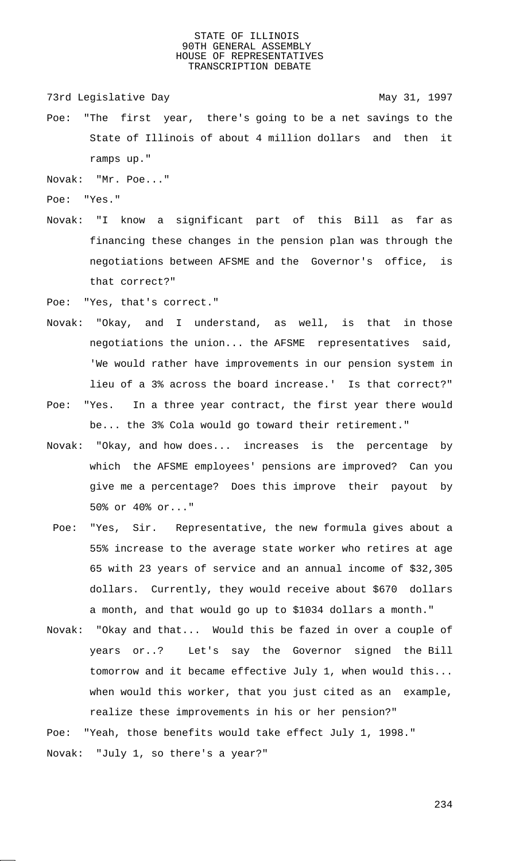73rd Legislative Day 1997

Poe: "The first year, there's going to be a net savings to the State of Illinois of about 4 million dollars and then it ramps up."

Novak: "Mr. Poe..."

Poe: "Yes."

Novak: "I know a significant part of this Bill as far as financing these changes in the pension plan was through the negotiations between AFSME and the Governor's office, is that correct?"

Poe: "Yes, that's correct."

- Novak: "Okay, and I understand, as well, is that in those negotiations the union... the AFSME representatives said, 'We would rather have improvements in our pension system in lieu of a 3% across the board increase.' Is that correct?"
- Poe: "Yes. In a three year contract, the first year there would be... the 3% Cola would go toward their retirement."
- Novak: "Okay, and how does... increases is the percentage by which the AFSME employees' pensions are improved? Can you give me a percentage? Does this improve their payout by 50% or 40% or..."
- Poe: "Yes, Sir. Representative, the new formula gives about a 55% increase to the average state worker who retires at age 65 with 23 years of service and an annual income of \$32,305 dollars. Currently, they would receive about \$670 dollars a month, and that would go up to \$1034 dollars a month."
- Novak: "Okay and that... Would this be fazed in over a couple of years or..? Let's say the Governor signed the Bill tomorrow and it became effective July 1, when would this... when would this worker, that you just cited as an example, realize these improvements in his or her pension?"

Poe: "Yeah, those benefits would take effect July 1, 1998." Novak: "July 1, so there's a year?"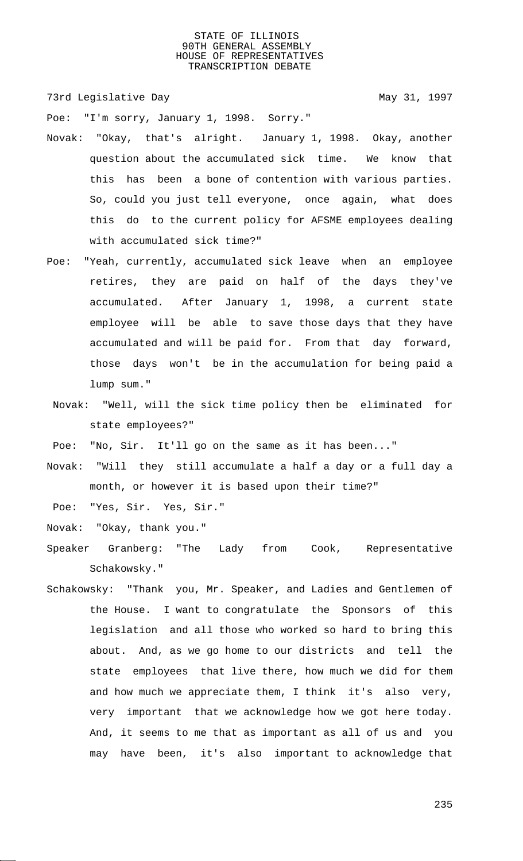73rd Legislative Day 1997

Poe: "I'm sorry, January 1, 1998. Sorry."

- Novak: "Okay, that's alright. January 1, 1998. Okay, another question about the accumulated sick time. We know that this has been a bone of contention with various parties. So, could you just tell everyone, once again, what does this do to the current policy for AFSME employees dealing with accumulated sick time?"
- Poe: "Yeah, currently, accumulated sick leave when an employee retires, they are paid on half of the days they've accumulated. After January 1, 1998, a current state employee will be able to save those days that they have accumulated and will be paid for. From that day forward, those days won't be in the accumulation for being paid a lump sum."
- Novak: "Well, will the sick time policy then be eliminated for state employees?"

Poe: "No, Sir. It'll go on the same as it has been..."

Novak: "Will they still accumulate a half a day or a full day a month, or however it is based upon their time?"

Poe: "Yes, Sir. Yes, Sir."

Novak: "Okay, thank you."

- Speaker Granberg: "The Lady from Cook, Representative Schakowsky."
- Schakowsky: "Thank you, Mr. Speaker, and Ladies and Gentlemen of the House. I want to congratulate the Sponsors of this legislation and all those who worked so hard to bring this about. And, as we go home to our districts and tell the state employees that live there, how much we did for them and how much we appreciate them, I think it's also very, very important that we acknowledge how we got here today. And, it seems to me that as important as all of us and you may have been, it's also important to acknowledge that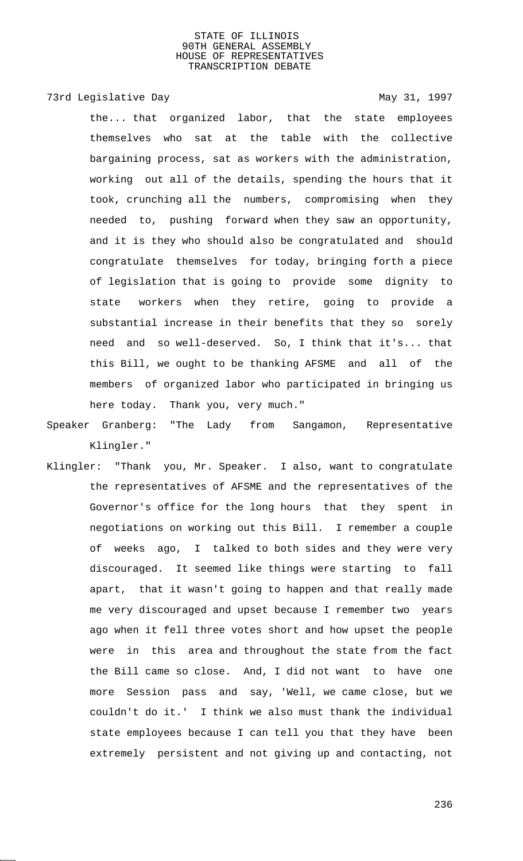# 73rd Legislative Day 1997

the... that organized labor, that the state employees themselves who sat at the table with the collective bargaining process, sat as workers with the administration, working out all of the details, spending the hours that it took, crunching all the numbers, compromising when they needed to, pushing forward when they saw an opportunity, and it is they who should also be congratulated and should congratulate themselves for today, bringing forth a piece of legislation that is going to provide some dignity to state workers when they retire, going to provide a substantial increase in their benefits that they so sorely need and so well-deserved. So, I think that it's... that this Bill, we ought to be thanking AFSME and all of the members of organized labor who participated in bringing us here today. Thank you, very much."

Speaker Granberg: "The Lady from Sangamon, Representative Klingler."

Klingler: "Thank you, Mr. Speaker. I also, want to congratulate the representatives of AFSME and the representatives of the Governor's office for the long hours that they spent in negotiations on working out this Bill. I remember a couple of weeks ago, I talked to both sides and they were very discouraged. It seemed like things were starting to fall apart, that it wasn't going to happen and that really made me very discouraged and upset because I remember two years ago when it fell three votes short and how upset the people were in this area and throughout the state from the fact the Bill came so close. And, I did not want to have one more Session pass and say, 'Well, we came close, but we couldn't do it.' I think we also must thank the individual state employees because I can tell you that they have been extremely persistent and not giving up and contacting, not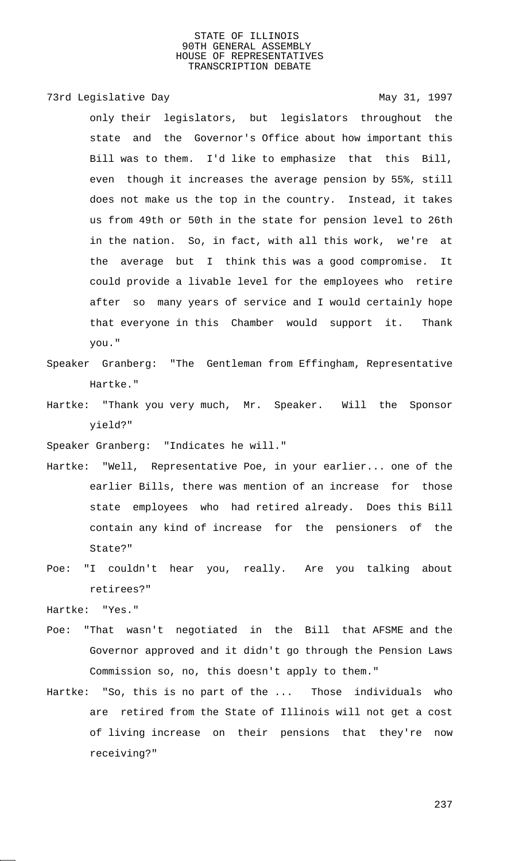# 73rd Legislative Day 1997

only their legislators, but legislators throughout the state and the Governor's Office about how important this Bill was to them. I'd like to emphasize that this Bill, even though it increases the average pension by 55%, still does not make us the top in the country. Instead, it takes us from 49th or 50th in the state for pension level to 26th in the nation. So, in fact, with all this work, we're at the average but I think this was a good compromise. It could provide a livable level for the employees who retire after so many years of service and I would certainly hope that everyone in this Chamber would support it. Thank you."

- Speaker Granberg: "The Gentleman from Effingham, Representative Hartke."
- Hartke: "Thank you very much, Mr. Speaker. Will the Sponsor yield?"

Speaker Granberg: "Indicates he will."

- Hartke: "Well, Representative Poe, in your earlier... one of the earlier Bills, there was mention of an increase for those state employees who had retired already. Does this Bill contain any kind of increase for the pensioners of the State?"
- Poe: "I couldn't hear you, really. Are you talking about retirees?"

Hartke: "Yes."

- Poe: "That wasn't negotiated in the Bill that AFSME and the Governor approved and it didn't go through the Pension Laws Commission so, no, this doesn't apply to them."
- Hartke: "So, this is no part of the ... Those individuals who are retired from the State of Illinois will not get a cost of living increase on their pensions that they're now receiving?"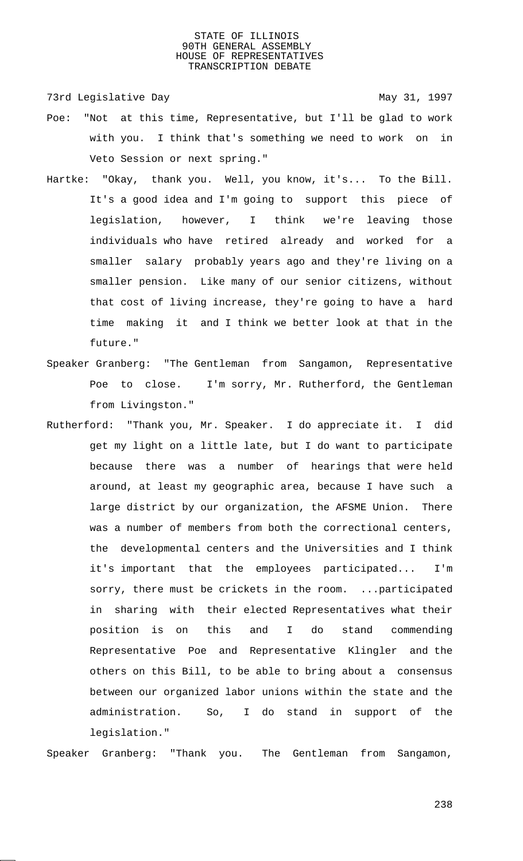73rd Legislative Day 1997

- Poe: "Not at this time, Representative, but I'll be glad to work with you. I think that's something we need to work on in Veto Session or next spring."
- Hartke: "Okay, thank you. Well, you know, it's... To the Bill. It's a good idea and I'm going to support this piece of legislation, however, I think we're leaving those individuals who have retired already and worked for a smaller salary probably years ago and they're living on a smaller pension. Like many of our senior citizens, without that cost of living increase, they're going to have a hard time making it and I think we better look at that in the future."
- Speaker Granberg: "The Gentleman from Sangamon, Representative Poe to close. I'm sorry, Mr. Rutherford, the Gentleman from Livingston."
- Rutherford: "Thank you, Mr. Speaker. I do appreciate it. I did get my light on a little late, but I do want to participate because there was a number of hearings that were held around, at least my geographic area, because I have such a large district by our organization, the AFSME Union. There was a number of members from both the correctional centers, the developmental centers and the Universities and I think it's important that the employees participated... I'm sorry, there must be crickets in the room. ... participated in sharing with their elected Representatives what their position is on this and I do stand commending Representative Poe and Representative Klingler and the others on this Bill, to be able to bring about a consensus between our organized labor unions within the state and the administration. So, I do stand in support of the legislation."

Speaker Granberg: "Thank you. The Gentleman from Sangamon,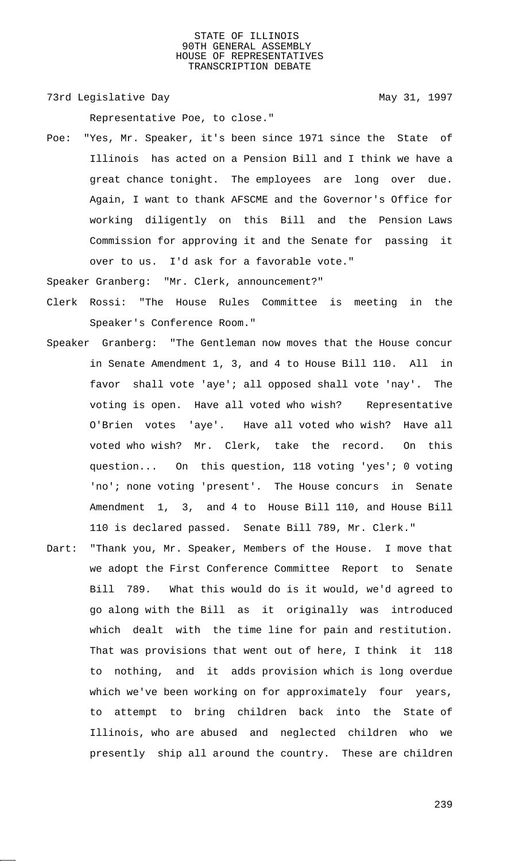73rd Legislative Day 1997

Representative Poe, to close."

Poe: "Yes, Mr. Speaker, it's been since 1971 since the State of Illinois has acted on a Pension Bill and I think we have a great chance tonight. The employees are long over due. Again, I want to thank AFSCME and the Governor's Office for working diligently on this Bill and the Pension Laws Commission for approving it and the Senate for passing it over to us. I'd ask for a favorable vote."

Speaker Granberg: "Mr. Clerk, announcement?"

- Clerk Rossi: "The House Rules Committee is meeting in the Speaker's Conference Room."
- Speaker Granberg: "The Gentleman now moves that the House concur in Senate Amendment 1, 3, and 4 to House Bill 110. All in favor shall vote 'aye'; all opposed shall vote 'nay'. The voting is open. Have all voted who wish? Representative O'Brien votes 'aye'. Have all voted who wish? Have all voted who wish? Mr. Clerk, take the record. On this question... On this question, 118 voting 'yes'; 0 voting 'no'; none voting 'present'. The House concurs in Senate Amendment 1, 3, and 4 to House Bill 110, and House Bill 110 is declared passed. Senate Bill 789, Mr. Clerk."
- Dart: "Thank you, Mr. Speaker, Members of the House. I move that we adopt the First Conference Committee Report to Senate Bill 789. What this would do is it would, we'd agreed to go along with the Bill as it originally was introduced which dealt with the time line for pain and restitution. That was provisions that went out of here, I think it 118 to nothing, and it adds provision which is long overdue which we've been working on for approximately four years, to attempt to bring children back into the State of Illinois, who are abused and neglected children who we presently ship all around the country. These are children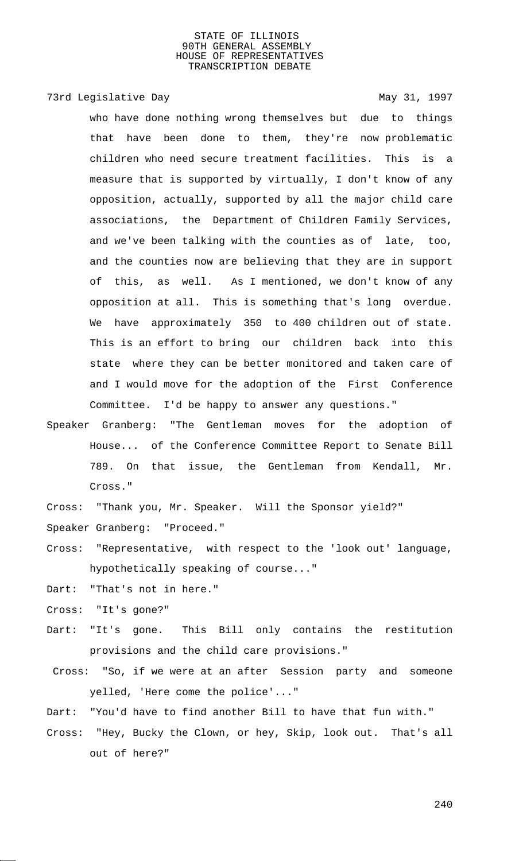# 73rd Legislative Day 1997

who have done nothing wrong themselves but due to things that have been done to them, they're now problematic children who need secure treatment facilities. This is a measure that is supported by virtually, I don't know of any opposition, actually, supported by all the major child care associations, the Department of Children Family Services, and we've been talking with the counties as of late, too, and the counties now are believing that they are in support of this, as well. As I mentioned, we don't know of any opposition at all. This is something that's long overdue. We have approximately 350 to 400 children out of state. This is an effort to bring our children back into this state where they can be better monitored and taken care of and I would move for the adoption of the First Conference Committee. I'd be happy to answer any questions."

Speaker Granberg: "The Gentleman moves for the adoption of House... of the Conference Committee Report to Senate Bill 789. On that issue, the Gentleman from Kendall, Mr. Cross."

Cross: "Thank you, Mr. Speaker. Will the Sponsor yield?"

Speaker Granberg: "Proceed."

- Cross: "Representative, with respect to the 'look out' language, hypothetically speaking of course..."
- Dart: "That's not in here."
- Cross: "It's gone?"
- Dart: "It's gone. This Bill only contains the restitution provisions and the child care provisions."
- Cross: "So, if we were at an after Session party and someone yelled, 'Here come the police'..."
- Dart: "You'd have to find another Bill to have that fun with."
- Cross: "Hey, Bucky the Clown, or hey, Skip, look out. That's all out of here?"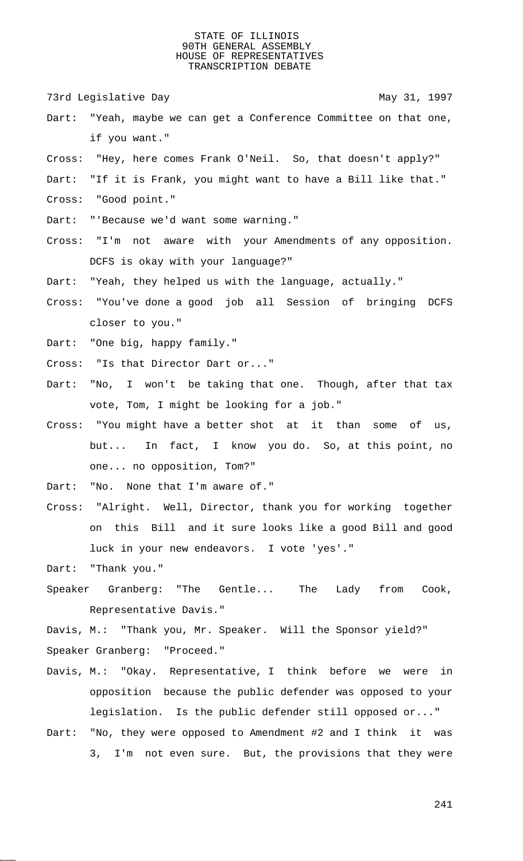73rd Legislative Day 1997

- Dart: "Yeah, maybe we can get a Conference Committee on that one, if you want."
- Cross: "Hey, here comes Frank O'Neil. So, that doesn't apply?"
- Dart: "If it is Frank, you might want to have a Bill like that."
- Cross: "Good point."
- Dart: "'Because we'd want some warning."
- Cross: "I'm not aware with your Amendments of any opposition. DCFS is okay with your language?"
- Dart: "Yeah, they helped us with the language, actually."
- Cross: "You've done a good job all Session of bringing DCFS closer to you."
- Dart: "One big, happy family."
- Cross: "Is that Director Dart or..."
- Dart: "No, I won't be taking that one. Though, after that tax vote, Tom, I might be looking for a job."
- Cross: "You might have a better shot at it than some of us, but... In fact, I know you do. So, at this point, no one... no opposition, Tom?"
- Dart: "No. None that I'm aware of."
- Cross: "Alright. Well, Director, thank you for working together on this Bill and it sure looks like a good Bill and good luck in your new endeavors. I vote 'yes'."

Dart: "Thank you."

Speaker Granberg: "The Gentle... The Lady from Cook, Representative Davis."

Davis, M.: "Thank you, Mr. Speaker. Will the Sponsor yield?" Speaker Granberg: "Proceed."

- Davis, M.: "Okay. Representative, I think before we were in opposition because the public defender was opposed to your legislation. Is the public defender still opposed or..."
- Dart: "No, they were opposed to Amendment #2 and I think it was 3, I'm not even sure. But, the provisions that they were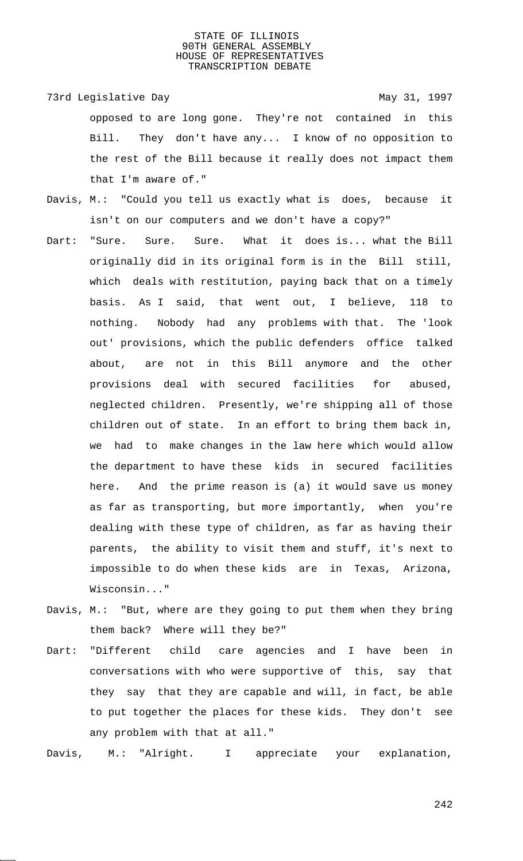73rd Legislative Day 1997 opposed to are long gone. They're not contained in this Bill. They don't have any... I know of no opposition to the rest of the Bill because it really does not impact them that I'm aware of."

- Davis, M.: "Could you tell us exactly what is does, because it isn't on our computers and we don't have a copy?"
- Dart: "Sure. Sure. Sure. What it does is... what the Bill originally did in its original form is in the Bill still, which deals with restitution, paying back that on a timely basis. As I said, that went out, I believe, 118 to nothing. Nobody had any problems with that. The 'look out' provisions, which the public defenders office talked about, are not in this Bill anymore and the other provisions deal with secured facilities for abused, neglected children. Presently, we're shipping all of those children out of state. In an effort to bring them back in, we had to make changes in the law here which would allow the department to have these kids in secured facilities here. And the prime reason is (a) it would save us money as far as transporting, but more importantly, when you're dealing with these type of children, as far as having their parents, the ability to visit them and stuff, it's next to impossible to do when these kids are in Texas, Arizona, Wisconsin..."
- Davis, M.: "But, where are they going to put them when they bring them back? Where will they be?"
- Dart: "Different child care agencies and I have been in conversations with who were supportive of this, say that they say that they are capable and will, in fact, be able to put together the places for these kids. They don't see any problem with that at all."

Davis, M.: "Alright. I appreciate your explanation,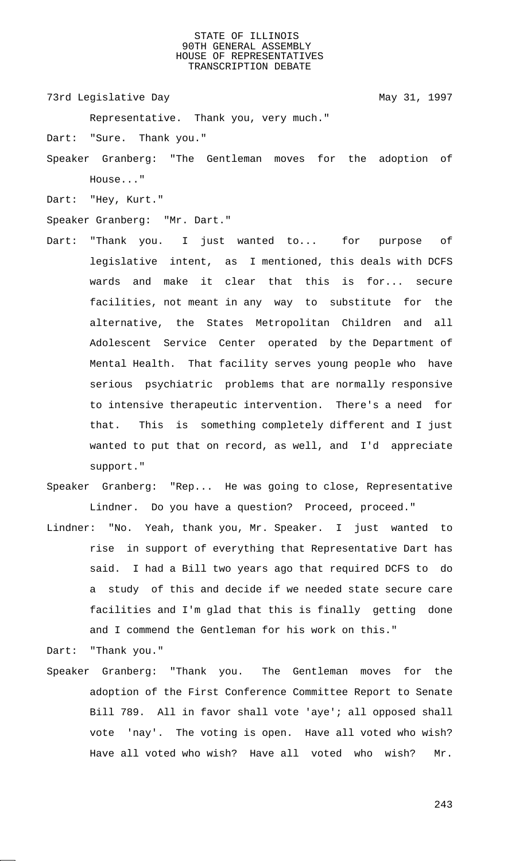73rd Legislative Day 1997

Representative. Thank you, very much."

Dart: "Sure. Thank you."

- Speaker Granberg: "The Gentleman moves for the adoption of House..."
- Dart: "Hey, Kurt."

Speaker Granberg: "Mr. Dart."

- Dart: "Thank you. I just wanted to... for purpose of legislative intent, as I mentioned, this deals with DCFS wards and make it clear that this is for... secure facilities, not meant in any way to substitute for the alternative, the States Metropolitan Children and all Adolescent Service Center operated by the Department of Mental Health. That facility serves young people who have serious psychiatric problems that are normally responsive to intensive therapeutic intervention. There's a need for that. This is something completely different and I just wanted to put that on record, as well, and I'd appreciate support."
- Speaker Granberg: "Rep... He was going to close, Representative Lindner. Do you have a question? Proceed, proceed."
- Lindner: "No. Yeah, thank you, Mr. Speaker. I just wanted to rise in support of everything that Representative Dart has said. I had a Bill two years ago that required DCFS to do a study of this and decide if we needed state secure care facilities and I'm glad that this is finally getting done and I commend the Gentleman for his work on this."

Dart: "Thank you."

Speaker Granberg: "Thank you. The Gentleman moves for the adoption of the First Conference Committee Report to Senate Bill 789. All in favor shall vote 'aye'; all opposed shall vote 'nay'. The voting is open. Have all voted who wish? Have all voted who wish? Have all voted who wish? Mr.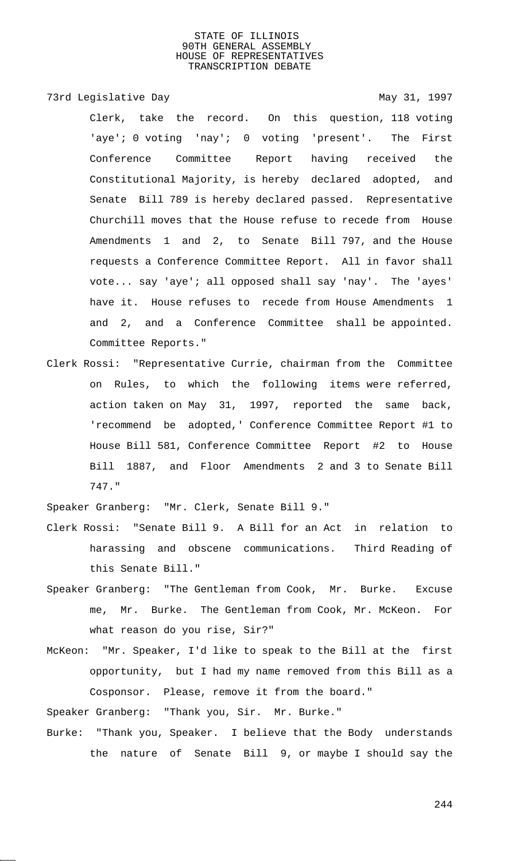73rd Legislative Day 1997

Clerk, take the record. On this question, 118 voting 'aye'; 0 voting 'nay'; 0 voting 'present'. The First Conference Committee Report having received the Constitutional Majority, is hereby declared adopted, and Senate Bill 789 is hereby declared passed. Representative Churchill moves that the House refuse to recede from House Amendments 1 and 2, to Senate Bill 797, and the House requests a Conference Committee Report. All in favor shall vote... say 'aye'; all opposed shall say 'nay'. The 'ayes' have it. House refuses to recede from House Amendments 1 and 2, and a Conference Committee shall be appointed. Committee Reports."

Clerk Rossi: "Representative Currie, chairman from the Committee on Rules, to which the following items were referred, action taken on May 31, 1997, reported the same back, 'recommend be adopted,' Conference Committee Report #1 to House Bill 581, Conference Committee Report #2 to House Bill 1887, and Floor Amendments 2 and 3 to Senate Bill 747."

Speaker Granberg: "Mr. Clerk, Senate Bill 9."

- Clerk Rossi: "Senate Bill 9. A Bill for an Act in relation to harassing and obscene communications. Third Reading of this Senate Bill."
- Speaker Granberg: "The Gentleman from Cook, Mr. Burke. Excuse me, Mr. Burke. The Gentleman from Cook, Mr. McKeon. For what reason do you rise, Sir?"
- McKeon: "Mr. Speaker, I'd like to speak to the Bill at the first opportunity, but I had my name removed from this Bill as a Cosponsor. Please, remove it from the board."

Speaker Granberg: "Thank you, Sir. Mr. Burke."

Burke: "Thank you, Speaker. I believe that the Body understands the nature of Senate Bill 9, or maybe I should say the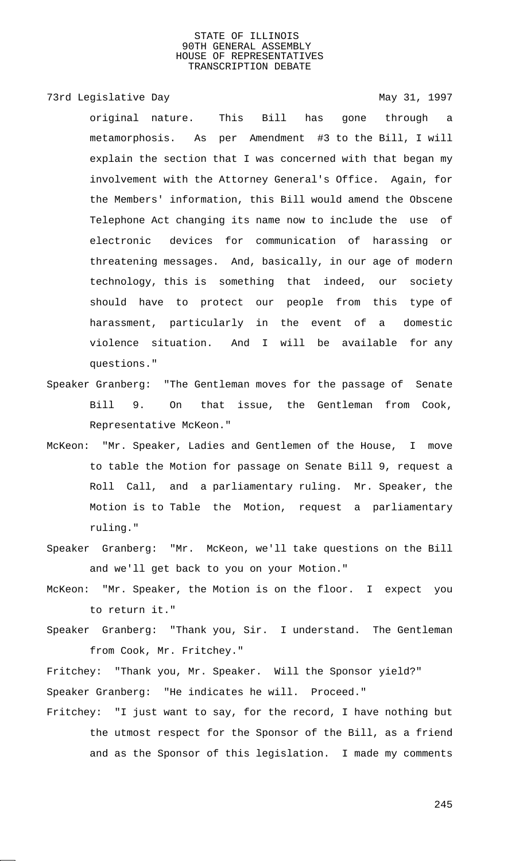# 73rd Legislative Day 1997

original nature. This Bill has gone through a metamorphosis. As per Amendment #3 to the Bill, I will explain the section that I was concerned with that began my involvement with the Attorney General's Office. Again, for the Members' information, this Bill would amend the Obscene Telephone Act changing its name now to include the use of electronic devices for communication of harassing or threatening messages. And, basically, in our age of modern technology, this is something that indeed, our society should have to protect our people from this type of harassment, particularly in the event of a domestic violence situation. And I will be available for any questions."

- Speaker Granberg: "The Gentleman moves for the passage of Senate Bill 9. On that issue, the Gentleman from Cook, Representative McKeon."
- McKeon: "Mr. Speaker, Ladies and Gentlemen of the House, I move to table the Motion for passage on Senate Bill 9, request a Roll Call, and a parliamentary ruling. Mr. Speaker, the Motion is to Table the Motion, request a parliamentary ruling."
- Speaker Granberg: "Mr. McKeon, we'll take questions on the Bill and we'll get back to you on your Motion."
- McKeon: "Mr. Speaker, the Motion is on the floor. I expect you to return it."
- Speaker Granberg: "Thank you, Sir. I understand. The Gentleman from Cook, Mr. Fritchey."
- Fritchey: "Thank you, Mr. Speaker. Will the Sponsor yield?" Speaker Granberg: "He indicates he will. Proceed."
- Fritchey: "I just want to say, for the record, I have nothing but the utmost respect for the Sponsor of the Bill, as a friend and as the Sponsor of this legislation. I made my comments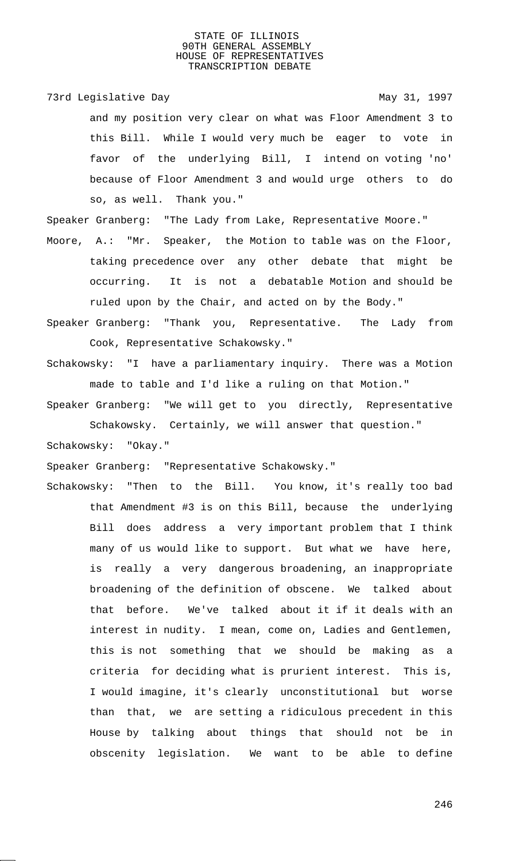73rd Legislative Day 1997

and my position very clear on what was Floor Amendment 3 to this Bill. While I would very much be eager to vote in favor of the underlying Bill, I intend on voting 'no' because of Floor Amendment 3 and would urge others to do so, as well. Thank you."

Speaker Granberg: "The Lady from Lake, Representative Moore."

- Moore, A.: "Mr. Speaker, the Motion to table was on the Floor, taking precedence over any other debate that might be occurring. It is not a debatable Motion and should be ruled upon by the Chair, and acted on by the Body."
- Speaker Granberg: "Thank you, Representative. The Lady from Cook, Representative Schakowsky."
- Schakowsky: "I have a parliamentary inquiry. There was a Motion made to table and I'd like a ruling on that Motion."
- Speaker Granberg: "We will get to you directly, Representative Schakowsky. Certainly, we will answer that question."

Schakowsky: "Okay."

Speaker Granberg: "Representative Schakowsky."

Schakowsky: "Then to the Bill. You know, it's really too bad that Amendment #3 is on this Bill, because the underlying Bill does address a very important problem that I think many of us would like to support. But what we have here, is really a very dangerous broadening, an inappropriate broadening of the definition of obscene. We talked about that before. We've talked about it if it deals with an interest in nudity. I mean, come on, Ladies and Gentlemen, this is not something that we should be making as a criteria for deciding what is prurient interest. This is, I would imagine, it's clearly unconstitutional but worse than that, we are setting a ridiculous precedent in this House by talking about things that should not be in obscenity legislation. We want to be able to define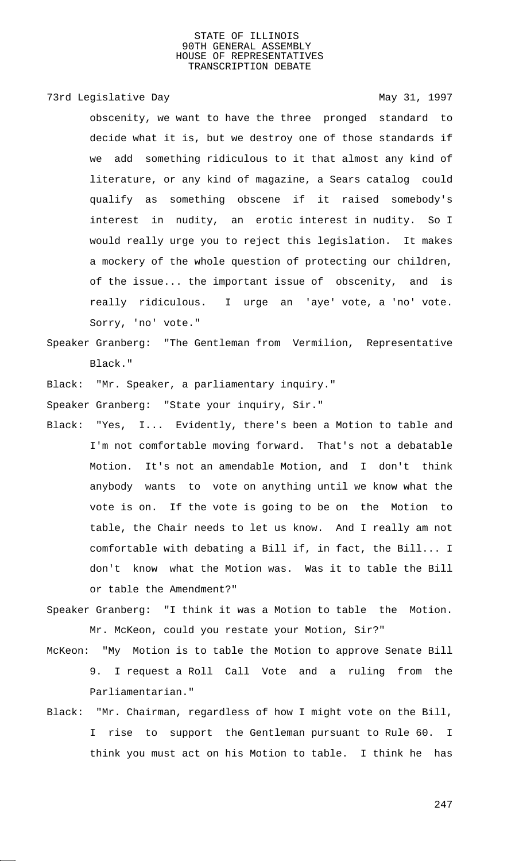## 73rd Legislative Day 1997

obscenity, we want to have the three pronged standard to decide what it is, but we destroy one of those standards if we add something ridiculous to it that almost any kind of literature, or any kind of magazine, a Sears catalog could qualify as something obscene if it raised somebody's interest in nudity, an erotic interest in nudity. So I would really urge you to reject this legislation. It makes a mockery of the whole question of protecting our children, of the issue... the important issue of obscenity, and is really ridiculous. I urge an 'aye' vote, a 'no' vote. Sorry, 'no' vote."

- Speaker Granberg: "The Gentleman from Vermilion, Representative Black."
- Black: "Mr. Speaker, a parliamentary inquiry."

Speaker Granberg: "State your inquiry, Sir."

- Black: "Yes, I... Evidently, there's been a Motion to table and I'm not comfortable moving forward. That's not a debatable Motion. It's not an amendable Motion, and I don't think anybody wants to vote on anything until we know what the vote is on. If the vote is going to be on the Motion to table, the Chair needs to let us know. And I really am not comfortable with debating a Bill if, in fact, the Bill... I don't know what the Motion was. Was it to table the Bill or table the Amendment?"
- Speaker Granberg: "I think it was a Motion to table the Motion. Mr. McKeon, could you restate your Motion, Sir?"
- McKeon: "My Motion is to table the Motion to approve Senate Bill 9. I request a Roll Call Vote and a ruling from the Parliamentarian."
- Black: "Mr. Chairman, regardless of how I might vote on the Bill, I rise to support the Gentleman pursuant to Rule 60. I think you must act on his Motion to table. I think he has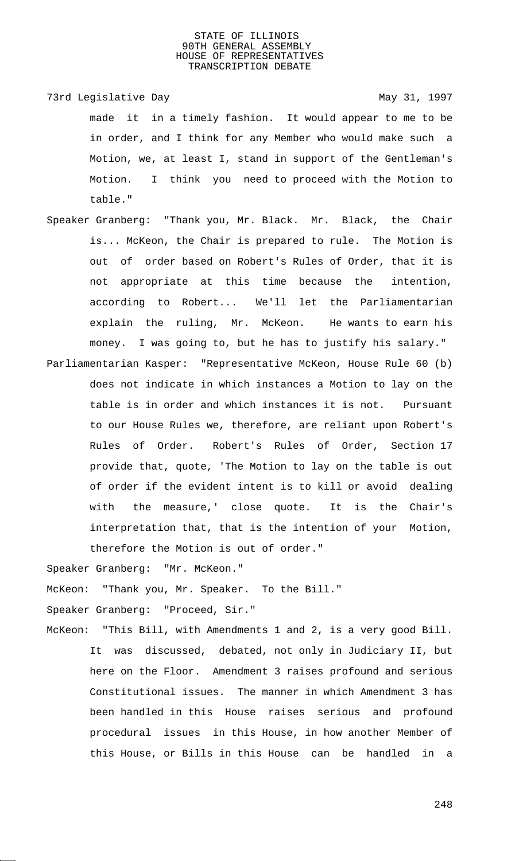73rd Legislative Day 1997

made it in a timely fashion. It would appear to me to be in order, and I think for any Member who would make such a Motion, we, at least I, stand in support of the Gentleman's Motion. I think you need to proceed with the Motion to table."

- Speaker Granberg: "Thank you, Mr. Black. Mr. Black, the Chair is... McKeon, the Chair is prepared to rule. The Motion is out of order based on Robert's Rules of Order, that it is not appropriate at this time because the intention, according to Robert... We'll let the Parliamentarian explain the ruling, Mr. McKeon. He wants to earn his money. I was going to, but he has to justify his salary."
- Parliamentarian Kasper: "Representative McKeon, House Rule 60 (b) does not indicate in which instances a Motion to lay on the table is in order and which instances it is not. Pursuant to our House Rules we, therefore, are reliant upon Robert's Rules of Order. Robert's Rules of Order, Section 17 provide that, quote, 'The Motion to lay on the table is out of order if the evident intent is to kill or avoid dealing with the measure,' close quote. It is the Chair's interpretation that, that is the intention of your Motion, therefore the Motion is out of order."

Speaker Granberg: "Mr. McKeon."

McKeon: "Thank you, Mr. Speaker. To the Bill."

Speaker Granberg: "Proceed, Sir."

McKeon: "This Bill, with Amendments 1 and 2, is a very good Bill. It was discussed, debated, not only in Judiciary II, but here on the Floor. Amendment 3 raises profound and serious Constitutional issues. The manner in which Amendment 3 has been handled in this House raises serious and profound procedural issues in this House, in how another Member of this House, or Bills in this House can be handled in a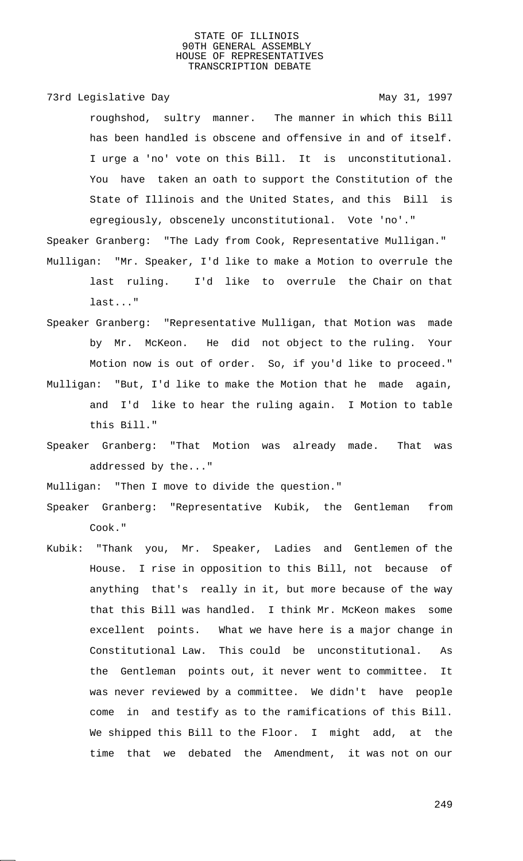73rd Legislative Day 1997 roughshod, sultry manner. The manner in which this Bill has been handled is obscene and offensive in and of itself. I urge a 'no' vote on this Bill. It is unconstitutional. You have taken an oath to support the Constitution of the State of Illinois and the United States, and this Bill is egregiously, obscenely unconstitutional. Vote 'no'."

- Speaker Granberg: "The Lady from Cook, Representative Mulligan." Mulligan: "Mr. Speaker, I'd like to make a Motion to overrule the last ruling. I'd like to overrule the Chair on that last..."
- Speaker Granberg: "Representative Mulligan, that Motion was made by Mr. McKeon. He did not object to the ruling. Your Motion now is out of order. So, if you'd like to proceed." Mulligan: "But, I'd like to make the Motion that he made again,
	- and I'd like to hear the ruling again. I Motion to table this Bill."
- Speaker Granberg: "That Motion was already made. That was addressed by the..."

Mulligan: "Then I move to divide the question."

- Speaker Granberg: "Representative Kubik, the Gentleman from Cook."
- Kubik: "Thank you, Mr. Speaker, Ladies and Gentlemen of the House. I rise in opposition to this Bill, not because of anything that's really in it, but more because of the way that this Bill was handled. I think Mr. McKeon makes some excellent points. What we have here is a major change in Constitutional Law. This could be unconstitutional. As the Gentleman points out, it never went to committee. It was never reviewed by a committee. We didn't have people come in and testify as to the ramifications of this Bill. We shipped this Bill to the Floor. I might add, at the time that we debated the Amendment, it was not on our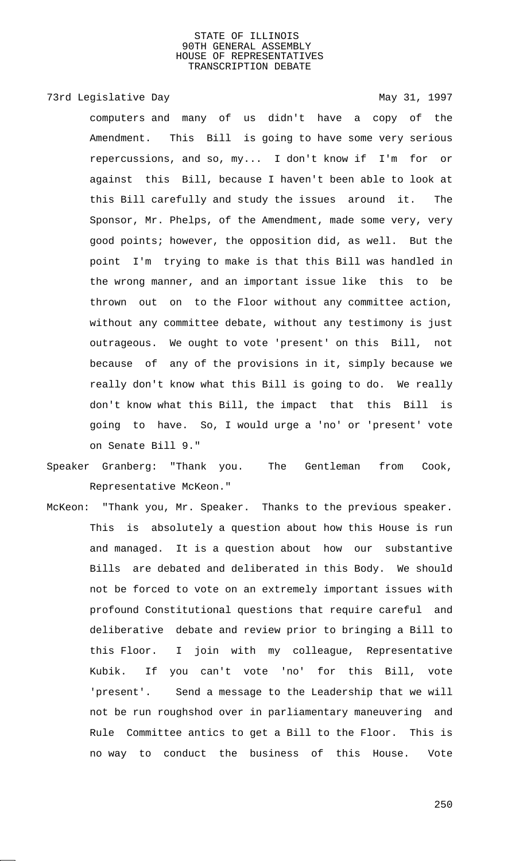73rd Legislative Day 1997

computers and many of us didn't have a copy of the Amendment. This Bill is going to have some very serious repercussions, and so, my... I don't know if I'm for or against this Bill, because I haven't been able to look at this Bill carefully and study the issues around it. The Sponsor, Mr. Phelps, of the Amendment, made some very, very good points; however, the opposition did, as well. But the point I'm trying to make is that this Bill was handled in the wrong manner, and an important issue like this to be thrown out on to the Floor without any committee action, without any committee debate, without any testimony is just outrageous. We ought to vote 'present' on this Bill, not because of any of the provisions in it, simply because we really don't know what this Bill is going to do. We really don't know what this Bill, the impact that this Bill is going to have. So, I would urge a 'no' or 'present' vote on Senate Bill 9."

Speaker Granberg: "Thank you. The Gentleman from Cook, Representative McKeon."

McKeon: "Thank you, Mr. Speaker. Thanks to the previous speaker. This is absolutely a question about how this House is run and managed. It is a question about how our substantive Bills are debated and deliberated in this Body. We should not be forced to vote on an extremely important issues with profound Constitutional questions that require careful and deliberative debate and review prior to bringing a Bill to this Floor. I join with my colleague, Representative Kubik. If you can't vote 'no' for this Bill, vote 'present'. Send a message to the Leadership that we will not be run roughshod over in parliamentary maneuvering and Rule Committee antics to get a Bill to the Floor. This is no way to conduct the business of this House. Vote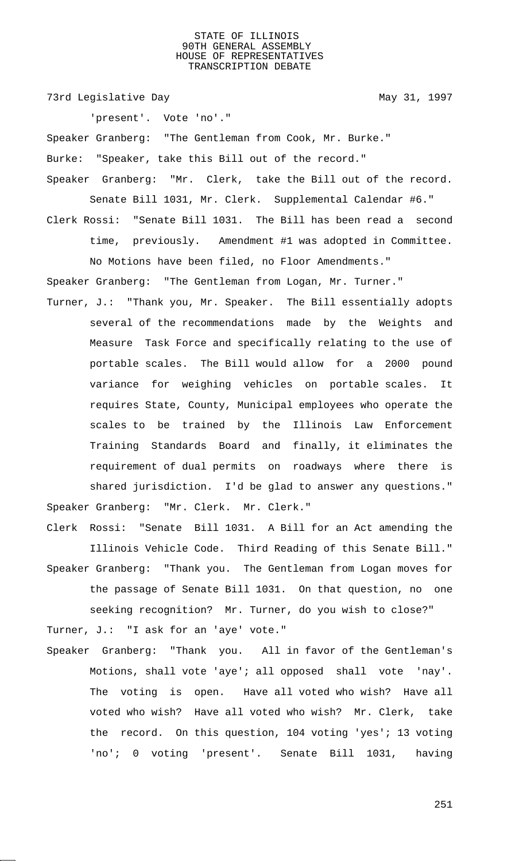73rd Legislative Day 1997

'present'. Vote 'no'."

Speaker Granberg: "The Gentleman from Cook, Mr. Burke." Burke: "Speaker, take this Bill out of the record."

- Speaker Granberg: "Mr. Clerk, take the Bill out of the record. Senate Bill 1031, Mr. Clerk. Supplemental Calendar #6."
- Clerk Rossi: "Senate Bill 1031. The Bill has been read a second time, previously. Amendment #1 was adopted in Committee. No Motions have been filed, no Floor Amendments."

Speaker Granberg: "The Gentleman from Logan, Mr. Turner."

Turner, J.: "Thank you, Mr. Speaker. The Bill essentially adopts several of the recommendations made by the Weights and Measure Task Force and specifically relating to the use of portable scales. The Bill would allow for a 2000 pound variance for weighing vehicles on portable scales. It requires State, County, Municipal employees who operate the scales to be trained by the Illinois Law Enforcement Training Standards Board and finally, it eliminates the requirement of dual permits on roadways where there is shared jurisdiction. I'd be glad to answer any questions." Speaker Granberg: "Mr. Clerk. Mr. Clerk."

Clerk Rossi: "Senate Bill 1031. A Bill for an Act amending the Illinois Vehicle Code. Third Reading of this Senate Bill." Speaker Granberg: "Thank you. The Gentleman from Logan moves for the passage of Senate Bill 1031. On that question, no one seeking recognition? Mr. Turner, do you wish to close?" Turner, J.: "I ask for an 'aye' vote."

Speaker Granberg: "Thank you. All in favor of the Gentleman's Motions, shall vote 'aye'; all opposed shall vote 'nay'. The voting is open. Have all voted who wish? Have all voted who wish? Have all voted who wish? Mr. Clerk, take the record. On this question, 104 voting 'yes'; 13 voting 'no'; 0 voting 'present'. Senate Bill 1031, having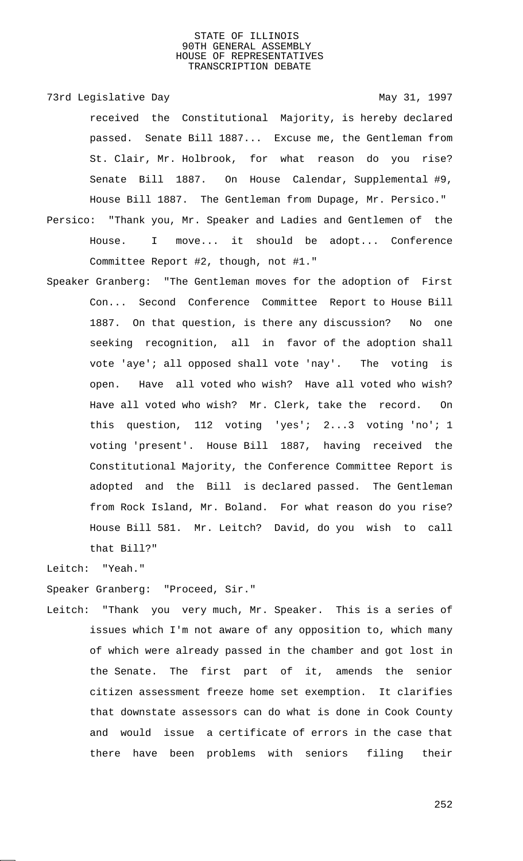73rd Legislative Day 1997

received the Constitutional Majority, is hereby declared passed. Senate Bill 1887... Excuse me, the Gentleman from St. Clair, Mr. Holbrook, for what reason do you rise? Senate Bill 1887. On House Calendar, Supplemental #9, House Bill 1887. The Gentleman from Dupage, Mr. Persico."

Persico: "Thank you, Mr. Speaker and Ladies and Gentlemen of the House. I move... it should be adopt... Conference Committee Report #2, though, not #1."

Speaker Granberg: "The Gentleman moves for the adoption of First Con... Second Conference Committee Report to House Bill 1887. On that question, is there any discussion? No one seeking recognition, all in favor of the adoption shall vote 'aye'; all opposed shall vote 'nay'. The voting is open. Have all voted who wish? Have all voted who wish? Have all voted who wish? Mr. Clerk, take the record. On this question, 112 voting 'yes'; 2...3 voting 'no'; 1 voting 'present'. House Bill 1887, having received the Constitutional Majority, the Conference Committee Report is adopted and the Bill is declared passed. The Gentleman from Rock Island, Mr. Boland. For what reason do you rise? House Bill 581. Mr. Leitch? David, do you wish to call that Bill?"

Leitch: "Yeah."

Speaker Granberg: "Proceed, Sir."

Leitch: "Thank you very much, Mr. Speaker. This is a series of issues which I'm not aware of any opposition to, which many of which were already passed in the chamber and got lost in the Senate. The first part of it, amends the senior citizen assessment freeze home set exemption. It clarifies that downstate assessors can do what is done in Cook County and would issue a certificate of errors in the case that there have been problems with seniors filing their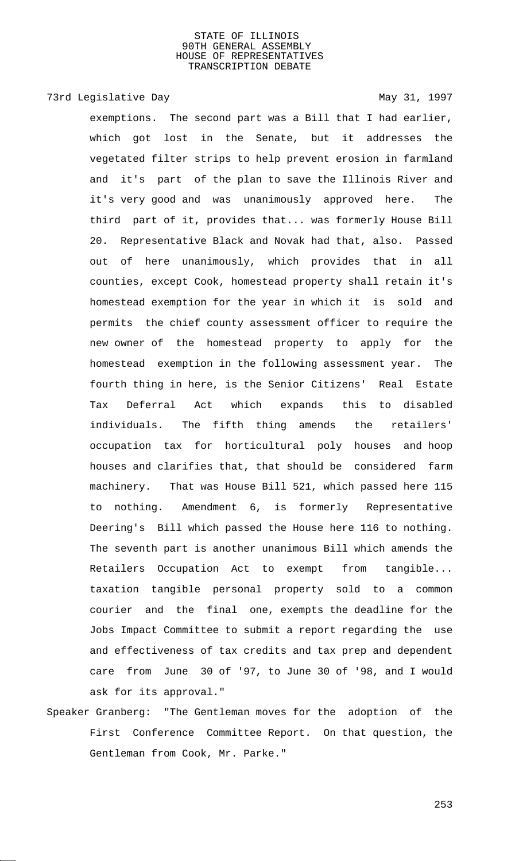73rd Legislative Day 1997

exemptions. The second part was a Bill that I had earlier, which got lost in the Senate, but it addresses the vegetated filter strips to help prevent erosion in farmland and it's part of the plan to save the Illinois River and it's very good and was unanimously approved here. The third part of it, provides that... was formerly House Bill 20. Representative Black and Novak had that, also. Passed out of here unanimously, which provides that in all counties, except Cook, homestead property shall retain it's homestead exemption for the year in which it is sold and permits the chief county assessment officer to require the new owner of the homestead property to apply for the homestead exemption in the following assessment year. The fourth thing in here, is the Senior Citizens' Real Estate Tax Deferral Act which expands this to disabled individuals. The fifth thing amends the retailers' occupation tax for horticultural poly houses and hoop houses and clarifies that, that should be considered farm machinery. That was House Bill 521, which passed here 115 to nothing. Amendment 6, is formerly Representative Deering's Bill which passed the House here 116 to nothing. The seventh part is another unanimous Bill which amends the Retailers Occupation Act to exempt from tangible... taxation tangible personal property sold to a common courier and the final one, exempts the deadline for the Jobs Impact Committee to submit a report regarding the use and effectiveness of tax credits and tax prep and dependent care from June 30 of '97, to June 30 of '98, and I would ask for its approval."

Speaker Granberg: "The Gentleman moves for the adoption of the First Conference Committee Report. On that question, the Gentleman from Cook, Mr. Parke."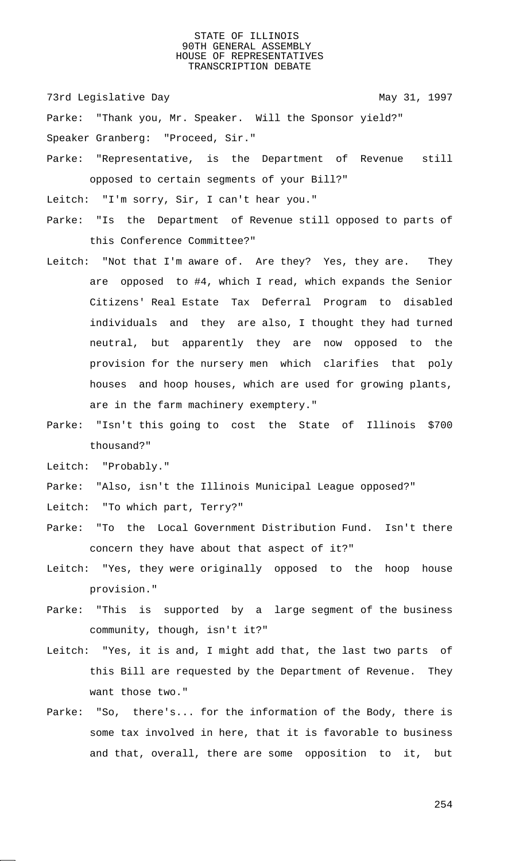73rd Legislative Day 1997

Parke: "Thank you, Mr. Speaker. Will the Sponsor yield?" Speaker Granberg: "Proceed, Sir."

Parke: "Representative, is the Department of Revenue still opposed to certain segments of your Bill?"

Leitch: "I'm sorry, Sir, I can't hear you."

- Parke: "Is the Department of Revenue still opposed to parts of this Conference Committee?"
- Leitch: "Not that I'm aware of. Are they? Yes, they are. They are opposed to #4, which I read, which expands the Senior Citizens' Real Estate Tax Deferral Program to disabled individuals and they are also, I thought they had turned neutral, but apparently they are now opposed to the provision for the nursery men which clarifies that poly houses and hoop houses, which are used for growing plants, are in the farm machinery exemptery."
- Parke: "Isn't this going to cost the State of Illinois \$700 thousand?"

Leitch: "Probably."

- Parke: "Also, isn't the Illinois Municipal League opposed?"
- Leitch: "To which part, Terry?"
- Parke: "To the Local Government Distribution Fund. Isn't there concern they have about that aspect of it?"
- Leitch: "Yes, they were originally opposed to the hoop house provision."
- Parke: "This is supported by a large segment of the business community, though, isn't it?"
- Leitch: "Yes, it is and, I might add that, the last two parts of this Bill are requested by the Department of Revenue. They want those two."
- Parke: "So, there's... for the information of the Body, there is some tax involved in here, that it is favorable to business and that, overall, there are some opposition to it, but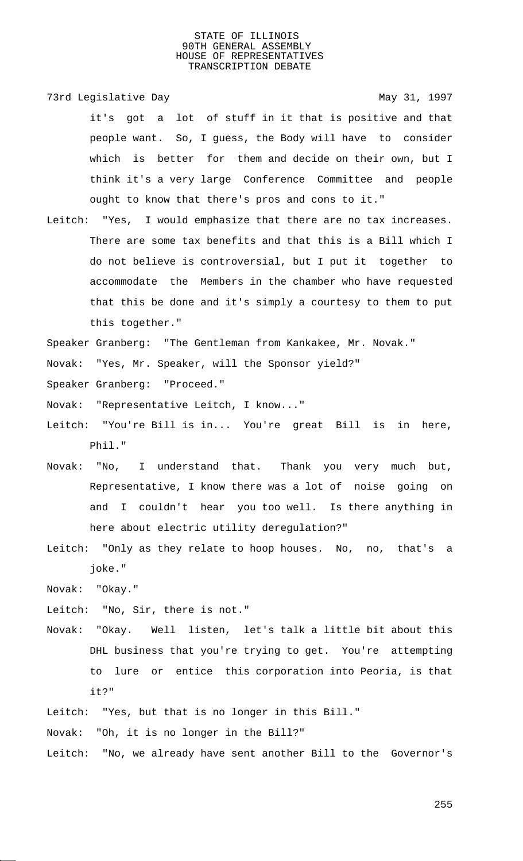73rd Legislative Day 1997

it's got a lot of stuff in it that is positive and that people want. So, I guess, the Body will have to consider which is better for them and decide on their own, but I think it's a very large Conference Committee and people ought to know that there's pros and cons to it."

Leitch: "Yes, I would emphasize that there are no tax increases. There are some tax benefits and that this is a Bill which I do not believe is controversial, but I put it together to accommodate the Members in the chamber who have requested that this be done and it's simply a courtesy to them to put this together."

Speaker Granberg: "The Gentleman from Kankakee, Mr. Novak."

Novak: "Yes, Mr. Speaker, will the Sponsor yield?"

Speaker Granberg: "Proceed."

Novak: "Representative Leitch, I know..."

- Leitch: "You're Bill is in... You're great Bill is in here, Phil."
- Novak: "No, I understand that. Thank you very much but, Representative, I know there was a lot of noise going on and I couldn't hear you too well. Is there anything in here about electric utility deregulation?"
- Leitch: "Only as they relate to hoop houses. No, no, that's a joke."

Novak: "Okay."

Leitch: "No, Sir, there is not."

Novak: "Okay. Well listen, let's talk a little bit about this DHL business that you're trying to get. You're attempting to lure or entice this corporation into Peoria, is that it?"

Leitch: "Yes, but that is no longer in this Bill."

Novak: "Oh, it is no longer in the Bill?"

Leitch: "No, we already have sent another Bill to the Governor's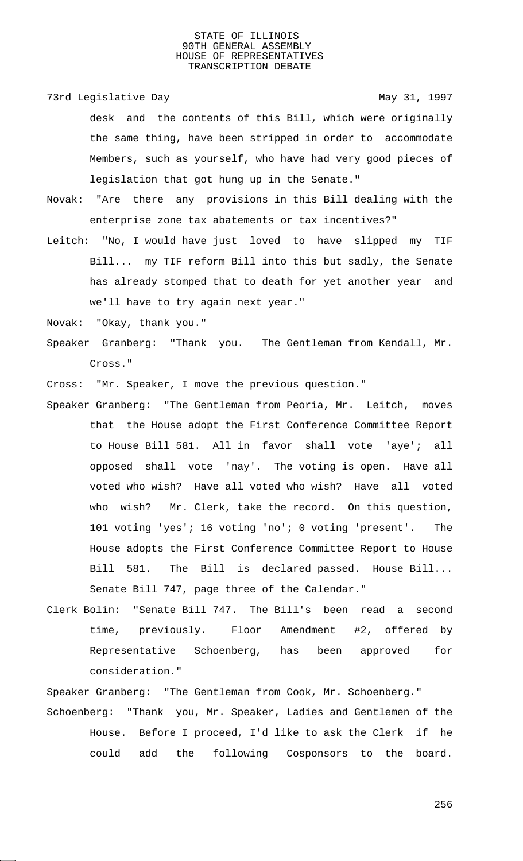73rd Legislative Day 1997

desk and the contents of this Bill, which were originally the same thing, have been stripped in order to accommodate Members, such as yourself, who have had very good pieces of legislation that got hung up in the Senate."

- Novak: "Are there any provisions in this Bill dealing with the enterprise zone tax abatements or tax incentives?"
- Leitch: "No, I would have just loved to have slipped my TIF Bill... my TIF reform Bill into this but sadly, the Senate has already stomped that to death for yet another year and we'll have to try again next year."
- Novak: "Okay, thank you."
- Speaker Granberg: "Thank you. The Gentleman from Kendall, Mr. Cross."
- Cross: "Mr. Speaker, I move the previous question."
- Speaker Granberg: "The Gentleman from Peoria, Mr. Leitch, moves that the House adopt the First Conference Committee Report to House Bill 581. All in favor shall vote 'aye'; all opposed shall vote 'nay'. The voting is open. Have all voted who wish? Have all voted who wish? Have all voted who wish? Mr. Clerk, take the record. On this question, 101 voting 'yes'; 16 voting 'no'; 0 voting 'present'. The House adopts the First Conference Committee Report to House Bill 581. The Bill is declared passed. House Bill... Senate Bill 747, page three of the Calendar."
- Clerk Bolin: "Senate Bill 747. The Bill's been read a second time, previously. Floor Amendment #2, offered by Representative Schoenberg, has been approved for consideration."

Speaker Granberg: "The Gentleman from Cook, Mr. Schoenberg." Schoenberg: "Thank you, Mr. Speaker, Ladies and Gentlemen of the House. Before I proceed, I'd like to ask the Clerk if he could add the following Cosponsors to the board.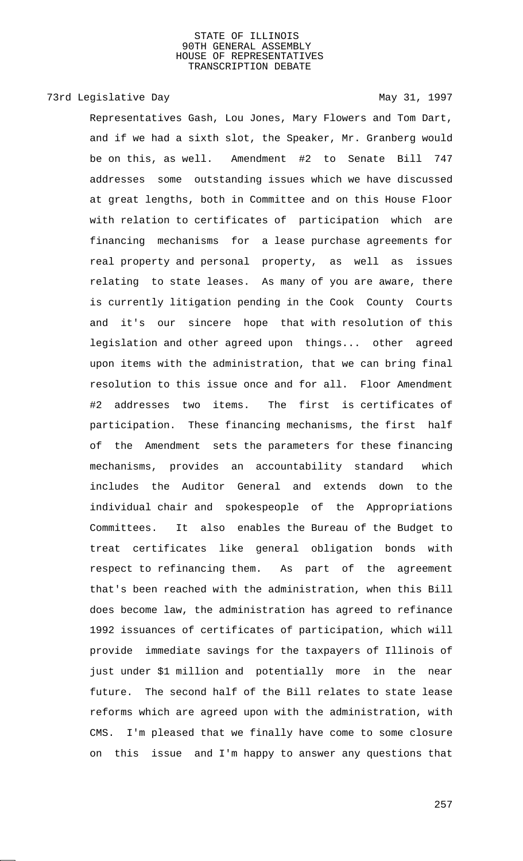## 73rd Legislative Day 1997

Representatives Gash, Lou Jones, Mary Flowers and Tom Dart, and if we had a sixth slot, the Speaker, Mr. Granberg would be on this, as well. Amendment #2 to Senate Bill 747 addresses some outstanding issues which we have discussed at great lengths, both in Committee and on this House Floor with relation to certificates of participation which are financing mechanisms for a lease purchase agreements for real property and personal property, as well as issues relating to state leases. As many of you are aware, there is currently litigation pending in the Cook County Courts and it's our sincere hope that with resolution of this legislation and other agreed upon things... other agreed upon items with the administration, that we can bring final resolution to this issue once and for all. Floor Amendment #2 addresses two items. The first is certificates of participation. These financing mechanisms, the first half of the Amendment sets the parameters for these financing mechanisms, provides an accountability standard which includes the Auditor General and extends down to the individual chair and spokespeople of the Appropriations Committees. It also enables the Bureau of the Budget to treat certificates like general obligation bonds with respect to refinancing them. As part of the agreement that's been reached with the administration, when this Bill does become law, the administration has agreed to refinance 1992 issuances of certificates of participation, which will provide immediate savings for the taxpayers of Illinois of just under \$1 million and potentially more in the near future. The second half of the Bill relates to state lease reforms which are agreed upon with the administration, with CMS. I'm pleased that we finally have come to some closure on this issue and I'm happy to answer any questions that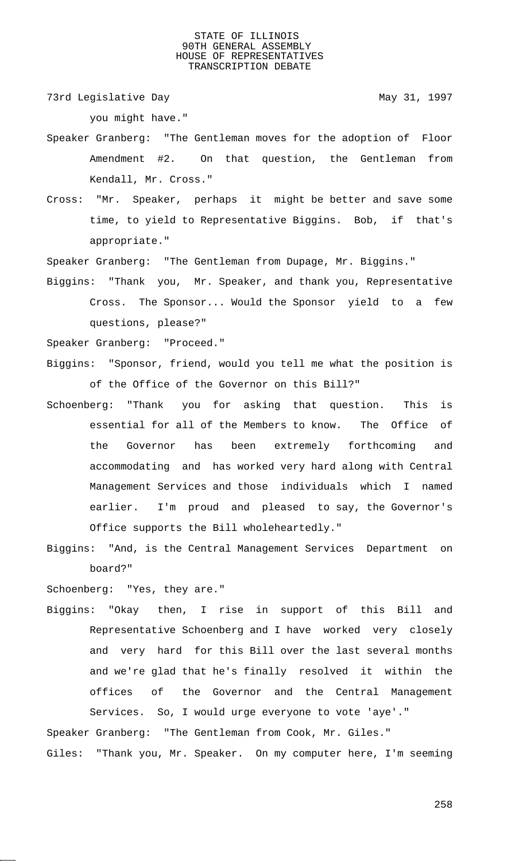73rd Legislative Day 1997

you might have."

- Speaker Granberg: "The Gentleman moves for the adoption of Floor Amendment #2. On that question, the Gentleman from Kendall, Mr. Cross."
- Cross: "Mr. Speaker, perhaps it might be better and save some time, to yield to Representative Biggins. Bob, if that's appropriate."

Speaker Granberg: "The Gentleman from Dupage, Mr. Biggins."

Biggins: "Thank you, Mr. Speaker, and thank you, Representative Cross. The Sponsor... Would the Sponsor yield to a few questions, please?"

Speaker Granberg: "Proceed."

- Biggins: "Sponsor, friend, would you tell me what the position is of the Office of the Governor on this Bill?"
- Schoenberg: "Thank you for asking that question. This is essential for all of the Members to know. The Office of the Governor has been extremely forthcoming and accommodating and has worked very hard along with Central Management Services and those individuals which I named earlier. I'm proud and pleased to say, the Governor's Office supports the Bill wholeheartedly."
- Biggins: "And, is the Central Management Services Department on board?"

Schoenberg: "Yes, they are."

Biggins: "Okay then, I rise in support of this Bill and Representative Schoenberg and I have worked very closely and very hard for this Bill over the last several months and we're glad that he's finally resolved it within the offices of the Governor and the Central Management Services. So, I would urge everyone to vote 'aye'."

Speaker Granberg: "The Gentleman from Cook, Mr. Giles." Giles: "Thank you, Mr. Speaker. On my computer here, I'm seeming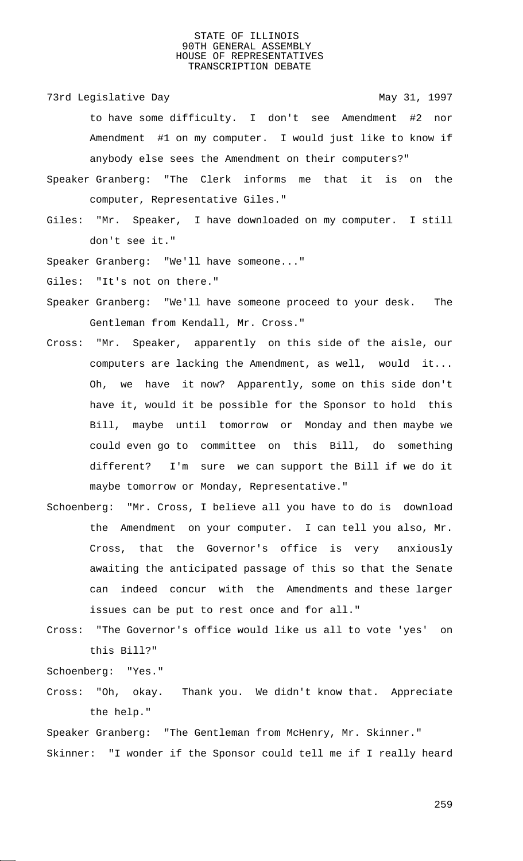73rd Legislative Day 1997

- to have some difficulty. I don't see Amendment #2 nor Amendment #1 on my computer. I would just like to know if anybody else sees the Amendment on their computers?"
- Speaker Granberg: "The Clerk informs me that it is on the computer, Representative Giles."
- Giles: "Mr. Speaker, I have downloaded on my computer. I still don't see it."
- Speaker Granberg: "We'll have someone..."

Giles: "It's not on there."

- Speaker Granberg: "We'll have someone proceed to your desk. The Gentleman from Kendall, Mr. Cross."
- Cross: "Mr. Speaker, apparently on this side of the aisle, our computers are lacking the Amendment, as well, would it... Oh, we have it now? Apparently, some on this side don't have it, would it be possible for the Sponsor to hold this Bill, maybe until tomorrow or Monday and then maybe we could even go to committee on this Bill, do something different? I'm sure we can support the Bill if we do it maybe tomorrow or Monday, Representative."
- Schoenberg: "Mr. Cross, I believe all you have to do is download the Amendment on your computer. I can tell you also, Mr. Cross, that the Governor's office is very anxiously awaiting the anticipated passage of this so that the Senate can indeed concur with the Amendments and these larger issues can be put to rest once and for all."
- Cross: "The Governor's office would like us all to vote 'yes' on this Bill?"

Schoenberg: "Yes."

Cross: "Oh, okay. Thank you. We didn't know that. Appreciate the help."

Speaker Granberg: "The Gentleman from McHenry, Mr. Skinner." Skinner: "I wonder if the Sponsor could tell me if I really heard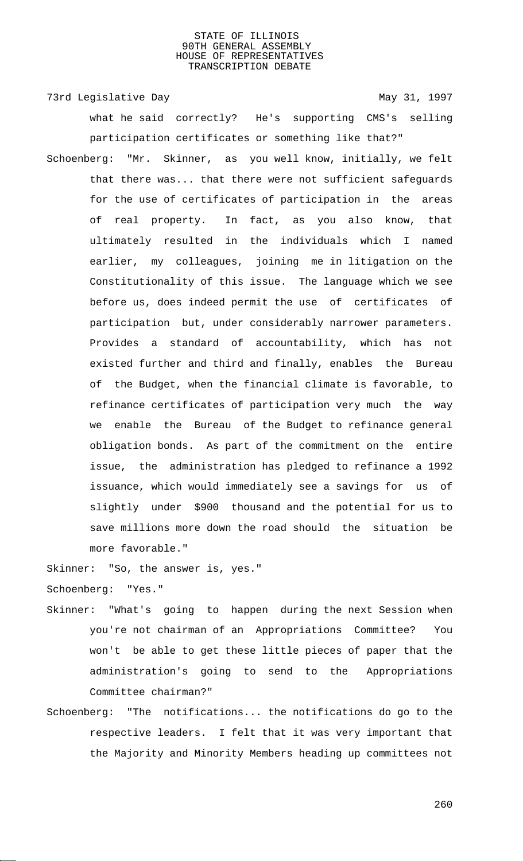73rd Legislative Day 1997

what he said correctly? He's supporting CMS's selling participation certificates or something like that?"

Schoenberg: "Mr. Skinner, as you well know, initially, we felt that there was... that there were not sufficient safeguards for the use of certificates of participation in the areas of real property. In fact, as you also know, that ultimately resulted in the individuals which I named earlier, my colleagues, joining me in litigation on the Constitutionality of this issue. The language which we see before us, does indeed permit the use of certificates of participation but, under considerably narrower parameters. Provides a standard of accountability, which has not existed further and third and finally, enables the Bureau of the Budget, when the financial climate is favorable, to refinance certificates of participation very much the way we enable the Bureau of the Budget to refinance general obligation bonds. As part of the commitment on the entire issue, the administration has pledged to refinance a 1992 issuance, which would immediately see a savings for us of slightly under \$900 thousand and the potential for us to save millions more down the road should the situation be more favorable."

Skinner: "So, the answer is, yes."

Schoenberg: "Yes."

- Skinner: "What's going to happen during the next Session when you're not chairman of an Appropriations Committee? You won't be able to get these little pieces of paper that the administration's going to send to the Appropriations Committee chairman?"
- Schoenberg: "The notifications... the notifications do go to the respective leaders. I felt that it was very important that the Majority and Minority Members heading up committees not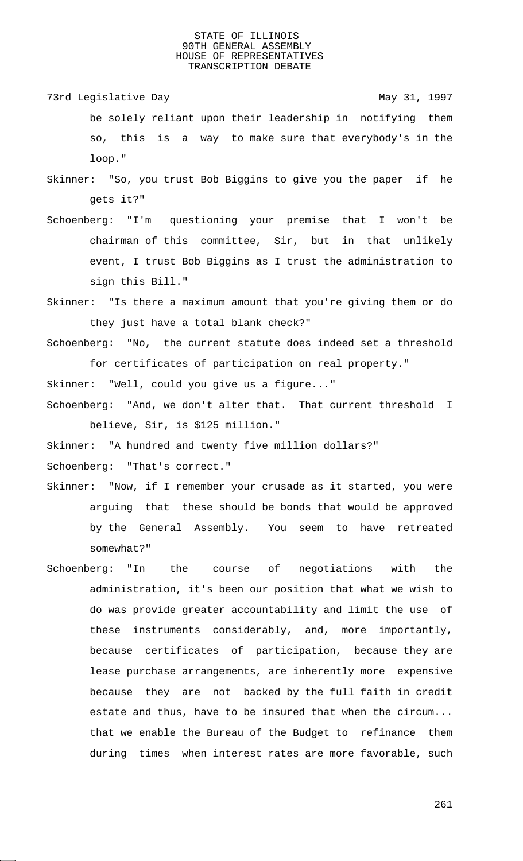- 73rd Legislative Day 1997 be solely reliant upon their leadership in notifying them so, this is a way to make sure that everybody's in the loop."
- Skinner: "So, you trust Bob Biggins to give you the paper if he gets it?"
- Schoenberg: "I'm questioning your premise that I won't be chairman of this committee, Sir, but in that unlikely event, I trust Bob Biggins as I trust the administration to sign this Bill."
- Skinner: "Is there a maximum amount that you're giving them or do they just have a total blank check?"
- Schoenberg: "No, the current statute does indeed set a threshold for certificates of participation on real property."
- Skinner: "Well, could you give us a figure..."
- Schoenberg: "And, we don't alter that. That current threshold I believe, Sir, is \$125 million."
- Skinner: "A hundred and twenty five million dollars?"

Schoenberg: "That's correct."

- Skinner: "Now, if I remember your crusade as it started, you were arguing that these should be bonds that would be approved by the General Assembly. You seem to have retreated somewhat?"
- Schoenberg: "In the course of negotiations with the administration, it's been our position that what we wish to do was provide greater accountability and limit the use of these instruments considerably, and, more importantly, because certificates of participation, because they are lease purchase arrangements, are inherently more expensive because they are not backed by the full faith in credit estate and thus, have to be insured that when the circum... that we enable the Bureau of the Budget to refinance them during times when interest rates are more favorable, such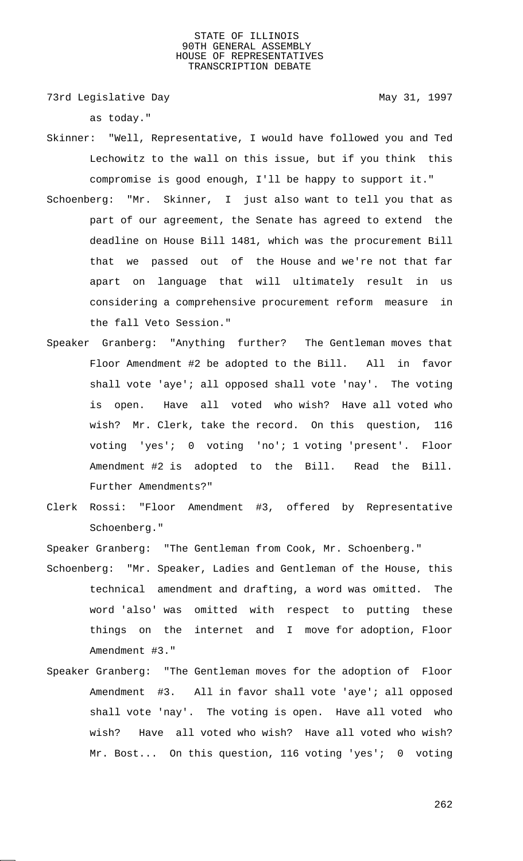73rd Legislative Day 1997

as today."

- Skinner: "Well, Representative, I would have followed you and Ted Lechowitz to the wall on this issue, but if you think this compromise is good enough, I'll be happy to support it."
- Schoenberg: "Mr. Skinner, I just also want to tell you that as part of our agreement, the Senate has agreed to extend the deadline on House Bill 1481, which was the procurement Bill that we passed out of the House and we're not that far apart on language that will ultimately result in us considering a comprehensive procurement reform measure in the fall Veto Session."
- Speaker Granberg: "Anything further? The Gentleman moves that Floor Amendment #2 be adopted to the Bill. All in favor shall vote 'aye'; all opposed shall vote 'nay'. The voting is open. Have all voted who wish? Have all voted who wish? Mr. Clerk, take the record. On this question, 116 voting 'yes'; 0 voting 'no'; 1 voting 'present'. Floor Amendment #2 is adopted to the Bill. Read the Bill. Further Amendments?"
- Clerk Rossi: "Floor Amendment #3, offered by Representative Schoenberg."

Speaker Granberg: "The Gentleman from Cook, Mr. Schoenberg."

- Schoenberg: "Mr. Speaker, Ladies and Gentleman of the House, this technical amendment and drafting, a word was omitted. The word 'also' was omitted with respect to putting these things on the internet and I move for adoption, Floor Amendment #3."
- Speaker Granberg: "The Gentleman moves for the adoption of Floor Amendment #3. All in favor shall vote 'aye'; all opposed shall vote 'nay'. The voting is open. Have all voted who wish? Have all voted who wish? Have all voted who wish? Mr. Bost... On this question, 116 voting 'yes'; 0 voting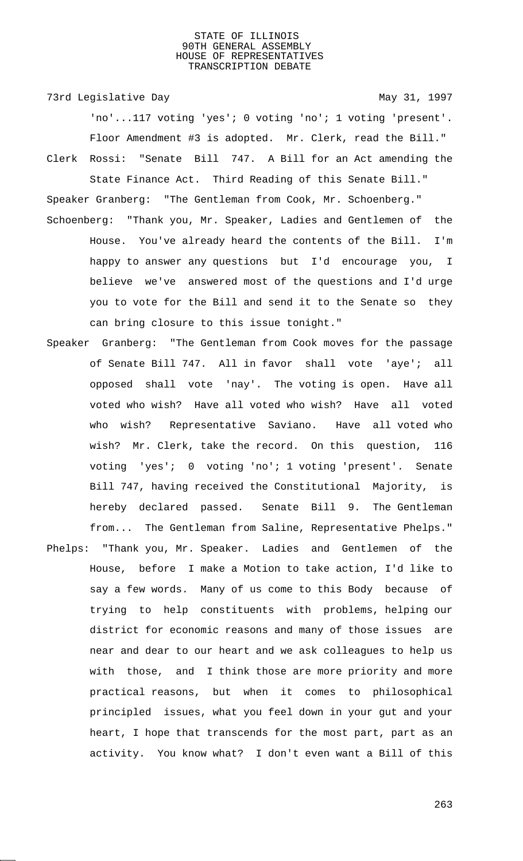73rd Legislative Day 1997

'no'...117 voting 'yes'; 0 voting 'no'; 1 voting 'present'. Floor Amendment #3 is adopted. Mr. Clerk, read the Bill." Clerk Rossi: "Senate Bill 747. A Bill for an Act amending the State Finance Act. Third Reading of this Senate Bill."

- Speaker Granberg: "The Gentleman from Cook, Mr. Schoenberg." Schoenberg: "Thank you, Mr. Speaker, Ladies and Gentlemen of the House. You've already heard the contents of the Bill. I'm happy to answer any questions but I'd encourage you, I believe we've answered most of the questions and I'd urge you to vote for the Bill and send it to the Senate so they can bring closure to this issue tonight."
- Speaker Granberg: "The Gentleman from Cook moves for the passage of Senate Bill 747. All in favor shall vote 'aye'; all opposed shall vote 'nay'. The voting is open. Have all voted who wish? Have all voted who wish? Have all voted who wish? Representative Saviano. Have all voted who wish? Mr. Clerk, take the record. On this question, 116 voting 'yes'; 0 voting 'no'; 1 voting 'present'. Senate Bill 747, having received the Constitutional Majority, is hereby declared passed. Senate Bill 9. The Gentleman from... The Gentleman from Saline, Representative Phelps."
- Phelps: "Thank you, Mr. Speaker. Ladies and Gentlemen of the House, before I make a Motion to take action, I'd like to say a few words. Many of us come to this Body because of trying to help constituents with problems, helping our district for economic reasons and many of those issues are near and dear to our heart and we ask colleagues to help us with those, and I think those are more priority and more practical reasons, but when it comes to philosophical principled issues, what you feel down in your gut and your heart, I hope that transcends for the most part, part as an activity. You know what? I don't even want a Bill of this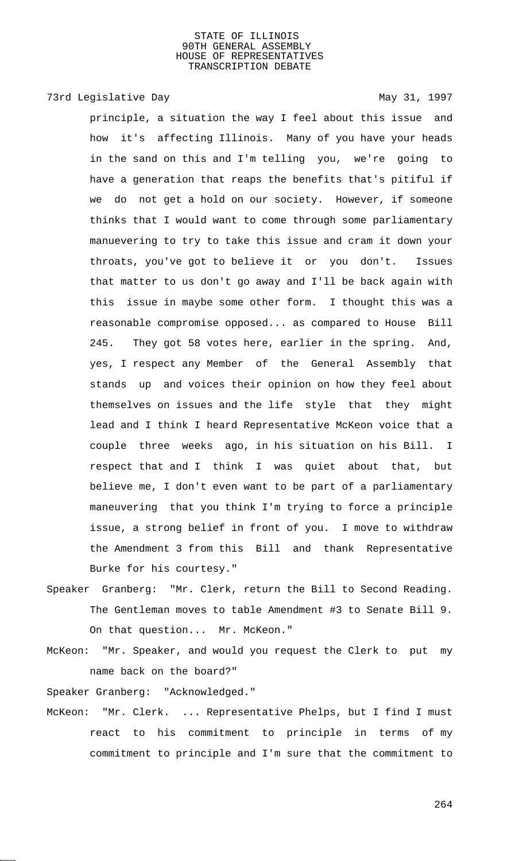## 73rd Legislative Day 1997

principle, a situation the way I feel about this issue and how it's affecting Illinois. Many of you have your heads in the sand on this and I'm telling you, we're going to have a generation that reaps the benefits that's pitiful if we do not get a hold on our society. However, if someone thinks that I would want to come through some parliamentary manuevering to try to take this issue and cram it down your throats, you've got to believe it or you don't. Issues that matter to us don't go away and I'll be back again with this issue in maybe some other form. I thought this was a reasonable compromise opposed... as compared to House Bill 245. They got 58 votes here, earlier in the spring. And, yes, I respect any Member of the General Assembly that stands up and voices their opinion on how they feel about themselves on issues and the life style that they might lead and I think I heard Representative McKeon voice that a couple three weeks ago, in his situation on his Bill. I respect that and I think I was quiet about that, but believe me, I don't even want to be part of a parliamentary maneuvering that you think I'm trying to force a principle issue, a strong belief in front of you. I move to withdraw the Amendment 3 from this Bill and thank Representative Burke for his courtesy."

- Speaker Granberg: "Mr. Clerk, return the Bill to Second Reading. The Gentleman moves to table Amendment #3 to Senate Bill 9. On that question... Mr. McKeon."
- McKeon: "Mr. Speaker, and would you request the Clerk to put my name back on the board?"

Speaker Granberg: "Acknowledged."

McKeon: "Mr. Clerk. ... Representative Phelps, but I find I must react to his commitment to principle in terms of my commitment to principle and I'm sure that the commitment to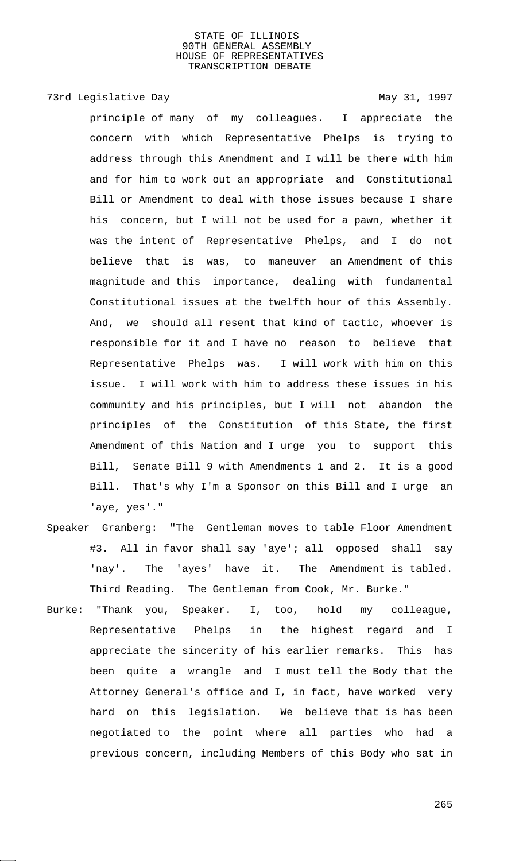# 73rd Legislative Day 1997

principle of many of my colleagues. I appreciate the concern with which Representative Phelps is trying to address through this Amendment and I will be there with him and for him to work out an appropriate and Constitutional Bill or Amendment to deal with those issues because I share his concern, but I will not be used for a pawn, whether it was the intent of Representative Phelps, and I do not believe that is was, to maneuver an Amendment of this magnitude and this importance, dealing with fundamental Constitutional issues at the twelfth hour of this Assembly. And, we should all resent that kind of tactic, whoever is responsible for it and I have no reason to believe that Representative Phelps was. I will work with him on this issue. I will work with him to address these issues in his community and his principles, but I will not abandon the principles of the Constitution of this State, the first Amendment of this Nation and I urge you to support this Bill, Senate Bill 9 with Amendments 1 and 2. It is a good Bill. That's why I'm a Sponsor on this Bill and I urge an 'aye, yes'."

- Speaker Granberg: "The Gentleman moves to table Floor Amendment #3. All in favor shall say 'aye'; all opposed shall say 'nay'. The 'ayes' have it. The Amendment is tabled. Third Reading. The Gentleman from Cook, Mr. Burke."
- Burke: "Thank you, Speaker. I, too, hold my colleague, Representative Phelps in the highest regard and I appreciate the sincerity of his earlier remarks. This has been quite a wrangle and I must tell the Body that the Attorney General's office and I, in fact, have worked very hard on this legislation. We believe that is has been negotiated to the point where all parties who had a previous concern, including Members of this Body who sat in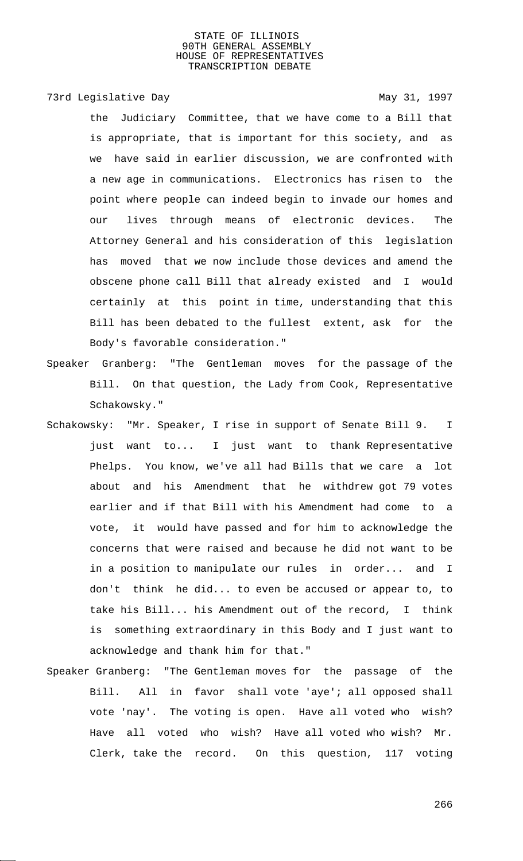73rd Legislative Day 1997

the Judiciary Committee, that we have come to a Bill that is appropriate, that is important for this society, and as we have said in earlier discussion, we are confronted with a new age in communications. Electronics has risen to the point where people can indeed begin to invade our homes and our lives through means of electronic devices. The Attorney General and his consideration of this legislation has moved that we now include those devices and amend the obscene phone call Bill that already existed and I would certainly at this point in time, understanding that this Bill has been debated to the fullest extent, ask for the Body's favorable consideration."

- Speaker Granberg: "The Gentleman moves for the passage of the Bill. On that question, the Lady from Cook, Representative Schakowsky."
- Schakowsky: "Mr. Speaker, I rise in support of Senate Bill 9. I just want to... I just want to thank Representative Phelps. You know, we've all had Bills that we care a lot about and his Amendment that he withdrew got 79 votes earlier and if that Bill with his Amendment had come to a vote, it would have passed and for him to acknowledge the concerns that were raised and because he did not want to be in a position to manipulate our rules in order... and I don't think he did... to even be accused or appear to, to take his Bill... his Amendment out of the record, I think is something extraordinary in this Body and I just want to acknowledge and thank him for that."
- Speaker Granberg: "The Gentleman moves for the passage of the Bill. All in favor shall vote 'aye'; all opposed shall vote 'nay'. The voting is open. Have all voted who wish? Have all voted who wish? Have all voted who wish? Mr. Clerk, take the record. On this question, 117 voting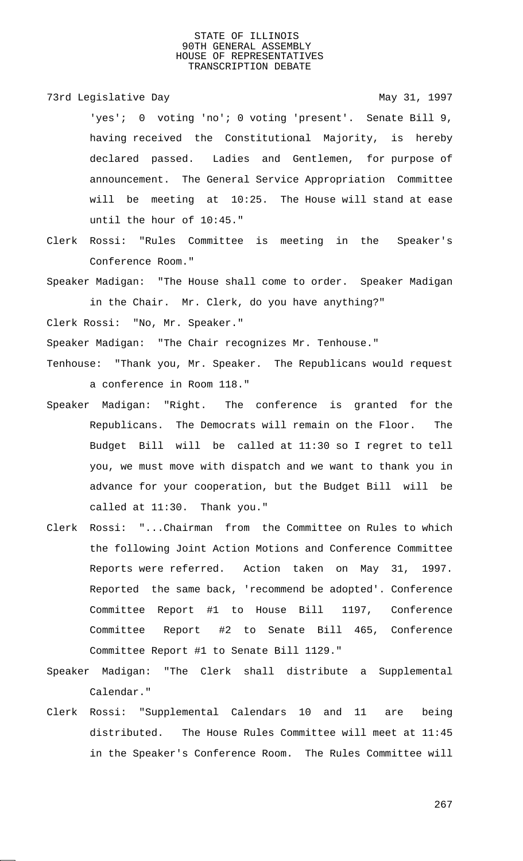73rd Legislative Day 1997

'yes'; 0 voting 'no'; 0 voting 'present'. Senate Bill 9, having received the Constitutional Majority, is hereby declared passed. Ladies and Gentlemen, for purpose of announcement. The General Service Appropriation Committee will be meeting at 10:25. The House will stand at ease until the hour of 10:45."

Clerk Rossi: "Rules Committee is meeting in the Speaker's Conference Room."

Speaker Madigan: "The House shall come to order. Speaker Madigan in the Chair. Mr. Clerk, do you have anything?"

Clerk Rossi: "No, Mr. Speaker."

Speaker Madigan: "The Chair recognizes Mr. Tenhouse."

- Tenhouse: "Thank you, Mr. Speaker. The Republicans would request a conference in Room 118."
- Speaker Madigan: "Right. The conference is granted for the Republicans. The Democrats will remain on the Floor. The Budget Bill will be called at 11:30 so I regret to tell you, we must move with dispatch and we want to thank you in advance for your cooperation, but the Budget Bill will be called at 11:30. Thank you."
- Clerk Rossi: "...Chairman from the Committee on Rules to which the following Joint Action Motions and Conference Committee Reports were referred. Action taken on May 31, 1997. Reported the same back, 'recommend be adopted'. Conference Committee Report #1 to House Bill 1197, Conference Committee Report #2 to Senate Bill 465, Conference Committee Report #1 to Senate Bill 1129."
- Speaker Madigan: "The Clerk shall distribute a Supplemental Calendar."
- Clerk Rossi: "Supplemental Calendars 10 and 11 are being distributed. The House Rules Committee will meet at 11:45 in the Speaker's Conference Room. The Rules Committee will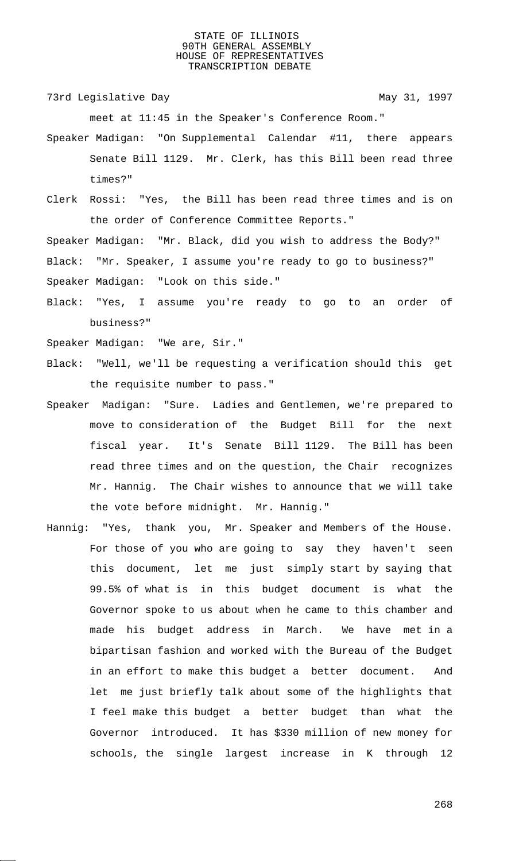73rd Legislative Day 1997

meet at 11:45 in the Speaker's Conference Room."

- Speaker Madigan: "On Supplemental Calendar #11, there appears Senate Bill 1129. Mr. Clerk, has this Bill been read three times?"
- Clerk Rossi: "Yes, the Bill has been read three times and is on the order of Conference Committee Reports."

Speaker Madigan: "Mr. Black, did you wish to address the Body?" Black: "Mr. Speaker, I assume you're ready to go to business?" Speaker Madigan: "Look on this side."

Black: "Yes, I assume you're ready to go to an order of business?"

Speaker Madigan: "We are, Sir."

- Black: "Well, we'll be requesting a verification should this get the requisite number to pass."
- Speaker Madigan: "Sure. Ladies and Gentlemen, we're prepared to move to consideration of the Budget Bill for the next fiscal year. It's Senate Bill 1129. The Bill has been read three times and on the question, the Chair recognizes Mr. Hannig. The Chair wishes to announce that we will take the vote before midnight. Mr. Hannig."
- Hannig: "Yes, thank you, Mr. Speaker and Members of the House. For those of you who are going to say they haven't seen this document, let me just simply start by saying that 99.5% of what is in this budget document is what the Governor spoke to us about when he came to this chamber and made his budget address in March. We have met in a bipartisan fashion and worked with the Bureau of the Budget in an effort to make this budget a better document. And let me just briefly talk about some of the highlights that I feel make this budget a better budget than what the Governor introduced. It has \$330 million of new money for schools, the single largest increase in K through 12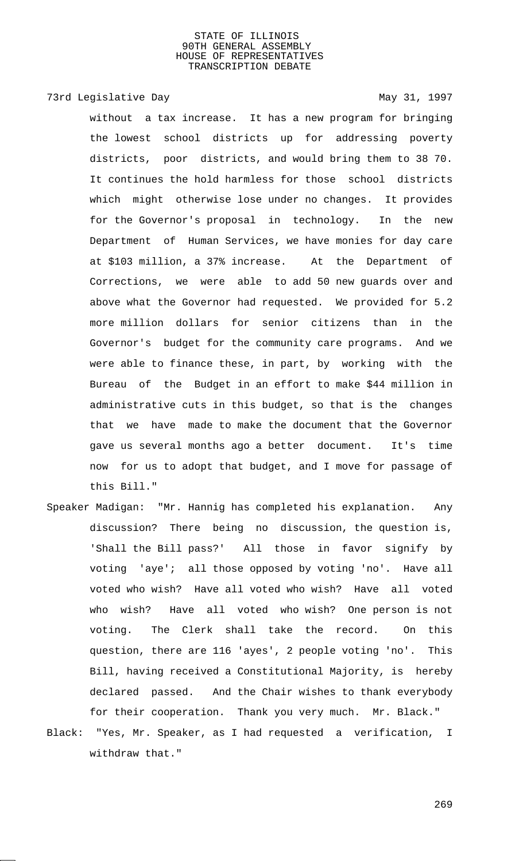# 73rd Legislative Day 1997

without a tax increase. It has a new program for bringing the lowest school districts up for addressing poverty districts, poor districts, and would bring them to 38 70. It continues the hold harmless for those school districts which might otherwise lose under no changes. It provides for the Governor's proposal in technology. In the new Department of Human Services, we have monies for day care at \$103 million, a 37% increase. At the Department of Corrections, we were able to add 50 new guards over and above what the Governor had requested. We provided for 5.2 more million dollars for senior citizens than in the Governor's budget for the community care programs. And we were able to finance these, in part, by working with the Bureau of the Budget in an effort to make \$44 million in administrative cuts in this budget, so that is the changes that we have made to make the document that the Governor gave us several months ago a better document. It's time now for us to adopt that budget, and I move for passage of this Bill."

- Speaker Madigan: "Mr. Hannig has completed his explanation. Any discussion? There being no discussion, the question is, 'Shall the Bill pass?' All those in favor signify by voting 'aye'; all those opposed by voting 'no'. Have all voted who wish? Have all voted who wish? Have all voted who wish? Have all voted who wish? One person is not voting. The Clerk shall take the record. On this question, there are 116 'ayes', 2 people voting 'no'. This Bill, having received a Constitutional Majority, is hereby declared passed. And the Chair wishes to thank everybody for their cooperation. Thank you very much. Mr. Black."
- Black: "Yes, Mr. Speaker, as I had requested a verification, I withdraw that."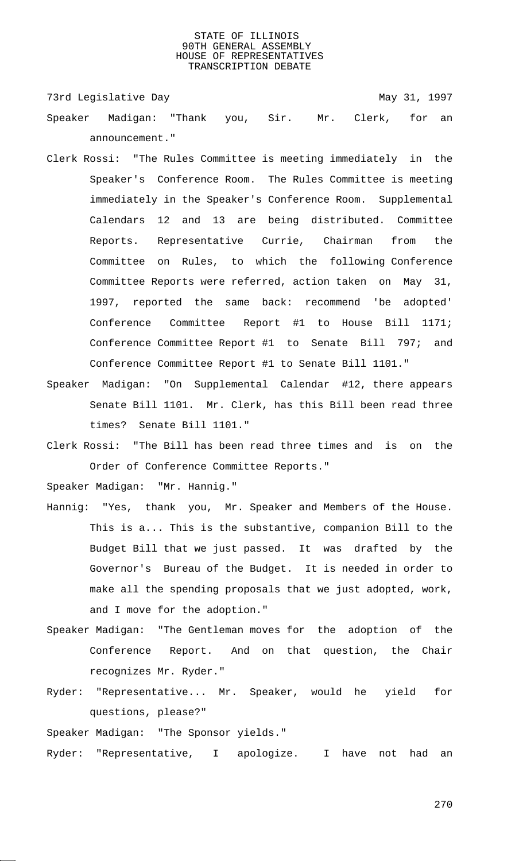73rd Legislative Day 1997

- Speaker Madigan: "Thank you, Sir. Mr. Clerk, for an announcement."
- Clerk Rossi: "The Rules Committee is meeting immediately in the Speaker's Conference Room. The Rules Committee is meeting immediately in the Speaker's Conference Room. Supplemental Calendars 12 and 13 are being distributed. Committee Reports. Representative Currie, Chairman from the Committee on Rules, to which the following Conference Committee Reports were referred, action taken on May 31, 1997, reported the same back: recommend 'be adopted' Conference Committee Report #1 to House Bill 1171; Conference Committee Report #1 to Senate Bill 797; and Conference Committee Report #1 to Senate Bill 1101."
- Speaker Madigan: "On Supplemental Calendar #12, there appears Senate Bill 1101. Mr. Clerk, has this Bill been read three times? Senate Bill 1101."
- Clerk Rossi: "The Bill has been read three times and is on the Order of Conference Committee Reports."

Speaker Madigan: "Mr. Hannig."

- Hannig: "Yes, thank you, Mr. Speaker and Members of the House. This is a... This is the substantive, companion Bill to the Budget Bill that we just passed. It was drafted by the Governor's Bureau of the Budget. It is needed in order to make all the spending proposals that we just adopted, work, and I move for the adoption."
- Speaker Madigan: "The Gentleman moves for the adoption of the Conference Report. And on that question, the Chair recognizes Mr. Ryder."
- Ryder: "Representative... Mr. Speaker, would he yield for questions, please?"

Speaker Madigan: "The Sponsor yields."

Ryder: "Representative, I apologize. I have not had an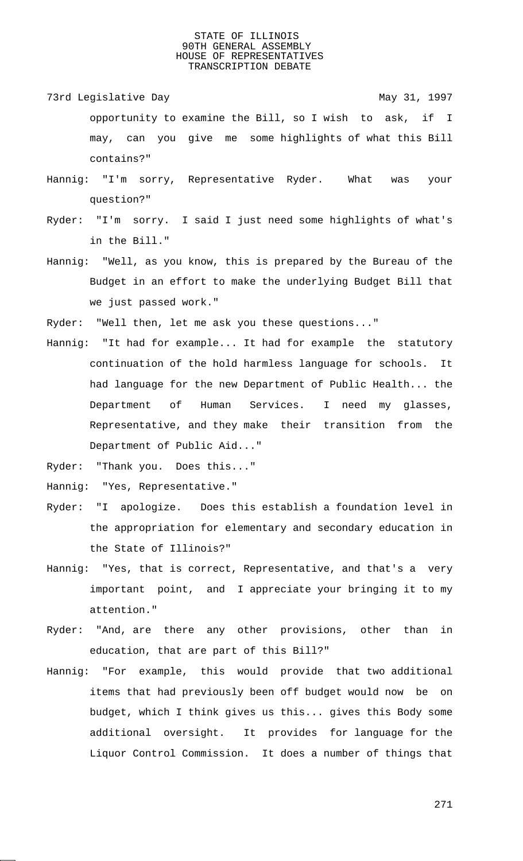- 73rd Legislative Day 1997 opportunity to examine the Bill, so I wish to ask, if I may, can you give me some highlights of what this Bill contains?"
- Hannig: "I'm sorry, Representative Ryder. What was your question?"
- Ryder: "I'm sorry. I said I just need some highlights of what's in the Bill."
- Hannig: "Well, as you know, this is prepared by the Bureau of the Budget in an effort to make the underlying Budget Bill that we just passed work."
- Ryder: "Well then, let me ask you these questions..."
- Hannig: "It had for example... It had for example the statutory continuation of the hold harmless language for schools. It had language for the new Department of Public Health... the Department of Human Services. I need my glasses, Representative, and they make their transition from the Department of Public Aid..."

Ryder: "Thank you. Does this..."

Hannig: "Yes, Representative."

- Ryder: "I apologize. Does this establish a foundation level in the appropriation for elementary and secondary education in the State of Illinois?"
- Hannig: "Yes, that is correct, Representative, and that's a very important point, and I appreciate your bringing it to my attention."
- Ryder: "And, are there any other provisions, other than in education, that are part of this Bill?"
- Hannig: "For example, this would provide that two additional items that had previously been off budget would now be on budget, which I think gives us this... gives this Body some additional oversight. It provides for language for the Liquor Control Commission. It does a number of things that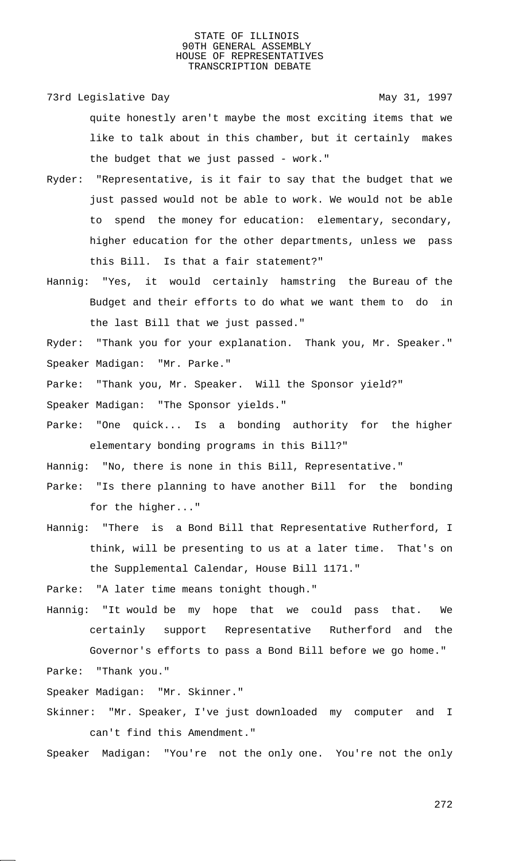73rd Legislative Day 1997

quite honestly aren't maybe the most exciting items that we like to talk about in this chamber, but it certainly makes the budget that we just passed - work."

- Ryder: "Representative, is it fair to say that the budget that we just passed would not be able to work. We would not be able to spend the money for education: elementary, secondary, higher education for the other departments, unless we pass this Bill. Is that a fair statement?"
- Hannig: "Yes, it would certainly hamstring the Bureau of the Budget and their efforts to do what we want them to do in the last Bill that we just passed."

Ryder: "Thank you for your explanation. Thank you, Mr. Speaker." Speaker Madigan: "Mr. Parke."

Parke: "Thank you, Mr. Speaker. Will the Sponsor yield?"

Speaker Madigan: "The Sponsor yields."

Parke: "One quick... Is a bonding authority for the higher elementary bonding programs in this Bill?"

Hannig: "No, there is none in this Bill, Representative."

- Parke: "Is there planning to have another Bill for the bonding for the higher..."
- Hannig: "There is a Bond Bill that Representative Rutherford, I think, will be presenting to us at a later time. That's on the Supplemental Calendar, House Bill 1171."

Parke: "A later time means tonight though."

Hannig: "It would be my hope that we could pass that. We certainly support Representative Rutherford and the Governor's efforts to pass a Bond Bill before we go home." Parke: "Thank you."

Speaker Madigan: "Mr. Skinner."

Skinner: "Mr. Speaker, I've just downloaded my computer and I can't find this Amendment."

Speaker Madigan: "You're not the only one. You're not the only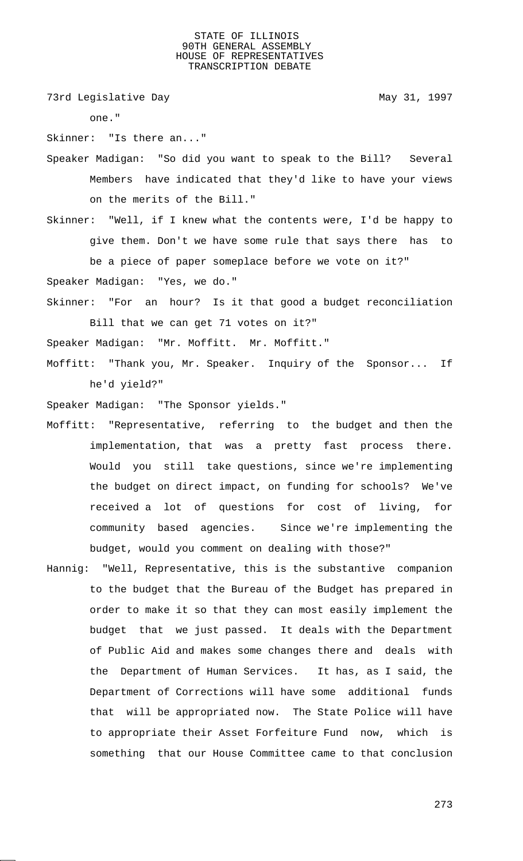73rd Legislative Day 1997

one."

Skinner: "Is there an..."

Speaker Madigan: "So did you want to speak to the Bill? Several Members have indicated that they'd like to have your views on the merits of the Bill."

Skinner: "Well, if I knew what the contents were, I'd be happy to give them. Don't we have some rule that says there has to be a piece of paper someplace before we vote on it?"

Speaker Madigan: "Yes, we do."

Skinner: "For an hour? Is it that good a budget reconciliation Bill that we can get 71 votes on it?"

Speaker Madigan: "Mr. Moffitt. Mr. Moffitt."

Moffitt: "Thank you, Mr. Speaker. Inquiry of the Sponsor... If he'd yield?"

Speaker Madigan: "The Sponsor yields."

- Moffitt: "Representative, referring to the budget and then the implementation, that was a pretty fast process there. Would you still take questions, since we're implementing the budget on direct impact, on funding for schools? We've received a lot of questions for cost of living, for community based agencies. Since we're implementing the budget, would you comment on dealing with those?"
- Hannig: "Well, Representative, this is the substantive companion to the budget that the Bureau of the Budget has prepared in order to make it so that they can most easily implement the budget that we just passed. It deals with the Department of Public Aid and makes some changes there and deals with the Department of Human Services. It has, as I said, the Department of Corrections will have some additional funds that will be appropriated now. The State Police will have to appropriate their Asset Forfeiture Fund now, which is something that our House Committee came to that conclusion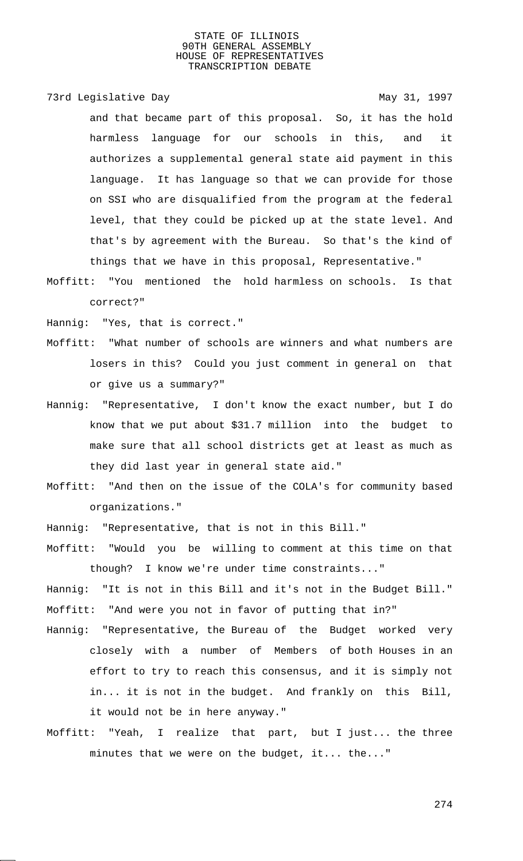73rd Legislative Day 1997

and that became part of this proposal. So, it has the hold harmless language for our schools in this, and it authorizes a supplemental general state aid payment in this language. It has language so that we can provide for those on SSI who are disqualified from the program at the federal level, that they could be picked up at the state level. And that's by agreement with the Bureau. So that's the kind of things that we have in this proposal, Representative."

Moffitt: "You mentioned the hold harmless on schools. Is that correct?"

Hannig: "Yes, that is correct."

- Moffitt: "What number of schools are winners and what numbers are losers in this? Could you just comment in general on that or give us a summary?"
- Hannig: "Representative, I don't know the exact number, but I do know that we put about \$31.7 million into the budget to make sure that all school districts get at least as much as they did last year in general state aid."
- Moffitt: "And then on the issue of the COLA's for community based organizations."
- Hannig: "Representative, that is not in this Bill."
- Moffitt: "Would you be willing to comment at this time on that though? I know we're under time constraints..."
- Hannig: "It is not in this Bill and it's not in the Budget Bill." Moffitt: "And were you not in favor of putting that in?"
- Hannig: "Representative, the Bureau of the Budget worked very closely with a number of Members of both Houses in an effort to try to reach this consensus, and it is simply not in... it is not in the budget. And frankly on this Bill, it would not be in here anyway."
- Moffitt: "Yeah, I realize that part, but I just... the three minutes that we were on the budget, it... the..."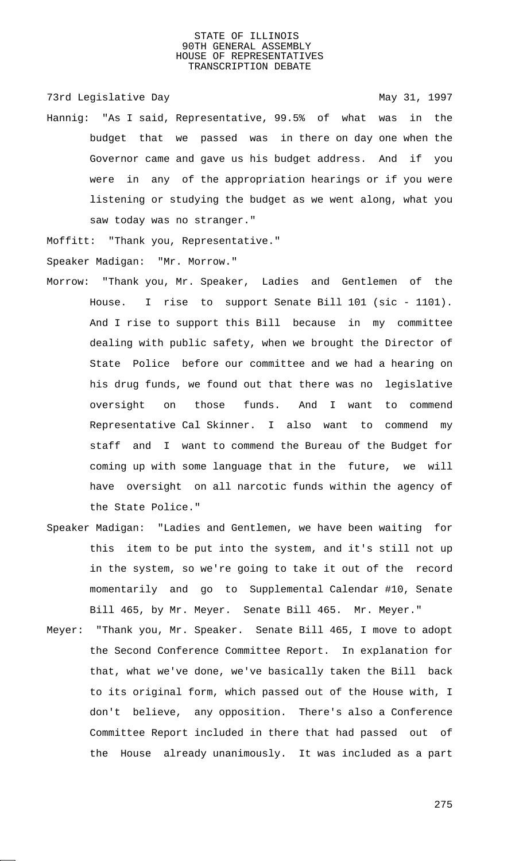73rd Legislative Day 1997

Hannig: "As I said, Representative, 99.5% of what was in the budget that we passed was in there on day one when the Governor came and gave us his budget address. And if you were in any of the appropriation hearings or if you were listening or studying the budget as we went along, what you saw today was no stranger."

Moffitt: "Thank you, Representative." Speaker Madigan: "Mr. Morrow."

- Morrow: "Thank you, Mr. Speaker, Ladies and Gentlemen of the House. I rise to support Senate Bill 101 (sic - 1101). And I rise to support this Bill because in my committee dealing with public safety, when we brought the Director of State Police before our committee and we had a hearing on his drug funds, we found out that there was no legislative oversight on those funds. And I want to commend Representative Cal Skinner. I also want to commend my staff and I want to commend the Bureau of the Budget for coming up with some language that in the future, we will have oversight on all narcotic funds within the agency of the State Police."
- Speaker Madigan: "Ladies and Gentlemen, we have been waiting for this item to be put into the system, and it's still not up in the system, so we're going to take it out of the record momentarily and go to Supplemental Calendar #10, Senate Bill 465, by Mr. Meyer. Senate Bill 465. Mr. Meyer."
- Meyer: "Thank you, Mr. Speaker. Senate Bill 465, I move to adopt the Second Conference Committee Report. In explanation for that, what we've done, we've basically taken the Bill back to its original form, which passed out of the House with, I don't believe, any opposition. There's also a Conference Committee Report included in there that had passed out of the House already unanimously. It was included as a part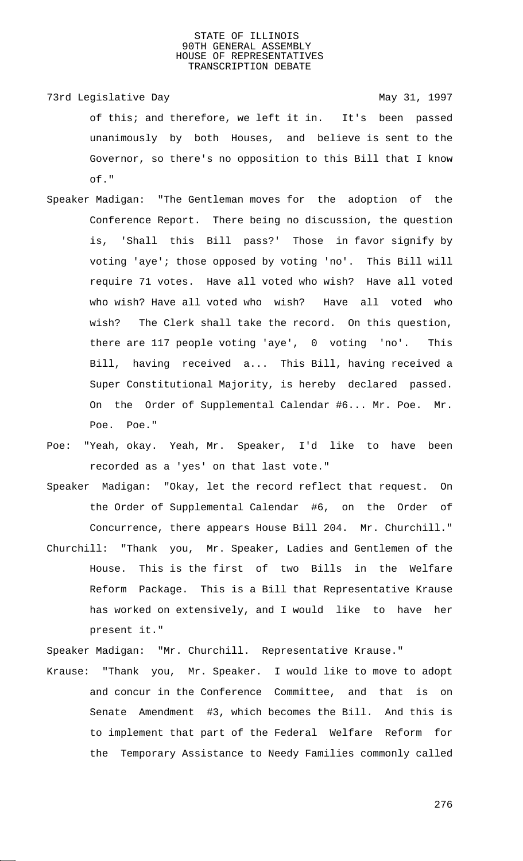- 73rd Legislative Day 1997 of this; and therefore, we left it in. It's been passed unanimously by both Houses, and believe is sent to the Governor, so there's no opposition to this Bill that I know of."
- Speaker Madigan: "The Gentleman moves for the adoption of the Conference Report. There being no discussion, the question is, 'Shall this Bill pass?' Those in favor signify by voting 'aye'; those opposed by voting 'no'. This Bill will require 71 votes. Have all voted who wish? Have all voted who wish? Have all voted who wish? Have all voted who wish? The Clerk shall take the record. On this question, there are 117 people voting 'aye', 0 voting 'no'. This Bill, having received a... This Bill, having received a Super Constitutional Majority, is hereby declared passed. On the Order of Supplemental Calendar #6... Mr. Poe. Mr. Poe. Poe."
- Poe: "Yeah, okay. Yeah, Mr. Speaker, I'd like to have been recorded as a 'yes' on that last vote."
- Speaker Madigan: "Okay, let the record reflect that request. On the Order of Supplemental Calendar #6, on the Order of Concurrence, there appears House Bill 204. Mr. Churchill."
- Churchill: "Thank you, Mr. Speaker, Ladies and Gentlemen of the House. This is the first of two Bills in the Welfare Reform Package. This is a Bill that Representative Krause has worked on extensively, and I would like to have her present it."

Speaker Madigan: "Mr. Churchill. Representative Krause."

Krause: "Thank you, Mr. Speaker. I would like to move to adopt and concur in the Conference Committee, and that is on Senate Amendment #3, which becomes the Bill. And this is to implement that part of the Federal Welfare Reform for the Temporary Assistance to Needy Families commonly called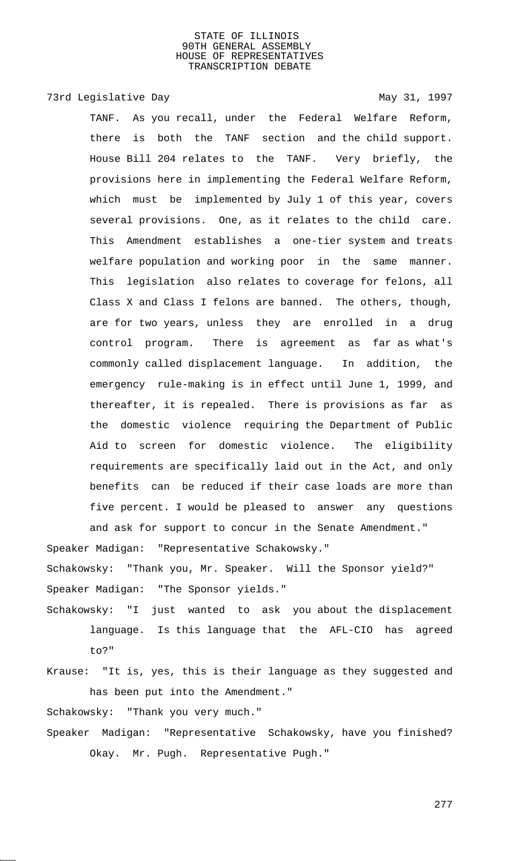## 73rd Legislative Day 1997

TANF. As you recall, under the Federal Welfare Reform, there is both the TANF section and the child support. House Bill 204 relates to the TANF. Very briefly, the provisions here in implementing the Federal Welfare Reform, which must be implemented by July 1 of this year, covers several provisions. One, as it relates to the child care. This Amendment establishes a one-tier system and treats welfare population and working poor in the same manner. This legislation also relates to coverage for felons, all Class X and Class I felons are banned. The others, though, are for two years, unless they are enrolled in a drug control program. There is agreement as far as what's commonly called displacement language. In addition, the emergency rule-making is in effect until June 1, 1999, and thereafter, it is repealed. There is provisions as far as the domestic violence requiring the Department of Public Aid to screen for domestic violence. The eligibility requirements are specifically laid out in the Act, and only benefits can be reduced if their case loads are more than five percent. I would be pleased to answer any questions and ask for support to concur in the Senate Amendment."

Speaker Madigan: "Representative Schakowsky."

Schakowsky: "Thank you, Mr. Speaker. Will the Sponsor yield?" Speaker Madigan: "The Sponsor yields."

Schakowsky: "I just wanted to ask you about the displacement language. Is this language that the AFL-CIO has agreed to?"

Krause: "It is, yes, this is their language as they suggested and has been put into the Amendment."

Schakowsky: "Thank you very much."

Speaker Madigan: "Representative Schakowsky, have you finished? Okay. Mr. Pugh. Representative Pugh."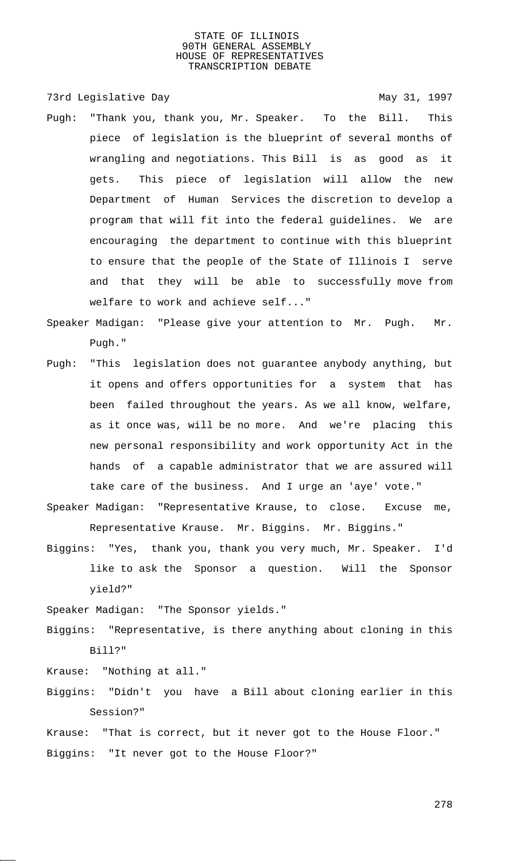73rd Legislative Day 1997

- Pugh: "Thank you, thank you, Mr. Speaker. To the Bill. This piece of legislation is the blueprint of several months of wrangling and negotiations. This Bill is as good as it gets. This piece of legislation will allow the new Department of Human Services the discretion to develop a program that will fit into the federal guidelines. We are encouraging the department to continue with this blueprint to ensure that the people of the State of Illinois I serve and that they will be able to successfully move from welfare to work and achieve self..."
- Speaker Madigan: "Please give your attention to Mr. Pugh. Mr. Pugh."
- Pugh: "This legislation does not guarantee anybody anything, but it opens and offers opportunities for a system that has been failed throughout the years. As we all know, welfare, as it once was, will be no more. And we're placing this new personal responsibility and work opportunity Act in the hands of a capable administrator that we are assured will take care of the business. And I urge an 'aye' vote."
- Speaker Madigan: "Representative Krause, to close. Excuse me, Representative Krause. Mr. Biggins. Mr. Biggins."
- Biggins: "Yes, thank you, thank you very much, Mr. Speaker. I'd like to ask the Sponsor a question. Will the Sponsor yield?"

Speaker Madigan: "The Sponsor yields."

Biggins: "Representative, is there anything about cloning in this Bill?"

Krause: "Nothing at all."

- Biggins: "Didn't you have a Bill about cloning earlier in this Session?"
- Krause: "That is correct, but it never got to the House Floor." Biggins: "It never got to the House Floor?"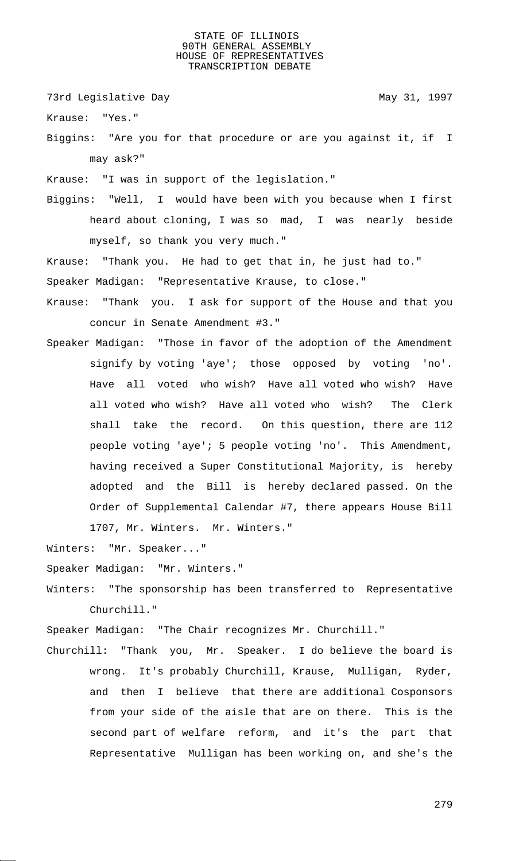73rd Legislative Day 1997

Krause: "Yes."

Biggins: "Are you for that procedure or are you against it, if I may ask?"

Krause: "I was in support of the legislation."

Biggins: "Well, I would have been with you because when I first heard about cloning, I was so mad, I was nearly beside myself, so thank you very much."

Krause: "Thank you. He had to get that in, he just had to." Speaker Madigan: "Representative Krause, to close."

- Krause: "Thank you. I ask for support of the House and that you concur in Senate Amendment #3."
- Speaker Madigan: "Those in favor of the adoption of the Amendment signify by voting 'aye'; those opposed by voting 'no'. Have all voted who wish? Have all voted who wish? Have all voted who wish? Have all voted who wish? The Clerk shall take the record. On this question, there are 112 people voting 'aye'; 5 people voting 'no'. This Amendment, having received a Super Constitutional Majority, is hereby adopted and the Bill is hereby declared passed. On the Order of Supplemental Calendar #7, there appears House Bill 1707, Mr. Winters. Mr. Winters."

Winters: "Mr. Speaker..."

Speaker Madigan: "Mr. Winters."

Winters: "The sponsorship has been transferred to Representative Churchill."

Speaker Madigan: "The Chair recognizes Mr. Churchill."

Churchill: "Thank you, Mr. Speaker. I do believe the board is wrong. It's probably Churchill, Krause, Mulligan, Ryder, and then I believe that there are additional Cosponsors from your side of the aisle that are on there. This is the second part of welfare reform, and it's the part that Representative Mulligan has been working on, and she's the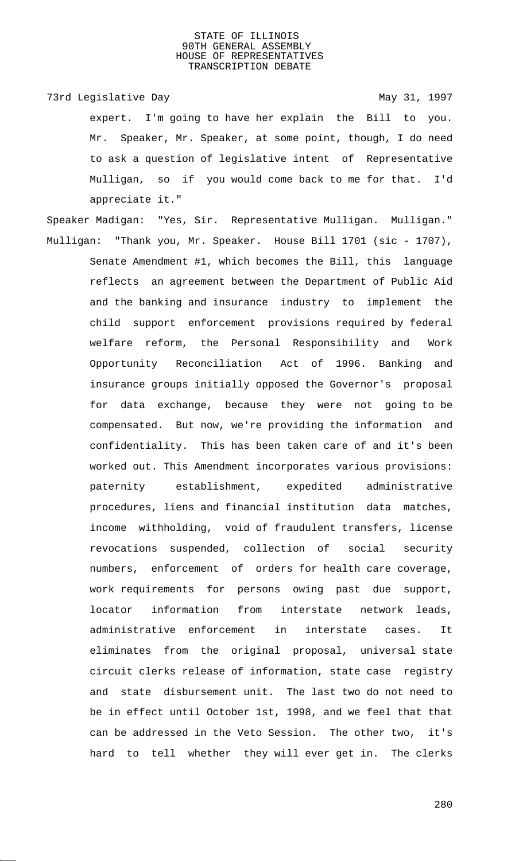73rd Legislative Day 1997

expert. I'm going to have her explain the Bill to you. Mr. Speaker, Mr. Speaker, at some point, though, I do need to ask a question of legislative intent of Representative Mulligan, so if you would come back to me for that. I'd appreciate it."

Speaker Madigan: "Yes, Sir. Representative Mulligan. Mulligan." Mulligan: "Thank you, Mr. Speaker. House Bill 1701 (sic - 1707), Senate Amendment #1, which becomes the Bill, this language reflects an agreement between the Department of Public Aid and the banking and insurance industry to implement the child support enforcement provisions required by federal welfare reform, the Personal Responsibility and Work Opportunity Reconciliation Act of 1996. Banking and insurance groups initially opposed the Governor's proposal for data exchange, because they were not going to be compensated. But now, we're providing the information and confidentiality. This has been taken care of and it's been worked out. This Amendment incorporates various provisions: paternity establishment, expedited administrative procedures, liens and financial institution data matches, income withholding, void of fraudulent transfers, license revocations suspended, collection of social security numbers, enforcement of orders for health care coverage, work requirements for persons owing past due support, locator information from interstate network leads, administrative enforcement in interstate cases. It eliminates from the original proposal, universal state circuit clerks release of information, state case registry and state disbursement unit. The last two do not need to be in effect until October 1st, 1998, and we feel that that can be addressed in the Veto Session. The other two, it's hard to tell whether they will ever get in. The clerks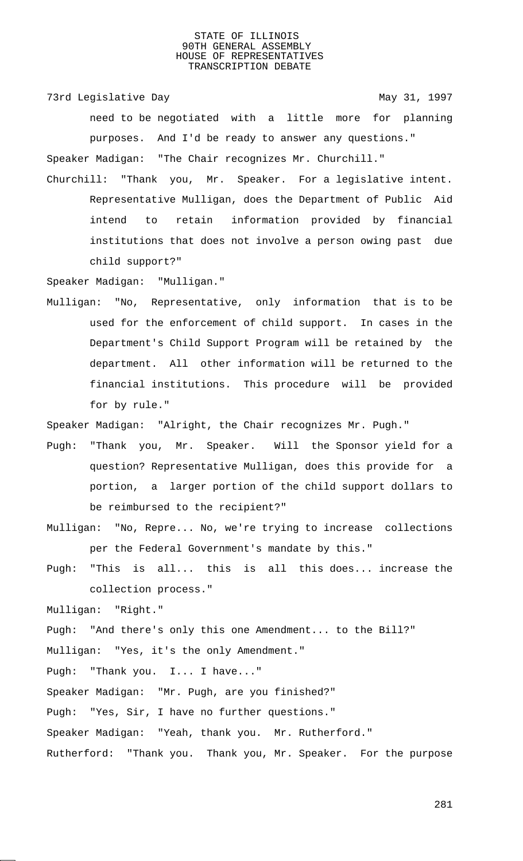73rd Legislative Day 1997

need to be negotiated with a little more for planning purposes. And I'd be ready to answer any questions." Speaker Madigan: "The Chair recognizes Mr. Churchill."

Churchill: "Thank you, Mr. Speaker. For a legislative intent. Representative Mulligan, does the Department of Public Aid intend to retain information provided by financial institutions that does not involve a person owing past due child support?"

Speaker Madigan: "Mulligan."

Mulligan: "No, Representative, only information that is to be used for the enforcement of child support. In cases in the Department's Child Support Program will be retained by the department. All other information will be returned to the financial institutions. This procedure will be provided for by rule."

Speaker Madigan: "Alright, the Chair recognizes Mr. Pugh."

- Pugh: "Thank you, Mr. Speaker. Will the Sponsor yield for a question? Representative Mulligan, does this provide for a portion, a larger portion of the child support dollars to be reimbursed to the recipient?"
- Mulligan: "No, Repre... No, we're trying to increase collections per the Federal Government's mandate by this."
- Pugh: "This is all... this is all this does... increase the collection process."

Mulligan: "Right."

Pugh: "And there's only this one Amendment... to the Bill?"

Mulligan: "Yes, it's the only Amendment."

Pugh: "Thank you. I... I have..."

Speaker Madigan: "Mr. Pugh, are you finished?"

Pugh: "Yes, Sir, I have no further questions."

Speaker Madigan: "Yeah, thank you. Mr. Rutherford."

Rutherford: "Thank you. Thank you, Mr. Speaker. For the purpose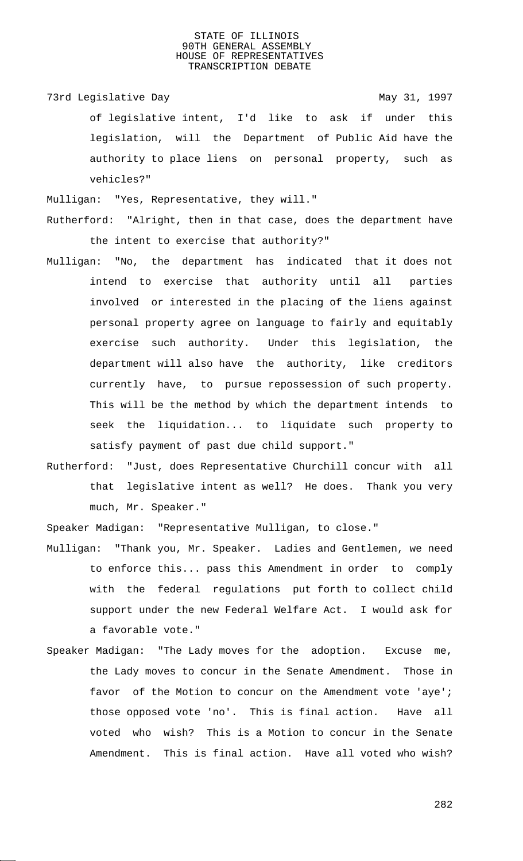73rd Legislative Day 1997 of legislative intent, I'd like to ask if under this legislation, will the Department of Public Aid have the authority to place liens on personal property, such as vehicles?"

Mulligan: "Yes, Representative, they will." Rutherford: "Alright, then in that case, does the department have

- the intent to exercise that authority?"
- Mulligan: "No, the department has indicated that it does not intend to exercise that authority until all parties involved or interested in the placing of the liens against personal property agree on language to fairly and equitably exercise such authority. Under this legislation, the department will also have the authority, like creditors currently have, to pursue repossession of such property. This will be the method by which the department intends to seek the liquidation... to liquidate such property to satisfy payment of past due child support."
- Rutherford: "Just, does Representative Churchill concur with all that legislative intent as well? He does. Thank you very much, Mr. Speaker."

Speaker Madigan: "Representative Mulligan, to close."

- Mulligan: "Thank you, Mr. Speaker. Ladies and Gentlemen, we need to enforce this... pass this Amendment in order to comply with the federal regulations put forth to collect child support under the new Federal Welfare Act. I would ask for a favorable vote."
- Speaker Madigan: "The Lady moves for the adoption. Excuse me, the Lady moves to concur in the Senate Amendment. Those in favor of the Motion to concur on the Amendment vote 'aye'; those opposed vote 'no'. This is final action. Have all voted who wish? This is a Motion to concur in the Senate Amendment. This is final action. Have all voted who wish?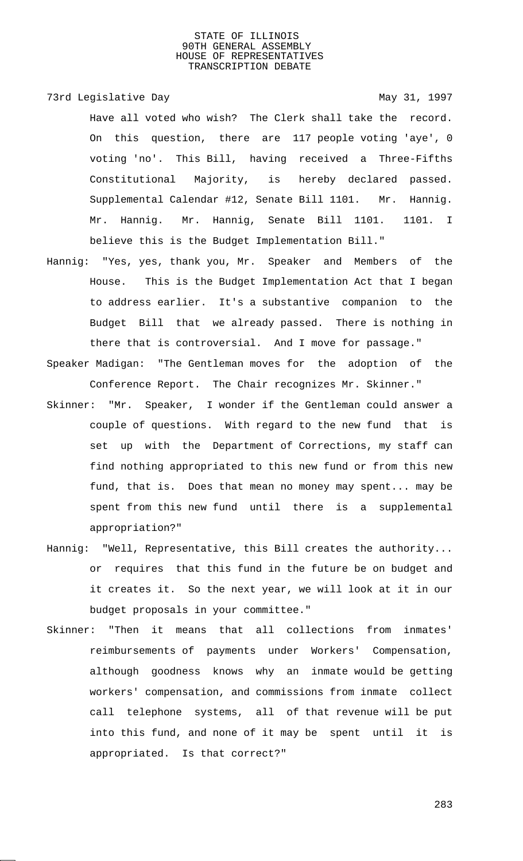73rd Legislative Day 1997 Have all voted who wish? The Clerk shall take the record. On this question, there are 117 people voting 'aye', 0 voting 'no'. This Bill, having received a Three-Fifths Constitutional Majority, is hereby declared passed. Supplemental Calendar #12, Senate Bill 1101. Mr. Hannig. Mr. Hannig. Mr. Hannig, Senate Bill 1101. 1101. I believe this is the Budget Implementation Bill."

- Hannig: "Yes, yes, thank you, Mr. Speaker and Members of the House. This is the Budget Implementation Act that I began to address earlier. It's a substantive companion to the Budget Bill that we already passed. There is nothing in there that is controversial. And I move for passage."
- Speaker Madigan: "The Gentleman moves for the adoption of the Conference Report. The Chair recognizes Mr. Skinner."
- Skinner: "Mr. Speaker, I wonder if the Gentleman could answer a couple of questions. With regard to the new fund that is set up with the Department of Corrections, my staff can find nothing appropriated to this new fund or from this new fund, that is. Does that mean no money may spent... may be spent from this new fund until there is a supplemental appropriation?"
- Hannig: "Well, Representative, this Bill creates the authority... or requires that this fund in the future be on budget and it creates it. So the next year, we will look at it in our budget proposals in your committee."
- Skinner: "Then it means that all collections from inmates' reimbursements of payments under Workers' Compensation, although goodness knows why an inmate would be getting workers' compensation, and commissions from inmate collect call telephone systems, all of that revenue will be put into this fund, and none of it may be spent until it is appropriated. Is that correct?"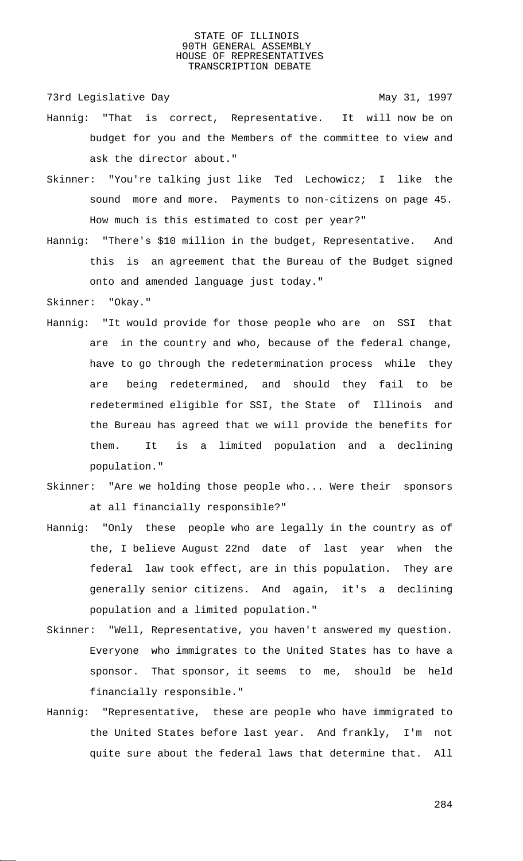73rd Legislative Day 1997

- Hannig: "That is correct, Representative. It will now be on budget for you and the Members of the committee to view and ask the director about."
- Skinner: "You're talking just like Ted Lechowicz; I like the sound more and more. Payments to non-citizens on page 45. How much is this estimated to cost per year?"
- Hannig: "There's \$10 million in the budget, Representative. And this is an agreement that the Bureau of the Budget signed onto and amended language just today."
- Skinner: "Okay."
- Hannig: "It would provide for those people who are on SSI that are in the country and who, because of the federal change, have to go through the redetermination process while they are being redetermined, and should they fail to be redetermined eligible for SSI, the State of Illinois and the Bureau has agreed that we will provide the benefits for them. It is a limited population and a declining population."
- Skinner: "Are we holding those people who... Were their sponsors at all financially responsible?"
- Hannig: "Only these people who are legally in the country as of the, I believe August 22nd date of last year when the federal law took effect, are in this population. They are generally senior citizens. And again, it's a declining population and a limited population."
- Skinner: "Well, Representative, you haven't answered my question. Everyone who immigrates to the United States has to have a sponsor. That sponsor, it seems to me, should be held financially responsible."
- Hannig: "Representative, these are people who have immigrated to the United States before last year. And frankly, I'm not quite sure about the federal laws that determine that. All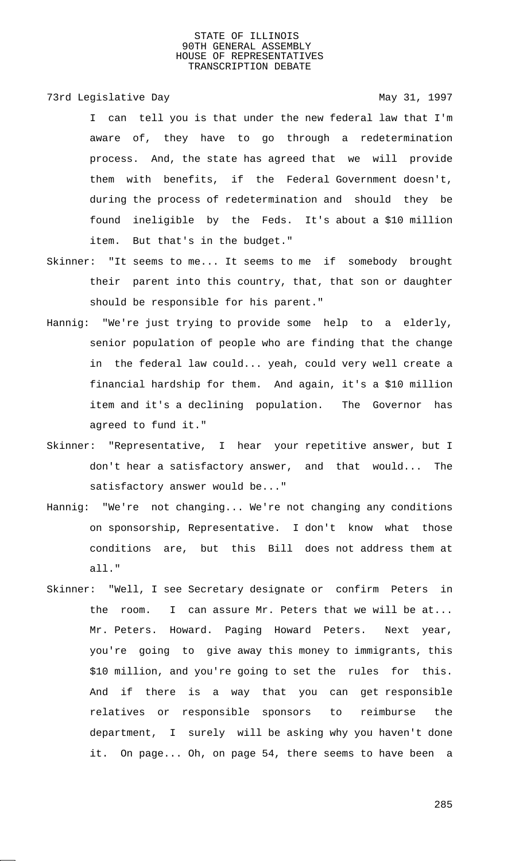73rd Legislative Day 1997

I can tell you is that under the new federal law that I'm aware of, they have to go through a redetermination process. And, the state has agreed that we will provide them with benefits, if the Federal Government doesn't, during the process of redetermination and should they be found ineligible by the Feds. It's about a \$10 million item. But that's in the budget."

- Skinner: "It seems to me... It seems to me if somebody brought their parent into this country, that, that son or daughter should be responsible for his parent."
- Hannig: "We're just trying to provide some help to a elderly, senior population of people who are finding that the change in the federal law could... yeah, could very well create a financial hardship for them. And again, it's a \$10 million item and it's a declining population. The Governor has agreed to fund it."
- Skinner: "Representative, I hear your repetitive answer, but I don't hear a satisfactory answer, and that would... The satisfactory answer would be..."
- Hannig: "We're not changing... We're not changing any conditions on sponsorship, Representative. I don't know what those conditions are, but this Bill does not address them at all."
- Skinner: "Well, I see Secretary designate or confirm Peters in the room. I can assure Mr. Peters that we will be at... Mr. Peters. Howard. Paging Howard Peters. Next year, you're going to give away this money to immigrants, this \$10 million, and you're going to set the rules for this. And if there is a way that you can get responsible relatives or responsible sponsors to reimburse the department, I surely will be asking why you haven't done it. On page... Oh, on page 54, there seems to have been a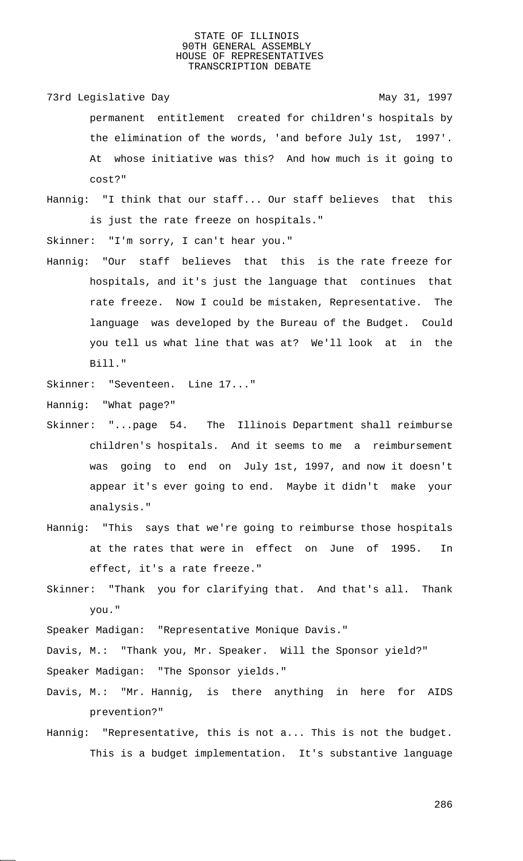73rd Legislative Day 1997 permanent entitlement created for children's hospitals by the elimination of the words, 'and before July 1st, 1997'. At whose initiative was this? And how much is it going to cost?"

Hannig: "I think that our staff... Our staff believes that this is just the rate freeze on hospitals."

Skinner: "I'm sorry, I can't hear you."

Hannig: "Our staff believes that this is the rate freeze for hospitals, and it's just the language that continues that rate freeze. Now I could be mistaken, Representative. The language was developed by the Bureau of the Budget. Could you tell us what line that was at? We'll look at in the Bill."

Skinner: "Seventeen. Line 17..."

Hannig: "What page?"

- Skinner: "...page 54. The Illinois Department shall reimburse children's hospitals. And it seems to me a reimbursement was going to end on July 1st, 1997, and now it doesn't appear it's ever going to end. Maybe it didn't make your analysis."
- Hannig: "This says that we're going to reimburse those hospitals at the rates that were in effect on June of 1995. In effect, it's a rate freeze."
- Skinner: "Thank you for clarifying that. And that's all. Thank you."

Speaker Madigan: "Representative Monique Davis."

Davis, M.: "Thank you, Mr. Speaker. Will the Sponsor yield?"

Speaker Madigan: "The Sponsor yields."

- Davis, M.: "Mr. Hannig, is there anything in here for AIDS prevention?"
- Hannig: "Representative, this is not a... This is not the budget. This is a budget implementation. It's substantive language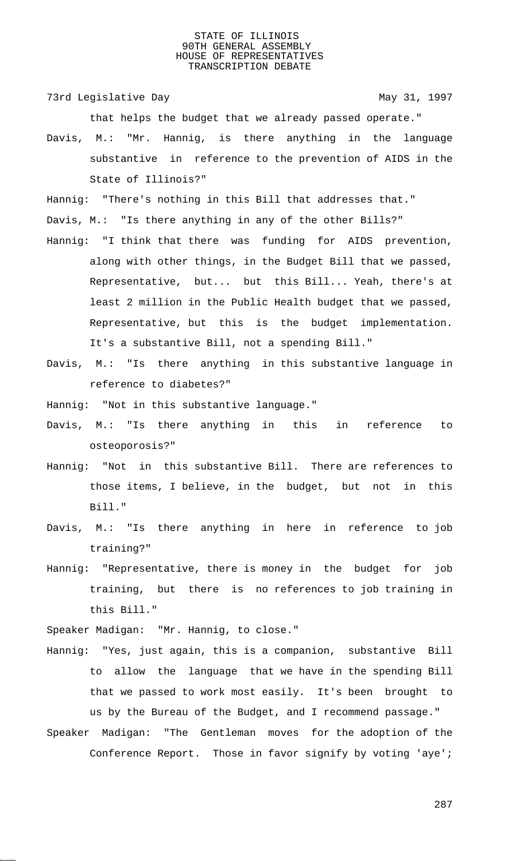73rd Legislative Day 1997

that helps the budget that we already passed operate."

Davis, M.: "Mr. Hannig, is there anything in the language substantive in reference to the prevention of AIDS in the State of Illinois?"

Hannig: "There's nothing in this Bill that addresses that."

Davis, M.: "Is there anything in any of the other Bills?"

- Hannig: "I think that there was funding for AIDS prevention, along with other things, in the Budget Bill that we passed, Representative, but... but this Bill... Yeah, there's at least 2 million in the Public Health budget that we passed, Representative, but this is the budget implementation. It's a substantive Bill, not a spending Bill."
- Davis, M.: "Is there anything in this substantive language in reference to diabetes?"

Hannig: "Not in this substantive language."

- Davis, M.: "Is there anything in this in reference to osteoporosis?"
- Hannig: "Not in this substantive Bill. There are references to those items, I believe, in the budget, but not in this Bill."
- Davis, M.: "Is there anything in here in reference to job training?"
- Hannig: "Representative, there is money in the budget for job training, but there is no references to job training in this Bill."

Speaker Madigan: "Mr. Hannig, to close."

- Hannig: "Yes, just again, this is a companion, substantive Bill to allow the language that we have in the spending Bill that we passed to work most easily. It's been brought to us by the Bureau of the Budget, and I recommend passage."
- Speaker Madigan: "The Gentleman moves for the adoption of the Conference Report. Those in favor signify by voting 'aye';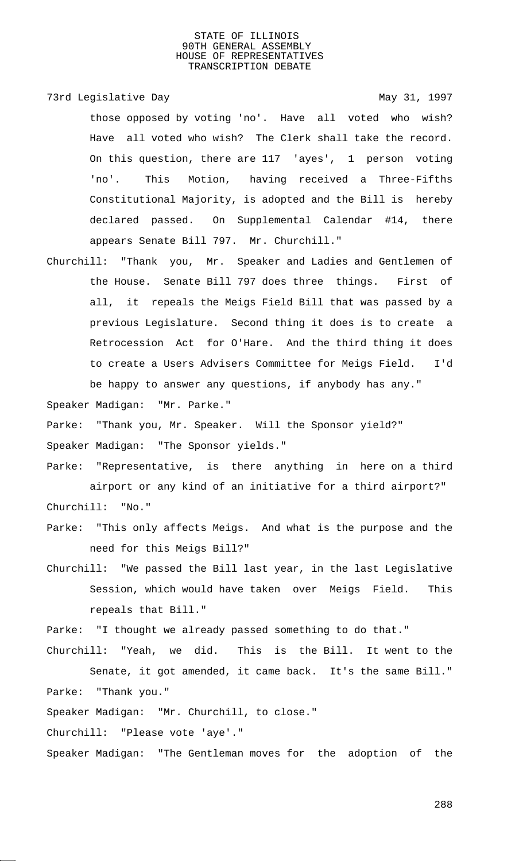73rd Legislative Day 1997

those opposed by voting 'no'. Have all voted who wish? Have all voted who wish? The Clerk shall take the record. On this question, there are 117 'ayes', 1 person voting 'no'. This Motion, having received a Three-Fifths Constitutional Majority, is adopted and the Bill is hereby declared passed. On Supplemental Calendar #14, there appears Senate Bill 797. Mr. Churchill."

Churchill: "Thank you, Mr. Speaker and Ladies and Gentlemen of the House. Senate Bill 797 does three things. First of all, it repeals the Meigs Field Bill that was passed by a previous Legislature. Second thing it does is to create a Retrocession Act for O'Hare. And the third thing it does to create a Users Advisers Committee for Meigs Field. I'd be happy to answer any questions, if anybody has any."

Speaker Madigan: "Mr. Parke."

Parke: "Thank you, Mr. Speaker. Will the Sponsor yield?"

Speaker Madigan: "The Sponsor yields."

- Parke: "Representative, is there anything in here on a third airport or any kind of an initiative for a third airport?" Churchill: "No."
- Parke: "This only affects Meigs. And what is the purpose and the need for this Meigs Bill?"
- Churchill: "We passed the Bill last year, in the last Legislative Session, which would have taken over Meigs Field. This repeals that Bill."

Parke: "I thought we already passed something to do that."

Churchill: "Yeah, we did. This is the Bill. It went to the Senate, it got amended, it came back. It's the same Bill." Parke: "Thank you."

Speaker Madigan: "Mr. Churchill, to close."

Churchill: "Please vote 'aye'."

Speaker Madigan: "The Gentleman moves for the adoption of the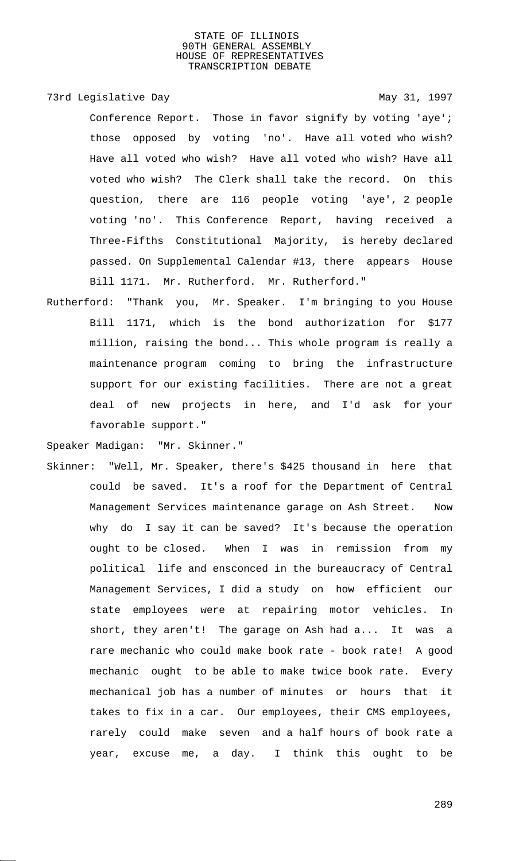## 73rd Legislative Day 1997

Conference Report. Those in favor signify by voting 'aye'; those opposed by voting 'no'. Have all voted who wish? Have all voted who wish? Have all voted who wish? Have all voted who wish? The Clerk shall take the record. On this question, there are 116 people voting 'aye', 2 people voting 'no'. This Conference Report, having received a Three-Fifths Constitutional Majority, is hereby declared passed. On Supplemental Calendar #13, there appears House Bill 1171. Mr. Rutherford. Mr. Rutherford."

Rutherford: "Thank you, Mr. Speaker. I'm bringing to you House Bill 1171, which is the bond authorization for \$177 million, raising the bond... This whole program is really a maintenance program coming to bring the infrastructure support for our existing facilities. There are not a great deal of new projects in here, and I'd ask for your favorable support."

Speaker Madigan: "Mr. Skinner."

Skinner: "Well, Mr. Speaker, there's \$425 thousand in here that could be saved. It's a roof for the Department of Central Management Services maintenance garage on Ash Street. Now why do I say it can be saved? It's because the operation ought to be closed. When I was in remission from my political life and ensconced in the bureaucracy of Central Management Services, I did a study on how efficient our state employees were at repairing motor vehicles. In short, they aren't! The garage on Ash had a... It was a rare mechanic who could make book rate - book rate! A good mechanic ought to be able to make twice book rate. Every mechanical job has a number of minutes or hours that it takes to fix in a car. Our employees, their CMS employees, rarely could make seven and a half hours of book rate a year, excuse me, a day. I think this ought to be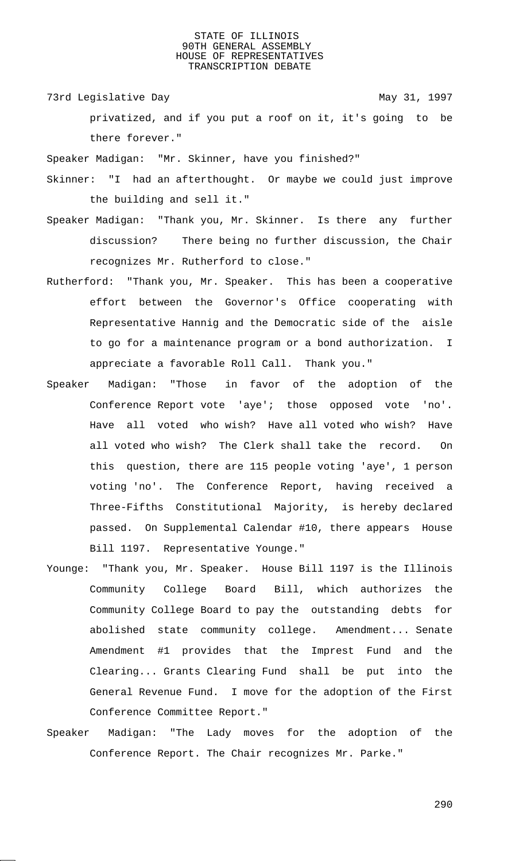73rd Legislative Day 1997

privatized, and if you put a roof on it, it's going to be there forever."

Speaker Madigan: "Mr. Skinner, have you finished?"

- Skinner: "I had an afterthought. Or maybe we could just improve the building and sell it."
- Speaker Madigan: "Thank you, Mr. Skinner. Is there any further discussion? There being no further discussion, the Chair recognizes Mr. Rutherford to close."
- Rutherford: "Thank you, Mr. Speaker. This has been a cooperative effort between the Governor's Office cooperating with Representative Hannig and the Democratic side of the aisle to go for a maintenance program or a bond authorization. I appreciate a favorable Roll Call. Thank you."
- Speaker Madigan: "Those in favor of the adoption of the Conference Report vote 'aye'; those opposed vote 'no'. Have all voted who wish? Have all voted who wish? Have all voted who wish? The Clerk shall take the record. On this question, there are 115 people voting 'aye', 1 person voting 'no'. The Conference Report, having received a Three-Fifths Constitutional Majority, is hereby declared passed. On Supplemental Calendar #10, there appears House Bill 1197. Representative Younge."
- Younge: "Thank you, Mr. Speaker. House Bill 1197 is the Illinois Community College Board Bill, which authorizes the Community College Board to pay the outstanding debts for abolished state community college. Amendment... Senate Amendment #1 provides that the Imprest Fund and the Clearing... Grants Clearing Fund shall be put into the General Revenue Fund. I move for the adoption of the First Conference Committee Report."
- Speaker Madigan: "The Lady moves for the adoption of the Conference Report. The Chair recognizes Mr. Parke."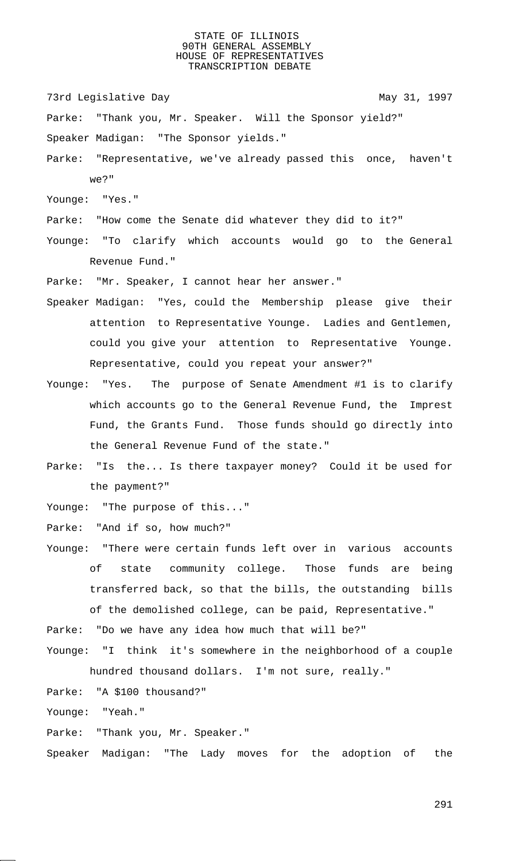73rd Legislative Day 1997

Parke: "Thank you, Mr. Speaker. Will the Sponsor yield?"

Speaker Madigan: "The Sponsor yields."

Parke: "Representative, we've already passed this once, haven't we?"

Younge: "Yes."

Parke: "How come the Senate did whatever they did to it?"

Younge: "To clarify which accounts would go to the General Revenue Fund."

Parke: "Mr. Speaker, I cannot hear her answer."

- Speaker Madigan: "Yes, could the Membership please give their attention to Representative Younge. Ladies and Gentlemen, could you give your attention to Representative Younge. Representative, could you repeat your answer?"
- Younge: "Yes. The purpose of Senate Amendment #1 is to clarify which accounts go to the General Revenue Fund, the Imprest Fund, the Grants Fund. Those funds should go directly into the General Revenue Fund of the state."
- Parke: "Is the... Is there taxpayer money? Could it be used for the payment?"

Younge: "The purpose of this..."

Parke: "And if so, how much?"

Younge: "There were certain funds left over in various accounts of state community college. Those funds are being transferred back, so that the bills, the outstanding bills of the demolished college, can be paid, Representative."

Parke: "Do we have any idea how much that will be?"

Younge: "I think it's somewhere in the neighborhood of a couple hundred thousand dollars. I'm not sure, really."

Parke: "A \$100 thousand?"

Younge: "Yeah."

Parke: "Thank you, Mr. Speaker."

Speaker Madigan: "The Lady moves for the adoption of the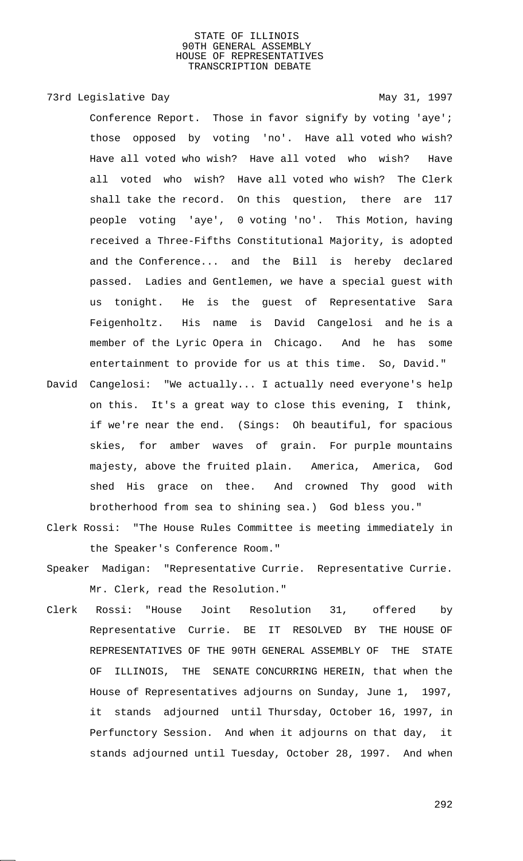## 73rd Legislative Day 1997

Conference Report. Those in favor signify by voting 'aye'; those opposed by voting 'no'. Have all voted who wish? Have all voted who wish? Have all voted who wish? Have all voted who wish? Have all voted who wish? The Clerk shall take the record. On this question, there are 117 people voting 'aye', 0 voting 'no'. This Motion, having received a Three-Fifths Constitutional Majority, is adopted and the Conference... and the Bill is hereby declared passed. Ladies and Gentlemen, we have a special guest with us tonight. He is the guest of Representative Sara Feigenholtz. His name is David Cangelosi and he is a member of the Lyric Opera in Chicago. And he has some entertainment to provide for us at this time. So, David."

- David Cangelosi: "We actually... I actually need everyone's help on this. It's a great way to close this evening, I think, if we're near the end. (Sings: Oh beautiful, for spacious skies, for amber waves of grain. For purple mountains majesty, above the fruited plain. America, America, God shed His grace on thee. And crowned Thy good with brotherhood from sea to shining sea.) God bless you."
- Clerk Rossi: "The House Rules Committee is meeting immediately in the Speaker's Conference Room."
- Speaker Madigan: "Representative Currie. Representative Currie. Mr. Clerk, read the Resolution."
- Clerk Rossi: "House Joint Resolution 31, offered by Representative Currie. BE IT RESOLVED BY THE HOUSE OF REPRESENTATIVES OF THE 90TH GENERAL ASSEMBLY OF THE STATE OF ILLINOIS, THE SENATE CONCURRING HEREIN, that when the House of Representatives adjourns on Sunday, June 1, 1997, it stands adjourned until Thursday, October 16, 1997, in Perfunctory Session. And when it adjourns on that day, it stands adjourned until Tuesday, October 28, 1997. And when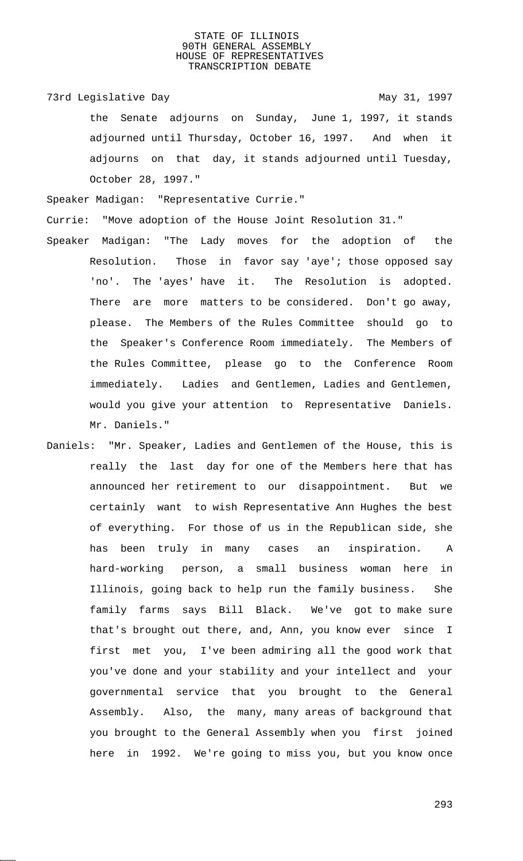73rd Legislative Day 1997 the Senate adjourns on Sunday, June 1, 1997, it stands adjourned until Thursday, October 16, 1997. And when it adjourns on that day, it stands adjourned until Tuesday, October 28, 1997."

Speaker Madigan: "Representative Currie."

Currie: "Move adoption of the House Joint Resolution 31."

- Speaker Madigan: "The Lady moves for the adoption of the Resolution. Those in favor say 'aye'; those opposed say 'no'. The 'ayes' have it. The Resolution is adopted. There are more matters to be considered. Don't go away, please. The Members of the Rules Committee should go to the Speaker's Conference Room immediately. The Members of the Rules Committee, please go to the Conference Room immediately. Ladies and Gentlemen, Ladies and Gentlemen, would you give your attention to Representative Daniels. Mr. Daniels."
- Daniels: "Mr. Speaker, Ladies and Gentlemen of the House, this is really the last day for one of the Members here that has announced her retirement to our disappointment. But we certainly want to wish Representative Ann Hughes the best of everything. For those of us in the Republican side, she has been truly in many cases an inspiration. A hard-working person, a small business woman here in Illinois, going back to help run the family business. She family farms says Bill Black. We've got to make sure that's brought out there, and, Ann, you know ever since I first met you, I've been admiring all the good work that you've done and your stability and your intellect and your governmental service that you brought to the General Assembly. Also, the many, many areas of background that you brought to the General Assembly when you first joined here in 1992. We're going to miss you, but you know once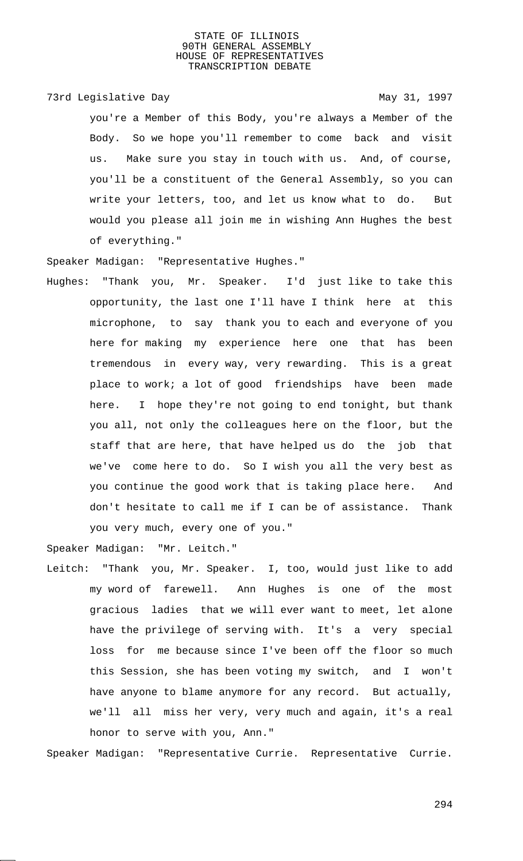## 73rd Legislative Day 1997

you're a Member of this Body, you're always a Member of the Body. So we hope you'll remember to come back and visit us. Make sure you stay in touch with us. And, of course, you'll be a constituent of the General Assembly, so you can write your letters, too, and let us know what to do. But would you please all join me in wishing Ann Hughes the best of everything."

Speaker Madigan: "Representative Hughes."

Hughes: "Thank you, Mr. Speaker. I'd just like to take this opportunity, the last one I'll have I think here at this microphone, to say thank you to each and everyone of you here for making my experience here one that has been tremendous in every way, very rewarding. This is a great place to work; a lot of good friendships have been made here. I hope they're not going to end tonight, but thank you all, not only the colleagues here on the floor, but the staff that are here, that have helped us do the job that we've come here to do. So I wish you all the very best as you continue the good work that is taking place here. And don't hesitate to call me if I can be of assistance. Thank you very much, every one of you."

Speaker Madigan: "Mr. Leitch."

Leitch: "Thank you, Mr. Speaker. I, too, would just like to add my word of farewell. Ann Hughes is one of the most gracious ladies that we will ever want to meet, let alone have the privilege of serving with. It's a very special loss for me because since I've been off the floor so much this Session, she has been voting my switch, and I won't have anyone to blame anymore for any record. But actually, we'll all miss her very, very much and again, it's a real honor to serve with you, Ann."

Speaker Madigan: "Representative Currie. Representative Currie.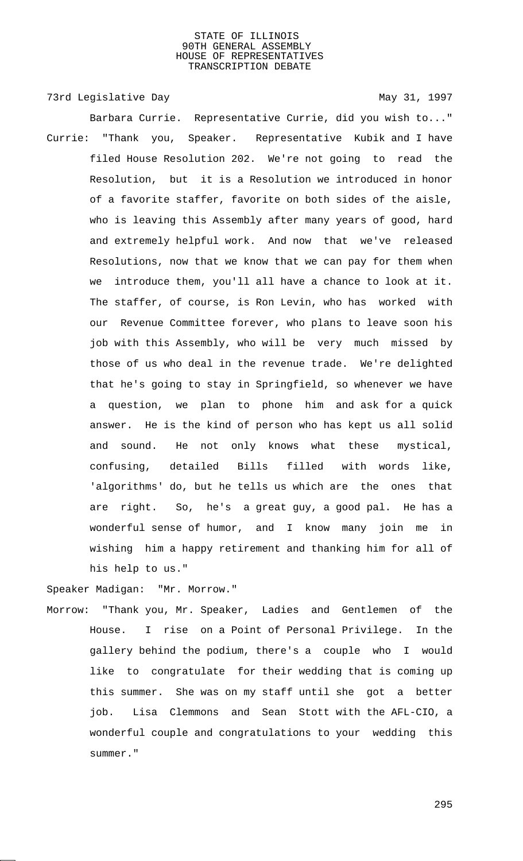73rd Legislative Day 1997 Barbara Currie. Representative Currie, did you wish to..." Currie: "Thank you, Speaker. Representative Kubik and I have filed House Resolution 202. We're not going to read the Resolution, but it is a Resolution we introduced in honor of a favorite staffer, favorite on both sides of the aisle, who is leaving this Assembly after many years of good, hard and extremely helpful work. And now that we've released Resolutions, now that we know that we can pay for them when we introduce them, you'll all have a chance to look at it. The staffer, of course, is Ron Levin, who has worked with our Revenue Committee forever, who plans to leave soon his job with this Assembly, who will be very much missed by those of us who deal in the revenue trade. We're delighted that he's going to stay in Springfield, so whenever we have a question, we plan to phone him and ask for a quick answer. He is the kind of person who has kept us all solid and sound. He not only knows what these mystical, confusing, detailed Bills filled with words like, 'algorithms' do, but he tells us which are the ones that are right. So, he's a great guy, a good pal. He has a wonderful sense of humor, and I know many join me in wishing him a happy retirement and thanking him for all of his help to us."

Speaker Madigan: "Mr. Morrow."

Morrow: "Thank you, Mr. Speaker, Ladies and Gentlemen of the House. I rise on a Point of Personal Privilege. In the gallery behind the podium, there's a couple who I would like to congratulate for their wedding that is coming up this summer. She was on my staff until she got a better job. Lisa Clemmons and Sean Stott with the AFL-CIO, a wonderful couple and congratulations to your wedding this summer."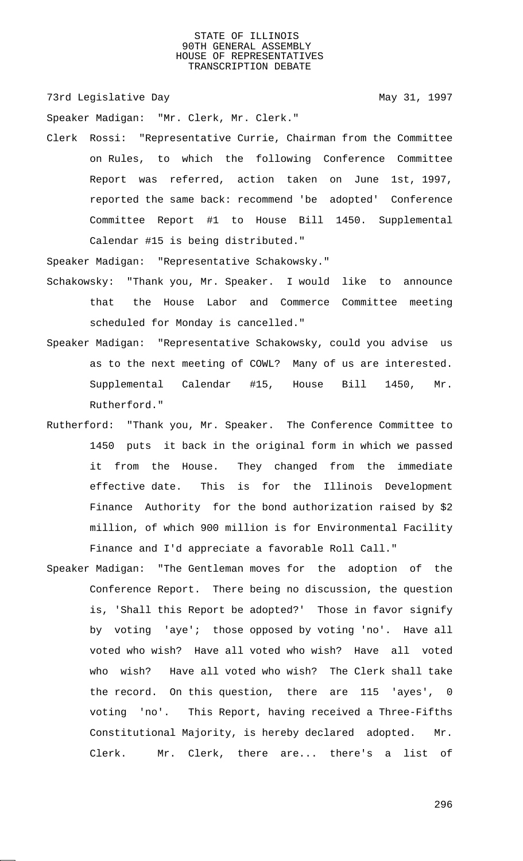73rd Legislative Day 1997

Speaker Madigan: "Mr. Clerk, Mr. Clerk."

Clerk Rossi: "Representative Currie, Chairman from the Committee on Rules, to which the following Conference Committee Report was referred, action taken on June 1st, 1997, reported the same back: recommend 'be adopted' Conference Committee Report #1 to House Bill 1450. Supplemental Calendar #15 is being distributed."

Speaker Madigan: "Representative Schakowsky."

- Schakowsky: "Thank you, Mr. Speaker. I would like to announce that the House Labor and Commerce Committee meeting scheduled for Monday is cancelled."
- Speaker Madigan: "Representative Schakowsky, could you advise us as to the next meeting of COWL? Many of us are interested. Supplemental Calendar #15, House Bill 1450, Mr. Rutherford."
- Rutherford: "Thank you, Mr. Speaker. The Conference Committee to 1450 puts it back in the original form in which we passed it from the House. They changed from the immediate effective date. This is for the Illinois Development Finance Authority for the bond authorization raised by \$2 million, of which 900 million is for Environmental Facility Finance and I'd appreciate a favorable Roll Call."
- Speaker Madigan: "The Gentleman moves for the adoption of the Conference Report. There being no discussion, the question is, 'Shall this Report be adopted?' Those in favor signify by voting 'aye'; those opposed by voting 'no'. Have all voted who wish? Have all voted who wish? Have all voted who wish? Have all voted who wish? The Clerk shall take the record. On this question, there are 115 'ayes', 0 voting 'no'. This Report, having received a Three-Fifths Constitutional Majority, is hereby declared adopted. Mr. Clerk. Mr. Clerk, there are... there's a list of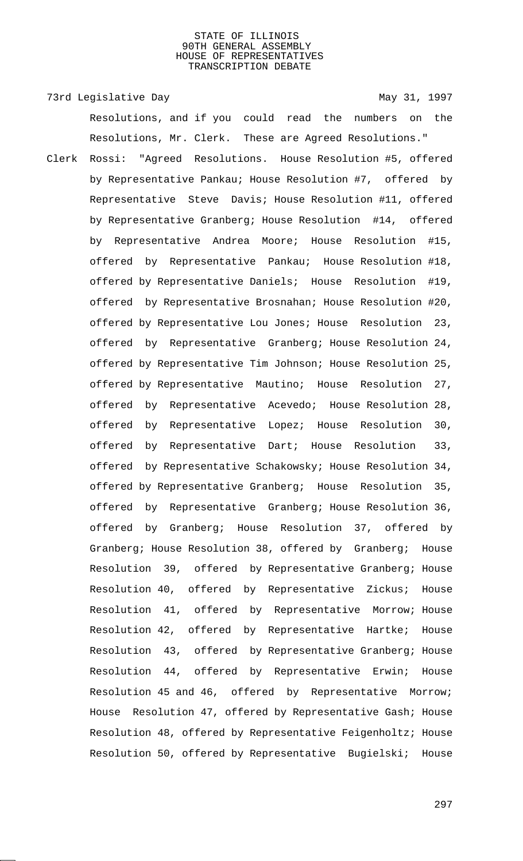Resolutions, and if you could read the numbers on the

73rd Legislative Day 1997

Resolutions, Mr. Clerk. These are Agreed Resolutions." Clerk Rossi: "Agreed Resolutions. House Resolution #5, offered by Representative Pankau; House Resolution #7, offered by Representative Steve Davis; House Resolution #11, offered by Representative Granberg; House Resolution #14, offered by Representative Andrea Moore; House Resolution #15, offered by Representative Pankau; House Resolution #18, offered by Representative Daniels; House Resolution #19, offered by Representative Brosnahan; House Resolution #20, offered by Representative Lou Jones; House Resolution 23, offered by Representative Granberg; House Resolution 24, offered by Representative Tim Johnson; House Resolution 25, offered by Representative Mautino; House Resolution 27, offered by Representative Acevedo; House Resolution 28, offered by Representative Lopez; House Resolution 30, offered by Representative Dart; House Resolution 33, offered by Representative Schakowsky; House Resolution 34, offered by Representative Granberg; House Resolution 35, offered by Representative Granberg; House Resolution 36, offered by Granberg; House Resolution 37, offered by Granberg; House Resolution 38, offered by Granberg; House Resolution 39, offered by Representative Granberg; House Resolution 40, offered by Representative Zickus; House Resolution 41, offered by Representative Morrow; House Resolution 42, offered by Representative Hartke; House Resolution 43, offered by Representative Granberg; House Resolution 44, offered by Representative Erwin; House Resolution 45 and 46, offered by Representative Morrow; House Resolution 47, offered by Representative Gash; House Resolution 48, offered by Representative Feigenholtz; House Resolution 50, offered by Representative Bugielski; House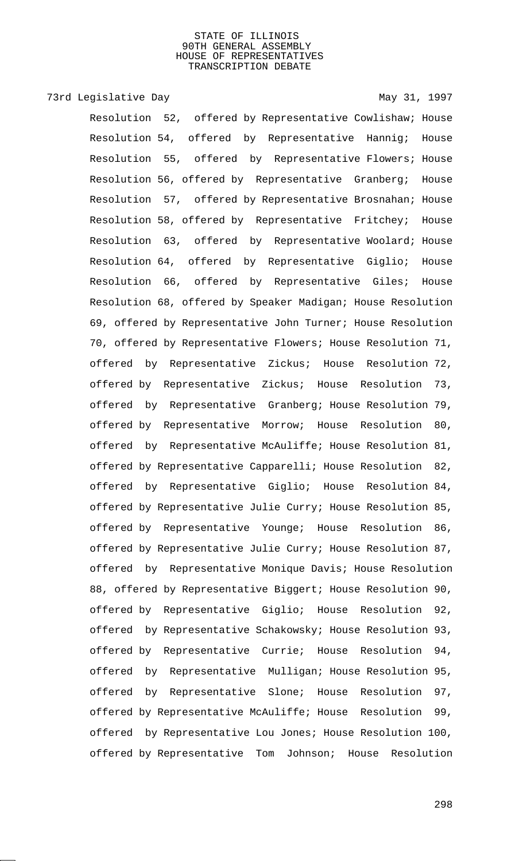## 73rd Legislative Day 1997

Resolution 52, offered by Representative Cowlishaw; House Resolution 54, offered by Representative Hannig; House Resolution 55, offered by Representative Flowers; House Resolution 56, offered by Representative Granberg; House Resolution 57, offered by Representative Brosnahan; House Resolution 58, offered by Representative Fritchey; House Resolution 63, offered by Representative Woolard; House Resolution 64, offered by Representative Giglio; House Resolution 66, offered by Representative Giles; House Resolution 68, offered by Speaker Madigan; House Resolution 69, offered by Representative John Turner; House Resolution 70, offered by Representative Flowers; House Resolution 71, offered by Representative Zickus; House Resolution 72, offered by Representative Zickus; House Resolution 73, offered by Representative Granberg; House Resolution 79, offered by Representative Morrow; House Resolution 80, offered by Representative McAuliffe; House Resolution 81, offered by Representative Capparelli; House Resolution 82, offered by Representative Giglio; House Resolution 84, offered by Representative Julie Curry; House Resolution 85, offered by Representative Younge; House Resolution 86, offered by Representative Julie Curry; House Resolution 87, offered by Representative Monique Davis; House Resolution 88, offered by Representative Biggert; House Resolution 90, offered by Representative Giglio; House Resolution 92, offered by Representative Schakowsky; House Resolution 93, offered by Representative Currie; House Resolution 94, offered by Representative Mulligan; House Resolution 95, offered by Representative Slone; House Resolution 97, offered by Representative McAuliffe; House Resolution 99, offered by Representative Lou Jones; House Resolution 100, offered by Representative Tom Johnson; House Resolution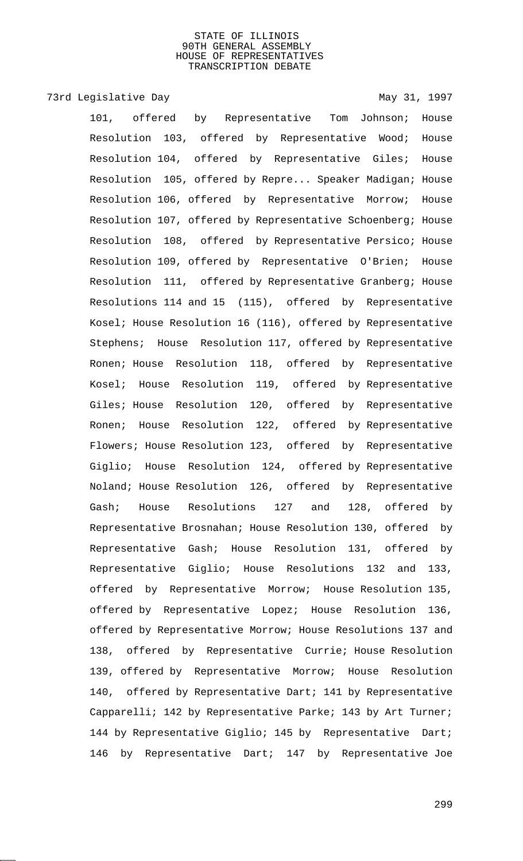# 73rd Legislative Day 1997

101, offered by Representative Tom Johnson; House Resolution 103, offered by Representative Wood; House Resolution 104, offered by Representative Giles; House Resolution 105, offered by Repre... Speaker Madigan; House Resolution 106, offered by Representative Morrow; House Resolution 107, offered by Representative Schoenberg; House Resolution 108, offered by Representative Persico; House Resolution 109, offered by Representative O'Brien; House Resolution 111, offered by Representative Granberg; House Resolutions 114 and 15 (115), offered by Representative Kosel; House Resolution 16 (116), offered by Representative Stephens; House Resolution 117, offered by Representative Ronen; House Resolution 118, offered by Representative Kosel; House Resolution 119, offered by Representative Giles; House Resolution 120, offered by Representative Ronen; House Resolution 122, offered by Representative Flowers; House Resolution 123, offered by Representative Giglio; House Resolution 124, offered by Representative Noland; House Resolution 126, offered by Representative Gash; House Resolutions 127 and 128, offered by Representative Brosnahan; House Resolution 130, offered by Representative Gash; House Resolution 131, offered by Representative Giglio; House Resolutions 132 and 133, offered by Representative Morrow; House Resolution 135, offered by Representative Lopez; House Resolution 136, offered by Representative Morrow; House Resolutions 137 and 138, offered by Representative Currie; House Resolution 139, offered by Representative Morrow; House Resolution 140, offered by Representative Dart; 141 by Representative Capparelli; 142 by Representative Parke; 143 by Art Turner; 144 by Representative Giglio; 145 by Representative Dart; 146 by Representative Dart; 147 by Representative Joe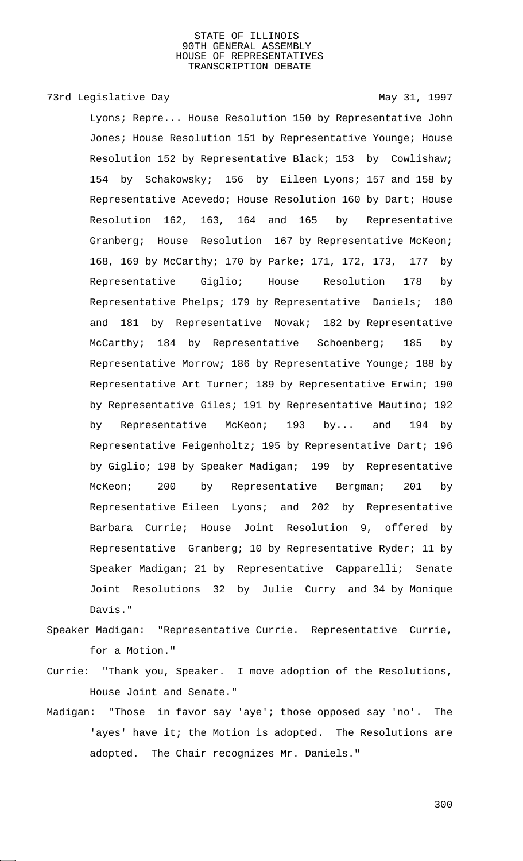## 73rd Legislative Day 1997

Lyons; Repre... House Resolution 150 by Representative John Jones; House Resolution 151 by Representative Younge; House Resolution 152 by Representative Black; 153 by Cowlishaw; 154 by Schakowsky; 156 by Eileen Lyons; 157 and 158 by Representative Acevedo; House Resolution 160 by Dart; House Resolution 162, 163, 164 and 165 by Representative Granberg; House Resolution 167 by Representative McKeon; 168, 169 by McCarthy; 170 by Parke; 171, 172, 173, 177 by Representative Giglio; House Resolution 178 by Representative Phelps; 179 by Representative Daniels; 180 and 181 by Representative Novak; 182 by Representative McCarthy; 184 by Representative Schoenberg; 185 by Representative Morrow; 186 by Representative Younge; 188 by Representative Art Turner; 189 by Representative Erwin; 190 by Representative Giles; 191 by Representative Mautino; 192 by Representative McKeon; 193 by... and 194 by Representative Feigenholtz; 195 by Representative Dart; 196 by Giglio; 198 by Speaker Madigan; 199 by Representative McKeon; 200 by Representative Bergman; 201 by Representative Eileen Lyons; and 202 by Representative Barbara Currie; House Joint Resolution 9, offered by Representative Granberg; 10 by Representative Ryder; 11 by Speaker Madigan; 21 by Representative Capparelli; Senate Joint Resolutions 32 by Julie Curry and 34 by Monique Davis."

- Speaker Madigan: "Representative Currie. Representative Currie, for a Motion."
- Currie: "Thank you, Speaker. I move adoption of the Resolutions, House Joint and Senate."
- Madigan: "Those in favor say 'aye'; those opposed say 'no'. The 'ayes' have it; the Motion is adopted. The Resolutions are adopted. The Chair recognizes Mr. Daniels."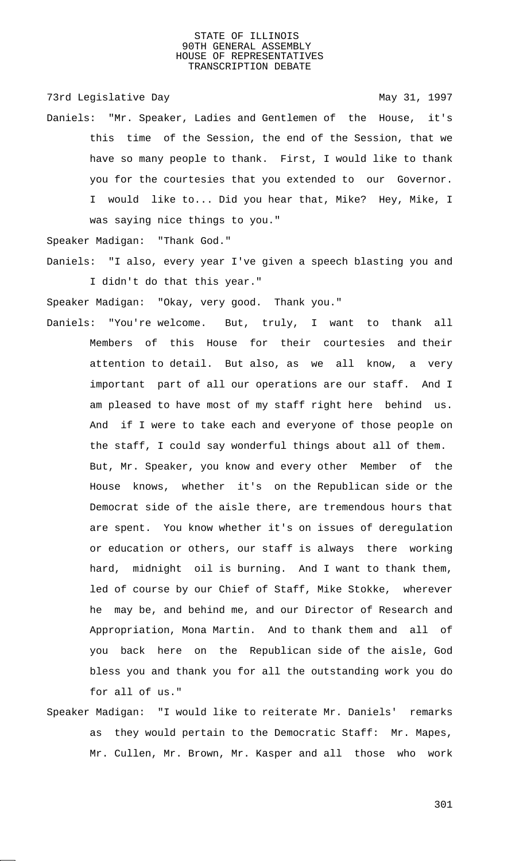73rd Legislative Day 1997

Daniels: "Mr. Speaker, Ladies and Gentlemen of the House, it's this time of the Session, the end of the Session, that we have so many people to thank. First, I would like to thank you for the courtesies that you extended to our Governor. I would like to... Did you hear that, Mike? Hey, Mike, I was saying nice things to you."

Speaker Madigan: "Thank God."

Daniels: "I also, every year I've given a speech blasting you and I didn't do that this year."

Speaker Madigan: "Okay, very good. Thank you."

- Daniels: "You're welcome. But, truly, I want to thank all Members of this House for their courtesies and their attention to detail. But also, as we all know, a very important part of all our operations are our staff. And I am pleased to have most of my staff right here behind us. And if I were to take each and everyone of those people on the staff, I could say wonderful things about all of them. But, Mr. Speaker, you know and every other Member of the House knows, whether it's on the Republican side or the Democrat side of the aisle there, are tremendous hours that are spent. You know whether it's on issues of deregulation or education or others, our staff is always there working hard, midnight oil is burning. And I want to thank them, led of course by our Chief of Staff, Mike Stokke, wherever he may be, and behind me, and our Director of Research and Appropriation, Mona Martin. And to thank them and all of you back here on the Republican side of the aisle, God bless you and thank you for all the outstanding work you do for all of us."
- Speaker Madigan: "I would like to reiterate Mr. Daniels' remarks as they would pertain to the Democratic Staff: Mr. Mapes, Mr. Cullen, Mr. Brown, Mr. Kasper and all those who work